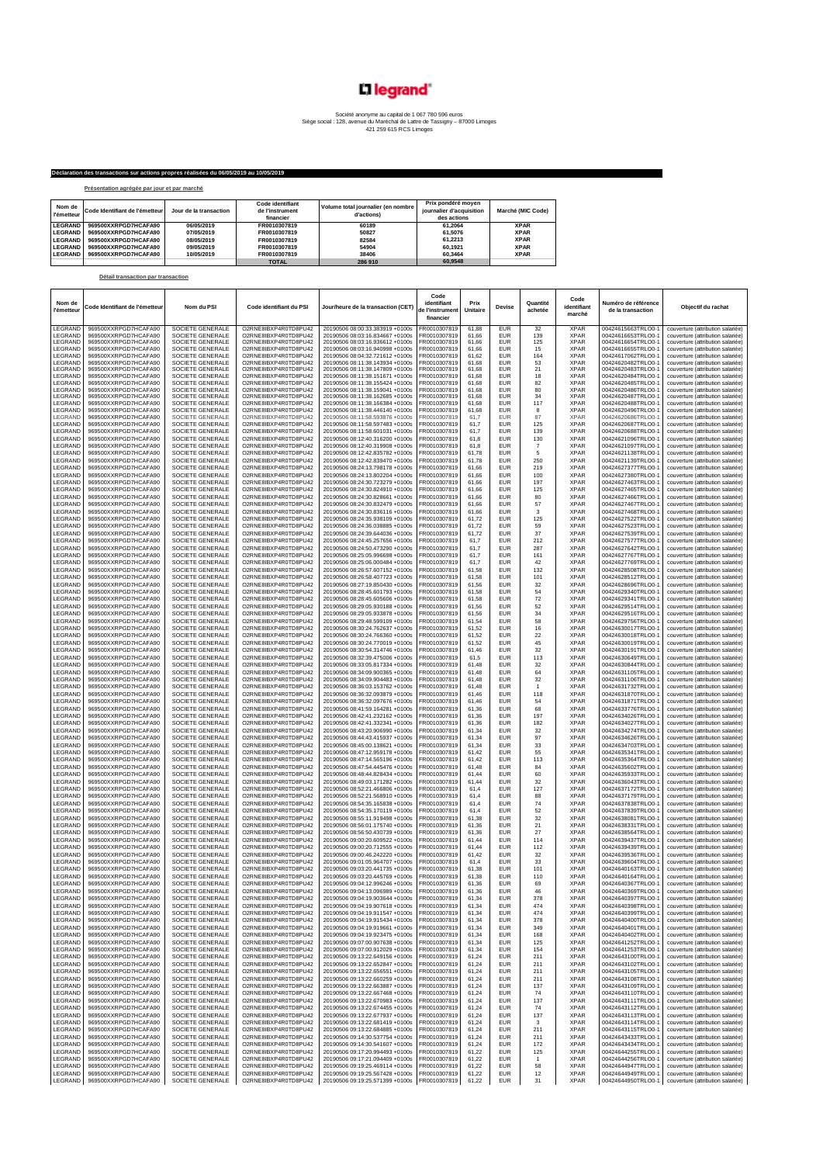## L'I legrand<sup>®</sup>

## Société anonyme au capital de 1 067 780 596 euro Siège social : 128, avenue du Maréchal de Lattre de Tassigny – 87000 Limoges 421 259 615 RCS Limoges

## **Déclaration des transactions sur actions propres réalisées du 06/05/2019 au 10/05/2019**

| Présentation agrégée par jour et par marché |  |
|---------------------------------------------|--|

**Détail transaction par transaction**

| Nom de<br><b>l'émetteur</b> | Code Identifiant de l'émetteur | Jour de la transaction | Code identifiant<br>de l'instrument<br>financier | Volume total journalier (en nombre<br>d'actions) | Prix pondéré moven<br>iournalier d'acquisition<br>des actions | Marché (MIC Code) |
|-----------------------------|--------------------------------|------------------------|--------------------------------------------------|--------------------------------------------------|---------------------------------------------------------------|-------------------|
| <b>LEGRAND</b>              | 969500XXRPGD7HCAFA90           | 06/05/2019             | FR0010307819                                     | 60189                                            | 61.2064                                                       | <b>XPAR</b>       |
| <b>LEGRAND</b>              | 969500XXRPGD7HCAFA90           | 07/05/2019             | FR0010307819                                     | 50827                                            | 61.5076                                                       | <b>XPAR</b>       |
| <b>LEGRAND</b>              | 969500XXRPGD7HCAFA90           | 08/05/2019             | FR0010307819                                     | 82584                                            | 61.2213                                                       | <b>XPAR</b>       |
| <b>LEGRAND</b>              | 969500XXRPGD7HCAFA90           | 09/05/2019             | FR0010307819                                     | 54904                                            | 60.1921                                                       | <b>XPAR</b>       |
| <b>LEGRAND</b>              | 969500XXRPGD7HCAFA90           | 10/05/2019             | FR0010307819                                     | 38406                                            | 60.3464                                                       | <b>XPAR</b>       |
|                             |                                |                        | <b>TOTAL</b>                                     | 286 910                                          | 60.9548                                                       |                   |

## **Nom de l'émetteur Code Identifiant de l'émetteur Nom du PSI Code identifiant du PSI Jour/heure de la transaction (CET) Code identifiant de l'instrument financier Prix Unitaire Devise Quantité achetée Code identifiant marché** éro de référen **de la transaction Objectif du rachat** LEGRAND 969500XXRPGD7HCAFA90 SOCIETE GENERALE O2RNE8IBXP4R0TD8PU42 20190506 08:00:33.383919 +0100s FR0010307819 61,88 EUR 32 XPAR 00424615663TRLO0-1 couverture (attribution salariée) LEGRAND 969500XXRPGD7HCAFA90 SOCIETE GENERALE O2RNEBIBXP4R0TDBPU42 |2019050608:03:16.340667 +01002/201919 | SOCIETE GENERALE O2RNEBIBXP4R0TDBPU42 |2019050608:03:116.93612 +01005 |FRO110307819| 61,66 EUR 125 XPAR |004246166 LEGRAND 969500XXRPGD7HCAFA90 SOCIETE GENERALE O2RNE8IBXP4R0TD8PU42 20190506 08:11:38.143934 +0100s FR0010307819 61,68 EUR 53 XPAR 00424620482TRLO0-1 couverture (attribution salariée) LEGRAND 969500XXRPGD7HCAFA90 SOCIETE GENERALE O2RNEBIBXP4R0TDBPU42 | 20190506 08:11:38.15163 | FROM SOCIETE GENERALE O2RNEBIBXP4R0TDBPU42 | 201905060 08:11:38.151671 +01005 | FROM O307819 | 61,68 | EUR | 18 XPAR | 00424620 LEGRAND 969500XXRPGD7HCAFA90 SOCIETE GENERALE O2RNEBIBXP4R0TDBPU42 | 20190506 08:11:38.166384-40100s | FRO010307819 61,68 | EUR | 34 XPAR | 0042462048TRLOO-1 couverture (attribution salariée)<br>LEGRAND 969500XXRPGD7HCAFA90 S LEGRAND 969500XXRPGD7HCAFA90 SOCIETE GENERALE O2RNE8IBXP4R0TD8PU42 20190506 08:11:58.597483 +0100s FR0010307819 61,7 EUR 125 XPAR 00424620687TRLO0-1 couverture (attribution salariée) LEGRAND 969500XXRPGD7HCAFA90 SOCIETE GENERALE O2RNE8IBXP4R0TD8PU42 20190506 08:11:58.601031 +0100s FR0010307819 61,7 EUR 139 XPAR 00424620688TRLO0-1 couverture (attribution salariée) LEGRAND 969500XXRPGD7HCAFA90 SOCIETE GENERALE O2RNE8IBXP4R0TD8PU42 20190506 08:12:40.316200 +0100s FR0010307819 61,8 EUR 130 XPAR 00424621096TRLO0-1 couverture (attribution salariée) LEGRAND 969500XXRPGD7HCAFA90 SOCIETE GENERALE O2RNE8IBXP4R0TD8PU42 20190506 08:12:40.319908 +0100s FR0010307819 61,8 EUR 7 XPAR 00424621097TRLO0-1 couverture (attribution salariée) LEGRAND 969500XXRPGD7HCAFA90 SOCIETE GENERALE O2RNE8IBXP4R0TD8PU42 20190506 08:12:42.835782 +0100s FR0010307819 61,78 EUR 5 XPAR 00424621138TRLO0-1 couverture (attribution salariée) LEGRAND 969500XXRPGD7HCAFA90 SOCIETE GENERALE O2RNE8IBXP4R0TD8PU42 20190506 08:12:42.839470 +0100s FR0010307819 61,78 EUR 250 XPAR 00424621139TRLO0-1 couverture (attribution salariée) LEGRAND 969500XXRPGD7HCAFA90 SOCIETE GENERALE C2RNE8IBXP4R0TD8PU42 20190506 08:24:13.798178 +0100s FR0010307819 61,66 EUR 219 XPAR 00424627377TRLO0-1 couverture (attribution salariée) LEGRAND 969500XXRPGD7HCAFA90 | SOCIETE GENERALE | O2RNEBIBXP4R0TD8PU42 | 20190560 08:241-3.802204-91006 | FRO11030781181 | 0202102104 | 0424827397TRLOO-1 | couverture (attribution salarée)<br>LEGRAND 969500XXRPGD7HCAFA90 | S LEGRAND 969500XXRPGD7HCAFA90 SOCIETE GENERALE O2RNE8IBXP4R0TD8PU42 20190506 08:24:30.28279 +0100s FR0010307819 61,66 EUR 125 XPAR 0042462746TRLO0-1 couverture (attribution salariée)<br>LEGRAND 969500XXRPGD7HCAFA90 SOCIETE GEN LEGRAND 969500XXRPGD7HCAFA90 SOCIETE GENERALE O2RNE8IBXP4R0TD8PU42 20190506 08:24:30.828661 +0100s FR0010307819 61,66 EUR 80 XPAR 00424627466TRLO0-1 couverture (attribution salariée) LEGRAND 969500XXRPGD7HCAFA90 SOCIETE GENERALE O2RNE8IBXP4R0TD8PU42 20190506 08:24:30.832479 +0100s FR0010307819 61,66 EUR 57 XPAR 00424627467TRLO0-1 couverture (attribution salariée) LEGRAND 969500XXRPGD7HCAFA90 SOCIETE GENERALE O2RNE8IBXP4R0TD8PU42 20190506 08:24:30.836116 +0100s FR0010307819 61,66 EUR 3 XPAR 00424627468TRLO0-1 couverture (attribution salariée) LEGRAND 969500XXRPGD7HCAFA90 SOCIETE GENERALE O2RNE8IBXP4R0TD8PU42 20190506 08:24:35.938109 +0100s FR0010307819 61,72 EUR 125 XPAR 00424627522TRLO0-1 couverture (attribution salariée) LEGRAND 969500XXRPGD7HCAFA90 SOCIETE GENERALE O2RNE8IBXP4R0TD8PU42 20190506 08:24:36.038885 +0100s FR0010307819 61,72 EUR 59 XPAR 00424627523TRLO0-1 couverture (attribution salariée) LEGRAND 969500XXRPGD7HCAFA90 SOCIETE GENERALE O2RNE8IBXP4R0TD8PU42 20190506 08:24:39.644036 +0100s FR0010307819 61,72 EUR 37 XPAR 00424627539TRLO0-1 couverture (attribution salariée) LEGRAND 969500XXRPGD7HCAFA90 SOCIETE GENERALE O2RNE8IBXP4R0TD8PU42 20190506 08:24:45.257656 +0100s FR0010307819 61,7 EUR 212 XPAR 00424627577TRLO0-1 couverture (attribution salariée)  $\begin{bmatrix} \texttt{LEGRAND} & 968500XRPOBJHCAFAB0 & SOUETE GENERALE & ORNEBBXPAR0TDBPUA2 & 20190506\,082:50.598698\,40100s & FRO10307819 & 61.7 & EFR01037270 & 7684 \end{bmatrix} \quad \begin{bmatrix} \texttt{RERRAD} & \texttt{RERRAD} & \texttt{RERRAD} & \texttt{RERRAD} & \texttt{RERRAD} & \texttt{RERRAD} & \texttt{$ LEGRAND 969500XXRPGD7HCAFA90 SOCIETE GENERALE O2RNE8IBXP4R0TD8PU42 20190506 08:28:45.601793 +0100s FR0010307819 61,58 EUR 54 XPAR 00424629340TRLO0-1 couverture (attribution salariée) LEGRAND 969500XXRPGD7HCAFA90 SOCIETE GENERALE O2RNE8IBXP4R0TD8PU42 20190506 08:28:45.605606 +0100s FR0010307819 61,58 EUR 72 XPAR 00424629341TRLO0-1 couverture (attribution salariée) LEGRAND 969500XXRPGD7HCAFA90 SOCIETE GENERALE O2RNE8IBXP4R0TD8PU42 20190506 08:29:05.930188 +0100s FR0010307819 61,56 EUR 52 XPAR 00424629514TRLO0-1 couverture (attribution salariée) LEGRAND 969500XXRPGD7HCAFA90 SOCIETE GENERALE O2RNE8IBXP4R0TD8PU42 20190506 08:29:05.933878 +0100s FR0010307819 61,56 EUR 34 XPAR 00424629516TRLO0-1 couverture (attribution salariée) LEGRAND 969500XXRPGD7HCAFA90 SOCIETE GENERALE O2RNE8IBXP4R0TD8PU42 20190506 08:29:48.599109 +0100s FR0010307819 61,54 EUR 58 XPAR 00424629756TRLO0-1 couverture (attribution salariée) LEGRAND 969500XXRPGD7HCAFA90 SOCIETE GENERALE O2RNE8IBXP4R0TD8PU42 20190506 08:30:24.762637 +0100s FR0010307819 61,52 EUR 16 XPAR 00424630017TRLO0-1 couverture (attribution salariée) LEGRAND 969500XXRPGD7HCAFA90 SOCIETE GENERALE O2RNE8IBXP4R0TD8PU42 20190506 08:30:24.766360 +0100s FR0010307819 61,52 EUR 22 XPAR 00424630018TRLO0-1 couverture (attribution salariée) LEGRAND 969500XXRPGD7HCAFA90 SOCIETE GENERALE O2RNE8IBXP4R0TD8PU42 20190506 08:32.45.47547 32100006 08:30.590608 08:30.62.7000 PR0010307819 61,7 PAR 2019060 08:30 and 2019060 08:30 and 2019060 08:30 and 2019060 08:30 and LEGRAND 969500XXRPGD7HCAFA90 SOCIETE GENERALE | O2RNE8IBXP4R0TD8PU42 | 20190506 08:30:54.314746 +0100s | FR0010307819 61,46 | EUR | 32 | XPAR | 00424630191TRLO0-1 | couverture (attribution salariée) LEGRAND 969500XXRPGD7HCAFA90 SOCIETE GENERALE O2RNE8IBXP4R0TD8PU42 20190506 08:32:39.475006 +0100s FR0010307819 61,5 EUR 113 XPAR 00424630649TRLO0-1 couverture (attribution salariée) LEGRAND 969500XXRPGD7HCAFA90 SOCIETE GENERALE O2RNE8IBXP4R0TD8PU42 20190506 08:33:05.817334 +0100s FR0010307819 61,48 EUR 32 XPAR 00424630844TRLO0-1 couverture (attribution salariée) LEGRAND 969500XXRPGD7HCAFA90 SOCIETE GENERALE O2RNE8IBXP4R0TD8PU42 20190506 08:34:09.900365 +0100s FR0010307819 61,48 EUR S4 XPAR 00424631105TRLO0-<br>LEGRAND 969500XXRPGD7HCAFA90 SOCIETE GENERALE O2RNE8IBXP4R0TD8PU42 2019050 LEGRAND 969500XXRPGD7HCAFA90 SOCIETE GENERALE O2RNE8IBXP4R0TD8PU42 20190506 08:34:09.904483 +0100s FR0010307819 61,48 EUR 32 XPAR 00424631106TRLO0-1 couverture (attribution salariée) LEGRAND 969500XXRPGD7HCAFA90 SOCIETE GENERALE O2RNE8IBXP4R0TD8PU42 20190506 08:36:03.153762 +0100s FR0010307819 61,48 EUR 1 XPAR 00424631732TRLO0-1 couverture (attribution salariée) LEGRAND 969500XXRPGD7HCAFA90 SOCIETE GENERALE O2RNE8IBXP4R0TD8PU42 20190506 08:36:32.093879 +0100s FR0010307819 61,46 EUR 118 XPAR 00424631870TRLO0-1 couverture (attribution salariée) LEGRAND 969500XXRPGD7HCAFA90 SOCIETE GENERALE O2RNE8IBXP4R0TD8PU42 20190506 08:36:32.097676 +0100s FR0010307819 61,46 EUR 54 XPAR 00424631871TRLO0-1 couverture (attribution salariée) LEGRAND 969500XXRPGD7HCAFA90 SOCIETE GENERALE O2RNE8IBXP4R0TD8PU42 20190506 08:41:59.164281 +0100s FR0010307819 61,36 EUR 68 XPAR 00424633776TRLO0-1 couverture (attribution salariée) LEGRAND 969500XXRPGD7HCAFA90 | SOCIETE GENERALE | O2RNEBIBXP4R0TD8PU42 | 20190506 08:42:41.232161 +01002 | FIRE<br>LEGRAND 969500XXRPGD7HCAFA90 | SOCIETE GENERALE | O2RNEBIBXP4R0TD8PU42 | 20190506 08:42:41.332341 +0100s | RO  $\begin{bmatrix} \texttt{LEGRAND} & 969500XRPODHCAFAB0 & SOUETE GENERALE & O2RNEIBKPAROTDBPU4 & 20190506\,08:44:34:15897+0100s & FRO10307819 & 61,34 & EUR & 97 & XPAR & 0042463428THRLO01 & courature (artibubon salarie), \texttt{EGRAND} & FRO10307819 & FRO10307819 & FRO10307819 & FRO10307$ LEGRAND 969500XXRPGD7HCAFA90 SOCIETE GENERALE CZRNEBIBXP4R0TD8PU42 20190506 08:424.1323411 101008 FR0010307819 61,34 EUR 1222<br>LEGRAND 969500XXRPGD7HCAFA90 SOCIETE GENERALE CZRNEBIBXP4R0TD8PU42 20190506 08:44.31.19937 +010 LEGRAND 969500XXRPGD7HCAFA90 SOCIETE GENERALE O2RNE8IBXP4R0TD8PU42 20190506 08:49:03.171282 +0100s FR0010307819 61,44 EUR 32 XPAR 00424636043TRLO0-1 couverture (attribution salariée)  $\begin{bmatrix} \texttt{LEGRAND} & 968500XRPOBJHCARAR00 & SOUETE GENERALE & O2RNEIBKPAROTDFBHLA2 & 20190506\,08:52:1.66804\cdot0100s & FRO10307819 & 61.4 & EUR & 9684\cdot0100s & 9684\cdot0100s \\ \texttt{LEGRAND} & 968500XRPOBJHCARAR000 & SOUETE GENERALE & O2RNEIBKPAROTDFBHLA2 & 20190506\$ LEGRAND 969500XXRPGD7HCAFA90 | SOCIETE GENERALE | O2RNEBIBXP4R0TDBPU42 | 20190560 65020200310 | ASS | DARE | ASS | 27 | XPAR | 04244639564TRLOO1 | couverture (attribuion salarée)<br>LEGRAND 969500XXRPGD7HCAFA90 | SOCIETE GEN LEGRAND 969500XXRPGD7HCAFA90 SOCIETE GENERALE O2RNE8IBXP4R0TD8PU42 20190506 09:00:20.712555 +0100s FR0010307819 61,44 EUR 112 XPAR 00424639439TRLO0-1 couverture (attribution salariée) LEGRAND 968500XXRPGD7HCAFA90 SOCIETE GENERALE O2RNE8IBXP4R0TD8PU42 20190506 09:0145.94220 +0100s FR0010307819 61,42<br>LEGRAND 968500XXRPGD7HCAFA90 SOCIETE GENERALE O2RNE8IBXP4R0TD8PU42 20190506 09:03:0441756 +0106 FR0010307 LEGRAND 969500XXRPGD7HCAFA90 SOCIETE GENERALE O2RNE8IBXP4R0TD8PU42 20190506 09:01:05.964707 +0100s FR0010307819 61,4 EUR 33 XPAR 00424639604TRLO0-1 couverture (attribution salariée) LEGRAND 969500XXRPGD7HCAFA90 SOCIETE GENERALE O2RNE8IBXP4R0TD8PU42 20190506 09:03:20.441735 +0100s FR0010307819 61,38 EUR 101 XPAR 00424640163TRLO0-1 couverture (attribution salariée) LEGRAND 969500XXRPGD7HCAFA90 SOCIETE GENERALE O2RNE8IBXP4R0TD8PU42 20190506 09:03:20.445769 +0100s FR0010307819 61,38 EUR 110 XPAR 00424640164TRLO0-1 couverture (attribution salariée) LEGRAND 969500XXRPGD7HCAFA90 SOCIETE GENERALE O2RNE8IBXP4R0TD8PU42 20190506 09:04:12.996246 +0100s FR0010307819 61,36 EUR 69 XPAR 00424640367TRLO0-1 couverture (attribution salariée) LEGRAND 969500XXRPGD7HCAFA90 SOCIETE GENERALE O2RNE8IBXP4R0TD8PU42 20190506 09:04:13.096989 +0100s FR0010307819 61,36 EUR 46 XPAR 00424640369TRLO0-1 couverture (attribution salariée)  $\begin{bmatrix} 668400 & 9685000 \times \text{RFPG} \times \text{RFPG} \times \text{RFPG} \times \text{RFPG} \times \text{RFPG} \times \text{RFPG} \times \text{RFPG} \times \text{RFPG} \times \text{RFPG} \times \text{RFPG} \times \text{RFPG} \times \text{RFPG} \times \text{RFPG} \times \text{RFPG} \times \text{RFPG} \times \text{RFPG} \times \text{RFPG} \times \text{RFPG} \times \text{RFPG} \times \text{RFPG} \times \text{RFPG} \times \text{RFPG}$ LEGRAND 969500XXRPGD7HCAFA90 SOCIETE GENERALE O2RNE8IBXP4R0TD8PU42 20190506 09:13:22.649156 +0100s FR0010307819 61,24 EUR 211 XPAR 00424643100TRLO0-1 couverture (attribution salariée) LEGRAND 969500XXRPGD7HCAFA90 SOCIETE GENERALE O2RNE8IBXP4R0TD8PU42 20190506 09:13:22.652847 +0100s FR0010307819 61,24 EUR 211 XPAR 00424643102TRLO0-1 couverture (attribution salariée)  $\begin{bmatrix} 668400 & 9685000 \times \text{RFPG} \times \text{RFPG} \times \text{RFPG} \times \text{RFPG} \times \text{RFPG} \times \text{RFPG} \times \text{RFPG} \times \text{RFPG} \times \text{RFPG} \times \text{RFPG} \times \text{RFPG} \times \text{RFPG} \times \text{RFPG} \times \text{RFPG} \times \text{RFPG} \times \text{RFPG} \times \text{RFPG} \times \text{RFPG} \times \text{RFPG} \times \text{RFPG} \times \text{RFPG} \times \text{RFPG}$ LEGRAND 969500XXRPGD7HCAFA90 SOCIETE GENERALE CORNE8IBXP4R0TD8PU42 20190506 09:13:22.684885 +0100s FR0010307819 61,24 EUR<br>LEGRAND 969500XXRPGD7HCAFA90 SOCIETE GENERALE O2RNE8IBXP4R0TD8PU42 20190506 09:14:20.694885 +0100s F LEGRAND 969500XXRPGD7HCAFA90 SOCIETE GENERALE O2RNE8IBXP4R0TD8PU42 20190506 09:14:30.537754 +0100s FR0010307819 61,24 EUR 211 XPAR 00424643433TRLO0-1 couverture (attribution salariée) LEGRAND 969500XXRPGD7HCAFA90 SOCIETE GENERALE O2RNE8IBXP4R0TD8PU42 20190506 09:14:30.541607 +0100s FR0010307819 61,24 EUR 172 XPAR 00424643434TRLO0-1 couverture (attribution salariée) LEGRAND 969500XXRPGD7HCAFA90 SOCIETE GENERALE O2RNE8IBXP4R0TD8PU42 20190506 09:17:20.994493 +0100s FR0010307819 61,22 EUR 125 XPAR 00424644255TRLO0-1 couverture (attribution salariée) LEGRAND 969500XXRPGD7HCAFA90 SOCIETE GENERALE O2RNE8IBXP4R0TD8PU42 20190506 09:17:21.094409 +0100s FR0010307819 61,22 EUR 1 XPAR 00424644256TRLO0-1 couverture (attribution salariée) LEGRAND 969500XXRPGD7HCAFA90 SOCIETE GENERALE O2RNE8IBXP4R0TD8PU42 20190506 09:19:25.469114 +0100s FR0010307819 61,22 EUR 58 XPAR 00424644947TRLO0-1 couverture (attribution salariée) LEGRAND 969500XXRPGD7HCAFA90 SOCIETE GENERALE O2RNE8IBXP4R0TD8PU42 20190506 09:19:25.567428 +0100s FR0010307819 61,22 EUR 12 XPAR 00424644949TRLO0-1 couverture (attribution salariée) LEGRAND 969500XXRPGD7HCAFA90 SOCIETE GENERALE O2RNE8IBXP4R0TD8PU42 20190506 09:19:25.571399 +0100s FR0010307819 61,22 EUR 31 XPAR 00424644950TRLO0-1 couverture (attribution salariée)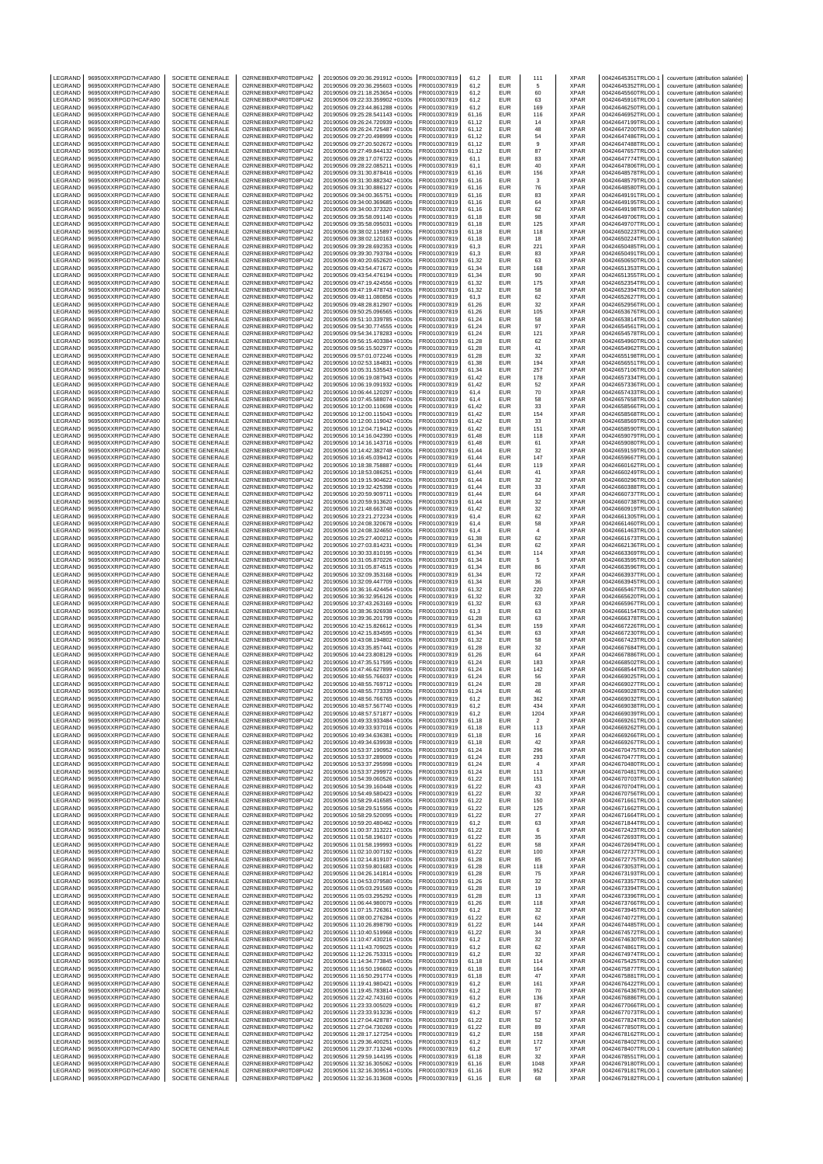| LEGRAND                   | 969500XXRPGD7HCAFA90                         | SOCIETE GENERALE                     | O2RNE8IBXP4R0TD8PU42                         | 20190506 09:20:36.291912 +0100s                                    | FR0010307819                 | 61,2           | EUR                      | 111                     | XPAR                       | 00424645351TRLO0-1                       | couverture (attribution salariée)                                      |
|---------------------------|----------------------------------------------|--------------------------------------|----------------------------------------------|--------------------------------------------------------------------|------------------------------|----------------|--------------------------|-------------------------|----------------------------|------------------------------------------|------------------------------------------------------------------------|
| LEGRAND<br>LEGRAND        | 969500XXRPGD7HCAFA90<br>969500XXRPGD7HCAFA90 | SOCIETE GENERALE<br>SOCIETE GENERALE | O2RNE8IBXP4R0TD8PU42<br>O2RNE8IBXP4R0TD8PU42 | 20190506 09:20:36.295603 +0100s<br>20190506 09:21:18.253654 +0100s | FR0010307819<br>R0010307819  | 61.2<br>61,2   | <b>EUR</b><br>EUR        | .5<br>60                | <b>XPAR</b><br>XPAR        | 00424645352TRLO0-1<br>00424645560TRLO0-1 | couverture (attribution salariée)<br>couverture (attribution salariée) |
| LEGRAND                   | 969500XXRPGD7HCAFA90                         | SOCIETE GENERALE                     | O2RNE8IBXP4R0TD8PU42                         | 20190506 09:22:33.359902 +0100s                                    | FR0010307819                 | 61.2           | <b>EUR</b>               | 63                      | <b>XPAR</b>                | 00424645916TRLO0-1                       | couverture (attribution salariée)                                      |
| LEGRAND                   | 969500XXRPGD7HCAFA90                         | SOCIETE GENERALE                     | O2RNE8IBXP4R0TD8PU42                         | 20190506 09:23:44.861288 +0100s                                    | FR0010307819                 | 61,2           | EUR                      | 169                     | <b>XPAR</b>                | 00424646250TRLO0-1                       | couverture (attribution salariée)                                      |
| LEGRAND<br>LEGRAND        | 969500XXRPGD7HCAFA90<br>969500XXRPGD7HCAFA90 | SOCIETE GENERALE<br>SOCIETE GENERALE | O2RNE8IBXP4R0TD8PU42<br>O2RNE8IBXP4R0TD8PU42 | 20190506 09:25:28.541143 +0100s<br>20190506 09:26:24.720939 +0100s | FR0010307819<br>FR0010307819 | 61,16<br>61,12 | EUR<br>EUR               | 116<br>14               | <b>XPAR</b><br>XPAR        | 00424646952TRLO0-1<br>00424647199TRLO0-1 | couverture (attribution salariée)<br>couverture (attribution salariée) |
| LEGRAND                   | 969500XXRPGD7HCAFA90                         | SOCIETE GENERALE                     | O2RNE8IBXP4R0TD8PU42                         | 20190506 09:26:24.725487 +0100s                                    | FR0010307819                 | 61,12          | EUR                      | 48                      | <b>XPAR</b>                | 00424647200TRLO0-1                       | couverture (attribution salariée)                                      |
| LEGRAND<br>LEGRAND        | 969500XXRPGD7HCAFA90<br>969500XXRPGD7HCAFA90 | SOCIETE GENERALE<br>SOCIETE GENERALE | O2RNE8IBXP4R0TD8PU42<br>O2RNE8IBXP4R0TD8PU42 | 20190506 09:27:20.498999 +0100s                                    | R0010307819<br>FR0010307819  | 61,12<br>61,12 | EUR<br>EUR               | 54<br>9                 | <b>XPAR</b><br><b>XPAR</b> | 00424647486TRLO0-1<br>00424647488TRLO0-  | couverture (attribution salariée)<br>couverture (attribution salariée) |
| LEGRAND                   | 969500XXRPGD7HCAFA90                         | SOCIETE GENERALE                     | O2RNE8IBXP4R0TD8PU42                         | 20190506 09:27:20.502672 +0100s<br>20190506 09:27:49.844132 +0100s | R0010307819                  | 61,12          | EUR                      | 87                      | XPAR                       | 00424647657TRLO0-1                       | couverture (attribution salariée)                                      |
| LEGRAND                   | 969500XXRPGD7HCAFA90                         | SOCIETE GENERALE                     | O2RNE8IBXP4R0TD8PU42                         | 20190506 09:28:17.076722 +0100s                                    | FR0010307819                 | 61,1           | <b>EUR</b>               | 83                      | <b>XPAR</b>                | 00424647774TRLO0-                        | couverture (attribution salariée)                                      |
| LEGRAND<br>LEGRAND        | 969500XXRPGD7HCAFA90<br>969500XXRPGD7HCAFA90 | SOCIETE GENERALE<br>SOCIETE GENERALE | O2RNE8IBXP4R0TD8PU42<br>O2RNE8IBXP4R0TD8PU42 | 20190506 09:28:22.085211 +0100s<br>20190506 09:31:30.878416 +0100s | R0010307819<br>FR0010307819  | 61,1<br>61,16  | EUR<br>EUR               | 40<br>156               | XPAR<br><b>XPAR</b>        | 00424647806TRLO0-<br>00424648578TRLO0-   | couverture (attribution salariée)<br>couverture (attribution salariée) |
| LEGRAND                   | 969500XXRPGD7HCAFA90                         | SOCIETE GENERALE                     | O2RNE8IBXP4R0TD8PU42                         | 20190506 09:31:30.882342 +0100s                                    | FR0010307819                 | 61,16          | EUR                      | 3                       | XPAR                       | 00424648579TRLO0-1                       | couverture (attribution salariée)                                      |
| LEGRAND                   | 969500XXRPGD7HCAFA90                         | SOCIETE GENERALE                     | O2RNE8IBXP4R0TD8PU42                         | 20190506 09:31:30.886127 +0100s                                    | R0010307819                  | 61,16          | EUR                      | 76                      | XPAR                       | 00424648580TRLO0-1                       | couverture (attribution salariée)                                      |
| LEGRAND<br>LEGRAND        | 969500XXRPGD7HCAFA90<br>969500XXRPGD7HCAFA90 | SOCIETE GENERALE<br>SOCIETE GENERALE | O2RNE8IBXP4R0TD8PU42<br>O2RNE8IBXP4R0TD8PU42 | 20190506 09:34:00.365751 +0100s<br>20190506 09:34:00.369685 +0100s | FR0010307819<br>FR0010307819 | 61.16<br>61,16 | EUR<br>EUR               | 83<br>64                | <b>XPAR</b><br>XPAR        | 00424649191TRLO0-<br>00424649195TRLO0-   | couverture (attribution salariée)<br>couverture (attribution salariée) |
| LEGRAND                   | 969500XXRPGD7HCAFA90                         | SOCIETE GENERALE                     | O2RNE8IBXP4R0TD8PU42                         | 20190506 09:34:00.373320 +0100s                                    | FR0010307819                 | 61.16          | <b>EUR</b>               | 62                      | <b>XPAR</b>                | 00424649198TRLO0-1                       | couverture (attribution salariée)                                      |
| LEGRAND                   | 969500XXRPGD7HCAFA90                         | SOCIETE GENERALE                     | O2RNE8IBXP4R0TD8PU42                         | 20190506 09:35:58.091140 +0100s                                    | R0010307819                  | 61,18          | EUR                      | 98                      | XPAR                       | 00424649706TRLO0-1                       | couverture (attribution salariée)                                      |
| LEGRAND<br>LEGRAND        | 969500XXRPGD7HCAFA90<br>969500XXRPGD7HCAFA90 | SOCIETE GENERALE<br>SOCIETE GENERALE | O2RNE8IBXP4R0TD8PU42<br>O2RNE8IBXP4R0TD8PU42 | 20190506 09:35:58.095031 +0100s<br>20190506 09:38:02.115897 +0100s | FR0010307819<br>FR0010307819 | 61.18<br>61,18 | EUR<br>EUR               | 125<br>118              | <b>XPAR</b><br>XPAR        | 00424649707TRLO0-<br>00424650223TRLO0-   | couverture (attribution salariée)<br>couverture (attribution salariée) |
| LEGRAND                   | 969500XXRPGD7HCAFA90                         | SOCIETE GENERALE                     | O2RNE8IBXP4R0TD8PU42                         | 20190506 09:38:02.120163 +0100s                                    | FR0010307819                 | 61.18          | EUR                      | 18                      | <b>XPAR</b>                | 00424650224TRLO0-1                       | couverture (attribution salariée)                                      |
| LEGRAND<br>LEGRAND        | 969500XXRPGD7HCAFA90<br>969500XXRPGD7HCAFA90 | SOCIETE GENERALE<br>SOCIETE GENERALE | O2RNE8IBXP4R0TD8PU42<br>O2RNE8IBXP4R0TD8PU42 | 20190506 09:39:28.692353 +0100s                                    | R0010307819<br>FR0010307819  | 61,3<br>61.3   | EUR<br>EUR               | 221<br>83               | XPAR<br><b>XPAR</b>        | 00424650485TRLO0-1                       | couverture (attribution salariée)                                      |
| LEGRAND                   | 969500XXRPGD7HCAFA90                         | SOCIETE GENERALE                     | O2RNE8IBXP4R0TD8PU42                         | 20190506 09:39:30.793784 +0100s<br>20190506 09:40:20.652620 +0100s | FR0010307819                 | 61,32          | EUR                      | 63                      | XPAR                       | 00424650491TRLO0-1<br>00424650650TRLO0-  | couverture (attribution salariée)<br>couverture (attribution salariée) |
| LEGRAND                   | 969500XXRPGD7HCAFA90                         | SOCIETE GENERALE                     | O2RNE8IBXP4R0TD8PU42                         | 20190506 09:43:54.471672 +0100s                                    | FR0010307819                 | 61.34          | <b>EUR</b>               | 168                     | <b>XPAR</b>                | 00424651353TRLO0-1                       | couverture (attribution salariée)                                      |
| LEGRAND<br>LEGRAND        | 969500XXRPGD7HCAFA90                         | SOCIETE GENERALE                     | O2RNE8IBXP4R0TD8PU42                         | 20190506 09:43:54.476194 +0100s                                    | R0010307819                  | 61,34          | EUR<br>EUR               | 90                      | XPAR<br><b>XPAR</b>        | 00424651355TRLO0-1                       | couverture (attribution salariée)                                      |
| LEGRAND                   | 969500XXRPGD7HCAFA90<br>969500XXRPGD7HCAFA90 | SOCIETE GENERALE<br>SOCIETE GENERALE | O2RNE8IBXP4R0TD8PU42<br>O2RNE8IBXP4R0TD8PU42 | 20190506 09:47:19.424556 +0100s<br>20190506 09:47:19.478743 +0100s | FR0010307819<br>R0010307819  | 61,32<br>61,32 | EUR                      | 175<br>58               | XPAR                       | 00424652354TRLO0-1<br>00424652394TRLO0-1 | couverture (attribution salariée)<br>couverture (attribution salariée) |
| LEGRAND                   | 969500XXRPGD7HCAFA90                         | SOCIETE GENERALE                     | O2RNE8IBXP4R0TD8PU42                         | 20190506 09:48:11.080856 +0100s                                    | FR0010307819                 | 61,3           | EUR                      | 62                      | <b>XPAR</b>                | 00424652627TRLO0-                        | couverture (attribution salariée)                                      |
| LEGRAND<br>LEGRAND        | 969500XXRPGD7HCAFA90<br>969500XXRPGD7HCAFA90 | SOCIETE GENERALE<br>SOCIETE GENERALE | O2RNE8IBXP4R0TD8PU42<br>O2RNE8IBXP4R0TD8PU42 | 20190506 09:48:28.812907 +0100s<br>20190506 09:50:25.096565 +0100s | FR0010307819<br>FR0010307819 | 61,26<br>61,26 | EUR<br>EUR               | 32<br>105               | XPAR<br><b>XPAR</b>        | 00424652956TRLO0-1<br>00424653676TRLO0-  | couverture (attribution salariée)<br>couverture (attribution salariée) |
| LEGRAND                   | 969500XXRPGD7HCAFA90                         | SOCIETE GENERALE                     | O2RNE8IBXP4R0TD8PU42                         | 20190506 09:51:10.339785 +0100s                                    | R0010307819                  | 61,24          | EUR                      | 58                      | <b>XPAR</b>                | 00424653814TRLO0-1                       | couverture (attribution salariée)                                      |
| LEGRAND                   | 969500XXRPGD7HCAFA90                         | SOCIETE GENERALE                     | O2RNE8IBXP4R0TD8PU42                         | 20190506 09:54:30.774555 +0100s                                    | FR0010307819                 | 61,24          | EUR                      | 97                      | XPAR                       | 00424654561TRLO0-                        | couverture (attribution salariée)                                      |
| LEGRAND<br>LEGRAND        | 969500XXRPGD7HCAFA90<br>969500XXRPGD7HCAFA90 | SOCIETE GENERALE<br>SOCIETE GENERALE | O2RNE8IBXP4R0TD8PU42<br>O2RNE8IBXP4R0TD8PU42 | 20190506 09:54:34.178283 +0100s<br>20190506 09:56:15.403384 +0100s | R0010307819<br>FR0010307819  | 61,24<br>61,28 | EUR<br><b>EUR</b>        | 121<br>62               | XPAR<br><b>XPAR</b>        | 00424654578TRLO0-1<br>00424654960TRLO0-  | couverture (attribution salariée)<br>couverture (attribution salariée) |
| LEGRAND                   | 969500XXRPGD7HCAFA90                         | SOCIETE GENERALE                     | O2RNE8IBXP4R0TD8PU42                         | 20190506 09:56:15.502977 +0100s                                    | R0010307819                  | 61,28          | EUR                      | 41                      | XPAR                       | 00424654962TRLO0-                        | couverture (attribution salariée)                                      |
| LEGRAND<br>LEGRAND        | 969500XXRPGD7HCAFA90<br>969500XXRPGD7HCAFA90 | SOCIETE GENERALE<br>SOCIETE GENERALE | O2RNE8IBXP4R0TD8PU42<br>O2RNE8IBXP4R0TD8PU42 | 20190506 09:57:01.072246 +0100s<br>20190506 10:02:53.184831 +0100s | FR0010307819<br>FR0010307819 | 61,28<br>61.38 | EUR<br>EUR               | 32<br>194               | <b>XPAR</b><br><b>XPAR</b> | 00424655198TRLO0-<br>00424656551TRLO0-1  | couverture (attribution salariée)                                      |
| LEGRAND                   | 969500XXRPGD7HCAFA90                         | SOCIETE GENERALE                     | O2RNE8IBXP4R0TD8PU42                         | 20190506 10:05:31.535543 +0100s                                    | R0010307819                  | 61,34          | EUR                      | 257                     | XPAR                       | 00424657106TRLO0-1                       | couverture (attribution salariée)<br>couverture (attribution salariée) |
| LEGRAND                   | 969500XXRPGD7HCAFA90                         | SOCIETE GENERALE                     | O2RNE8IBXP4R0TD8PU42                         | 20190506 10:06:19.087943 +0100s                                    | FR0010307819                 | 61.42          | EUR                      | 178                     | <b>XPAR</b>                | 00424657334TRLO0-                        | couverture (attribution salariée)                                      |
| LEGRAND<br>LEGRAND        | 969500XXRPGD7HCAFA90<br>969500XXRPGD7HCAFA90 | SOCIETE GENERALE<br>SOCIETE GENERALE | O2RNE8IBXP4R0TD8PU42<br>O2RNE8IBXP4R0TD8PU42 | 20190506 10:06:19.091932 +0100s<br>20190506 10:06:44.120297 +0100s | FR0010307819<br>FR0010307819 | 61,42<br>61.4  | EUR<br>EUR               | 52<br>70                | XPAR<br><b>XPAR</b>        | 00424657336TRLO0-<br>00424657433TRLO0-1  | couverture (attribution salariée)<br>couverture (attribution salariée) |
| LEGRAND                   | 969500XXRPGD7HCAFA90                         | SOCIETE GENERALE                     | O2RNE8IBXP4R0TD8PU42                         | 20190506 10:07:45.588074 +0100s                                    | R0010307819                  | 61,4           | EUR                      | 58                      | XPAR                       | 00424657658TRLO0-1                       | couverture (attribution salariée)                                      |
| LEGRAND                   | 969500XXRPGD7HCAFA90                         | SOCIETE GENERALE                     | O2RNE8IBXP4R0TD8PU42                         | 20190506 10:12:00.110698 +0100s                                    | FR0010307819                 | 61.42          | EUR                      | 33                      | <b>XPAR</b>                | 00424658566TRLO0-1                       | couverture (attribution salariée)                                      |
| LEGRAND<br>LEGRAND        | 969500XXRPGD7HCAFA90<br>969500XXRPGD7HCAFA90 | SOCIETE GENERALE<br>SOCIETE GENERALE | O2RNE8IBXP4R0TD8PU42<br>O2RNE8IBXP4R0TD8PU42 | 20190506 10:12:00.115043 +0100s<br>20190506 10:12:00.119042 +0100s | FR0010307819<br>FR0010307819 | 61,42<br>61.42 | EUR<br>EUR               | 154<br>33               | XPAR<br><b>XPAR</b>        | 00424658568TRLO0-<br>00424658569TRLO0-1  | couverture (attribution salariée)<br>couverture (attribution salariée) |
| LEGRAND                   | 969500XXRPGD7HCAFA90                         | SOCIETE GENERALE                     | O2RNE8IBXP4R0TD8PU42                         | 20190506 10:12:04.719412 +0100s                                    | R0010307819                  | 61,42          | EUR                      | 151                     | XPAR                       | 00424658590TRLO0-1                       | couverture (attribution salariée)                                      |
| LEGRAND                   | 969500XXRPGD7HCAFA90                         | SOCIETE GENERALE                     | O2RNE8IBXP4R0TD8PU42                         | 20190506 10:14:16.042390 +0100s                                    | FR0010307819                 | 61.48          | EUR                      | 118                     | <b>XPAR</b>                | 00424659079TRLO0-1                       | couverture (attribution salariée)                                      |
| LEGRAND<br>LEGRAND        | 969500XXRPGD7HCAFA90<br>969500XXRPGD7HCAFA90 | SOCIETE GENERALE<br>SOCIETE GENERALE | O2RNE8IBXP4R0TD8PU42<br>O2RNE8IBXP4R0TD8PU42 | 20190506 10:14:16.143716 +0100s<br>20190506 10:14:42.382748 +0100s | FR0010307819<br>FR0010307819 | 61,48<br>61,44 | EUR<br><b>EUR</b>        | 61<br>32                | XPAR<br>XPAR               | 00424659080TRLO0-<br>00424659159TRLO0-   | couverture (attribution salariée)<br>couverture (attribution salariée) |
| LEGRAND                   | 969500XXRPGD7HCAFA90                         | SOCIETE GENERALE                     | O2RNE8IBXP4R0TD8PU42                         | 20190506 10:16:45.039412 +0100s                                    | R0010307819                  | 61,44          | EUR                      | 147                     | XPAR                       | 00424659667TRLO0-1                       | couverture (attribution salariée)                                      |
| LEGRAND                   | 969500XXRPGD7HCAFA90                         | SOCIETE GENERALE                     | O2RNE8IBXP4R0TD8PU42                         | 20190506 10:18:38.758887 +0100s                                    | FR0010307819                 | 61,44          | EUR                      | 119                     | <b>XPAR</b>                | 00424660162TRLO0-1                       | couverture (attribution salariée)                                      |
| LEGRAND<br>LEGRAND        | 969500XXRPGD7HCAFA90<br>969500XXRPGD7HCAFA90 | SOCIETE GENERALE<br>SOCIETE GENERALE | O2RNE8IBXP4R0TD8PU42<br>O2RNE8IBXP4R0TD8PU42 | 20190506 10:18:53.086251 +0100s<br>20190506 10:19:15.904622 +0100s | R0010307819<br>FR0010307819  | 61,44<br>61,44 | EUR<br>EUR               | 41<br>32                | XPAR<br><b>XPAR</b>        | 00424660249TRLO0-1<br>00424660296TRLO0-  | couverture (attribution salariée)<br>couverture (attribution salariée) |
| LEGRAND                   | 969500XXRPGD7HCAFA90                         | SOCIETE GENERALE                     | O2RNE8IBXP4R0TD8PU42                         | 20190506 10:19:32.425398 +0100s                                    | FR0010307819                 | 61,44          | EUR                      | 33                      | XPAR                       | 00424660388TRLO0-1                       | couverture (attribution salariée)                                      |
| LEGRAND<br>LEGRAND        | 969500XXRPGD7HCAFA90<br>969500XXRPGD7HCAFA90 | SOCIETE GENERALE<br>SOCIETE GENERALE | O2RNE8IBXP4R0TD8PU42<br>O2RNE8IBXP4R0TD8PU42 | 20190506 10:20:59.909711 +0100s<br>20190506 10:20:59.913620 +0100s | FR0010307819<br>R0010307819  | 61,44<br>61,44 | EUR<br>EUR               | 64<br>32                | <b>XPAR</b><br><b>XPAR</b> | 00424660737TRLO0-1<br>00424660738TRLO0-1 | couverture (attribution salariée)<br>couverture (attribution salariée) |
| LEGRAND                   | 969500XXRPGD7HCAFA90                         | SOCIETE GENERALE                     | O2RNE8IBXP4R0TD8PU42                         | 20190506 10:21:48.663748 +0100s                                    | FR0010307819                 | 61,42          | EUR                      | 32                      | XPAR                       | 00424660919TRLO0-                        | couverture (attribution salariée)                                      |
| LEGRAND                   | 969500XXRPGD7HCAFA90                         | SOCIETE GENERALE                     | O2RNE8IBXP4R0TD8PU42                         | 20190506 10:23:21.272234 +0100s                                    | R0010307819                  | 61,4           | EUR                      | 62                      | XPAR                       | 00424661305TRLO0-1                       | couverture (attribution salariée)                                      |
| LEGRAND<br>LEGRAND        | 969500XXRPGD7HCAFA90<br>969500XXRPGD7HCAFA90 | SOCIETE GENERALE<br>SOCIETE GENERALE | O2RNE8IBXP4R0TD8PU42<br>O2RNE8IBXP4R0TD8PU42 | 20190506 10:24:08.320678 +0100s<br>20190506 10:24:08.324650 +0100s | FR0010307819<br>R0010307819  | 61,4<br>61,4   | <b>EUR</b><br>EUR        | 58<br>$\sqrt{4}$        | XPAR<br>XPAR               | 00424661460TRLO0-<br>00424661463TRLO0-1  | couverture (attribution salariée)<br>couverture (attribution salariée) |
| LEGRAND                   | 969500XXRPGD7HCAFA90                         | SOCIETE GENERALE                     | O2RNE8IBXP4R0TD8PU42                         | 20190506 10:25:27.400212 +0100s                                    | R0010307819                  | 61,38          | EUR                      | 62                      | XPAR                       | 00424661673TRLO0-1                       | couverture (attribution salariée)                                      |
| LEGRAND                   | 969500XXRPGD7HCAFA90                         | SOCIETE GENERALE                     | O2RNE8IBXP4R0TD8PU42                         | 20190506 10:27:03.814231 +0100s                                    | FR0010307819                 | 61.34          | EUR                      | 62                      | <b>XPAR</b>                | 00424662136TRLO0-1                       | couverture (attribution salariée)                                      |
| LEGRAND<br>LEGRAND        | 969500XXRPGD7HCAFA90<br>969500XXRPGD7HCAFA90 | SOCIETE GENERALE<br>SOCIETE GENERALE | O2RNE8IBXP4R0TD8PU42<br>O2RNE8IBXP4R0TD8PU42 | 20190506 10:30:33.810195 +0100s<br>20190506 10:31:05.870226 +0100s | FR0010307819<br>FR0010307819 | 61,34<br>61.34 | EUR<br>EUR               | 114<br>5                | XPAR<br><b>XPAR</b>        | 00424663369TRLO0-1<br>00424663595TRLO0-1 | couverture (attribution salariée)<br>couverture (attribution salariée) |
| LEGRAND                   | 969500XXRPGD7HCAFA90                         | SOCIETE GENERALE                     | O2RNE8IBXP4R0TD8PU42                         | 20190506 10:31:05.874515 +0100s                                    | FR0010307819                 | 61,34          | EUR                      | 86                      | XPAR                       | 00424663596TRLO0-                        | couverture (attribution salariée)                                      |
| LEGRAND<br>LEGRAND        | 969500XXRPGD7HCAFA90<br>969500XXRPGD7HCAFA90 | SOCIETE GENERALE<br>SOCIETE GENERALE | O2RNE8IBXP4R0TD8PU42<br>O2RNE8IBXP4R0TD8PU42 | 20190506 10:32:09.353168 +0100s<br>20190506 10:32:09.447709 +0100s | FR0010307819<br>R0010307819  | 61.34<br>61,34 | <b>EUR</b><br>EUR        | 72<br>36                | <b>XPAR</b><br>XPAR        | 00424663937TRLO0-1<br>00424663945TRLO0-1 | couverture (attribution salariée)<br>couverture (attribution salariée) |
| LEGRAND                   | 969500XXRPGD7HCAFA90                         | SOCIETE GENERALE                     | O2RNE8IBXP4R0TD8PU42                         | 20190506 10:36:16.424454 +0100s                                    | FR0010307819                 | 61.32          | EUR                      | 220                     | <b>XPAR</b>                | 00424665467TRLO0-                        | couverture (attribution salariée)                                      |
| LEGRAND                   | 969500XXRPGD7HCAFA90                         | SOCIETE GENERALE                     | O2RNE8IBXP4R0TD8PU42                         | 20190506 10:36:32.956126 +0100s                                    | FR0010307819                 | 61,32          | EUR                      | 32                      | XPAR                       | 00424665620TRLO0-                        | couverture (attribution salariée)                                      |
| LEGRAND<br>LEGRAND        | 969500XXRPGD7HCAFA90<br>969500XXRPGD7HCAFA90 | SOCIETE GENERALE<br>SOCIETE GENERALE | O2RNE8IBXP4R0TD8PU42<br>O2RNE8IBXP4R0TD8PU42 | 20190506 10:37:43.263169 +0100s<br>20190506 10:38:36.926938 +0100s | FR0010307819<br>R0010307819  | 61.32<br>61,3  | EUR<br>EUR               | 63<br>63                | <b>XPAR</b><br>XPAR        | 00424665967TRLO0-1<br>00424666154TRLO0-1 | couverture (attribution salariée)<br>couverture (attribution salariée) |
| LEGRAND                   | 969500XXRPGD7HCAFA90                         | SOCIETE GENERALE                     | O2RNE8IBXP4R0TD8PU42                         | 20190506 10:39:36.201799 +0100s                                    | FR0010307819                 | 61.28          | <b>EUR</b>               | 63                      | <b>XPAR</b>                | 00424666378TRLO0-1                       | couverture (attribution salariée)                                      |
| LEGRAND                   | 969500XXRPGD7HCAFA90                         | SOCIETE GENERALE                     | O2RNE8IBXP4R0TD8PU42                         | 20190506 10:42:15.826612 +0100s                                    | FR0010307819                 | 61,34          | EUR                      | 159                     | <b>XPAR</b>                | 00424667226TRLO0-1                       | couverture (attribution salariée)                                      |
| LEGRAND<br>LEGRAND        | 969500XXRPGD7HCAFA90<br>969500XXRPGD7HCAFA90 | SOCIETE GENERALE<br>SOCIETE GENERALE | O2RNE8IBXP4R0TD8PU42<br>O2RNE8IBXP4R0TD8PU42 | 20190506 10:42:15.834595 +0100s<br>20190506 10:43:08.194802 +0100s | FR0010307819<br>R0010307819  | 61,34<br>61,32 | <b>EUR</b><br>EUR        | 63<br>58                | XPAR<br>XPAR               | 00424667230TRLO0-<br>00424667423TRLO0-1  | couverture (attribution salariée)<br>couverture (attribution salariée) |
| LEGRAND                   | 969500XXRPGD7HCAFA90                         | SOCIETE GENERALE                     | O2RNE8IBXP4R0TD8PU42                         | 20190506 10:43:35.857441 +0100s                                    | FR0010307819                 | 61,28          | EUR                      | 32                      | <b>XPAR</b>                | 00424667684TRLO0-                        | couverture (attribution salariée)                                      |
| LEGRAND<br>LEGRAND        | 969500XXRPGD7HCAFA90<br>969500XXRPGD7HCAFA90 | SOCIETE GENERALE<br>SOCIETE GENERALE | O2RNE8IBXP4R0TD8PU42<br>O2RNE8IBXP4R0TD8PU42 | 20190506 10:44:23.808129 +0100s<br>20190506 10:47:35.517595 +0100s | R0010307819<br>FR0010307819  | 61,26<br>61,24 | EUR<br>EUR               | 64<br>183               | XPAR<br><b>XPAR</b>        | 00424667886TRLO0-<br>00424668502TRLO0-1  | couverture (attribution salariée)<br>couverture (attribution salariée) |
| LEGRAND                   | 969500XXRPGD7HCAFA90                         | SOCIETE GENERALE                     | O2RNE8IBXP4R0TD8PU42                         | 20190506 10:47:46.627899 +0100s                                    | R0010307819                  | 61,24          | EUR                      | 142                     | XPAR                       | 00424668544TRLO0-1                       | couverture (attribution salariée)                                      |
| LEGRAND                   | 969500XXRPGD7HCAFA90                         | SOCIETE GENERALE                     | O2RNE8IBXP4R0TD8PU42                         | 20190506 10:48:55.766037 +0100s                                    | FR0010307819                 | 61.24          | EUR                      | 56                      | <b>XPAR</b>                | 00424669025TRLO0-1                       | couverture (attribution salariée)                                      |
| LEGRAND<br>LEGRAND        | 969500XXRPGD7HCAFA90<br>969500XXRPGD7HCAFA90 | SOCIETE GENERALE<br>SOCIETE GENERALE | O2RNE8IBXP4R0TD8PU42<br>O2RNE8IBXP4R0TD8PU42 | 20190506 10:48:55.769712 +0100s<br>20190506 10:48:55.773339 +0100s | FR0010307819<br>FR0010307819 | 61,24<br>61,24 | <b>EUR</b><br>EUR        | 28<br>46                | <b>XPAR</b><br><b>XPAR</b> | 00424669027TRLO0-1<br>00424669028TRLO0-1 | couverture (attribution salariée)<br>couverture (attribution salariée) |
| <b>IFGRAND</b>            | 969500XXRPGD7HCAFA90                         | SOCIETE GENERALE                     | O2RNE8IBXP4R0TD8PU42                         | 20190506 10:48:56.766765 +0100s                                    | FR0010307819                 | 61.2           | <b>EUR</b>               | 362                     | <b>XPAR</b>                | 00424669032TRLO0-1                       | couverture (attribution salariée)                                      |
| LEGRAND<br>LEGRAND        | 969500XXRPGD7HCAFA90<br>969500XXRPGD7HCAFA90 | SOCIETE GENERALE<br>SOCIETE GENERALE | O2RNE8IBXP4R0TD8PU42<br>O2RNE8IBXP4R0TD8PU42 | 20190506 10:48:57.567740 +0100s<br>20190506 10:48:57.571877 +0100s | FR0010307819<br>FR0010307819 | 61,2<br>61.2   | <b>EUR</b><br><b>EUR</b> | 434<br>1204             | <b>XPAR</b><br><b>XPAR</b> | 00424669038TRLO0-1<br>00424669039TRLO0-1 | couverture (attribution salariée)<br>couverture (attribution salariée) |
| LEGRAND                   | 969500XXRPGD7HCAFA90                         | SOCIETE GENERALE                     | O2RNE8IBXP4R0TD8PU42                         | 20190506 10:49:33.933484 +0100s                                    | FR0010307819                 | 61,18          | EUR                      | $\overline{\mathbf{2}}$ | <b>XPAR</b>                | 00424669261TRLO0-1                       | couverture (attribution salariée)                                      |
| LEGRAND                   | 969500XXRPGD7HCAFA90                         | SOCIETE GENERALE                     | O2RNE8IBXP4R0TD8PU42                         | 20190506 10:49:33.937016 +0100s                                    | FR0010307819                 | 61.18          | <b>EUR</b>               | 113                     | <b>XPAR</b>                | 00424669262TRLO0-1                       | couverture (attribution salariée)                                      |
| LEGRAND<br>LEGRAND        | 969500XXRPGD7HCAFA90<br>969500XXRPGD7HCAFA90 | SOCIETE GENERALE<br>SOCIETE GENERALE | O2RNE8IBXP4R0TD8PU42<br>O2RNE8IBXP4R0TD8PU42 | 20190506 10:49:34.636381 +0100s<br>20190506 10:49:34.639938 +0100s | FR0010307819<br>FR0010307819 | 61,18<br>61.18 | EUR<br><b>EUR</b>        | 16<br>42                | <b>XPAR</b><br><b>XPAR</b> | 00424669266TRLO0-1<br>00424669267TRLO0-1 | couverture (attribution salariée)<br>couverture (attribution salariée) |
| LEGRAND                   | 969500XXRPGD7HCAFA90                         | SOCIETE GENERALE                     | O2RNE8IBXP4R0TD8PU42                         | 20190506 10:53:37.190952 +0100s                                    | FR0010307819                 | 61,24          | EUR                      | 296                     | <b>XPAR</b>                | 00424670475TRLO0-1                       | couverture (attribution salariée)                                      |
| LEGRAND<br>LEGRAND        | 969500XXRPGD7HCAFA90<br>969500XXRPGD7HCAFA90 | SOCIETE GENERALE<br>SOCIETE GENERALE | O2RNE8IBXP4R0TD8PU42<br>O2RNE8IBXP4R0TD8PU42 | 20190506 10:53:37.289009 +0100s<br>20190506 10:53:37.295998 +0100s | FR0010307819<br>FR0010307819 | 61.24<br>61,24 | <b>EUR</b><br>EUR        | 293<br>$\overline{4}$   | <b>XPAR</b><br>XPAR        | 00424670477TRLO0-1<br>00424670480TRLO0-1 | couverture (attribution salariée)                                      |
| LEGRAND                   | 969500XXRPGD7HCAFA90                         | SOCIETE GENERALE                     | O2RNE8IBXP4R0TD8PU42                         | 20190506 10:53:37.299972 +0100s                                    | FR0010307819                 | 61.24          | EUR                      | 113                     | <b>XPAR</b>                | 00424670481TRLO0-1                       | couverture (attribution salariée)<br>couverture (attribution salariée) |
| LEGRAND                   | 969500XXRPGD7HCAFA90<br>969500XXRPGD7HCAFA90 | SOCIETE GENERALE                     | O2RNE8IBXP4R0TD8PU42                         | 20190506 10:54:39.060526 +0100s                                    | FR0010307819                 | 61,22          | EUR                      | 151                     | <b>XPAR</b>                | 00424670703TRLO0-1                       | couverture (attribution salariée)                                      |
| LEGRAND<br>LEGRAND        | 969500XXRPGD7HCAFA90                         | SOCIETE GENERALE<br>SOCIETE GENERALE | O2RNE8IBXP4R0TD8PU42<br>O2RNE8IBXP4R0TD8PU42 | 20190506 10:54:39.160448 +0100s<br>20190506 10:54:49.580423 +0100s | FR0010307819<br>FR0010307819 | 61.22<br>61,22 | <b>EUR</b><br>EUR        | 43<br>32                | <b>XPAR</b><br><b>XPAR</b> | 00424670704TRLO0-1<br>00424670756TRLO0-1 | couverture (attribution salariée)<br>couverture (attribution salariée) |
| LEGRAND                   | 969500XXRPGD7HCAFA90                         | SOCIETE GENERALE                     | O2RNE8IBXP4R0TD8PU42                         | 20190506 10:58:29.416585 +0100s                                    | FR0010307819                 | 61.22          | <b>EUR</b>               | 150                     | <b>XPAR</b>                | 00424671661TRLO0-1                       | couverture (attribution salariée)                                      |
| LEGRAND<br>LEGRAND        | 969500XXRPGD7HCAFA90<br>969500XXRPGD7HCAFA90 | SOCIETE GENERALE<br>SOCIETE GENERALE | O2RNE8IBXP4R0TD8PU42<br>O2RNE8IBXP4R0TD8PU42 | 20190506 10:58:29.515956 +0100s                                    | FR0010307819<br>FR0010307819 | 61,22<br>61,22 | <b>EUR</b><br><b>EUR</b> | 125<br>27               | <b>XPAR</b><br><b>XPAR</b> | 00424671662TRLO0-1<br>00424671664TRLO0-1 | couverture (attribution salariée)                                      |
| LEGRAND                   | 969500XXRPGD7HCAFA90                         | SOCIETE GENERALE                     | O2RNE8IBXP4R0TD8PU42                         | 20190506 10:58:29.520095 +0100s<br>20190506 10:59:20.480462 +0100s | FR0010307819                 | 61,2           | <b>EUR</b>               | 63                      | <b>XPAR</b>                | 00424671844TRLO0-1                       | couverture (attribution salariée)<br>couverture (attribution salariée) |
| LEGRAND                   | 969500XXRPGD7HCAFA90                         | SOCIETE GENERALE                     | O2RNE8IBXP4R0TD8PU42                         | 20190506 11:00:37.313221 +0100s                                    | FR0010307819                 | 61,22          | <b>EUR</b>               | 6                       | <b>XPAR</b>                | 00424672423TRLO0-1                       | couverture (attribution salariée)                                      |
| LEGRAND<br>LEGRAND        | 969500XXRPGD7HCAFA90<br>969500XXRPGD7HCAFA90 | SOCIETE GENERALE<br>SOCIETE GENERALE | O2RNE8IBXP4R0TD8PU42<br>O2RNE8IBXP4R0TD8PU42 | 20190506 11:01:58.196107 +0100s<br>20190506 11:01:58.199993 +0100s | FR0010307819<br>FR0010307819 | 61,22<br>61,22 | <b>EUR</b><br><b>EUR</b> | 35<br>58                | <b>XPAR</b><br><b>XPAR</b> | 00424672693TRLO0-1<br>00424672694TRLO0-1 | couverture (attribution salariée)<br>couverture (attribution salariée) |
| LEGRAND                   | 969500XXRPGD7HCAFA90                         | SOCIETE GENERALE                     | O2RNE8IBXP4R0TD8PU42                         | 20190506 11:02:10.007192 +0100s                                    | FR0010307819                 | 61,22          | <b>EUR</b>               | 100                     | <b>XPAR</b>                | 00424672737TRLO0-1                       | couverture (attribution salariée)                                      |
| <b>IFGRAND</b><br>LEGRAND | 969500XXRPGD7HCAFA90<br>969500XXRPGD7HCAFA90 | SOCIETE GENERALE<br>SOCIETE GENERALE | O2RNE8IBXP4R0TD8PU42<br>O2RNE8IBXP4R0TD8PU42 | 20190506 11:02:14.819107 +0100s<br>20190506 11:03:59.801683 +0100s | FR0010307819<br>FR0010307819 | 61.28<br>61,28 | <b>FUR</b><br><b>EUR</b> | 85<br>118               | <b>XPAR</b><br><b>XPAR</b> | 00424672775TRLO0-1<br>00424673053TRLO0-1 | couverture (attribution salariée)<br>couverture (attribution salariée) |
| LEGRAND                   | 969500XXRPGD7HCAFA90                         | SOCIETE GENERALE                     | O2RNE8IBXP4R0TD8PU42                         | 20190506 11:04:26.141814 +0100s                                    | FR0010307819                 | 61,28          | <b>EUR</b>               | 75                      | <b>XPAR</b>                | 00424673193TRLO0-1                       | couverture (attribution salariée)                                      |
| LEGRAND                   | 969500XXRPGD7HCAFA90                         | SOCIETE GENERALE                     | O2RNE8IBXP4R0TD8PU42                         | 20190506 11:04:53.079580 +0100s                                    | FR0010307819                 | 61.26          | <b>EUR</b>               | 32                      | <b>XPAR</b>                | 00424673357TRLO0-1                       | couverture (attribution salariée)                                      |
| LEGRAND<br>LEGRAND        | 969500XXRPGD7HCAFA90<br>969500XXRPGD7HCAFA90 | SOCIETE GENERALE<br>SOCIETE GENERALE | O2RNE8IBXP4R0TD8PU42<br>O2RNE8IBXP4R0TD8PU42 | 20190506 11:05:03.291569 +0100s<br>20190506 11:05:03.295292 +0100s | FR0010307819<br>FR0010307819 | 61,28<br>61.28 | EUR<br>EUR               | 19<br>13                | XPAR<br><b>XPAR</b>        | 00424673394TRLO0-1<br>00424673396TRLO0-1 | couverture (attribution salariée)<br>couverture (attribution salariée) |
| LEGRAND                   | 969500XXRPGD7HCAFA90                         | SOCIETE GENERALE                     | O2RNE8IBXP4R0TD8PU42                         | 20190506 11:06:44.980079 +0100s                                    | FR0010307819                 | 61,26          | EUR                      | 118                     | <b>XPAR</b>                | 00424673766TRLO0-1                       | couverture (attribution salariée)                                      |
| LEGRAND                   | 969500XXRPGD7HCAFA90                         | SOCIETE GENERALE                     | O2RNE8IBXP4R0TD8PU42                         | 20190506 11:07:15.726361 +0100s                                    | FR0010307819                 | 61.2           | <b>EUR</b>               | 32                      | <b>XPAR</b>                | 00424673945TRLO0-1                       | couverture (attribution salariée)                                      |
| LEGRAND<br>LEGRAND        | 969500XXRPGD7HCAFA90<br>969500XXRPGD7HCAFA90 | SOCIETE GENERALE<br>SOCIETE GENERALE | O2RNE8IBXP4R0TD8PU42<br>O2RNE8IBXP4R0TD8PU42 | 20190506 11:08:00.276284 +0100s<br>20190506 11:10:26.898790 +0100s | FR0010307819<br>FR0010307819 | 61,22<br>61,22 | EUR<br>EUR               | 62<br>144               | <b>XPAR</b><br><b>XPAR</b> | 00424674072TRLO0-1<br>00424674485TRLO0-1 | couverture (attribution salariée)<br>couverture (attribution salariée) |
| LEGRAND                   | 969500XXRPGD7HCAFA90                         | SOCIETE GENERALE                     | O2RNE8IBXP4R0TD8PU42                         | 20190506 11:10:40.519968 +0100s                                    | FR0010307819                 | 61,22          | EUR                      | 34                      | <b>XPAR</b>                | 00424674572TRLO0-1                       | couverture (attribution salariée)                                      |
| LEGRAND<br>LEGRAND        | 969500XXRPGD7HCAFA90<br>969500XXRPGD7HCAFA90 | SOCIETE GENERALE<br>SOCIETE GENERALE | O2RNE8IBXP4R0TD8PU42<br>O2RNE8IBXP4R0TD8PU42 | 20190506 11:10:47.430216 +0100s<br>20190506 11:11:43.709025 +0100s | FR0010307819<br>FR0010307819 | 61.2<br>61,2   | <b>EUR</b><br>EUR        | 32<br>62                | <b>XPAR</b><br>XPAR        | 00424674630TRLO0-1<br>00424674861TRLO0-1 | couverture (attribution salariée)<br>couverture (attribution salariée) |
| LEGRAND                   | 969500XXRPGD7HCAFA90                         | SOCIETE GENERALE                     | O2RNE8IBXP4R0TD8PU42                         | 20190506 11:12:26.753315 +0100s                                    | FR0010307819                 | 61.2           | EUR                      | 32                      | <b>XPAR</b>                | 00424674974TRLO0-1                       | couverture (attribution salariée)                                      |
| LEGRAND                   | 969500XXRPGD7HCAFA90                         | SOCIETE GENERALE                     | O2RNE8IBXP4R0TD8PU42                         | 20190506 11:14:34.773845 +0100s                                    | FR0010307819                 | 61,18          | EUR                      | 114                     | <b>XPAR</b>                | 00424675425TRLO0-1                       | couverture (attribution salariée)                                      |
| LEGRAND<br>LEGRAND        | 969500XXRPGD7HCAFA90<br>969500XXRPGD7HCAFA90 | SOCIETE GENERALE<br>SOCIETE GENERALE | O2RNE8IBXP4R0TD8PU42<br>O2RNE8IBXP4R0TD8PU42 | 20190506 11:16:50.196602 +0100s<br>20190506 11:16:50.291774 +0100s | FR0010307819<br>FR0010307819 | 61,18<br>61,18 | <b>EUR</b><br><b>EUR</b> | 164<br>47               | <b>XPAR</b><br><b>XPAR</b> | 00424675877TRLO0-1<br>00424675881TRLO0-1 | couverture (attribution salariée)<br>couverture (attribution salariée) |
| LEGRAND                   | 969500XXRPGD7HCAFA90                         | SOCIETE GENERALE                     | O2RNE8IBXP4R0TD8PU42                         | 20190506 11:19:41.980421 +0100s                                    | FR0010307819                 | 61,2           | <b>EUR</b>               | 161                     | <b>XPAR</b>                | 00424676422TRLO0-1                       | couverture (attribution salariée)                                      |
| LEGRAND<br>LEGRAND        | 969500XXRPGD7HCAFA90<br>969500XXRPGD7HCAFA90 | SOCIETE GENERALE<br>SOCIETE GENERALE | O2RNE8IBXP4R0TD8PU42<br>O2RNE8IBXP4R0TD8PU42 | 20190506 11:19:45.783814 +0100s<br>20190506 11:22:42.743160 +0100s | FR0010307819<br>FR0010307819 | 61,2           | <b>EUR</b><br><b>EUR</b> | 70                      | <b>XPAR</b><br><b>XPAR</b> | 00424676436TRLO0-1<br>00424676886TRLO0-1 | couverture (attribution salariée)                                      |
| LEGRAND                   | 969500XXRPGD7HCAFA90                         | SOCIETE GENERALE                     | O2RNE8IBXP4R0TD8PU42                         | 20190506 11:23:33.005029 +0100s                                    | FR0010307819                 | 61,2<br>61,2   | <b>EUR</b>               | 136<br>87               | <b>XPAR</b>                | 00424677066TRLO0-1                       | couverture (attribution salariée)<br>couverture (attribution salariée) |
| LEGRAND                   | 969500XXRPGD7HCAFA90                         | SOCIETE GENERALE                     | O2RNE8IBXP4R0TD8PU42                         | 20190506 11:23:33.913236 +0100s                                    | FR0010307819                 | 61,2           | <b>EUR</b>               | 57                      | <b>XPAR</b>                | 00424677073TRLO0-1                       | couverture (attribution salariée)                                      |
| LEGRAND<br>LEGRAND        | 969500XXRPGD7HCAFA90<br>969500XXRPGD7HCAFA90 | SOCIETE GENERALE<br>SOCIETE GENERALE | O2RNE8IBXP4R0TD8PU42<br>O2RNE8IBXP4R0TD8PU42 | 20190506 11:27:04.428787 +0100s<br>20190506 11:27:04.730269 +0100s | FR0010307819<br>FR0010307819 | 61,22<br>61,22 | <b>EUR</b><br><b>EUR</b> | 52<br>89                | <b>XPAR</b><br><b>XPAR</b> | 00424677824TRLO0-1<br>00424677850TRLO0-1 | couverture (attribution salariée)<br>couverture (attribution salariée) |
| LEGRAND                   | 969500XXRPGD7HCAFA90                         | SOCIETE GENERALE                     | O2RNE8IBXP4R0TD8PU42                         | 20190506 11:28:17.127254 +0100s                                    | FR0010307819                 | 61,2           | <b>EUR</b>               | 158                     | <b>XPAR</b>                | 00424678162TRLO0-1                       | couverture (attribution salariée)                                      |
| LEGRAND                   | 969500XXRPGD7HCAFA90                         | SOCIETE GENERALE                     | O2RNE8IBXP4R0TD8PU42                         | 20190506 11:29:36.400251 +0100s                                    | FR0010307819                 | 61,2           | <b>FUR</b>               | 172                     | <b>XPAR</b>                | 00424678402TRLO0-1                       | couverture (attribution salariée)                                      |
| LEGRAND<br>LEGRAND        | 969500XXRPGD7HCAFA90<br>969500XXRPGD7HCAFA90 | SOCIETE GENERALE<br>SOCIETE GENERALE | O2RNE8IBXP4R0TD8PU42<br>O2RNE8IBXP4R0TD8PU42 | 20190506 11:29:37.713246 +0100s<br>20190506 11:29:59.144195 +0100s | FR0010307819<br>FR0010307819 | 61,2<br>61,18  | <b>EUR</b><br>EUR        | 57<br>32                | <b>XPAR</b><br><b>XPAR</b> | 00424678407TRLO0-1<br>00424678551TRLO0-1 | couverture (attribution salariée)<br>couverture (attribution salariée) |
| LEGRAND                   | 969500XXRPGD7HCAFA90                         | SOCIETE GENERALE                     | O2RNE8IBXP4R0TD8PU42                         | 20190506 11:32:16.305062 +0100s                                    | FR0010307819                 | 61.16          | <b>EUR</b>               | 1048                    | <b>XPAR</b>                | 00424679180TRLO0-1                       | couverture (attribution salariée)                                      |
| LEGRAND                   | 969500XXRPGD7HCAFA90<br>969500XXRPGD7HCAFA90 | SOCIETE GENERALE<br>SOCIETE GENERALE | O2RNE8IBXP4R0TD8PU42<br>O2RNE8IBXP4R0TD8PU42 | 20190506 11:32:16.309514 +0100s<br>20190506 11:32:16.313608 +0100s | FR0010307819<br>FR0010307819 | 61,16<br>61,16 | EUR                      | 952<br>68               | XPAR<br><b>XPAR</b>        | 00424679181TRLO0-1<br>00424679182TRLO0-1 | couverture (attribution salariée)<br>couverture (attribution salariée) |
| LEGRAND                   |                                              |                                      |                                              |                                                                    |                              |                | EUR                      |                         |                            |                                          |                                                                        |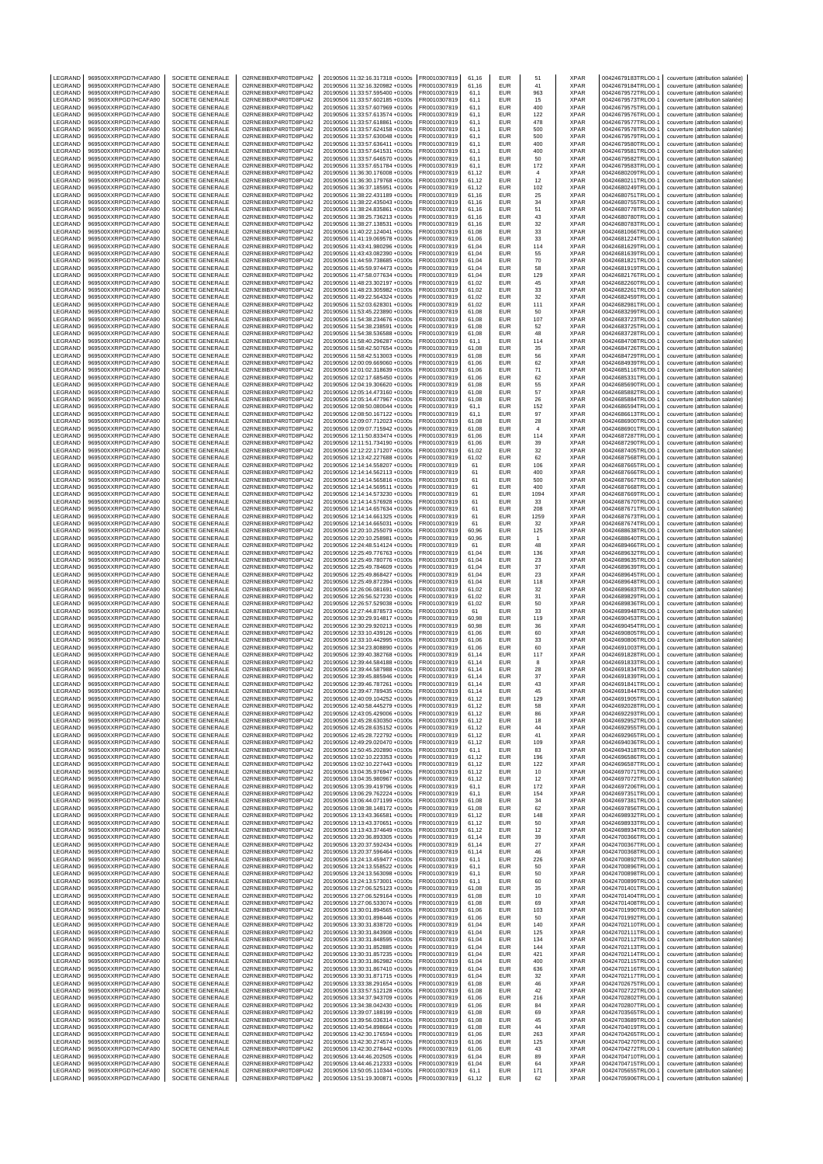| LEGRAND                   | 969500XXRPGD7HCAFA90                         | SOCIETE GENERALE                            | O2RNE8IBXP4R0TD8PU42                         | 20190506 11:32:16.317318 +0100s                                    | FR0010307819                 | 61,16          | EUR                      | 51                    | XPAR                       | 00424679183TRLO0-1                       | couverture (attribution salariée)                                      |
|---------------------------|----------------------------------------------|---------------------------------------------|----------------------------------------------|--------------------------------------------------------------------|------------------------------|----------------|--------------------------|-----------------------|----------------------------|------------------------------------------|------------------------------------------------------------------------|
| LEGRAND<br>LEGRAND        | 969500XXRPGD7HCAFA90<br>969500XXRPGD7HCAFA90 | SOCIETE GENERALE<br>SOCIETE GENERALE        | O2RNE8IBXP4R0TD8PU42<br>O2RNE8IBXP4R0TD8PU42 | 20190506 11:32:16.320982 +0100s<br>20190506 11:33:57.595400 +0100s | FR0010307819<br>R0010307819  | 61.16<br>61,1  | <b>EUR</b><br>EUR        | 41<br>963             | <b>XPAR</b><br>XPAR        | 00424679184TRLO0-1<br>00424679572TRLO0-1 | couverture (attribution salariée)<br>couverture (attribution salariée) |
| LEGRAND                   | 969500XXRPGD7HCAFA90                         | SOCIETE GENERALE                            | O2RNE8IBXP4R0TD8PU42                         | 20190506 11:33:57.602185 +0100s                                    | FR0010307819                 | 61.1           | <b>EUR</b>               | 15                    | <b>XPAR</b>                | 00424679573TRLO0-1                       | couverture (attribution salariée)                                      |
| LEGRAND                   | 969500XXRPGD7HCAFA90                         | SOCIETE GENERALE                            | O2RNE8IBXP4R0TD8PU42                         | 20190506 11:33:57.607969 +0100s                                    | FR0010307819                 | 61,1           | EUR                      | 400                   | <b>XPAR</b>                | 00424679575TRLO0-1                       | couverture (attribution salariée)                                      |
| LEGRAND<br>LEGRAND        | 969500XXRPGD7HCAFA90<br>969500XXRPGD7HCAFA90 | <b>SOCIETE GENERALE</b><br>SOCIETE GENERALE | O2RNE8IBXP4R0TD8PU42<br>O2RNE8IBXP4R0TD8PU42 | 20190506 11:33:57.613574 +0100s<br>20190506 11:33:57.618861 +0100s | FR0010307819<br>FR0010307819 | 61,1<br>61,1   | EUR<br>EUR               | 122<br>478            | <b>XPAR</b><br><b>XPAR</b> | 00424679576TRLO0-1<br>00424679577TRLO0-1 | couverture (attribution salariée)<br>couverture (attribution salariée) |
| LEGRAND                   | 969500XXRPGD7HCAFA90                         | SOCIETE GENERALE                            | O2RNE8IBXP4R0TD8PU42                         | 20190506 11:33:57.624158 +0100s                                    | FR0010307819                 | 61,1           | EUR                      | 500                   | <b>XPAR</b>                | 00424679578TRLO0-1                       | couverture (attribution salariée)                                      |
| LEGRAND<br>LEGRAND        | 969500XXRPGD7HCAFA90<br>969500XXRPGD7HCAFA90 | SOCIETE GENERALE<br>SOCIETE GENERALE        | O2RNE8IBXP4R0TD8PU42<br>O2RNE8IBXP4R0TD8PU42 | 20190506 11:33:57.630048 +0100s<br>20190506 11:33:57.636411 +0100s | R0010307819<br>FR0010307819  | 61,1<br>61,1   | EUR<br>EUR               | 500<br>400            | <b>XPAR</b><br><b>XPAR</b> | 00424679579TRLO0-1                       | couverture (attribution salariée)<br>couverture (attribution salariée) |
| LEGRAND                   | 969500XXRPGD7HCAFA90                         | SOCIETE GENERALE                            | O2RNE8IBXP4R0TD8PU42                         | 20190506 11:33:57.641531 +0100s                                    | R0010307819                  | 61,1           | EUR                      | 400                   | XPAR                       | 00424679580TRLO0-1<br>00424679581TRLO0-1 | couverture (attribution salariée)                                      |
| LEGRAND<br>LEGRAND        | 969500XXRPGD7HCAFA90<br>969500XXRPGD7HCAFA90 | SOCIETE GENERALE                            | O2RNE8IBXP4R0TD8PU42                         | 20190506 11:33:57.646570 +0100s                                    | FR0010307819                 | 61,1           | <b>EUR</b><br>EUR        | 50                    | <b>XPAR</b>                | 00424679582TRLO0-1<br>00424679583TRLO0-1 | couverture (attribution salariée)                                      |
| LEGRAND                   | 969500XXRPGD7HCAFA90                         | SOCIETE GENERALE<br><b>SOCIETE GENERALE</b> | O2RNE8IBXP4R0TD8PU42<br>O2RNE8IBXP4R0TD8PU42 | 20190506 11:33:57.651784 +0100s<br>20190506 11:36:30.176008 +0100s | R0010307819<br>FR0010307819  | 61,1<br>61,12  | EUR                      | 172<br>$\overline{4}$ | XPAR<br><b>XPAR</b>        | 00424680209TRLO0-                        | couverture (attribution salariée)<br>couverture (attribution salariée) |
| LEGRAND                   | 969500XXRPGD7HCAFA90                         | SOCIETE GENERALE                            | O2RNE8IBXP4R0TD8PU42                         | 20190506 11:36:30.179768 +0100s                                    | FR0010307819                 | 61,12          | EUR                      | 12                    | <b>XPAR</b>                | 00424680211TRLO0-1                       | couverture (attribution salariée)                                      |
| LEGRAND<br>LEGRAND        | 969500XXRPGD7HCAFA90<br>969500XXRPGD7HCAFA90 | SOCIETE GENERALE<br><b>SOCIETE GENERALE</b> | O2RNE8IBXP4R0TD8PU42<br>O2RNE8IBXP4R0TD8PU42 | 20190506 11:36:37.185951 +0100s<br>20190506 11:38:22.431189 +0100s | R0010307819<br>FR0010307819  | 61,12<br>61.16 | EUR<br>EUR               | 102<br>25             | XPAR<br><b>XPAR</b>        | 00424680249TRLO0-1<br>00424680751TRLO0-  | couverture (attribution salariée)<br>couverture (attribution salariée) |
| LEGRAND                   | 969500XXRPGD7HCAFA90                         | SOCIETE GENERALE                            | O2RNE8IBXP4R0TD8PU42                         | 20190506 11:38:22.435043 +0100s                                    | FR0010307819                 | 61,16          | EUR                      | 34                    | XPAR                       | 00424680755TRLO0-                        | couverture (attribution salariée)                                      |
| LEGRAND                   | 969500XXRPGD7HCAFA90                         | <b>SOCIETE GENERALE</b>                     | O2RNE8IBXP4R0TD8PU42                         | 20190506 11:38:24.835861 +0100s                                    | FR0010307819                 | 61.16          | <b>EUR</b>               | 51                    | <b>XPAR</b>                | 00424680778TRLO0-1                       | couverture (attribution salariée)                                      |
| LEGRAND<br>LEGRAND        | 969500XXRPGD7HCAFA90<br>969500XXRPGD7HCAFA90 | SOCIETE GENERALE<br><b>SOCIETE GENERALE</b> | O2RNE8IBXP4R0TD8PU42<br>O2RNE8IBXP4R0TD8PU42 | 20190506 11:38:25.736213 +0100s<br>20190506 11:38:27.138531 +0100s | R0010307819<br>FR0010307819  | 61,16<br>61.16 | EUR<br>EUR               | 43<br>32              | XPAR<br><b>XPAR</b>        | 00424680780TRLO0-1<br>00424680783TRLO0-1 | couverture (attribution salariée)<br>couverture (attribution salariée) |
| LEGRAND                   | 969500XXRPGD7HCAFA90                         | SOCIETE GENERALE                            | O2RNE8IBXP4R0TD8PU42                         | 20190506 11:40:22.124041 +0100s                                    | FR0010307819                 | 61,08          | EUR                      | 33                    | XPAR                       | 00424681066TRLO0-1                       | couverture (attribution salariée)                                      |
| LEGRAND<br>LEGRAND        | 969500XXRPGD7HCAFA90<br>969500XXRPGD7HCAFA90 | <b>SOCIETE GENERALE</b><br>SOCIETE GENERALE | O2RNE8IBXP4R0TD8PU42<br>O2RNE8IBXP4R0TD8PU42 | 20190506 11:41:19.069578 +0100s<br>20190506 11:43:41.980296 +0100s | FR0010307819<br>R0010307819  | 61.06<br>61,04 | EUR<br>EUR               | 33<br>114             | <b>XPAR</b><br>XPAR        | 00424681224TRLO0-1<br>00424681629TRLO0-1 | couverture (attribution salariée)<br>couverture (attribution salariée) |
| LEGRAND                   | 969500XXRPGD7HCAFA90                         | SOCIETE GENERALE                            | O2RNE8IBXP4R0TD8PU42                         | 20190506 11:43:43.082390 +0100s                                    | FR0010307819                 | 61.04          | EUR                      | 55                    | <b>XPAR</b>                | 00424681639TRLO0-                        | couverture (attribution salariée)                                      |
| LEGRAND<br>LEGRAND        | 969500XXRPGD7HCAFA90<br>969500XXRPGD7HCAFA90 | SOCIETE GENERALE<br>SOCIETE GENERALE        | O2RNE8IBXP4R0TD8PU42<br>O2RNE8IBXP4R0TD8PU42 | 20190506 11:44:59.738685 +0100s<br>20190506 11:45:59.974473 +0100s | R0010307819<br>FR0010307819  | 61,04<br>61.04 | EUR<br>EUR               | 70<br>58              | XPAR<br><b>XPAR</b>        | 00424681821TRLO0-1<br>00424681919TRLO0-1 | couverture (attribution salariée)                                      |
| LEGRAND                   | 969500XXRPGD7HCAFA90                         | SOCIETE GENERALE                            | O2RNE8IBXP4R0TD8PU42                         | 20190506 11:47:58.077634 +0100s                                    | FR0010307819                 | 61,04          | EUR                      | 129                   | XPAR                       | 00424682176TRLO0-1                       | couverture (attribution salariée)<br>couverture (attribution salariée) |
| LEGRAND                   | 969500XXRPGD7HCAFA90                         | SOCIETE GENERALE                            | O2RNE8IBXP4R0TD8PU42                         | 20190506 11:48:23.302197 +0100s                                    | FR0010307819                 | 61,02          | EUR                      | 45                    | <b>XPAR</b>                | 00424682260TRLO0-1                       | couverture (attribution salariée)                                      |
| LEGRAND<br>LEGRAND        | 969500XXRPGD7HCAFA90<br>969500XXRPGD7HCAFA90 | SOCIETE GENERALE<br>SOCIETE GENERALE        | O2RNE8IBXP4R0TD8PU42<br>O2RNE8IBXP4R0TD8PU42 | 20190506 11:48:23.305982 +0100s<br>20190506 11:49:22.564324 +0100s | R0010307819<br>FR0010307819  | 61,02<br>61,02 | EUR<br>EUR               | 33<br>32              | XPAR<br><b>XPAR</b>        | 00424682261TRLO0-1<br>00424682459TRLO0-1 | couverture (attribution salariée)<br>couverture (attribution salariée) |
| LEGRAND                   | 969500XXRPGD7HCAFA90                         | SOCIETE GENERALE                            | O2RNE8IBXP4R0TD8PU42                         | 20190506 11:52:03.628301 +0100s                                    | FR0010307819                 | 61,02          | EUR                      | 111                   | XPAR                       | 00424682981TRLO0-1                       | couverture (attribution salariée)                                      |
| LEGRAND<br>LEGRAND        | 969500XXRPGD7HCAFA90<br>969500XXRPGD7HCAFA90 | SOCIETE GENERALE<br>SOCIETE GENERALE        | O2RNE8IBXP4R0TD8PU42<br>O2RNE8IBXP4R0TD8PU42 | 20190506 11:53:45.223890 +0100s<br>20190506 11:54:38.234676 +0100s | FR0010307819<br>R0010307819  | 61,08<br>61,08 | EUR<br><b>EUR</b>        | 50<br>107             | <b>XPAR</b><br><b>XPAR</b> | 00424683299TRLO0-1<br>00424683723TRLO0-1 | couverture (attribution salariée)<br>couverture (attribution salariée) |
| LEGRAND                   | 969500XXRPGD7HCAFA90                         | SOCIETE GENERALE                            | O2RNE8IBXP4R0TD8PU42                         | 20190506 11:54:38.238591 +0100s                                    | FR0010307819                 | 61,08          | EUR                      | 52                    | <b>XPAR</b>                | 00424683725TRLO0-1                       | couverture (attribution salariée)                                      |
| LEGRAND<br>LEGRAND        | 969500XXRPGD7HCAFA90<br>969500XXRPGD7HCAFA90 | SOCIETE GENERALE<br>SOCIETE GENERALE        | O2RNE8IBXP4R0TD8PU42<br>O2RNE8IBXP4R0TD8PU42 | 20190506 11:54:38.536588 +0100s<br>20190506 11:58:40.296287 +0100s | R0010307819<br>FR0010307819  | 61,08<br>61,1  | EUR<br><b>EUR</b>        | 48<br>114             | XPAR<br><b>XPAR</b>        | 00424683728TRLO0-1<br>00424684708TRLO0-1 | couverture (attribution salariée)<br>couverture (attribution salariée) |
| LEGRAND                   | 969500XXRPGD7HCAFA90                         | SOCIETE GENERALE                            | O2RNE8IBXP4R0TD8PU42                         | 20190506 11:58:42.507654 +0100s                                    | R0010307819                  | 61,08          | EUR                      | 35                    | XPAR                       | 00424684726TRLO0-1                       | couverture (attribution salariée)                                      |
| LEGRAND                   | 969500XXRPGD7HCAFA90<br>969500XXRPGD7HCAFA90 | SOCIETE GENERALE                            | O2RNE8IBXP4R0TD8PU42                         | 20190506 11:58:42.513003 +0100s                                    | FR0010307819<br>FR0010307819 | 61,08          | EUR                      | 56                    | <b>XPAR</b>                | 00424684729TRLO0-<br>00424684939TRLO0-1  | couverture (attribution salariée)                                      |
| LEGRAND<br>LEGRAND        | 969500XXRPGD7HCAFA90                         | SOCIETE GENERALE<br>SOCIETE GENERALE        | O2RNE8IBXP4R0TD8PU42<br>O2RNE8IBXP4R0TD8PU42 | 20190506 12:00:09.669060 +0100s<br>20190506 12:01:02.318639 +0100s | R0010307819                  | 61.06<br>61,06 | EUR<br>EUR               | 62<br>71              | <b>XPAR</b><br>XPAR        | 00424685116TRLO0-1                       | couverture (attribution salariée)<br>couverture (attribution salariée) |
| LEGRAND                   | 969500XXRPGD7HCAFA90                         | SOCIETE GENERALE                            | O2RNE8IBXP4R0TD8PU42                         | 20190506 12:02:17.685450 +0100s                                    | FR0010307819                 | 61.06          | EUR                      | 62                    | <b>XPAR</b>                | 00424685331TRLO0-                        | couverture (attribution salariée)                                      |
| LEGRAND<br>LEGRAND        | 969500XXRPGD7HCAFA90<br>969500XXRPGD7HCAFA90 | SOCIETE GENERALE<br><b>SOCIETE GENERALE</b> | O2RNE8IBXP4R0TD8PU42<br>O2RNE8IBXP4R0TD8PU42 | 20190506 12:04:19.306620 +0100s<br>20190506 12:05:14.473160 +0100s | FR0010307819<br>FR0010307819 | 61,08<br>61.08 | EUR<br><b>EUR</b>        | 55<br>57              | XPAR<br><b>XPAR</b>        | 00424685690TRLO0-<br>00424685882TRLO0-1  | couverture (attribution salariée)<br>couverture (attribution salariée) |
| LEGRAND                   | 969500XXRPGD7HCAFA90                         | SOCIETE GENERALE                            | O2RNE8IBXP4R0TD8PU42                         | 20190506 12:05:14.477967 +0100s                                    | R0010307819                  | 61,08          | EUR                      | 26                    | XPAR                       | 00424685884TRLO0-1                       | couverture (attribution salariée)                                      |
| LEGRAND<br>LEGRAND        | 969500XXRPGD7HCAFA90<br>969500XXRPGD7HCAFA90 | SOCIETE GENERALE<br>SOCIETE GENERALE        | O2RNE8IBXP4R0TD8PU42<br>O2RNE8IBXP4R0TD8PU42 | 20190506 12:08:50.080044 +0100s<br>20190506 12:08:50.167122 +0100s | FR0010307819<br>FR0010307819 | 61.1<br>61,1   | EUR<br>EUR               | 152<br>97             | <b>XPAR</b><br>XPAR        | 00424686594TRLO0-1<br>00424686613TRLO0-1 | couverture (attribution salariée)<br>couverture (attribution salariée) |
| LEGRAND                   | 969500XXRPGD7HCAFA90                         | <b>SOCIETE GENERALE</b>                     | O2RNE8IBXP4R0TD8PU42                         | 20190506 12:09:07.712023 +0100s                                    | FR0010307819                 | 61.08          | EUR                      | 28                    | <b>XPAR</b>                | 00424686900TRLO0-1                       | couverture (attribution salariée)                                      |
| LEGRAND                   | 969500XXRPGD7HCAFA90                         | SOCIETE GENERALE                            | O2RNE8IBXP4R0TD8PU42                         | 20190506 12:09:07.715942 +0100s                                    | R0010307819<br>FR0010307819  | 61,08          | EUR                      | $\overline{4}$        | XPAR                       | 00424686901TRLO0-1                       | couverture (attribution salariée)                                      |
| LEGRAND<br>LEGRAND        | 969500XXRPGD7HCAFA90<br>969500XXRPGD7HCAFA90 | SOCIETE GENERALE<br>SOCIETE GENERALE        | O2RNE8IBXP4R0TD8PU42<br>O2RNE8IBXP4R0TD8PU42 | 20190506 12:11:50.833474 +0100s<br>20190506 12:11:51.734190 +0100s | FR0010307819                 | 61.06<br>61,06 | EUR<br>EUR               | 114<br>39             | <b>XPAR</b><br>XPAR        | 00424687287TRLO0-1<br>00424687290TRLO0-1 | couverture (attribution salariée)<br>couverture (attribution salariée) |
| LEGRAND                   | 969500XXRPGD7HCAFA90                         | <b>SOCIETE GENERALE</b>                     | O2RNE8IBXP4R0TD8PU42                         | 20190506 12:12:22.171207 +0100s                                    | FR0010307819                 | 61,02          | <b>EUR</b>               | 32                    | <b>XPAR</b>                | 00424687405TRLO0-                        | couverture (attribution salariée)                                      |
| LEGRAND<br>LEGRAND        | 969500XXRPGD7HCAFA90<br>969500XXRPGD7HCAFA90 | SOCIETE GENERALE<br>SOCIETE GENERALE        | O2RNE8IBXP4R0TD8PU42<br>O2RNE8IBXP4R0TD8PU42 | 20190506 12:13:42.227688 +0100s<br>20190506 12:14:14.558207 +0100s | FR0010307819<br>FR0010307819 | 61,02<br>61    | EUR<br>EUR               | 62<br>106             | XPAR<br><b>XPAR</b>        | 00424687568TRLO0-1                       | couverture (attribution salariée)<br>couverture (attribution salariée) |
| LEGRAND                   | 969500XXRPGD7HCAFA90                         | SOCIETE GENERALE                            | O2RNE8IBXP4R0TD8PU42                         | 20190506 12:14:14.562113 +0100s                                    | R0010307819                  | 61             | EUR                      | 400                   | XPAR                       | 00424687665TRLO0-1<br>00424687666TRLO0-1 | couverture (attribution salariée)                                      |
| LEGRAND                   | 969500XXRPGD7HCAFA90                         | SOCIETE GENERALE                            | O2RNE8IBXP4R0TD8PU42                         | 20190506 12:14:14.565816 +0100s                                    | FR0010307819                 | 61             | EUR                      | 500                   | <b>XPAR</b>                | 00424687667TRLO0-1                       | couverture (attribution salariée)                                      |
| LEGRAND<br>LEGRAND        | 969500XXRPGD7HCAFA90<br>969500XXRPGD7HCAFA90 | SOCIETE GENERALE<br>SOCIETE GENERALE        | O2RNE8IBXP4R0TD8PU42<br>O2RNE8IBXP4R0TD8PU42 | 20190506 12:14:14.569511 +0100s<br>20190506 12:14:14.573230 +0100s | FR0010307819<br>FR0010307819 | 61<br>61       | EUR<br>EUR               | 400<br>1094           | XPAR<br><b>XPAR</b>        | 00424687668TRLO0-1<br>00424687669TRLO0-1 | couverture (attribution salariée)<br>couverture (attribution salariée) |
| LEGRAND                   | 969500XXRPGD7HCAFA90                         | SOCIETE GENERALE                            | O2RNE8IBXP4R0TD8PU42                         | 20190506 12:14:14.576928 +0100s                                    | R0010307819                  | 61             | EUR                      | 33                    | <b>XPAR</b>                | 00424687670TRLO0-1                       | couverture (attribution salariée)                                      |
| LEGRAND<br>LEGRAND        | 969500XXRPGD7HCAFA90<br>969500XXRPGD7HCAFA90 | SOCIETE GENERALE<br>SOCIETE GENERALE        | O2RNE8IBXP4R0TD8PU42<br>O2RNE8IBXP4R0TD8PU42 | 20190506 12:14:14.657634 +0100s<br>20190506 12:14:14.661325 +0100s | FR0010307819<br>FR0010307819 | 61<br>61       | EUR<br>EUR               | 208<br>1259           | XPAR<br>XPAR               | 00424687671TRLO0-1<br>00424687673TRLO0-1 | couverture (attribution salariée)<br>couverture (attribution salariée) |
| LEGRAND                   | 969500XXRPGD7HCAFA90                         | SOCIETE GENERALE                            | O2RNE8IBXP4R0TD8PU42                         | 20190506 12:14:14.665031 +0100s                                    | FR0010307819                 | 61             | <b>EUR</b>               | 32                    | XPAR                       | 00424687674TRLO0-1                       | couverture (attribution salariée)                                      |
| LEGRAND                   | 969500XXRPGD7HCAFA90                         | SOCIETE GENERALE                            | O2RNE8IBXP4R0TD8PU42                         | 20190506 12:20:10.255079 +0100s                                    | FR0010307819                 | 60,96          | EUR                      | 125                   | XPAR                       | 00424688638TRLO0-1                       | couverture (attribution salariée)                                      |
| LEGRAND<br>LEGRAND        | 969500XXRPGD7HCAFA90<br>969500XXRPGD7HCAFA90 | SOCIETE GENERALE<br><b>SOCIETE GENERALE</b> | O2RNE8IBXP4R0TD8PU42<br>O2RNE8IBXP4R0TD8PU42 | 20190506 12:20:10.258981 +0100s<br>20190506 12:24:48.514124 +0100s | R0010307819<br>FR0010307819  | 60,96<br>61    | EUR<br>EUR               | $\mathbf{1}$<br>48    | XPAR<br><b>XPAR</b>        | 00424688640TRLO0-1<br>00424689466TRLO0-1 | couverture (attribution salariée)<br>couverture (attribution salariée) |
| LEGRAND                   | 969500XXRPGD7HCAFA90                         | SOCIETE GENERALE                            | O2RNE8IBXP4R0TD8PU42                         | 20190506 12:25:49.776763 +0100s                                    | R0010307819                  | 61,04          | EUR                      | 136                   | XPAR                       | 00424689632TRLO0-1                       | couverture (attribution salariée)                                      |
| LEGRAND<br>LEGRAND        | 969500XXRPGD7HCAFA90<br>969500XXRPGD7HCAFA90 | SOCIETE GENERALE<br>SOCIETE GENERALE        | O2RNE8IBXP4R0TD8PU42<br>O2RNE8IBXP4R0TD8PU42 | 20190506 12:25:49.780776 +0100s<br>20190506 12:25:49.784609 +0100s | FR0010307819<br>FR0010307819 | 61.04<br>61,04 | EUR<br>EUR               | 23<br>37              | <b>XPAR</b><br>XPAR        | 00424689635TRLO0-1<br>00424689639TRLO0-  | couverture (attribution salariée)<br>couverture (attribution salariée) |
| LEGRAND                   | 969500XXRPGD7HCAFA90                         | <b>SOCIETE GENERALE</b>                     | O2RNE8IBXP4R0TD8PU42                         | 20190506 12:25:49.868427 +0100s                                    | FR0010307819                 | 61.04          | <b>EUR</b>               | 23                    | <b>XPAR</b>                | 00424689645TRLO0-1                       | couverture (attribution salariée)                                      |
| LEGRAND<br>LEGRAND        | 969500XXRPGD7HCAFA90<br>969500XXRPGD7HCAFA90 | SOCIETE GENERALE<br>SOCIETE GENERALE        | O2RNE8IBXP4R0TD8PU42<br>O2RNE8IBXP4R0TD8PU42 | 20190506 12:25:49.872394 +0100s<br>20190506 12:26:06.081691 +0100s | R0010307819<br>FR0010307819  | 61,04<br>61.02 | EUR<br>EUR               | 118<br>32             | XPAR<br><b>XPAR</b>        | 00424689648TRLO0-1<br>00424689683TRLO0-  | couverture (attribution salariée)<br>couverture (attribution salariée) |
| LEGRAND                   | 969500XXRPGD7HCAFA90                         | SOCIETE GENERALE                            | O2RNE8IBXP4R0TD8PU42                         | 20190506 12:26:56.527230 +0100s                                    | FR0010307819                 | 61,02          | EUR                      | 31                    | XPAR                       | 00424689829TRLO0-                        | couverture (attribution salariée)                                      |
| LEGRAND<br>LEGRAND        | 969500XXRPGD7HCAFA90<br>969500XXRPGD7HCAFA90 | <b>SOCIETE GENERALE</b><br>SOCIETE GENERALE | O2RNE8IBXP4R0TD8PU42<br>O2RNE8IBXP4R0TD8PU42 | 20190506 12:26:57.529038 +0100s<br>20190506 12:27:44.878573 +0100s | FR0010307819<br>R0010307819  | 61.02<br>61    | EUR<br>EUR               | 50<br>33              | <b>XPAR</b><br>XPAR        | 00424689836TRLO0-1<br>00424689948TRLO0-1 | couverture (attribution salariée)<br>couverture (attribution salariée) |
| LEGRAND                   | 969500XXRPGD7HCAFA90                         | SOCIETE GENERALE                            | O2RNE8IBXP4R0TD8PU42                         | 20190506 12:30:29.914817 +0100s                                    | FR0010307819                 | 60.98          | <b>EUR</b>               | 119                   | <b>XPAR</b>                | 00424690453TRLO0-1                       | couverture (attribution salariée)                                      |
| LEGRAND                   | 969500XXRPGD7HCAFA90                         | SOCIETE GENERALE                            | O2RNE8IBXP4R0TD8PU42                         | 20190506 12:30:29.920213 +0100s                                    | FR0010307819                 | 60,98          | EUR                      | 36                    | <b>XPAR</b>                | 00424690454TRLO0-1                       | couverture (attribution salariée)                                      |
| LEGRAND<br>LEGRAND        | 969500XXRPGD7HCAFA90<br>969500XXRPGD7HCAFA90 | <b>SOCIETE GENERALE</b><br>SOCIETE GENERALE | O2RNE8IBXP4R0TD8PU42<br>O2RNE8IBXP4R0TD8PU42 | 20190506 12:33:10.439126 +0100s<br>20190506 12:33:10.442995 +0100s | FR0010307819<br>R0010307819  | 61,06<br>61,06 | <b>EUR</b><br>EUR        | 60<br>33              | XPAR<br>XPAR               | 00424690805TRLO0-<br>00424690806TRLO0-1  | couverture (attribution salariée)<br>couverture (attribution salariée) |
| LEGRAND                   | 969500XXRPGD7HCAFA90                         | SOCIETE GENERALE                            | O2RNE8IBXP4R0TD8PU42                         | 20190506 12:34:23.808890 +0100s                                    | FR0010307819                 | 61,06          | <b>EUR</b>               | 60                    | <b>XPAR</b>                | 00424691003TRLO0-1                       | couverture (attribution salariée)                                      |
| LEGRAND<br>LEGRAND        | 969500XXRPGD7HCAFA90<br>969500XXRPGD7HCAFA90 | SOCIETE GENERALE<br>SOCIETE GENERALE        | O2RNE8IBXP4R0TD8PU42<br>O2RNE8IBXP4R0TD8PU42 | 20190506 12:39:40.382768 +0100s<br>20190506 12:39:44.584188 +0100s | R0010307819<br>FR0010307819  | 61,14<br>61,14 | EUR<br>EUR               | 117<br>8              | <b>XPAR</b><br><b>XPAR</b> | 00424691828TRLO0-1<br>00424691833TRLO0-1 | couverture (attribution salariée)<br>couverture (attribution salariée) |
| LEGRAND                   | 969500XXRPGD7HCAFA90                         | SOCIETE GENERALE                            | O2RNE8IBXP4R0TD8PU42                         | 20190506 12:39:44.587988 +0100s                                    | R0010307819                  | 61,14          | EUR                      | 28                    | XPAR                       | 00424691834TRLO0-1                       | couverture (attribution salariée)                                      |
| LEGRAND<br>LEGRAND        | 969500XXRPGD7HCAFA90<br>969500XXRPGD7HCAFA90 | SOCIETE GENERALE<br>SOCIETE GENERALE        | O2RNE8IBXP4R0TD8PU42<br>O2RNE8IBXP4R0TD8PU42 | 20190506 12:39:45.885946 +0100s<br>20190506 12:39:46.787261 +0100s | FR0010307819<br>FR0010307819 | 61.14<br>61,14 | EUR<br><b>EUR</b>        | 37<br>43              | <b>XPAR</b><br><b>XPAR</b> | 00424691839TRLO0-1<br>00424691841TRLO0-1 | couverture (attribution salariée)<br>couverture (attribution salariée) |
| LEGRAND                   | 969500XXRPGD7HCAFA90                         | SOCIETE GENERALE                            | O2RNE8IBXP4R0TD8PU42                         | 20190506 12:39:47.789435 +0100s                                    | FR0010307819                 | 61,14          | EUR                      | 45                    | <b>XPAR</b>                | 00424691844TRLO0-1                       | couverture (attribution salariée)                                      |
| <b>IFGRAND</b><br>LEGRAND | 969500XXRPGD7HCAFA90<br>969500XXRPGD7HCAFA90 | SOCIETE GENERALE                            | O2RNE8IBXP4R0TD8PU42<br>O2RNE8IBXP4R0TD8PU42 | 20190506 12:40:09.104252 +0100s                                    | FR0010307819                 | 61.12          | EUR<br><b>EUR</b>        | 129                   | <b>XPAR</b>                | 00424691905TRLO0-1                       | couverture (attribution salariée)                                      |
| LEGRAND                   | 969500XXRPGD7HCAFA90                         | SOCIETE GENERALE<br>SOCIETE GENERALE        | O2RNE8IBXP4R0TD8PU42                         | 20190506 12:40:58.445279 +0100s<br>20190506 12:43:05.429006 +0100s | FR0010307819<br>FR0010307819 | 61,12<br>61.12 | <b>EUR</b>               | 58<br>86              | <b>XPAR</b><br><b>XPAR</b> | 00424692028TRLO0-1<br>00424692293TRLO0-1 | couverture (attribution salariée)<br>couverture (attribution salariée) |
| LEGRAND                   | 969500XXRPGD7HCAFA90                         | SOCIETE GENERALE                            | O2RNE8IBXP4R0TD8PU42                         | 20190506 12:45:28.630350 +0100s                                    | FR0010307819                 | 61,12          | EUR                      | 18                    | <b>XPAR</b>                | 00424692952TRLO0-1                       | couverture (attribution salariée)                                      |
| LEGRAND<br>LEGRAND        | 969500XXRPGD7HCAFA90<br>969500XXRPGD7HCAFA90 | SOCIETE GENERALE<br>SOCIETE GENERALE        | O2RNE8IBXP4R0TD8PU42<br>O2RNE8IBXP4R0TD8PU42 | 20190506 12:45:28 635152 +0100s<br>20190506 12:45:28.722792 +0100s | FR0010307819<br>FR0010307819 | 61.12<br>61,12 | <b>EUR</b><br>EUR        | 44<br>41              | <b>XPAR</b><br><b>XPAR</b> | 00424692955TRLO0-1<br>00424692965TRLO0-1 | couverture (attribution salariée)<br>couverture (attribution salariée) |
| LEGRAND                   | 969500XXRPGD7HCAFA90                         | SOCIETE GENERALE                            | O2RNE8IBXP4R0TD8PU42                         | 20190506 12:49:29.020470 +0100s                                    | FR0010307819                 | 61.12          | <b>EUR</b>               | 109                   | <b>XPAR</b>                | 00424694036TRLO0-1                       | couverture (attribution salariée)                                      |
| LEGRAND<br>LEGRAND        | 969500XXRPGD7HCAFA90<br>969500XXRPGD7HCAFA90 | SOCIETE GENERALE<br>SOCIETE GENERALE        | O2RNE8IBXP4R0TD8PU42<br>O2RNE8IBXP4R0TD8PU42 | 20190506 12:50:45.202890 +0100s<br>20190506 13:02:10.223353 +0100s | FR0010307819<br>FR0010307819 | 61,1<br>61.12  | EUR<br><b>EUR</b>        | 83<br>196             | <b>XPAR</b><br><b>XPAR</b> | 00424694318TRLO0-1<br>00424696586TRLO0-1 | couverture (attribution salariée)<br>couverture (attribution salariée) |
| LEGRAND                   | 969500XXRPGD7HCAFA90                         | SOCIETE GENERALE                            | O2RNE8IBXP4R0TD8PU42                         | 20190506 13:02:10.227443 +0100s                                    | FR0010307819                 | 61,12          | EUR                      | 122                   | XPAR                       | 00424696587TRLO0-1                       | couverture (attribution salariée)                                      |
| LEGRAND<br>LEGRAND        | 969500XXRPGD7HCAFA90<br>969500XXRPGD7HCAFA90 | SOCIETE GENERALE<br>SOCIETE GENERALE        | O2RNE8IBXP4R0TD8PU42<br>O2RNE8IBXP4R0TD8PU42 | 20190506 13:04:35.976947 +0100s<br>20190506 13:04:35.980967 +0100s | FR0010307819<br>FR0010307819 | 61.12<br>61,12 | <b>EUR</b><br>EUR        | 10<br>12              | <b>XPAR</b><br><b>XPAR</b> | 00424697071TRLO0-1<br>00424697072TRLO0-1 | couverture (attribution salariée)<br>couverture (attribution salariée) |
| LEGRAND                   | 969500XXRPGD7HCAFA90                         | SOCIETE GENERALE                            | O2RNE8IBXP4R0TD8PU42                         | 20190506 13:05:39.419796 +0100s                                    | FR0010307819                 | 61.1           | <b>EUR</b>               | 172                   | <b>XPAR</b>                | 00424697206TRLO0-1                       | couverture (attribution salariée)                                      |
| LEGRAND<br>LEGRAND        | 969500XXRPGD7HCAFA90<br>969500XXRPGD7HCAFA90 | SOCIETE GENERALE<br>SOCIETE GENERALE        | O2RNE8IBXP4R0TD8PU42<br>O2RNE8IBXP4R0TD8PU42 | 20190506 13:06:29.762224 +0100s<br>20190506 13:06:44.071199 +0100s | FR0010307819<br>FR0010307819 | 61,1<br>61,08  | EUR<br><b>EUR</b>        | 154<br>34             | <b>XPAR</b><br><b>XPAR</b> | 00424697351TRLO0-1<br>00424697381TRLO0-1 | couverture (attribution salariée)                                      |
| LEGRAND                   | 969500XXRPGD7HCAFA90                         | SOCIETE GENERALE                            | O2RNE8IBXP4R0TD8PU42                         | 20190506 13:08:38.148172 +0100s                                    | FR0010307819                 | 61,08          | <b>EUR</b>               | 62                    | <b>XPAR</b>                | 00424697856TRLO0-1                       | couverture (attribution salariée)<br>couverture (attribution salariée) |
| LEGRAND                   | 969500XXRPGD7HCAFA90<br>969500XXRPGD7HCAFA90 | SOCIETE GENERALE                            | O2RNE8IBXP4R0TD8PU42                         | 20190506 13:13:43.366581 +0100s                                    | FR0010307819                 | 61,12          | <b>EUR</b>               | 148                   | <b>XPAR</b>                | 00424698932TRLO0-1                       | couverture (attribution salariée)                                      |
| LEGRAND<br>LEGRAND        | 969500XXRPGD7HCAFA90                         | SOCIETE GENERALE<br>SOCIETE GENERALE        | O2RNE8IBXP4R0TD8PU42<br>O2RNE8IBXP4R0TD8PU42 | 20190506 13:13:43.370651 +0100s<br>20190506 13:13:43.374649 +0100s | FR0010307819<br>FR0010307819 | 61,12<br>61,12 | <b>EUR</b><br><b>EUR</b> | 50<br>12              | <b>XPAR</b><br><b>XPAR</b> | 00424698933TRLO0-1<br>00424698934TRLO0-1 | couverture (attribution salariée)<br>couverture (attribution salariée) |
| LEGRAND                   | 969500XXRPGD7HCAFA90                         | SOCIETE GENERALE                            | O2RNE8IBXP4R0TD8PU42                         | 20190506 13:20:36.893305 +0100s                                    | FR0010307819                 | 61,14          | <b>EUR</b>               | 39                    | <b>XPAR</b>                | 00424700366TRLO0-1                       | couverture (attribution salariée)                                      |
| LEGRAND<br>LEGRAND        | 969500XXRPGD7HCAFA90<br>969500XXRPGD7HCAFA90 | SOCIETE GENERALE<br>SOCIETE GENERALE        | O2RNE8IBXP4R0TD8PU42<br>O2RNE8IBXP4R0TD8PU42 | 20190506 13:20:37.592434 +0100s<br>20190506 13:20:37.596464 +0100s | FR0010307819<br>FR0010307819 | 61,14<br>61,14 | <b>EUR</b><br><b>EUR</b> | 27<br>46              | <b>XPAR</b><br><b>XPAR</b> | 00424700367TRLO0-1<br>00424700368TRLO0-1 | couverture (attribution salariée)<br>couverture (attribution salariée) |
| LEGRAND                   | 969500XXRPGD7HCAFA90                         | SOCIETE GENERALE                            | O2RNE8IBXP4R0TD8PU42                         | 20190506 13:24:13.459477 +0100s                                    | FR0010307819                 | 61,1           | <b>FUR</b>               | 226                   | <b>XPAR</b>                | 00424700892TRLO0-1                       | couverture (attribution salariée)                                      |
| LEGRAND<br>LEGRAND        | 969500XXRPGD7HCAFA90<br>969500XXRPGD7HCAFA90 | SOCIETE GENERALE<br>SOCIETE GENERALE        | O2RNE8IBXP4R0TD8PU42<br>O2RNE8IBXP4R0TD8PU42 | 20190506 13:24:13.558522 +0100s<br>20190506 13:24:13.563098 +0100s | FR0010307819<br>FR0010307819 | 61,1<br>61,1   | <b>EUR</b><br><b>EUR</b> | 50<br>50              | <b>XPAR</b><br><b>XPAR</b> | 00424700896TRLO0-1<br>00424700898TRLO0-1 | couverture (attribution salariée)<br>couverture (attribution salariée) |
| LEGRAND                   | 969500XXRPGD7HCAFA90                         | SOCIETE GENERALE                            | O2RNE8IBXP4R0TD8PU42                         | 20190506 13:24:13.573001 +0100s                                    | FR0010307819                 | 61.1           | <b>EUR</b>               | 60                    | <b>XPAR</b>                | 00424700899TRLO0-1                       | couverture (attribution salariée)                                      |
| LEGRAND<br>LEGRAND        | 969500XXRPGD7HCAFA90<br>969500XXRPGD7HCAFA90 | SOCIETE GENERALE<br>SOCIETE GENERALE        | O2RNE8IBXP4R0TD8PU42<br>O2RNE8IBXP4R0TD8PU42 | 20190506 13:27:06.525123 +0100s<br>20190506 13:27:06.529164 +0100s | FR0010307819<br>FR0010307819 | 61,08<br>61.08 | EUR<br><b>EUR</b>        | 35<br>10              | XPAR<br><b>XPAR</b>        | 00424701401TRLO0-1<br>00424701404TRLO0-1 | couverture (attribution salariée)<br>couverture (attribution salariée) |
| LEGRAND                   | 969500XXRPGD7HCAFA90                         | SOCIETE GENERALE                            | O2RNE8IBXP4R0TD8PU42                         | 20190506 13:27:06.533074 +0100s                                    | FR0010307819                 | 61,08          | EUR                      | 69                    | <b>XPAR</b>                | 00424701408TRLO0-1                       | couverture (attribution salariée)                                      |
| LEGRAND<br>LEGRAND        | 969500XXRPGD7HCAFA90<br>969500XXRPGD7HCAFA90 | SOCIETE GENERALE<br>SOCIETE GENERALE        | O2RNE8IBXP4R0TD8PU42<br>O2RNE8IBXP4R0TD8PU42 | 20190506 13:30:01.894565 +0100s<br>20190506 13:30:01.898446 +0100s | FR0010307819<br>FR0010307819 | 61.06<br>61,06 | <b>EUR</b><br>EUR        | 103<br>50             | <b>XPAR</b><br><b>XPAR</b> | 00424701990TRLO0-1<br>00424701992TRLO0-1 | couverture (attribution salariée)<br>couverture (attribution salariée) |
| LEGRAND                   | 969500XXRPGD7HCAFA90                         | SOCIETE GENERALE                            | O2RNE8IBXP4R0TD8PU42                         | 20190506 13:30:31.838720 +0100s                                    | FR0010307819                 | 61.04          | <b>EUR</b>               | 140                   | <b>XPAR</b>                | 00424702110TRLO0-1                       | couverture (attribution salariée)                                      |
| LEGRAND<br>LEGRAND        | 969500XXRPGD7HCAFA90<br>969500XXRPGD7HCAFA90 | SOCIETE GENERALE<br>SOCIETE GENERALE        | O2RNE8IBXP4R0TD8PU42<br>O2RNE8IBXP4R0TD8PU42 | 20190506 13:30:31.843908 +0100s<br>20190506 13:30:31.848595 +0100s | FR0010307819<br>FR0010307819 | 61,04<br>61.04 | EUR<br><b>EUR</b>        | 125<br>134            | <b>XPAR</b><br><b>XPAR</b> | 00424702111TRLO0-1<br>00424702112TRLO0-1 | couverture (attribution salariée)                                      |
| LEGRAND                   | 969500XXRPGD7HCAFA90                         | SOCIETE GENERALE                            | O2RNE8IBXP4R0TD8PU42                         | 20190506 13:30:31.852885 +0100s                                    | FR0010307819                 | 61,04          | EUR                      | 144                   | <b>XPAR</b>                | 00424702113TRLO0-1                       | couverture (attribution salariée)<br>couverture (attribution salariée) |
| LEGRAND                   | 969500XXRPGD7HCAFA90                         | SOCIETE GENERALE                            | O2RNE8IBXP4R0TD8PU42                         | 20190506 13:30:31.857235 +0100s                                    | FR0010307819                 | 61.04          | <b>EUR</b>               | 421                   | <b>XPAR</b>                | 00424702114TRLO0-1                       | couverture (attribution salariée)                                      |
| LEGRAND<br>LEGRAND        | 969500XXRPGD7HCAFA90<br>969500XXRPGD7HCAFA90 | SOCIETE GENERALE<br>SOCIETE GENERALE        | O2RNE8IBXP4R0TD8PU42<br>O2RNE8IBXP4R0TD8PU42 | 20190506 13:30:31.862982 +0100s<br>20190506 13:30:31.867410 +0100s | FR0010307819<br>FR0010307819 | 61,04<br>61,04 | EUR<br><b>EUR</b>        | 400<br>636            | <b>XPAR</b><br><b>XPAR</b> | 00424702115TRLO0-1<br>00424702116TRLO0-1 | couverture (attribution salariée)<br>couverture (attribution salariée) |
| LEGRAND                   | 969500XXRPGD7HCAFA90                         | SOCIETE GENERALE                            | O2RNE8IBXP4R0TD8PU42                         | 20190506 13:30:31.871715 +0100s                                    | FR0010307819                 | 61,04          | <b>EUR</b>               | 32                    | <b>XPAR</b>                | 00424702117TRLO0-1                       | couverture (attribution salariée)                                      |
| LEGRAND<br>LEGRAND        | 969500XXRPGD7HCAFA90<br>969500XXRPGD7HCAFA90 | SOCIETE GENERALE<br>SOCIETE GENERALE        | O2RNE8IBXP4R0TD8PU42<br>O2RNE8IBXP4R0TD8PU42 | 20190506 13:33:38.291654 +0100s<br>20190506 13:33:57.512128 +0100s | FR0010307819<br>FR0010307819 | 61,08<br>61,08 | <b>EUR</b><br><b>EUR</b> | 46<br>42              | <b>XPAR</b><br><b>XPAR</b> | 00424702675TRLO0-1<br>00424702722TRLO0-1 | couverture (attribution salariée)<br>couverture (attribution salariée) |
| LEGRAND                   | 969500XXRPGD7HCAFA90                         | SOCIETE GENERALE                            | O2RNE8IBXP4R0TD8PU42                         | 20190506 13:34:37.943709 +0100s                                    | FR0010307819                 | 61,06          | <b>EUR</b>               | 216                   | <b>XPAR</b>                | 00424702802TRLO0-1                       | couverture (attribution salariée)                                      |
| LEGRAND<br>LEGRAND        | 969500XXRPGD7HCAFA90                         | SOCIETE GENERALE                            | O2RNE8IBXP4R0TD8PU42<br>O2RNE8IBXP4R0TD8PU42 | 20190506 13:34:38.042430 +0100s<br>20190506 13:39:07.188199 +0100s | FR0010307819<br>FR0010307819 | 61,06<br>61,08 | <b>EUR</b><br><b>EUR</b> | 84<br>69              | <b>XPAR</b><br><b>XPAR</b> | 00424702807TRLO0-1<br>00424703565TRLO0-1 | couverture (attribution salariée)                                      |
| LEGRAND                   |                                              |                                             |                                              |                                                                    |                              |                |                          |                       |                            |                                          | couverture (attribution salariée)                                      |
|                           | 969500XXRPGD7HCAFA90<br>969500XXRPGD7HCAFA90 | SOCIETE GENERALE<br>SOCIETE GENERALE        | O2RNE8IBXP4R0TD8PU42                         | 20190506 13:39:56.036314 +0100s                                    | FR0010307819                 | 61,08          | <b>EUR</b>               | 45                    | <b>XPAR</b>                | 00424703689TRLO0-1                       | couverture (attribution salariée)                                      |
| LEGRAND                   | 969500XXRPGD7HCAFA90                         | SOCIETE GENERALE                            | O2RNE8IBXP4R0TD8PU42                         | 20190506 13:40:54.898664 +0100s                                    | FR0010307819                 | 61,08          | <b>EUR</b>               | 44                    | <b>XPAR</b>                | 00424704019TRLO0-1                       | couverture (attribution salariée)                                      |
| LEGRAND<br>LEGRAND        | 969500XXRPGD7HCAFA90<br>969500XXRPGD7HCAFA90 | SOCIETE GENERALE<br>SOCIETE GENERALE        | O2RNE8IBXP4R0TD8PU42<br>O2RNE8IBXP4R0TD8PU42 | 20190506 13:42:30.176594 +0100s<br>20190506 13:42:30.274574 +0100s | FR0010307819<br>FR0010307819 | 61,06<br>61.06 | <b>EUR</b><br><b>FUR</b> | 263<br>125            | <b>XPAR</b><br><b>XPAR</b> | 00424704265TRLO0-1<br>00424704270TRLO0-1 | couverture (attribution salariée)<br>couverture (attribution salariée) |
| LEGRAND                   | 969500XXRPGD7HCAFA90                         | SOCIETE GENERALE                            | O2RNE8IBXP4R0TD8PU42                         | 20190506 13:42:30.278442 +0100s                                    | FR0010307819                 | 61,06          | <b>EUR</b>               | 43                    | <b>XPAR</b>                | 00424704272TRLO0-1                       | couverture (attribution salariée)                                      |
| LEGRAND<br>LEGRAND        | 969500XXRPGD7HCAFA90<br>969500XXRPGD7HCAFA90 | SOCIETE GENERALE<br>SOCIETE GENERALE        | O2RNE8IBXP4R0TD8PU42<br>O2RNE8IBXP4R0TD8PU42 | 20190506 13:44:46.202505 +0100s<br>20190506 13:44:46.212333 +0100s | FR0010307819<br>FR0010307819 | 61,04<br>61.04 | EUR<br><b>EUR</b>        | 89<br>64              | <b>XPAR</b><br><b>XPAR</b> | 00424704710TRLO0-1<br>00424704715TRLO0-1 | couverture (attribution salariée)<br>couverture (attribution salariée) |
| LEGRAND<br>LEGRAND        | 969500XXRPGD7HCAFA90<br>969500XXRPGD7HCAFA90 | SOCIETE GENERALE<br>SOCIETE GENERALE        | O2RNE8IBXP4R0TD8PU42<br>O2RNE8IBXP4R0TD8PU42 | 20190506 13:50:05.110344 +0100s<br>20190506 13:51:19.300871 +0100s | FR0010307819<br>FR0010307819 | 61,1<br>61,12  | EUR<br>EUR               | 171<br>62             | XPAR<br><b>XPAR</b>        | 00424705655TRLO0-1<br>00424705906TRLO0-1 | couverture (attribution salariée)<br>couverture (attribution salariée) |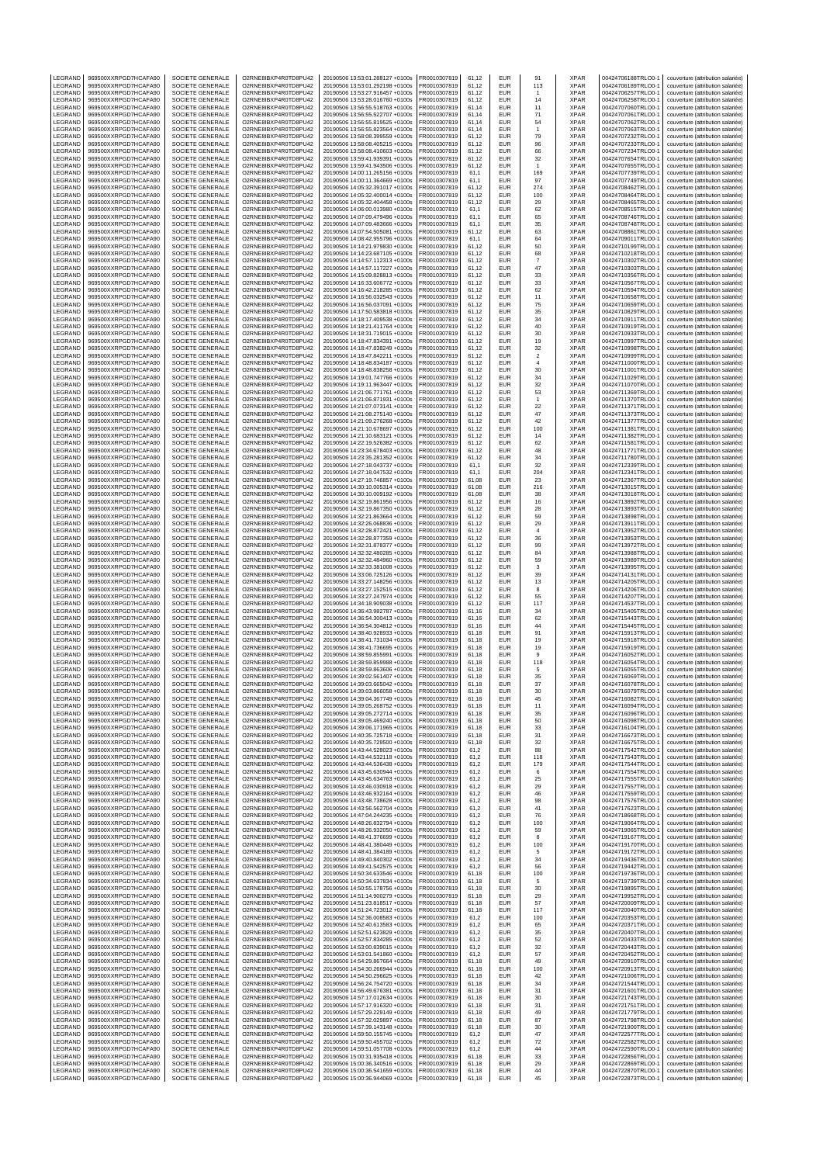| LEGRAND            | 969500XXRPGD7HCAFA90                         | SOCIETE GENERALE                            | O2RNE8IBXP4R0TD8PU42                         | 20190506 13:53:01.288127 +0100s                                    | FR0010307819                 | 61,12          | EUR                      | 91                    | XPAR                       | 00424706188TRLO0-1                       | couverture (attribution salariée)                                      |
|--------------------|----------------------------------------------|---------------------------------------------|----------------------------------------------|--------------------------------------------------------------------|------------------------------|----------------|--------------------------|-----------------------|----------------------------|------------------------------------------|------------------------------------------------------------------------|
| LEGRAND<br>LEGRAND | 969500XXRPGD7HCAFA90<br>969500XXRPGD7HCAFA90 | SOCIETE GENERALE<br>SOCIETE GENERALE        | O2RNE8IBXP4R0TD8PU42<br>O2RNE8IBXP4R0TD8PU42 | 20190506 13:53:01.292198 +0100s<br>20190506 13:53:27.916457 +0100s | FR0010307819<br>R0010307819  | 61.12<br>61,12 | <b>EUR</b><br>EUR        | 113                   | <b>XPAR</b><br>XPAR        | 00424706189TRLO0-1<br>00424706257TRLO0-1 | couverture (attribution salariée)<br>couverture (attribution salariée) |
| LEGRAND            | 969500XXRPGD7HCAFA90                         | SOCIETE GENERALE                            | O2RNE8IBXP4R0TD8PU42                         | 20190506 13:53:28.016760 +0100s                                    | FR0010307819                 | 61.12          | <b>EUR</b>               | 14                    | <b>XPAR</b>                | 00424706258TRLO0-1                       | couverture (attribution salariée)                                      |
| LEGRAND            | 969500XXRPGD7HCAFA90                         | SOCIETE GENERALE                            | O2RNE8IBXP4R0TD8PU42                         | 20190506 13:56:55.518763 +0100s                                    | FR0010307819                 | 61,14          | EUR                      | 11                    | <b>XPAR</b>                | 00424707060TRLO0-1                       | couverture (attribution salariée)                                      |
| LEGRAND            | 969500XXRPGD7HCAFA90                         | SOCIETE GENERALE                            | O2RNE8IBXP4R0TD8PU42                         | 20190506 13:56:55.522707 +0100s                                    | FR0010307819                 | 61,14          | EUR                      | 71                    | <b>XPAR</b>                | 00424707061TRLO0-1                       | couverture (attribution salariée)                                      |
| LEGRAND            | 969500XXRPGD7HCAFA90                         | SOCIETE GENERALE                            | O2RNE8IBXP4R0TD8PU42                         | 20190506 13:56:55.819525 +0100s                                    | FR0010307819                 | 61,14          | EUR<br>EUR               | 54<br>$\overline{1}$  | <b>XPAR</b><br><b>XPAR</b> | 00424707062TRLO0-1                       | couverture (attribution salariée)                                      |
| LEGRAND<br>LEGRAND | 969500XXRPGD7HCAFA90<br>969500XXRPGD7HCAFA90 | SOCIETE GENERALE<br>SOCIETE GENERALE        | O2RNE8IBXP4R0TD8PU42<br>O2RNE8IBXP4R0TD8PU42 | 20190506 13:56:55.823564 +0100s<br>20190506 13:58:08.399559 +0100s | FR0010307819<br>R0010307819  | 61,14<br>61,12 | EUR                      | 79                    | <b>XPAR</b>                | 00424707063TRLO0-1<br>00424707232TRLO0-1 | couverture (attribution salariée)<br>couverture (attribution salariée) |
| LEGRAND            | 969500XXRPGD7HCAFA90                         | SOCIETE GENERALE                            | O2RNE8IBXP4R0TD8PU42                         | 20190506 13:58:08.405215 +0100s                                    | FR0010307819                 | 61,12          | EUR                      | 96                    | XPAR                       | 00424707233TRLO0-                        | couverture (attribution salariée)                                      |
| LEGRAND            | 969500XXRPGD7HCAFA90                         | SOCIETE GENERALE                            | O2RNE8IBXP4R0TD8PU42                         | 20190506 13:58:08.410603 +0100s                                    | R0010307819                  | 61,12          | EUR                      | 66                    | XPAR                       | 00424707234TRLO0-1                       | couverture (attribution salariée)                                      |
| LEGRAND<br>LEGRAND | 969500XXRPGD7HCAFA90                         | SOCIETE GENERALE                            | O2RNE8IBXP4R0TD8PU42                         | 20190506 13:59:41.939391 +0100s                                    | FR0010307819                 | 61,12          | <b>EUR</b><br>EUR        | 32                    | <b>XPAR</b>                | 00424707654TRLO0-1                       | couverture (attribution salariée)                                      |
| LEGRAND            | 969500XXRPGD7HCAFA90<br>969500XXRPGD7HCAFA90 | SOCIETE GENERALE<br>SOCIETE GENERALE        | O2RNE8IBXP4R0TD8PU42<br>O2RNE8IBXP4R0TD8PU42 | 20190506 13:59:41.943506 +0100s<br>20190506 14:00:11.265156 +0100s | R0010307819<br>FR0010307819  | 61,12<br>61,1  | EUR                      | $\overline{1}$<br>169 | XPAR<br><b>XPAR</b>        | 00424707655TRLO0-1<br>00424707739TRLO0-  | couverture (attribution salariée)<br>couverture (attribution salariée) |
| LEGRAND            | 969500XXRPGD7HCAFA90                         | SOCIETE GENERALE                            | O2RNE8IBXP4R0TD8PU42                         | 20190506 14:00:11.364669 +0100s                                    | FR0010307819                 | 61,1           | EUR                      | 97                    | <b>XPAR</b>                | 00424707749TRLO0-1                       | couverture (attribution salariée)                                      |
| LEGRAND            | 969500XXRPGD7HCAFA90                         | SOCIETE GENERALE                            | O2RNE8IBXP4R0TD8PU42                         | 20190506 14:05:32.391017 +0100s                                    | R0010307819                  | 61,12          | EUR                      | 274                   | XPAR                       | 00424708462TRLO0-1                       | couverture (attribution salariée)                                      |
| LEGRAND            | 969500XXRPGD7HCAFA90                         | SOCIETE GENERALE                            | O2RNE8IBXP4R0TD8PU42                         | 20190506 14:05:32.400014 +0100s                                    | FR0010307819                 | 61.12          | EUR                      | 100                   | <b>XPAR</b>                | 00424708464TRLO0-                        | couverture (attribution salariée)                                      |
| LEGRAND<br>LEGRAND | 969500XXRPGD7HCAFA90<br>969500XXRPGD7HCAFA90 | SOCIETE GENERALE<br>SOCIETE GENERALE        | O2RNE8IBXP4R0TD8PU42<br>O2RNE8IBXP4R0TD8PU42 | 20190506 14:05:32.404458 +0100s<br>20190506 14:06:00.013980 +0100s | FR0010307819<br>FR0010307819 | 61,12<br>61.1  | EUR<br>EUR               | 29<br>62              | XPAR<br><b>XPAR</b>        | 00424708465TRLO0-<br>00424708515TRLO0-1  | couverture (attribution salariée)<br>couverture (attribution salariée) |
| LEGRAND            | 969500XXRPGD7HCAFA90                         | SOCIETE GENERALE                            | O2RNE8IBXP4R0TD8PU42                         | 20190506 14:07:09.479496 +0100s                                    | R0010307819                  | 61,1           | EUR                      | 65                    | XPAR                       | 00424708746TRLO0-1                       | couverture (attribution salariée)                                      |
| LEGRAND            | 969500XXRPGD7HCAFA90                         | SOCIETE GENERALE                            | O2RNE8IBXP4R0TD8PU42                         | 20190506 14:07:09.483666 +0100s                                    | FR0010307819                 | 61.1           | EUR                      | 35                    | <b>XPAR</b>                | 00424708748TRLO0-1                       | couverture (attribution salariée)                                      |
| LEGRAND            | 969500XXRPGD7HCAFA90                         | SOCIETE GENERALE                            | O2RNE8IBXP4R0TD8PU42                         | 20190506 14:07:54.505081 +0100s                                    | FR0010307819                 | 61,12          | EUR                      | 63                    | XPAR                       | 00424708861TRLO0-1                       | couverture (attribution salariée)                                      |
| LEGRAND<br>LEGRAND | 969500XXRPGD7HCAFA90<br>969500XXRPGD7HCAFA90 | SOCIETE GENERALE<br>SOCIETE GENERALE        | O2RNE8IBXP4R0TD8PU42<br>O2RNE8IBXP4R0TD8PU42 | 20190506 14:08:42.955796 +0100s<br>20190506 14:14:21.979830 +0100s | FR0010307819<br>R0010307819  | 61.1<br>61,12  | EUR<br>EUR               | 64<br>50              | <b>XPAR</b><br>XPAR        | 00424709011TRLO0-1<br>00424710199TRLO0-1 | couverture (attribution salariée)<br>couverture (attribution salariée) |
| LEGRAND            | 969500XXRPGD7HCAFA90                         | SOCIETE GENERALE                            | O2RNE8IBXP4R0TD8PU42                         | 20190506 14:14:23.687105 +0100s                                    | FR0010307819                 | 61.12          | EUR                      | 68                    | <b>XPAR</b>                | 00424710218TRLO0-                        | couverture (attribution salariée)                                      |
| LEGRAND            | 969500XXRPGD7HCAFA90                         | SOCIETE GENERALE                            | O2RNE8IBXP4R0TD8PU42                         | 20190506 14:14:57.112313 +0100s                                    | R0010307819                  | 61,12          | EUR                      | $\overline{7}$        | XPAR                       | 00424710302TRLO0-1                       | couverture (attribution salariée)                                      |
| LEGRAND            | 969500XXRPGD7HCAFA90                         | SOCIETE GENERALE                            | O2RNE8IBXP4R0TD8PU42                         | 20190506 14:14:57.117227 +0100s                                    | FR0010307819                 | 61.12          | EUR                      | 47                    | <b>XPAR</b>                | 00424710303TRLO0-1                       | couverture (attribution salariée)                                      |
| LEGRAND<br>LEGRAND | 969500XXRPGD7HCAFA90<br>969500XXRPGD7HCAFA90 | SOCIETE GENERALE<br>SOCIETE GENERALE        | O2RNE8IBXP4R0TD8PU42<br>O2RNE8IBXP4R0TD8PU42 | 20190506 14:15:09.828813 +0100s<br>20190506 14:16:33.606772 +0100s | FR0010307819<br>FR0010307819 | 61,12<br>61,12 | EUR<br>EUR               | 33<br>33              | XPAR<br><b>XPAR</b>        | 00424710356TRLO0-1<br>00424710567TRLO0-1 | couverture (attribution salariée)<br>couverture (attribution salariée) |
| LEGRAND            | 969500XXRPGD7HCAFA90                         | SOCIETE GENERALE                            | O2RNE8IBXP4R0TD8PU42                         | 20190506 14:16:42.218285 +0100s                                    | R0010307819                  | 61,12          | EUR                      | 62                    | <b>XPAR</b>                | 00424710594TRLO0-1                       | couverture (attribution salariée)                                      |
| LEGRAND            | 969500XXRPGD7HCAFA90                         | SOCIETE GENERALE                            | O2RNE8IBXP4R0TD8PU42                         | 20190506 14:16:56.032543 +0100s                                    | FR0010307819                 | 61,12          | EUR                      | 11                    | <b>XPAR</b>                | 00424710658TRLO0-1                       | couverture (attribution salariée)                                      |
| LEGRAND            | 969500XXRPGD7HCAFA90                         | SOCIETE GENERALE                            | O2RNE8IBXP4R0TD8PU42                         | 20190506 14:16:56.037091 +0100s                                    | FR0010307819                 | 61,12          | EUR<br>EUR               | 75                    | XPAR<br><b>XPAR</b>        | 00424710659TRLO0-1                       | couverture (attribution salariée)                                      |
| LEGRAND<br>LEGRAND | 969500XXRPGD7HCAFA90<br>969500XXRPGD7HCAFA90 | SOCIETE GENERALE<br>SOCIETE GENERALE        | O2RNE8IBXP4R0TD8PU42<br>O2RNE8IBXP4R0TD8PU42 | 20190506 14:17:50.583818 +0100s<br>20190506 14:18:17.409538 +0100s | FR0010307819<br>R0010307819  | 61,12<br>61,12 | EUR                      | 35<br>34              | <b>XPAR</b>                | 00424710829TRLO0-1<br>00424710911TRLO0-1 | couverture (attribution salariée)<br>couverture (attribution salariée) |
| LEGRAND            | 969500XXRPGD7HCAFA90                         | SOCIETE GENERALE                            | O2RNE8IBXP4R0TD8PU42                         | 20190506 14:18:21.411764 +0100s                                    | FR0010307819                 | 61,12          | EUR                      | 40                    | XPAR                       | 00424710919TRLO0-                        | couverture (attribution salariée)                                      |
| LEGRAND            | 969500XXRPGD7HCAFA90                         | SOCIETE GENERALE                            | O2RNE8IBXP4R0TD8PU42                         | 20190506 14:18:31.719015 +0100s                                    | R0010307819                  | 61,12          | EUR                      | 30                    | XPAR                       | 00424710933TRLO0-1                       | couverture (attribution salariée)                                      |
| LEGRAND<br>LEGRAND | 969500XXRPGD7HCAFA90<br>969500XXRPGD7HCAFA90 | SOCIETE GENERALE<br>SOCIETE GENERALE        | O2RNE8IBXP4R0TD8PU42<br>O2RNE8IBXP4R0TD8PU42 | 20190506 14:18:47.834391 +0100s<br>20190506 14:18:47.838249 +0100s | FR0010307819<br>R0010307819  | 61,12<br>61,12 | <b>EUR</b><br>EUR        | 19<br>32              | <b>XPAR</b><br>XPAR        | 00424710997TRLO0-<br>00424710998TRLO0-1  | couverture (attribution salariée)<br>couverture (attribution salariée) |
| LEGRAND            | 969500XXRPGD7HCAFA90                         | SOCIETE GENERALE                            | O2RNE8IBXP4R0TD8PU42                         | 20190506 14:18:47.842211 +0100s                                    | FR0010307819                 | 61,12          | EUR                      | $\boldsymbol{2}$      | <b>XPAR</b>                | 00424710999TRLO0-1                       | couverture (attribution salariée)                                      |
| LEGRAND            | 969500XXRPGD7HCAFA90                         | SOCIETE GENERALE                            | O2RNE8IBXP4R0TD8PU42                         | 20190506 14:18:48.834187 +0100s                                    | FR0010307819                 | 61.12          | EUR                      | $\overline{4}$        | <b>XPAR</b>                | 00424711000TRLO0-1                       | couverture (attribution salariée)                                      |
| LEGRAND            | 969500XXRPGD7HCAFA90                         | SOCIETE GENERALE                            | O2RNE8IBXP4R0TD8PU42                         | 20190506 14:18:48.838258 +0100s                                    | R0010307819                  | 61,12          | EUR                      | 30                    | XPAR                       | 00424711001TRLO0-1                       | couverture (attribution salariée)                                      |
| LEGRAND<br>LEGRAND | 969500XXRPGD7HCAFA90<br>969500XXRPGD7HCAFA90 | SOCIETE GENERALE<br>SOCIETE GENERALE        | O2RNE8IBXP4R0TD8PU42<br>O2RNE8IBXP4R0TD8PU42 | 20190506 14:19:01.747766 +0100s<br>20190506 14:19:11.963447 +0100s | FR0010307819<br>FR0010307819 | 61.12<br>61,12 | EUR<br>EUR               | 34<br>32              | <b>XPAR</b><br>XPAR        | 00424711029TRLO0-<br>00424711070TRLO0-   | couverture (attribution salariée)<br>couverture (attribution salariée) |
| LEGRAND            | 969500XXRPGD7HCAFA90                         | SOCIETE GENERALE                            | O2RNE8IBXP4R0TD8PU42                         | 20190506 14:21:06 771761 +0100s                                    | FR0010307819                 | 61.12          | EUR                      | 53                    | <b>XPAR</b>                | 00424711369TRLO0-1                       | couverture (attribution salariée)                                      |
| LEGRAND            | 969500XXRPGD7HCAFA90                         | SOCIETE GENERALE                            | O2RNE8IBXP4R0TD8PU42                         | 20190506 14:21:06.871931 +0100s                                    | R0010307819                  | 61,12          | EUR                      | $\mathbf{1}$          | XPAR                       | 00424711370TRLO0-1                       | couverture (attribution salariée)                                      |
| LEGRAND            | 969500XXRPGD7HCAFA90                         | SOCIETE GENERALE                            | O2RNE8IBXP4R0TD8PU42                         | 20190506 14:21:07.073141 +0100s                                    | FR0010307819                 | 61.12          | EUR                      | 22                    | <b>XPAR</b>                | 00424711371TRLO0-1                       | couverture (attribution salariée)                                      |
| LEGRAND<br>LEGRAND | 969500XXRPGD7HCAFA90<br>969500XXRPGD7HCAFA90 | SOCIETE GENERALE<br>SOCIETE GENERALE        | O2RNE8IBXP4R0TD8PU42<br>O2RNE8IBXP4R0TD8PU42 | 20190506 14:21:08.275140 +0100s<br>20190506 14:21:09.276268 +0100s | FR0010307819<br>FR0010307819 | 61,12<br>61.12 | EUR<br>EUR               | 47<br>42              | XPAR<br><b>XPAR</b>        | 00424711373TRLO0-1<br>00424711377TRLO0-1 | couverture (attribution salariée)<br>couverture (attribution salariée) |
| LEGRAND            | 969500XXRPGD7HCAFA90                         | SOCIETE GENERALE                            | O2RNE8IBXP4R0TD8PU42                         | 20190506 14:21:10.678697 +0100s                                    | FR0010307819                 | 61,12          | EUR                      | 100                   | XPAR                       | 00424711381TRLO0-1                       | couverture (attribution salariée)                                      |
| LEGRAND            | 969500XXRPGD7HCAFA90                         | SOCIETE GENERALE                            | O2RNE8IBXP4R0TD8PU42                         | 20190506 14:21:10.683121 +0100s                                    | FR0010307819                 | 61.12          | EUR                      | 14                    | <b>XPAR</b>                | 00424711382TRLO0-1                       | couverture (attribution salariée)                                      |
| LEGRAND            | 969500XXRPGD7HCAFA90                         | SOCIETE GENERALE                            | O2RNE8IBXP4R0TD8PU42                         | 20190506 14:22:19.526382 +0100s                                    | FR0010307819                 | 61,12          | EUR                      | 62                    | XPAR                       | 00424711581TRLO0-1                       | couverture (attribution salariée)                                      |
| LEGRAND            | 969500XXRPGD7HCAFA90                         | SOCIETE GENERALE                            | O2RNE8IBXP4R0TD8PU42                         | 20190506 14:23:34.678403 +0100s                                    | FR0010307819                 | 61,12          | EUR                      | 48                    | XPAR                       | 00424711771TRLO0-                        | couverture (attribution salariée)                                      |
| LEGRAND<br>LEGRAND | 969500XXRPGD7HCAFA90<br>969500XXRPGD7HCAFA90 | SOCIETE GENERALE<br>SOCIETE GENERALE        | O2RNE8IBXP4R0TD8PU42<br>O2RNE8IBXP4R0TD8PU42 | 20190506 14:23:35.281352 +0100s<br>20190506 14:27:18.043737 +0100s | R0010307819<br>FR0010307819  | 61,12<br>61,1  | EUR<br>EUR               | 34<br>32              | XPAR<br><b>XPAR</b>        | 00424711780TRLO0-1<br>00424712339TRLO0-1 | couverture (attribution salariée)<br>couverture (attribution salariée) |
| LEGRAND            | 969500XXRPGD7HCAFA90                         | SOCIETE GENERALE                            | O2RNE8IBXP4R0TD8PU42                         | 20190506 14:27:18.047532 +0100s                                    | R0010307819                  | 61,1           | EUR                      | 204                   | XPAR                       | 00424712341TRLO0-1                       | couverture (attribution salariée)                                      |
| LEGRAND            | 969500XXRPGD7HCAFA90                         | SOCIETE GENERALE                            | O2RNE8IBXP4R0TD8PU42                         | 20190506 14:27:19.746857 +0100s                                    | FR0010307819                 | 61,08          | EUR                      | 23                    | <b>XPAR</b>                | 00424712367TRLO0-1                       | couverture (attribution salariée)                                      |
| LEGRAND            | 969500XXRPGD7HCAFA90                         | SOCIETE GENERALE                            | O2RNE8IBXP4R0TD8PU42                         | 20190506 14:30:10.005314 +0100s                                    | FR0010307819                 | 61,08          | EUR                      | 216                   | XPAR                       | 00424713015TRLO0-1                       | couverture (attribution salariée)                                      |
| LEGRAND<br>LEGRAND | 969500XXRPGD7HCAFA90<br>969500XXRPGD7HCAFA90 | SOCIETE GENERALE<br>SOCIETE GENERALE        | O2RNE8IBXP4R0TD8PU42<br>O2RNE8IBXP4R0TD8PU42 | 20190506 14:30:10.009192 +0100s<br>20190506 14:32:19.861956 +0100s | FR0010307819<br>R0010307819  | 61,08<br>61,12 | EUR<br>EUR               | 38<br>16              | <b>XPAR</b><br><b>XPAR</b> | 00424713018TRLO0-1<br>00424713892TRLO0-1 | couverture (attribution salariée)<br>couverture (attribution salariée) |
| LEGRAND            | 969500XXRPGD7HCAFA90                         | SOCIETE GENERALE                            | O2RNE8IBXP4R0TD8PU42                         | 20190506 14:32:19.867350 +0100s                                    | FR0010307819                 | 61,12          | EUR                      | 28                    | <b>XPAR</b>                | 00424713893TRLO0-                        | couverture (attribution salariée)                                      |
| LEGRAND            | 969500XXRPGD7HCAFA90                         | SOCIETE GENERALE                            | O2RNE8IBXP4R0TD8PU42                         | 20190506 14:32:21.863664 +0100s                                    | R0010307819                  | 61,12          | EUR                      | 59                    | XPAR                       | 00424713898TRLO0-1                       | couverture (attribution salariée)                                      |
| LEGRAND            | 969500XXRPGD7HCAFA90                         | SOCIETE GENERALE                            | O2RNE8IBXP4R0TD8PU42                         | 20190506 14:32:26.068836 +0100s                                    | FR0010307819                 | 61,12          | <b>EUR</b>               | 29                    | XPAR                       | 00424713911TRLO0-1                       | couverture (attribution salariée)                                      |
| LEGRAND<br>LEGRAND | 969500XXRPGD7HCAFA90<br>969500XXRPGD7HCAFA90 | SOCIETE GENERALE<br>SOCIETE GENERALE        | O2RNE8IBXP4R0TD8PU42<br>O2RNE8IBXP4R0TD8PU42 | 20190506 14:32:28.872421 +0100s<br>20190506 14:32:28.877359 +0100s | R0010307819<br>R0010307819   | 61,12<br>61,12 | EUR<br>EUR               | $\sqrt{4}$<br>36      | XPAR<br>XPAR               | 00424713952TRLO0-1<br>00424713953TRLO0-1 | couverture (attribution salariée)<br>couverture (attribution salariée) |
| LEGRAND            | 969500XXRPGD7HCAFA90                         | SOCIETE GENERALE                            | O2RNE8IBXP4R0TD8PU42                         | 20190506 14:32:31.878377 +0100s                                    | FR0010307819                 | 61.12          | EUR                      | 99                    | <b>XPAR</b>                | 00424713972TRLO0-1                       | couverture (attribution salariée)                                      |
| LEGRAND            | 969500XXRPGD7HCAFA90                         | SOCIETE GENERALE                            | O2RNE8IBXP4R0TD8PU42                         | 20190506 14:32:32.480285 +0100s                                    | R0010307819                  | 61,12          | EUR                      | 84                    | XPAR                       | 00424713988TRLO0-1                       | couverture (attribution salariée)                                      |
| LEGRAND            | 969500XXRPGD7HCAFA90                         | SOCIETE GENERALE                            | O2RNE8IBXP4R0TD8PU42                         | 20190506 14:32:32.484960 +0100s                                    | FR0010307819                 | 61.12          | EUR                      | 59                    | <b>XPAR</b>                | 00424713989TRLO0-                        | couverture (attribution salariée)                                      |
| LEGRAND<br>LEGRAND | 969500XXRPGD7HCAFA90<br>969500XXRPGD7HCAFA90 | SOCIETE GENERALE<br><b>SOCIETE GENERALE</b> | O2RNE8IBXP4R0TD8PU42<br>O2RNE8IBXP4R0TD8PU42 | 20190506 14:32:33.381008 +0100s<br>20190506 14:33:06.725126 +0100s | FR0010307819<br>FR0010307819 | 61,12<br>61.12 | EUR<br>EUR               | 3<br>39               | XPAR<br><b>XPAR</b>        | 00424713995TRLO0-<br>00424714131TRLO0-1  | couverture (attribution salariée)<br>couverture (attribution salariée) |
| LEGRAND            | 969500XXRPGD7HCAFA90                         | SOCIETE GENERALE                            | O2RNE8IBXP4R0TD8PU42                         | 20190506 14:33:27.148256 +0100s                                    | R0010307819                  | 61,12          | EUR                      | 13                    | XPAR                       | 00424714205TRLO0-1                       | couverture (attribution salariée)                                      |
| LEGRAND            | 969500XXRPGD7HCAFA90                         | SOCIETE GENERALE                            | O2RNE8IBXP4R0TD8PU42                         | 20190506 14:33:27.152515 +0100s                                    | FR0010307819                 | 61.12          | EUR                      | 8                     | <b>XPAR</b>                | 00424714206TRLO0-1                       | couverture (attribution salariée)                                      |
| LEGRAND            | 969500XXRPGD7HCAFA90                         | SOCIETE GENERALE                            | O2RNE8IBXP4R0TD8PU42                         | 20190506 14:33:27.247974 +0100s                                    | FR0010307819                 | 61,12          | EUR                      | 55                    | XPAR                       | 00424714207TRLO0-1                       | couverture (attribution salariée)                                      |
| LEGRAND<br>LEGRAND | 969500XXRPGD7HCAFA90<br>969500XXRPGD7HCAFA90 | <b>SOCIETE GENERALE</b><br>SOCIETE GENERALE | O2RNE8IBXP4R0TD8PU42<br>O2RNE8IBXP4R0TD8PU42 | 20190506 14:34:18.909038 +0100s<br>20190506 14:36:43.982787 +0100s | FR0010307819<br>R0010307819  | 61.12<br>61,16 | <b>EUR</b><br>EUR        | 117<br>34             | <b>XPAR</b><br>XPAR        | 00424714537TRLO0-1<br>00424715405TRLO0-1 | couverture (attribution salariée)<br>couverture (attribution salariée) |
| LEGRAND            | 969500XXRPGD7HCAFA90                         | SOCIETE GENERALE                            | O2RNE8IBXP4R0TD8PU42                         | 20190506 14:36:54.300413 +0100s                                    | FR0010307819                 | 61.16          | <b>EUR</b>               | 62                    | <b>XPAR</b>                | 00424715443TRLO0-1                       | couverture (attribution salariée)                                      |
| LEGRAND            | 969500XXRPGD7HCAFA90                         | SOCIETE GENERALE                            | O2RNE8IBXP4R0TD8PU42                         | 20190506 14:36:54.304812 +0100s                                    | FR0010307819                 | 61,16          | EUR                      | 44                    | <b>XPAR</b>                | 00424715445TRLO0-1                       | couverture (attribution salariée)                                      |
| LEGRAND            | 969500XXRPGD7HCAFA90                         | SOCIETE GENERALE                            | O2RNE8IBXP4R0TD8PU42                         | 20190506 14:38:40.928933 +0100s                                    | FR0010307819                 | 61,18          | <b>EUR</b>               | 91                    | XPAR                       | 00424715913TRLO0-1                       | couverture (attribution salariée)                                      |
| LEGRAND<br>LEGRAND | 969500XXRPGD7HCAFA90<br>969500XXRPGD7HCAFA90 | SOCIETE GENERALE<br>SOCIETE GENERALE        | O2RNE8IBXP4R0TD8PU42<br>O2RNE8IBXP4R0TD8PU42 | 20190506 14:38:41.731034 +0100s<br>20190506 14:38:41.736695 +0100s | FR0010307819<br>FR0010307819 | 61,18<br>61,18 | EUR<br><b>EUR</b>        | 19<br>19              | XPAR<br><b>XPAR</b>        | 00424715918TRLO0-1<br>00424715919TRLO0-1 | couverture (attribution salariée)<br>couverture (attribution salariée) |
| LEGRAND            | 969500XXRPGD7HCAFA90                         | SOCIETE GENERALE                            | O2RNE8IBXP4R0TD8PU42                         | 20190506 14:38:59.855991 +0100s                                    | R0010307819                  | 61,18          | EUR                      | 9                     | <b>XPAR</b>                | 00424716052TRLO0-1                       | couverture (attribution salariée)                                      |
| LEGRAND            | 969500XXRPGD7HCAFA90                         | SOCIETE GENERALE                            | O2RNE8IBXP4R0TD8PU42                         | 20190506 14:38:59.859988 +0100s                                    | FR0010307819                 | 61,18          | EUR                      | 118                   | <b>XPAR</b>                | 00424716054TRLO0-1                       | couverture (attribution salariée)                                      |
| LEGRAND            | 969500XXRPGD7HCAFA90                         | SOCIETE GENERALE                            | O2RNE8IBXP4R0TD8PU42                         | 20190506 14:38:59.863606 +0100s                                    | FR0010307819                 | 61,18          | EUR                      | 5                     | <b>XPAR</b>                | 00424716055TRLO0-1                       | couverture (attribution salariée)                                      |
| LEGRAND<br>LEGRAND | 969500XXRPGD7HCAFA90<br>969500XXRPGD7HCAFA90 | SOCIETE GENERALE<br>SOCIETE GENERALE        | O2RNE8IBXP4R0TD8PU42<br>O2RNE8IBXP4R0TD8PU42 | 20190506 14:39:02.561407 +0100s<br>20190506 14:39:03.665042 +0100s | FR0010307819<br>FR0010307819 | 61.18<br>61,18 | EUR<br><b>EUR</b>        | 35<br>37              | <b>XPAR</b><br><b>XPAR</b> | 00424716069TRLO0-1<br>00424716078TRLO0-1 | couverture (attribution salariée)<br>couverture (attribution salariée) |
| LEGRAND            | 969500XXRPGD7HCAFA90                         | SOCIETE GENERALE                            | O2RNE8IBXP4R0TD8PU42                         | 20190506 14:39:03.866058 +0100s                                    | FR0010307819                 | 61,18          | EUR                      | 30                    | <b>XPAR</b>                | 00424716079TRLO0-1                       | couverture (attribution salariée)                                      |
| <b>IFGRAND</b>     | 969500XXRPGD7HCAFA90                         | SOCIETE GENERALE                            | O2RNE8IBXP4R0TD8PU42                         | 20190506 14:39:04.367749 +0100s                                    | FR0010307819                 | 61.18          | EUR                      | 45                    | <b>XPAR</b>                | 00424716082TRLO0-1                       | couverture (attribution salariée)                                      |
| LEGRAND            | 969500XXRPGD7HCAFA90<br>969500XXRPGD7HCAFA90 | SOCIETE GENERALE                            | O2RNE8IBXP4R0TD8PU42                         | 20190506 14:39:05.268752 +0100s                                    | FR0010307819                 | 61,18          | <b>EUR</b>               | 11                    | <b>XPAR</b>                | 00424716094TRLO0-1                       | couverture (attribution salariée)                                      |
| LEGRAND<br>LEGRAND | 969500XXRPGD7HCAFA90                         | SOCIETE GENERALE<br>SOCIETE GENERALE        | O2RNE8IBXP4R0TD8PU42<br>O2RNE8IBXP4R0TD8PU42 | 20190506 14:39:05.272714 +0100s<br>20190506 14:39:05.469240 +0100s | FR0010307819<br>FR0010307819 | 61.18<br>61,18 | <b>EUR</b><br>EUR        | 35<br>50              | <b>XPAR</b><br><b>XPAR</b> | 00424716096TRLO0-1<br>00424716098TRLO0-1 | couverture (attribution salariée)<br>couverture (attribution salariée) |
| LEGRAND            | 969500XXRPGD7HCAFA90                         | SOCIETE GENERALE                            | O2RNE8IBXP4R0TD8PU42                         | 20190506 14:39:06 171965 +0100s                                    | FR0010307819                 | 61.18          | <b>EUR</b>               | 33                    | <b>XPAR</b>                | 00424716104TRLO0-1                       | couverture (attribution salariée)                                      |
| LEGRAND            | 969500XXRPGD7HCAFA90                         | SOCIETE GENERALE                            | O2RNE8IBXP4R0TD8PU42                         | 20190506 14:40:35.725718 +0100s                                    | FR0010307819                 | 61,18          | EUR                      | 31                    | <b>XPAR</b>                | 00424716673TRLO0-1                       | couverture (attribution salariée)                                      |
| LEGRAND            | 969500XXRPGD7HCAFA90                         | SOCIETE GENERALE<br>SOCIETE GENERALE        | O2RNE8IBXP4R0TD8PU42                         | 20190506 14:40:35.729500 +0100s                                    | FR0010307819                 | 61.18          | <b>EUR</b>               | 32                    | <b>XPAR</b>                | 00424716675TRLO0-1                       | couverture (attribution salariée)                                      |
| LEGRAND<br>LEGRAND | 969500XXRPGD7HCAFA90<br>969500XXRPGD7HCAFA90 | SOCIETE GENERALE                            | O2RNE8IBXP4R0TD8PU42<br>O2RNE8IBXP4R0TD8PU42 | 20190506 14:43:44.528023 +0100s<br>20190506 14:43:44.532118 +0100s | FR0010307819<br>FR0010307819 | 61,2<br>61.2   | EUR<br><b>EUR</b>        | 88<br>118             | <b>XPAR</b><br><b>XPAR</b> | 00424717542TRLO0-1<br>00424717543TRLO0-1 | couverture (attribution salariée)<br>couverture (attribution salariée) |
| LEGRAND            | 969500XXRPGD7HCAFA90                         | SOCIETE GENERALE                            | O2RNE8IBXP4R0TD8PU42                         | 20190506 14:43:44.536438 +0100s                                    | FR0010307819                 | 61,2           | EUR                      | 179                   | XPAR                       | 00424717544TRLO0-1                       | couverture (attribution salariée)                                      |
| LEGRAND            | 969500XXRPGD7HCAFA90                         | SOCIETE GENERALE                            | O2RNE8IBXP4R0TD8PU42                         | 20190506 14:43:45.630944 +0100s                                    | FR0010307819                 | 61.2           | <b>EUR</b>               | 6                     | <b>XPAR</b>                | 00424717554TRLO0-1                       | couverture (attribution salariée)                                      |
| LEGRAND<br>LEGRAND | 969500XXRPGD7HCAFA90<br>969500XXRPGD7HCAFA90 | SOCIETE GENERALE<br>SOCIETE GENERALE        | O2RNE8IBXP4R0TD8PU42<br>O2RNE8IBXP4R0TD8PU42 | 20190506 14:43:45.634763 +0100s<br>20190506 14:43:46.030918 +0100s | FR0010307819<br>FR0010307819 | 61,2<br>61.2   | EUR<br><b>EUR</b>        | 25<br>29              | <b>XPAR</b><br><b>XPAR</b> | 00424717555TRLO0-1<br>00424717557TRLO0-1 | couverture (attribution salariée)<br>couverture (attribution salariée) |
| LEGRAND            | 969500XXRPGD7HCAFA90                         | SOCIETE GENERALE                            | O2RNE8IBXP4R0TD8PU42                         | 20190506 14:43:46.932164 +0100s                                    | FR0010307819                 | 61,2           | EUR                      | 46                    | <b>XPAR</b>                | 00424717559TRLO0-1                       | couverture (attribution salariée)                                      |
| LEGRAND            | 969500XXRPGD7HCAFA90                         | SOCIETE GENERALE                            | O2RNE8IBXP4R0TD8PU42                         | 20190506 14:43:48.738628 +0100s                                    | FR0010307819                 | 61,2           | <b>EUR</b>               | 98                    | <b>XPAR</b>                | 00424717576TRLO0-1                       | couverture (attribution salariée)                                      |
| LEGRAND<br>LEGRAND | 969500XXRPGD7HCAFA90<br>969500XXRPGD7HCAFA90 | SOCIETE GENERALE<br><b>SOCIETE GENERALE</b> | O2RNE8IBXP4R0TD8PU42<br>O2RNE8IBXP4R0TD8PU42 | 20190506 14:43:56.562704 +0100s                                    | FR0010307819<br>FR0010307819 | 61,2           | <b>EUR</b><br><b>EUR</b> | 41<br>76              | <b>XPAR</b><br><b>XPAR</b> | 00424717623TRLO0-1<br>00424718668TRLO0-1 | couverture (attribution salariée)<br>couverture (attribution salariée) |
| LEGRAND            | 969500XXRPGD7HCAFA90                         | SOCIETE GENERALE                            | O2RNE8IBXP4R0TD8PU42                         | 20190506 14:47:04.244235 +0100s<br>20190506 14:48:26.832794 +0100s | FR0010307819                 | 61,2<br>61,2   | <b>EUR</b>               | 100                   | <b>XPAR</b>                | 00424719064TRLO0-1                       | couverture (attribution salariée)                                      |
| LEGRAND            | 969500XXRPGD7HCAFA90                         | SOCIETE GENERALE                            | O2RNE8IBXP4R0TD8PU42                         | 20190506 14:48:26.932050 +0100s                                    | FR0010307819                 | 61,2           | <b>EUR</b>               | 59                    | <b>XPAR</b>                | 00424719065TRLO0-1                       | couverture (attribution salariée)                                      |
| LEGRAND            | 969500XXRPGD7HCAFA90                         | SOCIETE GENERALE                            | O2RNE8IBXP4R0TD8PU42                         | 20190506 14:48:41.376699 +0100s                                    | FR0010307819                 | 61,2           | <b>EUR</b>               | 8                     | <b>XPAR</b>                | 00424719167TRLO0-1                       | couverture (attribution salariée)                                      |
| LEGRAND<br>LEGRAND | 969500XXRPGD7HCAFA90<br>969500XXRPGD7HCAFA90 | SOCIETE GENERALE<br>SOCIETE GENERALE        | O2RNE8IBXP4R0TD8PU42<br>O2RNE8IBXP4R0TD8PU42 | 20190506 14:48:41.380449 +0100s<br>20190506 14:48:41.384189 +0100s | FR0010307819<br>FR0010307819 | 61,2<br>61,2   | <b>EUR</b><br><b>EUR</b> | 100<br>5              | <b>XPAR</b><br><b>XPAR</b> | 00424719170TRLO0-1<br>00424719172TRLO0-1 | couverture (attribution salariée)<br>couverture (attribution salariée) |
| LEGRAND            | 969500XXRPGD7HCAFA90                         | SOCIETE GENERALE                            | O2RNE8IBXP4R0TD8PU42                         | 20190506 14:49:40.840302 +0100s                                    | FR0010307819                 | 61,2           | <b>FUR</b>               | 34                    | <b>XPAR</b>                | 00424719436TRLO0-1                       | couverture (attribution salariée)                                      |
| LEGRAND            | 969500XXRPGD7HCAFA90                         | SOCIETE GENERALE                            | O2RNE8IBXP4R0TD8PU42                         | 20190506 14:49:41.542575 +0100s                                    | FR0010307819                 | 61,2           | <b>EUR</b>               | 56                    | <b>XPAR</b>                | 00424719442TRLO0-1                       | couverture (attribution salariée)                                      |
| LEGRAND<br>LEGRAND | 969500XXRPGD7HCAFA90<br>969500XXRPGD7HCAFA90 | SOCIETE GENERALE<br>SOCIETE GENERALE        | O2RNE8IBXP4R0TD8PU42<br>O2RNE8IBXP4R0TD8PU42 | 20190506 14:50:34.633546 +0100s<br>20190506 14:50:34.637834 +0100s | FR0010307819<br>FR0010307819 | 61,18<br>61.18 | <b>EUR</b><br><b>EUR</b> | 100<br>5              | <b>XPAR</b><br><b>XPAR</b> | 00424719736TRLO0-1<br>00424719739TRLO0-1 | couverture (attribution salariée)                                      |
| LEGRAND            | 969500XXRPGD7HCAFA90                         | SOCIETE GENERALE                            | O2RNE8IBXP4R0TD8PU42                         | 20190506 14:50:55.178756 +0100s                                    | FR0010307819                 | 61,18          | EUR                      | 30                    | XPAR                       | 00424719895TRLO0-1                       | couverture (attribution salariée)<br>couverture (attribution salariée) |
| LEGRAND            | 969500XXRPGD7HCAFA90                         | SOCIETE GENERALE                            | O2RNE8IBXP4R0TD8PU42                         | 20190506 14:51:14.900279 +0100s                                    | FR0010307819                 | 61.18          | EUR                      | 29                    | <b>XPAR</b>                | 00424719952TRLO0-1                       | couverture (attribution salariée)                                      |
| LEGRAND            | 969500XXRPGD7HCAFA90                         | SOCIETE GENERALE                            | O2RNE8IBXP4R0TD8PU42                         | 20190506 14:51:23.818517 +0100s                                    | FR0010307819                 | 61,18          | EUR                      | 57                    | <b>XPAR</b>                | 00424720009TRLO0-1                       | couverture (attribution salariée)                                      |
| LEGRAND<br>LEGRAND | 969500XXRPGD7HCAFA90<br>969500XXRPGD7HCAFA90 | SOCIETE GENERALE<br>SOCIETE GENERALE        | O2RNE8IBXP4R0TD8PU42<br>O2RNE8IBXP4R0TD8PU42 | 20190506 14:51:24.723012 +0100s<br>20190506 14:52:36.008583 +0100s | FR0010307819<br>FR0010307819 | 61.18<br>61,2  | <b>EUR</b><br>EUR        | 117<br>100            | <b>XPAR</b><br><b>XPAR</b> | 00424720040TRLO0-1<br>00424720353TRLO0-1 | couverture (attribution salariée)<br>couverture (attribution salariée) |
| LEGRAND            | 969500XXRPGD7HCAFA90                         | SOCIETE GENERALE                            | O2RNE8IBXP4R0TD8PU42                         | 20190506 14:52:40.613583 +0100s                                    | FR0010307819                 | 61.2           | <b>EUR</b>               | 65                    | <b>XPAR</b>                | 00424720371TRLO0-1                       | couverture (attribution salariée)                                      |
| LEGRAND            | 969500XXRPGD7HCAFA90                         | SOCIETE GENERALE                            | O2RNE8IBXP4R0TD8PU42                         | 20190506 14:52:51.623829 +0100s                                    | FR0010307819                 | 61,2           | EUR                      | 35                    | <b>XPAR</b>                | 00424720407TRLO0-1                       | couverture (attribution salariée)                                      |
| LEGRAND            | 969500XXRPGD7HCAFA90                         | SOCIETE GENERALE                            | O2RNE8IBXP4R0TD8PU42                         | 20190506 14:52:57.834285 +0100s                                    | FR0010307819                 | 61.2           | <b>EUR</b>               | 52                    | <b>XPAR</b>                | 00424720433TRLO0-1                       | couverture (attribution salariée)                                      |
| LEGRAND<br>LEGRAND | 969500XXRPGD7HCAFA90<br>969500XXRPGD7HCAFA90 | SOCIETE GENERALE<br>SOCIETE GENERALE        | O2RNE8IBXP4R0TD8PU42<br>O2RNE8IBXP4R0TD8PU42 | 20190506 14:53:00.839015 +0100s<br>20190506 14:53:01.541860 +0100s | FR0010307819<br>FR0010307819 | 61,2<br>61.2   | EUR<br>EUR               | 32<br>57              | XPAR<br><b>XPAR</b>        | 00424720443TRLO0-1<br>00424720452TRLO0-1 | couverture (attribution salariée)<br>couverture (attribution salariée) |
| LEGRAND            | 969500XXRPGD7HCAFA90                         | SOCIETE GENERALE                            | O2RNE8IBXP4R0TD8PU42                         | 20190506 14:54:29.867664 +0100s                                    | FR0010307819                 | 61,18          | EUR                      | 49                    | <b>XPAR</b>                | 00424720910TRLO0-1                       | couverture (attribution salariée)                                      |
| LEGRAND            | 969500XXRPGD7HCAFA90                         | SOCIETE GENERALE                            | O2RNE8IBXP4R0TD8PU42                         | 20190506 14:54:30.266944 +0100s                                    | FR0010307819                 | 61,18          | <b>EUR</b>               | 100                   | <b>XPAR</b>                | 00424720913TRLO0-1                       | couverture (attribution salariée)                                      |
| LEGRAND            | 969500XXRPGD7HCAFA90                         | SOCIETE GENERALE                            | O2RNE8IBXP4R0TD8PU42                         | 20190506 14:54:50.296625 +0100s                                    | FR0010307819                 | 61,18          | <b>EUR</b>               | 42                    | <b>XPAR</b>                | 00424721006TRLO0-1                       | couverture (attribution salariée)                                      |
| LEGRAND<br>LEGRAND | 969500XXRPGD7HCAFA90<br>969500XXRPGD7HCAFA90 | SOCIETE GENERALE<br>SOCIETE GENERALE        | O2RNE8IBXP4R0TD8PU42<br>O2RNE8IBXP4R0TD8PU42 | 20190506 14:56:24.754720 +0100s<br>20190506 14:56:49.676381 +0100s | FR0010307819<br>FR0010307819 | 61,18<br>61,18 | <b>EUR</b><br><b>EUR</b> | 34<br>31              | <b>XPAR</b><br><b>XPAR</b> | 00424721544TRLO0-1<br>00424721601TRLO0-1 | couverture (attribution salariée)<br>couverture (attribution salariée) |
| LEGRAND            | 969500XXRPGD7HCAFA90                         | SOCIETE GENERALE                            | O2RNE8IBXP4R0TD8PU42                         | 20190506 14:57:17.012634 +0100s                                    | FR0010307819                 | 61,18          | <b>EUR</b>               | 30                    | <b>XPAR</b>                | 00424721743TRLO0-1                       | couverture (attribution salariée)                                      |
| LEGRAND            | 969500XXRPGD7HCAFA90                         | SOCIETE GENERALE                            | O2RNE8IBXP4R0TD8PU42                         | 20190506 14:57:17.916320 +0100s                                    | FR0010307819                 | 61,18          | <b>EUR</b>               | 31                    | <b>XPAR</b>                | 00424721751TRLO0-1                       | couverture (attribution salariée)                                      |
| LEGRAND<br>LEGRAND | 969500XXRPGD7HCAFA90<br>969500XXRPGD7HCAFA90 | SOCIETE GENERALE<br>SOCIETE GENERALE        | O2RNE8IBXP4R0TD8PU42<br>O2RNE8IBXP4R0TD8PU42 | 20190506 14:57:29.229149 +0100s<br>20190506 14:57:32.029897 +0100s | FR0010307819<br>FR0010307819 | 61,18<br>61,18 | <b>EUR</b><br><b>EUR</b> | 49<br>87              | <b>XPAR</b><br><b>XPAR</b> | 00424721779TRLO0-1<br>00424721798TRLO0-1 | couverture (attribution salariée)<br>couverture (attribution salariée) |
| LEGRAND            | 969500XXRPGD7HCAFA90                         | SOCIETE GENERALE                            | O2RNE8IBXP4R0TD8PU42                         | 20190506 14:57:39.143148 +0100s                                    | FR0010307819                 | 61,18          | <b>EUR</b>               | 30                    | <b>XPAR</b>                | 00424721900TRLO0-1                       | couverture (attribution salariée)                                      |
| LEGRAND            |                                              | SOCIETE GENERALE                            | O2RNE8IBXP4R0TD8PU42                         | 20190506 14:59:50.155745 +0100s                                    | FR0010307819                 | 61,2           | <b>EUR</b>               | 47                    | <b>XPAR</b>                | 00424722577TRLO0-1                       | couverture (attribution salariée)                                      |
| LEGRAND            | 969500XXRPGD7HCAFA90                         |                                             |                                              |                                                                    |                              |                |                          |                       |                            |                                          |                                                                        |
|                    | 969500XXRPGD7HCAFA90                         | SOCIETE GENERALE                            | O2RNE8IBXP4R0TD8PU42                         | 20190506 14:59:50.455702 +0100s                                    | FR0010307819                 | 61,2           | <b>FUR</b>               | 72                    | <b>XPAR</b>                | 00424722582TRLO0-1                       | couverture (attribution salariée)                                      |
| LEGRAND            | 969500XXRPGD7HCAFA90                         | SOCIETE GENERALE                            | O2RNE8IBXP4R0TD8PU42                         | 20190506 14:59:51.057708 +0100s                                    | FR0010307819                 | 61,2           | <b>EUR</b>               | 44                    | <b>XPAR</b>                | 00424722590TRLO0-1                       | couverture (attribution salariée)                                      |
| LEGRAND<br>LEGRAND | 969500XXRPGD7HCAFA90<br>969500XXRPGD7HCAFA90 | SOCIETE GENERALE<br>SOCIETE GENERALE        | O2RNE8IBXP4R0TD8PU42<br>O2RNE8IBXP4R0TD8PU42 | 20190506 15:00:31.935418 +0100s<br>20190506 15:00:36.340516 +0100s | FR0010307819<br>FR0010307819 | 61,18<br>61.18 | EUR<br><b>EUR</b>        | 33<br>29              | <b>XPAR</b><br><b>XPAR</b> | 00424722856TRLO0-1<br>00424722869TRLO0-1 | couverture (attribution salariée)<br>couverture (attribution salariée) |
| LEGRAND<br>LEGRAND | 969500XXRPGD7HCAFA90<br>969500XXRPGD7HCAFA90 | SOCIETE GENERALE<br>SOCIETE GENERALE        | O2RNE8IBXP4R0TD8PU42<br>O2RNE8IBXP4R0TD8PU42 | 20190506 15:00:36.541659 +0100s<br>20190506 15:00:36.944069 +0100s | FR0010307819<br>FR0010307819 | 61,18<br>61,18 | EUR<br>EUR               | 44<br>45              | XPAR<br><b>XPAR</b>        | 00424722870TRLO0-1<br>00424722873TRLO0-1 | couverture (attribution salariée)<br>couverture (attribution salariée) |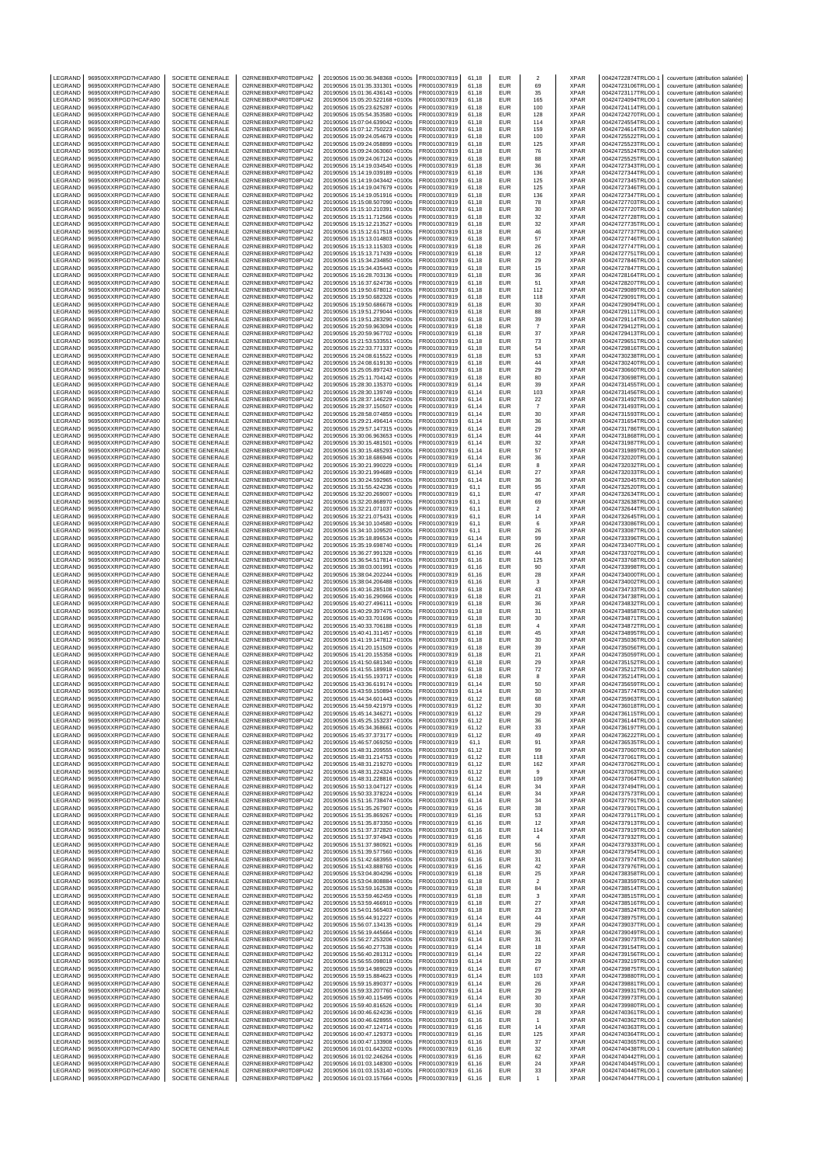| LEGRAND            | 969500XXRPGD7HCAFA90                         | SOCIETE GENERALE                            | O2RNE8IBXP4R0TD8PU42                         | 20190506 15:00:36.948368 +0100s                                    | FR0010307819                 | 61,18          | EUR                      | $\overline{2}$          | <b>XPAR</b>                | 00424722874TRLO0-1                       | couverture (attribution salariée)                                      |
|--------------------|----------------------------------------------|---------------------------------------------|----------------------------------------------|--------------------------------------------------------------------|------------------------------|----------------|--------------------------|-------------------------|----------------------------|------------------------------------------|------------------------------------------------------------------------|
| LEGRAND<br>LEGRAND | 969500XXRPGD7HCAFA90<br>969500XXRPGD7HCAFA90 | SOCIETE GENERALE<br>SOCIETE GENERALE        | O2RNE8IBXP4R0TD8PU42<br>O2RNE8IBXP4R0TD8PU42 | 20190506 15:01:35.331301 +0100s<br>20190506 15:01:36.436143 +0100s | FR0010307819<br>R0010307819  | 61,18<br>61,18 | <b>FUR</b><br>EUR        | 69<br>35                | <b>XPAR</b><br>XPAR        | 00424723106TRLO0-1<br>00424723117TRLO0-1 | couverture (attribution salariée)<br>couverture (attribution salariée) |
| LEGRAND            | 969500XXRPGD7HCAFA90                         | SOCIETE GENERALE                            | O2RNE8IBXP4R0TD8PU42                         | 20190506 15:05:20.522168 +0100s                                    | FR0010307819                 | 61,18          | EUR                      | 165                     | <b>XPAR</b>                | 00424724094TRLO0-1                       | couverture (attribution salariée)                                      |
| LEGRAND            | 969500XXRPGD7HCAFA90                         | SOCIETE GENERALE                            | O2RNE8IBXP4R0TD8PU42                         | 20190506 15:05:23.625287 +0100s                                    | FR0010307819                 | 61.18          | EUR                      | 100                     | <b>XPAR</b>                | 00424724114TRLO0-1                       | couverture (attribution salariée)                                      |
| LEGRAND            | 969500XXRPGD7HCAFA90                         | SOCIETE GENERALE                            | O2RNE8IBXP4R0TD8PU42                         | 20190506 15:05:54.353580 +0100s                                    | FR0010307819                 | 61,18          | EUR                      | 128                     | XPAR                       | 00424724270TRLO0-1                       | couverture (attribution salariée)                                      |
| LEGRAND            | 969500XXRPGD7HCAFA90                         | SOCIETE GENERALE                            | O2RNE8IBXP4R0TD8PU42                         | 20190506 15:07:04.639042 +0100s                                    | FR0010307819                 | 61.18          | EUR                      | 114                     | <b>XPAR</b>                | 00424724554TRLO0-1                       | couverture (attribution salariée)                                      |
| LEGRAND<br>LEGRAND | 969500XXRPGD7HCAFA90<br>969500XXRPGD7HCAFA90 | SOCIETE GENERALE<br>SOCIETE GENERALE        | O2RNE8IBXP4R0TD8PU42<br>O2RNE8IBXP4R0TD8PU42 | 20190506 15:07:12.750223 +0100s<br>20190506 15:09:24.054679 +0100s | R0010307819<br>FR0010307819  | 61,18<br>61.18 | EUR<br>EUR               | 159<br>100              | XPAR<br><b>XPAR</b>        | 00424724614TRLO0-1<br>00424725522TRLO0-  | couverture (attribution salariée)<br>couverture (attribution salariée) |
| LEGRAND            | 969500XXRPGD7HCAFA90                         | SOCIETE GENERALE                            | O2RNE8IBXP4R0TD8PU42                         | 20190506 15:09:24.058899 +0100s                                    | R0010307819                  | 61,18          | EUR                      | 125                     | XPAR                       | 00424725523TRLO0-                        | couverture (attribution salariée)                                      |
| LEGRAND            | 969500XXRPGD7HCAFA90                         | SOCIETE GENERALE                            | O2RNE8IBXP4R0TD8PU42                         | 20190506 15:09:24.063060 +0100s                                    | FR0010307819                 | 61.18          | EUR                      | 76                      | <b>XPAR</b>                | 00424725524TRLO0-1                       | couverture (attribution salariée)                                      |
| LEGRAND            | 969500XXRPGD7HCAFA90                         | SOCIETE GENERALE                            | O2RNE8IBXP4R0TD8PU42                         | 20190506 15:09:24.067124 +0100s                                    | R0010307819                  | 61,18          | EUR                      | 88                      | XPAR                       | 00424725525TRLO0-1                       | couverture (attribution salariée)                                      |
| LEGRAND<br>LEGRAND | 969500XXRPGD7HCAFA90<br>969500XXRPGD7HCAFA90 | SOCIETE GENERALE<br>SOCIETE GENERALE        | O2RNE8IBXP4R0TD8PU42<br>O2RNE8IBXP4R0TD8PU42 | 20190506 15:14:19.034540 +0100s<br>20190506 15:14:19.039189 +0100s | FR0010307819<br>FR0010307819 | 61.18<br>61,18 | EUR<br>EUR               | 36<br>136               | <b>XPAR</b><br>XPAR        | 00424727343TRLO0-<br>00424727344TRLO0-1  | couverture (attribution salariée)<br>couverture (attribution salariée) |
| LEGRAND            | 969500XXRPGD7HCAFA90                         | SOCIETE GENERALE                            | O2RNE8IBXP4R0TD8PU42                         | 20190506 15:14:19.043442 +0100s                                    | FR0010307819                 | 61,18          | EUR                      | 125                     | <b>XPAR</b>                | 00424727345TRLO0-1                       | couverture (attribution salariée)                                      |
| LEGRAND            | 969500XXRPGD7HCAFA90                         | SOCIETE GENERALE                            | O2RNE8IBXP4R0TD8PU42                         | 20190506 15:14:19.047679 +0100s                                    | FR0010307819                 | 61,18          | EUR                      | 125                     | XPAR                       | 00424727346TRLO0-1                       | couverture (attribution salariée)                                      |
| LEGRAND            | 969500XXRPGD7HCAFA90                         | SOCIETE GENERALE                            | O2RNE8IBXP4R0TD8PU42                         | 20190506 15:14:19.051916 +0100s                                    | FR0010307819                 | 61,18          | EUR                      | 136                     | <b>XPAR</b>                | 00424727347TRLO0-1                       | couverture (attribution salariée)                                      |
| LEGRAND            | 969500XXRPGD7HCAFA90<br>969500XXRPGD7HCAFA90 | SOCIETE GENERALE<br>SOCIETE GENERALE        | O2RNE8IBXP4R0TD8PU42                         | 20190506 15:15:08.507090 +0100s                                    | R0010307819                  | 61,18          | EUR<br>EUR               | 78                      | XPAR<br><b>XPAR</b>        | 00424727703TRLO0-1                       | couverture (attribution salariée)                                      |
| LEGRAND<br>LEGRAND | 969500XXRPGD7HCAFA90                         | SOCIETE GENERALE                            | O2RNE8IBXP4R0TD8PU42<br>O2RNE8IBXP4R0TD8PU42 | 20190506 15:15:10.210391 +0100s<br>20190506 15:15:11.712566 +0100s | FR0010307819<br>FR0010307819 | 61,18<br>61,18 | EUR                      | 30<br>32                | XPAR                       | 00424727720TRLO0-<br>00424727728TRLO0-1  | couverture (attribution salariée)<br>couverture (attribution salariée) |
| LEGRAND            | 969500XXRPGD7HCAFA90                         | SOCIETE GENERALE                            | O2RNE8IBXP4R0TD8PU42                         | 20190506 15:15:12.213527 +0100s                                    | FR0010307819                 | 61,18          | <b>EUR</b>               | 32                      | XPAR                       | 00424727735TRLO0-1                       | couverture (attribution salariée)                                      |
| <b>FGRAND</b>      | 969500XXRPGD7HCAFA90                         | SOCIETE GENERALE                            | O2RNE8IBXP4R0TD8PU42                         | 20190506 15:15:12.617518 +0100s                                    | R0010307819                  | 61,18          | EUR                      | 46                      | <b>XPAR</b>                | 00424727737TRLO0-1                       | couverture (attribution salariée)                                      |
| LEGRAND            | 969500XXRPGD7HCAFA90                         | SOCIETE GENERALE                            | O2RNE8IBXP4R0TD8PU42<br>O2RNE8IBXP4R0TD8PU42 | 20190506 15:15:13.014803 +0100s                                    | FR0010307819                 | 61,18          | <b>EUR</b>               | 57                      | <b>XPAR</b>                | 00424727746TRLO0-1                       | couverture (attribution salariée)                                      |
| LEGRAND<br>LEGRAND | 969500XXRPGD7HCAFA90<br>969500XXRPGD7HCAFA90 | SOCIETE GENERALE<br>SOCIETE GENERALE        | O2RNE8IBXP4R0TD8PU42                         | 20190506 15:15:13.115303 +0100s<br>20190506 15:15:13.717439 +0100s | FR0010307819<br>FR0010307819 | 61,18<br>61,18 | EUR<br>EUR               | 26<br>12                | XPAR<br><b>XPAR</b>        | 00424727747TRLO0-1<br>00424727751TRLO0-1 | couverture (attribution salariée)<br>couverture (attribution salariée) |
| LEGRAND            | 969500XXRPGD7HCAFA90                         | SOCIETE GENERALE                            | O2RNE8IBXP4R0TD8PU42                         | 20190506 15:15:34.234850 +0100s                                    | R0010307819                  | 61,18          | EUR                      | 29                      | XPAR                       | 00424727846TRLO0-1                       | couverture (attribution salariée)                                      |
| LEGRAND            | 969500XXRPGD7HCAFA90                         | SOCIETE GENERALE                            | O2RNE8IBXP4R0TD8PU42                         | 20190506 15:15:34.435443 +0100s                                    | FR0010307819                 | 61,18          | EUR                      | 15                      | <b>XPAR</b>                | 00424727847TRLO0-1                       | couverture (attribution salariée)                                      |
| LEGRAND            | 969500XXRPGD7HCAFA90                         | SOCIETE GENERALE                            | O2RNE8IBXP4R0TD8PU42                         | 20190506 15:16:28.703136 +0100s                                    | FR0010307819                 | 61,18          | <b>EUR</b>               | 36                      | <b>XPAR</b>                | 00424728164TRLO0-1                       | couverture (attribution salariée)                                      |
| LEGRAND<br>LEGRAND | 969500XXRPGD7HCAFA90<br>969500XXRPGD7HCAFA90 | SOCIETE GENERALE<br>SOCIETE GENERALE        | O2RNE8IBXP4R0TD8PU42<br>O2RNE8IBXP4R0TD8PU42 | 20190506 15:16:37.624736 +0100s<br>20190506 15:19:50.678012 +0100s | R0010307819<br>FR0010307819  | 61,18<br>61.18 | EUR<br>EUR               | 51<br>112               | XPAR<br><b>XPAR</b>        | 00424728207TRLO0-1<br>00424729089TRLO0-1 | couverture (attribution salariée)<br>couverture (attribution salariée) |
| LEGRAND            | 969500XXRPGD7HCAFA90                         | SOCIETE GENERALE                            | O2RNE8IBXP4R0TD8PU42                         | 20190506 15:19:50.682326 +0100s                                    | FR0010307819                 | 61,18          | EUR                      | 118                     | XPAR                       | 00424729091TRLO0-1                       | couverture (attribution salariée)                                      |
| LEGRAND            | 969500XXRPGD7HCAFA90                         | SOCIETE GENERALE                            | O2RNE8IBXP4R0TD8PU42                         | 20190506 15:19:50.686678 +0100s                                    | FR0010307819                 | 61.18          | EUR                      | 30                      | <b>XPAR</b>                | 00424729094TRLO0-1                       | couverture (attribution salariée)                                      |
| LEGRAND            | 969500XXRPGD7HCAFA90                         | SOCIETE GENERALE                            | O2RNE8IBXP4R0TD8PU42                         | 20190506 15:19:51.279044 +0100s                                    | R0010307819                  | 61,18          | EUR                      | 88                      | XPAR                       | 00424729111TRLO0-1                       | couverture (attribution salariée)                                      |
| LEGRAND<br>LEGRAND | 969500XXRPGD7HCAFA90<br>969500XXRPGD7HCAFA90 | SOCIETE GENERALE<br>SOCIETE GENERALE        | O2RNE8IBXP4R0TD8PU42<br>O2RNE8IBXP4R0TD8PU42 | 20190506 15:19:51.283290 +0100s<br>20190506 15:20:59.963094 +0100s | FR0010307819<br>FR0010307819 | 61.18<br>61,18 | EUR<br>EUR               | 39<br>$\overline{7}$    | <b>XPAR</b><br>XPAR        | 00424729114TRLO0-<br>00424729412TRLO0-   | couverture (attribution salariée)<br>couverture (attribution salariée) |
| LEGRAND            | 969500XXRPGD7HCAFA90                         | SOCIETE GENERALE                            | O2RNE8IBXP4R0TD8PU42                         | 20190506 15:20:59.967702 +0100s                                    | FR0010307819                 | 61.18          | <b>EUR</b>               | 37                      | <b>XPAR</b>                | 00424729413TRLO0-1                       | couverture (attribution salariée)                                      |
| LEGRAND            | 969500XXRPGD7HCAFA90                         | SOCIETE GENERALE                            | O2RNE8IBXP4R0TD8PU42                         | 20190506 15:21:53.533551 +0100s                                    | R0010307819                  | 61,18          | <b>EUR</b>               | 73                      | XPAR                       | 00424729651TRLO0-1                       | couverture (attribution salariée)                                      |
| LEGRAND            | 969500XXRPGD7HCAFA90                         | SOCIETE GENERALE                            | O2RNE8IBXP4R0TD8PU42<br>O2RNE8IBXP4R0TD8PU42 | 20190506 15:22:33.771337 +0100s                                    | FR0010307819<br>FR0010307819 | 61.18          | EUR                      | 54                      | <b>XPAR</b>                | 00424729816TRLO0-                        | couverture (attribution salariée)                                      |
| LEGRAND<br>LEGRAND | 969500XXRPGD7HCAFA90<br>969500XXRPGD7HCAFA90 | SOCIETE GENERALE<br>SOCIETE GENERALE        | O2RNE8IBXP4R0TD8PU42                         | 20190506 15:24:08.615522 +0100s<br>20190506 15:24:08.619130 +0100s | FR0010307819                 | 61,18<br>61,18 | EUR<br>EUR               | 53<br>44                | XPAR<br><b>XPAR</b>        | 00424730238TRLO0-1<br>00424730240TRLO0-1 | couverture (attribution salariée)<br>couverture (attribution salariée) |
| LEGRAND            | 969500XXRPGD7HCAFA90                         | SOCIETE GENERALE                            | O2RNE8IBXP4R0TD8PU42                         | 20190506 15:25:05.897243 +0100s                                    | FR0010307819                 | 61,18          | EUR                      | 29                      | XPAR                       | 00424730660TRLO0-1                       | couverture (attribution salariée)                                      |
| LEGRAND            | 969500XXRPGD7HCAFA90                         | SOCIETE GENERALE                            | O2RNE8IBXP4R0TD8PU42                         | 20190506 15:25:11.704142 +0100s                                    | FR0010307819                 | 61,18          | EUR                      | 80                      | <b>XPAR</b>                | 00424730698TRLO0-1                       | couverture (attribution salariée)                                      |
| LEGRAND            | 969500XXRPGD7HCAFA90                         | SOCIETE GENERALE                            | O2RNE8IBXP4R0TD8PU42                         | 20190506 15:28:30.135370 +0100s                                    | R0010307819                  | 61,14          | EUR                      | 39                      | XPAR                       | 00424731455TRLO0-1                       | couverture (attribution salariée)                                      |
| LEGRAND<br>LEGRAND | 969500XXRPGD7HCAFA90<br>969500XXRPGD7HCAFA90 | SOCIETE GENERALE<br>SOCIETE GENERALE        | O2RNE8IBXP4R0TD8PU42<br>O2RNE8IBXP4R0TD8PU42 | 20190506 15:28:30.139749 +0100s<br>20190506 15:28:37.146229 +0100s | FR0010307819<br>R0010307819  | 61,14<br>61,14 | EUR<br>EUR               | 103<br>22               | <b>XPAR</b><br>XPAR        | 00424731456TRLO0-<br>00424731492TRLO0-1  | couverture (attribution salariée)<br>couverture (attribution salariée) |
| LEGRAND            | 969500XXRPGD7HCAFA90                         | SOCIETE GENERALE                            | O2RNE8IBXP4R0TD8PU42                         | 20190506 15:28:37.150507 +0100s                                    | FR0010307819                 | 61,14          | <b>EUR</b>               | $\overline{7}$          | <b>XPAR</b>                | 00424731493TRLO0-1                       | couverture (attribution salariée)                                      |
| LEGRAND            | 969500XXRPGD7HCAFA90                         | SOCIETE GENERALE                            | O2RNE8IBXP4R0TD8PU42                         | 20190506 15:28:58.074859 +0100s                                    | R0010307819                  | 61,14          | EUR                      | 30                      | <b>XPAR</b>                | 00424731593TRLO0-1                       | couverture (attribution salariée)                                      |
| LEGRAND            | 969500XXRPGD7HCAFA90                         | SOCIETE GENERALE                            | O2RNE8IBXP4R0TD8PU42                         | 20190506 15:29:21.496414 +0100s                                    | FR0010307819                 | 61,14          | EUR                      | 36                      | <b>XPAR</b>                | 00424731654TRLO0-                        | couverture (attribution salariée)                                      |
| LEGRAND            | 969500XXRPGD7HCAFA90                         | SOCIETE GENERALE                            | O2RNE8IBXP4R0TD8PU42                         | 20190506 15:29:57.147315 +0100s                                    | FR0010307819                 | 61,14          | EUR                      | 29                      | XPAR                       | 00424731786TRLO0-1                       | couverture (attribution salariée)                                      |
| LEGRAND<br>LEGRAND | 969500XXRPGD7HCAFA90<br>969500XXRPGD7HCAFA90 | SOCIETE GENERALE<br>SOCIETE GENERALE        | O2RNE8IBXP4R0TD8PU42<br>O2RNE8IBXP4R0TD8PU42 | 20190506 15:30:06.963653 +0100s<br>20190506 15:30:15.481501 +0100s | FR0010307819<br>FR0010307819 | 61,14<br>61,14 | EUR<br>EUR               | 44<br>32                | <b>XPAR</b><br>XPAR        | 00424731868TRLO0-1<br>00424731987TRLO0-1 | couverture (attribution salariée)<br>couverture (attribution salariée) |
| LEGRAND            | 969500XXRPGD7HCAFA90                         | SOCIETE GENERALE                            | O2RNE8IBXP4R0TD8PU42                         | 20190506 15:30:15.485293 +0100s                                    | R0010307819                  | 61,14          | EUR                      | 57                      | XPAR                       | 00424731989TRLO0-1                       | couverture (attribution salariée)                                      |
| LEGRAND            | 969500XXRPGD7HCAFA90                         | SOCIETE GENERALE                            | O2RNE8IBXP4R0TD8PU42                         | 20190506 15:30:18.686946 +0100s                                    | FR0010307819                 | 61.14          | <b>EUR</b>               | 36                      | <b>XPAR</b>                | 00424732020TRLO0-1                       | couverture (attribution salariée)                                      |
| LEGRAND            | 969500XXRPGD7HCAFA90                         | SOCIETE GENERALE                            | O2RNE8IBXP4R0TD8PU42                         | 20190506 15:30:21.990229 +0100s                                    | R0010307819                  | 61,14          | <b>EUR</b>               | 8                       | XPAR                       | 00424732032TRLO0-1                       | couverture (attribution salariée)                                      |
| LEGRAND            | 969500XXRPGD7HCAFA90                         | SOCIETE GENERALE                            | O2RNE8IBXP4R0TD8PU42                         | 20190506 15:30:21.994689 +0100s                                    | FR0010307819                 | 61.14          | EUR                      | 27                      | <b>XPAR</b>                | 00424732033TRLO0-1                       | couverture (attribution salariée)                                      |
| LEGRAND<br>LEGRAND | 969500XXRPGD7HCAFA90<br>969500XXRPGD7HCAFA90 | SOCIETE GENERALE<br><b>SOCIETE GENERALE</b> | O2RNE8IBXP4R0TD8PU42<br>O2RNE8IBXP4R0TD8PU42 | 20190506 15:30:24.592965 +0100s<br>20190506 15:31:55.424236 +0100s | FR0010307819<br>FR0010307819 | 61,14<br>61.1  | EUR<br>EUR               | 36<br>95                | XPAR<br><b>XPAR</b>        | 00424732045TRLO0-1<br>00424732520TRLO0-1 | couverture (attribution salariée)<br>couverture (attribution salariée) |
| LEGRAND            | 969500XXRPGD7HCAFA90                         | SOCIETE GENERALE                            | O2RNE8IBXP4R0TD8PU42                         | 20190506 15:32:20.269007 +0100s                                    | R0010307819                  | 61,1           | EUR                      | 47                      | XPAR                       | 00424732634TRLO0-1                       | couverture (attribution salariée)                                      |
| LEGRAND            | 969500XXRPGD7HCAFA90                         | SOCIETE GENERALE                            | O2RNE8IBXP4R0TD8PU42                         | 20190506 15:32:20.868970 +0100s                                    | FR0010307819                 | 61.1           | EUR                      | 69                      | <b>XPAR</b>                | 00424732638TRLO0-1                       | couverture (attribution salariée)                                      |
| LEGRAND            | 969500XXRPGD7HCAFA90                         | SOCIETE GENERALE                            | O2RNE8IBXP4R0TD8PU42                         | 20190506 15:32:21.071037 +0100s                                    | FR0010307819                 | 61,1           | EUR                      | $\sqrt{2}$              | XPAR                       | 00424732644TRLO0-                        | couverture (attribution salariée)                                      |
| LEGRAND<br>LEGRAND | 969500XXRPGD7HCAFA90<br>969500XXRPGD7HCAFA90 | <b>SOCIETE GENERALE</b><br>SOCIETE GENERALE | O2RNE8IBXP4R0TD8PU42<br>O2RNE8IBXP4R0TD8PU42 | 20190506 15:32:21.075431 +0100s<br>20190506 15:34:10.104580 +0100s | FR0010307819<br>R0010307819  | 61.1<br>61,1   | <b>EUR</b><br><b>EUR</b> | 14<br>6                 | <b>XPAR</b><br>XPAR        | 00424732645TRLO0-1<br>00424733086TRLO0-1 | couverture (attribution salariée)<br>couverture (attribution salariée) |
| LEGRAND            | 969500XXRPGD7HCAFA90                         | SOCIETE GENERALE                            | O2RNE8IBXP4R0TD8PU42                         | 20190506 15:34:10.109520 +0100s                                    | FR0010307819                 | 61.1           | EUR                      | 26                      | <b>XPAR</b>                | 00424733087TRLO0-1                       | couverture (attribution salariée)                                      |
| LEGRAND            | 969500XXRPGD7HCAFA90                         | SOCIETE GENERALE                            | O2RNE8IBXP4R0TD8PU42                         | 20190506 15:35:18.896534 +0100s                                    | R0010307819                  | 61,14          | EUR                      | 99                      | <b>XPAR</b>                | 00424733396TRLO0-                        | couverture (attribution salariée)                                      |
| LEGRAND            | 969500XXRPGD7HCAFA90                         | SOCIETE GENERALE                            | O2RNE8IBXP4R0TD8PU42                         | 20190506 15:35:19.698740 +0100s                                    | FR0010307819                 | 61,14          | EUR                      | 26                      | <b>XPAR</b>                | 00424733407TRLO0-                        | couverture (attribution salariée)                                      |
| LEGRAND            | 969500XXRPGD7HCAFA90                         | SOCIETE GENERALE                            | O2RNE8IBXP4R0TD8PU42                         | 20190506 15:36:27.991328 +0100s                                    | FR0010307819                 | 61,16          | EUR                      | 44                      | XPAR                       | 00424733702TRLO0-1                       | couverture (attribution salariée)                                      |
| LEGRAND<br>LEGRAND | 969500XXRPGD7HCAFA90<br>969500XXRPGD7HCAFA90 | SOCIETE GENERALE<br>SOCIETE GENERALE        | O2RNE8IBXP4R0TD8PU42<br>O2RNE8IBXP4R0TD8PU42 | 20190506 15:36:54.517814 +0100s<br>20190506 15:38:03.001991 +0100s | FR0010307819<br>R0010307819  | 61,16<br>61,16 | EUR<br>EUR               | 125<br>90               | <b>XPAR</b><br>XPAR        | 00424733768TRLO0-1<br>00424733998TRLO0-1 | couverture (attribution salariée)<br>couverture (attribution salariée) |
| LEGRAND            | 969500XXRPGD7HCAFA90                         | SOCIETE GENERALE                            | O2RNE8IBXP4R0TD8PU42                         | 20190506 15:38:04.202244 +0100s                                    | FR0010307819                 | 61,16          | EUR                      | 28                      | <b>XPAR</b>                | 00424734000TRLO0-                        | couverture (attribution salariée)                                      |
| LEGRAND            | 969500XXRPGD7HCAFA90                         | SOCIETE GENERALE                            | O2RNE8IBXP4R0TD8PU42                         | 20190506 15:38:04.206488 +0100s                                    | R0010307819                  | 61,16          | EUR                      | 3                       | XPAR                       | 00424734002TRLO0-1                       | couverture (attribution salariée)                                      |
| LEGRAND<br>LEGRAND | 969500XXRPGD7HCAFA90                         | SOCIETE GENERALE                            | O2RNE8IBXP4R0TD8PU42                         | 20190506 15:40:16.285108 +0100s                                    | FR0010307819                 | 61,18          | <b>EUR</b><br>EUR        | 43                      | <b>XPAR</b><br><b>XPAR</b> | 00424734733TRLO0-1                       | couverture (attribution salariée)                                      |
| LEGRAND            | 969500XXRPGD7HCAFA90<br>969500XXRPGD7HCAFA90 | SOCIETE GENERALE<br>SOCIETE GENERALE        | O2RNE8IBXP4R0TD8PU42<br>O2RNE8IBXP4R0TD8PU42 | 20190506 15:40:16.290966 +0100s<br>20190506 15:40:27.496111 +0100s | R0010307819<br>FR0010307819  | 61,18<br>61,18 | EUR                      | 21<br>36                | <b>XPAR</b>                | 00424734738TRLO0-1<br>00424734832TRLO0-  | couverture (attribution salariée)<br>couverture (attribution salariée) |
| LEGRAND            | 969500XXRPGD7HCAFA90                         | SOCIETE GENERALE                            | O2RNE8IBXP4R0TD8PU42                         | 20190506 15:40:29.397475 +0100s                                    | FR0010307819                 | 61,18          | EUR                      | 31                      | XPAR                       | 00424734858TRLO0-1                       | couverture (attribution salariée)                                      |
| LEGRAND            | 969500XXRPGD7HCAFA90                         | SOCIETE GENERALE                            | O2RNE8IBXP4R0TD8PU42                         | 20190506 15:40:33.701696 +0100s                                    | FR0010307819                 | 61,18          | EUR                      | 30                      | <b>XPAR</b>                | 00424734871TRLO0-1                       | couverture (attribution salariée)                                      |
| LEGRAND            | 969500XXRPGD7HCAFA90                         | SOCIETE GENERALE                            | O2RNE8IBXP4R0TD8PU42                         | 20190506 15:40:33 706188 +0100s                                    | FR0010307819                 | 61.18          | EUR                      | $\sqrt{4}$              | <b>XPAR</b>                | 00424734872TRLO0-                        | couverture (attribution salariée)                                      |
| LEGRAND<br>LEGRAND | 969500XXRPGD7HCAFA90<br>969500XXRPGD7HCAFA90 | SOCIETE GENERALE<br><b>SOCIETE GENERALE</b> | O2RNE8IBXP4R0TD8PU42<br>O2RNE8IBXP4R0TD8PU42 | 20190506 15:40:41.311457 +0100s<br>20190506 15:41:19.147812 +0100s | FR0010307819<br>FR0010307819 | 61,18<br>61.18 | EUR<br><b>EUR</b>        | 45<br>30                | XPAR<br><b>XPAR</b>        | 00424734895TRLO0-<br>00424735036TRLO0-1  | couverture (attribution salariée)<br>couverture (attribution salariée) |
| LEGRAND            | 969500XXRPGD7HCAFA90                         | SOCIETE GENERALE                            | O2RNE8IBXP4R0TD8PU42                         | 20190506 15:41:20.151509 +0100s                                    | R0010307819                  | 61,18          | EUR                      | 39                      | XPAR                       | 00424735056TRLO0-                        | couverture (attribution salariée)                                      |
| LEGRAND            | 969500XXRPGD7HCAFA90                         | SOCIETE GENERALE                            | O2RNE8IBXP4R0TD8PU42                         | 20190506 15:41:20.155358 +0100s                                    | FR0010307819                 | 61.18          | <b>EUR</b>               | 21                      | <b>XPAR</b>                | 00424735059TRLO0-1                       | couverture (attribution salariée)                                      |
| LEGRAND            | 969500XXRPGD7HCAFA90                         | SOCIETE GENERALE                            | O2RNE8IBXP4R0TD8PU42                         | 20190506 15:41:50.681340 +0100s                                    | FR0010307819                 | 61,18          | EUR                      | 29                      | XPAR                       | 00424735152TRLO0-1                       | couverture (attribution salariée)                                      |
| LEGRAND<br>LEGRAND | 969500XXRPGD7HCAFA90<br>969500XXRPGD7HCAFA90 | SOCIETE GENERALE<br>SOCIETE GENERALE        | O2RNE8IBXP4R0TD8PU42<br>O2RNE8IBXP4R0TD8PU42 | 20190506 15:41:55.189918 +0100s<br>20190506 15:41:55.193717 +0100s | FR0010307819<br>R0010307819  | 61.18<br>61,18 | <b>EUR</b><br>EUR        | 72<br>8                 | <b>XPAR</b><br>XPAR        | 00424735212TRLO0-1<br>00424735214TRLO0-1 | couverture (attribution salariée)<br>couverture (attribution salariée) |
| LEGRAND            | 969500XXRPGD7HCAFA90                         | SOCIETE GENERALE                            | O2RNE8IBXP4R0TD8PU42                         | 20190506 15:43:36.619174 +0100s                                    | FR0010307819                 | 61.14          | <b>EUR</b>               | 50                      | <b>XPAR</b>                | 00424735659TRLO0-1                       | couverture (attribution salariée)                                      |
| LEGRAND            | 969500XXRPGD7HCAFA90                         | SOCIETE GENERALE                            | O2RNE8IBXP4R0TD8PU42                         | 20190506 15:43:59.150894 +0100s                                    | FR0010307819                 | 61,14          | EUR                      | 30                      | <b>XPAR</b>                | 00424735774TRLO0-1                       | couverture (attribution salariée)                                      |
| LEGRAND            | 969500XXRPGD7HCAFA90                         | SOCIETE GENERALE                            | O2RNE8IBXP4R0TD8PU42                         | 20190506 15:44:34.601443 +0100s                                    | FR0010307819                 | 61.12          | EUR                      | 68                      | <b>XPAR</b>                | 00424735963TRLO0-1                       | couverture (attribution salariée)                                      |
| LEGRAND<br>LEGRAND | 969500XXRPGD7HCAFA90                         | SOCIETE GENERALE<br>SOCIETE GENERALE        | O2RNE8IBXP4R0TD8PU42<br>O2RNE8IBXP4R0TD8PU42 | 20190506 15:44:59.421979 +0100s                                    | FR0010307819<br>FR0010307819 | 61,12          | <b>EUR</b><br><b>FUR</b> | 30                      | XPAR<br><b>XPAR</b>        | 00424736018TRLO0-1<br>00424736115TRLO0-1 | couverture (attribution salariée)                                      |
| LEGRAND            | 969500XXRPGD7HCAFA90<br>969500XXRPGD7HCAFA90 | SOCIETE GENERALE                            | O2RNE8IBXP4R0TD8PU42                         | 20190506 15:45:14.346271 +0100s<br>20190506 15:45:25.153237 +0100s | FR0010307819                 | 61,12<br>61,12 | <b>EUR</b>               | 29<br>36                | <b>XPAR</b>                | 00424736144TRLO0-1                       | couverture (attribution salariée)<br>couverture (attribution salariée) |
| LEGRAND            | 969500XXRPGD7HCAFA90                         | SOCIETE GENERALE                            | O2RNE8IBXP4R0TD8PU42                         | 20190506 15:45:34.368661 +0100s                                    | FR0010307819                 | 61,12          | <b>EUR</b>               | 33                      | <b>XPAR</b>                | 00424736197TRLO0-1                       | couverture (attribution salariée)                                      |
| LEGRAND            | 969500XXRPGD7HCAFA90                         | SOCIETE GENERALE                            | O2RNE8IBXP4R0TD8PU42                         | 20190506 15:45:37.373177 +0100s                                    | FR0010307819                 | 61,12          | <b>EUR</b>               | 49                      | <b>XPAR</b>                | 00424736222TRLO0-1                       | couverture (attribution salariée)                                      |
| LEGRAND            | 969500XXRPGD7HCAFA90                         | <b>SOCIETE GENERALE</b>                     | O2RNE8IBXP4R0TD8PU42                         | 20190506 15:46:57.069250 +0100s                                    | FR0010307819                 | 61,1           | <b>EUR</b><br><b>EUR</b> | 91<br>99                | <b>XPAR</b><br><b>XPAR</b> | 00424736535TRLO0-1                       | couverture (attribution salariée)                                      |
| LEGRAND<br>LEGRAND | 969500XXRPGD7HCAFA90<br>969500XXRPGD7HCAFA90 | SOCIETE GENERALE<br><b>SOCIETE GENERALE</b> | O2RNE8IBXP4R0TD8PU42<br>O2RNE8IBXP4R0TD8PU42 | 20190506 15:48:31.209555 +0100s<br>20190506 15:48:31.214753 +0100s | FR0010307819<br>FR0010307819 | 61,12<br>61,12 | <b>EUR</b>               | 118                     | <b>XPAR</b>                | 00424737060TRLO0-1<br>00424737061TRLO0-1 | couverture (attribution salariée)<br>couverture (attribution salariée) |
| LEGRAND            | 969500XXRPGD7HCAFA90                         | SOCIETE GENERALE                            | O2RNE8IBXP4R0TD8PU42                         | 20190506 15:48:31.219270 +0100s                                    | FR0010307819                 | 61,12          | <b>EUR</b>               | 162                     | XPAR                       | 00424737062TRLO0-1                       | couverture (attribution salariée)                                      |
| LEGRAND            | 969500XXRPGD7HCAFA90                         | SOCIETE GENERALE                            | O2RNE8IBXP4R0TD8PU42                         | 20190506 15:48:31.224324 +0100s                                    | FR0010307819                 | 61,12          | <b>EUR</b>               | 9                       | <b>XPAR</b>                | 00424737063TRLO0-1                       | couverture (attribution salariée)                                      |
| LEGRAND<br>LEGRAND | 969500XXRPGD7HCAFA90<br>969500XXRPGD7HCAFA90 | SOCIETE GENERALE<br><b>SOCIETE GENERALE</b> | O2RNE8IBXP4R0TD8PU42<br>O2RNE8IBXP4R0TD8PU42 | 20190506 15:48:31.228816 +0100s<br>20190506 15:50:13.047127 +0100s | FR0010307819<br>FR0010307819 | 61,12<br>61,14 | <b>EUR</b><br><b>EUR</b> | 109<br>34               | <b>XPAR</b><br><b>XPAR</b> | 00424737064TRLO0-1<br>00424737494TRLO0-1 | couverture (attribution salariée)<br>couverture (attribution salariée) |
| LEGRAND            | 969500XXRPGD7HCAFA90                         | SOCIETE GENERALE                            | O2RNE8IBXP4R0TD8PU42                         | 20190506 15:50:33.378224 +0100s                                    | FR0010307819                 | 61,14          | <b>EUR</b>               | 34                      | <b>XPAR</b>                | 00424737573TRLO0-1                       | couverture (attribution salariée)                                      |
| LEGRAND            | 969500XXRPGD7HCAFA90                         | SOCIETE GENERALE                            | O2RNE8IBXP4R0TD8PU42                         | 20190506 15:51:16.738474 +0100s                                    | FR0010307819                 | 61,14          | EUR                      | 34                      | <b>XPAR</b>                | 00424737791TRLO0-1                       | couverture (attribution salariée)                                      |
| LEGRAND            | 969500XXRPGD7HCAFA90                         | SOCIETE GENERALE                            | O2RNE8IBXP4R0TD8PU42                         | 20190506 15:51:35.267907 +0100s                                    | FR0010307819                 | 61.16          | <b>EUR</b>               | 38                      | <b>XPAR</b>                | 00424737901TRLO0-1                       | couverture (attribution salariée)                                      |
| LEGRAND<br>LEGRAND | 969500XXRPGD7HCAFA90<br>969500XXRPGD7HCAFA90 | SOCIETE GENERALE<br>SOCIETE GENERALE        | O2RNE8IBXP4R0TD8PU42<br>O2RNE8IBXP4R0TD8PU42 | 20190506 15:51:35.869267 +0100s<br>20190506 15:51:35.873350 +0100s | FR0010307819<br>FR0010307819 | 61,16<br>61.16 | EUR<br><b>EUR</b>        | 53<br>12                | <b>XPAR</b><br><b>XPAR</b> | 00424737911TRLO0-1<br>00424737913TRLO0-1 | couverture (attribution salariée)<br>couverture (attribution salariée) |
| LEGRAND            | 969500XXRPGD7HCAFA90                         | SOCIETE GENERALE                            | O2RNE8IBXP4R0TD8PU42                         | 20190506 15:51:37.372820 +0100s                                    | FR0010307819                 | 61,16          | EUR                      | 114                     | XPAR                       | 00424737919TRLO0-1                       | couverture (attribution salariée)                                      |
| LEGRAND            | 969500XXRPGD7HCAFA90                         | SOCIETE GENERALE                            | O2RNE8IBXP4R0TD8PU42                         | 20190506 15:51:37.974943 +0100s                                    | FR0010307819                 | 61.16          | EUR                      | $\overline{4}$          | <b>XPAR</b>                | 00424737932TRLO0-1                       | couverture (attribution salariée)                                      |
| LEGRAND            | 969500XXRPGD7HCAFA90                         | SOCIETE GENERALE                            | O2RNE8IBXP4R0TD8PU42                         | 20190506 15:51:37.980921 +0100s                                    | FR0010307819                 | 61,16          | EUR                      | 56                      | <b>XPAR</b>                | 00424737933TRLO0-1                       | couverture (attribution salariée)                                      |
| LEGRAND<br>LEGRAND | 969500XXRPGD7HCAFA90<br>969500XXRPGD7HCAFA90 | SOCIETE GENERALE<br>SOCIETE GENERALE        | O2RNE8IBXP4R0TD8PU42<br>O2RNE8IBXP4R0TD8PU42 | 20190506 15:51:39.577560 +0100s<br>20190506 15:51:42.683955 +0100s | FR0010307819<br>FR0010307819 | 61.16<br>61,16 | <b>EUR</b><br>EUR        | 30<br>31                | <b>XPAR</b><br><b>XPAR</b> | 00424737954TRLO0-1<br>00424737974TRLO0-1 | couverture (attribution salariée)<br>couverture (attribution salariée) |
| LEGRAND            | 969500XXRPGD7HCAFA90                         | SOCIETE GENERALE                            | O2RNE8IBXP4R0TD8PU42                         | 20190506 15:51:43.888760 +0100s                                    | FR0010307819                 | 61.16          | <b>EUR</b>               | 42                      | <b>XPAR</b>                | 00424737976TRLO0-1                       | couverture (attribution salariée)                                      |
| LEGRAND            | 969500XXRPGD7HCAFA90                         | SOCIETE GENERALE                            | O2RNE8IBXP4R0TD8PU42                         | 20190506 15:53:04.804296 +0100s                                    | FR0010307819                 | 61,18          | EUR                      | 25                      | <b>XPAR</b>                | 00424738358TRLO0-1                       | couverture (attribution salariée)                                      |
| LEGRAND            | 969500XXRPGD7HCAFA90                         | SOCIETE GENERALE                            | O2RNE8IBXP4R0TD8PU42                         | 20190506 15:53:04.808884 +0100s                                    | FR0010307819                 | 61,18          | <b>EUR</b>               | $\overline{\mathbf{c}}$ | <b>XPAR</b>                | 00424738359TRLO0-1                       | couverture (attribution salariée)                                      |
| LEGRAND<br>LEGRAND | 969500XXRPGD7HCAFA90<br>969500XXRPGD7HCAFA90 | SOCIETE GENERALE<br>SOCIETE GENERALE        | O2RNE8IBXP4R0TD8PU42<br>O2RNE8IBXP4R0TD8PU42 | 20190506 15:53:59.162538 +0100s<br>20190506 15:53:59.462459 +0100s | FR0010307819<br>FR0010307819 | 61,18<br>61,18 | <b>EUR</b><br><b>EUR</b> | 84<br>3                 | <b>XPAR</b><br><b>XPAR</b> | 00424738514TRLO0-1<br>00424738515TRLO0-1 | couverture (attribution salariée)<br>couverture (attribution salariée) |
| LEGRAND            | 969500XXRPGD7HCAFA90                         | SOCIETE GENERALE                            | O2RNE8IBXP4R0TD8PU42                         | 20190506 15:53:59.466910 +0100s                                    | FR0010307819                 | 61,18          | <b>EUR</b>               | $27\,$                  | <b>XPAR</b>                | 00424738516TRLO0-1                       | couverture (attribution salariée)                                      |
| LEGRAND            | 969500XXRPGD7HCAFA90                         | SOCIETE GENERALE                            | O2RNE8IBXP4R0TD8PU42                         | 20190506 15:54:01.565403 +0100s                                    | FR0010307819                 | 61,18          | <b>EUR</b>               | 23                      | <b>XPAR</b>                | 00424738524TRLO0-1                       | couverture (attribution salariée)                                      |
| LEGRAND            | 969500XXRPGD7HCAFA90                         | SOCIETE GENERALE                            | O2RNE8IBXP4R0TD8PU42                         | 20190506 15:55:44.912227 +0100s                                    | FR0010307819                 | 61,14          | <b>EUR</b>               | 44                      | <b>XPAR</b>                | 00424738975TRLO0-1                       | couverture (attribution salariée)                                      |
| LEGRAND<br>LEGRAND | 969500XXRPGD7HCAFA90<br>969500XXRPGD7HCAFA90 | SOCIETE GENERALE<br>SOCIETE GENERALE        | O2RNE8IBXP4R0TD8PU42<br>O2RNE8IBXP4R0TD8PU42 | 20190506 15:56:07.134135 +0100s<br>20190506 15:56:19.445664 +0100s | FR0010307819<br>FR0010307819 | 61,14<br>61,14 | <b>EUR</b><br><b>EUR</b> | 29<br>36                | <b>XPAR</b><br><b>XPAR</b> | 00424739037TRLO0-1<br>00424739049TRLO0-1 | couverture (attribution salariée)<br>couverture (attribution salariée) |
| LEGRAND            | 969500XXRPGD7HCAFA90                         | SOCIETE GENERALE                            | O2RNE8IBXP4R0TD8PU42                         | 20190506 15:56:27.253206 +0100s                                    | FR0010307819                 | 61,14          | <b>EUR</b>               | 31                      | <b>XPAR</b>                | 00424739073TRLO0-1                       | couverture (attribution salariée)                                      |
| LEGRAND            | 969500XXRPGD7HCAFA90                         | SOCIETE GENERALE                            | O2RNE8IBXP4R0TD8PU42                         | 20190506 15:56:40.277538 +0100s                                    | FR0010307819                 | 61,14          | <b>EUR</b>               | 18                      | XPAR                       | 00424739154TRLO0-1                       | couverture (attribution salariée)                                      |
| LEGRAND            | 969500XXRPGD7HCAFA90                         | SOCIETE GENERALE                            | O2RNE8IBXP4R0TD8PU42                         | 20190506 15:56:40.281312 +0100s                                    | FR0010307819                 | 61,14          | <b>FUR</b>               | 22                      | <b>XPAR</b>                | 00424739156TRLO0-1                       | couverture (attribution salariée)                                      |
| LEGRAND<br>LEGRAND | 969500XXRPGD7HCAFA90<br>969500XXRPGD7HCAFA90 | SOCIETE GENERALE<br>SOCIETE GENERALE        | O2RNE8IBXP4R0TD8PU42<br>O2RNE8IBXP4R0TD8PU42 | 20190506 15:56:55.098018 +0100s<br>20190506 15:59:14.989029 +0100s | FR0010307819<br>FR0010307819 | 61,14<br>61,14 | <b>EUR</b><br>EUR        | 29<br>67                | <b>XPAR</b><br><b>XPAR</b> | 00424739219TRLO0-1<br>00424739875TRLO0-1 | couverture (attribution salariée)<br>couverture (attribution salariée) |
| LEGRAND            | 969500XXRPGD7HCAFA90                         | SOCIETE GENERALE                            | O2RNE8IBXP4R0TD8PU42                         | 20190506 15:59:15.884623 +0100s                                    | FR0010307819                 | 61.14          | <b>EUR</b>               | 103                     | <b>XPAR</b>                | 00424739880TRLO0-1                       | couverture (attribution salariée)                                      |
| LEGRAND            | 969500XXRPGD7HCAFA90                         | SOCIETE GENERALE                            | O2RNE8IBXP4R0TD8PU42                         | 20190506 15:59:15.890377 +0100s                                    | FR0010307819                 | 61,14          | EUR                      | 26                      | <b>XPAR</b>                | 00424739881TRLO0-1                       | couverture (attribution salariée)                                      |
| LEGRAND            | 969500XXRPGD7HCAFA90                         | SOCIETE GENERALE                            | O2RNE8IBXP4R0TD8PU42                         | 20190506 15:59:33.207760 +0100s                                    | FR0010307819                 | 61.14          | <b>EUR</b>               | 29                      | <b>XPAR</b>                | 00424739931TRLO0-1                       | couverture (attribution salariée)                                      |
| LEGRAND<br>LEGRAND | 969500XXRPGD7HCAFA90<br>969500XXRPGD7HCAFA90 | SOCIETE GENERALE<br>SOCIETE GENERALE        | O2RNE8IBXP4R0TD8PU42<br>O2RNE8IBXP4R0TD8PU42 | 20190506 15:59:40.115495 +0100s<br>20190506 15:59:40.816526 +0100s | FR0010307819<br>FR0010307819 | 61,14<br>61.14 | EUR<br><b>EUR</b>        | 30<br>30                | <b>XPAR</b><br><b>XPAR</b> | 00424739973TRLO0-1<br>00424739980TRLO0-1 | couverture (attribution salariée)<br>couverture (attribution salariée) |
| LEGRAND            | 969500XXRPGD7HCAFA90                         | SOCIETE GENERALE                            | O2RNE8IBXP4R0TD8PU42                         | 20190506 16:00:46.624236 +0100s                                    | FR0010307819                 | 61,16          | EUR                      | 28                      | XPAR                       | 00424740361TRLO0-1                       | couverture (attribution salariée)                                      |
| LEGRAND            | 969500XXRPGD7HCAFA90                         | SOCIETE GENERALE                            | O2RNE8IBXP4R0TD8PU42                         | 20190506 16:00:46.628955 +0100s                                    | FR0010307819                 | 61.16          | EUR                      | $\overline{1}$          | <b>XPAR</b>                | 00424740362TRLO0-1                       | couverture (attribution salariée)                                      |
| LEGRAND<br>LEGRAND | 969500XXRPGD7HCAFA90<br>969500XXRPGD7HCAFA90 | SOCIETE GENERALE<br>SOCIETE GENERALE        | O2RNE8IBXP4R0TD8PU42<br>O2RNE8IBXP4R0TD8PU42 | 20190506 16:00:47.124714 +0100s<br>20190506 16:00:47.129373 +0100s | FR0010307819<br>FR0010307819 | 61,16<br>61.16 | EUR<br><b>EUR</b>        | 14<br>125               | <b>XPAR</b><br><b>XPAR</b> | 00424740363TRLO0-1<br>00424740364TRLO0-1 | couverture (attribution salariée)                                      |
| LEGRAND            | 969500XXRPGD7HCAFA90                         | SOCIETE GENERALE                            | O2RNE8IBXP4R0TD8PU42                         | 20190506 16:00:47.133908 +0100s                                    | FR0010307819                 | 61,16          | EUR                      | 37                      | <b>XPAR</b>                | 00424740365TRLO0-1                       | couverture (attribution salariée)<br>couverture (attribution salariée) |
| LEGRAND            | 969500XXRPGD7HCAFA90                         | SOCIETE GENERALE                            | O2RNE8IBXP4R0TD8PU42                         | 20190506 16:01:01.643202 +0100s                                    | FR0010307819                 | 61.16          | <b>EUR</b>               | 32                      | <b>XPAR</b>                | 00424740438TRLO0-1                       | couverture (attribution salariée)                                      |
| LEGRAND            | 969500XXRPGD7HCAFA90                         |                                             | O2RNE8IBXP4R0TD8PU42                         | 20190506 16:01:02.246264 +0100s                                    | R0010307819                  | 61,16          | <b>EUR</b>               | 62                      | <b>XPAR</b>                |                                          |                                                                        |
|                    |                                              | SOCIETE GENERALE                            |                                              |                                                                    |                              |                |                          |                         |                            | 00424740442TRLO0-1                       | couverture (attribution salariée)                                      |
| LEGRAND            | 969500XXRPGD7HCAFA90                         | SOCIETE GENERALE                            | O2RNE8IBXP4R0TD8PU42                         | 20190506 16:01:03.148300 +0100s                                    | FR0010307819                 | 61,16          | <b>EUR</b>               | 24                      | <b>XPAR</b>                | 00424740445TRLO0-1                       | couverture (attribution salariée)                                      |
| LEGRAND<br>LEGRAND | 969500XXRPGD7HCAFA90<br>969500XXRPGD7HCAFA90 | SOCIETE GENERALE<br>SOCIETE GENERALE        | O2RNE8IBXP4R0TD8PU42<br>O2RNE8IBXP4R0TD8PU42 | 20190506 16:01:03.153140 +0100s<br>20190506 16:01:03.157664 +0100s | FR0010307819<br>FR0010307819 | 61,16<br>61,16 | <b>EUR</b><br>EUR        | 33<br>1                 | XPAR<br><b>XPAR</b>        | 00424740446TRLO0-1<br>00424740447TRLO0-1 | couverture (attribution salariée)<br>couverture (attribution salariée) |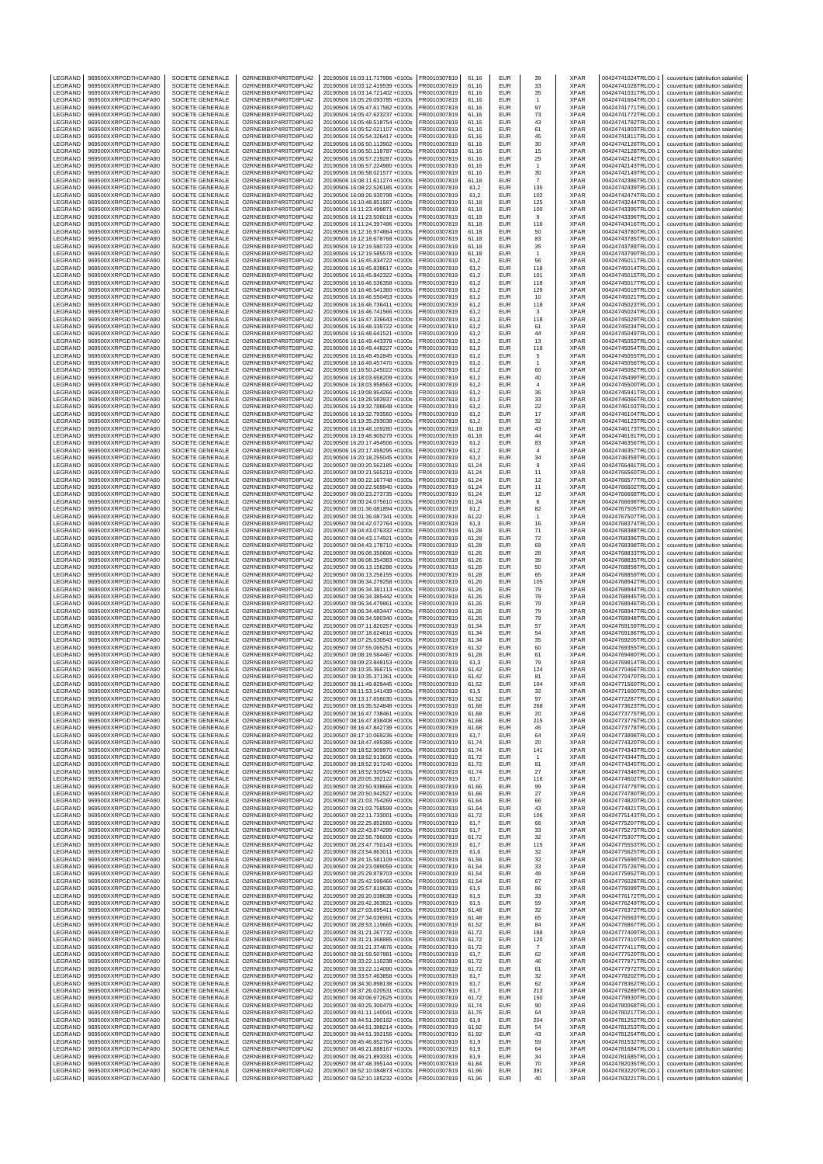| LEGRAND            | 969500XXRPGD7HCAFA90                         | SOCIETE GENERALE                            | O2RNE8IBXP4R0TD8PU42                         | 20190506 16:03:11.717996 +0100s                                    | FR0010307819                 | 61,16          | EUR                      | 39                   | <b>XPAR</b>                | 00424741024TRLO0-1                       | couverture (attribution salariée)                                                                           |
|--------------------|----------------------------------------------|---------------------------------------------|----------------------------------------------|--------------------------------------------------------------------|------------------------------|----------------|--------------------------|----------------------|----------------------------|------------------------------------------|-------------------------------------------------------------------------------------------------------------|
| LEGRAND<br>LEGRAND | 969500XXRPGD7HCAFA90<br>969500XXRPGD7HCAFA90 | SOCIETE GENERALE<br>SOCIETE GENERALE        | O2RNE8IBXP4R0TD8PU42<br>O2RNE8IBXP4R0TD8PU42 | 20190506 16:03:12.419539 +0100s<br>20190506 16:03:14.721402 +0100s | FR0010307819<br>R0010307819  | 61,16<br>61,16 | EUR<br>EUR               | 33<br>35             | <b>XPAR</b><br>XPAR        | 00424741028TRLO0-1<br>00424741031TRLO0-1 | couverture (attribution salariée)<br>couverture (attribution salariée)                                      |
| LEGRAND            | 969500XXRPGD7HCAFA90                         | SOCIETE GENERALE                            | O2RNE8IBXP4R0TD8PU42                         | 20190506 16:05:29.093785 +0100s                                    | FR0010307819                 | 61,16          | <b>EUR</b>               | $\overline{1}$       | <b>XPAR</b>                | 00424741664TRLO0-1                       | couverture (attribution salariée)                                                                           |
| LEGRAND            | 969500XXRPGD7HCAFA90                         | <b>SOCIETE GENERALE</b>                     | O2RNE8IBXP4R0TD8PU42                         | 20190506 16:05:47.617582 +0100s                                    | FR0010307819                 | 61.16          | EUR                      | 97                   | <b>XPAR</b>                | 00424741771TRLO0-1                       | couverture (attribution salariée)                                                                           |
| LEGRAND            | 969500XXRPGD7HCAFA90                         | SOCIETE GENERALE                            | O2RNE8IBXP4R0TD8PU42                         | 20190506 16:05:47.623237 +0100s                                    | FR0010307819                 | 61,16          | EUR                      | 73                   | XPAR                       | 00424741772TRLO0-1                       | couverture (attribution salariée)                                                                           |
| LEGRAND            | 969500XXRPGD7HCAFA90                         | <b>SOCIETE GENERALE</b>                     | O2RNE8IBXP4R0TD8PU42                         | 20190506 16:05:48.518754 +0100s                                    | FR0010307819                 | 61.16          | EUR                      | 43                   | <b>XPAR</b>                | 00424741782TRLO0-1                       | couverture (attribution salariée)                                                                           |
| LEGRAND<br>LEGRAND | 969500XXRPGD7HCAFA90<br>969500XXRPGD7HCAFA90 | SOCIETE GENERALE<br>SOCIETE GENERALE        | O2RNE8IBXP4R0TD8PU42<br>O2RNE8IBXP4R0TD8PU42 | 20190506 16:05:52.021107 +0100s<br>20190506 16:05:54.326417 +0100s | R0010307819<br>FR0010307819  | 61,16<br>61.16 | EUR<br>EUR               | 61<br>45             | XPAR<br><b>XPAR</b>        | 00424741803TRLO0-1<br>00424741811TRLO0-  | couverture (attribution salariée)<br>couverture (attribution salariée)                                      |
| LEGRAND            | 969500XXRPGD7HCAFA90                         | SOCIETE GENERALE                            | O2RNE8IBXP4R0TD8PU42                         | 20190506 16:06:50.113902 +0100s                                    | R0010307819                  | 61,16          | EUR                      | 30                   | XPAR                       | 00424742126TRLO0-                        | couverture (attribution salariée)                                                                           |
| LEGRAND            | 969500XXRPGD7HCAFA90                         | <b>SOCIETE GENERALE</b>                     | O2RNE8IBXP4R0TD8PU42                         | 20190506 16:06:50.118787 +0100s                                    | FR0010307819                 | 61.16          | EUR                      | 15                   | <b>XPAR</b>                | 00424742128TRLO0-1                       | couverture (attribution salariée)                                                                           |
| LEGRAND            | 969500XXRPGD7HCAFA90                         | SOCIETE GENERALE                            | O2RNE8IBXP4R0TD8PU42                         | 20190506 16:06:57.219287 +0100s                                    | R0010307819                  | 61,16          | <b>EUR</b>               | 29                   | XPAR                       | 00424742142TRLO0-1                       | couverture (attribution salariée)                                                                           |
| LEGRAND            | 969500XXRPGD7HCAFA90                         | SOCIETE GENERALE                            | O2RNE8IBXP4R0TD8PU42                         | 20190506 16:06:57.224980 +0100s                                    | FR0010307819                 | 61.16          | EUR                      | $\overline{1}$       | <b>XPAR</b>                | 00424742143TRLO0-                        | couverture (attribution salariée)                                                                           |
| LEGRAND<br>LEGRAND | 969500XXRPGD7HCAFA90<br>969500XXRPGD7HCAFA90 | SOCIETE GENERALE<br>SOCIETE GENERALE        | O2RNE8IBXP4R0TD8PU42<br>O2RNE8IBXP4R0TD8PU42 | 20190506 16:06:58.021577 +0100s<br>20190506 16:08:11.611274 +0100s | FR0010307819<br>FR0010307819 | 61,16<br>61,18 | EUR<br>EUR               | 30<br>$\overline{7}$ | XPAR<br><b>XPAR</b>        | 00424742149TRLO0-1<br>00424742386TRLO0-1 | couverture (attribution salariée)<br>couverture (attribution salariée)                                      |
| LEGRAND            | 969500XXRPGD7HCAFA90                         | SOCIETE GENERALE                            | O2RNE8IBXP4R0TD8PU42                         | 20190506 16:08:22.526185 +0100s                                    | FR0010307819                 | 61,2           | EUR                      | 135                  | XPAR                       | 00424742439TRLO0-1                       | couverture (attribution salariée)                                                                           |
| LEGRAND            | 969500XXRPGD7HCAFA90                         | SOCIETE GENERALE                            | O2RNE8IBXP4R0TD8PU42                         | 20190506 16:08:26.930798 +0100s                                    | FR0010307819                 | 61,2           | EUR                      | 102                  | <b>XPAR</b>                | 00424742474TRLO0-1                       | couverture (attribution salariée)                                                                           |
| LEGRAND            | 969500XXRPGD7HCAFA90                         | SOCIETE GENERALE                            | O2RNE8IBXP4R0TD8PU42                         | 20190506 16:10:48.851587 +0100s                                    | R0010307819                  | 61,18          | EUR                      | 125                  | XPAR                       | 00424743244TRLO0-1                       | couverture (attribution salariée)                                                                           |
| LEGRAND<br>LEGRAND | 969500XXRPGD7HCAFA90<br>969500XXRPGD7HCAFA90 | <b>SOCIETE GENERALE</b><br>SOCIETE GENERALE | O2RNE8IBXP4R0TD8PU42<br>O2RNE8IBXP4R0TD8PU42 | 20190506 16:11:23.499871 +0100s<br>20190506 16:11:23.506018 +0100s | FR0010307819<br>FR0010307819 | 61,18<br>61,18 | EUR<br>EUR               | 100<br>9             | <b>XPAR</b><br>XPAR        | 00424743395TRLO0-<br>00424743396TRLO0-1  | couverture (attribution salariée)<br>couverture (attribution salariée)                                      |
| LEGRAND            | 969500XXRPGD7HCAFA90                         | SOCIETE GENERALE                            | O2RNE8IBXP4R0TD8PU42                         | 20190506 16:11:24.397496 +0100s                                    | FR0010307819                 | 61,18          | <b>EUR</b>               | 116                  | XPAR                       | 00424743416TRLO0-1                       | couverture (attribution salariée)                                                                           |
| <b>FGRAND</b>      | 969500XXRPGD7HCAFA90                         | SOCIETE GENERALE                            | O2RNE8IBXP4R0TD8PU42                         | 20190506 16:12:16.974864 +0100s                                    | R0010307819                  | 61,18          | EUR                      | 50                   | <b>XPAR</b>                | 00424743780TRLO0-1                       | couverture (attribution salariée)                                                                           |
| LEGRAND            | 969500XXRPGD7HCAFA90                         | SOCIETE GENERALE                            | O2RNE8IBXP4R0TD8PU42                         | 20190506 16:12:18.678768 +0100s                                    | FR0010307819                 | 61,18          | <b>EUR</b>               | 83                   | <b>XPAR</b>                | 00424743785TRLO0-1                       | couverture (attribution salariée)                                                                           |
| LEGRAND            | 969500XXRPGD7HCAFA90                         | SOCIETE GENERALE<br>SOCIETE GENERALE        | O2RNE8IBXP4R0TD8PU42<br>O2RNE8IBXP4R0TD8PU42 | 20190506 16:12:19.580723 +0100s<br>20190506 16:12:19.585578 +0100s | FR0010307819                 | 61,18          | EUR<br>EUR               | 35                   | XPAR<br><b>XPAR</b>        | 00424743789TRLO0-1                       | couverture (attribution salariée)                                                                           |
| LEGRAND<br>LEGRAND | 969500XXRPGD7HCAFA90<br>969500XXRPGD7HCAFA90 | SOCIETE GENERALE                            | O2RNE8IBXP4R0TD8PU42                         | 20190506 16:16:45.834722 +0100s                                    | FR0010307819<br>R0010307819  | 61,18<br>61,2  | EUR                      | $\mathbf{1}$<br>56   | XPAR                       | 00424743790TRLO0-1<br>00424745011TRLO0-  | couverture (attribution salariée)<br>couverture (attribution salariée)                                      |
| LEGRAND            | 969500XXRPGD7HCAFA90                         | SOCIETE GENERALE                            | O2RNE8IBXP4R0TD8PU42                         | 20190506 16:16:45.838617 +0100s                                    | FR0010307819                 | 61,2           | EUR                      | 118                  | XPAR                       | 00424745014TRLO0-                        | couverture (attribution salariée)                                                                           |
| LEGRAND            | 969500XXRPGD7HCAFA90                         | SOCIETE GENERALE                            | O2RNE8IBXP4R0TD8PU42                         | 20190506 16:16:45.842322 +0100s                                    | FR0010307819                 | 61,2           | <b>EUR</b>               | 101                  | <b>XPAR</b>                | 00424745015TRLO0-1                       | couverture (attribution salariée)                                                                           |
| LEGRAND            | 969500XXRPGD7HCAFA90                         | SOCIETE GENERALE                            | O2RNE8IBXP4R0TD8PU42                         | 20190506 16:16:46.536358 +0100s                                    | R0010307819                  | 61,2           | EUR                      | 118                  | XPAR                       | 00424745017TRLO0-1                       | couverture (attribution salariée)                                                                           |
| LEGRAND<br>LEGRAND | 969500XXRPGD7HCAFA90<br>969500XXRPGD7HCAFA90 | SOCIETE GENERALE<br>SOCIETE GENERALE        | O2RNE8IBXP4R0TD8PU42<br>O2RNE8IBXP4R0TD8PU42 | 20190506 16:16:46.541360 +0100s<br>20190506 16:16:46.550453 +0100s | FR0010307819<br>FR0010307819 | 61.2<br>61,2   | EUR<br>EUR               | 129<br>10            | <b>XPAR</b><br>XPAR        | 00424745019TRLO0-1<br>00424745021TRLO0-  | couverture (attribution salariée)<br>couverture (attribution salariée)                                      |
| LEGRAND            | 969500XXRPGD7HCAFA90                         | <b>SOCIETE GENERALE</b>                     | O2RNE8IBXP4R0TD8PU42                         | 20190506 16:16:46.736411 +0100s                                    | FR0010307819                 | 61.2           | EUR                      | 118                  | <b>XPAR</b>                | 00424745023TRLO0-1                       | couverture (attribution salariée)                                                                           |
| LEGRAND            | 969500XXRPGD7HCAFA90                         | SOCIETE GENERALE                            | O2RNE8IBXP4R0TD8PU42                         | 20190506 16:16:46.741566 +0100s                                    | R0010307819                  | 61,2           | EUR                      | 3                    | XPAR                       | 00424745024TRLO0-1                       | couverture (attribution salariée)                                                                           |
| LEGRAND            | 969500XXRPGD7HCAFA90                         | SOCIETE GENERALE                            | O2RNE8IBXP4R0TD8PU42                         | 20190506 16:16:47.336643 +0100s                                    | FR0010307819                 | 61.2           | EUR                      | 118                  | <b>XPAR</b>                | 00424745029TRLO0-                        | couverture (attribution salariée)                                                                           |
| LEGRAND<br>LEGRAND | 969500XXRPGD7HCAFA90<br>969500XXRPGD7HCAFA90 | SOCIETE GENERALE<br><b>SOCIETE GENERALE</b> | O2RNE8IBXP4R0TD8PU42<br>O2RNE8IBXP4R0TD8PU42 | 20190506 16:16:48.339722 +0100s<br>20190506 16:16:48.641521 +0100s | FR0010307819<br>FR0010307819 | 61,2<br>61,2   | EUR<br>EUR               | 61<br>44             | XPAR<br><b>XPAR</b>        | 00424745034TRLO0-<br>00424745049TRLO0-1  | couverture (attribution salariée)<br>couverture (attribution salariée)                                      |
| LEGRAND            | 969500XXRPGD7HCAFA90                         | SOCIETE GENERALE                            | O2RNE8IBXP4R0TD8PU42                         | 20190506 16:16:49.443378 +0100s                                    | R0010307819                  | 61,2           | <b>EUR</b>               | 13                   | XPAR                       | 00424745053TRLO0-1                       | couverture (attribution salariée)                                                                           |
| LEGRAND            | 969500XXRPGD7HCAFA90                         | SOCIETE GENERALE                            | O2RNE8IBXP4R0TD8PU42                         | 20190506 16:16:49.448227 +0100s                                    | FR0010307819                 | 61.2           | EUR                      | 118                  | <b>XPAR</b>                | 00424745054TRLO0-                        | couverture (attribution salariée)                                                                           |
| LEGRAND            | 969500XXRPGD7HCAFA90                         | SOCIETE GENERALE                            | O2RNE8IBXP4R0TD8PU42                         | 20190506 16:16:49.452845 +0100s                                    | FR0010307819                 | 61,2           | EUR                      | 5                    | XPAR                       | 00424745055TRLO0-                        | couverture (attribution salariée)                                                                           |
| LEGRAND            | 969500XXRPGD7HCAFA90                         | SOCIETE GENERALE                            | O2RNE8IBXP4R0TD8PU42<br>O2RNE8IBXP4R0TD8PU42 | 20190506 16:16:49.457470 +0100s                                    | FR0010307819                 | 61,2           | EUR                      | $\overline{1}$       | <b>XPAR</b>                | 00424745056TRLO0-1                       | couverture (attribution salariée)                                                                           |
| LEGRAND<br>LEGRAND | 969500XXRPGD7HCAFA90<br>969500XXRPGD7HCAFA90 | SOCIETE GENERALE<br>SOCIETE GENERALE        | O2RNE8IBXP4R0TD8PU42                         | 20190506 16:16:50.245022 +0100s<br>20190506 16:18:03.658209 +0100s | FR0010307819<br>FR0010307819 | 61,2<br>61,2   | EUR<br>EUR               | 60<br>40             | XPAR<br><b>XPAR</b>        | 00424745082TRLO0-1<br>00424745499TRLO0-1 | couverture (attribution salariée)<br>couverture (attribution salariée)                                      |
| LEGRAND            | 969500XXRPGD7HCAFA90                         | SOCIETE GENERALE                            | O2RNE8IBXP4R0TD8PU42                         | 20190506 16:18:03.958563 +0100s                                    | R0010307819                  | 61,2           | EUR                      | $\overline{4}$       | XPAR                       | 00424745500TRLO0-1                       | couverture (attribution salariée)                                                                           |
| LEGRAND            | 969500XXRPGD7HCAFA90                         | <b>SOCIETE GENERALE</b>                     | O2RNE8IBXP4R0TD8PU42                         | 20190506 16:19:08.954266 +0100s                                    | FR0010307819                 | 61,2           | EUR                      | 36                   | <b>XPAR</b>                | 00424745941TRLO0-                        | couverture (attribution salariée)                                                                           |
| LEGRAND            | 969500XXRPGD7HCAFA90                         | SOCIETE GENERALE                            | O2RNE8IBXP4R0TD8PU42                         | 20190506 16:19:28.583937 +0100s                                    | R0010307819                  | 61,2           | EUR                      | 33                   | XPAR                       | 00424746066TRLO0-1                       | couverture (attribution salariée)                                                                           |
| LEGRAND<br>LEGRAND | 969500XXRPGD7HCAFA90                         | SOCIETE GENERALE                            | O2RNE8IBXP4R0TD8PU42<br>O2RNE8IBXP4R0TD8PU42 | 20190506 16:19:32.788648 +0100s<br>20190506 16:19:32.793560 +0100s | FR0010307819<br>R0010307819  | 61,2           | <b>EUR</b><br>EUR        | 22<br>$17\,$         | <b>XPAR</b><br><b>XPAR</b> | 00424746103TRLO0-1                       | couverture (attribution salariée)                                                                           |
| LEGRAND            | 969500XXRPGD7HCAFA90<br>969500XXRPGD7HCAFA90 | SOCIETE GENERALE<br>SOCIETE GENERALE        | O2RNE8IBXP4R0TD8PU42                         | 20190506 16:19:35.293038 +0100s                                    | FR0010307819                 | 61,2<br>61,2   | <b>EUR</b>               | 32                   | <b>XPAR</b>                | 00424746104TRLO0-1<br>00424746123TRLO0-  | couverture (attribution salariée)<br>couverture (attribution salariée)                                      |
| LEGRAND            | 969500XXRPGD7HCAFA90                         | SOCIETE GENERALE                            | O2RNE8IBXP4R0TD8PU42                         | 20190506 16:19:48.109280 +0100s                                    | FR0010307819                 | 61,18          | EUR                      | 43                   | XPAR                       | 00424746173TRLO0-1                       | couverture (attribution salariée)                                                                           |
| LEGRAND            | 969500XXRPGD7HCAFA90                         | SOCIETE GENERALE                            | O2RNE8IBXP4R0TD8PU42                         | 20190506 16:19:48.909279 +0100s                                    | FR0010307819                 | 61,18          | EUR                      | 44                   | <b>XPAR</b>                | 00424746181TRLO0-1                       | couverture (attribution salariée)                                                                           |
| LEGRAND            | 969500XXRPGD7HCAFA90                         | SOCIETE GENERALE                            | O2RNE8IBXP4R0TD8PU42                         | 20190506 16:20:17.454506 +0100s                                    | R0010307819                  | 61,2           | EUR                      | 83                   | XPAR                       | 00424746356TRLO0-1                       | couverture (attribution salariée)                                                                           |
| LEGRAND<br>LEGRAND | 969500XXRPGD7HCAFA90<br>969500XXRPGD7HCAFA90 | SOCIETE GENERALE<br><b>SOCIETE GENERALE</b> | O2RNE8IBXP4R0TD8PU42<br>O2RNE8IBXP4R0TD8PU42 | 20190506 16:20:17.459295 +0100s<br>20190506 16:20:18.255045 +0100s | R0010307819<br>FR0010307819  | 61,2<br>61,2   | EUR<br><b>EUR</b>        | $\sqrt{4}$<br>34     | XPAR<br><b>XPAR</b>        | 00424746357TRLO0-<br>00424746359TRLO0-1  | couverture (attribution salariée)<br>couverture (attribution salariée)                                      |
| LEGRAND            | 969500XXRPGD7HCAFA90                         | SOCIETE GENERALE                            | O2RNE8IBXP4R0TD8PU42                         | 20190507 08:00:20.562185 +0100s                                    | R0010307819                  | 61,24          | EUR                      | 9                    | XPAR                       | 00424766481TRLO0-1                       | couverture (attribution salariée)                                                                           |
| LEGRAND            | 969500XXRPGD7HCAFA90                         | SOCIETE GENERALE                            | O2RNE8IBXP4R0TD8PU42                         | 20190507 08:00:21.565219 +0100s                                    | FR0010307819                 | 61.24          | EUR                      | 11                   | <b>XPAR</b>                | 00424766560TRLO0-1                       | couverture (attribution salariée)                                                                           |
| LEGRAND            | 969500XXRPGD7HCAFA90                         | SOCIETE GENERALE                            | O2RNE8IBXP4R0TD8PU42                         | 20190507 08:00:22.167748 +0100s                                    | FR0010307819                 | 61,24          | EUR                      | 12                   | XPAR                       | 00424766577TRLO0-                        | couverture (attribution salariée)                                                                           |
| LEGRAND            | 969500XXRPGD7HCAFA90                         | <b>SOCIETE GENERALE</b>                     | O2RNE8IBXP4R0TD8PU42                         | 20190507 08:00:22.569940 +0100s                                    | FR0010307819                 | 61.24          | EUR                      | 11                   | <b>XPAR</b>                | 00424766602TRLO0-1                       | couverture (attribution salariée)                                                                           |
| LEGRAND<br>LEGRAND | 969500XXRPGD7HCAFA90<br>969500XXRPGD7HCAFA90 | SOCIETE GENERALE<br>SOCIETE GENERALE        | O2RNE8IBXP4R0TD8PU42<br>O2RNE8IBXP4R0TD8PU42 | 20190507 08:00:23.273735 +0100s<br>20190507 08:00:24.075610 +0100s | R0010307819<br>FR0010307819  | 61,24<br>61.24 | EUR<br>EUR               | 12<br>6              | XPAR<br><b>XPAR</b>        | 00424766668TRLO0-1<br>00424766696TRLO0-  | couverture (attribution salariée)<br>couverture (attribution salariée)                                      |
| LEGRAND            | 969500XXRPGD7HCAFA90                         | SOCIETE GENERALE                            | O2RNE8IBXP4R0TD8PU42                         | 20190507 08:01:36.081894 +0100s                                    | FR0010307819                 | 61,2           | EUR                      | 82                   | XPAR                       | 00424767505TRLO0-                        | couverture (attribution salariée)                                                                           |
| LEGRAND            | 969500XXRPGD7HCAFA90                         | <b>SOCIETE GENERALE</b>                     | O2RNE8IBXP4R0TD8PU42                         | 20190507 08:01:36.087341 +0100s                                    | FR0010307819                 | 61.22          | EUR                      | $\overline{1}$       | <b>XPAR</b>                | 00424767507TRLO0-1                       | couverture (attribution salariée)                                                                           |
| LEGRAND            | 969500XXRPGD7HCAFA90                         | SOCIETE GENERALE                            | O2RNE8IBXP4R0TD8PU42                         | 20190507 08:04:42.072764 +0100s                                    | R0010307819                  | 61,3           | EUR                      | 16                   | XPAR                       | 00424768374TRLO0-1                       | couverture (attribution salariée)                                                                           |
| LEGRAND<br>LEGRAND | 969500XXRPGD7HCAFA90<br>969500XXRPGD7HCAFA90 | SOCIETE GENERALE<br>SOCIETE GENERALE        | O2RNE8IBXP4R0TD8PU42<br>O2RNE8IBXP4R0TD8PU42 | 20190507 08:04:43.076332 +0100s<br>20190507 08:04:43.174921 +0100s | FR0010307819<br>R0010307819  | 61.28<br>61,28 | <b>EUR</b><br>EUR        | 71<br>72             | <b>XPAR</b><br><b>XPAR</b> | 00424768388TRLO0-1<br>00424768396TRLO0-  | couverture (attribution salariée)<br>couverture (attribution salariée)                                      |
| LEGRAND            | 969500XXRPGD7HCAFA90                         | SOCIETE GENERALE                            | O2RNE8IBXP4R0TD8PU42                         | 20190507 08:04:43.178710 +0100s                                    | FR0010307819                 | 61,28          | EUR                      | 69                   | <b>XPAR</b>                | 00424768398TRLO0-                        | couverture (attribution salariée)                                                                           |
| LEGRAND            | 969500XXRPGD7HCAFA90                         | SOCIETE GENERALE                            | O2RNE8IBXP4R0TD8PU42                         | 20190507 08:06:08.350606 +0100s                                    | FR0010307819                 | 61,26          | EUR                      | 28                   | XPAR                       | 00424768833TRLO0-1                       | couverture (attribution salariée)                                                                           |
| LEGRAND            | 969500XXRPGD7HCAFA90                         | SOCIETE GENERALE                            | O2RNE8IBXP4R0TD8PU42                         | 20190507 08:06:08.354383 +0100s                                    | FR0010307819                 | 61,26          | EUR                      | 39                   | <b>XPAR</b>                | 00424768835TRLO0-1                       | couverture (attribution salariée)                                                                           |
| LEGRAND<br>LEGRAND | 969500XXRPGD7HCAFA90<br>969500XXRPGD7HCAFA90 | SOCIETE GENERALE<br>SOCIETE GENERALE        | O2RNE8IBXP4R0TD8PU42<br>O2RNE8IBXP4R0TD8PU42 | 20190507 08:06:13.156286 +0100s<br>20190507 08:06:13.256155 +0100s | R0010307819<br>FR0010307819  | 61,28<br>61,28 | EUR<br>EUR               | 50<br>65             | XPAR<br><b>XPAR</b>        | 00424768858TRLO0-1<br>00424768859TRLO0-  | couverture (attribution salariée)                                                                           |
| LEGRAND            | 969500XXRPGD7HCAFA90                         | SOCIETE GENERALE                            | O2RNE8IBXP4R0TD8PU42                         | 20190507 08:06:34.279258 +0100s                                    | R0010307819                  | 61,26          | EUR                      | 105                  | XPAR                       | 00424768942TRLO0-1                       | couverture (attribution salariée)<br>couverture (attribution salariée)                                      |
| LEGRAND            | 969500XXRPGD7HCAFA90                         | SOCIETE GENERALE                            | O2RNE8IBXP4R0TD8PU42                         | 20190507 08:06:34.381113 +0100s                                    | FR0010307819                 | 61,26          | <b>EUR</b>               | 79                   | <b>XPAR</b>                | 00424768944TRLO0-                        | couverture (attribution salariée)                                                                           |
| LEGRAND            | 969500XXRPGD7HCAFA90                         | SOCIETE GENERALE                            | O2RNE8IBXP4R0TD8PU42                         | 20190507 08:06:34.385442 +0100s                                    | R0010307819                  | 61,26          | EUR                      | 79                   | <b>XPAR</b>                | 00424768945TRLO0-1                       | couverture (attribution salariée)                                                                           |
| LEGRAND<br>LEGRAND | 969500XXRPGD7HCAFA90<br>969500XXRPGD7HCAFA90 | SOCIETE GENERALE<br>SOCIETE GENERALE        | O2RNE8IBXP4R0TD8PU42<br>O2RNE8IBXP4R0TD8PU42 | 20190507 08:06:34.479861 +0100s<br>20190507 08:06:34.483447 +0100s | FR0010307819<br>FR0010307819 | 61,26<br>61,26 | EUR<br>EUR               | 79<br>79             | <b>XPAR</b><br>XPAR        | 00424768946TRLO0-<br>00424768947TRLO0-1  | couverture (attribution salariée)<br>couverture (attribution salariée)                                      |
| LEGRAND            | 969500XXRPGD7HCAFA90                         | SOCIETE GENERALE                            | O2RNE8IBXP4R0TD8PU42                         | 20190507 08:06:34.580340 +0100s                                    | FR0010307819                 | 61,26          | EUR                      | 79                   | <b>XPAR</b>                | 00424768948TRLO0-1                       | couverture (attribution salariée)                                                                           |
| LEGRAND            | 969500XXRPGD7HCAFA90                         | SOCIETE GENERALE                            | O2RNE8IBXP4R0TD8PU42                         | 20190507 08:07:11.820257 +0100s                                    | FR0010307819                 | 61.34          | EUR                      | 57                   | <b>XPAR</b>                | 00424769159TRLO0-                        | couverture (attribution salariée)                                                                           |
| LEGRAND            | 969500XXRPGD7HCAFA90                         | SOCIETE GENERALE                            | O2RNE8IBXP4R0TD8PU42                         | 20190507 08:07:18.624616 +0100s                                    | FR0010307819                 | 61,34          | EUR                      | 54                   | XPAR                       | 00424769186TRLO0-                        | couverture (attribution salariée)                                                                           |
| LEGRAND            | 969500XXRPGD7HCAFA90                         | <b>SOCIETE GENERALE</b>                     | O2RNE8IBXP4R0TD8PU42                         | 20190507 08:07:25.630543 +0100s                                    | FR0010307819                 | 61.34          | <b>EUR</b>               | 35                   | <b>XPAR</b>                | 00424769205TRLO0-1                       | couverture (attribution salariée)                                                                           |
| LEGRAND<br>LEGRAND | 969500XXRPGD7HCAFA90<br>969500XXRPGD7HCAFA90 | SOCIETE GENERALE<br>SOCIETE GENERALE        | O2RNE8IBXP4R0TD8PU42<br>O2RNE8IBXP4R0TD8PU42 | 20190507 08:07:55.065251 +0100s<br>20190507 08:08:19.584467 +0100s | R0010307819<br>FR0010307819  | 61,32<br>61.28 | EUR<br><b>EUR</b>        | 60<br>61             | XPAR<br><b>XPAR</b>        | 00424769355TRLO0-1<br>00424769480TRLO0-  | couverture (attribution salariée)<br>couverture (attribution salariée)                                      |
| LEGRAND            | 969500XXRPGD7HCAFA90                         | SOCIETE GENERALE                            | O2RNE8IBXP4R0TD8PU42                         | 20190507 08:09:23.848153 +0100s                                    | FR0010307819                 | 61,3           | EUR                      | 79                   | XPAR                       | 00424769814TRLO0-1                       | couverture (attribution salariée)                                                                           |
| LEGRAND            | 969500XXRPGD7HCAFA90                         | SOCIETE GENERALE                            | O2RNE8IBXP4R0TD8PU42                         | 20190507 08:10:35.366715 +0100s                                    | FR0010307819                 | 61.42          | EUR                      | 124                  | <b>XPAR</b>                | 00424770466TRLO0-1                       | couverture (attribution salariée)                                                                           |
| LEGRAND            | 969500XXRPGD7HCAFA90<br>969500XXRPGD7HCAFA90 | SOCIETE GENERALE                            | O2RNE8IBXP4R0TD8PU42                         | 20190507 08:10:35.371361 +0100s                                    | R0010307819                  | 61,42          | EUR                      | 81                   | XPAR                       | 00424770470TRLO0-1<br>00424771560TRLO0-1 | couverture (attribution salariée)                                                                           |
| LEGRAND<br>LEGRAND | 969500XXRPGD7HCAFA90                         | SOCIETE GENERALE<br>SOCIETE GENERALE        | O2RNE8IBXP4R0TD8PU42<br>O2RNE8IBXP4R0TD8PU42 | 20190507 08:11:49.829445 +0100s<br>20190507 08:11:53.141439 +0100s | FR0010307819<br>FR0010307819 | 61.52<br>61,5  | <b>EUR</b><br>EUR        | 104                  | <b>XPAR</b>                |                                          |                                                                                                             |
| LEGRAND            | 969500XXRPGD7HCAFA90                         | SOCIETE GENERALE                            | O2RNE8IBXP4R0TD8PU42                         | 20190507 08:13:17.656030 +0100s                                    |                              |                |                          |                      |                            |                                          | couverture (attribution salariée)                                                                           |
| LEGRAND            | 969500XXRPGD7HCAFA90                         | SOCIETE GENERALE                            | O2RNE8IBXP4R0TD8PU42                         |                                                                    | FR0010307819                 |                |                          | 32<br>97             | <b>XPAR</b>                | 00424771600TRLO0-1                       | couverture (attribution salariée)                                                                           |
| LEGRAND            | 969500XXRPGD7HCAFA90                         |                                             |                                              | 20190507 08:16:35.524848 +0100s                                    | FR0010307819                 | 61,52<br>61,68 | EUR<br>EUR               | 268                  | <b>XPAR</b><br>XPAR        | 00424772287TRLO0-1<br>00424773623TRLO0-1 | couverture (attribution salariée)<br>couverture (attribution salariée)                                      |
| LEGRAND            | 969500XXRPGD7HCAFA90<br>969500XXRPGD7HCAFA90 | SOCIETE GENERALE                            | O2RNE8IBXP4R0TD8PU42                         | 20190507 08:16:47.738461 +0100s                                    | FR0010307819                 | 61.68          | <b>FUR</b>               | 20                   | <b>XPAR</b>                | 00424773775TRLO0-1                       | couverture (attribution salariée)                                                                           |
| LEGRAND<br>LEGRAND |                                              | SOCIETE GENERALE                            | O2RNE8IBXP4R0TD8PU42                         | 20190507 08:16:47.838408 +0100s                                    | FR0010307819                 | 61.68          | <b>EUR</b>               | 215                  | <b>XPAR</b>                | 00424773776TRLO0-1                       | couverture (attribution salariée)                                                                           |
| LEGRAND            | 969500XXRPGD7HCAFA90                         | SOCIETE GENERALE<br>SOCIETE GENERALE        | O2RNE8IBXP4R0TD8PU42<br>O2RNE8IBXP4R0TD8PU42 | 20190507 08:16:47.842739 +0100s<br>20190507 08:17:10.069236 +0100s | FR0010307819<br>FR0010307819 | 61,68<br>61,7  | <b>EUR</b><br><b>EUR</b> | 45<br>64             | <b>XPAR</b><br><b>XPAR</b> | 00424773778TRLO0-1<br>00424773898TRLO0-1 | couverture (attribution salariée)<br>couverture (attribution salariée)                                      |
|                    | 969500XXRPGD7HCAFA90                         | <b>SOCIETE GENERALE</b>                     | O2RNE8IBXP4R0TD8PU42                         | 20190507 08:18:47.499385 +0100s                                    | FR0010307819                 | 61,74          | <b>EUR</b>               | 20                   | <b>XPAR</b>                | 00424774320TRLO0-1                       | couverture (attribution salariée)                                                                           |
| LEGRAND            | 969500XXRPGD7HCAFA90                         | SOCIETE GENERALE                            | O2RNE8IBXP4R0TD8PU42                         | 20190507 08:18:52.909970 +0100s                                    | FR0010307819                 | 61,74          | <b>EUR</b>               | 141                  | <b>XPAR</b>                | 00424774343TRLO0-1                       | couverture (attribution salariée)                                                                           |
| LEGRAND            | 969500XXRPGD7HCAFA90                         | <b>SOCIETE GENERALE</b>                     | O2RNE8IBXP4R0TD8PU42                         | 20190507 08:18:52.913606 +0100s                                    | FR0010307819                 | 61,72          | <b>EUR</b>               | $\overline{1}$       | <b>XPAR</b>                | 00424774344TRLO0-1                       | couverture (attribution salariée)                                                                           |
| LEGRAND<br>LEGRAND | 969500XXRPGD7HCAFA90<br>969500XXRPGD7HCAFA90 | SOCIETE GENERALE<br>SOCIETE GENERALE        | O2RNE8IBXP4R0TD8PU42<br>O2RNE8IBXP4R0TD8PU42 | 20190507 08:18:52.917240 +0100s<br>20190507 08:18:52.920942 +0100s | FR0010307819<br>FR0010307819 | 61,72<br>61,74 | <b>EUR</b><br><b>FUR</b> | 81<br>27             | XPAR<br><b>XPAR</b>        | 00424774345TRLO0-1<br>00424774346TRLO0-1 | couverture (attribution salariée)<br>couverture (attribution salariée)                                      |
| LEGRAND            | 969500XXRPGD7HCAFA90                         | SOCIETE GENERALE                            | O2RNE8IBXP4R0TD8PU42                         | 20190507 08:20:05.392122 +0100s                                    | FR0010307819                 | 61,7           | <b>EUR</b>               | 116                  | <b>XPAR</b>                | 00424774602TRLO0-1                       | couverture (attribution salariée)                                                                           |
| LEGRAND            | 969500XXRPGD7HCAFA90                         | <b>SOCIETE GENERALE</b>                     | O2RNE8IBXP4R0TD8PU42                         | 20190507 08:20:50.938666 +0100s                                    | FR0010307819                 | 61,66          | <b>EUR</b>               | 99                   | <b>XPAR</b>                | 00424774779TRLO0-1                       | couverture (attribution salariée)                                                                           |
| LEGRAND            | 969500XXRPGD7HCAFA90                         | SOCIETE GENERALE                            | O2RNE8IBXP4R0TD8PU42                         | 20190507 08:20:50.942527 +0100s                                    | FR0010307819<br>FR0010307819 | 61,66          | <b>EUR</b>               | 27                   | <b>XPAR</b>                | 00424774780TRLO0-1                       | couverture (attribution salariée)<br>couverture (attribution salariée)                                      |
| LEGRAND<br>LEGRAND | 969500XXRPGD7HCAFA90<br>969500XXRPGD7HCAFA90 | SOCIETE GENERALE<br>SOCIETE GENERALE        | O2RNE8IBXP4R0TD8PU42<br>O2RNE8IBXP4R0TD8PU42 | 20190507 08:21:03.754269 +0100s<br>20190507 08:21:03.758599 +0100s | FR0010307819                 | 61,64<br>61.64 | EUR<br><b>EUR</b>        | 66<br>43             | <b>XPAR</b><br><b>XPAR</b> | 00424774820TRLO0-1<br>00424774821TRLO0-1 | couverture (attribution salariée)                                                                           |
| LEGRAND            | 969500XXRPGD7HCAFA90                         | SOCIETE GENERALE                            | O2RNE8IBXP4R0TD8PU42                         | 20190507 08:22:11.733001 +0100s                                    | FR0010307819                 | 61,72          | EUR                      | 106                  | <b>XPAR</b>                | 00424775143TRLO0-1                       | couverture (attribution salariée)                                                                           |
| LEGRAND            | 969500XXRPGD7HCAFA90                         | SOCIETE GENERALE                            | O2RNE8IBXP4R0TD8PU42                         | 20190507 08:22:25 852660 +0100s                                    | FR0010307819                 | 61.7           | <b>EUR</b>               | 66                   | <b>XPAR</b>                | 00424775207TRLO0-1                       | couverture (attribution salariée)                                                                           |
| LEGRAND<br>LEGRAND | 969500XXRPGD7HCAFA90<br>969500XXRPGD7HCAFA90 | SOCIETE GENERALE                            | O2RNE8IBXP4R0TD8PU42<br>O2RNE8IBXP4R0TD8PU42 | 20190507 08:22:43.874299 +0100s<br>20190507 08:22:56.786006 +0100s | FR0010307819<br>FR0010307819 | 61,7<br>61.72  | EUR                      | 33                   | <b>XPAR</b>                | 00424775273TRLO0-1<br>00424775307TRLO0-1 | couverture (attribution salariée)                                                                           |
| LEGRAND            | 969500XXRPGD7HCAFA90                         | SOCIETE GENERALE<br>SOCIETE GENERALE        | O2RNE8IBXP4R0TD8PU42                         | 20190507 08:23:47.750143 +0100s                                    | FR0010307819                 | 61,7           | EUR<br>EUR               | 32<br>115            | <b>XPAR</b><br><b>XPAR</b> | 00424775553TRLO0-1                       | couverture (attribution salariée)<br>couverture (attribution salariée)                                      |
| LEGRAND            | 969500XXRPGD7HCAFA90                         | SOCIETE GENERALE                            | O2RNE8IBXP4R0TD8PU42                         | 20190507 08:23:54 863011 +0100s                                    | FR0010307819                 | 61.6           | <b>EUR</b>               | 32                   | <b>XPAR</b>                | 00424775625TRLO0-1                       | couverture (attribution salariée)                                                                           |
| LEGRAND            | 969500XXRPGD7HCAFA90                         | SOCIETE GENERALE                            | O2RNE8IBXP4R0TD8PU42                         | 20190507 08:24:15.581109 +0100s                                    | FR0010307819                 | 61,56          | EUR                      | 32                   | <b>XPAR</b>                | 00424775699TRLO0-1                       | couverture (attribution salariée)                                                                           |
| LEGRAND            | 969500XXRPGD7HCAFA90                         | SOCIETE GENERALE                            | O2RNE8IBXP4R0TD8PU42                         | 20190507 08:24:23.089059 +0100s                                    | FR0010307819                 | 61.54          | <b>EUR</b>               | 33                   | <b>XPAR</b>                | 00424775726TRLO0-1                       | couverture (attribution salariée)                                                                           |
| LEGRAND<br>LEGRAND | 969500XXRPGD7HCAFA90<br>969500XXRPGD7HCAFA90 | SOCIETE GENERALE<br>SOCIETE GENERALE        | O2RNE8IBXP4R0TD8PU42<br>O2RNE8IBXP4R0TD8PU42 | 20190507 08:25:29.878703 +0100s<br>20190507 08:25:42.599466 +0100s | FR0010307819<br>FR0010307819 | 61,54<br>61.54 | EUR<br><b>EUR</b>        | 49<br>67             | <b>XPAR</b><br><b>XPAR</b> | 00424775952TRLO0-1<br>00424776028TRLO0-1 | couverture (attribution salariée)<br>couverture (attribution salariée)                                      |
| LEGRAND            | 969500XXRPGD7HCAFA90                         | SOCIETE GENERALE                            | O2RNE8IBXP4R0TD8PU42                         | 20190507 08:25:57.819630 +0100s                                    | FR0010307819                 | 61,5           | <b>EUR</b>               | 86                   | <b>XPAR</b>                | 00424776099TRLO0-1                       | couverture (attribution salariée)                                                                           |
| LEGRAND            | 969500XXRPGD7HCAFA90                         | SOCIETE GENERALE                            | O2RNE8IBXP4R0TD8PU42                         | 20190507 08:26:20.038638 +0100s                                    | FR0010307819                 | 61,5           | <b>EUR</b>               | 33                   | <b>XPAR</b>                | 00424776172TRLO0-1                       | couverture (attribution salariée)                                                                           |
| LEGRAND            | 969500XXRPGD7HCAFA90<br>969500XXRPGD7HCAFA90 | SOCIETE GENERALE                            | O2RNE8IBXP4R0TD8PU42<br>O2RNE8IBXP4R0TD8PU42 | 20190507 08:26:42.363821 +0100s                                    | FR0010307819                 | 61,5           | <b>EUR</b><br><b>EUR</b> | 59                   | <b>XPAR</b><br><b>XPAR</b> | 00424776249TRLO0-1                       | couverture (attribution salariée)                                                                           |
| LEGRAND<br>LEGRAND | 969500XXRPGD7HCAFA90                         | SOCIETE GENERALE<br>SOCIETE GENERALE        | O2RNE8IBXP4R0TD8PU42                         | 20190507 08:27:03.695411 +0100s<br>20190507 08:27:34.036991 +0100s | FR0010307819<br>FR0010307819 | 61,48<br>61,48 | <b>EUR</b>               | 32<br>65             | <b>XPAR</b>                | 00424776372TRLO0-1<br>00424776563TRLO0-1 | couverture (attribution salariée)<br>couverture (attribution salariée)                                      |
| LEGRAND            | 969500XXRPGD7HCAFA90                         | SOCIETE GENERALE                            | O2RNE8IBXP4R0TD8PU42                         | 20190507 08:28:53.119665 +0100s                                    | FR0010307819                 | 61,52          | <b>EUR</b>               | 84                   | <b>XPAR</b>                | 00424776867TRLO0-1                       | couverture (attribution salariée)                                                                           |
| LEGRAND            | 969500XXRPGD7HCAFA90                         | SOCIETE GENERALE                            | O2RNE8IBXP4R0TD8PU42                         | 20190507 08:31:21.267732 +0100s                                    | FR0010307819                 | 61,72          | <b>EUR</b>               | 188                  | <b>XPAR</b>                | 00424777409TRLO0-1                       | couverture (attribution salariée)                                                                           |
| LEGRAND            | 969500XXRPGD7HCAFA90                         | SOCIETE GENERALE                            | O2RNE8IBXP4R0TD8PU42                         | 20190507 08:31:21.368885 +0100s                                    | FR0010307819                 | 61,72          | <b>EUR</b>               | 120                  | <b>XPAR</b>                | 00424777410TRLO0-1                       | couverture (attribution salariée)                                                                           |
| LEGRAND<br>LEGRAND | 969500XXRPGD7HCAFA90<br>969500XXRPGD7HCAFA90 | SOCIETE GENERALE<br>SOCIETE GENERALE        | O2RNE8IBXP4R0TD8PU42<br>O2RNE8IBXP4R0TD8PU42 | 20190507 08:31:21.374876 +0100s<br>20190507 08:31:59.507881 +0100s | FR0010307819<br>FR0010307819 | 61,72<br>61,7  | <b>EUR</b><br><b>FUR</b> | $\overline{7}$<br>62 | XPAR<br><b>XPAR</b>        | 00424777411TRLO0-1<br>00424777520TRLO0-1 | couverture (attribution salariée)                                                                           |
| LEGRAND            | 969500XXRPGD7HCAFA90                         | SOCIETE GENERALE                            | O2RNE8IBXP4R0TD8PU42                         | 20190507 08:33:22.110238 +0100s                                    | FR0010307819                 | 61,72          | <b>EUR</b>               | 46                   | <b>XPAR</b>                | 00424777971TRLO0-1                       | couverture (attribution salariée)<br>couverture (attribution salariée)                                      |
| LEGRAND            | 969500XXRPGD7HCAFA90                         | SOCIETE GENERALE                            | O2RNE8IBXP4R0TD8PU42                         | 20190507 08:33:22.114090 +0100s                                    | FR0010307819                 | 61,72          | EUR                      | 61                   | <b>XPAR</b>                | 00424777972TRLO0-1                       | couverture (attribution salariée)                                                                           |
| LEGRAND            | 969500XXRPGD7HCAFA90                         | SOCIETE GENERALE                            | O2RNE8IBXP4R0TD8PU42                         | 20190507 08:33:57.463858 +0100s                                    | FR0010307819                 | 61.7           | <b>EUR</b>               | 32                   | <b>XPAR</b>                | 00424778202TRLO0-1                       | couverture (attribution salariée)                                                                           |
| LEGRAND<br>LEGRAND | 969500XXRPGD7HCAFA90<br>969500XXRPGD7HCAFA90 | SOCIETE GENERALE<br>SOCIETE GENERALE        | O2RNE8IBXP4R0TD8PU42<br>O2RNE8IBXP4R0TD8PU42 | 20190507 08:34:30.898138 +0100s<br>20190507 08:37:26.020531 +0100s | FR0010307819<br>FR0010307819 | 61,7<br>61.7   | EUR<br><b>EUR</b>        | 62<br>213            | <b>XPAR</b><br><b>XPAR</b> | 00424778362TRLO0-1<br>00424779289TRLO0-1 | couverture (attribution salariée)<br>couverture (attribution salariée)                                      |
| LEGRAND            | 969500XXRPGD7HCAFA90                         | SOCIETE GENERALE                            | O2RNE8IBXP4R0TD8PU42                         | 20190507 08:40:06.672625 +0100s                                    | FR0010307819                 | 61,72          | EUR                      | 150                  | <b>XPAR</b>                | 00424779930TRLO0-1                       | couverture (attribution salariée)                                                                           |
| LEGRAND            | 969500XXRPGD7HCAFA90                         | SOCIETE GENERALE                            | O2RNE8IBXP4R0TD8PU42                         | 20190507 08:40:25.300479 +0100s                                    | FR0010307819                 | 61.74          | <b>EUR</b>               | 90                   | <b>XPAR</b>                | 00424780068TRLO0-1                       | couverture (attribution salariée)                                                                           |
| LEGRAND            | 969500XXRPGD7HCAFA90                         | SOCIETE GENERALE                            | O2RNE8IBXP4R0TD8PU42                         | 20190507 08:41:11.140041 +0100s                                    | FR0010307819                 | 61,76          | EUR                      | 64                   | <b>XPAR</b>                | 00424780217TRLO0-1                       | couverture (attribution salariée)                                                                           |
| LEGRAND            | 969500XXRPGD7HCAFA90                         | SOCIETE GENERALE                            | O2RNE8IBXP4R0TD8PU42                         | 20190507 08:44:51.290162 +0100s                                    | FR0010307819                 | 61.9           | EUR                      | 204                  | <b>XPAR</b>                | 00424781252TRLO0-1                       | couverture (attribution salariée)                                                                           |
| LEGRAND<br>LEGRAND | 969500XXRPGD7HCAFA90<br>969500XXRPGD7HCAFA90 | SOCIETE GENERALE<br>SOCIETE GENERALE        | O2RNE8IBXP4R0TD8PU42<br>O2RNE8IBXP4R0TD8PU42 | 20190507 08:44:51.388214 +0100s<br>20190507 08:44:51.392156 +0100s | FR0010307819<br>FR0010307819 | 61,92<br>61.92 | EUR<br><b>EUR</b>        | 54<br>43             | <b>XPAR</b><br><b>XPAR</b> | 00424781253TRLO0-1<br>00424781254TRLO0-1 | couverture (attribution salariée)<br>couverture (attribution salariée)                                      |
| LEGRAND            | 969500XXRPGD7HCAFA90                         | SOCIETE GENERALE                            | O2RNE8IBXP4R0TD8PU42                         | 20190507 08:45:46.852764 +0100s                                    | FR0010307819                 | 61,9           | EUR                      | 59                   | <b>XPAR</b>                | 00424781532TRLO0-1                       | couverture (attribution salariée)                                                                           |
| LEGRAND            | 969500XXRPGD7HCAFA90                         | SOCIETE GENERALE                            | O2RNE8IBXP4R0TD8PU42                         | 20190507 08:46:21.888167 +0100s                                    | FR0010307819                 | 61.9           | <b>EUR</b>               | 64                   | <b>XPAR</b>                | 00424781684TRLO0-1                       | couverture (attribution salariée)                                                                           |
| LEGRAND<br>LEGRAND | 969500XXRPGD7HCAFA90<br>969500XXRPGD7HCAFA90 | SOCIETE GENERALE<br>SOCIETE GENERALE        | O2RNE8IBXP4R0TD8PU42<br>O2RNE8IBXP4R0TD8PU42 | 20190507 08:46:21.893331 +0100s<br>20190507 08:47:48.395144 +0100s | R0010307819<br>FR0010307819  | 61,9<br>61,84  | <b>EUR</b><br><b>EUR</b> | 34<br>70             | <b>XPAR</b><br><b>XPAR</b> | 00424781685TRLO0-1<br>00424782035TRLO0-1 | couverture (attribution salariée)                                                                           |
| LEGRAND<br>LEGRAND | 969500XXRPGD7HCAFA90<br>969500XXRPGD7HCAFA90 | SOCIETE GENERALE<br>SOCIETE GENERALE        | O2RNE8IBXP4R0TD8PU42<br>O2RNE8IBXP4R0TD8PU42 | 20190507 08:52:10.084873 +0100s<br>20190507 08:52:10.185232 +0100s | FR0010307819<br>FR0010307819 | 61.96<br>61,96 | <b>EUR</b><br>EUR        | 391<br>40            | <b>XPAR</b><br><b>XPAR</b> | 00424783220TRLO0-1<br>00424783221TRLO0-1 | couverture (attribution salariée)<br>couverture (attribution salariée)<br>couverture (attribution salariée) |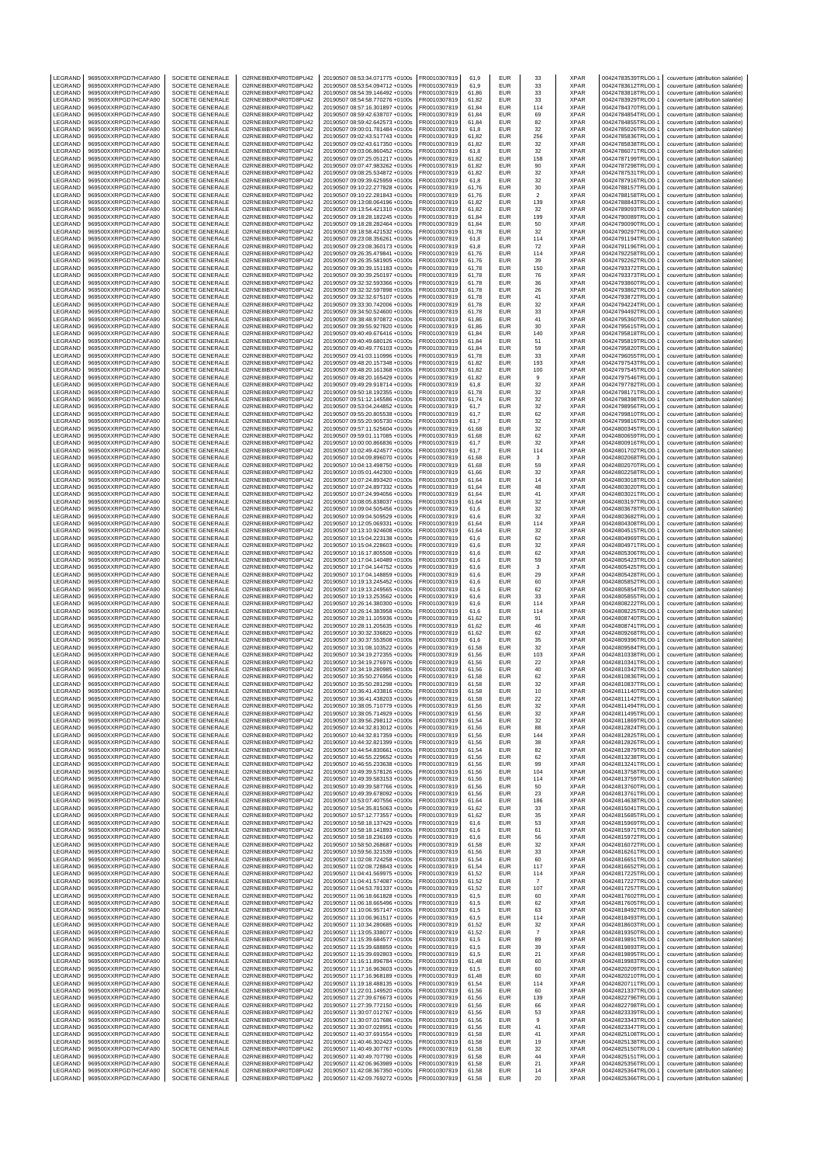| LEGRAND            | 969500XXRPGD7HCAFA90                         | SOCIETE GENERALE                            | O2RNE8IBXP4R0TD8PU42                         | 20190507 08:53:34.071775 +0100s                                    | FR0010307819                 | 61,9           | EUR                      | 33             | <b>XPAR</b>                | 00424783539TRLO0-1                       | couverture (attribution salariée)                                      |
|--------------------|----------------------------------------------|---------------------------------------------|----------------------------------------------|--------------------------------------------------------------------|------------------------------|----------------|--------------------------|----------------|----------------------------|------------------------------------------|------------------------------------------------------------------------|
| LEGRAND<br>LEGRAND | 969500XXRPGD7HCAFA90<br>969500XXRPGD7HCAFA90 | SOCIETE GENERALE<br>SOCIETE GENERALE        | O2RNE8IBXP4R0TD8PU42<br>O2RNE8IBXP4R0TD8PU42 | 20190507 08:53:54.094712 +0100s<br>20190507 08:54:39.146492 +0100s | FR0010307819<br>R0010307819  | 61,9<br>61,86  | <b>EUR</b><br>EUR        | 33<br>33       | <b>XPAR</b><br>XPAR        | 00424783612TRLO0-1<br>00424783818TRLO0-1 | couverture (attribution salariée)<br>couverture (attribution salariée) |
| LEGRAND            | 969500XXRPGD7HCAFA90                         | SOCIETE GENERALE                            | O2RNE8IBXP4R0TD8PU42                         | 20190507 08:54:58.770276 +0100s                                    | FR0010307819                 | 61,82          | <b>EUR</b>               | 33             | <b>XPAR</b>                | 00424783929TRLO0-1                       | couverture (attribution salariée)                                      |
| LEGRAND            | 969500XXRPGD7HCAFA90                         | <b>SOCIETE GENERALE</b>                     | O2RNE8IBXP4R0TD8PU42                         | 20190507 08:57:16.301897 +0100s                                    | FR0010307819                 | 61.84          | EUR                      | 114            | <b>XPAR</b>                | 00424784370TRLO0-1                       | couverture (attribution salariée)                                      |
| LEGRAND            | 969500XXRPGD7HCAFA90                         | SOCIETE GENERALE                            | O2RNE8IBXP4R0TD8PU42                         | 20190507 08:59:42.638707 +0100s                                    | FR0010307819                 | 61,84          | EUR                      | 69             | XPAR                       | 00424784854TRLO0-1                       | couverture (attribution salariée)                                      |
| LEGRAND            | 969500XXRPGD7HCAFA90                         | <b>SOCIETE GENERALE</b>                     | O2RNE8IBXP4R0TD8PU42                         | 20190507 08:59:42.642573 +0100s                                    | FR0010307819                 | 61.84          | EUR                      | 82             | <b>XPAR</b>                | 00424784855TRLO0-1                       | couverture (attribution salariée)                                      |
| LEGRAND<br>LEGRAND | 969500XXRPGD7HCAFA90<br>969500XXRPGD7HCAFA90 | SOCIETE GENERALE<br>SOCIETE GENERALE        | O2RNE8IBXP4R0TD8PU42<br>O2RNE8IBXP4R0TD8PU42 | 20190507 09:00:01.781484 +0100s<br>20190507 09:02:43.517743 +0100s | FR0010307819<br>FR0010307819 | 61,8<br>61.82  | EUR<br>EUR               | 32<br>256      | XPAR<br><b>XPAR</b>        | 00424785026TRLO0-1<br>00424785836TRLO0-  | couverture (attribution salariée)<br>couverture (attribution salariée) |
| LEGRAND            | 969500XXRPGD7HCAFA90                         | SOCIETE GENERALE                            | O2RNE8IBXP4R0TD8PU42                         | 20190507 09:02:43.617350 +0100s                                    | R0010307819                  | 61,82          | EUR                      | 32             | XPAR                       | 00424785838TRLO0-                        | couverture (attribution salariée)                                      |
| LEGRAND            | 969500XXRPGD7HCAFA90                         | <b>SOCIETE GENERALE</b>                     | O2RNE8IBXP4R0TD8PU42                         | 20190507 09:03:06.860452 +0100s                                    | FR0010307819                 | 61.8           | <b>EUR</b>               | 32             | <b>XPAR</b>                | 00424786071TRLO0-1                       | couverture (attribution salariée)                                      |
| LEGRAND            | 969500XXRPGD7HCAFA90                         | SOCIETE GENERALE                            | O2RNE8IBXP4R0TD8PU42                         | 20190507 09:07:25.051217 +0100s                                    | R0010307819                  | 61,82          | EUR                      | 158            | XPAR                       | 00424787199TRLO0-1                       | couverture (attribution salariée)                                      |
| LEGRAND            | 969500XXRPGD7HCAFA90                         | SOCIETE GENERALE                            | O2RNE8IBXP4R0TD8PU42                         | 20190507 09:07:47.983262 +0100s                                    | FR0010307819                 | 61.82          | EUR                      | 90             | <b>XPAR</b>                | 00424787298TRLO0-                        | couverture (attribution salariée)                                      |
| LEGRAND<br>LEGRAND | 969500XXRPGD7HCAFA90<br>969500XXRPGD7HCAFA90 | SOCIETE GENERALE<br>SOCIETE GENERALE        | O2RNE8IBXP4R0TD8PU42<br>O2RNE8IBXP4R0TD8PU42 | 20190507 09:08:25.534872 +0100s<br>20190507 09:09:39.625959 +0100s | FR0010307819<br>FR0010307819 | 61,82<br>61,8  | EUR<br>EUR               | 32<br>32       | XPAR<br><b>XPAR</b>        | 00424787531TRLO0-1<br>00424787916TRLO0-1 | couverture (attribution salariée)<br>couverture (attribution salariée) |
| LEGRAND            | 969500XXRPGD7HCAFA90                         | SOCIETE GENERALE                            | O2RNE8IBXP4R0TD8PU42                         | 20190507 09:10:22.277828 +0100s                                    | FR0010307819                 | 61,76          | EUR                      | 30             | XPAR                       | 00424788157TRLO0-1                       | couverture (attribution salariée)                                      |
| LEGRAND            | 969500XXRPGD7HCAFA90                         | SOCIETE GENERALE                            | O2RNE8IBXP4R0TD8PU42                         | 20190507 09:10:22.281843 +0100s                                    | FR0010307819                 | 61,76          | EUR                      | $\overline{2}$ | <b>XPAR</b>                | 00424788158TRLO0-1                       | couverture (attribution salariée)                                      |
| LEGRAND            | 969500XXRPGD7HCAFA90                         | SOCIETE GENERALE                            | O2RNE8IBXP4R0TD8PU42                         | 20190507 09:13:08.064196 +0100s                                    | R0010307819                  | 61,82          | EUR                      | 139            | XPAR                       | 00424788843TRLO0-1                       | couverture (attribution salariée)                                      |
| LEGRAND<br>LEGRAND | 969500XXRPGD7HCAFA90<br>969500XXRPGD7HCAFA90 | <b>SOCIETE GENERALE</b><br>SOCIETE GENERALE | O2RNE8IBXP4R0TD8PU42<br>O2RNE8IBXP4R0TD8PU42 | 20190507 09:13:54.421310 +0100s<br>20190507 09:18:28.182245 +0100s | FR0010307819<br>FR0010307819 | 61,82<br>61,84 | EUR<br>EUR               | 32<br>199      | <b>XPAR</b><br>XPAR        | 00424789093TRLO0-<br>00424790089TRLO0-1  | couverture (attribution salariée)<br>couverture (attribution salariée) |
| LEGRAND            | 969500XXRPGD7HCAFA90                         | SOCIETE GENERALE                            | O2RNE8IBXP4R0TD8PU42                         | 20190507 09:18:28.282464 +0100s                                    | FR0010307819                 | 61,84          | <b>EUR</b>               | 50             | XPAR                       | 00424790090TRLO0-1                       | couverture (attribution salariée)                                      |
| LEGRAND            | 969500XXRPGD7HCAFA90                         | SOCIETE GENERALE                            | O2RNE8IBXP4R0TD8PU42                         | 20190507 09:18:58.421532 +0100s                                    | R0010307819                  | 61,78          | EUR                      | 32             | <b>XPAR</b>                | 00424790297TRLO0-1                       | couverture (attribution salariée)                                      |
| LEGRAND            | 969500XXRPGD7HCAFA90                         | SOCIETE GENERALE                            | O2RNE8IBXP4R0TD8PU42                         | 20190507 09:23:08.356261 +0100s                                    | FR0010307819                 | 61,8           | <b>EUR</b>               | 114            | <b>XPAR</b>                | 00424791194TRLO0-                        | couverture (attribution salariée)                                      |
| LEGRAND            | 969500XXRPGD7HCAFA90                         | SOCIETE GENERALE                            | O2RNE8IBXP4R0TD8PU42<br>O2RNE8IBXP4R0TD8PU42 | 20190507 09:23:08.360173 +0100s<br>20190507 09:26:35.479841 +0100s | FR0010307819                 | 61,8           | EUR<br>EUR               | 72             | XPAR<br><b>XPAR</b>        | 00424791196TRLO0-1                       | couverture (attribution salariée)                                      |
| LEGRAND<br>LEGRAND | 969500XXRPGD7HCAFA90<br>969500XXRPGD7HCAFA90 | SOCIETE GENERALE<br>SOCIETE GENERALE        | O2RNE8IBXP4R0TD8PU42                         | 20190507 09:26:35.581905 +0100s                                    | FR0010307819<br>R0010307819  | 61,76<br>61,76 | EUR                      | 114<br>39      | XPAR                       | 00424792258TRLO0-1<br>00424792262TRLO0-  | couverture (attribution salariée)<br>couverture (attribution salariée) |
| LEGRAND            | 969500XXRPGD7HCAFA90                         | SOCIETE GENERALE                            | O2RNE8IBXP4R0TD8PU42                         | 20190507 09:30:39.151183 +0100s                                    | FR0010307819                 | 61,78          | EUR                      | 150            | XPAR                       | 00424793372TRLO0-1                       | couverture (attribution salariée)                                      |
| LEGRAND            | 969500XXRPGD7HCAFA90                         | SOCIETE GENERALE                            | O2RNE8IBXP4R0TD8PU42                         | 20190507 09:30:39.250197 +0100s                                    | FR0010307819                 | 61.78          | <b>EUR</b>               | 76             | <b>XPAR</b>                | 00424793373TRLO0-1                       | couverture (attribution salariée)                                      |
| LEGRAND            | 969500XXRPGD7HCAFA90                         | SOCIETE GENERALE                            | O2RNE8IBXP4R0TD8PU42                         | 20190507 09:32:32.593366 +0100s                                    | R0010307819                  | 61,78          | EUR                      | 36             | XPAR                       | 00424793860TRLO0-1                       | couverture (attribution salariée)                                      |
| LEGRAND<br>LEGRAND | 969500XXRPGD7HCAFA90<br>969500XXRPGD7HCAFA90 | SOCIETE GENERALE<br>SOCIETE GENERALE        | O2RNE8IBXP4R0TD8PU42<br>O2RNE8IBXP4R0TD8PU42 | 20190507 09:32:32.597898 +0100s<br>20190507 09:32:32.675107 +0100s | FR0010307819<br>FR0010307819 | 61.78<br>61,78 | EUR<br>EUR               | 26<br>41       | <b>XPAR</b><br>XPAR        | 00424793862TRLO0-<br>00424793872TRLO0-   | couverture (attribution salariée)<br>couverture (attribution salariée) |
| LEGRAND            | 969500XXRPGD7HCAFA90                         | <b>SOCIETE GENERALE</b>                     | O2RNE8IBXP4R0TD8PU42                         | 20190507 09:33:30.742006 +0100s                                    | FR0010307819                 | 61.78          | EUR                      | 32             | <b>XPAR</b>                | 00424794224TRLO0-1                       | couverture (attribution salariée)                                      |
| LEGRAND            | 969500XXRPGD7HCAFA90                         | SOCIETE GENERALE                            | O2RNE8IBXP4R0TD8PU42                         | 20190507 09:34:50.524600 +0100s                                    | R0010307819                  | 61,78          | EUR                      | 33             | XPAR                       | 00424794492TRLO0-1                       | couverture (attribution salariée)                                      |
| LEGRAND            | 969500XXRPGD7HCAFA90                         | SOCIETE GENERALE                            | O2RNE8IBXP4R0TD8PU42                         | 20190507 09:38:48.970872 +0100s                                    | FR0010307819                 | 61.86          | EUR                      | 41             | <b>XPAR</b>                | 00424795360TRLO0-                        | couverture (attribution salariée)                                      |
| LEGRAND<br>LEGRAND | 969500XXRPGD7HCAFA90<br>969500XXRPGD7HCAFA90 | SOCIETE GENERALE<br><b>SOCIETE GENERALE</b> | O2RNE8IBXP4R0TD8PU42<br>O2RNE8IBXP4R0TD8PU42 | 20190507 09:39:55.927820 +0100s<br>20190507 09:40:49.676416 +0100s | R0010307819<br>FR0010307819  | 61,86<br>61.84 | EUR<br><b>EUR</b>        | 30<br>140      | XPAR<br><b>XPAR</b>        | 00424795615TRLO0-<br>00424795818TRLO0-1  | couverture (attribution salariée)<br>couverture (attribution salariée) |
| LEGRAND            | 969500XXRPGD7HCAFA90                         | SOCIETE GENERALE                            | O2RNE8IBXP4R0TD8PU42                         | 20190507 09:40:49.680126 +0100s                                    | R0010307819                  | 61,84          | <b>EUR</b>               | 51             | XPAR                       | 00424795819TRLO0-1                       | couverture (attribution salariée)                                      |
| LEGRAND            | 969500XXRPGD7HCAFA90                         | SOCIETE GENERALE                            | O2RNE8IBXP4R0TD8PU42                         | 20190507 09:40:49.776103 +0100s                                    | FR0010307819                 | 61.84          | <b>EUR</b>               | 59             | <b>XPAR</b>                | 00424795820TRLO0-                        | couverture (attribution salariée)                                      |
| LEGRAND            | 969500XXRPGD7HCAFA90                         | SOCIETE GENERALE                            | O2RNE8IBXP4R0TD8PU42                         | 20190507 09:41:03.110996 +0100s                                    | FR0010307819                 | 61,78          | EUR                      | 33             | XPAR                       | 00424796055TRLO0-                        | couverture (attribution salariée)                                      |
| LEGRAND            | 969500XXRPGD7HCAFA90                         | SOCIETE GENERALE                            | O2RNE8IBXP4R0TD8PU42<br>O2RNE8IBXP4R0TD8PU42 | 20190507 09:48:20.157348 +0100s                                    | FR0010307819                 | 61,82          | EUR                      | 193            | <b>XPAR</b>                | 00424797543TRLO0-1                       | couverture (attribution salariée)                                      |
| LEGRAND<br>LEGRAND | 969500XXRPGD7HCAFA90<br>969500XXRPGD7HCAFA90 | SOCIETE GENERALE<br>SOCIETE GENERALE        | O2RNE8IBXP4R0TD8PU42                         | 20190507 09:48:20.161368 +0100s<br>20190507 09:48:20.165429 +0100s | FR0010307819<br>FR0010307819 | 61,82<br>61,82 | EUR<br>EUR               | 100<br>9       | XPAR<br><b>XPAR</b>        | 00424797545TRLO0-1<br>00424797546TRLO0-1 | couverture (attribution salariée)<br>couverture (attribution salariée) |
| LEGRAND            | 969500XXRPGD7HCAFA90                         | SOCIETE GENERALE                            | O2RNE8IBXP4R0TD8PU42                         | 20190507 09:49:29.918714 +0100s                                    | R0010307819                  | 61,8           | EUR                      | 32             | XPAR                       | 00424797782TRLO0-1                       | couverture (attribution salariée)                                      |
| LEGRAND            | 969500XXRPGD7HCAFA90                         | SOCIETE GENERALE                            | O2RNE8IBXP4R0TD8PU42                         | 20190507 09:50:18.192355 +0100s                                    | FR0010307819                 | 61,78          | EUR                      | 32             | <b>XPAR</b>                | 00424798171TRLO0-                        | couverture (attribution salariée)                                      |
| LEGRAND            | 969500XXRPGD7HCAFA90                         | SOCIETE GENERALE                            | O2RNE8IBXP4R0TD8PU42                         | 20190507 09:51:12.145586 +0100s                                    | R0010307819                  | 61,74          | EUR                      | 32             | XPAR                       | 00424798398TRLO0-1                       | couverture (attribution salariée)                                      |
| LEGRAND<br>LEGRAND | 969500XXRPGD7HCAFA90                         | SOCIETE GENERALE                            | O2RNE8IBXP4R0TD8PU42<br>O2RNE8IBXP4R0TD8PU42 | 20190507 09:53:04.244852 +0100s                                    | FR0010307819                 | 61,7           | <b>EUR</b><br>EUR        | 32             | <b>XPAR</b><br><b>XPAR</b> | 00424798956TRLO0-                        | couverture (attribution salariée)                                      |
| LEGRAND            | 969500XXRPGD7HCAFA90<br>969500XXRPGD7HCAFA90 | SOCIETE GENERALE<br>SOCIETE GENERALE        | O2RNE8IBXP4R0TD8PU42                         | 20190507 09:55:20.805538 +0100s<br>20190507 09:55:20.905730 +0100s | R0010307819<br>FR0010307819  | 61,7<br>61,7   | EUR                      | 62<br>32       | <b>XPAR</b>                | 00424799810TRLO0-1<br>00424799816TRLO0-  | couverture (attribution salariée)<br>couverture (attribution salariée) |
| LEGRAND            | 969500XXRPGD7HCAFA90                         | SOCIETE GENERALE                            | O2RNE8IBXP4R0TD8PU42                         | 20190507 09:57:11.525604 +0100s                                    | FR0010307819                 | 61,68          | EUR                      | 32             | XPAR                       | 00424800345TRLO0-1                       | couverture (attribution salariée)                                      |
| LEGRAND            | 969500XXRPGD7HCAFA90                         | SOCIETE GENERALE                            | O2RNE8IBXP4R0TD8PU42                         | 20190507 09:59:01.117085 +0100s                                    | FR0010307819                 | 61,68          | EUR                      | 62             | <b>XPAR</b>                | 00424800659TRLO0-1                       | couverture (attribution salariée)                                      |
| LEGRAND            | 969500XXRPGD7HCAFA90                         | SOCIETE GENERALE                            | O2RNE8IBXP4R0TD8PU42                         | 20190507 10:00:00.866836 +0100s                                    | R0010307819                  | 61,7           | EUR                      | 32             | XPAR                       | 00424800916TRLO0-1                       | couverture (attribution salariée)                                      |
| LEGRAND<br>LEGRAND | 969500XXRPGD7HCAFA90<br>969500XXRPGD7HCAFA90 | SOCIETE GENERALE<br><b>SOCIETE GENERALE</b> | O2RNE8IBXP4R0TD8PU42<br>O2RNE8IBXP4R0TD8PU42 | 20190507 10:02:49.424577 +0100s<br>20190507 10:04:09.896070 +0100s | R0010307819<br>FR0010307819  | 61,7<br>61.68  | EUR<br><b>EUR</b>        | 114<br>3       | XPAR<br><b>XPAR</b>        | 00424801702TRLO0-<br>00424802068TRLO0-   | couverture (attribution salariée)<br>couverture (attribution salariée) |
| LEGRAND            | 969500XXRPGD7HCAFA90                         | SOCIETE GENERALE                            | O2RNE8IBXP4R0TD8PU42                         | 20190507 10:04:13.498750 +0100s                                    | R0010307819                  | 61,68          | <b>EUR</b>               | 59             | XPAR                       | 00424802070TRLO0-1                       | couverture (attribution salariée)                                      |
| LEGRAND            | 969500XXRPGD7HCAFA90                         | SOCIETE GENERALE                            | O2RNE8IBXP4R0TD8PU42                         | 20190507 10:05:01.442300 +0100s                                    | FR0010307819                 | 61.66          | EUR                      | 32             | <b>XPAR</b>                | 00424802258TRLO0-1                       | couverture (attribution salariée)                                      |
| LEGRAND            | 969500XXRPGD7HCAFA90                         | SOCIETE GENERALE                            | O2RNE8IBXP4R0TD8PU42                         | 20190507 10:07:24.893420 +0100s                                    | FR0010307819                 | 61,64          | EUR                      | 14             | XPAR                       | 00424803018TRLO0-                        | couverture (attribution salariée)                                      |
| LEGRAND            | 969500XXRPGD7HCAFA90                         | <b>SOCIETE GENERALE</b>                     | O2RNE8IBXP4R0TD8PU42                         | 20190507 10:07:24.897332 +0100s                                    | FR0010307819                 | 61.64          | EUR                      | 48             | <b>XPAR</b>                | 00424803020TRLO0-1                       | couverture (attribution salariée)                                      |
| LEGRAND<br>LEGRAND | 969500XXRPGD7HCAFA90<br>969500XXRPGD7HCAFA90 | SOCIETE GENERALE<br>SOCIETE GENERALE        | O2RNE8IBXP4R0TD8PU42<br>O2RNE8IBXP4R0TD8PU42 | 20190507 10:07:24.994056 +0100s<br>20190507 10:08:05.838037 +0100s | R0010307819<br>FR0010307819  | 61,64<br>61.64 | EUR<br>EUR               | 41<br>32       | XPAR<br><b>XPAR</b>        | 00424803021TRLO0-1<br>00424803197TRLO0-  | couverture (attribution salariée)<br>couverture (attribution salariée) |
| LEGRAND            | 969500XXRPGD7HCAFA90                         | SOCIETE GENERALE                            | O2RNE8IBXP4R0TD8PU42                         | 20190507 10:09:04.505456 +0100s                                    | FR0010307819                 | 61,6           | EUR                      | 32             | XPAR                       | 00424803678TRLO0-                        | couverture (attribution salariée)                                      |
| LEGRAND            | 969500XXRPGD7HCAFA90                         | <b>SOCIETE GENERALE</b>                     | O2RNE8IBXP4R0TD8PU42                         | 20190507 10:09:04.509529 +0100s                                    | FR0010307819                 | 61.6           | <b>EUR</b>               | 32             | <b>XPAR</b>                | 00424803682TRLO0-1                       | couverture (attribution salariée)                                      |
| LEGRAND            | 969500XXRPGD7HCAFA90                         | SOCIETE GENERALE                            | O2RNE8IBXP4R0TD8PU42                         | 20190507 10:12:05.069331 +0100s                                    | R0010307819                  | 61,64          | EUR                      | 114            | XPAR                       | 00424804308TRLO0-1                       | couverture (attribution salariée)                                      |
| LEGRAND<br>LEGRAND | 969500XXRPGD7HCAFA90<br>969500XXRPGD7HCAFA90 | SOCIETE GENERALE<br>SOCIETE GENERALE        | O2RNE8IBXP4R0TD8PU42<br>O2RNE8IBXP4R0TD8PU42 | 20190507 10:13:10.924608 +0100s<br>20190507 10:15:04.223138 +0100s | FR0010307819<br>FR0010307819 | 61.64<br>61,6  | <b>EUR</b><br>EUR        | 32<br>62       | <b>XPAR</b><br><b>XPAR</b> | 00424804515TRLO0-1<br>00424804969TRLO0-  | couverture (attribution salariée)<br>couverture (attribution salariée) |
| LEGRAND            | 969500XXRPGD7HCAFA90                         | SOCIETE GENERALE                            | O2RNE8IBXP4R0TD8PU42                         | 20190507 10:15:04.228603 +0100s                                    | FR0010307819                 | 61,6           | EUR                      | 32             | <b>XPAR</b>                | 00424804971TRLO0-                        | couverture (attribution salariée)                                      |
| LEGRAND            | 969500XXRPGD7HCAFA90                         | SOCIETE GENERALE                            | O2RNE8IBXP4R0TD8PU42                         | 20190507 10:16:17.805508 +0100s                                    | FR0010307819                 | 61,6           | EUR                      | 62             | XPAR                       | 00424805306TRLO0-1                       | couverture (attribution salariée)                                      |
| LEGRAND            | 969500XXRPGD7HCAFA90                         | SOCIETE GENERALE                            | O2RNE8IBXP4R0TD8PU42                         | 20190507 10:17:04.140489 +0100s                                    | FR0010307819                 | 61,6           | EUR                      | 59             | <b>XPAR</b>                | 00424805423TRLO0-1                       | couverture (attribution salariée)                                      |
| LEGRAND            | 969500XXRPGD7HCAFA90                         | SOCIETE GENERALE                            | O2RNE8IBXP4R0TD8PU42                         | 20190507 10:17:04.144752 +0100s                                    | R0010307819                  | 61,6           | EUR                      | 3              | XPAR<br><b>XPAR</b>        | 00424805425TRLO0-1                       | couverture (attribution salariée)                                      |
| LEGRAND<br>LEGRAND | 969500XXRPGD7HCAFA90<br>969500XXRPGD7HCAFA90 | SOCIETE GENERALE<br>SOCIETE GENERALE        | O2RNE8IBXP4R0TD8PU42<br>O2RNE8IBXP4R0TD8PU42 | 20190507 10:17:04.148859 +0100s<br>20190507 10:19:13.245452 +0100s | FR0010307819<br>R0010307819  | 61,6<br>61,6   | EUR<br>EUR               | 29<br>60       | XPAR                       | 00424805428TRLO0-<br>00424805852TRLO0-1  | couverture (attribution salariée)<br>couverture (attribution salariée) |
| LEGRAND            | 969500XXRPGD7HCAFA90                         | SOCIETE GENERALE                            | O2RNE8IBXP4R0TD8PU42                         | 20190507 10:19:13.249565 +0100s                                    | FR0010307819                 | 61,6           | EUR                      | 62             | <b>XPAR</b>                | 00424805854TRLO0-                        | couverture (attribution salariée)                                      |
| LEGRAND            | 969500XXRPGD7HCAFA90                         | SOCIETE GENERALE                            | O2RNE8IBXP4R0TD8PU42                         | 20190507 10:19:13.253562 +0100s                                    | R0010307819                  | 61,6           | EUR                      | 33             | <b>XPAR</b>                | 00424805855TRLO0-                        | couverture (attribution salariée)                                      |
| LEGRAND            | 969500XXRPGD7HCAFA90                         | SOCIETE GENERALE                            | O2RNE8IBXP4R0TD8PU42                         | 20190507 10:26:14.380300 +0100s                                    | FR0010307819                 | 61,6           | EUR                      | 114            | <b>XPAR</b>                | 00424808222TRLO0-                        | couverture (attribution salariée)                                      |
| LEGRAND<br>LEGRAND | 969500XXRPGD7HCAFA90<br>969500XXRPGD7HCAFA90 | SOCIETE GENERALE<br>SOCIETE GENERALE        | O2RNE8IBXP4R0TD8PU42<br>O2RNE8IBXP4R0TD8PU42 | 20190507 10:26:14.383958 +0100s                                    | FR0010307819                 | 61,6<br>61,62  | EUR<br>EUR               | 114<br>91      | XPAR<br><b>XPAR</b>        | 00424808225TRLO0-1                       | couverture (attribution salariée)                                      |
| LEGRAND            | 969500XXRPGD7HCAFA90                         | SOCIETE GENERALE                            | O2RNE8IBXP4R0TD8PU42                         | 20190507 10:28:11.105936 +0100s<br>20190507 10:28:11.205635 +0100s | FR0010307819<br>FR0010307819 | 61.62          | <b>EUR</b>               | 46             | <b>XPAR</b>                | 00424808740TRLO0-1<br>00424808741TRLO0-1 | couverture (attribution salariée)<br>couverture (attribution salariée) |
| LEGRAND            | 969500XXRPGD7HCAFA90                         | SOCIETE GENERALE                            | O2RNE8IBXP4R0TD8PU42                         | 20190507 10:30:32.336820 +0100s                                    | FR0010307819                 | 61,62          | EUR                      | 62             | XPAR                       | 00424809268TRLO0-                        | couverture (attribution salariée)                                      |
| LEGRAND            | 969500XXRPGD7HCAFA90                         | SOCIETE GENERALE                            | O2RNE8IBXP4R0TD8PU42                         | 20190507 10:30:37.553508 +0100s                                    | FR0010307819                 | 61.6           | <b>EUR</b>               | 35             | <b>XPAR</b>                | 00424809396TRLO0-1                       | couverture (attribution salariée)                                      |
| LEGRAND<br>LEGRAND | 969500XXRPGD7HCAFA90<br>969500XXRPGD7HCAFA90 | SOCIETE GENERALE<br>SOCIETE GENERALE        | O2RNE8IBXP4R0TD8PU42<br>O2RNE8IBXP4R0TD8PU42 | 20190507 10:31:08.103522 +0100s                                    | R0010307819<br>FR0010307819  | 61,58<br>61.56 | EUR<br><b>EUR</b>        | 32<br>103      | XPAR<br><b>XPAR</b>        | 00424809584TRLO0-1                       | couverture (attribution salariée)                                      |
| LEGRAND            | 969500XXRPGD7HCAFA90                         | SOCIETE GENERALE                            | O2RNE8IBXP4R0TD8PU42                         | 20190507 10:34:19.272355 +0100s<br>20190507 10:34:19.276976 +0100s | FR0010307819                 | 61,56          | EUR                      | 22             | XPAR                       | 00424810338TRLO0-1<br>00424810341TRLO0-1 | couverture (attribution salariée)<br>couverture (attribution salariée) |
| LEGRAND            | 969500XXRPGD7HCAFA90                         | SOCIETE GENERALE                            | O2RNE8IBXP4R0TD8PU42                         | 20190507 10:34:19.280985 +0100s                                    | FR0010307819                 | 61.56          | <b>EUR</b>               | 40             | <b>XPAR</b>                | 00424810342TRLO0-1                       | couverture (attribution salariée)                                      |
| LEGRAND            | 969500XXRPGD7HCAFA90                         | SOCIETE GENERALE                            | O2RNE8IBXP4R0TD8PU42                         | 20190507 10:35:50.276956 +0100s                                    | R0010307819                  | 61,58          | EUR                      | 62             | XPAR                       | 00424810836TRLO0-1                       | couverture (attribution salariée)                                      |
| LEGRAND            | 969500XXRPGD7HCAFA90                         | SOCIETE GENERALE                            | O2RNE8IBXP4R0TD8PU42                         | 20190507 10:35:50.281298 +0100s                                    | FR0010307819                 | 61.58          | <b>EUR</b>               | 32<br>10       | <b>XPAR</b>                | 00424810837TRLO0-1                       | couverture (attribution salariée)                                      |
| LEGRAND<br>LEGRAND | 969500XXRPGD7HCAFA90<br>969500XXRPGD7HCAFA90 | SOCIETE GENERALE<br>SOCIETE GENERALE        | O2RNE8IBXP4R0TD8PU42<br>O2RNE8IBXP4R0TD8PU42 | 20190507 10:36:41.433816 +0100s<br>20190507 10:36:41.438203 +0100s | FR0010307819<br>FR0010307819 | 61,58<br>61.58 | EUR<br>EUR               | 22             | <b>XPAR</b><br><b>XPAR</b> | 00424811140TRLO0-1<br>00424811142TRLO0-1 | couverture (attribution salariée)<br>couverture (attribution salariée) |
| LEGRAND            | 969500XXRPGD7HCAFA90                         | SOCIETE GENERALE                            | O2RNE8IBXP4R0TD8PU42                         | 20190507 10:38:05.710779 +0100s                                    | FR0010307819                 | 61,56          | EUR                      | 32             | XPAR                       | 00424811494TRLO0-1                       | couverture (attribution salariée)                                      |
| LEGRAND            | 969500XXRPGD7HCAFA90                         | SOCIETE GENERALE                            | O2RNE8IBXP4R0TD8PU42                         | 20190507 10:38:05.714929 +0100s                                    | FR0010307819                 | 61.56          | <b>FUR</b>               | 32             | <b>XPAR</b>                | 00424811495TRLO0-1                       | couverture (attribution salariée)                                      |
| LEGRAND            | 969500XXRPGD7HCAFA90                         | SOCIETE GENERALE                            | O2RNE8IBXP4R0TD8PU42                         | 20190507 10:39:56.298112 +0100s                                    | FR0010307819                 | 61.54          | <b>EUR</b>               | 32             | <b>XPAR</b>                | 00424811869TRLO0-1                       | couverture (attribution salariée)                                      |
| LEGRAND<br>LEGRAND | 969500XXRPGD7HCAFA90<br>969500XXRPGD7HCAFA90 | SOCIETE GENERALE<br>SOCIETE GENERALE        | O2RNE8IBXP4R0TD8PU42<br>O2RNE8IBXP4R0TD8PU42 | 20190507 10:44:32.813012 +0100s<br>20190507 10:44:32.817359 +0100s | FR0010307819<br>FR0010307819 | 61,56<br>61,56 | EUR<br><b>EUR</b>        | 88<br>144      | <b>XPAR</b><br><b>XPAR</b> | 00424812824TRLO0-1<br>00424812825TRLO0-1 | couverture (attribution salariée)<br>couverture (attribution salariée) |
| LEGRAND            | 969500XXRPGD7HCAFA90                         | SOCIETE GENERALE                            | O2RNE8IBXP4R0TD8PU42                         | 20190507 10:44:32.821399 +0100s                                    | FR0010307819                 | 61,56          | <b>EUR</b>               | 38             | <b>XPAR</b>                | 00424812826TRLO0-1                       | couverture (attribution salariée)                                      |
| LEGRAND            | 969500XXRPGD7HCAFA90                         | SOCIETE GENERALE                            | O2RNE8IBXP4R0TD8PU42                         | 20190507 10:44:54.830661 +0100s                                    | FR0010307819                 | 61,54          | <b>EUR</b>               | 82             | <b>XPAR</b>                | 00424812879TRLO0-1                       | couverture (attribution salariée)                                      |
| LEGRAND            | 969500XXRPGD7HCAFA90                         | SOCIETE GENERALE                            | O2RNE8IBXP4R0TD8PU42                         | 20190507 10:46:55.229652 +0100s                                    | FR0010307819                 | 61,56          | <b>EUR</b>               | 62             | <b>XPAR</b>                | 00424813238TRLO0-1                       | couverture (attribution salariée)                                      |
| LEGRAND<br>LEGRAND | 969500XXRPGD7HCAFA90<br>969500XXRPGD7HCAFA90 | SOCIETE GENERALE<br>SOCIETE GENERALE        | O2RNE8IBXP4R0TD8PU42<br>O2RNE8IBXP4R0TD8PU42 | 20190507 10:46:55.233638 +0100s<br>20190507 10:49:39.578126 +0100s | FR0010307819<br>FR0010307819 | 61,56<br>61.56 | <b>EUR</b><br><b>FUR</b> | 99<br>104      | XPAR<br><b>XPAR</b>        | 00424813241TRLO0-1<br>00424813758TRLO0-1 | couverture (attribution salariée)<br>couverture (attribution salariée) |
| LEGRAND            | 969500XXRPGD7HCAFA90                         | SOCIETE GENERALE                            | O2RNE8IBXP4R0TD8PU42                         | 20190507 10:49:39.583153 +0100s                                    | FR0010307819                 | 61,56          | <b>EUR</b>               | 114            | <b>XPAR</b>                | 00424813759TRLO0-1                       | couverture (attribution salariée)                                      |
| LEGRAND            | 969500XXRPGD7HCAFA90                         | SOCIETE GENERALE                            | O2RNE8IBXP4R0TD8PU42                         | 20190507 10:49:39.587766 +0100s                                    | FR0010307819                 | 61,56          | <b>EUR</b>               | 50             | <b>XPAR</b>                | 00424813760TRLO0-1                       | couverture (attribution salariée)                                      |
| LEGRAND<br>LEGRAND | 969500XXRPGD7HCAFA90<br>969500XXRPGD7HCAFA90 | SOCIETE GENERALE<br>SOCIETE GENERALE        | O2RNE8IBXP4R0TD8PU42<br>O2RNE8IBXP4R0TD8PU42 | 20190507 10:49:39.678092 +0100s<br>20190507 10:53:07.407556 +0100s | FR0010307819<br>FR0010307819 | 61,56<br>61,64 | <b>EUR</b><br>EUR        | 23<br>186      | <b>XPAR</b><br><b>XPAR</b> | 00424813761TRLO0-1<br>00424814638TRLO0-1 | couverture (attribution salariée)<br>couverture (attribution salariée) |
| LEGRAND            | 969500XXRPGD7HCAFA90                         | SOCIETE GENERALE                            | O2RNE8IBXP4R0TD8PU42                         | 20190507 10:54:35.815063 +0100s                                    | FR0010307819                 | 61,62          | EUR                      | 33             | <b>XPAR</b>                | 00424815041TRLO0-1                       | couverture (attribution salariée)                                      |
| LEGRAND            | 969500XXRPGD7HCAFA90                         | SOCIETE GENERALE                            | O2RNE8IBXP4R0TD8PU42                         | 20190507 10:57:12.773557 +0100s                                    | FR0010307819                 | 61,62          | EUR                      | 35             | <b>XPAR</b>                | 00424815685TRLO0-1                       | couverture (attribution salariée)                                      |
| LEGRAND            | 969500XXRPGD7HCAFA90                         | SOCIETE GENERALE                            | O2RNE8IBXP4R0TD8PU42                         | 20190507 10:58:18.137429 +0100s                                    | FR0010307819                 | 61.6           | <b>EUR</b>               | 53             | <b>XPAR</b>                | 00424815969TRLO0-1                       | couverture (attribution salariée)                                      |
| LEGRAND<br>LEGRAND | 969500XXRPGD7HCAFA90<br>969500XXRPGD7HCAFA90 | SOCIETE GENERALE<br>SOCIETE GENERALE        | O2RNE8IBXP4R0TD8PU42<br>O2RNE8IBXP4R0TD8PU42 | 20190507 10:58:18.141893 +0100s<br>20190507 10:58:18.236169 +0100s | FR0010307819<br>FR0010307819 | 61,6<br>61.6   | EUR<br>EUR               | 61<br>56       | XPAR<br><b>XPAR</b>        | 00424815971TRLO0-1<br>00424815972TRLO0-1 | couverture (attribution salariée)<br>couverture (attribution salariée) |
| LEGRAND            | 969500XXRPGD7HCAFA90                         | SOCIETE GENERALE                            | O2RNE8IBXP4R0TD8PU42                         | 20190507 10:58:50.268687 +0100s                                    | FR0010307819                 | 61,58          | EUR                      | 32             | <b>XPAR</b>                | 00424816072TRLO0-1                       | couverture (attribution salariée)                                      |
| LEGRAND            | 969500XXRPGD7HCAFA90                         | SOCIETE GENERALE                            | O2RNE8IBXP4R0TD8PU42                         | 20190507 10:59:56.321539 +0100s                                    | FR0010307819                 | 61.56          | <b>EUR</b>               | 33             | <b>XPAR</b>                | 00424816261TRLO0-1                       | couverture (attribution salariée)                                      |
| LEGRAND            | 969500XXRPGD7HCAFA90                         | SOCIETE GENERALE                            | O2RNE8IBXP4R0TD8PU42                         | 20190507 11:02:08.724258 +0100s                                    | FR0010307819                 | 61,54          | EUR                      | 60             | <b>XPAR</b>                | 00424816651TRLO0-1                       | couverture (attribution salariée)                                      |
| LEGRAND<br>LEGRAND | 969500XXRPGD7HCAFA90<br>969500XXRPGD7HCAFA90 | SOCIETE GENERALE<br>SOCIETE GENERALE        | O2RNE8IBXP4R0TD8PU42<br>O2RNE8IBXP4R0TD8PU42 | 20190507 11:02:08.728843 +0100s<br>20190507 11:04:41.569975 +0100s | FR0010307819<br>FR0010307819 | 61.54<br>61,52 | <b>EUR</b><br>EUR        | 117<br>114     | <b>XPAR</b><br><b>XPAR</b> | 00424816652TRLO0-1<br>00424817225TRLO0-1 | couverture (attribution salariée)                                      |
| LEGRAND            | 969500XXRPGD7HCAFA90                         | SOCIETE GENERALE                            | O2RNE8IBXP4R0TD8PU42                         | 20190507 11:04:41.574087 +0100s                                    | FR0010307819                 | 61.52          | <b>EUR</b>               | $\overline{7}$ | <b>XPAR</b>                | 00424817227TRLO0-1                       | couverture (attribution salariée)<br>couverture (attribution salariée) |
| LEGRAND            | 969500XXRPGD7HCAFA90                         | SOCIETE GENERALE                            | O2RNE8IBXP4R0TD8PU42                         | 20190507 11:04:53.781337 +0100s                                    | FR0010307819                 | 61,52          | <b>EUR</b>               | 107            | <b>XPAR</b>                | 00424817257TRLO0-1                       | couverture (attribution salariée)                                      |
| LEGRAND            | 969500XXRPGD7HCAFA90                         | SOCIETE GENERALE                            | O2RNE8IBXP4R0TD8PU42                         | 20190507 11:06:18.661828 +0100s                                    | FR0010307819                 | 61,5           | <b>EUR</b>               | 60             | <b>XPAR</b>                | 00424817602TRLO0-1                       | couverture (attribution salariée)                                      |
| LEGRAND            | 969500XXRPGD7HCAFA90<br>969500XXRPGD7HCAFA90 | SOCIETE GENERALE                            | O2RNE8IBXP4R0TD8PU42<br>O2RNE8IBXP4R0TD8PU42 | 20190507 11:06:18.665496 +0100s                                    | FR0010307819                 | 61,5           | <b>EUR</b><br>EUR        | 62             | <b>XPAR</b><br><b>XPAR</b> | 00424817605TRLO0-1                       | couverture (attribution salariée)                                      |
| LEGRAND<br>LEGRAND | 969500XXRPGD7HCAFA90                         | SOCIETE GENERALE<br>SOCIETE GENERALE        | O2RNE8IBXP4R0TD8PU42                         | 20190507 11:10:06.957147 +0100s<br>20190507 11:10:06.961517 +0100s | FR0010307819<br>FR0010307819 | 61,5<br>61,5   | <b>EUR</b>               | 63<br>114      | <b>XPAR</b>                | 00424818492TRLO0-1<br>00424818493TRLO0-1 | couverture (attribution salariée)<br>couverture (attribution salariée) |
| LEGRAND            | 969500XXRPGD7HCAFA90                         | SOCIETE GENERALE                            | O2RNE8IBXP4R0TD8PU42                         | 20190507 11:10:34.280685 +0100s                                    | FR0010307819                 | 61,52          | <b>EUR</b>               | 32             | <b>XPAR</b>                | 00424818603TRLO0-1                       | couverture (attribution salariée)                                      |
| LEGRAND            | 969500XXRPGD7HCAFA90                         | SOCIETE GENERALE                            | O2RNE8IBXP4R0TD8PU42                         | 20190507 11:13:05.338077 +0100s                                    | FR0010307819                 | 61,52          | <b>EUR</b>               | $\overline{7}$ | <b>XPAR</b>                | 00424819350TRLO0-1                       | couverture (attribution salariée)                                      |
| LEGRAND<br>LEGRAND | 969500XXRPGD7HCAFA90<br>969500XXRPGD7HCAFA90 | SOCIETE GENERALE<br>SOCIETE GENERALE        | O2RNE8IBXP4R0TD8PU42<br>O2RNE8IBXP4R0TD8PU42 | 20190507 11:15:39.684577 +0100s<br>20190507 11:15:39.688859 +0100s | FR0010307819<br>FR0010307819 | 61,5<br>61,5   | <b>EUR</b><br><b>EUR</b> | 89<br>39       | <b>XPAR</b><br>XPAR        | 00424819891TRLO0-1<br>00424819893TRLO0-1 | couverture (attribution salariée)<br>couverture (attribution salariée) |
| LEGRAND            | 969500XXRPGD7HCAFA90                         | SOCIETE GENERALE                            | O2RNE8IBXP4R0TD8PU42                         | 20190507 11:15:39.692803 +0100s                                    | FR0010307819                 | 61,5           | <b>FUR</b>               | 21             | <b>XPAR</b>                | 00424819895TRLO0-1                       | couverture (attribution salariée)                                      |
| LEGRAND            | 969500XXRPGD7HCAFA90                         | SOCIETE GENERALE                            | O2RNE8IBXP4R0TD8PU42                         | 20190507 11:16:11.896784 +0100s                                    | FR0010307819                 | 61,48          | <b>EUR</b>               | 60             | <b>XPAR</b>                | 00424819983TRLO0-1                       | couverture (attribution salariée)                                      |
| LEGRAND            | 969500XXRPGD7HCAFA90                         | SOCIETE GENERALE                            | O2RNE8IBXP4R0TD8PU42                         | 20190507 11:17:16.963603 +0100s                                    | FR0010307819                 | 61,5           | EUR                      | 60             | <b>XPAR</b>                | 00424820209TRLO0-1                       | couverture (attribution salariée)                                      |
| LEGRAND            | 969500XXRPGD7HCAFA90                         | SOCIETE GENERALE                            | O2RNE8IBXP4R0TD8PU42                         | 20190507 11:17:16.968189 +0100s                                    | FR0010307819                 | 61.48          | <b>EUR</b>               | 60             | <b>XPAR</b>                | 00424820210TRLO0-1                       | couverture (attribution salariée)                                      |
| LEGRAND<br>LEGRAND | 969500XXRPGD7HCAFA90<br>969500XXRPGD7HCAFA90 | SOCIETE GENERALE<br>SOCIETE GENERALE        | O2RNE8IBXP4R0TD8PU42<br>O2RNE8IBXP4R0TD8PU42 | 20190507 11:19:18.488135 +0100s<br>20190507 11:22:01.149520 +0100s | FR0010307819<br>FR0010307819 | 61,54<br>61.56 | EUR<br><b>EUR</b>        | 114<br>60      | <b>XPAR</b><br><b>XPAR</b> | 00424820711TRLO0-1<br>00424821337TRLO0-1 | couverture (attribution salariée)<br>couverture (attribution salariée) |
| LEGRAND            | 969500XXRPGD7HCAFA90                         | SOCIETE GENERALE                            | O2RNE8IBXP4R0TD8PU42                         | 20190507 11:27:39.676673 +0100s                                    | FR0010307819                 | 61,56          | EUR                      | 139            | <b>XPAR</b>                | 00424822796TRLO0-1                       | couverture (attribution salariée)                                      |
| LEGRAND            | 969500XXRPGD7HCAFA90                         | SOCIETE GENERALE                            | O2RNE8IBXP4R0TD8PU42                         | 20190507 11:27:39.772150 +0100s                                    | FR0010307819                 | 61.56          | <b>EUR</b>               | 66             | <b>XPAR</b>                | 00424822798TRLO0-1                       | couverture (attribution salariée)                                      |
| LEGRAND            | 969500XXRPGD7HCAFA90                         | SOCIETE GENERALE                            | O2RNE8IBXP4R0TD8PU42                         | 20190507 11:30:07.012767 +0100s                                    | FR0010307819                 | 61,56          | EUR                      | 53             | <b>XPAR</b>                | 00424823339TRLO0-1                       | couverture (attribution salariée)                                      |
| LEGRAND<br>LEGRAND | 969500XXRPGD7HCAFA90                         | SOCIETE GENERALE<br>SOCIETE GENERALE        | O2RNE8IBXP4R0TD8PU42<br>O2RNE8IBXP4R0TD8PU42 | 20190507 11:30:07.017686 +0100s<br>20190507 11:30:07.028951 +0100s | FR0010307819<br>FR0010307819 | 61.56<br>61,56 | EUR<br>EUR               | 9<br>41        | <b>XPAR</b><br><b>XPAR</b> | 00424823343TRLO0-1<br>00424823347TRLO0-1 | couverture (attribution salariée)<br>couverture (attribution salariée) |
| LEGRAND            |                                              |                                             |                                              |                                                                    |                              |                |                          |                |                            |                                          |                                                                        |
|                    | 969500XXRPGD7HCAFA90<br>969500XXRPGD7HCAFA90 | SOCIETE GENERALE                            | O2RNE8IBXP4R0TD8PU42                         | 20190507 11:40:37.691554 +0100s                                    | FR0010307819                 | 61.58          | <b>EUR</b>               | 41             | <b>XPAR</b>                | 00424825108TRLO0-1                       | couverture (attribution salariée)                                      |
| LEGRAND            | 969500XXRPGD7HCAFA90                         | SOCIETE GENERALE                            | O2RNE8IBXP4R0TD8PU42                         | 20190507 11:40:46.302423 +0100s                                    | FR0010307819                 | 61,58          | EUR                      | 19             | <b>XPAR</b>                | 00424825138TRLO0-1                       | couverture (attribution salariée)                                      |
| LEGRAND            | 969500XXRPGD7HCAFA90                         | SOCIETE GENERALE                            | O2RNE8IBXP4R0TD8PU42                         | 20190507 11:40:49.307767 +0100s                                    | FR0010307819                 | 61.58          | <b>EUR</b>               | 32             | <b>XPAR</b>                | 00424825150TRLO0-1                       | couverture (attribution salariée)                                      |
| LEGRAND            | 969500XXRPGD7HCAFA90                         | SOCIETE GENERALE                            | O2RNE8IBXP4R0TD8PU42                         | 20190507 11:40:49.707790 +0100s                                    | R0010307819                  | 61,58          | <b>EUR</b>               | 44             | <b>XPAR</b>                | 00424825151TRLO0-1                       | couverture (attribution salariée)                                      |
| LEGRAND<br>LEGRAND | 969500XXRPGD7HCAFA90<br>969500XXRPGD7HCAFA90 | SOCIETE GENERALE<br>SOCIETE GENERALE        | O2RNE8IBXP4R0TD8PU42<br>O2RNE8IBXP4R0TD8PU42 | 20190507 11:42:06.963989 +0100s<br>20190507 11:42:08.367350 +0100s | FR0010307819<br>FR0010307819 | 61,58<br>61.58 | <b>EUR</b><br><b>EUR</b> | 21<br>14       | <b>XPAR</b><br>XPAR        | 00424825356TRLO0-1<br>00424825364TRLO0-1 | couverture (attribution salariée)<br>couverture (attribution salariée) |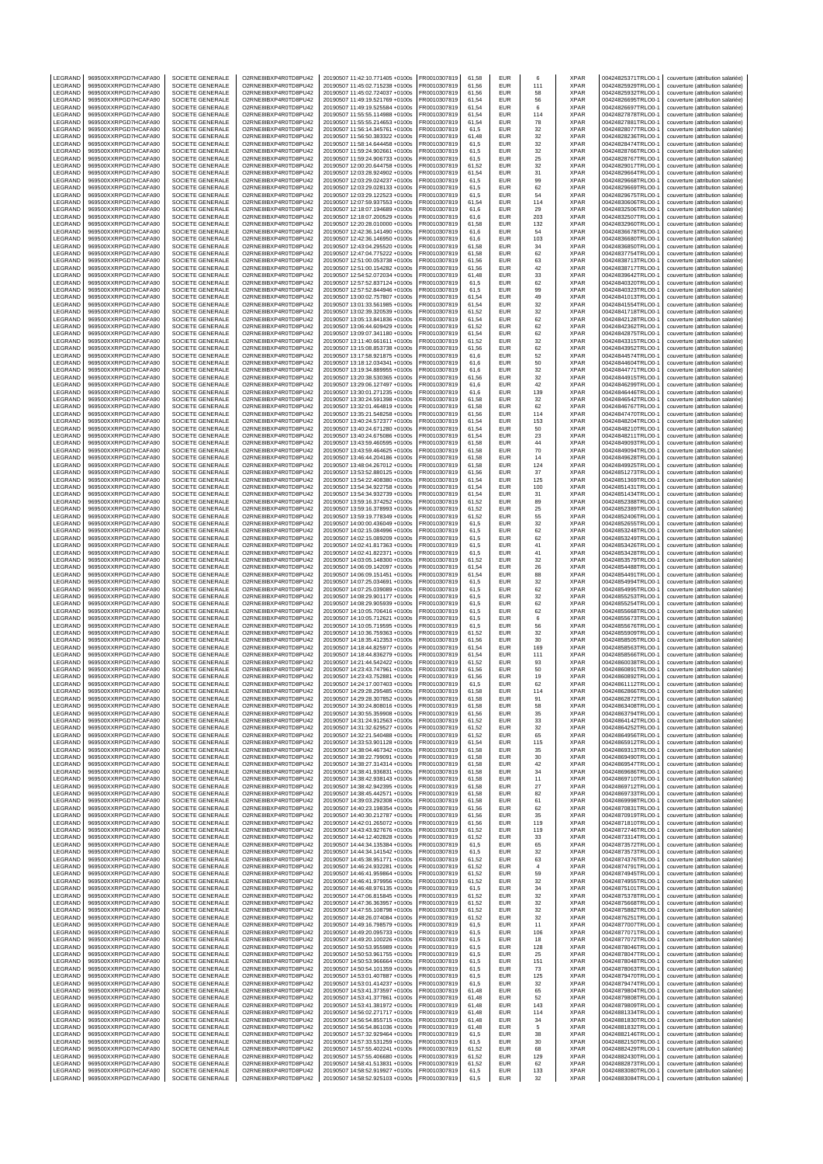| LEGRAND            | 969500XXRPGD7HCAFA90                         | SOCIETE GENERALE                            | O2RNE8IBXP4R0TD8PU42                         | 20190507 11:42:10.771405 +0100s                                    | FR0010307819                 | 61,58          | EUR                      | 6          | XPAR                       | 00424825371TRLO0-1                       | couverture (attribution salariée)                                      |
|--------------------|----------------------------------------------|---------------------------------------------|----------------------------------------------|--------------------------------------------------------------------|------------------------------|----------------|--------------------------|------------|----------------------------|------------------------------------------|------------------------------------------------------------------------|
| LEGRAND<br>LEGRAND | 969500XXRPGD7HCAFA90<br>969500XXRPGD7HCAFA90 | SOCIETE GENERALE<br>SOCIETE GENERALE        | O2RNE8IBXP4R0TD8PU42<br>O2RNE8IBXP4R0TD8PU42 | 20190507 11:45:02.715238 +0100s<br>20190507 11:45:02.724037 +0100s | FR0010307819<br>R0010307819  | 61.56<br>61,56 | <b>EUR</b><br><b>EUR</b> | 111<br>58  | <b>XPAR</b><br>XPAR        | 00424825929TRLO0-1<br>00424825932TRLO0-1 | couverture (attribution salariée)<br>couverture (attribution salariée) |
| LEGRAND            | 969500XXRPGD7HCAFA90                         | SOCIETE GENERALE                            | O2RNE8IBXP4R0TD8PU42                         | 20190507 11:49:19.521769 +0100s                                    | FR0010307819                 | 61.54          | <b>EUR</b>               | 56         | <b>XPAR</b>                | 00424826695TRLO0-1                       | couverture (attribution salariée)                                      |
| LEGRAND            | 969500XXRPGD7HCAFA90                         | SOCIETE GENERALE                            | O2RNE8IBXP4R0TD8PU42                         | 20190507 11:49:19.525584 +0100s                                    | FR0010307819                 | 61,54          | EUR                      | 6          | <b>XPAR</b>                | 00424826697TRLO0-1                       | couverture (attribution salariée)                                      |
| LEGRAND            | 969500XXRPGD7HCAFA90                         | SOCIETE GENERALE                            | O2RNE8IBXP4R0TD8PU42                         | 20190507 11:55:55.114988 +0100s                                    | FR0010307819                 | 61,54          | EUR                      | 114        | <b>XPAR</b>                | 00424827878TRLO0-1                       | couverture (attribution salariée)                                      |
| LEGRAND            | 969500XXRPGD7HCAFA90                         | SOCIETE GENERALE                            | O2RNE8IBXP4R0TD8PU42                         | 20190507 11:55:55.214653 +0100s                                    | FR0010307819                 | 61,54          | EUR<br>EUR               | 78         | XPAR<br><b>XPAR</b>        | 00424827881TRLO0-1                       | couverture (attribution salariée)                                      |
| LEGRAND<br>LEGRAND | 969500XXRPGD7HCAFA90<br>969500XXRPGD7HCAFA90 | SOCIETE GENERALE<br>SOCIETE GENERALE        | O2RNE8IBXP4R0TD8PU42<br>O2RNE8IBXP4R0TD8PU42 | 20190507 11:56:14.345761 +0100s<br>20190507 11:56:50.383322 +0100s | FR0010307819<br>R0010307819  | 61,5<br>61,48  | EUR                      | 32<br>32   | <b>XPAR</b>                | 00424828077TRLO0-1<br>00424828236TRLO0-1 | couverture (attribution salariée)<br>couverture (attribution salariée) |
| LEGRAND            | 969500XXRPGD7HCAFA90                         | SOCIETE GENERALE                            | O2RNE8IBXP4R0TD8PU42                         | 20190507 11:58:14.644458 +0100s                                    | FR0010307819                 | 61,5           | EUR                      | 32         | <b>XPAR</b>                | 00424828474TRLO0-                        | couverture (attribution salariée)                                      |
| LEGRAND            | 969500XXRPGD7HCAFA90                         | SOCIETE GENERALE                            | O2RNE8IBXP4R0TD8PU42                         | 20190507 11:59:24.902661 +0100s                                    | R0010307819                  | 61,5           | EUR                      | 32         | XPAR                       | 00424828766TRLO0-1                       | couverture (attribution salariée)                                      |
| LEGRAND<br>LEGRAND | 969500XXRPGD7HCAFA90                         | SOCIETE GENERALE                            | O2RNE8IBXP4R0TD8PU42                         | 20190507 11:59:24.906733 +0100s                                    | FR0010307819                 | 61,5           | <b>EUR</b><br>EUR        | 25         | <b>XPAR</b>                | 00424828767TRLO0-<br>00424829017TRLO0-1  | couverture (attribution salariée)                                      |
| LEGRAND            | 969500XXRPGD7HCAFA90<br>969500XXRPGD7HCAFA90 | SOCIETE GENERALE<br>SOCIETE GENERALE        | O2RNE8IBXP4R0TD8PU42<br>O2RNE8IBXP4R0TD8PU42 | 20190507 12:00:20.644758 +0100s<br>20190507 12:03:28.924902 +0100s | R0010307819<br>FR0010307819  | 61,52<br>61,54 | EUR                      | 32<br>31   | XPAR<br><b>XPAR</b>        | 00424829664TRLO0-                        | couverture (attribution salariée)<br>couverture (attribution salariée) |
| LEGRAND            | 969500XXRPGD7HCAFA90                         | SOCIETE GENERALE                            | O2RNE8IBXP4R0TD8PU42                         | 20190507 12:03:29.024237 +0100s                                    | FR0010307819                 | 61,5           | EUR                      | 99         | XPAR                       | 00424829668TRLO0-1                       | couverture (attribution salariée)                                      |
| LEGRAND            | 969500XXRPGD7HCAFA90                         | SOCIETE GENERALE                            | O2RNE8IBXP4R0TD8PU42                         | 20190507 12:03:29.028133 +0100s                                    | R0010307819                  | 61,5           | EUR                      | 62         | XPAR                       | 00424829669TRLO0-1                       | couverture (attribution salariée)                                      |
| LEGRAND            | 969500XXRPGD7HCAFA90                         | SOCIETE GENERALE                            | O2RNE8IBXP4R0TD8PU42                         | 20190507 12:03:29.122523 +0100s                                    | FR0010307819                 | 61.5           | EUR                      | 54         | <b>XPAR</b>                | 00424829675TRLO0-                        | couverture (attribution salariée)                                      |
| LEGRAND<br>LEGRAND | 969500XXRPGD7HCAFA90<br>969500XXRPGD7HCAFA90 | SOCIETE GENERALE<br><b>SOCIETE GENERALE</b> | O2RNE8IBXP4R0TD8PU42<br>O2RNE8IBXP4R0TD8PU42 | 20190507 12:07:59.937553 +0100s<br>20190507 12:18:07.194689 +0100s | FR0010307819<br>FR0010307819 | 61,54<br>61,6  | EUR<br>EUR               | 114<br>29  | XPAR<br><b>XPAR</b>        | 00424830606TRLO0-<br>00424832506TRLO0-1  | couverture (attribution salariée)<br>couverture (attribution salariée) |
| LEGRAND            | 969500XXRPGD7HCAFA90                         | SOCIETE GENERALE                            | O2RNE8IBXP4R0TD8PU42                         | 20190507 12:18:07.200529 +0100s                                    | R0010307819                  | 61,6           | <b>EUR</b>               | 203        | XPAR                       | 00424832507TRLO0-1                       | couverture (attribution salariée)                                      |
| LEGRAND            | 969500XXRPGD7HCAFA90                         | SOCIETE GENERALE                            | O2RNE8IBXP4R0TD8PU42                         | 20190507 12:20:28.010000 +0100s                                    | FR0010307819                 | 61.58          | <b>EUR</b>               | 132        | <b>XPAR</b>                | 00424832960TRLO0-                        | couverture (attribution salariée)                                      |
| LEGRAND            | 969500XXRPGD7HCAFA90                         | SOCIETE GENERALE                            | O2RNE8IBXP4R0TD8PU42                         | 20190507 12:42:36.141490 +0100s                                    | FR0010307819                 | 61,6           | EUR                      | 54         | XPAR                       | 00424836678TRLO0-                        | couverture (attribution salariée)                                      |
| LEGRAND<br>LEGRAND | 969500XXRPGD7HCAFA90<br>969500XXRPGD7HCAFA90 | <b>SOCIETE GENERALE</b><br>SOCIETE GENERALE | O2RNE8IBXP4R0TD8PU42<br>O2RNE8IBXP4R0TD8PU42 | 20190507 12:42:36.146950 +0100s<br>20190507 12:43:04.295520 +0100s | FR0010307819<br>R0010307819  | 61.6<br>61,58  | EUR<br>EUR               | 103<br>34  | <b>XPAR</b><br>XPAR        | 00424836680TRLO0-1<br>00424836850TRLO0-1 | couverture (attribution salariée)<br>couverture (attribution salariée) |
| LEGRAND            | 969500XXRPGD7HCAFA90                         | SOCIETE GENERALE                            | O2RNE8IBXP4R0TD8PU42                         | 20190507 12:47:04.775222 +0100s                                    | FR0010307819                 | 61.58          | EUR                      | 62         | <b>XPAR</b>                | 00424837754TRLO0-1                       | couverture (attribution salariée)                                      |
| LEGRAND            | 969500XXRPGD7HCAFA90                         | SOCIETE GENERALE                            | O2RNE8IBXP4R0TD8PU42                         | 20190507 12:51:00.053738 +0100s                                    | FR0010307819                 | 61,56          | EUR                      | 63         | XPAR                       | 00424838713TRLO0-                        | couverture (attribution salariée)                                      |
| LEGRAND            | 969500XXRPGD7HCAFA90                         | SOCIETE GENERALE                            | O2RNE8IBXP4R0TD8PU42                         | 20190507 12:51:00.154282 +0100s                                    | FR0010307819                 | 61,56          | <b>EUR</b>               | 42         | <b>XPAR</b>                | 00424838717TRLO0-1                       | couverture (attribution salariée)                                      |
| LEGRAND<br>LEGRAND | 969500XXRPGD7HCAFA90<br>969500XXRPGD7HCAFA90 | SOCIETE GENERALE<br>SOCIETE GENERALE        | O2RNE8IBXP4R0TD8PU42<br>O2RNE8IBXP4R0TD8PU42 | 20190507 12:54:52.072034 +0100s<br>20190507 12:57:52.837124 +0100s | FR0010307819<br>FR0010307819 | 61,48<br>61,5  | EUR<br>EUR               | 33<br>62   | XPAR<br><b>XPAR</b>        | 00424839642TRLO0-1<br>00424840320TRLO0-1 | couverture (attribution salariée)<br>couverture (attribution salariée) |
| LEGRAND            | 969500XXRPGD7HCAFA90                         | SOCIETE GENERALE                            | O2RNE8IBXP4R0TD8PU42                         | 20190507 12:57:52.844946 +0100s                                    | R0010307819                  | 61,5           | EUR                      | 99         | <b>XPAR</b>                | 00424840323TRLO0-1                       | couverture (attribution salariée)                                      |
| LEGRAND            | 969500XXRPGD7HCAFA90                         | SOCIETE GENERALE                            | O2RNE8IBXP4R0TD8PU42                         | 20190507 13:00:02.757807 +0100s                                    | FR0010307819                 | 61,54          | EUR                      | 49         | <b>XPAR</b>                | 00424841013TRLO0-                        | couverture (attribution salariée)                                      |
| LEGRAND<br>LEGRAND | 969500XXRPGD7HCAFA90<br>969500XXRPGD7HCAFA90 | SOCIETE GENERALE<br>SOCIETE GENERALE        | O2RNE8IBXP4R0TD8PU42<br>O2RNE8IBXP4R0TD8PU42 | 20190507 13:01:33.561985 +0100s<br>20190507 13:02:39.320539 +0100s | FR0010307819<br>FR0010307819 | 61,54<br>61,52 | EUR<br>EUR               | 32         | XPAR<br><b>XPAR</b>        | 00424841554TRLO0-1<br>00424841718TRLO0-  | couverture (attribution salariée)                                      |
| LEGRAND            | 969500XXRPGD7HCAFA90                         | SOCIETE GENERALE                            | O2RNE8IBXP4R0TD8PU42                         | 20190507 13:05:13.841836 +0100s                                    | R0010307819                  | 61,54          | EUR                      | 32<br>62   | <b>XPAR</b>                | 00424842128TRLO0-1                       | couverture (attribution salariée)<br>couverture (attribution salariée) |
| LEGRAND            | 969500XXRPGD7HCAFA90                         | SOCIETE GENERALE                            | O2RNE8IBXP4R0TD8PU42                         | 20190507 13:06:44.609429 +0100s                                    | FR0010307819                 | 61,52          | EUR                      | 62         | <b>XPAR</b>                | 00424842362TRLO0-                        | couverture (attribution salariée)                                      |
| LEGRAND            | 969500XXRPGD7HCAFA90                         | SOCIETE GENERALE                            | O2RNE8IBXP4R0TD8PU42                         | 20190507 13:09:07.341180 +0100s                                    | R0010307819                  | 61,54          | EUR                      | 62         | XPAR                       | 00424842875TRLO0-1                       | couverture (attribution salariée)                                      |
| LEGRAND<br>LEGRAND | 969500XXRPGD7HCAFA90<br>969500XXRPGD7HCAFA90 | SOCIETE GENERALE<br>SOCIETE GENERALE        | O2RNE8IBXP4R0TD8PU42<br>O2RNE8IBXP4R0TD8PU42 | 20190507 13:11:40.661611 +0100s<br>20190507 13:15:08.853738 +0100s | FR0010307819<br>R0010307819  | 61,52<br>61,56 | <b>EUR</b><br>EUR        | 32<br>62   | <b>XPAR</b><br>XPAR        | 00424843315TRLO0-<br>00424843952TRLO0-   | couverture (attribution salariée)<br>couverture (attribution salariée) |
| LEGRAND            | 969500XXRPGD7HCAFA90                         | SOCIETE GENERALE                            | O2RNE8IBXP4R0TD8PU42                         | 20190507 13:17:58.921875 +0100s                                    | FR0010307819                 | 61,6           | EUR                      | 52         | <b>XPAR</b>                | 00424844574TRLO0-                        | couverture (attribution salariée)                                      |
| LEGRAND            | 969500XXRPGD7HCAFA90                         | SOCIETE GENERALE                            | O2RNE8IBXP4R0TD8PU42                         | 20190507 13:18:12.034341 +0100s                                    | FR0010307819                 | 61,6           | EUR                      | 50         | <b>XPAR</b>                | 00424844604TRLO0-1                       | couverture (attribution salariée)                                      |
| LEGRAND            | 969500XXRPGD7HCAFA90                         | SOCIETE GENERALE                            | O2RNE8IBXP4R0TD8PU42                         | 20190507 13:19:34.889955 +0100s                                    | R0010307819                  | 61,6           | EUR                      | 32         | XPAR                       | 00424844771TRLO0-1                       | couverture (attribution salariée)                                      |
| LEGRAND            | 969500XXRPGD7HCAFA90                         | SOCIETE GENERALE<br>SOCIETE GENERALE        | O2RNE8IBXP4R0TD8PU42                         | 20190507 13:20:38.530365 +0100s                                    | FR0010307819                 | 61.56          | EUR                      | 32         | <b>XPAR</b>                | 00424844915TRLO0-1                       | couverture (attribution salariée)                                      |
| LEGRAND<br>LEGRAND | 969500XXRPGD7HCAFA90<br>969500XXRPGD7HCAFA90 | <b>SOCIETE GENERALE</b>                     | O2RNE8IBXP4R0TD8PU42<br>O2RNE8IBXP4R0TD8PU42 | 20190507 13:29:06.127497 +0100s<br>20190507 13:30:01.271235 +0100s | FR0010307819<br>FR0010307819 | 61,6<br>61.6   | EUR<br><b>EUR</b>        | 42<br>139  | XPAR<br><b>XPAR</b>        | 00424846299TRLO0-<br>00424846446TRLO0-1  | couverture (attribution salariée)<br>couverture (attribution salariée) |
| LEGRAND            | 969500XXRPGD7HCAFA90                         | SOCIETE GENERALE                            | O2RNE8IBXP4R0TD8PU42                         | 20190507 13:30:24.591398 +0100s                                    | R0010307819                  | 61,58          | <b>EUR</b>               | 32         | XPAR                       | 00424846542TRLO0-1                       | couverture (attribution salariée)                                      |
| LEGRAND            | 969500XXRPGD7HCAFA90                         | SOCIETE GENERALE                            | O2RNE8IBXP4R0TD8PU42                         | 20190507 13:32:01.464819 +0100s                                    | FR0010307819                 | 61.58          | EUR                      | 62         | <b>XPAR</b>                | 00424846767TRLO0-                        | couverture (attribution salariée)                                      |
| LEGRAND<br>LEGRAND | 969500XXRPGD7HCAFA90<br>969500XXRPGD7HCAFA90 | SOCIETE GENERALE<br><b>SOCIETE GENERALE</b> | O2RNE8IBXP4R0TD8PU42<br>O2RNE8IBXP4R0TD8PU42 | 20190507 13:35:21.548258 +0100s<br>20190507 13:40:24.572377 +0100s | FR0010307819<br>FR0010307819 | 61,56<br>61.54 | EUR<br>EUR               | 114<br>153 | XPAR<br><b>XPAR</b>        | 00424847470TRLO0-<br>00424848204TRLO0-1  | couverture (attribution salariée)<br>couverture (attribution salariée) |
| LEGRAND            | 969500XXRPGD7HCAFA90                         | SOCIETE GENERALE                            | O2RNE8IBXP4R0TD8PU42                         | 20190507 13:40:24.671280 +0100s                                    | R0010307819                  | 61,54          | EUR                      | 50         | XPAR                       | 00424848210TRLO0-1                       | couverture (attribution salariée)                                      |
| LEGRAND            | 969500XXRPGD7HCAFA90                         | SOCIETE GENERALE                            | O2RNE8IBXP4R0TD8PU42                         | 20190507 13:40:24.675086 +0100s                                    | FR0010307819                 | 61.54          | EUR                      | 23         | <b>XPAR</b>                | 00424848211TRLO0-1                       | couverture (attribution salariée)                                      |
| LEGRAND            | 969500XXRPGD7HCAFA90                         | SOCIETE GENERALE                            | O2RNE8IBXP4R0TD8PU42                         | 20190507 13:43:59.460595 +0100s                                    | FR0010307819                 | 61,58          | EUR                      | 44         | XPAR                       | 00424849093TRLO0-                        | couverture (attribution salariée)                                      |
| LEGRAND            | 969500XXRPGD7HCAFA90                         | <b>SOCIETE GENERALE</b>                     | O2RNE8IBXP4R0TD8PU42                         | 20190507 13:43:59.464625 +0100s                                    | FR0010307819                 | 61,58          | <b>EUR</b>               | 70         | XPAR                       | 00424849094TRLO0-                        | couverture (attribution salariée)                                      |
| LEGRAND<br>LEGRAND | 969500XXRPGD7HCAFA90<br>969500XXRPGD7HCAFA90 | SOCIETE GENERALE<br>SOCIETE GENERALE        | O2RNE8IBXP4R0TD8PU42<br>O2RNE8IBXP4R0TD8PU42 | 20190507 13:46:44.204186 +0100s<br>20190507 13:48:04.267012 +0100s | R0010307819<br>FR0010307819  | 61,58<br>61,58 | EUR<br>EUR               | 14<br>124  | XPAR<br><b>XPAR</b>        | 00424849628TRLO0-1<br>00424849925TRLO0-1 | couverture (attribution salariée)<br>couverture (attribution salariée) |
| LEGRAND            | 969500XXRPGD7HCAFA90                         | SOCIETE GENERALE                            | O2RNE8IBXP4R0TD8PU42                         | 20190507 13:53:52.880125 +0100s                                    | R0010307819                  | 61,56          | EUR                      | 37         | XPAR                       | 00424851273TRLO0-1                       | couverture (attribution salariée)                                      |
| LEGRAND            | 969500XXRPGD7HCAFA90                         | SOCIETE GENERALE                            | O2RNE8IBXP4R0TD8PU42                         | 20190507 13:54:22.408380 +0100s                                    | FR0010307819                 | 61,54          | EUR                      | 125        | <b>XPAR</b>                | 00424851369TRLO0-                        | couverture (attribution salariée)                                      |
| LEGRAND            | 969500XXRPGD7HCAFA90                         | SOCIETE GENERALE                            | O2RNE8IBXP4R0TD8PU42                         | 20190507 13:54:34.922758 +0100s                                    | FR0010307819                 | 61,54          | EUR                      | 100        | XPAR                       | 00424851431TRLO0-1                       | couverture (attribution salariée)                                      |
| LEGRAND<br>LEGRAND | 969500XXRPGD7HCAFA90<br>969500XXRPGD7HCAFA90 | SOCIETE GENERALE<br>SOCIETE GENERALE        | O2RNE8IBXP4R0TD8PU42<br>O2RNE8IBXP4R0TD8PU42 | 20190507 13:54:34.932739 +0100s<br>20190507 13:59:16.374252 +0100s | FR0010307819<br>R0010307819  | 61,54<br>61,52 | EUR<br>EUR               | 31<br>89   | <b>XPAR</b><br><b>XPAR</b> | 00424851434TRLO0-1<br>00424852388TRLO0-1 | couverture (attribution salariée)<br>couverture (attribution salariée) |
| LEGRAND            | 969500XXRPGD7HCAFA90                         | SOCIETE GENERALE                            | O2RNE8IBXP4R0TD8PU42                         | 20190507 13:59:16.378993 +0100s                                    | FR0010307819                 | 61,52          | EUR                      | 25         | <b>XPAR</b>                | 00424852389TRLO0-                        | couverture (attribution salariée)                                      |
| LEGRAND            | 969500XXRPGD7HCAFA90                         | SOCIETE GENERALE                            | O2RNE8IBXP4R0TD8PU42                         | 20190507 13:59:19.778349 +0100s                                    | R0010307819                  | 61,52          | EUR                      | 55         | XPAR                       | 00424852406TRLO0-1                       | couverture (attribution salariée)                                      |
| LEGRAND            | 969500XXRPGD7HCAFA90                         | SOCIETE GENERALE                            | O2RNE8IBXP4R0TD8PU42                         | 20190507 14:00:00.436049 +0100s                                    | FR0010307819                 | 61,5           | <b>EUR</b><br>EUR        | 32         | XPAR                       | 00424852655TRLO0-1                       | couverture (attribution salariée)                                      |
| LEGRAND<br>LEGRAND | 969500XXRPGD7HCAFA90<br>969500XXRPGD7HCAFA90 | SOCIETE GENERALE<br>SOCIETE GENERALE        | O2RNE8IBXP4R0TD8PU42<br>O2RNE8IBXP4R0TD8PU42 | 20190507 14:02:15.084996 +0100s<br>20190507 14:02:15.089209 +0100s | R0010307819<br>R0010307819   | 61,5<br>61,5   | EUR                      | 62<br>62   | XPAR<br>XPAR               | 00424853248TRLO0-1<br>00424853249TRLO0-1 | couverture (attribution salariée)<br>couverture (attribution salariée) |
| LEGRAND            | 969500XXRPGD7HCAFA90                         | <b>SOCIETE GENERALE</b>                     | O2RNE8IBXP4R0TD8PU42                         | 20190507 14:02:41.817363 +0100s                                    | FR0010307819                 | 61,5           | EUR                      | 41         | <b>XPAR</b>                | 00424853426TRLO0-1                       | couverture (attribution salariée)                                      |
| LEGRAND            | 969500XXRPGD7HCAFA90                         | SOCIETE GENERALE                            | O2RNE8IBXP4R0TD8PU42                         | 20190507 14:02:41.822371 +0100s                                    | FR0010307819                 | 61,5           | EUR                      | 41         | XPAR                       | 00424853428TRLO0-1                       | couverture (attribution salariée)                                      |
| LEGRAND            | 969500XXRPGD7HCAFA90                         | SOCIETE GENERALE                            | O2RNE8IBXP4R0TD8PU42                         | 20190507 14:03:05.148300 +0100s                                    | FR0010307819                 | 61.52          | EUR                      | 32         | <b>XPAR</b>                | 00424853579TRLO0-1                       | couverture (attribution salariée)                                      |
| LEGRAND<br>LEGRAND | 969500XXRPGD7HCAFA90<br>969500XXRPGD7HCAFA90 | SOCIETE GENERALE<br><b>SOCIETE GENERALE</b> | O2RNE8IBXP4R0TD8PU42<br>O2RNE8IBXP4R0TD8PU42 | 20190507 14:06:09.142097 +0100s<br>20190507 14:06:09.151451 +0100s | FR0010307819<br>FR0010307819 | 61,54<br>61.54 | EUR<br><b>EUR</b>        | 26<br>88   | XPAR<br><b>XPAR</b>        | 00424854488TRLO0-<br>00424854491TRLO0-1  | couverture (attribution salariée)<br>couverture (attribution salariée) |
| LEGRAND            | 969500XXRPGD7HCAFA90                         | SOCIETE GENERALE                            | O2RNE8IBXP4R0TD8PU42                         | 20190507 14:07:25.034691 +0100s                                    | R0010307819                  | 61,5           | EUR                      | 32         | XPAR                       | 00424854994TRLO0-1                       | couverture (attribution salariée)                                      |
| LEGRAND            | 969500XXRPGD7HCAFA90                         | SOCIETE GENERALE                            | O2RNE8IBXP4R0TD8PU42                         | 20190507 14:07:25.039089 +0100s                                    | FR0010307819                 | 61.5           | EUR                      | 62         | <b>XPAR</b>                | 00424854995TRLO0-1                       | couverture (attribution salariée)                                      |
| LEGRAND            | 969500XXRPGD7HCAFA90                         | SOCIETE GENERALE                            | O2RNE8IBXP4R0TD8PU42                         | 20190507 14:08:29.901177 +0100s                                    | FR0010307819                 | 61,5           | EUR                      | 32         | XPAR                       | 00424855253TRLO0-                        | couverture (attribution salariée)                                      |
| LEGRAND<br>LEGRAND | 969500XXRPGD7HCAFA90<br>969500XXRPGD7HCAFA90 | <b>SOCIETE GENERALE</b><br>SOCIETE GENERALE | O2RNE8IBXP4R0TD8PU42<br>O2RNE8IBXP4R0TD8PU42 | 20190507 14:08:29.905939 +0100s<br>20190507 14:10:05.706416 +0100s | FR0010307819<br>R0010307819  | 61.5<br>61,5   | EUR<br>EUR               | 62<br>62   | <b>XPAR</b><br>XPAR        | 00424855254TRLO0-1<br>00424855668TRLO0-1 | couverture (attribution salariée)<br>couverture (attribution salariée) |
| LEGRAND            | 969500XXRPGD7HCAFA90                         | SOCIETE GENERALE                            | O2RNE8IBXP4R0TD8PU42                         | 20190507 14:10:05.712621 +0100s                                    | FR0010307819                 | 61,5           | <b>EUR</b>               | 6          | <b>XPAR</b>                | 00424855673TRLO0-1                       | couverture (attribution salariée)                                      |
| LEGRAND            | 969500XXRPGD7HCAFA90                         | SOCIETE GENERALE                            | O2RNE8IBXP4R0TD8PU42                         | 20190507 14:10:05.719595 +0100s                                    | FR0010307819                 | 61,5           | EUR                      | 56         | <b>XPAR</b>                | 00424855676TRLO0-1                       | couverture (attribution salariée)                                      |
| LEGRAND            | 969500XXRPGD7HCAFA90                         | SOCIETE GENERALE                            | O2RNE8IBXP4R0TD8PU42                         | 20190507 14:10:36.759363 +0100s                                    | FR0010307819                 | 61,52          | <b>EUR</b>               | 32         | <b>XPAR</b>                | 00424855909TRLO0-1                       | couverture (attribution salariée)                                      |
| LEGRAND<br>LEGRAND | 969500XXRPGD7HCAFA90<br>969500XXRPGD7HCAFA90 | SOCIETE GENERALE<br>SOCIETE GENERALE        | O2RNE8IBXP4R0TD8PU42<br>O2RNE8IBXP4R0TD8PU42 | 20190507 14:18:35.412353 +0100s                                    | R0010307819<br>FR0010307819  | 61.56<br>61,54 | EUR<br><b>EUR</b>        | 30<br>169  | XPAR<br><b>XPAR</b>        | 00424858505TRLO0-1<br>00424858563TRLO0-  | couverture (attribution salariée)<br>couverture (attribution salariée) |
| LEGRAND            | 969500XXRPGD7HCAFA90                         | SOCIETE GENERALE                            | O2RNE8IBXP4R0TD8PU42                         | 20190507 14:18:44.825977 +0100s<br>20190507 14:18:44.836279 +0100s | R0010307819                  | 61,54          | EUR                      | 111        | <b>XPAR</b>                | 00424858566TRLO0-                        | couverture (attribution salariée)                                      |
| LEGRAND            | 969500XXRPGD7HCAFA90                         | SOCIETE GENERALE                            | O2RNE8IBXP4R0TD8PU42                         | 20190507 14:21:44.542422 +0100s                                    | FR0010307819                 | 61.52          | EUR                      | 93         | <b>XPAR</b>                | 00424860038TRLO0-1                       | couverture (attribution salariée)                                      |
| LEGRAND            | 969500XXRPGD7HCAFA90                         | SOCIETE GENERALE                            | O2RNE8IBXP4R0TD8PU42                         | 20190507 14:23:43.747961 +0100s                                    | R0010307819                  | 61.56          | EUR                      | 50         | <b>XPAR</b>                | 00424860891TRLO0-1                       | couverture (attribution salariée)                                      |
| LEGRAND<br>LEGRAND | 969500XXRPGD7HCAFA90<br>969500XXRPGD7HCAFA90 | SOCIETE GENERALE<br>SOCIETE GENERALE        | O2RNE8IBXP4R0TD8PU42<br>O2RNE8IBXP4R0TD8PU42 | 20190507 14:23:43.752881 +0100s<br>20190507 14:24:17.007403 +0100s | FR0010307819<br>FR0010307819 | 61,56<br>61,5  | EUR<br><b>EUR</b>        | 19<br>62   | <b>XPAR</b><br><b>XPAR</b> | 00424860892TRLO0-1<br>00424861112TRLO0-1 | couverture (attribution salariée)<br>couverture (attribution salariée) |
| LEGRAND            | 969500XXRPGD7HCAFA90                         | SOCIETE GENERALE                            | O2RNE8IBXP4R0TD8PU42                         | 20190507 14:29:28.295485 +0100s                                    | FR0010307819                 | 61,58          | EUR                      | 114        | <b>XPAR</b>                | 00424862866TRLO0-1                       | couverture (attribution salariée)                                      |
| <b>IFGRAND</b>     | 969500XXRPGD7HCAFA90                         | SOCIETE GENERALE                            | O2RNE8IBXP4R0TD8PU42                         | 20190507 14:29:28.307852 +0100s                                    | FR0010307819                 | 61.58          | <b>EUR</b>               | 91         | <b>XPAR</b>                | 00424862872TRLO0-1                       | couverture (attribution salariée)                                      |
| LEGRAND            | 969500XXRPGD7HCAFA90                         | SOCIETE GENERALE                            | O2RNE8IBXP4R0TD8PU42                         | 20190507 14:30:24.808016 +0100s                                    | FR0010307819<br>FR0010307819 | 61,58          | <b>EUR</b>               | 58         | <b>XPAR</b>                | 00424863408TRLO0-1<br>00424863794TRLO0-1 | couverture (attribution salariée)                                      |
| LEGRAND<br>LEGRAND | 969500XXRPGD7HCAFA90<br>969500XXRPGD7HCAFA90 | SOCIETE GENERALE<br>SOCIETE GENERALE        | O2RNE8IBXP4R0TD8PU42<br>O2RNE8IBXP4R0TD8PU42 | 20190507 14:30:55.359908 +0100s<br>20190507 14:31:24.912563 +0100s | FR0010307819                 | 61.56<br>61,52 | <b>EUR</b><br>EUR        | 35<br>33   | <b>XPAR</b><br><b>XPAR</b> | 00424864142TRLO0-1                       | couverture (attribution salariée)<br>couverture (attribution salariée) |
| LEGRAND            | 969500XXRPGD7HCAFA90                         | SOCIETE GENERALE                            | O2RNE8IBXP4R0TD8PU42                         | 20190507 14:31:32 629527 +0100s                                    | FR0010307819                 | 61.52          | <b>EUR</b>               | 32         | <b>XPAR</b>                | 00424864252TRLO0-1                       | couverture (attribution salariée)                                      |
| LEGRAND            | 969500XXRPGD7HCAFA90                         | SOCIETE GENERALE                            | O2RNE8IBXP4R0TD8PU42                         | 20190507 14:32:21.540488 +0100s                                    | FR0010307819                 | 61,52          | EUR                      | 65         | <b>XPAR</b>                | 00424864956TRLO0-1                       | couverture (attribution salariée)                                      |
| LEGRAND            | 969500XXRPGD7HCAFA90                         | SOCIETE GENERALE<br>SOCIETE GENERALE        | O2RNE8IBXP4R0TD8PU42                         | 20190507 14:33:53.901128 +0100s<br>20190507 14:38:04.467342 +0100s | FR0010307819                 | 61.54          | <b>EUR</b>               | 115        | <b>XPAR</b>                | 00424865912TRLO0-1                       | couverture (attribution salariée)                                      |
| LEGRAND<br>LEGRAND | 969500XXRPGD7HCAFA90<br>969500XXRPGD7HCAFA90 | SOCIETE GENERALE                            | O2RNE8IBXP4R0TD8PU42<br>O2RNE8IBXP4R0TD8PU42 | 20190507 14:38:22.799091 +0100s                                    | FR0010307819<br>FR0010307819 | 61,58<br>61.58 | EUR<br><b>EUR</b>        | 35<br>30   | <b>XPAR</b><br><b>XPAR</b> | 00424869313TRLO0-1<br>00424869490TRLO0-1 | couverture (attribution salariée)<br>couverture (attribution salariée) |
| LEGRAND            | 969500XXRPGD7HCAFA90                         | SOCIETE GENERALE                            | O2RNE8IBXP4R0TD8PU42                         | 20190507 14:38:27.314314 +0100s                                    | FR0010307819                 | 61,58          | EUR                      | 42         | XPAR                       | 00424869547TRLO0-1                       | couverture (attribution salariée)                                      |
| LEGRAND            | 969500XXRPGD7HCAFA90                         | SOCIETE GENERALE                            | O2RNE8IBXP4R0TD8PU42                         | 20190507 14:38:41.936831 +0100s                                    | FR0010307819                 | 61.58          | <b>EUR</b>               | 34         | <b>XPAR</b>                | 00424869686TRLO0-1                       | couverture (attribution salariée)                                      |
| LEGRAND<br>LEGRAND | 969500XXRPGD7HCAFA90<br>969500XXRPGD7HCAFA90 | SOCIETE GENERALE<br>SOCIETE GENERALE        | O2RNE8IBXP4R0TD8PU42<br>O2RNE8IBXP4R0TD8PU42 | 20190507 14:38:42.938143 +0100s<br>20190507 14:38:42.942395 +0100s | FR0010307819<br>FR0010307819 | 61,58<br>61.58 | EUR<br><b>EUR</b>        | 11<br>27   | <b>XPAR</b><br><b>XPAR</b> | 00424869710TRLO0-1<br>00424869712TRLO0-1 | couverture (attribution salariée)<br>couverture (attribution salariée) |
| LEGRAND            | 969500XXRPGD7HCAFA90                         | SOCIETE GENERALE                            | O2RNE8IBXP4R0TD8PU42                         | 20190507 14:38:45.442571 +0100s                                    | FR0010307819                 | 61,58          | EUR                      | 82         | <b>XPAR</b>                | 00424869733TRLO0-1                       | couverture (attribution salariée)                                      |
| LEGRAND            | 969500XXRPGD7HCAFA90                         | SOCIETE GENERALE                            | O2RNE8IBXP4R0TD8PU42                         | 20190507 14:39:03.292308 +0100s                                    | FR0010307819                 |                | <b>EUR</b>               |            | <b>XPAR</b>                | 00424869998TRLO0-1                       | couverture (attribution salariée)                                      |
| LEGRAND<br>LEGRAND | 969500XXRPGD7HCAFA90<br>969500XXRPGD7HCAFA90 | SOCIETE GENERALE                            | O2RNE8IBXP4R0TD8PU42                         | 20190507 14:40:23.198354 +0100s                                    |                              | 61.58          |                          | 61         |                            | 00424870831TRLO0-1                       |                                                                        |
| LEGRAND            |                                              |                                             |                                              |                                                                    | FR0010307819                 | 61,56          | <b>EUR</b>               | 62         | <b>XPAR</b>                |                                          | couverture (attribution salariée)                                      |
| LEGRAND            | 969500XXRPGD7HCAFA90                         | <b>SOCIETE GENERALE</b><br>SOCIETE GENERALE | O2RNE8IBXP4R0TD8PU42<br>O2RNE8IBXP4R0TD8PU42 | 20190507 14:40:30.212787 +0100s<br>20190507 14:42:01.265072 +0100s | FR0010307819<br>FR0010307819 | 61,56<br>61,56 | <b>EUR</b><br><b>EUR</b> | 35<br>119  | <b>XPAR</b><br><b>XPAR</b> | 00424870919TRLO0-1<br>00424871810TRLO0-1 | couverture (attribution salariée)<br>couverture (attribution salariée) |
| LEGRAND<br>LEGRAND | 969500XXRPGD7HCAFA90                         | SOCIETE GENERALE                            | O2RNE8IBXP4R0TD8PU42                         | 20190507 14:43:43.927676 +0100s                                    | FR0010307819                 | 61.52          | <b>EUR</b>               | 119        | <b>XPAR</b>                | 00424872746TRLO0-1                       | couverture (attribution salariée)                                      |
|                    | 969500XXRPGD7HCAFA90                         | SOCIETE GENERALE                            | O2RNE8IBXP4R0TD8PU42                         | 20190507 14:44:12.402828 +0100s                                    | FR0010307819                 | 61,52          | <b>EUR</b>               | 33         | <b>XPAR</b>                | 00424873314TRLO0-1                       | couverture (attribution salariée)                                      |
|                    | 969500XXRPGD7HCAFA90                         | SOCIETE GENERALE                            | O2RNE8IBXP4R0TD8PU42                         | 20190507 14:44:34.135384 +0100s                                    | FR0010307819                 | 61,5           | <b>EUR</b><br><b>EUR</b> | 65         | <b>XPAR</b>                | 00424873572TRLO0-1                       | couverture (attribution salariée)                                      |
| LEGRAND<br>LEGRAND | 969500XXRPGD7HCAFA90<br>969500XXRPGD7HCAFA90 | SOCIETE GENERALE<br>SOCIETE GENERALE        | O2RNE8IBXP4R0TD8PU42<br>O2RNE8IBXP4R0TD8PU42 | 20190507 14:44:34.141542 +0100s<br>20190507 14:45:38.951771 +0100s | FR0010307819<br>FR0010307819 | 61,5<br>61.52  | <b>FUR</b>               | 32<br>63   | <b>XPAR</b><br><b>XPAR</b> | 00424873573TRLO0-1<br>00424874376TRLO0-1 | couverture (attribution salariée)<br>couverture (attribution salariée) |
| LEGRAND            | 969500XXRPGD7HCAFA90                         | SOCIETE GENERALE                            | O2RNE8IBXP4R0TD8PU42                         | 20190507 14:46:24.932281 +0100s                                    | FR0010307819                 | 61,52          | <b>EUR</b>               | $\sqrt{4}$ | <b>XPAR</b>                | 00424874791TRLO0-1                       | couverture (attribution salariée)                                      |
| LEGRAND            | 969500XXRPGD7HCAFA90                         | SOCIETE GENERALE                            | O2RNE8IBXP4R0TD8PU42                         | 20190507 14:46:41.959864 +0100s                                    | FR0010307819                 | 61,52          | <b>EUR</b>               | 59         | <b>XPAR</b>                | 00424874945TRLO0-1                       | couverture (attribution salariée)                                      |
| LEGRAND<br>LEGRAND | 969500XXRPGD7HCAFA90<br>969500XXRPGD7HCAFA90 | SOCIETE GENERALE<br>SOCIETE GENERALE        | O2RNE8IBXP4R0TD8PU42<br>O2RNE8IBXP4R0TD8PU42 | 20190507 14:46:41.979956 +0100s<br>20190507 14:46:48.976135 +0100s | FR0010307819<br>FR0010307819 | 61.52<br>61,5  | <b>EUR</b><br>EUR        | 32<br>34   | <b>XPAR</b><br>XPAR        | 00424874955TRLO0-1<br>00424875101TRLO0-1 | couverture (attribution salariée)                                      |
| LEGRAND            | 969500XXRPGD7HCAFA90                         | SOCIETE GENERALE                            | O2RNE8IBXP4R0TD8PU42                         | 20190507 14:47:06.815845 +0100s                                    | FR0010307819                 | 61.52          | EUR                      | 32         | <b>XPAR</b>                | 00424875378TRLO0-1                       | couverture (attribution salariée)<br>couverture (attribution salariée) |
| LEGRAND            | 969500XXRPGD7HCAFA90                         | SOCIETE GENERALE                            | O2RNE8IBXP4R0TD8PU42                         | 20190507 14:47:36.363957 +0100s                                    | FR0010307819                 | 61,52          | EUR                      | 32         | <b>XPAR</b>                | 00424875668TRLO0-1                       | couverture (attribution salariée)                                      |
| LEGRAND            | 969500XXRPGD7HCAFA90                         | SOCIETE GENERALE                            | O2RNE8IBXP4R0TD8PU42                         | 20190507 14:47:55.108798 +0100s                                    | FR0010307819                 | 61.52          | <b>EUR</b>               | 32         | <b>XPAR</b>                | 00424875882TRLO0-1                       | couverture (attribution salariée)                                      |
| LEGRAND<br>LEGRAND | 969500XXRPGD7HCAFA90<br>969500XXRPGD7HCAFA90 | SOCIETE GENERALE<br>SOCIETE GENERALE        | O2RNE8IBXP4R0TD8PU42<br>O2RNE8IBXP4R0TD8PU42 | 20190507 14:48:26.074084 +0100s<br>20190507 14:49:16.798579 +0100s | FR0010307819<br>FR0010307819 | 61,52<br>61.5  | EUR<br><b>EUR</b>        | 32<br>11   | <b>XPAR</b><br><b>XPAR</b> | 00424876251TRLO0-1<br>00424877007TRLO0-1 | couverture (attribution salariée)<br>couverture (attribution salariée) |
| LEGRAND            | 969500XXRPGD7HCAFA90                         | SOCIETE GENERALE                            | O2RNE8IBXP4R0TD8PU42                         | 20190507 14:49:20.095733 +0100s                                    | FR0010307819                 | 61,5           | EUR                      | 106        | <b>XPAR</b>                | 00424877071TRLO0-1                       | couverture (attribution salariée)                                      |
| LEGRAND            | 969500XXRPGD7HCAFA90                         | SOCIETE GENERALE                            | O2RNE8IBXP4R0TD8PU42                         | 20190507 14:49:20.100226 +0100s                                    | FR0010307819                 | 61.5           | <b>EUR</b>               | 18         | <b>XPAR</b>                | 00424877072TRLO0-1                       | couverture (attribution salariée)                                      |
| LEGRAND<br>LEGRAND | 969500XXRPGD7HCAFA90<br>969500XXRPGD7HCAFA90 | SOCIETE GENERALE                            | O2RNE8IBXP4R0TD8PU42<br>O2RNE8IBXP4R0TD8PU42 | 20190507 14:50:53.955989 +0100s<br>20190507 14:50:53.961755 +0100s | FR0010307819<br>FR0010307819 | 61,5<br>61.5   | EUR<br><b>EUR</b>        | 128<br>25  | XPAR<br><b>XPAR</b>        | 00424878046TRLO0-1<br>00424878047TRLO0-1 | couverture (attribution salariée)                                      |
| LEGRAND            | 969500XXRPGD7HCAFA90                         | SOCIETE GENERALE<br>SOCIETE GENERALE        | O2RNE8IBXP4R0TD8PU42                         | 20190507 14:50:53.966664 +0100s                                    | FR0010307819                 | 61,5           | EUR                      | 151        | <b>XPAR</b>                | 00424878048TRLO0-1                       | couverture (attribution salariée)<br>couverture (attribution salariée) |
| LEGRAND            | 969500XXRPGD7HCAFA90                         | SOCIETE GENERALE                            | O2RNE8IBXP4R0TD8PU42                         | 20190507 14:50:54.101359 +0100s                                    | FR0010307819                 | 61,5           | <b>EUR</b>               | 73         | <b>XPAR</b>                | 00424878063TRLO0-1                       | couverture (attribution salariée)                                      |
| LEGRAND            | 969500XXRPGD7HCAFA90                         | SOCIETE GENERALE                            | O2RNE8IBXP4R0TD8PU42                         | 20190507 14:53:01.407887 +0100s                                    | FR0010307819                 | 61,5           | <b>EUR</b>               | 125        | <b>XPAR</b>                | 00424879470TRLO0-1                       | couverture (attribution salariée)                                      |
| LEGRAND<br>LEGRAND | 969500XXRPGD7HCAFA90<br>969500XXRPGD7HCAFA90 | SOCIETE GENERALE                            | O2RNE8IBXP4R0TD8PU42                         | 20190507 14:53:01.414237 +0100s                                    | FR0010307819                 | 61,5           | <b>EUR</b><br><b>EUR</b> | 32         | <b>XPAR</b><br><b>XPAR</b> | 00424879474TRLO0-1                       | couverture (attribution salariée)                                      |
| LEGRAND            | 969500XXRPGD7HCAFA90                         | SOCIETE GENERALE<br>SOCIETE GENERALE        | O2RNE8IBXP4R0TD8PU42<br>O2RNE8IBXP4R0TD8PU42 | 20190507 14:53:41.373597 +0100s<br>20190507 14:53:41.377861 +0100s | FR0010307819<br>FR0010307819 | 61,48<br>61,48 | <b>EUR</b>               | 65<br>52   | <b>XPAR</b>                | 00424879804TRLO0-1<br>00424879808TRLO0-1 | couverture (attribution salariée)<br>couverture (attribution salariée) |
| LEGRAND            | 969500XXRPGD7HCAFA90                         | SOCIETE GENERALE                            | O2RNE8IBXP4R0TD8PU42                         | 20190507 14:53:41.381972 +0100s                                    | FR0010307819                 | 61,48          | <b>EUR</b>               | 143        | <b>XPAR</b>                | 00424879809TRLO0-1                       | couverture (attribution salariée)                                      |
| LEGRAND            | 969500XXRPGD7HCAFA90                         | SOCIETE GENERALE                            | O2RNE8IBXP4R0TD8PU42                         | 20190507 14:56:02.271717 +0100s                                    | FR0010307819                 | 61,48          | <b>EUR</b>               | 114        | <b>XPAR</b>                | 00424881334TRLO0-1                       | couverture (attribution salariée)                                      |
| LEGRAND<br>LEGRAND | 969500XXRPGD7HCAFA90<br>969500XXRPGD7HCAFA90 | SOCIETE GENERALE<br>SOCIETE GENERALE        | O2RNE8IBXP4R0TD8PU42<br>O2RNE8IBXP4R0TD8PU42 | 20190507 14:56:54.855715 +0100s<br>20190507 14:56:54.861036 +0100s | FR0010307819<br>FR0010307819 | 61,48<br>61,48 | <b>EUR</b><br><b>EUR</b> | 34<br>5    | <b>XPAR</b><br><b>XPAR</b> | 00424881830TRLO0-1<br>00424881832TRLO0-1 | couverture (attribution salariée)                                      |
| LEGRAND            | 969500XXRPGD7HCAFA90                         | SOCIETE GENERALE                            | O2RNE8IBXP4R0TD8PU42                         | 20190507 14:57:32.929464 +0100s                                    | FR0010307819                 | 61,5           | <b>EUR</b>               | 38         | <b>XPAR</b>                | 00424882146TRLO0-1                       | couverture (attribution salariée)<br>couverture (attribution salariée) |
| LEGRAND            | 969500XXRPGD7HCAFA90                         | SOCIETE GENERALE                            | O2RNE8IBXP4R0TD8PU42                         | 20190507 14:57:33.531259 +0100s                                    | FR0010307819                 | 61,5           | <b>FUR</b>               | 30         | <b>XPAR</b>                | 00424882150TRLO0-1                       | couverture (attribution salariée)                                      |
| LEGRAND            | 969500XXRPGD7HCAFA90                         | SOCIETE GENERALE                            | O2RNE8IBXP4R0TD8PU42                         | 20190507 14:57:55.402241 +0100s                                    | FR0010307819                 | 61,52          | <b>EUR</b>               | 68         | <b>XPAR</b>                | 00424882429TRLO0-1                       | couverture (attribution salariée)                                      |
| LEGRAND<br>LEGRAND | 969500XXRPGD7HCAFA90<br>969500XXRPGD7HCAFA90 | SOCIETE GENERALE<br>SOCIETE GENERALE        | O2RNE8IBXP4R0TD8PU42<br>O2RNE8IBXP4R0TD8PU42 | 20190507 14:57:55.406680 +0100s<br>20190507 14:58:41.513831 +0100s | FR0010307819<br>FR0010307819 | 61,52<br>61.52 | EUR<br><b>EUR</b>        | 129<br>62  | <b>XPAR</b><br><b>XPAR</b> | 00424882430TRLO0-1<br>00424882873TRLO0-1 | couverture (attribution salariée)<br>couverture (attribution salariée) |
| LEGRAND<br>LEGRAND | 969500XXRPGD7HCAFA90<br>969500XXRPGD7HCAFA90 | SOCIETE GENERALE<br>SOCIETE GENERALE        | O2RNE8IBXP4R0TD8PU42<br>O2RNE8IBXP4R0TD8PU42 | 20190507 14:58:52.919927 +0100s<br>20190507 14:58:52.925103 +0100s | FR0010307819<br>FR0010307819 | 61,5<br>61,5   | EUR<br>EUR               | 133<br>32  | XPAR<br><b>XPAR</b>        | 00424883080TRLO0-1<br>00424883084TRLO0-1 | couverture (attribution salariée)<br>couverture (attribution salariée) |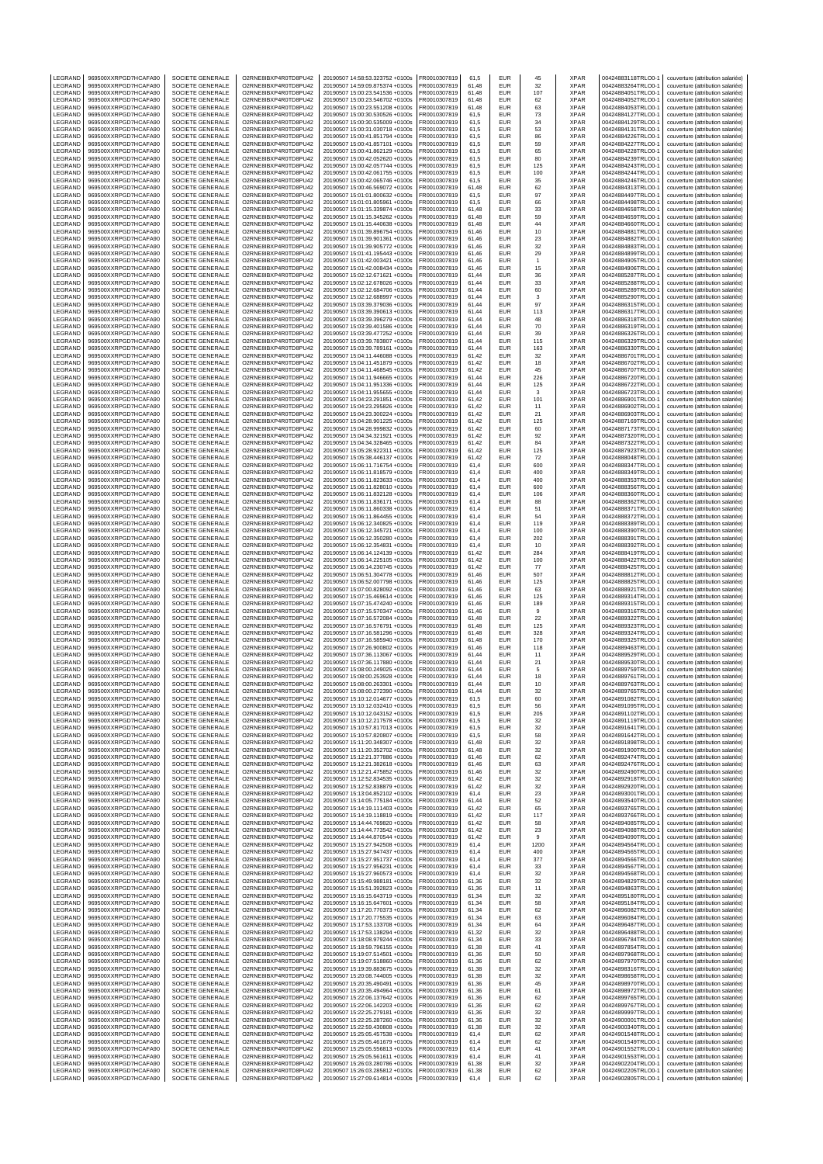| LEGRAND            | 969500XXRPGD7HCAFA90                         | SOCIETE GENERALE                            | O2RNE8IBXP4R0TD8PU42                         | 20190507 14:58:53.323752 +0100s                                    | FR0010307819                 | 61,5           | EUR                      | 45                 | <b>XPAR</b>                | 00424883118TRLO0-1                       | couverture (attribution salariée)                                      |
|--------------------|----------------------------------------------|---------------------------------------------|----------------------------------------------|--------------------------------------------------------------------|------------------------------|----------------|--------------------------|--------------------|----------------------------|------------------------------------------|------------------------------------------------------------------------|
| LEGRAND<br>LEGRAND | 969500XXRPGD7HCAFA90<br>969500XXRPGD7HCAFA90 | SOCIETE GENERALE<br>SOCIETE GENERALE        | O2RNE8IBXP4R0TD8PU42<br>O2RNE8IBXP4R0TD8PU42 | 20190507 14:59:09.875374 +0100s<br>20190507 15:00:23.541536 +0100s | FR0010307819<br>R0010307819  | 61.48<br>61,48 | <b>FUR</b><br>EUR        | 32<br>107          | <b>XPAR</b><br>XPAR        | 00424883264TRLO0-1<br>00424884051TRLO0-1 | couverture (attribution salariée)<br>couverture (attribution salariée) |
| LEGRAND            | 969500XXRPGD7HCAFA90                         | SOCIETE GENERALE                            | O2RNE8IBXP4R0TD8PU42                         | 20190507 15:00:23.546702 +0100s                                    | FR0010307819                 | 61,48          | <b>EUR</b>               | 62                 | <b>XPAR</b>                | 00424884052TRLO0-1                       | couverture (attribution salariée)                                      |
| LEGRAND            | 969500XXRPGD7HCAFA90                         | <b>SOCIETE GENERALE</b>                     | O2RNE8IBXP4R0TD8PU42                         | 20190507 15:00:23.551208 +0100s                                    | FR0010307819                 | 61.48          | EUR                      | 63                 | <b>XPAR</b>                | 00424884053TRLO0-1                       | couverture (attribution salariée)                                      |
| LEGRAND            | 969500XXRPGD7HCAFA90                         | SOCIETE GENERALE                            | O2RNE8IBXP4R0TD8PU42                         | 20190507 15:00:30.530526 +0100s                                    | FR0010307819                 | 61,5           | EUR                      | 73                 | XPAR                       | 00424884127TRLO0-1                       | couverture (attribution salariée)                                      |
| LEGRAND            | 969500XXRPGD7HCAFA90                         | <b>SOCIETE GENERALE</b>                     | O2RNE8IBXP4R0TD8PU42                         | 20190507 15:00:30.535009 +0100s                                    | FR0010307819                 | 61.5           | EUR                      | 34                 | <b>XPAR</b>                | 00424884129TRLO0-1                       | couverture (attribution salariée)                                      |
| LEGRAND<br>LEGRAND | 969500XXRPGD7HCAFA90<br>969500XXRPGD7HCAFA90 | SOCIETE GENERALE<br>SOCIETE GENERALE        | O2RNE8IBXP4R0TD8PU42<br>O2RNE8IBXP4R0TD8PU42 | 20190507 15:00:31.030718 +0100s<br>20190507 15:00:41.851794 +0100s | R0010307819<br>FR0010307819  | 61,5<br>61.5   | EUR<br>EUR               | 53<br>86           | XPAR<br><b>XPAR</b>        | 00424884131TRLO0-1<br>00424884226TRLO0-  | couverture (attribution salariée)<br>couverture (attribution salariée) |
| LEGRAND            | 969500XXRPGD7HCAFA90                         | SOCIETE GENERALE                            | O2RNE8IBXP4R0TD8PU42                         | 20190507 15:00:41.857101 +0100s                                    | R0010307819                  | 61,5           | EUR                      | 59                 | XPAR                       | 00424884227TRLO0-                        | couverture (attribution salariée)                                      |
| LEGRAND            | 969500XXRPGD7HCAFA90                         | <b>SOCIETE GENERALE</b>                     | O2RNE8IBXP4R0TD8PU42                         | 20190507 15:00:41.862129 +0100s                                    | FR0010307819                 | 61,5           | EUR                      | 65                 | <b>XPAR</b>                | 00424884228TRLO0-1                       | couverture (attribution salariée)                                      |
| LEGRAND            | 969500XXRPGD7HCAFA90                         | SOCIETE GENERALE                            | O2RNE8IBXP4R0TD8PU42                         | 20190507 15:00:42.052620 +0100s                                    | R0010307819                  | 61,5           | <b>EUR</b>               | 80                 | XPAR                       | 00424884239TRLO0-1                       | couverture (attribution salariée)                                      |
| LEGRAND            | 969500XXRPGD7HCAFA90                         | SOCIETE GENERALE                            | O2RNE8IBXP4R0TD8PU42                         | 20190507 15:00:42.057744 +0100s                                    | FR0010307819                 | 61.5           | EUR                      | 125                | <b>XPAR</b>                | 00424884243TRLO0-1                       | couverture (attribution salariée)<br>couverture (attribution salariée) |
| LEGRAND<br>LEGRAND | 969500XXRPGD7HCAFA90<br>969500XXRPGD7HCAFA90 | SOCIETE GENERALE<br>SOCIETE GENERALE        | O2RNE8IBXP4R0TD8PU42<br>O2RNE8IBXP4R0TD8PU42 | 20190507 15:00:42.061755 +0100s<br>20190507 15:00:42.065746 +0100s | FR0010307819<br>FR0010307819 | 61,5<br>61,5   | EUR<br>EUR               | 100<br>35          | XPAR<br><b>XPAR</b>        | 00424884244TRLO0-1<br>00424884246TRLO0-1 | couverture (attribution salariée)                                      |
| LEGRAND            | 969500XXRPGD7HCAFA90                         | SOCIETE GENERALE                            | O2RNE8IBXP4R0TD8PU42                         | 20190507 15:00:46.569072 +0100s                                    | FR0010307819                 | 61,48          | EUR                      | 62                 | XPAR                       | 00424884313TRLO0-1                       | couverture (attribution salariée)                                      |
| LEGRAND            | 969500XXRPGD7HCAFA90                         | SOCIETE GENERALE                            | O2RNE8IBXP4R0TD8PU42                         | 20190507 15:01:01.800632 +0100s                                    | FR0010307819                 | 61,5           | EUR                      | 97                 | <b>XPAR</b>                | 00424884497TRLO0-                        | couverture (attribution salariée)                                      |
| LEGRAND            | 969500XXRPGD7HCAFA90                         | SOCIETE GENERALE                            | O2RNE8IBXP4R0TD8PU42                         | 20190507 15:01:01.805961 +0100s                                    | R0010307819                  | 61,5           | EUR                      | 66                 | XPAR                       | 00424884498TRLO0-1                       | couverture (attribution salariée)                                      |
| LEGRAND<br>LEGRAND | 969500XXRPGD7HCAFA90<br>969500XXRPGD7HCAFA90 | <b>SOCIETE GENERALE</b><br>SOCIETE GENERALE | O2RNE8IBXP4R0TD8PU42<br>O2RNE8IBXP4R0TD8PU42 | 20190507 15:01:15.339874 +0100s<br>20190507 15:01:15.345262 +0100s | FR0010307819<br>FR0010307819 | 61,48<br>61,48 | EUR<br>EUR               | 33<br>59           | <b>XPAR</b><br>XPAR        | 00424884658TRLO0-<br>00424884659TRLO0-1  | couverture (attribution salariée)<br>couverture (attribution salariée) |
| LEGRAND            | 969500XXRPGD7HCAFA90                         | SOCIETE GENERALE                            | O2RNE8IBXP4R0TD8PU42                         | 20190507 15:01:15.440638 +0100s                                    | FR0010307819                 | 61,48          | <b>EUR</b>               | 44                 | XPAR                       | 00424884660TRLO0-                        | couverture (attribution salariée)                                      |
| <b>FGRAND</b>      | 969500XXRPGD7HCAFA90                         | SOCIETE GENERALE                            | O2RNE8IBXP4R0TD8PU42                         | 20190507 15:01:39.896754 +0100s                                    | R0010307819                  | 61,46          | EUR                      | 10                 | <b>XPAR</b>                | 00424884881TRLO0-1                       | couverture (attribution salariée)                                      |
| LEGRAND            | 969500XXRPGD7HCAFA90                         | SOCIETE GENERALE                            | O2RNE8IBXP4R0TD8PU42                         | 20190507 15:01:39.901361 +0100s                                    | FR0010307819                 | 61,46          | <b>EUR</b>               | 23                 | <b>XPAR</b>                | 00424884882TRLO0-                        | couverture (attribution salariée)                                      |
| LEGRAND            | 969500XXRPGD7HCAFA90                         | SOCIETE GENERALE<br><b>SOCIETE GENERALE</b> | O2RNE8IBXP4R0TD8PU42<br>O2RNE8IBXP4R0TD8PU42 | 20190507 15:01:39.905772 +0100s<br>20190507 15:01:41.195443 +0100s | FR0010307819                 | 61,46          | EUR<br>EUR               | 32                 | XPAR<br><b>XPAR</b>        | 00424884883TRLO0-1                       | couverture (attribution salariée)                                      |
| LEGRAND<br>LEGRAND | 969500XXRPGD7HCAFA90<br>969500XXRPGD7HCAFA90 | SOCIETE GENERALE                            | O2RNE8IBXP4R0TD8PU42                         | 20190507 15:01:42.003421 +0100s                                    | FR0010307819<br>R0010307819  | 61,46<br>61,46 | EUR                      | 29<br>$\mathbf{1}$ | XPAR                       | 00424884899TRLO0-<br>00424884905TRLO0-   | couverture (attribution salariée)<br>couverture (attribution salariée) |
| LEGRAND            | 969500XXRPGD7HCAFA90                         | SOCIETE GENERALE                            | O2RNE8IBXP4R0TD8PU42                         | 20190507 15:01:42.008434 +0100s                                    | FR0010307819                 | 61,46          | EUR                      | 15                 | XPAR                       | 00424884906TRLO0-                        | couverture (attribution salariée)                                      |
| LEGRAND            | 969500XXRPGD7HCAFA90                         | SOCIETE GENERALE                            | O2RNE8IBXP4R0TD8PU42                         | 20190507 15:02:12.671621 +0100s                                    | FR0010307819                 | 61.44          | <b>EUR</b>               | 36                 | <b>XPAR</b>                | 00424885287TRLO0-                        | couverture (attribution salariée)                                      |
| LEGRAND            | 969500XXRPGD7HCAFA90                         | SOCIETE GENERALE                            | O2RNE8IBXP4R0TD8PU42                         | 20190507 15:02:12.678026 +0100s                                    | R0010307819                  | 61,44          | <b>EUR</b>               | 33                 | XPAR                       | 00424885288TRLO0-1                       | couverture (attribution salariée)                                      |
| LEGRAND<br>LEGRAND | 969500XXRPGD7HCAFA90<br>969500XXRPGD7HCAFA90 | SOCIETE GENERALE<br>SOCIETE GENERALE        | O2RNE8IBXP4R0TD8PU42<br>O2RNE8IBXP4R0TD8PU42 | 20190507 15:02:12.684706 +0100s<br>20190507 15:02:12.688997 +0100s | FR0010307819<br>FR0010307819 | 61.44<br>61,44 | EUR<br>EUR               | 60<br>3            | <b>XPAR</b><br>XPAR        | 00424885289TRLO0-1<br>00424885290TRLO0-  | couverture (attribution salariée)<br>couverture (attribution salariée) |
| LEGRAND            | 969500XXRPGD7HCAFA90                         | <b>SOCIETE GENERALE</b>                     | O2RNE8IBXP4R0TD8PU42                         | 20190507 15:03:39.379036 +0100s                                    | FR0010307819                 | 61.44          | EUR                      | 97                 | <b>XPAR</b>                | 00424886315TRLO0-1                       | couverture (attribution salariée)                                      |
| LEGRAND            | 969500XXRPGD7HCAFA90                         | SOCIETE GENERALE                            | O2RNE8IBXP4R0TD8PU42                         | 20190507 15:03:39.390613 +0100s                                    | R0010307819                  | 61,44          | EUR                      | 113                | XPAR                       | 00424886317TRLO0-1                       | couverture (attribution salariée)                                      |
| LEGRAND            | 969500XXRPGD7HCAFA90                         | SOCIETE GENERALE                            | O2RNE8IBXP4R0TD8PU42                         | 20190507 15:03:39.396279 +0100s                                    | FR0010307819                 | 61.44          | EUR                      | 48                 | <b>XPAR</b>                | 00424886318TRLO0-                        | couverture (attribution salariée)                                      |
| LEGRAND<br>LEGRAND | 969500XXRPGD7HCAFA90<br>969500XXRPGD7HCAFA90 | SOCIETE GENERALE<br><b>SOCIETE GENERALE</b> | O2RNE8IBXP4R0TD8PU42<br>O2RNE8IBXP4R0TD8PU42 | 20190507 15:03:39.401586 +0100s<br>20190507 15:03:39.477252 +0100s | R0010307819<br>FR0010307819  | 61,44<br>61.44 | EUR<br>EUR               | 70<br>39           | XPAR<br><b>XPAR</b>        | 00424886319TRLO0-<br>00424886326TRLO0-1  | couverture (attribution salariée)<br>couverture (attribution salariée) |
| LEGRAND            | 969500XXRPGD7HCAFA90                         | SOCIETE GENERALE                            | O2RNE8IBXP4R0TD8PU42                         | 20190507 15:03:39.783807 +0100s                                    | R0010307819                  | 61,44          | <b>EUR</b>               | 115                | XPAR                       | 00424886329TRLO0-1                       | couverture (attribution salariée)                                      |
| LEGRAND            | 969500XXRPGD7HCAFA90                         | SOCIETE GENERALE                            | O2RNE8IBXP4R0TD8PU42                         | 20190507 15:03:39.789161 +0100s                                    | FR0010307819                 | 61.44          | <b>EUR</b>               | 163                | <b>XPAR</b>                | 00424886330TRLO0-                        | couverture (attribution salariée)                                      |
| LEGRAND            | 969500XXRPGD7HCAFA90                         | SOCIETE GENERALE                            | O2RNE8IBXP4R0TD8PU42                         | 20190507 15:04:11.446088 +0100s                                    | FR0010307819                 | 61,42          | EUR                      | 32                 | XPAR                       | 00424886701TRLO0-                        | couverture (attribution salariée)                                      |
| LEGRAND            | 969500XXRPGD7HCAFA90                         | <b>SOCIETE GENERALE</b>                     | O2RNE8IBXP4R0TD8PU42<br>O2RNE8IBXP4R0TD8PU42 | 20190507 15:04:11.451879 +0100s<br>20190507 15:04:11.468545 +0100s | FR0010307819                 | 61,42          | EUR<br>EUR               | 18                 | <b>XPAR</b>                | 00424886702TRLO0-1                       | couverture (attribution salariée)                                      |
| LEGRAND<br>LEGRAND | 969500XXRPGD7HCAFA90<br>969500XXRPGD7HCAFA90 | SOCIETE GENERALE<br>SOCIETE GENERALE        | O2RNE8IBXP4R0TD8PU42                         | 20190507 15:04:11.946665 +0100s                                    | FR0010307819<br>FR0010307819 | 61,42<br>61,44 | EUR                      | 45<br>226          | XPAR<br><b>XPAR</b>        | 00424886707TRLO0-1<br>00424886720TRLO0-1 | couverture (attribution salariée)<br>couverture (attribution salariée) |
| LEGRAND            | 969500XXRPGD7HCAFA90                         | SOCIETE GENERALE                            | O2RNE8IBXP4R0TD8PU42                         | 20190507 15:04:11.951336 +0100s                                    | R0010307819                  | 61,44          | EUR                      | 125                | XPAR                       | 00424886722TRLO0-1                       | couverture (attribution salariée)                                      |
| LEGRAND            | 969500XXRPGD7HCAFA90                         | <b>SOCIETE GENERALE</b>                     | O2RNE8IBXP4R0TD8PU42                         | 20190507 15:04:11.955655 +0100s                                    | FR0010307819                 | 61,44          | EUR                      | 3                  | <b>XPAR</b>                | 00424886723TRLO0-1                       | couverture (attribution salariée)                                      |
| LEGRAND            | 969500XXRPGD7HCAFA90                         | SOCIETE GENERALE                            | O2RNE8IBXP4R0TD8PU42                         | 20190507 15:04:23.291851 +0100s                                    | FR0010307819                 | 61,42          | EUR                      | 101                | XPAR                       | 00424886901TRLO0-1                       | couverture (attribution salariée)                                      |
| LEGRAND<br>LEGRAND | 969500XXRPGD7HCAFA90                         | SOCIETE GENERALE                            | O2RNE8IBXP4R0TD8PU42<br>O2RNE8IBXP4R0TD8PU42 | 20190507 15:04:23.295826 +0100s<br>20190507 15:04:23.300224 +0100s | FR0010307819                 | 61,42          | <b>EUR</b><br>EUR        | 11                 | <b>XPAR</b><br><b>XPAR</b> | 00424886902TRLO0-                        | couverture (attribution salariée)                                      |
| LEGRAND            | 969500XXRPGD7HCAFA90<br>969500XXRPGD7HCAFA90 | SOCIETE GENERALE<br>SOCIETE GENERALE        | O2RNE8IBXP4R0TD8PU42                         | 20190507 15:04:28.901225 +0100s                                    | R0010307819<br>FR0010307819  | 61,42<br>61,42 | EUR                      | 21<br>125          | <b>XPAR</b>                | 00424886903TRLO0-1<br>00424887169TRLO0-  | couverture (attribution salariée)<br>couverture (attribution salariée) |
| LEGRAND            | 969500XXRPGD7HCAFA90                         | SOCIETE GENERALE                            | O2RNE8IBXP4R0TD8PU42                         | 20190507 15:04:28.999832 +0100s                                    | FR0010307819                 | 61,42          | EUR                      | 60                 | <b>XPAR</b>                | 00424887173TRLO0-1                       | couverture (attribution salariée)                                      |
| LEGRAND            | 969500XXRPGD7HCAFA90                         | SOCIETE GENERALE                            | O2RNE8IBXP4R0TD8PU42                         | 20190507 15:04:34.321921 +0100s                                    | FR0010307819                 | 61,42          | EUR                      | 92                 | <b>XPAR</b>                | 00424887320TRLO0-1                       | couverture (attribution salariée)                                      |
| LEGRAND            | 969500XXRPGD7HCAFA90                         | SOCIETE GENERALE                            | O2RNE8IBXP4R0TD8PU42                         | 20190507 15:04:34.328465 +0100s                                    | R0010307819                  | 61,42          | EUR                      | 84                 | XPAR                       | 00424887322TRLO0-1                       | couverture (attribution salariée)                                      |
| LEGRAND<br>LEGRAND | 969500XXRPGD7HCAFA90<br>969500XXRPGD7HCAFA90 | SOCIETE GENERALE<br><b>SOCIETE GENERALE</b> | O2RNE8IBXP4R0TD8PU42<br>O2RNE8IBXP4R0TD8PU42 | 20190507 15:05:28.922311 +0100s<br>20190507 15:05:38.446137 +0100s | R0010307819<br>FR0010307819  | 61,42<br>61,42 | EUR<br><b>EUR</b>        | 125<br>72          | XPAR<br><b>XPAR</b>        | 00424887923TRLO0-<br>00424888048TRLO0-1  | couverture (attribution salariée)<br>couverture (attribution salariée) |
| LEGRAND            | 969500XXRPGD7HCAFA90                         | SOCIETE GENERALE                            | O2RNE8IBXP4R0TD8PU42                         | 20190507 15:06:11.716754 +0100s                                    | R0010307819                  | 61,4           | EUR                      | 600                | XPAR                       | 00424888347TRLO0-1                       | couverture (attribution salariée)                                      |
| LEGRAND            | 969500XXRPGD7HCAFA90                         | SOCIETE GENERALE                            | O2RNE8IBXP4R0TD8PU42                         | 20190507 15:06:11.818579 +0100s                                    | FR0010307819                 | 61.4           | EUR                      | 400                | <b>XPAR</b>                | 00424888349TRLO0-1                       | couverture (attribution salariée)                                      |
| LEGRAND            | 969500XXRPGD7HCAFA90                         | SOCIETE GENERALE                            | O2RNE8IBXP4R0TD8PU42                         | 20190507 15:06:11.823633 +0100s                                    | FR0010307819                 | 61,4           | EUR                      | 400                | XPAR                       | 00424888353TRLO0-                        | couverture (attribution salariée)                                      |
| LEGRAND            | 969500XXRPGD7HCAFA90                         | <b>SOCIETE GENERALE</b>                     | O2RNE8IBXP4R0TD8PU42                         | 20190507 15:06:11.828010 +0100s                                    | FR0010307819                 | 61.4           | EUR                      | 600                | <b>XPAR</b>                | 00424888356TRLO0-1                       | couverture (attribution salariée)                                      |
| LEGRAND<br>LEGRAND | 969500XXRPGD7HCAFA90<br>969500XXRPGD7HCAFA90 | SOCIETE GENERALE<br>SOCIETE GENERALE        | O2RNE8IBXP4R0TD8PU42<br>O2RNE8IBXP4R0TD8PU42 | 20190507 15:06:11.832128 +0100s<br>20190507 15:06:11.836171 +0100s | R0010307819<br>FR0010307819  | 61,4<br>61.4   | EUR<br>EUR               | 106<br>88          | XPAR<br><b>XPAR</b>        | 00424888360TRLO0-1<br>00424888362TRLO0-  | couverture (attribution salariée)<br>couverture (attribution salariée) |
| LEGRAND            | 969500XXRPGD7HCAFA90                         | SOCIETE GENERALE                            | O2RNE8IBXP4R0TD8PU42                         | 20190507 15:06:11.860338 +0100s                                    | FR0010307819                 | 61,4           | EUR                      | 51                 | XPAR                       | 00424888371TRLO0-                        | couverture (attribution salariée)                                      |
| LEGRAND            | 969500XXRPGD7HCAFA90                         | <b>SOCIETE GENERALE</b>                     | O2RNE8IBXP4R0TD8PU42                         | 20190507 15:06:11.864455 +0100s                                    | FR0010307819                 | 61.4           | EUR                      | 54                 | <b>XPAR</b>                | 00424888372TRLO0-1                       | couverture (attribution salariée)                                      |
| LEGRAND            | 969500XXRPGD7HCAFA90                         | SOCIETE GENERALE                            | O2RNE8IBXP4R0TD8PU42                         | 20190507 15:06:12.340825 +0100s                                    | R0010307819                  | 61,4           | <b>EUR</b>               | 119                | XPAR                       | 00424888389TRLO0-1                       | couverture (attribution salariée)                                      |
| LEGRAND<br>LEGRAND | 969500XXRPGD7HCAFA90<br>969500XXRPGD7HCAFA90 | SOCIETE GENERALE<br>SOCIETE GENERALE        | O2RNE8IBXP4R0TD8PU42<br>O2RNE8IBXP4R0TD8PU42 | 20190507 15:06:12.345721 +0100s<br>20190507 15:06:12.350280 +0100s | FR0010307819<br>FR0010307819 | 61.4<br>61,4   | <b>EUR</b><br>EUR        | 100<br>202         | <b>XPAR</b><br><b>XPAR</b> | 00424888390TRLO0-1<br>00424888391TRLO0-  | couverture (attribution salariée)<br>couverture (attribution salariée) |
| LEGRAND            | 969500XXRPGD7HCAFA90                         | SOCIETE GENERALE                            | O2RNE8IBXP4R0TD8PU42                         | 20190507 15:06:12.354831 +0100s                                    | FR0010307819                 | 61,4           | EUR                      | 10                 | <b>XPAR</b>                | 00424888392TRLO0-                        | couverture (attribution salariée)                                      |
| LEGRAND            | 969500XXRPGD7HCAFA90                         | SOCIETE GENERALE                            | O2RNE8IBXP4R0TD8PU42                         | 20190507 15:06:14.124139 +0100s                                    | FR0010307819                 | 61,42          | EUR                      | 284                | XPAR                       | 00424888419TRLO0-1                       | couverture (attribution salariée)                                      |
| LEGRAND            | 969500XXRPGD7HCAFA90                         | SOCIETE GENERALE                            | O2RNE8IBXP4R0TD8PU42                         | 20190507 15:06:14.225105 +0100s                                    | FR0010307819                 | 61,42          | EUR                      | 100                | <b>XPAR</b>                | 00424888422TRLO0-1                       | couverture (attribution salariée)                                      |
| LEGRAND<br>LEGRAND | 969500XXRPGD7HCAFA90<br>969500XXRPGD7HCAFA90 | SOCIETE GENERALE<br>SOCIETE GENERALE        | O2RNE8IBXP4R0TD8PU42<br>O2RNE8IBXP4R0TD8PU42 | 20190507 15:06:14.230745 +0100s                                    | R0010307819<br>FR0010307819  | 61,42<br>61,46 | EUR<br>EUR               | $77\,$<br>507      | XPAR<br><b>XPAR</b>        | 00424888425TRLO0-1<br>00424888812TRLO0-  | couverture (attribution salariée)                                      |
| LEGRAND            | 969500XXRPGD7HCAFA90                         | SOCIETE GENERALE                            | O2RNE8IBXP4R0TD8PU42                         | 20190507 15:06:51.304778 +0100s<br>20190507 15:06:52.007798 +0100s | R0010307819                  | 61,46          | EUR                      | 125                | XPAR                       | 00424888825TRLO0-1                       | couverture (attribution salariée)<br>couverture (attribution salariée) |
| LEGRAND            | 969500XXRPGD7HCAFA90                         | SOCIETE GENERALE                            | O2RNE8IBXP4R0TD8PU42                         | 20190507 15:07:00.828092 +0100s                                    | FR0010307819                 | 61,46          | EUR                      | 63                 | <b>XPAR</b>                | 00424888921TRLO0-                        | couverture (attribution salariée)                                      |
| LEGRAND            | 969500XXRPGD7HCAFA90                         | SOCIETE GENERALE                            | O2RNE8IBXP4R0TD8PU42                         | 20190507 15:07:15.469614 +0100s                                    | R0010307819                  | 61,46          | EUR                      | 125                | <b>XPAR</b>                | 00424889314TRLO0-1                       | couverture (attribution salariée)                                      |
| LEGRAND<br>LEGRAND | 969500XXRPGD7HCAFA90<br>969500XXRPGD7HCAFA90 | SOCIETE GENERALE<br>SOCIETE GENERALE        | O2RNE8IBXP4R0TD8PU42<br>O2RNE8IBXP4R0TD8PU42 | 20190507 15:07:15.474240 +0100s<br>20190507 15:07:15.570347 +0100s | FR0010307819<br>FR0010307819 | 61,46<br>61,46 | EUR<br>EUR               | 189<br>9           | <b>XPAR</b><br>XPAR        | 00424889315TRLO0-<br>00424889316TRLO0-1  | couverture (attribution salariée)<br>couverture (attribution salariée) |
| LEGRAND            | 969500XXRPGD7HCAFA90                         | SOCIETE GENERALE                            | O2RNE8IBXP4R0TD8PU42                         | 20190507 15:07:16.572084 +0100s                                    | FR0010307819                 | 61,48          | EUR                      | 22                 | <b>XPAR</b>                | 00424889322TRLO0-1                       | couverture (attribution salariée)                                      |
| LEGRAND            | 969500XXRPGD7HCAFA90                         | SOCIETE GENERALE                            | O2RNE8IBXP4R0TD8PU42                         | 20190507 15:07:16.576791 +0100s                                    | FR0010307819                 | 61.48          | <b>EUR</b>               | 125                | <b>XPAR</b>                | 00424889323TRLO0-                        | couverture (attribution salariée)                                      |
| LEGRAND            | 969500XXRPGD7HCAFA90                         | SOCIETE GENERALE                            | O2RNE8IBXP4R0TD8PU42                         | 20190507 15:07:16.581296 +0100s                                    | FR0010307819                 | 61,48          | EUR                      | 328                | XPAR                       | 00424889324TRLO0-                        | couverture (attribution salariée)                                      |
| LEGRAND            | 969500XXRPGD7HCAFA90                         | <b>SOCIETE GENERALE</b>                     | O2RNE8IBXP4R0TD8PU42                         | 20190507 15:07:16.585940 +0100s                                    | FR0010307819                 | 61.48          | <b>EUR</b>               | 170                | <b>XPAR</b>                | 00424889325TRLO0-1                       | couverture (attribution salariée)                                      |
| LEGRAND<br>LEGRAND | 969500XXRPGD7HCAFA90<br>969500XXRPGD7HCAFA90 | SOCIETE GENERALE<br>SOCIETE GENERALE        | O2RNE8IBXP4R0TD8PU42<br>O2RNE8IBXP4R0TD8PU42 | 20190507 15:07:26.900802 +0100s<br>20190507 15:07:36.113067 +0100s | R0010307819<br>FR0010307819  | 61,46<br>61.44 | EUR<br><b>EUR</b>        | 118<br>11          | XPAR<br><b>XPAR</b>        | 00424889463TRLO0-1<br>00424889529TRLO0-1 | couverture (attribution salariée)<br>couverture (attribution salariée) |
| LEGRAND            | 969500XXRPGD7HCAFA90                         |                                             | O2RNE8IBXP4R0TD8PU42                         | 20190507 15:07:36.117880 +0100s                                    |                              |                |                          |                    |                            |                                          |                                                                        |
| LEGRAND            |                                              |                                             |                                              |                                                                    | FR0010307819                 | 61,44          |                          |                    |                            |                                          | couverture (attribution salariée)                                      |
| LEGRAND            | 969500XXRPGD7HCAFA90                         | SOCIETE GENERALE<br>SOCIETE GENERALE        | O2RNE8IBXP4R0TD8PU42                         | 20190507 15:08:00.249025 +0100s                                    | FR0010307819                 | 61.44          | EUR<br>EUR               | 21<br>5            | XPAR<br><b>XPAR</b>        | 00424889530TRLO0-1<br>00424889759TRLO0-1 | couverture (attribution salariée)                                      |
|                    | 969500XXRPGD7HCAFA90                         | SOCIETE GENERALE                            | O2RNE8IBXP4R0TD8PU42                         | 20190507 15:08:00.253928 +0100s                                    | R0010307819                  | 61,44          | EUR                      | 18                 | XPAR                       | 00424889761TRLO0-1                       | couverture (attribution salariée)                                      |
| LEGRAND            | 969500XXRPGD7HCAFA90                         | SOCIETE GENERALE                            | O2RNE8IBXP4R0TD8PU42                         | 20190507 15:08:00.263301 +0100s                                    | FR0010307819                 | 61.44          | <b>EUR</b>               | 10                 | <b>XPAR</b>                | 00424889763TRLO0-1                       | couverture (attribution salariée)                                      |
| LEGRAND<br>LEGRAND | 969500XXRPGD7HCAFA90<br>969500XXRPGD7HCAFA90 | SOCIETE GENERALE<br>SOCIETE GENERALE        | O2RNE8IBXP4R0TD8PU42                         | 20190507 15:08:00.272390 +0100s                                    | FR0010307819<br>FR0010307819 | 61,44<br>61.5  | EUR                      | 32<br>60           | <b>XPAR</b>                | 00424889765TRLO0-1<br>00424891082TRLO0-1 | couverture (attribution salariée)                                      |
| LEGRAND            | 969500XXRPGD7HCAFA90                         | SOCIETE GENERALE                            | O2RNE8IBXP4R0TD8PU42<br>O2RNE8IBXP4R0TD8PU42 | 20190507 15:10:12.014677 +0100s<br>20190507 15:10:12.032410 +0100s | FR0010307819                 | 61,5           | EUR<br><b>EUR</b>        | 56                 | <b>XPAR</b><br>XPAR        | 00424891095TRLO0-1                       | couverture (attribution salariée)<br>couverture (attribution salariée) |
| LEGRAND            | 969500XXRPGD7HCAFA90                         | SOCIETE GENERALE                            | O2RNE8IBXP4R0TD8PU42                         | 20190507 15:10:12.043152 +0100s                                    | FR0010307819                 | 61,5           | <b>FUR</b>               | 205                | <b>XPAR</b>                | 00424891102TRLO0-1                       | couverture (attribution salariée)                                      |
| LEGRAND            | 969500XXRPGD7HCAFA90                         | SOCIETE GENERALE                            | O2RNE8IBXP4R0TD8PU42                         | 20190507 15:10:12.217578 +0100s                                    | FR0010307819                 | 61,5           | <b>EUR</b>               | 32                 | <b>XPAR</b>                | 00424891119TRLO0-1                       | couverture (attribution salariée)                                      |
| LEGRAND<br>LEGRAND | 969500XXRPGD7HCAFA90<br>969500XXRPGD7HCAFA90 | SOCIETE GENERALE<br>SOCIETE GENERALE        | O2RNE8IBXP4R0TD8PU42<br>O2RNE8IBXP4R0TD8PU42 | 20190507 15:10:57.817013 +0100s<br>20190507 15:10:57.820807 +0100s | FR0010307819<br>FR0010307819 | 61,5<br>61,5   | EUR<br><b>EUR</b>        | 32<br>58           | <b>XPAR</b><br><b>XPAR</b> | 00424891641TRLO0-1<br>00424891642TRLO0-1 | couverture (attribution salariée)<br>couverture (attribution salariée) |
| LEGRAND            | 969500XXRPGD7HCAFA90                         | SOCIETE GENERALE                            | O2RNE8IBXP4R0TD8PU42                         | 20190507 15:11:20.348307 +0100s                                    | FR0010307819                 | 61,48          | <b>EUR</b>               | 32                 | <b>XPAR</b>                | 00424891898TRLO0-1                       | couverture (attribution salariée)                                      |
| LEGRAND            | 969500XXRPGD7HCAFA90                         | SOCIETE GENERALE                            | O2RNE8IBXP4R0TD8PU42                         | 20190507 15:11:20.352702 +0100s                                    | FR0010307819                 | 61,48          | <b>EUR</b>               | 32                 | <b>XPAR</b>                | 00424891900TRLO0-1                       | couverture (attribution salariée)                                      |
| LEGRAND            | 969500XXRPGD7HCAFA90                         | SOCIETE GENERALE                            | O2RNE8IBXP4R0TD8PU42                         | 20190507 15:12:21.377886 +0100s                                    | FR0010307819                 | 61,46          | <b>EUR</b>               | 62                 | <b>XPAR</b>                | 00424892474TRLO0-1                       | couverture (attribution salariée)                                      |
| LEGRAND<br>LEGRAND | 969500XXRPGD7HCAFA90<br>969500XXRPGD7HCAFA90 | SOCIETE GENERALE<br>SOCIETE GENERALE        | O2RNE8IBXP4R0TD8PU42<br>O2RNE8IBXP4R0TD8PU42 | 20190507 15:12:21.382618 +0100s<br>20190507 15:12:21.475852 +0100s | FR0010307819<br>FR0010307819 | 61,46<br>61.46 | <b>EUR</b><br><b>EUR</b> | 63<br>32           | XPAR<br><b>XPAR</b>        | 00424892476TRLO0-1<br>00424892490TRLO0-1 | couverture (attribution salariée)<br>couverture (attribution salariée) |
| LEGRAND            | 969500XXRPGD7HCAFA90                         | SOCIETE GENERALE                            | O2RNE8IBXP4R0TD8PU42                         | 20190507 15:12:52.834535 +0100s                                    | FR0010307819                 | 61,42          | <b>EUR</b>               | 32                 | <b>XPAR</b>                | 00424892918TRLO0-1                       | couverture (attribution salariée)                                      |
| LEGRAND            | 969500XXRPGD7HCAFA90                         | SOCIETE GENERALE                            | O2RNE8IBXP4R0TD8PU42                         | 20190507 15:12:52.838879 +0100s                                    | FR0010307819                 | 61,42          | <b>EUR</b>               | 32                 | <b>XPAR</b>                | 00424892920TRLO0-1                       | couverture (attribution salariée)                                      |
| LEGRAND            | 969500XXRPGD7HCAFA90                         | SOCIETE GENERALE                            | O2RNE8IBXP4R0TD8PU42                         | 20190507 15:13:04.852102 +0100s<br>20190507 15:14:05.775184 +0100s | FR0010307819<br>FR0010307819 | 61,4           | <b>EUR</b>               | 23                 | <b>XPAR</b>                | 00424893001TRLO0-1<br>00424893540TRLO0-1 | couverture (attribution salariée)<br>couverture (attribution salariée) |
| LEGRAND<br>LEGRAND | 969500XXRPGD7HCAFA90<br>969500XXRPGD7HCAFA90 | SOCIETE GENERALE<br>SOCIETE GENERALE        | O2RNE8IBXP4R0TD8PU42<br>O2RNE8IBXP4R0TD8PU42 | 20190507 15:14:19.111403 +0100s                                    | FR0010307819                 | 61,44<br>61,42 | EUR<br>EUR               | 52<br>65           | <b>XPAR</b><br><b>XPAR</b> | 00424893765TRLO0-1                       | couverture (attribution salariée)                                      |
| LEGRAND            | 969500XXRPGD7HCAFA90                         | SOCIETE GENERALE                            | O2RNE8IBXP4R0TD8PU42                         | 20190507 15:14:19.118819 +0100s                                    | FR0010307819                 | 61,42          | EUR                      | 117                | <b>XPAR</b>                | 00424893766TRLO0-1                       | couverture (attribution salariée)                                      |
| LEGRAND            | 969500XXRPGD7HCAFA90                         | SOCIETE GENERALE                            | O2RNE8IBXP4R0TD8PU42                         | 20190507 15:14:44.769820 +0100s                                    | FR0010307819                 | 61.42          | <b>EUR</b>               | 58                 | <b>XPAR</b>                | 00424894085TRLO0-1                       | couverture (attribution salariée)                                      |
| LEGRAND<br>LEGRAND | 969500XXRPGD7HCAFA90<br>969500XXRPGD7HCAFA90 | SOCIETE GENERALE                            | O2RNE8IBXP4R0TD8PU42<br>O2RNE8IBXP4R0TD8PU42 | 20190507 15:14:44.773542 +0100s<br>20190507 15:14:44.870544 +0100s | FR0010307819<br>FR0010307819 | 61,42<br>61.42 | EUR                      | 23<br>9            | <b>XPAR</b>                | 00424894088TRLO0-1                       | couverture (attribution salariée)                                      |
| LEGRAND            | 969500XXRPGD7HCAFA90                         | SOCIETE GENERALE<br>SOCIETE GENERALE        | O2RNE8IBXP4R0TD8PU42                         | 20190507 15:15:27.942508 +0100s                                    | FR0010307819                 | 61,4           | EUR<br>EUR               | 1200               | <b>XPAR</b><br><b>XPAR</b> | 00424894090TRLO0-1<br>00424894564TRLO0-1 | couverture (attribution salariée)<br>couverture (attribution salariée) |
| LEGRAND            | 969500XXRPGD7HCAFA90                         | SOCIETE GENERALE                            | O2RNE8IBXP4R0TD8PU42                         | 20190507 15:15:27.947437 +0100s                                    | FR0010307819                 | 61.4           | <b>EUR</b>               | 400                | <b>XPAR</b>                | 00424894565TRLO0-1                       | couverture (attribution salariée)                                      |
| LEGRAND            | 969500XXRPGD7HCAFA90                         | SOCIETE GENERALE                            | O2RNE8IBXP4R0TD8PU42                         | 20190507 15:15:27.951737 +0100s                                    | FR0010307819                 | 61,4           | EUR                      | 377                | <b>XPAR</b>                | 00424894566TRLO0-1                       | couverture (attribution salariée)                                      |
| LEGRAND            | 969500XXRPGD7HCAFA90                         | SOCIETE GENERALE                            | O2RNE8IBXP4R0TD8PU42                         | 20190507 15:15:27.956231 +0100s<br>20190507 15:15:27.960573 +0100s | FR0010307819                 | 61.4           | <b>EUR</b>               | 33                 | <b>XPAR</b>                | 00424894567TRLO0-1                       | couverture (attribution salariée)                                      |
| LEGRAND<br>LEGRAND | 969500XXRPGD7HCAFA90<br>969500XXRPGD7HCAFA90 | SOCIETE GENERALE<br>SOCIETE GENERALE        | O2RNE8IBXP4R0TD8PU42<br>O2RNE8IBXP4R0TD8PU42 | 20190507 15:15:49.988181 +0100s                                    | FR0010307819<br>FR0010307819 | 61,4<br>61,36  | EUR<br><b>EUR</b>        | 32<br>32           | <b>XPAR</b><br><b>XPAR</b> | 00424894568TRLO0-1<br>00424894829TRLO0-1 | couverture (attribution salariée)<br>couverture (attribution salariée) |
| LEGRAND            | 969500XXRPGD7HCAFA90                         | SOCIETE GENERALE                            | O2RNE8IBXP4R0TD8PU42                         | 20190507 15:15:51.392823 +0100s                                    | FR0010307819                 | 61,36          | <b>EUR</b>               | 11                 | <b>XPAR</b>                | 00424894863TRLO0-1                       | couverture (attribution salariée)                                      |
| LEGRAND            | 969500XXRPGD7HCAFA90                         | SOCIETE GENERALE                            | O2RNE8IBXP4R0TD8PU42                         | 20190507 15:16:15.643719 +0100s                                    | FR0010307819                 | 61.34          | <b>EUR</b>               | 32                 | <b>XPAR</b>                | 00424895180TRLO0-1                       | couverture (attribution salariée)                                      |
| LEGRAND<br>LEGRAND | 969500XXRPGD7HCAFA90<br>969500XXRPGD7HCAFA90 | SOCIETE GENERALE<br>SOCIETE GENERALE        | O2RNE8IBXP4R0TD8PU42<br>O2RNE8IBXP4R0TD8PU42 | 20190507 15:16:15.647601 +0100s                                    | FR0010307819<br>FR0010307819 | 61,34<br>61,34 | <b>EUR</b><br><b>EUR</b> | 58                 | <b>XPAR</b><br><b>XPAR</b> | 00424895184TRLO0-1<br>00424896082TRLO0-1 | couverture (attribution salariée)                                      |
| LEGRAND            | 969500XXRPGD7HCAFA90                         | SOCIETE GENERALE                            | O2RNE8IBXP4R0TD8PU42                         | 20190507 15:17:20.770373 +0100s<br>20190507 15:17:20.775535 +0100s | FR0010307819                 | 61,34          | <b>EUR</b>               | 62<br>63           | <b>XPAR</b>                | 00424896084TRLO0-1                       | couverture (attribution salariée)<br>couverture (attribution salariée) |
| LEGRAND            | 969500XXRPGD7HCAFA90                         | SOCIETE GENERALE                            | O2RNE8IBXP4R0TD8PU42                         | 20190507 15:17:53.133708 +0100s                                    | FR0010307819                 | 61,34          | <b>EUR</b>               | 64                 | <b>XPAR</b>                | 00424896487TRLO0-1                       | couverture (attribution salariée)                                      |
| LEGRAND            | 969500XXRPGD7HCAFA90                         | SOCIETE GENERALE                            | O2RNE8IBXP4R0TD8PU42                         | 20190507 15:17:53.138294 +0100s                                    | FR0010307819                 | 61,32          | <b>EUR</b>               | 32                 | <b>XPAR</b>                | 00424896488TRLO0-1                       | couverture (attribution salariée)                                      |
| LEGRAND            | 969500XXRPGD7HCAFA90                         | SOCIETE GENERALE                            | O2RNE8IBXP4R0TD8PU42                         | 20190507 15:18:08.979244 +0100s                                    | FR0010307819                 | 61,34          | <b>EUR</b><br><b>EUR</b> | 33                 | <b>XPAR</b>                | 00424896784TRLO0-1                       | couverture (attribution salariée)                                      |
| LEGRAND<br>LEGRAND | 969500XXRPGD7HCAFA90<br>969500XXRPGD7HCAFA90 | SOCIETE GENERALE<br>SOCIETE GENERALE        | O2RNE8IBXP4R0TD8PU42<br>O2RNE8IBXP4R0TD8PU42 | 20190507 15:18:59.796155 +0100s<br>20190507 15:19:07.514501 +0100s | FR0010307819<br>FR0010307819 | 61,38<br>61.36 | <b>FUR</b>               | 41<br>50           | XPAR<br><b>XPAR</b>        | 00424897854TRLO0-1<br>00424897968TRLO0-1 | couverture (attribution salariée)<br>couverture (attribution salariée) |
| LEGRAND            | 969500XXRPGD7HCAFA90                         | SOCIETE GENERALE                            | O2RNE8IBXP4R0TD8PU42                         | 20190507 15:19:07.518860 +0100s                                    | FR0010307819                 | 61,36          | <b>EUR</b>               | 62                 | <b>XPAR</b>                | 00424897970TRLO0-1                       | couverture (attribution salariée)                                      |
| LEGRAND            | 969500XXRPGD7HCAFA90                         | SOCIETE GENERALE                            | O2RNE8IBXP4R0TD8PU42                         | 20190507 15:19:39.883675 +0100s                                    | FR0010307819                 | 61,38          | EUR                      | 32                 | <b>XPAR</b>                | 00424898316TRLO0-1                       | couverture (attribution salariée)                                      |
| LEGRAND            | 969500XXRPGD7HCAFA90                         | SOCIETE GENERALE                            | O2RNE8IBXP4R0TD8PU42                         | 20190507 15:20:08.744005 +0100s                                    | FR0010307819                 | 61.38          | <b>EUR</b>               | 32                 | <b>XPAR</b>                | 00424898658TRLO0-1                       | couverture (attribution salariée)                                      |
| LEGRAND<br>LEGRAND | 969500XXRPGD7HCAFA90<br>969500XXRPGD7HCAFA90 | SOCIETE GENERALE<br>SOCIETE GENERALE        | O2RNE8IBXP4R0TD8PU42<br>O2RNE8IBXP4R0TD8PU42 | 20190507 15:20:35.490491 +0100s<br>20190507 15:20:35.494964 +0100s | FR0010307819<br>FR0010307819 | 61,36<br>61,36 | EUR<br><b>EUR</b>        | 45<br>61           | <b>XPAR</b><br><b>XPAR</b> | 00424898970TRLO0-1<br>00424898972TRLO0-1 | couverture (attribution salariée)<br>couverture (attribution salariée) |
| LEGRAND            | 969500XXRPGD7HCAFA90                         | SOCIETE GENERALE                            | O2RNE8IBXP4R0TD8PU42                         | 20190507 15:22:06.137642 +0100s                                    | FR0010307819                 | 61,36          | EUR                      | 62                 | <b>XPAR</b>                | 00424899765TRLO0-1                       | couverture (attribution salariée)                                      |
| LEGRAND            | 969500XXRPGD7HCAFA90                         | SOCIETE GENERALE                            | O2RNE8IBXP4R0TD8PU42                         | 20190507 15:22:06.142203 +0100s                                    | FR0010307819                 | 61.36          | <b>EUR</b>               | 62                 | <b>XPAR</b>                | 00424899767TRLO0-1                       | couverture (attribution salariée)                                      |
| LEGRAND<br>LEGRAND | 969500XXRPGD7HCAFA90<br>969500XXRPGD7HCAFA90 | SOCIETE GENERALE                            | O2RNE8IBXP4R0TD8PU42<br>O2RNE8IBXP4R0TD8PU42 | 20190507 15:22:25.279181 +0100s<br>20190507 15:22:25.287260 +0100s | FR0010307819<br>FR0010307819 | 61,36<br>61.36 | EUR                      | 32                 | XPAR                       | 00424899997TRLO0-1<br>00424900001TRLO0-1 | couverture (attribution salariée)                                      |
| LEGRAND            | 969500XXRPGD7HCAFA90                         | SOCIETE GENERALE<br>SOCIETE GENERALE        | O2RNE8IBXP4R0TD8PU42                         | 20190507 15:22:59.430808 +0100s                                    | FR0010307819                 | 61,38          | EUR<br>EUR               | 32<br>32           | <b>XPAR</b><br><b>XPAR</b> | 00424900340TRLO0-1                       | couverture (attribution salariée)<br>couverture (attribution salariée) |
| LEGRAND            | 969500XXRPGD7HCAFA90                         | SOCIETE GENERALE                            | O2RNE8IBXP4R0TD8PU42                         | 20190507 15:25:05.457538 +0100s                                    | FR0010307819                 | 61.4           | <b>EUR</b>               | 62                 | <b>XPAR</b>                | 00424901548TRLO0-1                       | couverture (attribution salariée)                                      |
| LEGRAND            | 969500XXRPGD7HCAFA90                         | SOCIETE GENERALE                            | O2RNE8IBXP4R0TD8PU42                         | 20190507 15:25:05.461679 +0100s                                    | FR0010307819                 | 61,4           | EUR                      | 62                 | <b>XPAR</b>                | 00424901549TRLO0-1                       | couverture (attribution salariée)                                      |
| LEGRAND            | 969500XXRPGD7HCAFA90                         | SOCIETE GENERALE                            | O2RNE8IBXP4R0TD8PU42                         | 20190507 15:25:05.556813 +0100s                                    | FR0010307819                 | 61.4           | <b>EUR</b>               | 41                 | <b>XPAR</b>                | 00424901552TRLO0-1                       | couverture (attribution salariée)                                      |
| LEGRAND<br>LEGRAND | 969500XXRPGD7HCAFA90<br>969500XXRPGD7HCAFA90 | SOCIETE GENERALE<br>SOCIETE GENERALE        | O2RNE8IBXP4R0TD8PU42<br>O2RNE8IBXP4R0TD8PU42 | 20190507 15:25:05.561611 +0100s<br>20190507 15:26:03.280786 +0100s | R0010307819<br>FR0010307819  | 61,4<br>61,38  | <b>EUR</b><br><b>EUR</b> | 41<br>32           | <b>XPAR</b><br><b>XPAR</b> | 00424901553TRLO0-1<br>00424902204TRLO0-1 | couverture (attribution salariée)<br>couverture (attribution salariée) |
| LEGRAND<br>LEGRAND | 969500XXRPGD7HCAFA90<br>969500XXRPGD7HCAFA90 | SOCIETE GENERALE<br>SOCIETE GENERALE        | O2RNE8IBXP4R0TD8PU42<br>O2RNE8IBXP4R0TD8PU42 | 20190507 15:26:03.285812 +0100s<br>20190507 15:27:09.614814 +0100s | FR0010307819<br>FR0010307819 | 61,38<br>61,4  | <b>EUR</b><br>EUR        | 62<br>62           | XPAR<br><b>XPAR</b>        | 00424902205TRLO0-1<br>00424902805TRLO0-1 | couverture (attribution salariée)<br>couverture (attribution salariée) |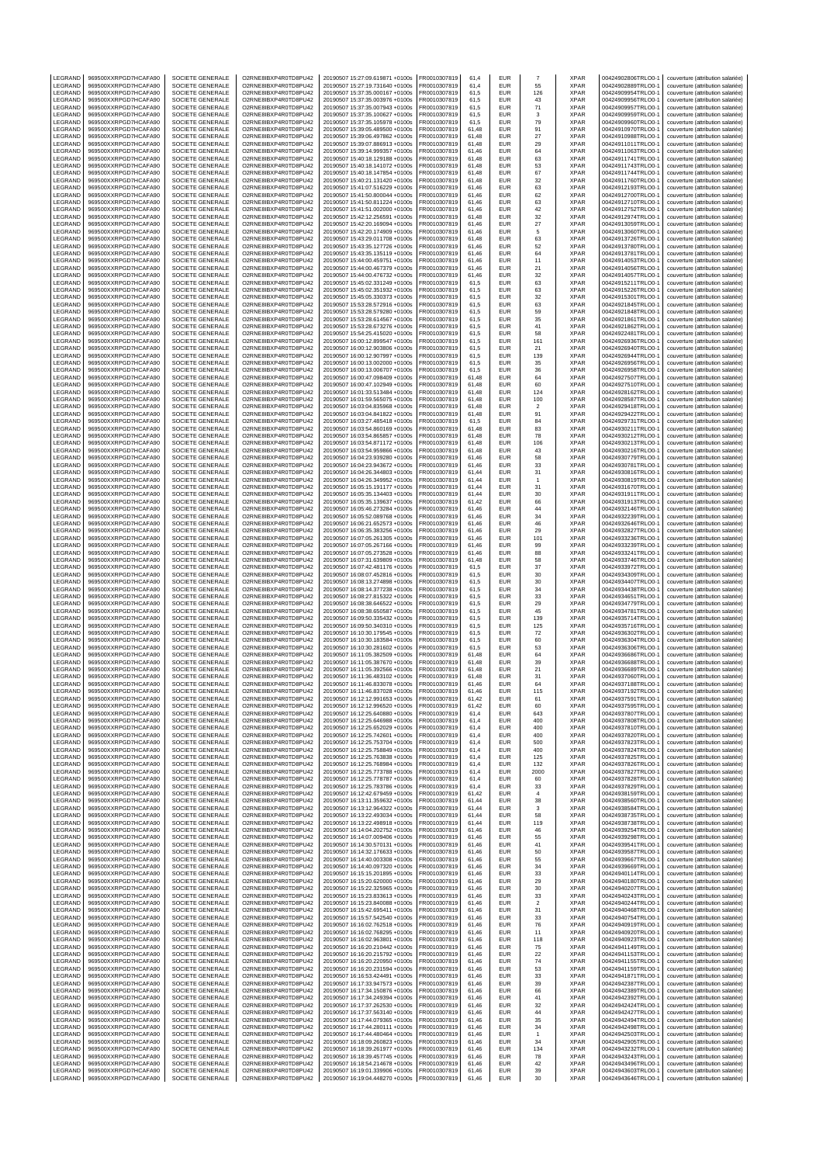| LEGRAND                   | 969500XXRPGD7HCAFA90                         | SOCIETE GENERALE                     | O2RNE8IBXP4R0TD8PU42                         | 20190507 15:27:09.619871 +0100s                                    | FR0010307819                 | 61,4           | EUR                      |                      | XPAR                       | 00424902806TRLO0-1                       | couverture (attribution salariée)                                      |
|---------------------------|----------------------------------------------|--------------------------------------|----------------------------------------------|--------------------------------------------------------------------|------------------------------|----------------|--------------------------|----------------------|----------------------------|------------------------------------------|------------------------------------------------------------------------|
| LEGRAND<br>LEGRAND        | 969500XXRPGD7HCAFA90<br>969500XXRPGD7HCAFA90 | SOCIETE GENERALE<br>SOCIETE GENERALE | O2RNE8IBXP4R0TD8PU42<br>O2RNE8IBXP4R0TD8PU42 | 20190507 15:27:19.731640 +0100s<br>20190507 15:37:35.000167 +0100s | FR0010307819<br>R0010307819  | 61.4<br>61,5   | <b>EUR</b><br>EUR        | 55<br>126            | <b>XPAR</b><br>XPAR        | 00424902889TRLO0-1<br>00424909954TRLO0-1 | couverture (attribution salariée)<br>couverture (attribution salariée) |
| LEGRAND                   | 969500XXRPGD7HCAFA90                         | SOCIETE GENERALE                     | O2RNE8IBXP4R0TD8PU42                         | 20190507 15:37:35.003976 +0100s                                    | FR0010307819                 | 61.5           | <b>EUR</b>               | 43                   | <b>XPAR</b>                | 00424909956TRLO0-1                       | couverture (attribution salariée)                                      |
| LEGRAND                   | 969500XXRPGD7HCAFA90                         | SOCIETE GENERALE                     | O2RNE8IBXP4R0TD8PU42                         | 20190507 15:37:35.007943 +0100s                                    | FR0010307819                 | 61,5           | EUR                      | 71                   | <b>XPAR</b>                | 00424909957TRLO0-1                       | couverture (attribution salariée)                                      |
| LEGRAND<br>LEGRAND        | 969500XXRPGD7HCAFA90<br>969500XXRPGD7HCAFA90 | SOCIETE GENERALE<br>SOCIETE GENERALE | O2RNE8IBXP4R0TD8PU42<br>O2RNE8IBXP4R0TD8PU42 | 20190507 15:37:35.100627 +0100s<br>20190507 15:37:35.105978 +0100s | FR0010307819<br>FR0010307819 | 61,5<br>61,5   | EUR<br>EUR               | 3<br>79              | <b>XPAR</b><br>XPAR        | 00424909959TRLO0-1<br>00424909960TRLO0-1 | couverture (attribution salariée)<br>couverture (attribution salariée) |
| LEGRAND                   | 969500XXRPGD7HCAFA90                         | SOCIETE GENERALE                     | O2RNE8IBXP4R0TD8PU42                         | 20190507 15:39:05.489500 +0100s                                    | FR0010307819                 | 61,48          | EUR                      | 91                   | <b>XPAR</b>                | 00424910970TRLO0-1                       | couverture (attribution salariée)                                      |
| LEGRAND<br>LEGRAND        | 969500XXRPGD7HCAFA90<br>969500XXRPGD7HCAFA90 | SOCIETE GENERALE<br>SOCIETE GENERALE | O2RNE8IBXP4R0TD8PU42<br>O2RNE8IBXP4R0TD8PU42 | 20190507 15:39:06.497862 +0100s                                    | R0010307819<br>FR0010307819  | 61,48<br>61,48 | EUR<br>EUR               | 27<br>29             | <b>XPAR</b><br><b>XPAR</b> | 00424910988TRLO0-1<br>00424911011TRLO0-  | couverture (attribution salariée)<br>couverture (attribution salariée) |
| LEGRAND                   | 969500XXRPGD7HCAFA90                         | SOCIETE GENERALE                     | O2RNE8IBXP4R0TD8PU42                         | 20190507 15:39:07.886913 +0100s<br>20190507 15:39:14.999357 +0100s | R0010307819                  | 61,46          | EUR                      | 64                   | XPAR                       | 00424911063TRLO0-1                       | couverture (attribution salariée)                                      |
| LEGRAND<br>LEGRAND        | 969500XXRPGD7HCAFA90                         | SOCIETE GENERALE                     | O2RNE8IBXP4R0TD8PU42<br>O2RNE8IBXP4R0TD8PU42 | 20190507 15:40:18.129188 +0100s                                    | FR0010307819                 | 61,48          | <b>EUR</b><br>EUR        | 63                   | <b>XPAR</b>                | 00424911741TRLO0-                        | couverture (attribution salariée)                                      |
| LEGRAND                   | 969500XXRPGD7HCAFA90<br>969500XXRPGD7HCAFA90 | SOCIETE GENERALE<br>SOCIETE GENERALE | O2RNE8IBXP4R0TD8PU42                         | 20190507 15:40:18.141072 +0100s<br>20190507 15:40:18.147854 +0100s | R0010307819<br>FR0010307819  | 61,48<br>61,48 | EUR                      | 53<br>67             | XPAR<br><b>XPAR</b>        | 00424911743TRLO0-1<br>00424911744TRLO0-  | couverture (attribution salariée)<br>couverture (attribution salariée) |
| LEGRAND                   | 969500XXRPGD7HCAFA90                         | SOCIETE GENERALE                     | O2RNE8IBXP4R0TD8PU42                         | 20190507 15:40:21.131420 +0100s                                    | FR0010307819                 | 61,48          | EUR                      | 32                   | XPAR                       | 00424911760TRLO0-1                       | couverture (attribution salariée)                                      |
| LEGRAND<br>LEGRAND        | 969500XXRPGD7HCAFA90<br>969500XXRPGD7HCAFA90 | SOCIETE GENERALE<br>SOCIETE GENERALE | O2RNE8IBXP4R0TD8PU42<br>O2RNE8IBXP4R0TD8PU42 | 20190507 15:41:07.516229 +0100s<br>20190507 15:41:50.800044 +0100s | R0010307819<br>FR0010307819  | 61,46<br>61.46 | EUR<br>EUR               | 63<br>62             | XPAR<br><b>XPAR</b>        | 00424912193TRLO0-1<br>00424912700TRLO0-  | couverture (attribution salariée)<br>couverture (attribution salariée) |
| LEGRAND                   | 969500XXRPGD7HCAFA90                         | SOCIETE GENERALE                     | O2RNE8IBXP4R0TD8PU42                         | 20190507 15:41:50.811224 +0100s                                    | FR0010307819                 | 61,46          | EUR                      | 63                   | XPAR                       | 00424912710TRLO0-                        | couverture (attribution salariée)                                      |
| LEGRAND                   | 969500XXRPGD7HCAFA90                         | SOCIETE GENERALE                     | O2RNE8IBXP4R0TD8PU42                         | 20190507 15:41:51.002000 +0100s                                    | FR0010307819                 | 61.46          | <b>EUR</b>               | 42                   | <b>XPAR</b>                | 00424912752TRLO0-1                       | couverture (attribution salariée)                                      |
| LEGRAND<br>LEGRAND        | 969500XXRPGD7HCAFA90<br>969500XXRPGD7HCAFA90 | SOCIETE GENERALE<br>SOCIETE GENERALE | O2RNE8IBXP4R0TD8PU42<br>O2RNE8IBXP4R0TD8PU42 | 20190507 15:42:12.256591 +0100s<br>20190507 15:42:20.169094 +0100s | R0010307819<br>FR0010307819  | 61,48<br>61.46 | EUR<br>EUR               | 32<br>27             | XPAR<br><b>XPAR</b>        | 00424912974TRLO0-1<br>00424913059TRLO0-1 | couverture (attribution salariée)<br>couverture (attribution salariée) |
| LEGRAND                   | 969500XXRPGD7HCAFA90                         | SOCIETE GENERALE                     | O2RNE8IBXP4R0TD8PU42                         | 20190507 15:42:20.174909 +0100s                                    | FR0010307819                 | 61,46          | EUR                      | 5                    | XPAR                       | 00424913060TRLO0-                        | couverture (attribution salariée)                                      |
| LEGRAND<br>LEGRAND        | 969500XXRPGD7HCAFA90<br>969500XXRPGD7HCAFA90 | SOCIETE GENERALE<br>SOCIETE GENERALE | O2RNE8IBXP4R0TD8PU42<br>O2RNE8IBXP4R0TD8PU42 | 20190507 15:43:29.011708 +0100s<br>20190507 15:43:35.127726 +0100s | FR0010307819<br>R0010307819  | 61.48<br>61,46 | EUR<br>EUR               | 63<br>52             | <b>XPAR</b><br>XPAR        | 00424913726TRLO0-1<br>00424913780TRLO0-1 | couverture (attribution salariée)<br>couverture (attribution salariée) |
| LEGRAND                   | 969500XXRPGD7HCAFA90                         | SOCIETE GENERALE                     | O2RNE8IBXP4R0TD8PU42                         | 20190507 15:43:35.135119 +0100s                                    | FR0010307819                 | 61.46          | EUR                      | 64                   | <b>XPAR</b>                | 00424913781TRLO0-                        | couverture (attribution salariée)                                      |
| LEGRAND<br>LEGRAND        | 969500XXRPGD7HCAFA90<br>969500XXRPGD7HCAFA90 | SOCIETE GENERALE<br>SOCIETE GENERALE | O2RNE8IBXP4R0TD8PU42<br>O2RNE8IBXP4R0TD8PU42 | 20190507 15:44:00.459751 +0100s<br>20190507 15:44:00.467379 +0100s | R0010307819<br>FR0010307819  | 61,46<br>61,46 | EUR<br><b>EUR</b>        | 11<br>21             | XPAR<br><b>XPAR</b>        | 00424914053TRLO0-<br>00424914056TRLO0-1  | couverture (attribution salariée)<br>couverture (attribution salariée) |
| LEGRAND                   | 969500XXRPGD7HCAFA90                         | SOCIETE GENERALE                     | O2RNE8IBXP4R0TD8PU42                         | 20190507 15:44:00.476732 +0100s                                    | FR0010307819                 | 61,46          | EUR                      | 32                   | XPAR                       | 00424914057TRLO0-1                       | couverture (attribution salariée)                                      |
| LEGRAND                   | 969500XXRPGD7HCAFA90                         | SOCIETE GENERALE                     | O2RNE8IBXP4R0TD8PU42                         | 20190507 15:45:02.331249 +0100s                                    | FR0010307819                 | 61,5           | EUR                      | 63                   | <b>XPAR</b>                | 00424915211TRLO0-                        | couverture (attribution salariée)                                      |
| LEGRAND<br>LEGRAND        | 969500XXRPGD7HCAFA90<br>969500XXRPGD7HCAFA90 | SOCIETE GENERALE<br>SOCIETE GENERALE | O2RNE8IBXP4R0TD8PU42<br>O2RNE8IBXP4R0TD8PU42 | 20190507 15:45:02.351932 +0100s<br>20190507 15:45:05.330373 +0100s | R0010307819<br>FR0010307819  | 61,5<br>61,5   | EUR<br>EUR               | 63<br>32             | <b>XPAR</b><br><b>XPAR</b> | 00424915226TRLO0-1<br>00424915301TRLO0-  | couverture (attribution salariée)<br>couverture (attribution salariée) |
| LEGRAND                   | 969500XXRPGD7HCAFA90                         | SOCIETE GENERALE                     | O2RNE8IBXP4R0TD8PU42                         | 20190507 15:53:28.572916 +0100s                                    | FR0010307819                 | 61,5           | EUR                      | 63                   | XPAR                       | 00424921845TRLO0-1                       | couverture (attribution salariée)                                      |
| LEGRAND<br>LEGRAND        | 969500XXRPGD7HCAFA90<br>969500XXRPGD7HCAFA90 | SOCIETE GENERALE<br>SOCIETE GENERALE | O2RNE8IBXP4R0TD8PU42<br>O2RNE8IBXP4R0TD8PU42 | 20190507 15:53:28.579280 +0100s<br>20190507 15:53:28.614567 +0100s | FR0010307819<br>R0010307819  | 61,5<br>61,5   | EUR<br>EUR               | 59<br>35             | <b>XPAR</b><br><b>XPAR</b> | 00424921848TRLO0-<br>00424921861TRLO0-1  | couverture (attribution salariée)<br>couverture (attribution salariée) |
| LEGRAND                   | 969500XXRPGD7HCAFA90                         | SOCIETE GENERALE                     | O2RNE8IBXP4R0TD8PU42                         | 20190507 15:53:28.673276 +0100s                                    | FR0010307819                 | 61,5           | EUR                      | 41                   | <b>XPAR</b>                | 00424921862TRLO0-                        | couverture (attribution salariée)                                      |
| LEGRAND<br>LEGRAND        | 969500XXRPGD7HCAFA90<br>969500XXRPGD7HCAFA90 | SOCIETE GENERALE<br>SOCIETE GENERALE | O2RNE8IBXP4R0TD8PU42<br>O2RNE8IBXP4R0TD8PU42 | 20190507 15:54:25.415020 +0100s<br>20190507 16:00:12.899547 +0100s | R0010307819<br>FR0010307819  | 61,5<br>61,5   | EUR<br><b>EUR</b>        | 58<br>161            | XPAR<br><b>XPAR</b>        | 00424922481TRLO0-1<br>00424926936TRLO0-  | couverture (attribution salariée)<br>couverture (attribution salariée) |
| LEGRAND                   | 969500XXRPGD7HCAFA90                         | SOCIETE GENERALE                     | O2RNE8IBXP4R0TD8PU42                         | 20190507 16:00:12.903806 +0100s                                    | R0010307819                  | 61,5           | EUR                      | 21                   | XPAR                       | 00424926940TRLO0-                        | couverture (attribution salariée)                                      |
| LEGRAND<br>LEGRAND        | 969500XXRPGD7HCAFA90<br>969500XXRPGD7HCAFA90 | SOCIETE GENERALE<br>SOCIETE GENERALE | O2RNE8IBXP4R0TD8PU42<br>O2RNE8IBXP4R0TD8PU42 | 20190507 16:00:12.907997 +0100s<br>20190507 16:00:13.002000 +0100s | FR0010307819<br>FR0010307819 | 61,5<br>61.5   | EUR<br>EUR               | 139<br>35            | <b>XPAR</b><br><b>XPAR</b> | 00424926944TRLO0-<br>00424926956TRLO0-1  | couverture (attribution salariée)<br>couverture (attribution salariée) |
| LEGRAND                   | 969500XXRPGD7HCAFA90                         | SOCIETE GENERALE                     | O2RNE8IBXP4R0TD8PU42                         | 20190507 16:00:13.006707 +0100s                                    | R0010307819                  | 61,5           | EUR                      | 36                   | XPAR                       | 00424926958TRLO0-1                       | couverture (attribution salariée)                                      |
| LEGRAND                   | 969500XXRPGD7HCAFA90                         | SOCIETE GENERALE                     | O2RNE8IBXP4R0TD8PU42                         | 20190507 16:00:47.098409 +0100s                                    | FR0010307819                 | 61.48          | EUR                      | 64                   | <b>XPAR</b>                | 00424927507TRLO0-                        | couverture (attribution salariée)                                      |
| LEGRAND<br>LEGRAND        | 969500XXRPGD7HCAFA90<br>969500XXRPGD7HCAFA90 | SOCIETE GENERALE<br>SOCIETE GENERALE | O2RNE8IBXP4R0TD8PU42<br>O2RNE8IBXP4R0TD8PU42 | 20190507 16:00:47.102949 +0100s<br>20190507 16:01:33.513484 +0100s | FR0010307819<br>FR0010307819 | 61,48<br>61.48 | EUR<br><b>EUR</b>        | 60<br>124            | XPAR<br><b>XPAR</b>        | 00424927510TRLO0-<br>00424928162TRLO0-1  | couverture (attribution salariée)<br>couverture (attribution salariée) |
| LEGRAND                   | 969500XXRPGD7HCAFA90                         | SOCIETE GENERALE                     | O2RNE8IBXP4R0TD8PU42                         | 20190507 16:01:59.565075 +0100s                                    | R0010307819                  | 61,48          | EUR                      | 100                  | XPAR                       | 00424928587TRLO0-1                       | couverture (attribution salariée)                                      |
| LEGRAND<br>LEGRAND        | 969500XXRPGD7HCAFA90<br>969500XXRPGD7HCAFA90 | SOCIETE GENERALE<br>SOCIETE GENERALE | O2RNE8IBXP4R0TD8PU42<br>O2RNE8IBXP4R0TD8PU42 | 20190507 16:03:04.835968 +0100s<br>20190507 16:03:04.841822 +0100s | FR0010307819<br>FR0010307819 | 61.48<br>61,48 | EUR<br>EUR               | $\overline{2}$<br>91 | <b>XPAR</b><br>XPAR        | 00424929418TRLO0-1<br>00424929422TRLO0-  | couverture (attribution salariée)<br>couverture (attribution salariée) |
| LEGRAND                   | 969500XXRPGD7HCAFA90                         | SOCIETE GENERALE                     | O2RNE8IBXP4R0TD8PU42                         | 20190507 16:03:27.485418 +0100s                                    | FR0010307819                 | 61.5           | EUR                      | 84                   | <b>XPAR</b>                | 00424929731TRLO0-1                       | couverture (attribution salariée)                                      |
| LEGRAND<br>LEGRAND        | 969500XXRPGD7HCAFA90<br>969500XXRPGD7HCAFA90 | SOCIETE GENERALE<br>SOCIETE GENERALE | O2RNE8IBXP4R0TD8PU42<br>O2RNE8IBXP4R0TD8PU42 | 20190507 16:03:54.860169 +0100s<br>20190507 16:03:54.865857 +0100s | R0010307819<br>FR0010307819  | 61,48<br>61.48 | EUR<br>EUR               | 83<br>78             | XPAR<br><b>XPAR</b>        | 00424930211TRLO0-1<br>00424930212TRLO0-  | couverture (attribution salariée)<br>couverture (attribution salariée) |
| LEGRAND                   | 969500XXRPGD7HCAFA90                         | SOCIETE GENERALE                     | O2RNE8IBXP4R0TD8PU42                         | 20190507 16:03:54.871172 +0100s                                    | FR0010307819                 | 61,48          | EUR                      | 106                  | XPAR                       | 00424930213TRLO0-                        | couverture (attribution salariée)                                      |
| LEGRAND                   | 969500XXRPGD7HCAFA90                         | SOCIETE GENERALE                     | O2RNE8IBXP4R0TD8PU42                         | 20190507 16:03:54.959866 +0100s                                    | FR0010307819                 | 61,48          | <b>EUR</b>               | 43                   | XPAR                       | 00424930216TRLO0-                        | couverture (attribution salariée)                                      |
| LEGRAND<br>LEGRAND        | 969500XXRPGD7HCAFA90<br>969500XXRPGD7HCAFA90 | SOCIETE GENERALE<br>SOCIETE GENERALE | O2RNE8IBXP4R0TD8PU42<br>O2RNE8IBXP4R0TD8PU42 | 20190507 16:04:23.939280 +0100s<br>20190507 16:04:23.943672 +0100s | R0010307819<br>FR0010307819  | 61,46<br>61,46 | EUR<br><b>EUR</b>        | 58<br>33             | XPAR<br><b>XPAR</b>        | 00424930779TRLO0-1<br>00424930781TRLO0-1 | couverture (attribution salariée)<br>couverture (attribution salariée) |
| LEGRAND                   | 969500XXRPGD7HCAFA90                         | SOCIETE GENERALE                     | O2RNE8IBXP4R0TD8PU42                         | 20190507 16:04:26.344803 +0100s                                    | R0010307819                  | 61,44          | EUR                      | 31                   | XPAR                       | 00424930816TRLO0-1                       | couverture (attribution salariée)                                      |
| LEGRAND<br>LEGRAND        | 969500XXRPGD7HCAFA90<br>969500XXRPGD7HCAFA90 | SOCIETE GENERALE<br>SOCIETE GENERALE | O2RNE8IBXP4R0TD8PU42<br>O2RNE8IBXP4R0TD8PU42 | 20190507 16:04:26.349952 +0100s<br>20190507 16:05:15.191177 +0100s | FR0010307819<br>FR0010307819 | 61,44<br>61,44 | EUR<br>EUR               | $\overline{1}$<br>31 | <b>XPAR</b><br>XPAR        | 00424930819TRLO0-<br>00424931670TRLO0-1  | couverture (attribution salariée)<br>couverture (attribution salariée) |
| LEGRAND                   | 969500XXRPGD7HCAFA90                         | SOCIETE GENERALE                     | O2RNE8IBXP4R0TD8PU42                         | 20190507 16:05:35.134403 +0100s                                    | FR0010307819                 | 61,44          | EUR                      | 30                   | <b>XPAR</b>                | 00424931911TRLO0-1                       | couverture (attribution salariée)                                      |
| LEGRAND<br>LEGRAND        | 969500XXRPGD7HCAFA90<br>969500XXRPGD7HCAFA90 | SOCIETE GENERALE<br>SOCIETE GENERALE | O2RNE8IBXP4R0TD8PU42<br>O2RNE8IBXP4R0TD8PU42 | 20190507 16:05:35.139637 +0100s                                    | R0010307819<br>FR0010307819  | 61,42<br>61,46 | EUR<br>EUR               | 66<br>44             | <b>XPAR</b><br><b>XPAR</b> | 00424931913TRLO0-1<br>00424932146TRLO0-  | couverture (attribution salariée)                                      |
| LEGRAND                   | 969500XXRPGD7HCAFA90                         | SOCIETE GENERALE                     | O2RNE8IBXP4R0TD8PU42                         | 20190507 16:05:46.273284 +0100s<br>20190507 16:05:52.089768 +0100s | R0010307819                  | 61,46          | EUR                      | 34                   | XPAR                       | 00424932239TRLO0-1                       | couverture (attribution salariée)<br>couverture (attribution salariée) |
| LEGRAND                   | 969500XXRPGD7HCAFA90                         | SOCIETE GENERALE                     | O2RNE8IBXP4R0TD8PU42                         | 20190507 16:06:21.652573 +0100s                                    | FR0010307819                 | 61,46          | <b>EUR</b>               | 46                   | XPAR                       | 00424932646TRLO0-1                       | couverture (attribution salariée)                                      |
| LEGRAND<br>LEGRAND        | 969500XXRPGD7HCAFA90<br>969500XXRPGD7HCAFA90 | SOCIETE GENERALE<br>SOCIETE GENERALE | O2RNE8IBXP4R0TD8PU42<br>O2RNE8IBXP4R0TD8PU42 | 20190507 16:06:35.383256 +0100s<br>20190507 16:07:05.261305 +0100s | R0010307819<br>R0010307819   | 61,46<br>61,46 | EUR<br>EUR               | 29<br>101            | XPAR<br>XPAR               | 00424932827TRLO0-1<br>00424933236TRLO0-1 | couverture (attribution salariée)<br>couverture (attribution salariée) |
| LEGRAND                   | 969500XXRPGD7HCAFA90                         | SOCIETE GENERALE                     | O2RNE8IBXP4R0TD8PU42                         | 20190507 16:07:05.267166 +0100s                                    | FR0010307819                 | 61.46          | EUR                      | 99                   | <b>XPAR</b>                | 00424933239TRLO0-1                       | couverture (attribution salariée)                                      |
| LEGRAND<br>LEGRAND        | 969500XXRPGD7HCAFA90<br>969500XXRPGD7HCAFA90 | SOCIETE GENERALE<br>SOCIETE GENERALE | O2RNE8IBXP4R0TD8PU42<br>O2RNE8IBXP4R0TD8PU42 | 20190507 16:07:05.273528 +0100s<br>20190507 16:07:31.639809 +0100s | FR0010307819<br>FR0010307819 | 61,46<br>61.48 | EUR<br>EUR               | 88<br>58             | XPAR<br><b>XPAR</b>        | 00424933241TRLO0-1<br>00424933746TRLO0-  | couverture (attribution salariée)<br>couverture (attribution salariée) |
| LEGRAND                   | 969500XXRPGD7HCAFA90                         | SOCIETE GENERALE                     | O2RNE8IBXP4R0TD8PU42                         | 20190507 16:07:42.481176 +0100s                                    | FR0010307819                 | 61,5           | EUR                      | 37                   | XPAR                       | 00424933972TRLO0-                        | couverture (attribution salariée)                                      |
| LEGRAND<br>LEGRAND        | 969500XXRPGD7HCAFA90<br>969500XXRPGD7HCAFA90 | SOCIETE GENERALE<br>SOCIETE GENERALE | O2RNE8IBXP4R0TD8PU42<br>O2RNE8IBXP4R0TD8PU42 | 20190507 16:08:07.452816 +0100s<br>20190507 16:08:13.274898 +0100s | FR0010307819<br>R0010307819  | 61.5<br>61,5   | EUR<br>EUR               | 30<br>30             | <b>XPAR</b><br>XPAR        | 00424934309TRLO0-1<br>00424934407TRLO0-1 | couverture (attribution salariée)<br>couverture (attribution salariée) |
| LEGRAND                   | 969500XXRPGD7HCAFA90                         | SOCIETE GENERALE                     | O2RNE8IBXP4R0TD8PU42                         | 20190507 16:08:14.377238 +0100s                                    | FR0010307819                 | 61.5           | EUR                      | 34                   | <b>XPAR</b>                | 00424934438TRLO0-                        | couverture (attribution salariée)                                      |
| LEGRAND<br>LEGRAND        | 969500XXRPGD7HCAFA90<br>969500XXRPGD7HCAFA90 | SOCIETE GENERALE<br>SOCIETE GENERALE | O2RNE8IBXP4R0TD8PU42<br>O2RNE8IBXP4R0TD8PU42 | 20190507 16:08:27.815322 +0100s<br>20190507 16:08:38.646522 +0100s | FR0010307819<br>FR0010307819 | 61,5<br>61.5   | EUR<br>EUR               | 33<br>29             | XPAR<br><b>XPAR</b>        | 00424934651TRLO0-<br>00424934779TRLO0-1  | couverture (attribution salariée)                                      |
| LEGRAND                   | 969500XXRPGD7HCAFA90                         | SOCIETE GENERALE                     | O2RNE8IBXP4R0TD8PU42                         | 20190507 16:08:38.650587 +0100s                                    | FR0010307819                 | 61,5           | EUR                      | 45                   | XPAR                       | 00424934781TRLO0-1                       | couverture (attribution salariée)<br>couverture (attribution salariée) |
| LEGRAND                   | 969500XXRPGD7HCAFA90                         | SOCIETE GENERALE                     | O2RNE8IBXP4R0TD8PU42                         | 20190507 16:09:50.335432 +0100s                                    | FR0010307819                 | 61,5           | <b>EUR</b>               | 139                  | <b>XPAR</b>                | 00424935714TRLO0-1                       | couverture (attribution salariée)                                      |
| LEGRAND<br>LEGRAND        | 969500XXRPGD7HCAFA90<br>969500XXRPGD7HCAFA90 | SOCIETE GENERALE<br>SOCIETE GENERALE | O2RNE8IBXP4R0TD8PU42<br>O2RNE8IBXP4R0TD8PU42 | 20190507 16:09:50.340310 +0100s<br>20190507 16:10:30.179545 +0100s | FR0010307819<br>FR0010307819 | 61,5<br>61,5   | EUR<br><b>EUR</b>        | 125<br>72            | <b>XPAR</b><br><b>XPAR</b> | 00424935716TRLO0-1<br>00424936302TRLO0-  | couverture (attribution salariée)<br>couverture (attribution salariée) |
| LEGRAND                   | 969500XXRPGD7HCAFA90                         | SOCIETE GENERALE                     | O2RNE8IBXP4R0TD8PU42                         | 20190507 16:10:30.183584 +0100s                                    | R0010307819                  | 61,5           | EUR                      | 60                   | XPAR                       | 00424936304TRLO0-1                       | couverture (attribution salariée)                                      |
| LEGRAND<br>LEGRAND        | 969500XXRPGD7HCAFA90<br>969500XXRPGD7HCAFA90 | SOCIETE GENERALE<br>SOCIETE GENERALE | O2RNE8IBXP4R0TD8PU42<br>O2RNE8IBXP4R0TD8PU42 | 20190507 16:10:30.281602 +0100s<br>20190507 16:11:05.382509 +0100s | FR0010307819<br>R0010307819  | 61,5<br>61,48  | <b>EUR</b><br>EUR        | 53<br>64             | <b>XPAR</b><br>XPAR        | 00424936306TRLO0-<br>00424936686TRLO0-1  | couverture (attribution salariée)<br>couverture (attribution salariée) |
| LEGRAND                   | 969500XXRPGD7HCAFA90                         | SOCIETE GENERALE                     | O2RNE8IBXP4R0TD8PU42                         | 20190507 16:11:05.387670 +0100s                                    | FR0010307819                 | 61.48          | EUR                      | 39                   | <b>XPAR</b>                | 00424936688TRLO0-1                       | couverture (attribution salariée)                                      |
| LEGRAND<br>LEGRAND        | 969500XXRPGD7HCAFA90<br>969500XXRPGD7HCAFA90 | SOCIETE GENERALE<br>SOCIETE GENERALE | O2RNE8IBXP4R0TD8PU42<br>O2RNE8IBXP4R0TD8PU42 | 20190507 16:11:05.392566 +0100s<br>20190507 16:11:36.483102 +0100s | R0010307819<br>FR0010307819  | 61.48<br>61.48 | EUR<br>EUR               | 21<br>31             | <b>XPAR</b><br><b>XPAR</b> | 00424936689TRLO0-1<br>00424937060TRLO0-1 | couverture (attribution salariée)<br>couverture (attribution salariée) |
| LEGRAND                   | 969500XXRPGD7HCAFA90                         | SOCIETE GENERALE                     | O2RNE8IBXP4R0TD8PU42                         | 20190507 16:11:46.833078 +0100s                                    | FR0010307819                 | 61,46          | <b>EUR</b>               | 64                   | <b>XPAR</b>                | 00424937188TRLO0-1                       | couverture (attribution salariée)                                      |
| LEGRAND<br><b>IFGRAND</b> | 969500XXRPGD7HCAFA90<br>969500XXRPGD7HCAFA90 | SOCIETE GENERALE<br>SOCIETE GENERALE | O2RNE8IBXP4R0TD8PU42<br>O2RNE8IBXP4R0TD8PU42 | 20190507 16:11:46.837028 +0100s<br>20190507 16:12:12.991653 +0100s | FR0010307819<br>FR0010307819 | 61,46<br>61.42 | EUR<br><b>EUR</b>        | 115<br>61            | <b>XPAR</b><br><b>XPAR</b> | 00424937192TRLO0-1<br>00424937591TRLO0-1 | couverture (attribution salariée)<br>couverture (attribution salariée) |
| LEGRAND                   | 969500XXRPGD7HCAFA90                         | SOCIETE GENERALE                     | O2RNE8IBXP4R0TD8PU42                         | 20190507 16:12:12.996520 +0100s                                    | FR0010307819                 | 61,42          | <b>EUR</b>               | 60                   | <b>XPAR</b>                | 00424937595TRLO0-1                       | couverture (attribution salariée)                                      |
| LEGRAND                   | 969500XXRPGD7HCAFA90                         | SOCIETE GENERALE                     | O2RNE8IBXP4R0TD8PU42                         | 20190507 16:12:25.640880 +0100s                                    | FR0010307819                 | 61.4           | <b>EUR</b>               | 643                  | <b>XPAR</b>                | 00424937807TRLO0-1                       | couverture (attribution salariée)                                      |
| LEGRAND<br>LEGRAND        | 969500XXRPGD7HCAFA90<br>969500XXRPGD7HCAFA90 | SOCIETE GENERALE<br>SOCIETE GENERALE | O2RNE8IBXP4R0TD8PU42<br>O2RNE8IBXP4R0TD8PU42 | 20190507 16:12:25.646988 +0100s<br>20190507 16:12:25.652029 +0100s | FR0010307819<br>FR0010307819 | 61,4<br>61.4   | EUR<br><b>EUR</b>        | 400<br>400           | <b>XPAR</b><br><b>XPAR</b> | 00424937808TRLO0-1<br>00424937810TRLO0-1 | couverture (attribution salariée)<br>couverture (attribution salariée) |
| LEGRAND                   | 969500XXRPGD7HCAFA90                         | SOCIETE GENERALE                     | O2RNE8IBXP4R0TD8PU42<br>O2RNE8IBXP4R0TD8PU42 | 20190507 16:12:25.742601 +0100s                                    | FR0010307819                 | 61,4           | EUR                      | 400                  | <b>XPAR</b>                | 00424937820TRLO0-1<br>00424937823TRLO0-1 | couverture (attribution salariée)                                      |
| LEGRAND<br>LEGRAND        | 969500XXRPGD7HCAFA90<br>969500XXRPGD7HCAFA90 | SOCIETE GENERALE<br>SOCIETE GENERALE | O2RNE8IBXP4R0TD8PU42                         | 20190507 16:12:25.753704 +0100s<br>20190507 16:12:25.758849 +0100s | FR0010307819<br>FR0010307819 | 61.4<br>61,4   | <b>EUR</b><br>EUR        | 500<br>400           | <b>XPAR</b><br><b>XPAR</b> | 00424937824TRLO0-1                       | couverture (attribution salariée)<br>couverture (attribution salariée) |
| LEGRAND                   | 969500XXRPGD7HCAFA90                         | SOCIETE GENERALE                     | O2RNE8IBXP4R0TD8PU42                         | 20190507 16:12:25.763838 +0100s                                    | FR0010307819                 | 61.4           | <b>EUR</b>               | 125                  | <b>XPAR</b>                | 00424937825TRLO0-1                       | couverture (attribution salariée)                                      |
| LEGRAND<br>LEGRAND        | 969500XXRPGD7HCAFA90<br>969500XXRPGD7HCAFA90 | SOCIETE GENERALE<br>SOCIETE GENERALE | O2RNE8IBXP4R0TD8PU42<br>O2RNE8IBXP4R0TD8PU42 | 20190507 16:12:25.768984 +0100s<br>20190507 16:12:25.773788 +0100s | FR0010307819<br>FR0010307819 | 61,4<br>61.4   | EUR<br><b>EUR</b>        | 132<br>2000          | <b>XPAR</b><br><b>XPAR</b> | 00424937826TRLO0-1<br>00424937827TRLO0-1 | couverture (attribution salariée)<br>couverture (attribution salariée) |
| LEGRAND                   | 969500XXRPGD7HCAFA90                         | SOCIETE GENERALE                     | O2RNE8IBXP4R0TD8PU42                         | 20190507 16:12:25.778787 +0100s                                    | FR0010307819                 | 61,4           | EUR                      | 60                   | <b>XPAR</b>                | 00424937828TRLO0-1                       | couverture (attribution salariée)                                      |
| LEGRAND<br>LEGRAND        | 969500XXRPGD7HCAFA90<br>969500XXRPGD7HCAFA90 | SOCIETE GENERALE<br>SOCIETE GENERALE | O2RNE8IBXP4R0TD8PU42<br>O2RNE8IBXP4R0TD8PU42 | 20190507 16:12:25.783786 +0100s<br>20190507 16:12:42.679459 +0100s | FR0010307819<br>FR0010307819 | 61.4<br>61,42  | <b>EUR</b><br>EUR        | 33<br>$\overline{4}$ | <b>XPAR</b><br><b>XPAR</b> | 00424937829TRLO0-1<br>00424938159TRLO0-1 | couverture (attribution salariée)<br>couverture (attribution salariée) |
| LEGRAND                   | 969500XXRPGD7HCAFA90                         | SOCIETE GENERALE                     | O2RNE8IBXP4R0TD8PU42                         | 20190507 16:13:11.359632 +0100s                                    | FR0010307819                 | 61.44          | <b>EUR</b>               | 38                   | <b>XPAR</b>                | 00424938560TRLO0-1                       | couverture (attribution salariée)                                      |
| LEGRAND<br>LEGRAND        | 969500XXRPGD7HCAFA90<br>969500XXRPGD7HCAFA90 | SOCIETE GENERALE<br>SOCIETE GENERALE | O2RNE8IBXP4R0TD8PU42<br>O2RNE8IBXP4R0TD8PU42 | 20190507 16:13:12.964322 +0100s<br>20190507 16:13:22.493034 +0100s | FR0010307819<br>FR0010307819 | 61,44<br>61,44 | <b>EUR</b><br><b>EUR</b> | 3<br>58              | <b>XPAR</b><br><b>XPAR</b> | 00424938584TRLO0-1<br>00424938735TRLO0-1 | couverture (attribution salariée)<br>couverture (attribution salariée) |
| LEGRAND                   | 969500XXRPGD7HCAFA90                         | SOCIETE GENERALE                     | O2RNE8IBXP4R0TD8PU42                         | 20190507 16:13:22.498918 +0100s                                    | FR0010307819                 | 61.44          | <b>EUR</b>               | 119                  | <b>XPAR</b>                | 00424938738TRLO0-1                       | couverture (attribution salariée)                                      |
| LEGRAND<br>LEGRAND        | 969500XXRPGD7HCAFA90<br>969500XXRPGD7HCAFA90 | SOCIETE GENERALE<br>SOCIETE GENERALE | O2RNE8IBXP4R0TD8PU42<br>O2RNE8IBXP4R0TD8PU42 | 20190507 16:14:04.202752 +0100s<br>20190507 16:14:07.009406 +0100s | FR0010307819<br>FR0010307819 | 61.46<br>61,46 | <b>EUR</b><br><b>EUR</b> | 46<br>55             | <b>XPAR</b><br><b>XPAR</b> | 00424939254TRLO0-1<br>00424939298TRLO0-1 | couverture (attribution salariée)<br>couverture (attribution salariée) |
| LEGRAND                   | 969500XXRPGD7HCAFA90                         | SOCIETE GENERALE                     | O2RNE8IBXP4R0TD8PU42                         | 20190507 16:14:30.570131 +0100s                                    | FR0010307819                 | 61,46          | <b>EUR</b>               | 41                   | <b>XPAR</b>                | 00424939541TRLO0-1                       | couverture (attribution salariée)                                      |
| LEGRAND<br>LEGRAND        | 969500XXRPGD7HCAFA90<br>969500XXRPGD7HCAFA90 | SOCIETE GENERALE<br>SOCIETE GENERALE | O2RNE8IBXP4R0TD8PU42<br>O2RNE8IBXP4R0TD8PU42 | 20190507 16:14:32.176633 +0100s<br>20190507 16:14:40.003308 +0100s | FR0010307819<br>FR0010307819 | 61,46<br>61.46 | <b>EUR</b><br><b>FUR</b> | 50<br>55             | <b>XPAR</b><br><b>XPAR</b> | 00424939587TRLO0-1<br>00424939667TRLO0-1 | couverture (attribution salariée)                                      |
| LEGRAND                   | 969500XXRPGD7HCAFA90                         | SOCIETE GENERALE                     | O2RNE8IBXP4R0TD8PU42                         | 20190507 16:14:40.097320 +0100s                                    | FR0010307819                 | 61,46          | <b>EUR</b>               | 34                   | <b>XPAR</b>                | 00424939669TRLO0-1                       | couverture (attribution salariée)<br>couverture (attribution salariée) |
| LEGRAND                   | 969500XXRPGD7HCAFA90                         | SOCIETE GENERALE                     | O2RNE8IBXP4R0TD8PU42                         | 20190507 16:15:15.201895 +0100s                                    | FR0010307819                 | 61,46          | <b>EUR</b>               | 33                   | <b>XPAR</b>                | 00424940114TRLO0-1                       | couverture (attribution salariée)                                      |
| LEGRAND<br>LEGRAND        | 969500XXRPGD7HCAFA90<br>969500XXRPGD7HCAFA90 | SOCIETE GENERALE<br>SOCIETE GENERALE | O2RNE8IBXP4R0TD8PU42<br>O2RNE8IBXP4R0TD8PU42 | 20190507 16:15:20.620000 +0100s<br>20190507 16:15:22.325965 +0100s | FR0010307819<br>FR0010307819 | 61.46<br>61,46 | <b>EUR</b><br>EUR        | 29<br>30             | <b>XPAR</b><br>XPAR        | 00424940180TRLO0-1<br>00424940207TRLO0-1 | couverture (attribution salariée)<br>couverture (attribution salariée) |
| LEGRAND                   |                                              | SOCIETE GENERALE                     | O2RNE8IBXP4R0TD8PU42                         | 20190507 16:15:23.833613 +0100s<br>20190507 16:15:23.840088 +0100s | FR0010307819                 | 61.46<br>61,46 | EUR                      | 33                   | <b>XPAR</b>                | 00424940243TRLO0-1                       | couverture (attribution salariée)                                      |
| LEGRAND<br>LEGRAND        | 969500XXRPGD7HCAFA90                         |                                      |                                              |                                                                    | FR0010307819                 |                |                          |                      |                            | 00424940244TRLO0-1                       | couverture (attribution salariée)                                      |
| LEGRAND                   | 969500XXRPGD7HCAFA90<br>969500XXRPGD7HCAFA90 | SOCIETE GENERALE<br>SOCIETE GENERALE | O2RNE8IBXP4R0TD8PU42<br>O2RNE8IBXP4R0TD8PU42 | 20190507 16:15:42.695411 +0100s                                    | FR0010307819                 | 61.46          | EUR<br><b>EUR</b>        | $\sqrt{2}$<br>31     | <b>XPAR</b><br><b>XPAR</b> | 00424940468TRLO0-1                       | couverture (attribution salariée)                                      |
| LEGRAND                   | 969500XXRPGD7HCAFA90                         | SOCIETE GENERALE                     | O2RNE8IBXP4R0TD8PU42                         | 20190507 16:15:57.542540 +0100s                                    | FR0010307819                 | 61,46          | EUR                      | 33                   | <b>XPAR</b>                | 00424940754TRLO0-1                       | couverture (attribution salariée)                                      |
|                           | 969500XXRPGD7HCAFA90                         | SOCIETE GENERALE                     | O2RNE8IBXP4R0TD8PU42                         | 20190507 16:16:02.762518 +0100s                                    | FR0010307819                 | 61.46          | <b>EUR</b>               | 76                   | <b>XPAR</b>                | 00424940919TRLO0-1                       | couverture (attribution salariée)                                      |
| LEGRAND<br>LEGRAND        | 969500XXRPGD7HCAFA90<br>969500XXRPGD7HCAFA90 | SOCIETE GENERALE<br>SOCIETE GENERALE | O2RNE8IBXP4R0TD8PU42<br>O2RNE8IBXP4R0TD8PU42 | 20190507 16:16:02.768295 +0100s<br>20190507 16:16:02.963801 +0100s | FR0010307819<br>FR0010307819 | 61,46<br>61.46 | EUR<br><b>EUR</b>        | 11<br>118            | <b>XPAR</b><br><b>XPAR</b> | 00424940920TRLO0-1<br>00424940923TRLO0-1 | couverture (attribution salariée)<br>couverture (attribution salariée) |
| LEGRAND<br>LEGRAND        | 969500XXRPGD7HCAFA90<br>969500XXRPGD7HCAFA90 | SOCIETE GENERALE                     | O2RNE8IBXP4R0TD8PU42<br>O2RNE8IBXP4R0TD8PU42 | 20190507 16:16:20.210442 +0100s<br>20190507 16:16:20.215792 +0100s | FR0010307819<br>FR0010307819 | 61,46<br>61.46 | EUR<br><b>EUR</b>        | 75                   | XPAR<br><b>XPAR</b>        | 00424941149TRLO0-1<br>00424941153TRLO0-1 | couverture (attribution salariée)                                      |
| LEGRAND                   | 969500XXRPGD7HCAFA90                         | SOCIETE GENERALE<br>SOCIETE GENERALE | O2RNE8IBXP4R0TD8PU42                         | 20190507 16:16:20.220950 +0100s                                    | FR0010307819                 | 61,46          | EUR                      | 22<br>74             | <b>XPAR</b>                | 00424941155TRLO0-1                       | couverture (attribution salariée)<br>couverture (attribution salariée) |
| LEGRAND                   | 969500XXRPGD7HCAFA90                         | SOCIETE GENERALE                     | O2RNE8IBXP4R0TD8PU42                         | 20190507 16:16:20.231594 +0100s                                    | FR0010307819                 | 61.46          | <b>EUR</b>               | 53                   | <b>XPAR</b>                | 00424941159TRLO0-1                       | couverture (attribution salariée)                                      |
| LEGRAND<br>LEGRAND        | 969500XXRPGD7HCAFA90<br>969500XXRPGD7HCAFA90 | SOCIETE GENERALE<br>SOCIETE GENERALE | O2RNE8IBXP4R0TD8PU42<br>O2RNE8IBXP4R0TD8PU42 | 20190507 16:16:53.424491 +0100s<br>20190507 16:17:33.947573 +0100s | FR0010307819<br>FR0010307819 | 61,46<br>61,46 | <b>EUR</b><br><b>EUR</b> | 33<br>39             | <b>XPAR</b><br><b>XPAR</b> | 00424941871TRLO0-1<br>00424942387TRLO0-1 | couverture (attribution salariée)<br>couverture (attribution salariée) |
| LEGRAND                   | 969500XXRPGD7HCAFA90                         | SOCIETE GENERALE                     | O2RNE8IBXP4R0TD8PU42                         | 20190507 16:17:34.150876 +0100s                                    | FR0010307819                 | 61,46          | <b>EUR</b>               | 66                   | <b>XPAR</b>                | 00424942389TRLO0-1                       | couverture (attribution salariée)                                      |
| LEGRAND<br>LEGRAND        | 969500XXRPGD7HCAFA90<br>969500XXRPGD7HCAFA90 | SOCIETE GENERALE<br>SOCIETE GENERALE | O2RNE8IBXP4R0TD8PU42<br>O2RNE8IBXP4R0TD8PU42 | 20190507 16:17:34.249394 +0100s<br>20190507 16:17:37.262530 +0100s | FR0010307819<br>FR0010307819 | 61,46<br>61,46 | <b>EUR</b><br><b>EUR</b> | 41<br>32             | <b>XPAR</b><br><b>XPAR</b> | 00424942392TRLO0-1<br>00424942424TRLO0-1 | couverture (attribution salariée)<br>couverture (attribution salariée) |
| LEGRAND                   | 969500XXRPGD7HCAFA90                         | SOCIETE GENERALE                     | O2RNE8IBXP4R0TD8PU42                         | 20190507 16:17:37.563140 +0100s                                    | FR0010307819                 | 61,46          | <b>EUR</b>               | 44                   | <b>XPAR</b>                | 00424942427TRLO0-1                       | couverture (attribution salariée)                                      |
| LEGRAND<br>LEGRAND        | 969500XXRPGD7HCAFA90<br>969500XXRPGD7HCAFA90 | SOCIETE GENERALE<br>SOCIETE GENERALE | O2RNE8IBXP4R0TD8PU42<br>O2RNE8IBXP4R0TD8PU42 | 20190507 16:17:44.079365 +0100s<br>20190507 16:17:44.280111 +0100s | FR0010307819<br>FR0010307819 | 61,46<br>61,46 | <b>EUR</b><br><b>EUR</b> | 35<br>34             | <b>XPAR</b><br><b>XPAR</b> | 00424942494TRLO0-1<br>00424942498TRLO0-1 | couverture (attribution salariée)                                      |
| LEGRAND                   | 969500XXRPGD7HCAFA90                         | SOCIETE GENERALE                     | O2RNE8IBXP4R0TD8PU42                         | 20190507 16:17:44.480464 +0100s                                    | FR0010307819                 | 61,46          | <b>EUR</b>               | $\overline{1}$       | <b>XPAR</b>                | 00424942503TRLO0-1                       | couverture (attribution salariée)<br>couverture (attribution salariée) |
| LEGRAND                   | 969500XXRPGD7HCAFA90                         | SOCIETE GENERALE                     | O2RNE8IBXP4R0TD8PU42                         | 20190507 16:18:09.260823 +0100s                                    | FR0010307819                 | 61.46          | <b>FUR</b><br><b>EUR</b> | 34                   | <b>XPAR</b>                | 00424942905TRLO0-1                       | couverture (attribution salariée)                                      |
| LEGRAND<br>LEGRAND        | 969500XXRPGD7HCAFA90<br>969500XXRPGD7HCAFA90 | SOCIETE GENERALE<br>SOCIETE GENERALE | O2RNE8IBXP4R0TD8PU42<br>O2RNE8IBXP4R0TD8PU42 | 20190507 16:18:39.261977 +0100s<br>20190507 16:18:39.457745 +0100s | FR0010307819<br>FR0010307819 | 61,46<br>61,46 | EUR                      | 134<br>78            | <b>XPAR</b><br><b>XPAR</b> | 00424943232TRLO0-1<br>00424943243TRLO0-1 | couverture (attribution salariée)<br>couverture (attribution salariée) |
| LEGRAND<br>LEGRAND        | 969500XXRPGD7HCAFA90<br>969500XXRPGD7HCAFA90 | SOCIETE GENERALE<br>SOCIETE GENERALE | O2RNE8IBXP4R0TD8PU42<br>O2RNE8IBXP4R0TD8PU42 | 20190507 16:18:54.214678 +0100s<br>20190507 16:19:01.339906 +0100s | FR0010307819<br>FR0010307819 | 61.46<br>61,46 | <b>EUR</b><br>EUR        | 42<br>39             | <b>XPAR</b><br>XPAR        | 00424943496TRLO0-1<br>00424943603TRLO0-1 | couverture (attribution salariée)<br>couverture (attribution salariée) |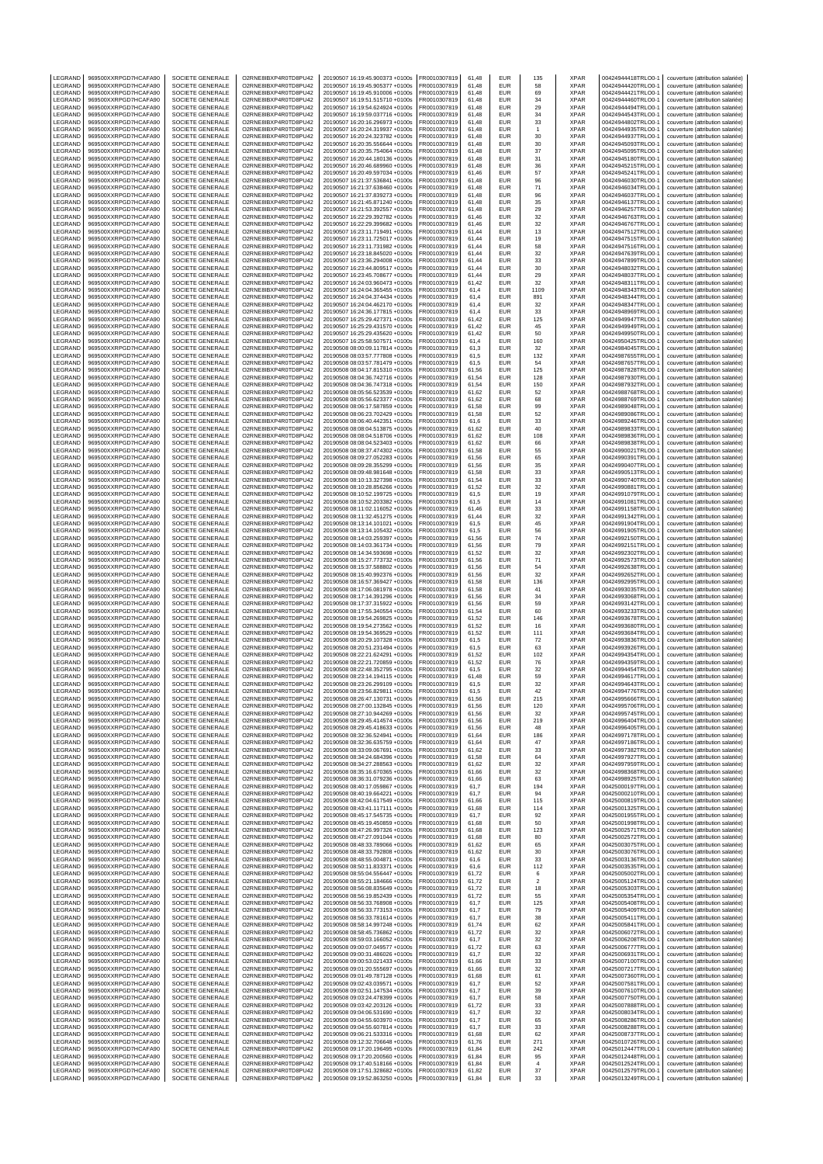| LEGRAND            | 969500XXRPGD7HCAFA90                         | SOCIETE GENERALE                     | O2RNE8IBXP4R0TD8PU42                         | 20190507 16:19:45.900373 +0100s                                    | FR0010307819                 | 61.48          | EUR                      | 135                           | <b>XPAR</b>                | 00424944418TRLO0-1                       | couverture (attribution salariée)                                      |
|--------------------|----------------------------------------------|--------------------------------------|----------------------------------------------|--------------------------------------------------------------------|------------------------------|----------------|--------------------------|-------------------------------|----------------------------|------------------------------------------|------------------------------------------------------------------------|
| LEGRAND<br>LEGRAND | 969500XXRPGD7HCAFA90<br>969500XXRPGD7HCAFA90 | SOCIETE GENERALE<br>SOCIETE GENERALE | O2RNE8IBXP4R0TD8PU42<br>O2RNE8IBXP4R0TD8PU42 | 20190507 16:19:45.905377 +0100s<br>20190507 16:19:45.910006 +0100s | FR0010307819<br>R0010307819  | 61.48<br>61,48 | <b>FUR</b><br>EUR        | 58<br>69                      | <b>XPAR</b><br>XPAR        | 00424944420TRLO0-1<br>00424944421TRLO0-1 | couverture (attribution salariée)<br>couverture (attribution salariée) |
| LEGRAND            | 969500XXRPGD7HCAFA90                         | SOCIETE GENERALE                     | O2RNE8IBXP4R0TD8PU42                         | 20190507 16:19:51.515710 +0100s                                    | FR0010307819                 | 61,48          | <b>EUR</b>               | 34                            | <b>XPAR</b>                | 00424944460TRLO0-1                       | couverture (attribution salariée)                                      |
| LEGRAND            | 969500XXRPGD7HCAFA90                         | SOCIETE GENERALE                     | O2RNE8IBXP4R0TD8PU42                         | 20190507 16:19:54.624924 +0100s                                    | FR0010307819                 | 61.48          | <b>EUR</b>               | 29                            | <b>XPAR</b>                | 00424944494TRLO0-1                       | couverture (attribution salariée)                                      |
| LEGRAND            | 969500XXRPGD7HCAFA90                         | SOCIETE GENERALE                     | O2RNE8IBXP4R0TD8PU42                         | 20190507 16:19:59.037716 +0100s                                    | FR0010307819                 | 61,48          | EUR                      | 34                            | XPAR                       | 00424944543TRLO0-1                       | couverture (attribution salariée)                                      |
| LEGRAND            | 969500XXRPGD7HCAFA90                         | SOCIETE GENERALE                     | O2RNE8IBXP4R0TD8PU42                         | 20190507 16:20:16.296973 +0100s                                    | FR0010307819                 | 61.48          | EUR                      | 33                            | <b>XPAR</b>                | 00424944802TRLO0-1                       | couverture (attribution salariée)                                      |
| LEGRAND<br>LEGRAND | 969500XXRPGD7HCAFA90<br>969500XXRPGD7HCAFA90 | SOCIETE GENERALE<br>SOCIETE GENERALE | O2RNE8IBXP4R0TD8PU42<br>O2RNE8IBXP4R0TD8PU42 | 20190507 16:20:24.319937 +0100s<br>20190507 16:20:24.323782 +0100s | R0010307819<br>FR0010307819  | 61,48<br>61.48 | EUR<br><b>EUR</b>        | 1<br>30                       | XPAR<br><b>XPAR</b>        | 00424944935TRLO0-1<br>00424944937TRLO0-  | couverture (attribution salariée)<br>couverture (attribution salariée) |
| LEGRAND            | 969500XXRPGD7HCAFA90                         | SOCIETE GENERALE                     | O2RNE8IBXP4R0TD8PU42                         | 20190507 16:20:35.556644 +0100s                                    | FR0010307819                 | 61,48          | EUR                      | 30                            | XPAR                       | 00424945093TRLO0-                        | couverture (attribution salariée)                                      |
| LEGRAND            | 969500XXRPGD7HCAFA90                         | SOCIETE GENERALE                     | O2RNE8IBXP4R0TD8PU42                         | 20190507 16:20:35 754064 +0100s                                    | FR0010307819                 | 61.48          | <b>EUR</b>               | 37                            | <b>XPAR</b>                | 00424945095TRLO0-1                       | couverture (attribution salariée)                                      |
| LEGRAND            | 969500XXRPGD7HCAFA90                         | SOCIETE GENERALE                     | O2RNE8IBXP4R0TD8PU42                         | 20190507 16:20:44.180136 +0100s                                    | R0010307819                  | 61,48          | EUR                      | 31                            | XPAR                       | 00424945180TRLO0-1                       | couverture (attribution salariée)                                      |
| LEGRAND<br>LEGRAND | 969500XXRPGD7HCAFA90<br>969500XXRPGD7HCAFA90 | SOCIETE GENERALE<br>SOCIETE GENERALE | O2RNE8IBXP4R0TD8PU42<br>O2RNE8IBXP4R0TD8PU42 | 20190507 16:20:46.689960 +0100s<br>20190507 16:20:49.597034 +0100s | FR0010307819<br>R0010307819  | 61.48<br>61,46 | EUR<br>EUR               | 36<br>57                      | <b>XPAR</b><br>XPAR        | 00424945215TRLO0-1<br>00424945241TRLO0-1 | couverture (attribution salariée)<br>couverture (attribution salariée) |
| LEGRAND            | 969500XXRPGD7HCAFA90                         | SOCIETE GENERALE                     | O2RNE8IBXP4R0TD8PU42                         | 20190507 16:21:37.536841 +0100s                                    | FR0010307819                 | 61.48          | EUR                      | 96                            | <b>XPAR</b>                | 00424946030TRLO0-1                       | couverture (attribution salariée)                                      |
| LEGRAND            | 969500XXRPGD7HCAFA90                         | SOCIETE GENERALE                     | O2RNE8IBXP4R0TD8PU42                         | 20190507 16:21:37.638460 +0100s                                    | FR0010307819                 | 61,48          | EUR                      | 71                            | XPAR                       | 00424946034TRLO0-1                       | couverture (attribution salariée)                                      |
| LEGRAND            | 969500XXRPGD7HCAFA90                         | SOCIETE GENERALE                     | O2RNE8IBXP4R0TD8PU42                         | 20190507 16:21:37.839273 +0100s                                    | FR0010307819                 | 61,48          | EUR                      | 96                            | <b>XPAR</b>                | 00424946037TRLO0-                        | couverture (attribution salariée)                                      |
| LEGRAND            | 969500XXRPGD7HCAFA90                         | SOCIETE GENERALE                     | O2RNE8IBXP4R0TD8PU42                         | 20190507 16:21:45.871240 +0100s                                    | R0010307819                  | 61,48          | EUR                      | 35                            | XPAR                       | 00424946137TRLO0-1                       | couverture (attribution salariée)                                      |
| LEGRAND<br>LEGRAND | 969500XXRPGD7HCAFA90<br>969500XXRPGD7HCAFA90 | SOCIETE GENERALE<br>SOCIETE GENERALE | O2RNE8IBXP4R0TD8PU42<br>O2RNE8IBXP4R0TD8PU42 | 20190507 16:21:53.392557 +0100s<br>20190507 16:22:29.392782 +0100s | FR0010307819<br>FR0010307819 | 61,48<br>61,46 | EUR<br>EUR               | 29<br>32                      | <b>XPAR</b><br>XPAR        | 00424946257TRLO0-<br>00424946763TRLO0-1  | couverture (attribution salariée)<br>couverture (attribution salariée) |
| LEGRAND            | 969500XXRPGD7HCAFA90                         | SOCIETE GENERALE                     | O2RNE8IBXP4R0TD8PU42                         | 20190507 16:22:29.399682 +0100s                                    | FR0010307819                 | 61,46          | <b>EUR</b>               | 32                            | XPAR                       | 00424946767TRLO0-1                       | couverture (attribution salariée)                                      |
| <b>FGRAND</b>      | 969500XXRPGD7HCAFA90                         | SOCIETE GENERALE                     | O2RNE8IBXP4R0TD8PU42                         | 20190507 16:23:11.719491 +0100s                                    | R0010307819                  | 61,44          | EUR                      | 13                            | <b>XPAR</b>                | 00424947512TRLO0-1                       | couverture (attribution salariée)                                      |
| LEGRAND            | 969500XXRPGD7HCAFA90                         | SOCIETE GENERALE                     | O2RNE8IBXP4R0TD8PU42                         | 20190507 16:23:11.725017 +0100s                                    | FR0010307819                 | 61,44          | <b>EUR</b>               | 19                            | <b>XPAR</b>                | 00424947515TRLO0-                        | couverture (attribution salariée)                                      |
| LEGRAND<br>LEGRAND | 969500XXRPGD7HCAFA90<br>969500XXRPGD7HCAFA90 | SOCIETE GENERALE<br>SOCIETE GENERALE | O2RNE8IBXP4R0TD8PU42<br>O2RNE8IBXP4R0TD8PU42 | 20190507 16:23:11.731982 +0100s<br>20190507 16:23:18.845020 +0100s | FR0010307819<br>FR0010307819 | 61,44<br>61,44 | EUR<br>EUR               | 58<br>32                      | XPAR<br><b>XPAR</b>        | 00424947516TRLO0-1<br>00424947639TRLO0-1 | couverture (attribution salariée)<br>couverture (attribution salariée) |
| LEGRAND            | 969500XXRPGD7HCAFA90                         | SOCIETE GENERALE                     | O2RNE8IBXP4R0TD8PU42                         | 20190507 16:23:36.294008 +0100s                                    | R0010307819                  | 61,44          | EUR                      | 33                            | XPAR                       | 00424947899TRLO0-                        | couverture (attribution salariée)                                      |
| LEGRAND            | 969500XXRPGD7HCAFA90                         | SOCIETE GENERALE                     | O2RNE8IBXP4R0TD8PU42                         | 20190507 16:23:44.809517 +0100s                                    | FR0010307819                 | 61,44          | EUR                      | 30                            | <b>XPAR</b>                | 00424948032TRLO0-                        | couverture (attribution salariée)                                      |
| LEGRAND            | 969500XXRPGD7HCAFA90                         | SOCIETE GENERALE                     | O2RNE8IBXP4R0TD8PU42                         | 20190507 16:23:45.708677 +0100s                                    | FR0010307819                 | 61.44          | <b>EUR</b>               | 29                            | <b>XPAR</b>                | 00424948037TRLO0-1                       | couverture (attribution salariée)                                      |
| LEGRAND<br>LEGRAND | 969500XXRPGD7HCAFA90<br>969500XXRPGD7HCAFA90 | SOCIETE GENERALE<br>SOCIETE GENERALE | O2RNE8IBXP4R0TD8PU42<br>O2RNE8IBXP4R0TD8PU42 | 20190507 16:24:03.960473 +0100s<br>20190507 16:24:04.365455 +0100s | R0010307819<br>FR0010307819  | 61,42<br>61.4  | EUR<br>EUR               | 32<br>1109                    | XPAR<br><b>XPAR</b>        | 00424948311TRLO0-1<br>00424948343TRLO0-  | couverture (attribution salariée)<br>couverture (attribution salariée) |
| LEGRAND            | 969500XXRPGD7HCAFA90                         | SOCIETE GENERALE                     | O2RNE8IBXP4R0TD8PU42                         | 20190507 16:24:04.374434 +0100s                                    | FR0010307819                 | 61,4           | EUR                      | 891                           | XPAR                       | 00424948344TRLO0-                        | couverture (attribution salariée)                                      |
| LEGRAND            | 969500XXRPGD7HCAFA90                         | SOCIETE GENERALE                     | O2RNE8IBXP4R0TD8PU42                         | 20190507 16:24:04.462170 +0100s                                    | FR0010307819                 | 61.4           | EUR                      | 32                            | <b>XPAR</b>                | 00424948347TRLO0-1                       | couverture (attribution salariée)                                      |
| LEGRAND            | 969500XXRPGD7HCAFA90                         | SOCIETE GENERALE                     | O2RNE8IBXP4R0TD8PU42                         | 20190507 16:24:36.177815 +0100s                                    | R0010307819                  | 61,4           | EUR                      | 33                            | XPAR                       | 00424948969TRLO0-1                       | couverture (attribution salariée)                                      |
| LEGRAND<br>LEGRAND | 969500XXRPGD7HCAFA90<br>969500XXRPGD7HCAFA90 | SOCIETE GENERALE<br>SOCIETE GENERALE | O2RNE8IBXP4R0TD8PU42<br>O2RNE8IBXP4R0TD8PU42 | 20190507 16:25:29.427371 +0100s<br>20190507 16:25:29.431570 +0100s | FR0010307819<br>FR0010307819 | 61.42<br>61,42 | EUR<br>EUR               | 125<br>45                     | <b>XPAR</b><br>XPAR        | 00424949947TRLO0-<br>00424949949TRLO0-   | couverture (attribution salariée)<br>couverture (attribution salariée) |
| LEGRAND            | 969500XXRPGD7HCAFA90                         | SOCIETE GENERALE                     | O2RNE8IBXP4R0TD8PU42                         | 20190507 16:25:29.435620 +0100s                                    | FR0010307819                 | 61.42          | <b>EUR</b>               | 50                            | <b>XPAR</b>                | 00424949950TRLO0-1                       | couverture (attribution salariée)                                      |
| LEGRAND            | 969500XXRPGD7HCAFA90                         | SOCIETE GENERALE                     | O2RNE8IBXP4R0TD8PU42                         | 20190507 16:25:58.507571 +0100s                                    | R0010307819                  | 61,4           | EUR                      | 160                           | XPAR                       | 00424950425TRLO0-1                       | couverture (attribution salariée)                                      |
| LEGRAND            | 969500XXRPGD7HCAFA90                         | SOCIETE GENERALE                     | O2RNE8IBXP4R0TD8PU42<br>O2RNE8IBXP4R0TD8PU42 | 20190508 08:00:09.117814 +0100s<br>20190508 08:03:57.777808 +0100s | FR0010307819                 | 61.3           | EUR                      | 32                            | <b>XPAR</b>                | 00424984045TRLO0-                        | couverture (attribution salariée)                                      |
| LEGRAND<br>LEGRAND | 969500XXRPGD7HCAFA90<br>969500XXRPGD7HCAFA90 | SOCIETE GENERALE<br>SOCIETE GENERALE | O2RNE8IBXP4R0TD8PU42                         | 20190508 08:03:57.781479 +0100s                                    | FR0010307819<br>FR0010307819 | 61,5<br>61,5   | EUR<br>EUR               | 132<br>54                     | XPAR<br><b>XPAR</b>        | 00424987655TRLO0-<br>00424987657TRLO0-1  | couverture (attribution salariée)<br>couverture (attribution salariée) |
| LEGRAND            | 969500XXRPGD7HCAFA90                         | SOCIETE GENERALE                     | O2RNE8IBXP4R0TD8PU42                         | 20190508 08:04:17.815310 +0100s                                    | FR0010307819                 | 61,56          | EUR                      | 125                           | XPAR                       | 00424987828TRLO0-1                       | couverture (attribution salariée)                                      |
| LEGRAND            | 969500XXRPGD7HCAFA90                         | SOCIETE GENERALE                     | O2RNE8IBXP4R0TD8PU42                         | 20190508 08:04:36.742716 +0100s                                    | FR0010307819                 | 61,54          | EUR                      | 128                           | <b>XPAR</b>                | 00424987930TRLO0-1                       | couverture (attribution salariée)                                      |
| LEGRAND            | 969500XXRPGD7HCAFA90                         | SOCIETE GENERALE<br>SOCIETE GENERALE | O2RNE8IBXP4R0TD8PU42                         | 20190508 08:04:36.747318 +0100s                                    | R0010307819                  | 61,54          | EUR                      | 150                           | XPAR<br><b>XPAR</b>        | 00424987932TRLO0-1                       | couverture (attribution salariée)                                      |
| LEGRAND<br>LEGRAND | 969500XXRPGD7HCAFA90<br>969500XXRPGD7HCAFA90 | SOCIETE GENERALE                     | O2RNE8IBXP4R0TD8PU42<br>O2RNE8IBXP4R0TD8PU42 | 20190508 08:05:56.523539 +0100s<br>20190508 08:05:56.623377 +0100s | FR0010307819<br>R0010307819  | 61,62<br>61,62 | EUR<br>EUR               | 52<br>68                      | XPAR                       | 00424988768TRLO0-<br>00424988769TRLO0-1  | couverture (attribution salariée)<br>couverture (attribution salariée) |
| LEGRAND            | 969500XXRPGD7HCAFA90                         | SOCIETE GENERALE                     | O2RNE8IBXP4R0TD8PU42                         | 20190508 08:06:17.587859 +0100s                                    | FR0010307819                 | 61,58          | <b>EUR</b>               | 99                            | XPAR                       | 00424989048TRLO0-1                       | couverture (attribution salariée)                                      |
| LEGRAND            | 969500XXRPGD7HCAFA90                         | SOCIETE GENERALE                     | O2RNE8IBXP4R0TD8PU42                         | 20190508 08:06:23.702429 +0100s                                    | R0010307819                  | 61,58          | EUR                      | 52                            | <b>XPAR</b>                | 00424989086TRLO0-1                       | couverture (attribution salariée)                                      |
| LEGRAND            | 969500XXRPGD7HCAFA90                         | SOCIETE GENERALE                     | O2RNE8IBXP4R0TD8PU42<br>O2RNE8IBXP4R0TD8PU42 | 20190508 08:06:40.442351 +0100s                                    | FR0010307819                 | 61,6           | EUR                      | 33                            | <b>XPAR</b>                | 00424989246TRLO0-                        | couverture (attribution salariée)                                      |
| LEGRAND<br>LEGRAND | 969500XXRPGD7HCAFA90<br>969500XXRPGD7HCAFA90 | SOCIETE GENERALE<br>SOCIETE GENERALE | O2RNE8IBXP4R0TD8PU42                         | 20190508 08:08:04.513875 +0100s<br>20190508 08:08:04.518706 +0100s | FR0010307819<br>FR0010307819 | 61,62<br>61,62 | EUR<br>EUR               | 40<br>108                     | XPAR<br><b>XPAR</b>        | 00424989833TRLO0-1<br>00424989836TRLO0-1 | couverture (attribution salariée)<br>couverture (attribution salariée) |
| LEGRAND            | 969500XXRPGD7HCAFA90                         | SOCIETE GENERALE                     | O2RNE8IBXP4R0TD8PU42                         | 20190508 08:08:04.523403 +0100s                                    | R0010307819                  | 61,62          | EUR                      | 66                            | XPAR                       | 00424989838TRLO0-1                       | couverture (attribution salariée)                                      |
| LEGRAND            | 969500XXRPGD7HCAFA90                         | SOCIETE GENERALE                     | O2RNE8IBXP4R0TD8PU42                         | 20190508 08:08:37.474302 +0100s                                    | R0010307819                  | 61,58          | EUR                      | 55                            | XPAR                       | 00424990021TRLO0-                        | couverture (attribution salariée)                                      |
| LEGRAND            | 969500XXRPGD7HCAFA90                         | SOCIETE GENERALE                     | O2RNE8IBXP4R0TD8PU42                         | 20190508 08:09:27.052283 +0100s                                    | FR0010307819                 | 61.56          | <b>EUR</b>               | 65                            | <b>XPAR</b>                | 00424990391TRLO0-1                       | couverture (attribution salariée)                                      |
| LEGRAND<br>LEGRAND | 969500XXRPGD7HCAFA90<br>969500XXRPGD7HCAFA90 | SOCIETE GENERALE<br>SOCIETE GENERALE | O2RNE8IBXP4R0TD8PU42                         | 20190508 08:09:28.355299 +0100s                                    | R0010307819<br>FR0010307819  | 61,56<br>61.58 | EUR<br>EUR               | 35<br>33                      | XPAR<br><b>XPAR</b>        | 00424990407TRLO0-1<br>00424990513TRLO0-1 | couverture (attribution salariée)<br>couverture (attribution salariée) |
| LEGRAND            | 969500XXRPGD7HCAFA90                         | SOCIETE GENERALE                     | O2RNE8IBXP4R0TD8PU42<br>O2RNE8IBXP4R0TD8PU42 | 20190508 08:09:48.981648 +0100s<br>20190508 08:10:13.327398 +0100s | FR0010307819                 | 61,54          | EUR                      | 33                            | XPAR                       | 00424990740TRLO0-1                       | couverture (attribution salariée)                                      |
| LEGRAND            | 969500XXRPGD7HCAFA90                         | SOCIETE GENERALE                     | O2RNE8IBXP4R0TD8PU42                         | 20190508 08:10:28.856266 +0100s                                    | FR0010307819                 | 61.52          | EUR                      | 32                            | <b>XPAR</b>                | 00424990881TRLO0-1                       | couverture (attribution salariée)                                      |
| LEGRAND            | 969500XXRPGD7HCAFA90                         | SOCIETE GENERALE                     | O2RNE8IBXP4R0TD8PU42                         | 20190508 08:10:52.199725 +0100s                                    | R0010307819                  | 61,5           | EUR                      | 19                            | XPAR                       | 00424991079TRLO0-1                       | couverture (attribution salariée)                                      |
| LEGRAND            | 969500XXRPGD7HCAFA90                         | SOCIETE GENERALE                     | O2RNE8IBXP4R0TD8PU42                         | 20190508 08:10:52.203382 +0100s                                    | FR0010307819                 | 61.5           | EUR                      | 14                            | <b>XPAR</b>                | 00424991081TRLO0-                        | couverture (attribution salariée)                                      |
| LEGRAND<br>LEGRAND | 969500XXRPGD7HCAFA90<br>969500XXRPGD7HCAFA90 | SOCIETE GENERALE<br>SOCIETE GENERALE | O2RNE8IBXP4R0TD8PU42<br>O2RNE8IBXP4R0TD8PU42 | 20190508 08:11:02.116052 +0100s<br>20190508 08:11:32.451275 +0100s | FR0010307819<br>FR0010307819 | 61,46<br>61.44 | EUR<br><b>EUR</b>        | 33<br>32                      | XPAR<br><b>XPAR</b>        | 00424991158TRLO0-<br>00424991342TRLO0-1  | couverture (attribution salariée)<br>couverture (attribution salariée) |
| LEGRAND            | 969500XXRPGD7HCAFA90                         | SOCIETE GENERALE                     | O2RNE8IBXP4R0TD8PU42                         | 20190508 08:13:14.101021 +0100s                                    | R0010307819                  | 61,5           | EUR                      | 45                            | XPAR                       | 00424991904TRLO0-1                       | couverture (attribution salariée)                                      |
| LEGRAND            | 969500XXRPGD7HCAFA90                         | SOCIETE GENERALE                     | O2RNE8IBXP4R0TD8PU42                         | 20190508 08:13:14.105432 +0100s                                    | FR0010307819                 | 61,5           | <b>EUR</b>               | 56                            | <b>XPAR</b>                | 00424991905TRLO0-1                       | couverture (attribution salariée)                                      |
| LEGRAND            | 969500XXRPGD7HCAFA90                         | SOCIETE GENERALE                     | O2RNE8IBXP4R0TD8PU42                         | 20190508 08:14:03.259397 +0100s                                    | R0010307819                  | 61,56          | EUR                      | 74                            | <b>XPAR</b>                | 00424992150TRLO0-1                       | couverture (attribution salariée)                                      |
| LEGRAND<br>LEGRAND | 969500XXRPGD7HCAFA90<br>969500XXRPGD7HCAFA90 | SOCIETE GENERALE<br>SOCIETE GENERALE | O2RNE8IBXP4R0TD8PU42<br>O2RNE8IBXP4R0TD8PU42 | 20190508 08:14:03.361734 +0100s<br>20190508 08:14:34.593698 +0100s | FR0010307819<br>FR0010307819 | 61,56<br>61,52 | EUR<br>EUR               | 79<br>32                      | <b>XPAR</b><br>XPAR        | 00424992151TRLO0-<br>00424992302TRLO0-1  | couverture (attribution salariée)<br>couverture (attribution salariée) |
| LEGRAND            | 969500XXRPGD7HCAFA90                         | SOCIETE GENERALE                     | O2RNE8IBXP4R0TD8PU42                         | 20190508 08:15:27.773732 +0100s                                    | FR0010307819                 | 61,56          | EUR                      | 71                            | <b>XPAR</b>                | 00424992573TRLO0-1                       | couverture (attribution salariée)                                      |
| LEGRAND            | 969500XXRPGD7HCAFA90                         | SOCIETE GENERALE                     | O2RNE8IBXP4R0TD8PU42                         | 20190508 08:15:37.588802 +0100s                                    | R0010307819                  | 61,56          | EUR                      | 54                            | XPAR                       | 00424992638TRLO0-1                       | couverture (attribution salariée)                                      |
| LEGRAND            | 969500XXRPGD7HCAFA90                         | SOCIETE GENERALE                     | O2RNE8IBXP4R0TD8PU42<br>O2RNE8IBXP4R0TD8PU42 | 20190508 08:15:40.992376 +0100s                                    | FR0010307819                 | 61,56          | EUR<br>EUR               | 32                            | <b>XPAR</b>                | 00424992652TRLO0-                        | couverture (attribution salariée)                                      |
| LEGRAND<br>LEGRAND | 969500XXRPGD7HCAFA90<br>969500XXRPGD7HCAFA90 | SOCIETE GENERALE<br>SOCIETE GENERALE | O2RNE8IBXP4R0TD8PU42                         | 20190508 08:16:57.369427 +0100s<br>20190508 08:17:06.081978 +0100s | R0010307819<br>FR0010307819  | 61,58<br>61,58 | EUR                      | 136<br>41                     | XPAR<br><b>XPAR</b>        | 00424992995TRLO0-1<br>00424993035TRLO0-1 | couverture (attribution salariée)<br>couverture (attribution salariée) |
| LEGRAND            | 969500XXRPGD7HCAFA90                         | SOCIETE GENERALE                     | O2RNE8IBXP4R0TD8PU42                         | 20190508 08:17:14.391296 +0100s                                    | R0010307819                  | 61,56          | EUR                      | 34                            | <b>XPAR</b>                | 00424993068TRLO0-1                       | couverture (attribution salariée)                                      |
| LEGRAND            | 969500XXRPGD7HCAFA90                         | SOCIETE GENERALE                     | O2RNE8IBXP4R0TD8PU42                         | 20190508 08:17:37.315922 +0100s                                    | FR0010307819                 | 61,56          | EUR                      | 59                            | <b>XPAR</b>                | 00424993142TRLO0-                        | couverture (attribution salariée)                                      |
| LEGRAND<br>LEGRAND | 969500XXRPGD7HCAFA90<br>969500XXRPGD7HCAFA90 | SOCIETE GENERALE<br>SOCIETE GENERALE | O2RNE8IBXP4R0TD8PU42<br>O2RNE8IBXP4R0TD8PU42 | 20190508 08:17:55.340554 +0100s<br>20190508 08:19:54.269825 +0100s | FR0010307819<br>FR0010307819 | 61,54<br>61,52 | EUR<br>EUR               | 60<br>146                     | XPAR<br><b>XPAR</b>        | 00424993233TRLO0-1<br>00424993678TRLO0-1 | couverture (attribution salariée)<br>couverture (attribution salariée) |
| LEGRAND            | 969500XXRPGD7HCAFA90                         | SOCIETE GENERALE                     | O2RNE8IBXP4R0TD8PU42                         | 20190508 08:19:54.273562 +0100s                                    | FR0010307819                 | 61.52          | EUR                      | 16                            | <b>XPAR</b>                | 00424993680TRLO0-                        | couverture (attribution salariée)                                      |
| LEGRAND            | 969500XXRPGD7HCAFA90                         | SOCIETE GENERALE                     | O2RNE8IBXP4R0TD8PU42                         | 20190508 08:19:54.369529 +0100s                                    | FR0010307819                 | 61,52          | EUR                      | 111                           | XPAR                       | 00424993684TRLO0-                        | couverture (attribution salariée)                                      |
| LEGRAND            | 969500XXRPGD7HCAFA90                         | SOCIETE GENERALE                     | O2RNE8IBXP4R0TD8PU42                         | 20190508 08:20:29.107328 +0100s                                    | FR0010307819                 | 61,5           | <b>EUR</b>               | 72                            | <b>XPAR</b>                | 00424993836TRLO0-1                       | couverture (attribution salariée)                                      |
| LEGRAND<br>LEGRAND | 969500XXRPGD7HCAFA90<br>969500XXRPGD7HCAFA90 | SOCIETE GENERALE<br>SOCIETE GENERALE | O2RNE8IBXP4R0TD8PU42<br>O2RNE8IBXP4R0TD8PU42 | 20190508 08:20:51.231494 +0100s<br>20190508 08:22:21.624291 +0100s | R0010307819<br>FR0010307819  | 61,5<br>61.52  | EUR<br><b>EUR</b>        | 63<br>102                     | XPAR<br><b>XPAR</b>        | 00424993926TRLO0-1<br>00424994354TRLO0-1 | couverture (attribution salariée)<br>couverture (attribution salariée) |
| LEGRAND            | 969500XXRPGD7HCAFA90                         | SOCIETE GENERALE                     | O2RNE8IBXP4R0TD8PU42                         | 20190508 08:22:21.720859 +0100s                                    | FR0010307819                 | 61,52          | EUR                      | 76                            | XPAR                       | 00424994359TRLO0-1                       | couverture (attribution salariée)                                      |
| LEGRAND            | 969500XXRPGD7HCAFA90                         | SOCIETE GENERALE                     | O2RNE8IBXP4R0TD8PU42                         | 20190508 08:22:48.352795 +0100s                                    | FR0010307819                 | 61.5           | <b>EUR</b>               | 32                            | <b>XPAR</b>                | 00424994454TRLO0-1                       | couverture (attribution salariée)                                      |
| LEGRAND<br>LEGRAND | 969500XXRPGD7HCAFA90<br>969500XXRPGD7HCAFA90 | SOCIETE GENERALE<br>SOCIETE GENERALE | O2RNE8IBXP4R0TD8PU42<br>O2RNE8IBXP4R0TD8PU42 | 20190508 08:23:14.194115 +0100s<br>20190508 08:23:26.299109 +0100s | R0010307819<br>FR0010307819  | 61,48<br>61.5  | EUR<br><b>EUR</b>        | 59<br>32                      | XPAR<br><b>XPAR</b>        | 00424994617TRLO0-1<br>00424994643TRLO0-1 | couverture (attribution salariée)<br>couverture (attribution salariée) |
| LEGRAND            | 969500XXRPGD7HCAFA90                         | SOCIETE GENERALE                     | O2RNE8IBXP4R0TD8PU42                         | 20190508 08:23:56.829811 +0100s                                    | FR0010307819                 | 61,5           | EUR                      | 42                            | <b>XPAR</b>                | 00424994776TRLO0-1                       | couverture (attribution salariée)                                      |
| LEGRAND            | 969500XXRPGD7HCAFA90                         | SOCIETE GENERALE                     | O2RNE8IBXP4R0TD8PU42                         | 20190508 08:26:47.130731 +0100s                                    | FR0010307819                 | 61.56          | EUR                      | 215                           | <b>XPAR</b>                | 00424995666TRLO0-1                       | couverture (attribution salariée)                                      |
| LEGRAND            | 969500XXRPGD7HCAFA90                         | SOCIETE GENERALE                     | O2RNE8IBXP4R0TD8PU42                         | 20190508 08:27:00.132845 +0100s                                    | FR0010307819                 | 61,56          | EUR                      | 120                           | XPAR                       | 00424995706TRLO0-1                       | couverture (attribution salariée)                                      |
| LEGRAND<br>LEGRAND | 969500XXRPGD7HCAFA90<br>969500XXRPGD7HCAFA90 | SOCIETE GENERALE<br>SOCIETE GENERALE | O2RNE8IBXP4R0TD8PU42<br>O2RNE8IBXP4R0TD8PU42 | 20190508 08:27:10.944269 +0100s<br>20190508 08:29:45.414574 +0100s | FR0010307819<br>FR0010307819 | 61.56<br>61.56 | <b>FUR</b><br><b>EUR</b> | 32<br>219                     | <b>XPAR</b><br><b>XPAR</b> | 00424995745TRLO0-1<br>00424996404TRLO0-1 | couverture (attribution salariée)<br>couverture (attribution salariée) |
| LEGRAND            | 969500XXRPGD7HCAFA90                         | SOCIETE GENERALE                     | O2RNE8IBXP4R0TD8PU42                         | 20190508 08:29:45.418633 +0100s                                    | FR0010307819                 | 61,56          | <b>EUR</b>               | 48                            | <b>XPAR</b>                | 00424996405TRLO0-1                       | couverture (attribution salariée)                                      |
| LEGRAND            | 969500XXRPGD7HCAFA90                         | SOCIETE GENERALE                     | O2RNE8IBXP4R0TD8PU42                         | 20190508 08:32:36.524941 +0100s                                    | FR0010307819                 | 61,64          | <b>EUR</b>               | 186                           | <b>XPAR</b>                | 00424997178TRLO0-1                       | couverture (attribution salariée)                                      |
| LEGRAND            | 969500XXRPGD7HCAFA90                         | SOCIETE GENERALE                     | O2RNE8IBXP4R0TD8PU42                         | 20190508 08:32:36.635759 +0100s                                    | FR0010307819                 | 61,64          | <b>FUR</b>               | 47                            | <b>XPAR</b>                | 00424997186TRLO0-1                       | couverture (attribution salariée)                                      |
| LEGRAND<br>LEGRAND | 969500XXRPGD7HCAFA90<br>969500XXRPGD7HCAFA90 | SOCIETE GENERALE<br>SOCIETE GENERALE | O2RNE8IBXP4R0TD8PU42<br>O2RNE8IBXP4R0TD8PU42 | 20190508 08:33:09.067691 +0100s<br>20190508 08:34:24.684396 +0100s | FR0010307819<br>FR0010307819 | 61,62<br>61,58 | <b>EUR</b><br><b>EUR</b> | 33<br>64                      | <b>XPAR</b><br><b>XPAR</b> | 00424997382TRLO0-1<br>00424997927TRLO0-1 | couverture (attribution salariée)<br>couverture (attribution salariée) |
| LEGRAND            | 969500XXRPGD7HCAFA90                         | SOCIETE GENERALE                     | O2RNE8IBXP4R0TD8PU42                         | 20190508 08:34:27.288563 +0100s                                    | FR0010307819                 | 61,62          | <b>EUR</b>               | 32                            | XPAR                       | 00424997959TRLO0-1                       | couverture (attribution salariée)                                      |
| LEGRAND            | 969500XXRPGD7HCAFA90                         | SOCIETE GENERALE                     | O2RNE8IBXP4R0TD8PU42                         | 20190508 08:35:16.670365 +0100s                                    | FR0010307819                 | 61.66          | <b>FUR</b>               | 32                            | <b>XPAR</b>                | 00424998368TRLO0-1                       | couverture (attribution salariée)                                      |
| LEGRAND<br>LEGRAND | 969500XXRPGD7HCAFA90<br>969500XXRPGD7HCAFA90 | SOCIETE GENERALE<br>SOCIETE GENERALE | O2RNE8IBXP4R0TD8PU42<br>O2RNE8IBXP4R0TD8PU42 | 20190508 08:36:31.079236 +0100s<br>20190508 08:40:17.059867 +0100s | FR0010307819<br>FR0010307819 | 61,66<br>61,7  | <b>EUR</b><br><b>EUR</b> | 63<br>194                     | <b>XPAR</b><br><b>XPAR</b> | 00424998925TRLO0-1<br>00425000197TRLO0-1 | couverture (attribution salariée)<br>couverture (attribution salariée) |
| LEGRAND            | 969500XXRPGD7HCAFA90                         | SOCIETE GENERALE                     | O2RNE8IBXP4R0TD8PU42                         | 20190508 08:40:19.664221 +0100s                                    | FR0010307819                 | 61,7           | <b>EUR</b>               | 94                            | <b>XPAR</b>                | 00425000210TRLO0-1                       | couverture (attribution salariée)                                      |
| LEGRAND            | 969500XXRPGD7HCAFA90                         | SOCIETE GENERALE                     | O2RNE8IBXP4R0TD8PU42                         | 20190508 08:42:04.617549 +0100s                                    | FR0010307819                 | 61,66          | EUR                      | 115                           | <b>XPAR</b>                | 00425000819TRLO0-1                       | couverture (attribution salariée)                                      |
| LEGRAND            | 969500XXRPGD7HCAFA90                         | SOCIETE GENERALE                     | O2RNE8IBXP4R0TD8PU42<br>O2RNE8IBXP4R0TD8PU42 | 20190508 08:43:41.117111 +0100s                                    | FR0010307819                 | 61.68          | <b>EUR</b>               | 114                           | <b>XPAR</b>                | 00425001325TRLO0-1                       | couverture (attribution salariée)                                      |
| LEGRAND<br>LEGRAND | 969500XXRPGD7HCAFA90<br>969500XXRPGD7HCAFA90 | SOCIETE GENERALE<br>SOCIETE GENERALE | O2RNE8IBXP4R0TD8PU42                         | 20190508 08:45:17.545735 +0100s<br>20190508 08:45:19 450859 +0100s | FR0010307819<br>FR0010307819 | 61,7<br>61.68  | EUR<br><b>EUR</b>        | 92<br>50                      | <b>XPAR</b><br><b>XPAR</b> | 00425001955TRLO0-1<br>00425001998TRLO0-1 | couverture (attribution salariée)<br>couverture (attribution salariée) |
| LEGRAND            | 969500XXRPGD7HCAFA90                         | SOCIETE GENERALE                     | O2RNE8IBXP4R0TD8PU42                         | 20190508 08:47:26.997326 +0100s                                    | FR0010307819                 | 61,68          | EUR                      | 123                           | <b>XPAR</b>                | 00425002571TRLO0-1                       | couverture (attribution salariée)                                      |
| LEGRAND            | 969500XXRPGD7HCAFA90                         | SOCIETE GENERALE                     | O2RNE8IBXP4R0TD8PU42                         | 20190508 08:47:27.091044 +0100s                                    | FR0010307819                 | 61.68          | EUR                      | 80                            | <b>XPAR</b>                | 00425002572TRLO0-1                       | couverture (attribution salariée)                                      |
| LEGRAND<br>LEGRAND | 969500XXRPGD7HCAFA90<br>969500XXRPGD7HCAFA90 | SOCIETE GENERALE<br>SOCIETE GENERALE | O2RNE8IBXP4R0TD8PU42<br>O2RNE8IBXP4R0TD8PU42 | 20190508 08:48:33.789066 +0100s<br>20190508 08:48:33 792808 +0100s | FR0010307819<br>FR0010307819 | 61,62<br>61.62 | EUR<br><b>EUR</b>        | 65<br>30                      | <b>XPAR</b><br><b>XPAR</b> | 00425003075TRLO0-1<br>00425003076TRLO0-1 | couverture (attribution salariée)<br>couverture (attribution salariée) |
| LEGRAND            | 969500XXRPGD7HCAFA90                         | SOCIETE GENERALE                     | O2RNE8IBXP4R0TD8PU42                         | 20190508 08:48:55.004871 +0100s                                    | FR0010307819                 | 61,6           | EUR                      | 33                            | <b>XPAR</b>                | 00425003136TRLO0-1                       | couverture (attribution salariée)                                      |
| LEGRAND            | 969500XXRPGD7HCAFA90                         | SOCIETE GENERALE                     | O2RNE8IBXP4R0TD8PU42                         | 20190508 08:50:11 833371 +0100s                                    | FR0010307819                 | 61.6           | <b>EUR</b>               | 112                           | <b>XPAR</b>                | 00425003535TRLO0-1                       | couverture (attribution salariée)                                      |
| LEGRAND            | 969500XXRPGD7HCAFA90                         | SOCIETE GENERALE                     | O2RNE8IBXP4R0TD8PU42                         | 20190508 08:55:04.556447 +0100s                                    | FR0010307819                 | 61,72          | EUR                      | 6                             | <b>XPAR</b>                | 00425005002TRLO0-1                       | couverture (attribution salariée)                                      |
| LEGRAND<br>LEGRAND | 969500XXRPGD7HCAFA90<br>969500XXRPGD7HCAFA90 | SOCIETE GENERALE<br>SOCIETE GENERALE | O2RNE8IBXP4R0TD8PU42<br>O2RNE8IBXP4R0TD8PU42 | 20190508 08:55:21.184666 +0100s<br>20190508 08:56:08.835649 +0100s | FR0010307819<br>FR0010307819 | 61,72<br>61,72 | <b>EUR</b><br><b>EUR</b> | $\overline{\mathbf{2}}$<br>18 | <b>XPAR</b><br><b>XPAR</b> | 00425005124TRLO0-1<br>00425005303TRLO0-1 | couverture (attribution salariée)<br>couverture (attribution salariée) |
| LEGRAND            | 969500XXRPGD7HCAFA90                         | SOCIETE GENERALE                     | O2RNE8IBXP4R0TD8PU42                         | 20190508 08:56:19.852439 +0100s                                    | FR0010307819                 | 61,72          | <b>EUR</b>               | 55                            | <b>XPAR</b>                | 00425005354TRLO0-1                       | couverture (attribution salariée)                                      |
| LEGRAND            | 969500XXRPGD7HCAFA90                         | SOCIETE GENERALE                     | O2RNE8IBXP4R0TD8PU42                         | 20190508 08:56:33.768908 +0100s                                    | FR0010307819                 | 61,7           | <b>EUR</b>               | 125                           | <b>XPAR</b>                | 00425005408TRLO0-1                       | couverture (attribution salariée)                                      |
| LEGRAND<br>LEGRAND | 969500XXRPGD7HCAFA90<br>969500XXRPGD7HCAFA90 | SOCIETE GENERALE<br>SOCIETE GENERALE | O2RNE8IBXP4R0TD8PU42<br>O2RNE8IBXP4R0TD8PU42 | 20190508 08:56:33.773153 +0100s<br>20190508 08:56:33.781614 +0100s | FR0010307819<br>FR0010307819 | 61,7<br>61,7   | <b>EUR</b><br><b>EUR</b> | 79<br>38                      | <b>XPAR</b><br><b>XPAR</b> | 00425005409TRLO0-1<br>00425005411TRLO0-1 | couverture (attribution salariée)<br>couverture (attribution salariée) |
| LEGRAND            | 969500XXRPGD7HCAFA90                         | SOCIETE GENERALE                     | O2RNE8IBXP4R0TD8PU42                         | 20190508 08:58:14.997248 +0100s                                    | FR0010307819                 | 61,74          | <b>EUR</b>               | 62                            | <b>XPAR</b>                | 00425005841TRLO0-1                       | couverture (attribution salariée)                                      |
| LEGRAND            | 969500XXRPGD7HCAFA90                         | SOCIETE GENERALE                     | O2RNE8IBXP4R0TD8PU42                         | 20190508 08:58:45.736862 +0100s                                    | FR0010307819                 | 61,72          | <b>EUR</b>               | 32                            | <b>XPAR</b>                | 00425006072TRLO0-1                       | couverture (attribution salariée)                                      |
| LEGRAND            | 969500XXRPGD7HCAFA90                         | SOCIETE GENERALE                     | O2RNE8IBXP4R0TD8PU42                         | 20190508 08:59:03.166052 +0100s                                    | FR0010307819                 | 61,7           | <b>EUR</b><br><b>EUR</b> | 32                            | <b>XPAR</b>                | 00425006208TRLO0-1                       | couverture (attribution salariée)                                      |
| LEGRAND<br>LEGRAND | 969500XXRPGD7HCAFA90<br>969500XXRPGD7HCAFA90 | SOCIETE GENERALE<br>SOCIETE GENERALE | O2RNE8IBXP4R0TD8PU42<br>O2RNE8IBXP4R0TD8PU42 | 20190508 09:00:07.049577 +0100s<br>20190508 09:00:31.486026 +0100s | FR0010307819<br>FR0010307819 | 61,72<br>61,7  | <b>FUR</b>               | 63<br>32                      | XPAR<br><b>XPAR</b>        | 00425006777TRLO0-1<br>00425006931TRLO0-1 | couverture (attribution salariée)<br>couverture (attribution salariée) |
| LEGRAND            | 969500XXRPGD7HCAFA90                         | SOCIETE GENERALE                     | O2RNE8IBXP4R0TD8PU42                         | 20190508 09:00:53.021433 +0100s                                    | FR0010307819                 | 61,66          | <b>EUR</b>               | 33                            | <b>XPAR</b>                | 00425007100TRLO0-1                       | couverture (attribution salariée)                                      |
| LEGRAND            | 969500XXRPGD7HCAFA90                         | SOCIETE GENERALE                     | O2RNE8IBXP4R0TD8PU42                         | 20190508 09:01:20.555697 +0100s                                    | FR0010307819                 | 61,66          | EUR                      | 32                            | <b>XPAR</b>                | 00425007217TRLO0-1                       | couverture (attribution salariée)                                      |
| LEGRAND            | 969500XXRPGD7HCAFA90                         | SOCIETE GENERALE                     | O2RNE8IBXP4R0TD8PU42                         | 20190508 09:01:49.787128 +0100s                                    | FR0010307819                 | 61.68          | <b>EUR</b>               | 61                            | <b>XPAR</b>                | 00425007360TRLO0-1                       | couverture (attribution salariée)                                      |
|                    |                                              | SOCIETE GENERALE                     | O2RNE8IBXP4R0TD8PU42<br>O2RNE8IBXP4R0TD8PU42 | 20190508 09:02:43.039571 +0100s<br>20190508 09:02:51.147534 +0100s | FR0010307819<br>FR0010307819 | 61,7<br>61.7   | EUR<br><b>EUR</b>        | 52<br>39                      | <b>XPAR</b><br><b>XPAR</b> | 00425007581TRLO0-1<br>00425007610TRLO0-1 | couverture (attribution salariée)<br>couverture (attribution salariée) |
| LEGRAND<br>LEGRAND | 969500XXRPGD7HCAFA90<br>969500XXRPGD7HCAFA90 | SOCIETE GENERALE                     |                                              |                                                                    | FR0010307819                 | 61,7           | EUR                      | 58                            | <b>XPAR</b>                | 00425007750TRLO0-1                       |                                                                        |
| LEGRAND            | 969500XXRPGD7HCAFA90                         | SOCIETE GENERALE                     | O2RNE8IBXP4R0TD8PU42                         | 20190508 09:03:24.478399 +0100s                                    |                              |                |                          |                               |                            |                                          | couverture (attribution salariée)                                      |
| LEGRAND            | 969500XXRPGD7HCAFA90                         | SOCIETE GENERALE                     | O2RNE8IBXP4R0TD8PU42                         | 20190508 09:03:42.203126 +0100s                                    | FR0010307819                 | 61.72          | <b>EUR</b>               | 33                            | <b>XPAR</b>                | 00425007888TRLO0-1                       | couverture (attribution salariée)                                      |
| LEGRAND            | 969500XXRPGD7HCAFA90                         | SOCIETE GENERALE                     | O2RNE8IBXP4R0TD8PU42                         | 20190508 09:04:06.531690 +0100s                                    | FR0010307819                 | 61,7           | EUR                      | 32                            | XPAR                       | 00425008034TRLO0-1                       | couverture (attribution salariée)                                      |
| LEGRAND<br>LEGRAND | 969500XXRPGD7HCAFA90<br>969500XXRPGD7HCAFA90 | SOCIETE GENERALE<br>SOCIETE GENERALE | O2RNE8IBXP4R0TD8PU42<br>O2RNE8IBXP4R0TD8PU42 | 20190508 09:04:55.603970 +0100s<br>20190508 09:04:55.607814 +0100s | FR0010307819<br>FR0010307819 | 61.7<br>61,7   | EUR<br>EUR               | 65<br>33                      | <b>XPAR</b><br><b>XPAR</b> | 00425008286TRLO0-1<br>00425008288TRLO0-1 | couverture (attribution salariée)<br>couverture (attribution salariée) |
| LEGRAND            | 969500XXRPGD7HCAFA90                         | SOCIETE GENERALE                     | O2RNE8IBXP4R0TD8PU42                         | 20190508 09:06:21.533316 +0100s                                    | FR0010307819                 | 61.68          | <b>EUR</b>               | 62                            | <b>XPAR</b>                | 00425008737TRLO0-1                       | couverture (attribution salariée)                                      |
| LEGRAND            | 969500XXRPGD7HCAFA90                         | SOCIETE GENERALE                     | O2RNE8IBXP4R0TD8PU42                         | 20190508 09:12:32.706648 +0100s                                    | FR0010307819                 | 61,76          | EUR                      | 271                           | <b>XPAR</b>                | 00425010726TRLO0-1                       | couverture (attribution salariée)                                      |
| LEGRAND            | 969500XXRPGD7HCAFA90                         | SOCIETE GENERALE                     | O2RNE8IBXP4R0TD8PU42                         | 20190508 09:17:20.196495 +0100s                                    | FR0010307819                 | 61.84          | EUR                      | 242                           | <b>XPAR</b>                | 00425012447TRLO0-1                       | couverture (attribution salariée)                                      |
| LEGRAND<br>LEGRAND | 969500XXRPGD7HCAFA90<br>969500XXRPGD7HCAFA90 | SOCIETE GENERALE<br>SOCIETE GENERALE | O2RNE8IBXP4R0TD8PU42<br>O2RNE8IBXP4R0TD8PU42 | 20190508 09:17:20.200560 +0100s<br>20190508 09:17:40.518166 +0100s | R0010307819<br>FR0010307819  | 61,84<br>61,84 | <b>EUR</b><br><b>EUR</b> | 95<br>$\overline{4}$          | <b>XPAR</b><br><b>XPAR</b> | 00425012448TRLO0-1<br>00425012524TRLO0-1 | couverture (attribution salariée)<br>couverture (attribution salariée) |
| LEGRAND<br>LEGRAND | 969500XXRPGD7HCAFA90<br>969500XXRPGD7HCAFA90 | SOCIETE GENERALE<br>SOCIETE GENERALE | O2RNE8IBXP4R0TD8PU42<br>O2RNE8IBXP4R0TD8PU42 | 20190508 09:17:51.328682 +0100s<br>20190508 09:19:52.863250 +0100s | FR0010307819<br>FR0010307819 | 61.82<br>61,84 | <b>EUR</b><br>EUR        | 37<br>33                      | <b>XPAR</b><br><b>XPAR</b> | 00425012579TRLO0-1<br>00425013249TRLO0-1 | couverture (attribution salariée)<br>couverture (attribution salariée) |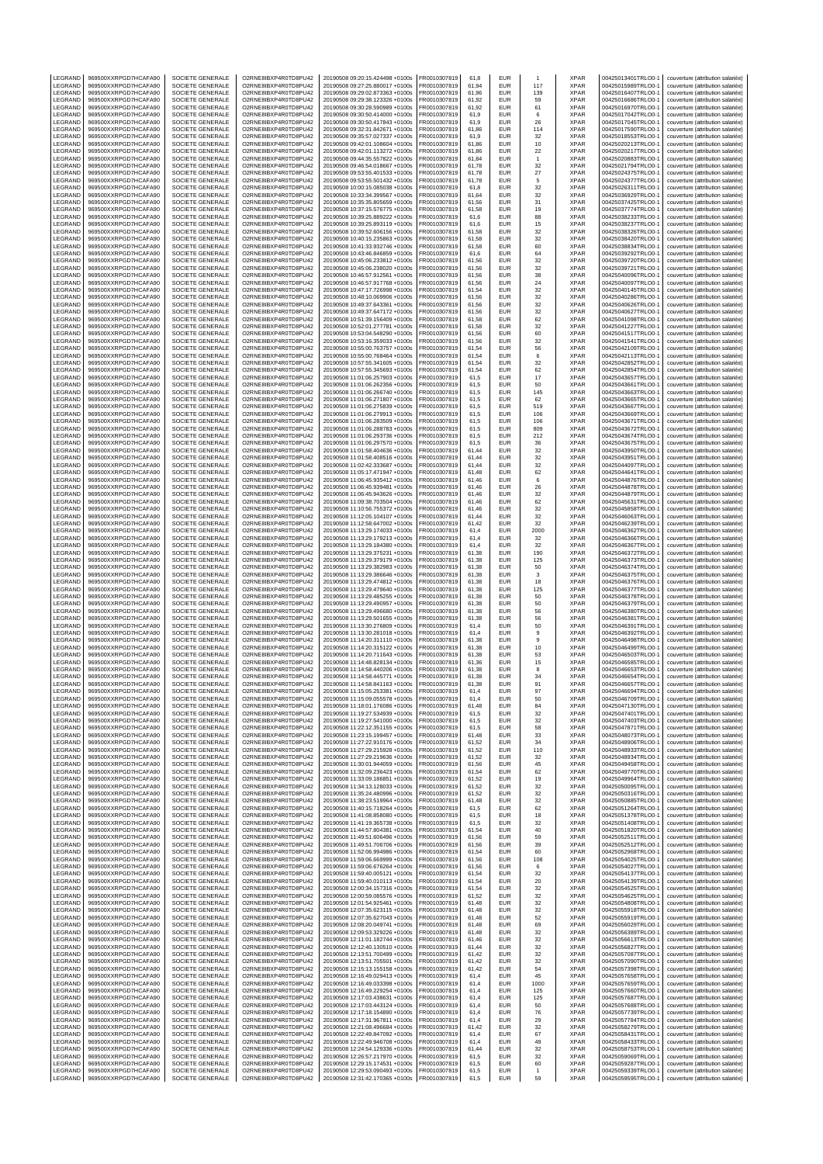| LEGRAND            | 969500XXRPGD7HCAFA90                         | SOCIETE GENERALE                            | O2RNE8IBXP4R0TD8PU42                         | 20190508 09:20:15.424498 +0100s                                    | FR0010307819                 | 61,8           | EUR                      |              | XPAR                       | 00425013401TRLO0-1                       | couverture (attribution salariée)                                      |
|--------------------|----------------------------------------------|---------------------------------------------|----------------------------------------------|--------------------------------------------------------------------|------------------------------|----------------|--------------------------|--------------|----------------------------|------------------------------------------|------------------------------------------------------------------------|
| LEGRAND<br>LEGRAND | 969500XXRPGD7HCAFA90<br>969500XXRPGD7HCAFA90 | SOCIETE GENERALE<br>SOCIETE GENERALE        | O2RNE8IBXP4R0TD8PU42<br>O2RNE8IBXP4R0TD8PU42 | 20190508 09:27:25.880017 +0100s<br>20190508 09:29:02.873363 +0100s | FR0010307819<br>R0010307819  | 61.94<br>61,96 | <b>EUR</b><br>EUR        | 117<br>139   | <b>XPAR</b><br>XPAR        | 00425015989TRLO0-1<br>00425016407TRLO0-1 | couverture (attribution salariée)<br>couverture (attribution salariée) |
| LEGRAND            | 969500XXRPGD7HCAFA90                         | SOCIETE GENERALE                            | O2RNE8IBXP4R0TD8PU42                         | 20190508 09:29:38.123326 +0100s                                    | FR0010307819                 | 61.92          | <b>EUR</b>               | 59           | <b>XPAR</b>                | 00425016686TRLO0-1                       | couverture (attribution salariée)                                      |
| LEGRAND            | 969500XXRPGD7HCAFA90                         | SOCIETE GENERALE                            | O2RNE8IBXP4R0TD8PU42                         | 20190508 09:30:28.590989 +0100s                                    | FR0010307819                 | 61,92          | EUR                      | 61           | <b>XPAR</b>                | 00425016970TRLO0-1                       | couverture (attribution salariée)                                      |
| LEGRAND<br>LEGRAND | 969500XXRPGD7HCAFA90<br>969500XXRPGD7HCAFA90 | SOCIETE GENERALE<br>SOCIETE GENERALE        | O2RNE8IBXP4R0TD8PU42<br>O2RNE8IBXP4R0TD8PU42 | 20190508 09:30:50.414000 +0100s<br>20190508 09:30:50.417843 +0100s | FR0010307819<br>FR0010307819 | 61,9<br>61,9   | EUR<br>EUR               | 6<br>26      | <b>XPAR</b><br><b>XPAR</b> | 00425017042TRLO0-1<br>00425017045TRLO0-1 | couverture (attribution salariée)<br>couverture (attribution salariée) |
| LEGRAND            | 969500XXRPGD7HCAFA90                         | SOCIETE GENERALE                            | O2RNE8IBXP4R0TD8PU42                         | 20190508 09:32:31.842671 +0100s                                    | FR0010307819                 | 61,86          | EUR                      | 114          | <b>XPAR</b>                | 00425017590TRLO0-1                       | couverture (attribution salariée)                                      |
| LEGRAND            | 969500XXRPGD7HCAFA90                         | SOCIETE GENERALE                            | O2RNE8IBXP4R0TD8PU42                         | 20190508 09:35:57.027337 +0100s                                    | R0010307819                  | 61,9           | EUR                      | 32           | <b>XPAR</b>                | 00425018553TRLO0-1<br>00425020213TRLO0-  | couverture (attribution salariée)                                      |
| LEGRAND<br>LEGRAND | 969500XXRPGD7HCAFA90<br>969500XXRPGD7HCAFA90 | SOCIETE GENERALE<br>SOCIETE GENERALE        | O2RNE8IBXP4R0TD8PU42<br>O2RNE8IBXP4R0TD8PU42 | 20190508 09:42:01.108604 +0100s<br>20190508 09:42:01.113272 +0100s | FR0010307819<br>R0010307819  | 61,86<br>61,86 | EUR<br>EUR               | 10<br>22     | <b>XPAR</b><br>XPAR        | 00425020217TRLO0-1                       | couverture (attribution salariée)<br>couverture (attribution salariée) |
| LEGRAND            | 969500XXRPGD7HCAFA90                         | SOCIETE GENERALE                            | O2RNE8IBXP4R0TD8PU42                         | 20190508 09:44:35.557822 +0100s                                    | FR0010307819                 | 61,84          | <b>EUR</b>               | $\mathbf{1}$ | <b>XPAR</b>                | 00425020883TRLO0-1                       | couverture (attribution salariée)                                      |
| LEGRAND<br>LEGRAND | 969500XXRPGD7HCAFA90<br>969500XXRPGD7HCAFA90 | SOCIETE GENERALE<br><b>SOCIETE GENERALE</b> | O2RNE8IBXP4R0TD8PU42<br>O2RNE8IBXP4R0TD8PU42 | 20190508 09:46:54.018667 +0100s<br>20190508 09:53:55.401533 +0100s | R0010307819<br>FR0010307819  | 61,78<br>61,78 | EUR<br>EUR               | 32           | XPAR<br><b>XPAR</b>        | 00425021794TRLO0-1<br>00425024375TRLO0-  | couverture (attribution salariée)<br>couverture (attribution salariée) |
| LEGRAND            | 969500XXRPGD7HCAFA90                         | SOCIETE GENERALE                            | O2RNE8IBXP4R0TD8PU42                         | 20190508 09:53:55.501432 +0100s                                    | FR0010307819                 | 61,78          | EUR                      | 27<br>5      | XPAR                       | 00425024377TRLO0-1                       | couverture (attribution salariée)                                      |
| LEGRAND            | 969500XXRPGD7HCAFA90                         | SOCIETE GENERALE                            | O2RNE8IBXP4R0TD8PU42                         | 20190508 10:00:15.085038 +0100s                                    | R0010307819                  | 61,8           | EUR                      | 32           | XPAR                       | 00425026311TRLO0-1                       | couverture (attribution salariée)                                      |
| LEGRAND<br>LEGRAND | 969500XXRPGD7HCAFA90<br>969500XXRPGD7HCAFA90 | <b>SOCIETE GENERALE</b><br>SOCIETE GENERALE | O2RNE8IBXP4R0TD8PU42<br>O2RNE8IBXP4R0TD8PU42 | 20190508 10:33:34.399567 +0100s<br>20190508 10:35:35.805659 +0100s | FR0010307819<br>FR0010307819 | 61.64<br>61,56 | EUR<br>EUR               | 32<br>31     | <b>XPAR</b><br>XPAR        | 00425036929TRLO0-<br>00425037425TRLO0-   | couverture (attribution salariée)<br>couverture (attribution salariée) |
| LEGRAND            | 969500XXRPGD7HCAFA90                         | <b>SOCIETE GENERALE</b>                     | O2RNE8IBXP4R0TD8PU42                         | 20190508 10:37:15.576775 +0100s                                    | FR0010307819                 | 61.58          | <b>EUR</b>               | 19           | <b>XPAR</b>                | 00425037774TRLO0-1                       | couverture (attribution salariée)                                      |
| LEGRAND            | 969500XXRPGD7HCAFA90                         | SOCIETE GENERALE                            | O2RNE8IBXP4R0TD8PU42                         | 20190508 10:39:25.889222 +0100s                                    | R0010307819                  | 61,6           | EUR                      | 88           | XPAR                       | 00425038233TRLO0-1                       | couverture (attribution salariée)                                      |
| LEGRAND<br>LEGRAND | 969500XXRPGD7HCAFA90<br>969500XXRPGD7HCAFA90 | SOCIETE GENERALE<br>SOCIETE GENERALE        | O2RNE8IBXP4R0TD8PU42<br>O2RNE8IBXP4R0TD8PU42 | 20190508 10:39:25.893119 +0100s<br>20190508 10:39:52.606156 +0100s | FR0010307819<br>FR0010307819 | 61.6<br>61,58  | EUR<br>EUR               | 15<br>32     | <b>XPAR</b><br>XPAR        | 00425038237TRLO0-<br>00425038326TRLO0-   | couverture (attribution salariée)<br>couverture (attribution salariée) |
| LEGRAND            | 969500XXRPGD7HCAFA90                         | <b>SOCIETE GENERALE</b>                     | O2RNE8IBXP4R0TD8PU42                         | 20190508 10:40:15 235863 +0100s                                    | FR0010307819                 | 61.58          | EUR                      | 32           | <b>XPAR</b>                | 00425038420TRLO0-1                       | couverture (attribution salariée)                                      |
| LEGRAND            | 969500XXRPGD7HCAFA90                         | SOCIETE GENERALE                            | O2RNE8IBXP4R0TD8PU42                         | 20190508 10:41:33.932746 +0100s                                    | FR0010307819<br>FR0010307819 | 61,58          | EUR                      | 60           | XPAR                       | 00425038834TRLO0-1                       | couverture (attribution salariée)                                      |
| LEGRAND<br>LEGRAND | 969500XXRPGD7HCAFA90<br>969500XXRPGD7HCAFA90 | SOCIETE GENERALE<br>SOCIETE GENERALE        | O2RNE8IBXP4R0TD8PU42<br>O2RNE8IBXP4R0TD8PU42 | 20190508 10:43:46.846859 +0100s<br>20190508 10:45:06.233812 +0100s | FR0010307819                 | 61.6<br>61,56  | EUR<br>EUR               | 64<br>32     | <b>XPAR</b><br>XPAR        | 00425039292TRLO0-<br>00425039720TRLO0-   | couverture (attribution salariée)<br>couverture (attribution salariée) |
| LEGRAND            | 969500XXRPGD7HCAFA90                         | SOCIETE GENERALE                            | O2RNE8IBXP4R0TD8PU42                         | 20190508 10:45:06.238020 +0100s                                    | FR0010307819                 | 61,56          | <b>EUR</b>               | 32           | <b>XPAR</b>                | 00425039721TRLO0-1                       | couverture (attribution salariée)                                      |
| LEGRAND<br>LEGRAND | 969500XXRPGD7HCAFA90<br>969500XXRPGD7HCAFA90 | SOCIETE GENERALE<br>SOCIETE GENERALE        | O2RNE8IBXP4R0TD8PU42<br>O2RNE8IBXP4R0TD8PU42 | 20190508 10:46:57.912561 +0100s<br>20190508 10:46:57.917768 +0100s | FR0010307819<br>FR0010307819 | 61,56<br>61,56 | EUR<br>EUR               | 38<br>24     | XPAR<br><b>XPAR</b>        | 00425040096TRLO0-1<br>00425040097TRLO0-1 | couverture (attribution salariée)                                      |
| LEGRAND            | 969500XXRPGD7HCAFA90                         | SOCIETE GENERALE                            | O2RNE8IBXP4R0TD8PU42                         | 20190508 10:47:17.726998 +0100s                                    | R0010307819                  | 61,54          | EUR                      | 32           | <b>XPAR</b>                | 00425040145TRLO0-1                       | couverture (attribution salariée)<br>couverture (attribution salariée) |
| LEGRAND            | 969500XXRPGD7HCAFA90                         | SOCIETE GENERALE                            | O2RNE8IBXP4R0TD8PU42                         | 20190508 10:48:10.069906 +0100s                                    | FR0010307819                 | 61,56          | EUR                      | 32           | <b>XPAR</b>                | 00425040286TRLO0-                        | couverture (attribution salariée)                                      |
| LEGRAND<br>LEGRAND | 969500XXRPGD7HCAFA90<br>969500XXRPGD7HCAFA90 | SOCIETE GENERALE<br>SOCIETE GENERALE        | O2RNE8IBXP4R0TD8PU42<br>O2RNE8IBXP4R0TD8PU42 | 20190508 10:49:37.643361 +0100s<br>20190508 10:49:37.647172 +0100s | FR0010307819<br>FR0010307819 | 61,56<br>61,56 | EUR<br>EUR               | 32<br>32     | XPAR<br><b>XPAR</b>        | 00425040626TRLO0-1<br>00425040627TRLO0-1 | couverture (attribution salariée)<br>couverture (attribution salariée) |
| LEGRAND            | 969500XXRPGD7HCAFA90                         | SOCIETE GENERALE                            | O2RNE8IBXP4R0TD8PU42                         | 20190508 10:51:39.156409 +0100s                                    | R0010307819                  | 61,58          | EUR                      | 62           | <b>XPAR</b>                | 00425041098TRLO0-1                       | couverture (attribution salariée)                                      |
| LEGRAND            | 969500XXRPGD7HCAFA90                         | SOCIETE GENERALE                            | O2RNE8IBXP4R0TD8PU42                         | 20190508 10:52:01.277781 +0100s                                    | FR0010307819                 | 61,58          | EUR                      | 32           | <b>XPAR</b>                | 00425041227TRLO0-1                       | couverture (attribution salariée)                                      |
| LEGRAND<br>LEGRAND | 969500XXRPGD7HCAFA90<br>969500XXRPGD7HCAFA90 | SOCIETE GENERALE<br>SOCIETE GENERALE        | O2RNE8IBXP4R0TD8PU42<br>O2RNE8IBXP4R0TD8PU42 | 20190508 10:53:04.548290 +0100s<br>20190508 10:53:16.359033 +0100s | R0010307819<br>FR0010307819  | 61,56<br>61,56 | EUR<br><b>EUR</b>        | 60<br>32     | XPAR<br><b>XPAR</b>        | 00425041517TRLO0-1<br>00425041541TRLO0-  | couverture (attribution salariée)<br>couverture (attribution salariée) |
| LEGRAND            | 969500XXRPGD7HCAFA90                         | SOCIETE GENERALE                            | O2RNE8IBXP4R0TD8PU42                         | 20190508 10:55:00.763757 +0100s                                    | R0010307819                  | 61,54          | EUR                      | 56           | XPAR                       | 00425042109TRLO0-                        | couverture (attribution salariée)                                      |
| LEGRAND<br>LEGRAND | 969500XXRPGD7HCAFA90<br>969500XXRPGD7HCAFA90 | SOCIETE GENERALE<br>SOCIETE GENERALE        | O2RNE8IBXP4R0TD8PU42<br>O2RNE8IBXP4R0TD8PU42 | 20190508 10:55:00.768464 +0100s<br>20190508 10:57:55.341605 +0100s | FR0010307819<br>FR0010307819 | 61,54<br>61.54 | EUR<br>EUR               | 6<br>32      | <b>XPAR</b><br><b>XPAR</b> | 00425042113TRLO0-<br>00425042852TRLO0-1  | couverture (attribution salariée)<br>couverture (attribution salariée) |
| LEGRAND            | 969500XXRPGD7HCAFA90                         | SOCIETE GENERALE                            | O2RNE8IBXP4R0TD8PU42                         | 20190508 10:57:55.345693 +0100s                                    | R0010307819                  | 61,54          | EUR                      | 62           | XPAR                       | 00425042854TRLO0-1                       | couverture (attribution salariée)                                      |
| LEGRAND            | 969500XXRPGD7HCAFA90                         | SOCIETE GENERALE                            | O2RNE8IBXP4R0TD8PU42                         | 20190508 11:01:06.257903 +0100s                                    | FR0010307819                 | 61.5           | EUR                      | 17           | <b>XPAR</b>                | 00425043657TRLO0-                        | couverture (attribution salariée)                                      |
| LEGRAND<br>LEGRAND | 969500XXRPGD7HCAFA90<br>969500XXRPGD7HCAFA90 | SOCIETE GENERALE<br><b>SOCIETE GENERALE</b> | O2RNE8IBXP4R0TD8PU42<br>O2RNE8IBXP4R0TD8PU42 | 20190508 11:01:06.262356 +0100s<br>20190508 11:01:06 266740 +0100s | FR0010307819<br>FR0010307819 | 61,5<br>61.5   | EUR<br>EUR               | 50<br>145    | XPAR<br><b>XPAR</b>        | 00425043661TRLO0-<br>00425043663TRLO0-1  | couverture (attribution salariée)<br>couverture (attribution salariée) |
| LEGRAND            | 969500XXRPGD7HCAFA90                         | SOCIETE GENERALE                            | O2RNE8IBXP4R0TD8PU42                         | 20190508 11:01:06.271807 +0100s                                    | R0010307819                  | 61,5           | EUR                      | 62           | XPAR                       | 00425043665TRLO0-1                       | couverture (attribution salariée)                                      |
| LEGRAND            | 969500XXRPGD7HCAFA90                         | SOCIETE GENERALE                            | O2RNE8IBXP4R0TD8PU42                         | 20190508 11:01:06.275839 +0100s                                    | FR0010307819                 | 61.5           | EUR                      | 519          | <b>XPAR</b>                | 00425043667TRLO0-1                       | couverture (attribution salariée)                                      |
| LEGRAND<br>LEGRAND | 969500XXRPGD7HCAFA90<br>969500XXRPGD7HCAFA90 | SOCIETE GENERALE<br><b>SOCIETE GENERALE</b> | O2RNE8IBXP4R0TD8PU42<br>O2RNE8IBXP4R0TD8PU42 | 20190508 11:01:06.279913 +0100s<br>20190508 11:01:06 283509 +0100s | FR0010307819<br>FR0010307819 | 61,5<br>61.5   | EUR<br>EUR               | 106<br>106   | XPAR<br><b>XPAR</b>        | 00425043669TRLO0-<br>00425043671TRLO0-1  | couverture (attribution salariée)<br>couverture (attribution salariée) |
| LEGRAND            | 969500XXRPGD7HCAFA90                         | SOCIETE GENERALE                            | O2RNE8IBXP4R0TD8PU42                         | 20190508 11:01:06.288783 +0100s                                    | R0010307819                  | 61,5           | EUR                      | 809          | XPAR                       | 00425043672TRLO0-1                       | couverture (attribution salariée)                                      |
| LEGRAND            | 969500XXRPGD7HCAFA90                         | SOCIETE GENERALE<br>SOCIETE GENERALE        | O2RNE8IBXP4R0TD8PU42                         | 20190508 11:01:06.293736 +0100s                                    | FR0010307819                 | 61.5           | EUR                      | 212          | <b>XPAR</b>                | 00425043674TRLO0-1                       | couverture (attribution salariée)                                      |
| LEGRAND<br>LEGRAND | 969500XXRPGD7HCAFA90<br>969500XXRPGD7HCAFA90 | <b>SOCIETE GENERALE</b>                     | O2RNE8IBXP4R0TD8PU42<br>O2RNE8IBXP4R0TD8PU42 | 20190508 11:01:06.297570 +0100s<br>20190508 11:01:58.404636 +0100s | FR0010307819<br>FR0010307819 | 61,5<br>61,44  | EUR<br><b>EUR</b>        | 36<br>32     | XPAR<br>XPAR               | 00425043675TRLO0-<br>00425043950TRLO0-   | couverture (attribution salariée)<br>couverture (attribution salariée) |
| LEGRAND            | 969500XXRPGD7HCAFA90                         | SOCIETE GENERALE                            | O2RNE8IBXP4R0TD8PU42                         | 20190508 11:01:58.408516 +0100s                                    | R0010307819                  | 61,44          | EUR                      | 32           | XPAR                       | 00425043951TRLO0-1                       | couverture (attribution salariée)                                      |
| LEGRAND<br>LEGRAND | 969500XXRPGD7HCAFA90<br>969500XXRPGD7HCAFA90 | SOCIETE GENERALE<br>SOCIETE GENERALE        | O2RNE8IBXP4R0TD8PU42<br>O2RNE8IBXP4R0TD8PU42 | 20190508 11:02:42.333687 +0100s                                    | FR0010307819                 | 61,44          | EUR<br>EUR               | 32           | <b>XPAR</b>                | 00425044097TRLO0-1                       | couverture (attribution salariée)                                      |
| LEGRAND            | 969500XXRPGD7HCAFA90                         | SOCIETE GENERALE                            | O2RNE8IBXP4R0TD8PU42                         | 20190508 11:05:17.471947 +0100s<br>20190508 11:06:45.935412 +0100s | R0010307819<br>FR0010307819  | 61,48<br>61,46 | EUR                      | 62<br>6      | XPAR<br><b>XPAR</b>        | 00425044641TRLO0-1<br>00425044876TRLO0-1 | couverture (attribution salariée)<br>couverture (attribution salariée) |
| LEGRAND            | 969500XXRPGD7HCAFA90                         | SOCIETE GENERALE                            | O2RNE8IBXP4R0TD8PU42                         | 20190508 11:06:45.939481 +0100s                                    | FR0010307819                 | 61,46          | EUR                      | 26           | XPAR                       | 00425044878TRLO0-1                       | couverture (attribution salariée)                                      |
| LEGRAND<br>LEGRAND | 969500XXRPGD7HCAFA90<br>969500XXRPGD7HCAFA90 | SOCIETE GENERALE<br>SOCIETE GENERALE        | O2RNE8IBXP4R0TD8PU42<br>O2RNE8IBXP4R0TD8PU42 | 20190508 11:06:45.943626 +0100s<br>20190508 11:09:38.703504 +0100s | FR0010307819<br>R0010307819  | 61,46<br>61,46 | EUR<br>EUR               | 32<br>62     | <b>XPAR</b><br><b>XPAR</b> | 00425044879TRLO0-1<br>00425045631TRLO0-1 | couverture (attribution salariée)<br>couverture (attribution salariée) |
| LEGRAND            | 969500XXRPGD7HCAFA90                         | SOCIETE GENERALE                            | O2RNE8IBXP4R0TD8PU42                         | 20190508 11:10:56.755372 +0100s                                    | FR0010307819                 | 61,46          | EUR                      | 32           | <b>XPAR</b>                | 00425045858TRLO0-                        | couverture (attribution salariée)                                      |
| LEGRAND            | 969500XXRPGD7HCAFA90                         | SOCIETE GENERALE                            | O2RNE8IBXP4R0TD8PU42                         | 20190508 11:12:05.104107 +0100s                                    | R0010307819                  | 61,44          | EUR                      | 32           | XPAR                       | 00425046063TRLO0-1                       | couverture (attribution salariée)                                      |
| LEGRAND<br>LEGRAND | 969500XXRPGD7HCAFA90<br>969500XXRPGD7HCAFA90 | SOCIETE GENERALE<br>SOCIETE GENERALE        | O2RNE8IBXP4R0TD8PU42<br>O2RNE8IBXP4R0TD8PU42 | 20190508 11:12:58.647002 +0100s<br>20190508 11:13:29.174033 +0100s | FR0010307819<br>R0010307819  | 61,42<br>61,4  | <b>EUR</b><br>EUR        | 32<br>2000   | XPAR<br>XPAR               | 00425046239TRLO0-1<br>00425046362TRLO0-1 | couverture (attribution salariée)<br>couverture (attribution salariée) |
| LEGRAND            | 969500XXRPGD7HCAFA90                         | SOCIETE GENERALE                            | O2RNE8IBXP4R0TD8PU42                         | 20190508 11:13:29.179213 +0100s                                    | R0010307819                  | 61,4           | EUR                      | 32           | XPAR                       | 00425046366TRLO0-1                       | couverture (attribution salariée)                                      |
| LEGRAND            | 969500XXRPGD7HCAFA90                         | <b>SOCIETE GENERALE</b>                     | O2RNE8IBXP4R0TD8PU42                         | 20190508 11:13:29.184380 +0100s                                    | FR0010307819                 | 61.4           | EUR                      | 32           | <b>XPAR</b>                | 00425046367TRLO0-1                       | couverture (attribution salariée)                                      |
| LEGRAND<br>LEGRAND | 969500XXRPGD7HCAFA90<br>969500XXRPGD7HCAFA90 | SOCIETE GENERALE<br>SOCIETE GENERALE        | O2RNE8IBXP4R0TD8PU42<br>O2RNE8IBXP4R0TD8PU42 | 20190508 11:13:29.375231 +0100s<br>20190508 11:13:29.379179 +0100s | R0010307819<br>FR0010307819  | 61,38<br>61.38 | EUR<br>EUR               | 190<br>125   | XPAR<br><b>XPAR</b>        | 00425046372TRLO0-1<br>00425046373TRLO0-1 | couverture (attribution salariée)<br>couverture (attribution salariée) |
| LEGRAND            | 969500XXRPGD7HCAFA90                         | SOCIETE GENERALE                            | O2RNE8IBXP4R0TD8PU42                         | 20190508 11:13:29.382983 +0100s                                    | FR0010307819                 | 61,38          | EUR                      | 50           | XPAR                       | 00425046374TRLO0-                        | couverture (attribution salariée)                                      |
| LEGRAND<br>LEGRAND | 969500XXRPGD7HCAFA90<br>969500XXRPGD7HCAFA90 | SOCIETE GENERALE<br>SOCIETE GENERALE        | O2RNE8IBXP4R0TD8PU42<br>O2RNE8IBXP4R0TD8PU42 | 20190508 11:13:29.386646 +0100s<br>20190508 11:13:29.474812 +0100s | FR0010307819<br>R0010307819  | 61.38<br>61,38 | EUR<br>EUR               | 3<br>18      | <b>XPAR</b><br>XPAR        | 00425046375TRLO0-1<br>00425046376TRLO0-1 | couverture (attribution salariée)<br>couverture (attribution salariée) |
| LEGRAND            | 969500XXRPGD7HCAFA90                         | SOCIETE GENERALE                            | O2RNE8IBXP4R0TD8PU42                         | 20190508 11:13:29.479640 +0100s                                    | FR0010307819                 | 61.38          | EUR                      | 125          | <b>XPAR</b>                | 00425046377TRLO0-                        | couverture (attribution salariée)                                      |
| LEGRAND            | 969500XXRPGD7HCAFA90                         | SOCIETE GENERALE                            | O2RNE8IBXP4R0TD8PU42                         | 20190508 11:13:29.485255 +0100s                                    | FR0010307819                 | 61,38          | EUR                      | 50           | XPAR                       | 00425046378TRLO0-                        | couverture (attribution salariée)                                      |
| LEGRAND<br>LEGRAND | 969500XXRPGD7HCAFA90<br>969500XXRPGD7HCAFA90 | SOCIETE GENERALE<br>SOCIETE GENERALE        | O2RNE8IBXP4R0TD8PU42<br>O2RNE8IBXP4R0TD8PU42 | 20190508 11:13:29.490957 +0100s<br>20190508 11:13:29.496680 +0100s | FR0010307819<br>R0010307819  | 61.38<br>61,38 | <b>EUR</b><br>EUR        | 50<br>56     | <b>XPAR</b><br>XPAR        | 00425046379TRLO0-1<br>00425046380TRLO0-1 | couverture (attribution salariée)<br>couverture (attribution salariée) |
| LEGRAND            | 969500XXRPGD7HCAFA90                         | SOCIETE GENERALE                            | O2RNE8IBXP4R0TD8PU42                         | 20190508 11:13:29.501655 +0100s                                    | FR0010307819                 | 61.38          | <b>EUR</b>               | 56           | <b>XPAR</b>                | 00425046381TRLO0-1                       | couverture (attribution salariée)                                      |
| LEGRAND            | 969500XXRPGD7HCAFA90                         | SOCIETE GENERALE                            | O2RNE8IBXP4R0TD8PU42                         | 20190508 11:13:30.276809 +0100s                                    | FR0010307819                 | 61,4           | EUR                      | 50           | <b>XPAR</b>                | 00425046391TRLO0-1                       | couverture (attribution salariée)                                      |
| LEGRAND<br>LEGRAND | 969500XXRPGD7HCAFA90<br>969500XXRPGD7HCAFA90 | SOCIETE GENERALE<br>SOCIETE GENERALE        | O2RNE8IBXP4R0TD8PU42<br>O2RNE8IBXP4R0TD8PU42 | 20190508 11:13:30.281018 +0100s<br>20190508 11:14:20.311110 +0100s | FR0010307819<br>R0010307819  | 61,4<br>61,38  | EUR<br>EUR               | 9<br>9       | <b>XPAR</b><br>XPAR        | 00425046392TRLO0-<br>00425046498TRLO0-1  | couverture (attribution salariée)<br>couverture (attribution salariée) |
| LEGRAND            | 969500XXRPGD7HCAFA90                         | SOCIETE GENERALE                            | O2RNE8IBXP4R0TD8PU42                         | 20190508 11:14:20.315122 +0100s                                    | FR0010307819                 | 61,38          | <b>EUR</b>               | 10           | <b>XPAR</b>                | 00425046499TRLO0-                        | couverture (attribution salariée)                                      |
| LEGRAND<br>LEGRAND | 969500XXRPGD7HCAFA90<br>969500XXRPGD7HCAFA90 | SOCIETE GENERALE<br>SOCIETE GENERALE        | O2RNE8IBXP4R0TD8PU42<br>O2RNE8IBXP4R0TD8PU42 | 20190508 11:14:20.711643 +0100s<br>20190508 11:14:48.828134 +0100s | R0010307819<br>FR0010307819  | 61,38<br>61.36 | EUR<br>EUR               | 53           | XPAR<br><b>XPAR</b>        | 00425046503TRLO0-1<br>00425046585TRLO0-1 | couverture (attribution salariée)<br>couverture (attribution salariée) |
| LEGRAND            | 969500XXRPGD7HCAFA90                         | SOCIETE GENERALE                            | O2RNE8IBXP4R0TD8PU42                         | 20190508 11:14:58.440206 +0100s                                    | R0010307819                  | 61.38          | EUR                      | 15<br>8      | <b>XPAR</b>                | 00425046653TRLO0-1                       | couverture (attribution salariée)                                      |
| LEGRAND            | 969500XXRPGD7HCAFA90                         | SOCIETE GENERALE                            | O2RNE8IBXP4R0TD8PU42                         | 20190508 11:14:58.445771 +0100s                                    | FR0010307819                 | 61.38          | EUR                      | 34           | <b>XPAR</b>                | 00425046654TRLO0-1                       | couverture (attribution salariée)                                      |
| LEGRAND<br>LEGRAND | 969500XXRPGD7HCAFA90<br>969500XXRPGD7HCAFA90 | SOCIETE GENERALE<br>SOCIETE GENERALE        | O2RNE8IBXP4R0TD8PU42<br>O2RNE8IBXP4R0TD8PU42 | 20190508 11:14:58.841163 +0100s<br>20190508 11:15:05.253381 +0100s | FR0010307819<br>FR0010307819 | 61,38<br>61,4  | <b>EUR</b><br>EUR        | 91<br>97     | <b>XPAR</b><br><b>XPAR</b> | 00425046657TRLO0-1<br>00425046694TRLO0-1 | couverture (attribution salariée)<br>couverture (attribution salariée) |
| <b>IFGRAND</b>     | 969500XXRPGD7HCAFA90                         | SOCIETE GENERALE                            | O2RNE8IBXP4R0TD8PU42                         | 20190508 11:15:09.055578 +0100s                                    | FR0010307819                 | 61.4           | EUR                      | 50           | <b>XPAR</b>                | 00425046709TRLO0-1                       | couverture (attribution salariée)                                      |
| LEGRAND<br>LEGRAND | 969500XXRPGD7HCAFA90<br>969500XXRPGD7HCAFA90 | SOCIETE GENERALE<br>SOCIETE GENERALE        | O2RNE8IBXP4R0TD8PU42<br>O2RNE8IBXP4R0TD8PU42 | 20190508 11:18:01.176086 +0100s<br>20190508 11:19:27.534939 +0100s | FR0010307819<br>FR0010307819 | 61,48<br>61.5  | <b>EUR</b><br><b>EUR</b> | 84<br>32     | <b>XPAR</b><br><b>XPAR</b> | 00425047130TRLO0-1<br>00425047401TRLO0-1 | couverture (attribution salariée)<br>couverture (attribution salariée) |
| LEGRAND            | 969500XXRPGD7HCAFA90                         | SOCIETE GENERALE                            | O2RNE8IBXP4R0TD8PU42                         | 20190508 11:19:27.541000 +0100s                                    | FR0010307819                 | 61,5           | EUR                      | 32           | <b>XPAR</b>                | 00425047403TRLO0-1                       | couverture (attribution salariée)                                      |
| LEGRAND            | 969500XXRPGD7HCAFA90                         | SOCIETE GENERALE                            | O2RNE8IBXP4R0TD8PU42                         | 20190508 11:22:12.351155 +0100s                                    | FR0010307819                 | 61.5           | <b>EUR</b>               | 58           | <b>XPAR</b>                | 00425047871TRLO0-1                       | couverture (attribution salariée)                                      |
| LEGRAND<br>LEGRAND | 969500XXRPGD7HCAFA90<br>969500XXRPGD7HCAFA90 | SOCIETE GENERALE<br>SOCIETE GENERALE        | O2RNE8IBXP4R0TD8PU42<br>O2RNE8IBXP4R0TD8PU42 | 20190508 11:23:15.199457 +0100s<br>20190508 11:27:22.910176 +0100s | FR0010307819<br>FR0010307819 | 61,48<br>61.52 | EUR<br><b>EUR</b>        | 33<br>34     | <b>XPAR</b><br><b>XPAR</b> | 00425048073TRLO0-1<br>00425048906TRLO0-1 | couverture (attribution salariée)<br>couverture (attribution salariée) |
| LEGRAND            | 969500XXRPGD7HCAFA90                         | SOCIETE GENERALE                            | O2RNE8IBXP4R0TD8PU42                         | 20190508 11:27:29.215928 +0100s                                    | FR0010307819                 | 61,52          | EUR                      | 110          | <b>XPAR</b>                | 00425048933TRLO0-1                       | couverture (attribution salariée)                                      |
| LEGRAND            | 969500XXRPGD7HCAFA90                         | SOCIETE GENERALE                            | O2RNE8IBXP4R0TD8PU42                         | 20190508 11:27:29.219636 +0100s                                    | FR0010307819                 | 61.52          | <b>EUR</b>               | 32           | <b>XPAR</b>                | 00425048934TRLO0-1                       | couverture (attribution salariée)                                      |
| LEGRAND<br>LEGRAND | 969500XXRPGD7HCAFA90<br>969500XXRPGD7HCAFA90 | SOCIETE GENERALE<br>SOCIETE GENERALE        | O2RNE8IBXP4R0TD8PU42<br>O2RNE8IBXP4R0TD8PU42 | 20190508 11:30:01.944059 +0100s<br>20190508 11:32:09.236423 +0100s | FR0010307819<br>FR0010307819 | 61,56<br>61.54 | EUR<br><b>EUR</b>        | 45<br>62     | XPAR<br><b>XPAR</b>        | 00425049458TRLO0-1<br>00425049770TRLO0-1 | couverture (attribution salariée)<br>couverture (attribution salariée) |
| LEGRAND            | 969500XXRPGD7HCAFA90                         | SOCIETE GENERALE                            | O2RNE8IBXP4R0TD8PU42                         | 20190508 11:33:09.186851 +0100s                                    | FR0010307819                 | 61,52          | EUR                      | 19           | <b>XPAR</b>                | 00425049964TRLO0-1                       | couverture (attribution salariée)                                      |
| LEGRAND<br>LEGRAND | 969500XXRPGD7HCAFA90<br>969500XXRPGD7HCAFA90 | SOCIETE GENERALE<br>SOCIETE GENERALE        | O2RNE8IBXP4R0TD8PU42<br>O2RNE8IBXP4R0TD8PU42 | 20190508 11:34:13.128033 +0100s<br>20190508 11:35:24.480996 +0100s | FR0010307819<br>FR0010307819 | 61.52<br>61,52 | <b>EUR</b><br>EUR        | 32<br>32     | <b>XPAR</b><br><b>XPAR</b> | 00425050095TRLO0-1<br>00425050316TRLO0-1 | couverture (attribution salariée)<br>couverture (attribution salariée) |
| LEGRAND            | 969500XXRPGD7HCAFA90                         | SOCIETE GENERALE                            | O2RNE8IBXP4R0TD8PU42                         | 20190508 11:38:23.519964 +0100s                                    | FR0010307819                 | 61.48          | <b>EUR</b>               | 32           | <b>XPAR</b>                | 00425050885TRLO0-1                       | couverture (attribution salariée)                                      |
| LEGRAND<br>LEGRAND | 969500XXRPGD7HCAFA90                         | SOCIETE GENERALE<br>SOCIETE GENERALE        | O2RNE8IBXP4R0TD8PU42                         | 20190508 11:40:15.718264 +0100s                                    | FR0010307819<br>FR0010307819 | 61,5           | <b>EUR</b>               | 62           | <b>XPAR</b><br><b>XPAR</b> | 00425051264TRLO0-1                       | couverture (attribution salariée)                                      |
| LEGRAND            | 969500XXRPGD7HCAFA90<br>969500XXRPGD7HCAFA90 | SOCIETE GENERALE                            | O2RNE8IBXP4R0TD8PU42<br>O2RNE8IBXP4R0TD8PU42 | 20190508 11:41:08.858080 +0100s<br>20190508 11:41:19.365738 +0100s | FR0010307819                 | 61,5<br>61,5   | <b>EUR</b><br><b>EUR</b> | 18<br>32     | <b>XPAR</b>                | 00425051378TRLO0-1<br>00425051408TRLO0-1 | couverture (attribution salariée)<br>couverture (attribution salariée) |
| LEGRAND            | 969500XXRPGD7HCAFA90                         | SOCIETE GENERALE                            | O2RNE8IBXP4R0TD8PU42                         | 20190508 11:44:57.804381 +0100s                                    | FR0010307819                 | 61.54          | <b>EUR</b>               | 40           | <b>XPAR</b>                | 00425051820TRLO0-1                       | couverture (attribution salariée)                                      |
| LEGRAND<br>LEGRAND | 969500XXRPGD7HCAFA90<br>969500XXRPGD7HCAFA90 | SOCIETE GENERALE<br>SOCIETE GENERALE        | O2RNE8IBXP4R0TD8PU42<br>O2RNE8IBXP4R0TD8PU42 | 20190508 11:49:51.606496 +0100s<br>20190508 11:49:51.706706 +0100s | FR0010307819<br>FR0010307819 | 61.56<br>61,56 | <b>EUR</b><br><b>EUR</b> | 59<br>39     | <b>XPAR</b><br><b>XPAR</b> | 00425052511TRLO0-1<br>00425052512TRLO0-1 | couverture (attribution salariée)<br>couverture (attribution salariée) |
| LEGRAND            | 969500XXRPGD7HCAFA90                         | SOCIETE GENERALE                            | O2RNE8IBXP4R0TD8PU42                         | 20190508 11:52:06.994986 +0100s                                    | FR0010307819                 | 61,54          | <b>EUR</b>               | 60           | <b>XPAR</b>                | 00425052968TRLO0-1                       | couverture (attribution salariée)                                      |
| LEGRAND<br>LEGRAND | 969500XXRPGD7HCAFA90<br>969500XXRPGD7HCAFA90 | SOCIETE GENERALE<br>SOCIETE GENERALE        | O2RNE8IBXP4R0TD8PU42<br>O2RNE8IBXP4R0TD8PU42 | 20190508 11:59:06.669999 +0100s<br>20190508 11:59:06.676264 +0100s | FR0010307819<br>FR0010307819 | 61.56<br>61,56 | <b>FUR</b><br><b>EUR</b> | 108<br>6     | <b>XPAR</b><br><b>XPAR</b> | 00425054025TRLO0-1<br>00425054027TRLO0-1 | couverture (attribution salariée)<br>couverture (attribution salariée) |
| LEGRAND            | 969500XXRPGD7HCAFA90                         | SOCIETE GENERALE                            | O2RNE8IBXP4R0TD8PU42                         | 20190508 11:59:40.005121 +0100s                                    | FR0010307819                 | 61,54          | <b>EUR</b>               | 32           | <b>XPAR</b>                | 00425054137TRLO0-1                       | couverture (attribution salariée)                                      |
| LEGRAND            | 969500XXRPGD7HCAFA90                         | SOCIETE GENERALE                            | O2RNE8IBXP4R0TD8PU42                         | 20190508 11:59:40.010113 +0100s                                    | FR0010307819                 | 61.54          | <b>EUR</b>               | 20           | <b>XPAR</b>                | 00425054139TRLO0-1                       | couverture (attribution salariée)                                      |
| LEGRAND<br>LEGRAND | 969500XXRPGD7HCAFA90<br>969500XXRPGD7HCAFA90 | SOCIETE GENERALE<br>SOCIETE GENERALE        | O2RNE8IBXP4R0TD8PU42<br>O2RNE8IBXP4R0TD8PU42 | 20190508 12:00:34.157316 +0100s<br>20190508 12:00:59.085576 +0100s | FR0010307819<br>FR0010307819 | 61,54<br>61.52 | EUR<br>EUR               | 32<br>32     | XPAR<br><b>XPAR</b>        | 00425054525TRLO0-1<br>00425054625TRLO0-1 | couverture (attribution salariée)<br>couverture (attribution salariée) |
| LEGRAND            | 969500XXRPGD7HCAFA90                         | SOCIETE GENERALE                            | O2RNE8IBXP4R0TD8PU42                         | 20190508 12:01:54.925461 +0100s                                    | FR0010307819                 | 61,48          | EUR                      | 32           | <b>XPAR</b>                | 00425054808TRLO0-1                       | couverture (attribution salariée)                                      |
| LEGRAND<br>LEGRAND | 969500XXRPGD7HCAFA90<br>969500XXRPGD7HCAFA90 | SOCIETE GENERALE<br>SOCIETE GENERALE        | O2RNE8IBXP4R0TD8PU42<br>O2RNE8IBXP4R0TD8PU42 | 20190508 12:07:35.623115 +0100s<br>20190508 12:07:35.627043 +0100s | FR0010307819<br>FR0010307819 | 61.48<br>61,48 | <b>EUR</b><br>EUR        | 32<br>52     | <b>XPAR</b><br><b>XPAR</b> | 00425055918TRLO0-1<br>00425055919TRLO0-1 | couverture (attribution salariée)<br>couverture (attribution salariée) |
| LEGRAND            | 969500XXRPGD7HCAFA90                         | SOCIETE GENERALE                            | O2RNE8IBXP4R0TD8PU42                         | 20190508 12:08:20.049741 +0100s                                    | FR0010307819                 | 61.48          | <b>EUR</b>               | 69           | <b>XPAR</b>                | 00425056029TRLO0-1                       | couverture (attribution salariée)                                      |
| LEGRAND            | 969500XXRPGD7HCAFA90                         | SOCIETE GENERALE                            | O2RNE8IBXP4R0TD8PU42                         | 20190508 12:09:53.329226 +0100s                                    | FR0010307819                 | 61,48          | EUR                      | 32           | <b>XPAR</b>                | 00425056389TRLO0-1                       | couverture (attribution salariée)                                      |
| LEGRAND<br>LEGRAND | 969500XXRPGD7HCAFA90<br>969500XXRPGD7HCAFA90 | SOCIETE GENERALE<br>SOCIETE GENERALE        | O2RNE8IBXP4R0TD8PU42<br>O2RNE8IBXP4R0TD8PU42 | 20190508 12:11:01.182744 +0100s<br>20190508 12:12:40.130510 +0100s | FR0010307819<br>FR0010307819 | 61.46<br>61,44 | <b>EUR</b><br>EUR        | 32<br>32     | <b>XPAR</b><br>XPAR        | 00425056613TRLO0-1<br>00425056827TRLO0-1 | couverture (attribution salariée)<br>couverture (attribution salariée) |
| LEGRAND            | 969500XXRPGD7HCAFA90                         | SOCIETE GENERALE                            | O2RNE8IBXP4R0TD8PU42                         | 20190508 12:13:51.700499 +0100s                                    | FR0010307819                 | 61.42          | <b>EUR</b>               | 32           | <b>XPAR</b>                | 00425057087TRLO0-1                       | couverture (attribution salariée)                                      |
| LEGRAND            | 969500XXRPGD7HCAFA90                         | SOCIETE GENERALE                            | O2RNE8IBXP4R0TD8PU42<br>O2RNE8IBXP4R0TD8PU42 | 20190508 12:13:51.705501 +0100s                                    | FR0010307819                 | 61,42          | EUR<br><b>EUR</b>        | 32           | <b>XPAR</b><br><b>XPAR</b> | 00425057090TRLO0-1                       | couverture (attribution salariée)                                      |
| LEGRAND<br>LEGRAND | 969500XXRPGD7HCAFA90<br>969500XXRPGD7HCAFA90 | SOCIETE GENERALE<br>SOCIETE GENERALE        | O2RNE8IBXP4R0TD8PU42                         | 20190508 12:15:13.155158 +0100s<br>20190508 12:16:49.029413 +0100s | FR0010307819<br>FR0010307819 | 61.42<br>61,4  | <b>EUR</b>               | 54<br>45     | <b>XPAR</b>                | 00425057398TRLO0-1<br>00425057658TRLO0-1 | couverture (attribution salariée)<br>couverture (attribution salariée) |
| LEGRAND            | 969500XXRPGD7HCAFA90                         | SOCIETE GENERALE                            | O2RNE8IBXP4R0TD8PU42                         | 20190508 12:16:49.033398 +0100s                                    | FR0010307819                 | 61,4           | <b>EUR</b>               | 1000         | <b>XPAR</b>                | 00425057659TRLO0-1                       | couverture (attribution salariée)                                      |
| LEGRAND<br>LEGRAND | 969500XXRPGD7HCAFA90<br>969500XXRPGD7HCAFA90 | SOCIETE GENERALE<br>SOCIETE GENERALE        | O2RNE8IBXP4R0TD8PU42<br>O2RNE8IBXP4R0TD8PU42 | 20190508 12:16:49.229254 +0100s<br>20190508 12:17:03.438631 +0100s | FR0010307819<br>FR0010307819 | 61,4<br>61,4   | <b>EUR</b><br><b>EUR</b> | 125<br>125   | <b>XPAR</b><br><b>XPAR</b> | 00425057660TRLO0-1<br>00425057687TRLO0-1 | couverture (attribution salariée)<br>couverture (attribution salariée) |
| LEGRAND            | 969500XXRPGD7HCAFA90                         | SOCIETE GENERALE                            | O2RNE8IBXP4R0TD8PU42                         | 20190508 12:17:03.443124 +0100s                                    | FR0010307819                 | 61,4           | <b>EUR</b>               | 50           | <b>XPAR</b>                | 00425057688TRLO0-1                       | couverture (attribution salariée)                                      |
| LEGRAND            | 969500XXRPGD7HCAFA90                         | SOCIETE GENERALE                            | O2RNE8IBXP4R0TD8PU42                         | 20190508 12:17:18.154890 +0100s                                    | FR0010307819                 | 61,4           | <b>EUR</b>               | 76           | <b>XPAR</b>                | 00425057739TRLO0-1                       | couverture (attribution salariée)                                      |
| LEGRAND<br>LEGRAND | 969500XXRPGD7HCAFA90<br>969500XXRPGD7HCAFA90 | SOCIETE GENERALE<br>SOCIETE GENERALE        | O2RNE8IBXP4R0TD8PU42<br>O2RNE8IBXP4R0TD8PU42 | 20190508 12:17:31.967811 +0100s<br>20190508 12:21:08.496684 +0100s | FR0010307819<br>FR0010307819 | 61,4<br>61,42  | <b>EUR</b><br><b>EUR</b> | 29<br>32     | <b>XPAR</b><br><b>XPAR</b> | 00425057784TRLO0-1<br>00425058279TRLO0-1 | couverture (attribution salariée)<br>couverture (attribution salariée) |
| LEGRAND            | 969500XXRPGD7HCAFA90                         | SOCIETE GENERALE                            | O2RNE8IBXP4R0TD8PU42                         | 20190508 12:22:49.847092 +0100s                                    | FR0010307819                 | 61,4           | <b>EUR</b>               | 67           | <b>XPAR</b>                | 00425058431TRLO0-1                       | couverture (attribution salariée)                                      |
| LEGRAND<br>LEGRAND | 969500XXRPGD7HCAFA90<br>969500XXRPGD7HCAFA90 | SOCIETE GENERALE<br>SOCIETE GENERALE        | O2RNE8IBXP4R0TD8PU42<br>O2RNE8IBXP4R0TD8PU42 | 20190508 12:22:49.946708 +0100s<br>20190508 12:24:54.129336 +0100s | FR0010307819<br>FR0010307819 | 61.4<br>61,44  | <b>FUR</b><br>EUR        | 49<br>32     | <b>XPAR</b><br><b>XPAR</b> | 00425058433TRLO0-1<br>00425058753TRLO0-1 | couverture (attribution salariée)<br>couverture (attribution salariée) |
| LEGRAND            | 969500XXRPGD7HCAFA90                         | SOCIETE GENERALE                            | O2RNE8IBXP4R0TD8PU42                         | 20190508 12:26:57.217970 +0100s                                    | FR0010307819                 | 61,5           | EUR                      | 32           | <b>XPAR</b>                | 00425059069TRLO0-1                       | couverture (attribution salariée)                                      |
| LEGRAND            | 969500XXRPGD7HCAFA90                         | SOCIETE GENERALE                            | O2RNE8IBXP4R0TD8PU42                         | 20190508 12:29:15.174531 +0100s                                    | FR0010307819                 | 61.5           | <b>EUR</b>               | 60           | <b>XPAR</b>                | 00425059287TRLO0-1                       | couverture (attribution salariée)                                      |
|                    |                                              |                                             |                                              |                                                                    |                              |                |                          |              |                            |                                          |                                                                        |
| LEGRAND<br>LEGRAND | 969500XXRPGD7HCAFA90<br>969500XXRPGD7HCAFA90 | SOCIETE GENERALE<br>SOCIETE GENERALE        | O2RNE8IBXP4R0TD8PU42<br>O2RNE8IBXP4R0TD8PU42 | 20190508 12:29:53.090493 +0100s<br>20190508 12:31:42.170365 +0100s | FR0010307819<br>FR0010307819 | 61,5<br>61,5   | EUR<br>EUR               | 1<br>59      | XPAR<br><b>XPAR</b>        | 00425059339TRLO0-1<br>00425059595TRLO0-1 | couverture (attribution salariée)<br>couverture (attribution salariée) |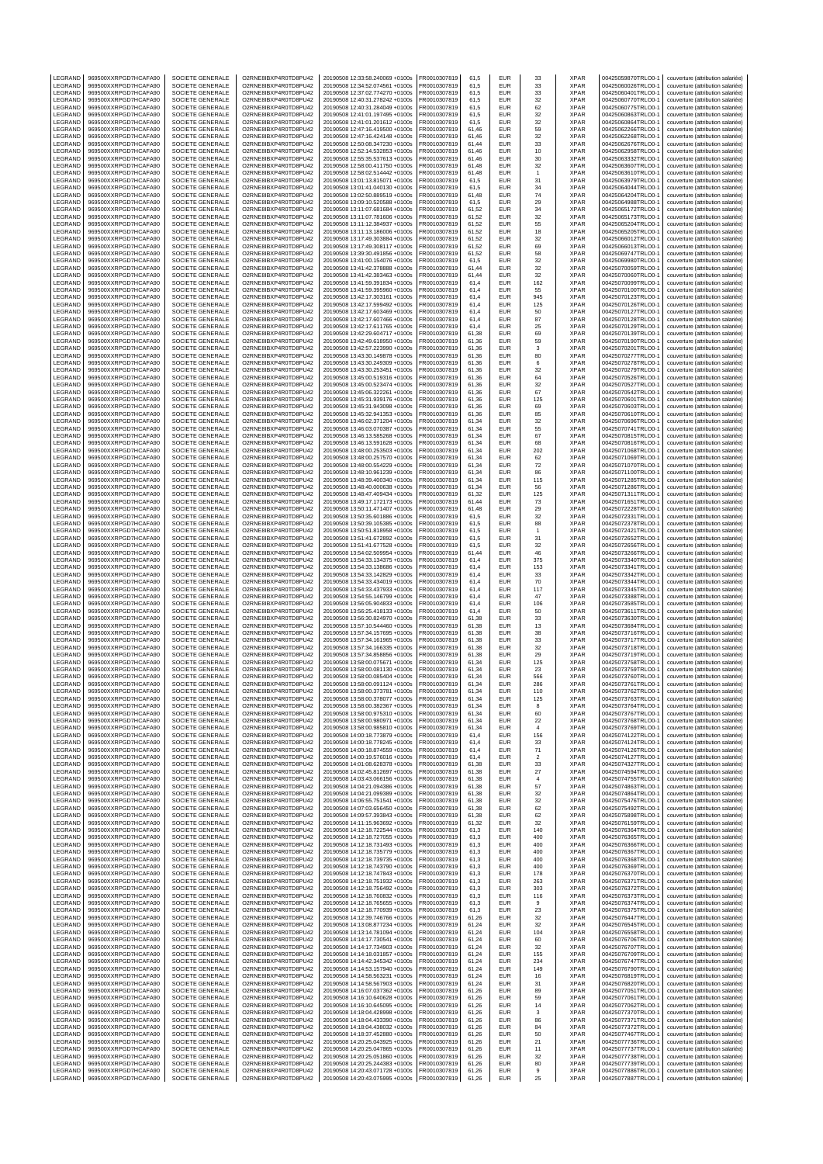| LEGRAND                       | 969500XXRPGD7HCAFA90                                                 | SOCIETE GENERALE                                         | O2RNE8IBXP4R0TD8PU42                                                 | 20190508 12:33:58.240069 +0100s                                    | FR0010307819                                 | 61,5                    | EUR                             | 33                   | <b>XPAR</b>                               | 00425059870TRLO0-1                                             | couverture (attribution salariée)                                      |
|-------------------------------|----------------------------------------------------------------------|----------------------------------------------------------|----------------------------------------------------------------------|--------------------------------------------------------------------|----------------------------------------------|-------------------------|---------------------------------|----------------------|-------------------------------------------|----------------------------------------------------------------|------------------------------------------------------------------------|
| LEGRAND<br>LEGRAND            | 969500XXRPGD7HCAFA90<br>969500XXRPGD7HCAFA90                         | SOCIETE GENERALE<br>SOCIETE GENERALE                     | O2RNE8IBXP4R0TD8PU42<br>O2RNE8IBXP4R0TD8PU42                         | 20190508 12:34:52.074561 +0100s<br>20190508 12:37:02.774270 +0100s | FR0010307819<br>FR0010307819                 | 61,5<br>61,5            | <b>EUR</b><br><b>EUR</b>        | 33<br>33             | <b>XPAR</b><br><b>XPAR</b>                | 00425060026TRLO0-1<br>00425060401TRLO0-1                       | couverture (attribution salariée)<br>couverture (attribution salariée) |
| LEGRAND                       | 969500XXRPGD7HCAFA90                                                 | SOCIETE GENERALE                                         | O2RNE8IBXP4R0TD8PU42                                                 | 20190508 12:40:31.278242 +0100s                                    | FR0010307819                                 | 61,5                    | <b>EUR</b>                      | 32                   | <b>XPAR</b>                               | 00425060770TRLO0-1                                             | couverture (attribution salariée)                                      |
| LEGRAND                       | 969500XXRPGD7HCAFA90                                                 | SOCIETE GENERALE                                         | O2RNE8IBXP4R0TD8PU42                                                 | 20190508 12:40:31.284049 +0100s                                    | FR0010307819                                 | 61.5                    | EUR                             | 62                   | <b>XPAR</b>                               | 00425060775TRLO0-1                                             | couverture (attribution salariée)                                      |
| LEGRAND<br>LEGRAND            | 969500XXRPGD7HCAFA90<br>969500XXRPGD7HCAFA90                         | SOCIETE GENERALE<br>SOCIETE GENERALE                     | O2RNE8IBXP4R0TD8PU42<br>O2RNE8IBXP4R0TD8PU42                         | 20190508 12:41:01.197495 +0100s<br>20190508 12:41:01.201612 +0100s | FR0010307819<br>FR0010307819                 | 61,5<br>61.5            | EUR<br>EUR                      | 32<br>32             | XPAR<br><b>XPAR</b>                       | 00425060863TRLO0-1<br>00425060864TRLO0-1                       | couverture (attribution salariée)<br>couverture (attribution salariée) |
| LEGRAND                       | 969500XXRPGD7HCAFA90                                                 | SOCIETE GENERALE                                         | O2RNE8IBXP4R0TD8PU42                                                 | 20190508 12:47:16.419500 +0100s                                    | FR0010307819                                 | 61,46                   | EUR                             | 59                   | <b>XPAR</b>                               | 00425062266TRLO0-1                                             | couverture (attribution salariée)                                      |
| LEGRAND                       | 969500XXRPGD7HCAFA90<br>969500XXRPGD7HCAFA90                         | <b>SOCIETE GENERALE</b>                                  | O2RNE8IBXP4R0TD8PU42                                                 | 20190508 12:47:16.424148 +0100s                                    | FR0010307819                                 | 61.46                   | EUR                             | 32                   | <b>XPAR</b>                               | 00425062268TRLO0-1                                             | couverture (attribution salariée)                                      |
| LEGRAND<br>LEGRAND            | 969500XXRPGD7HCAFA90                                                 | SOCIETE GENERALE<br><b>SOCIETE GENERALE</b>              | O2RNE8IBXP4R0TD8PU42<br>O2RNE8IBXP4R0TD8PU42                         | 20190508 12:50:08.347230 +0100s<br>20190508 12:52:14.532853 +0100s | FR0010307819<br>FR0010307819                 | 61,44<br>61.46          | EUR<br>EUR                      | 33<br>$10$           | <b>XPAR</b><br><b>XPAR</b>                | 00425062676TRLO0-1<br>00425062958TRLO0-1                       | couverture (attribution salariée)<br>couverture (attribution salariée) |
| LEGRAND                       | 969500XXRPGD7HCAFA90                                                 | SOCIETE GENERALE                                         | O2RNE8IBXP4R0TD8PU42                                                 | 20190508 12:55:35.537613 +0100s                                    | FR0010307819                                 | 61,46                   | EUR                             | 30                   | <b>XPAR</b>                               | 00425063332TRLO0-1                                             | couverture (attribution salariée)                                      |
| LEGRAND<br>LEGRAND            | 969500XXRPGD7HCAFA90<br>969500XXRPGD7HCAFA90                         | <b>SOCIETE GENERALE</b><br>SOCIETE GENERALE              | O2RNE8IBXP4R0TD8PU42<br>O2RNE8IBXP4R0TD8PU42                         | 20190508 12:58:00.411750 +0100s<br>20190508 12:58:02.514442 +0100s | FR0010307819<br>FR0010307819                 | 61.48<br>61,48          | EUR<br>EUR                      | 32<br>$\mathbf{1}$   | <b>XPAR</b><br><b>XPAR</b>                | 00425063607TRLO0-1<br>00425063610TRLO0-1                       | couverture (attribution salariée)<br>couverture (attribution salariée) |
| LEGRAND                       | 969500XXRPGD7HCAFA90                                                 | SOCIETE GENERALE                                         | O2RNE8IBXP4R0TD8PU42                                                 | 20190508 13:01:13.815071 +0100s                                    | FR0010307819                                 | 61,5                    | EUR                             | 31                   | <b>XPAR</b>                               | 00425063979TRLO0-1                                             | couverture (attribution salariée)                                      |
| LEGRAND                       | 969500XXRPGD7HCAFA90                                                 | SOCIETE GENERALE                                         | O2RNE8IBXP4R0TD8PU42                                                 | 20190508 13:01:41.040130 +0100s                                    | FR0010307819                                 | 61,5                    | EUR                             | 34                   | XPAR                                      | 00425064044TRLO0-1                                             | couverture (attribution salariée)                                      |
| LEGRAND<br>LEGRAND            | 969500XXRPGD7HCAFA90<br>969500XXRPGD7HCAFA90                         | SOCIETE GENERALE<br>SOCIETE GENERALE                     | O2RNE8IBXP4R0TD8PU42<br>O2RNE8IBXP4R0TD8PU42                         | 20190508 13:02:50.889519 +0100s<br>20190508 13:09:10.520588 +0100s | FR0010307819<br>FR0010307819                 | 61,48<br>61,5           | EUR<br><b>EUR</b>               | 74<br>29             | <b>XPAR</b><br><b>XPAR</b>                | 00425064204TRLO0-1<br>00425064988TRLO0-1                       | couverture (attribution salariée)<br>couverture (attribution salariée) |
| LEGRAND                       | 969500XXRPGD7HCAFA90                                                 | <b>SOCIETE GENERALE</b>                                  | O2RNE8IBXP4R0TD8PU42                                                 | 20190508 13:11:07.681684 +0100s                                    | FR0010307819                                 | 61,52                   | EUR                             | 34                   | <b>XPAR</b>                               | 00425065172TRLO0-1                                             | couverture (attribution salariée)                                      |
| LEGRAND                       | 969500XXRPGD7HCAFA90                                                 | SOCIETE GENERALE                                         | O2RNE8IBXP4R0TD8PU42                                                 | 20190508 13:11:07.781606 +0100s                                    | FR0010307819                                 | 61,52                   | EUR                             | 32                   | XPAR                                      | 00425065173TRLO0-1                                             | couverture (attribution salariée)                                      |
| LEGRAND<br>LEGRAND            | 969500XXRPGD7HCAFA90<br>969500XXRPGD7HCAFA90                         | SOCIETE GENERALE<br>SOCIETE GENERALE                     | O2RNE8IBXP4R0TD8PU42<br>O2RNE8IBXP4R0TD8PU42                         | 20190508 13:11:12.384937 +0100s<br>20190508 13:11:13.186006 +0100s | FR0010307819<br>FR0010307819                 | 61.52<br>61,52          | <b>EUR</b><br>EUR               | 55<br>18             | <b>XPAR</b><br><b>XPAR</b>                | 00425065204TRLO0-1<br>00425065205TRLO0-1                       | couverture (attribution salariée)<br>couverture (attribution salariée) |
| LEGRAND                       | 969500XXRPGD7HCAFA90                                                 | SOCIETE GENERALE                                         | O2RNE8IBXP4R0TD8PU42                                                 | 20190508 13:17:49.303884 +0100s                                    | FR0010307819                                 | 61,52                   | <b>EUR</b>                      | 32                   | <b>XPAR</b>                               | 00425066012TRLO0-1                                             | couverture (attribution salariée)                                      |
| LEGRAND                       | 969500XXRPGD7HCAFA90                                                 | SOCIETE GENERALE<br><b>SOCIETE GENERALE</b>              | O2RNE8IBXP4R0TD8PU42                                                 | 20190508 13:17:49.308117 +0100s                                    | FR0010307819                                 | 61,52                   | EUR                             | 69                   | XPAR<br><b>XPAR</b>                       | 00425066013TRLO0-1                                             | couverture (attribution salariée)                                      |
| LEGRAND<br>LEGRAND            | 969500XXRPGD7HCAFA90<br>969500XXRPGD7HCAFA90                         | SOCIETE GENERALE                                         | O2RNE8IBXP4R0TD8PU42<br>O2RNE8IBXP4R0TD8PU42                         | 20190508 13:39:30.491856 +0100s<br>20190508 13:41:00.154076 +0100s | FR0010307819<br>FR0010307819                 | 61,52<br>61,5           | EUR<br>EUR                      | 58<br>32             | <b>XPAR</b>                               | 00425069747TRLO0-1<br>00425069980TRLO0-1                       | couverture (attribution salariée)<br>couverture (attribution salariée) |
| LEGRAND                       | 969500XXRPGD7HCAFA90                                                 | SOCIETE GENERALE                                         | O2RNE8IBXP4R0TD8PU42                                                 | 20190508 13:41:42.378888 +0100s                                    | FR0010307819                                 | 61,44                   | EUR                             | 32                   | XPAR                                      | 00425070059TRLO0-1                                             | couverture (attribution salariée)                                      |
| LEGRAND                       | 969500XXRPGD7HCAFA90                                                 | SOCIETE GENERALE                                         | O2RNE8IBXP4R0TD8PU42                                                 | 20190508 13:41:42.383463 +0100s                                    | FR0010307819                                 | 61.44                   | EUR                             | 32                   | <b>XPAR</b>                               | 00425070060TRLO0-1                                             | couverture (attribution salariée)                                      |
| LEGRAND<br>LEGRAND            | 969500XXRPGD7HCAFA90<br>969500XXRPGD7HCAFA90                         | SOCIETE GENERALE<br><b>SOCIETE GENERALE</b>              | O2RNE8IBXP4R0TD8PU42<br>O2RNE8IBXP4R0TD8PU42                         | 20190508 13:41:59.391834 +0100s<br>20190508 13:41:59.395960 +0100s | FR0010307819<br>FR0010307819                 | 61,4<br>61.4            | EUR<br>EUR                      | 162<br>55            | <b>XPAR</b><br><b>XPAR</b>                | 00425070099TRLO0-1<br>00425070100TRLO0-1                       | couverture (attribution salariée)<br>couverture (attribution salariée) |
| LEGRAND                       | 969500XXRPGD7HCAFA90                                                 | SOCIETE GENERALE                                         | O2RNE8IBXP4R0TD8PU42                                                 | 20190508 13:42:17.303161 +0100s                                    | FR0010307819                                 | 61,4                    | EUR                             | 945                  | <b>XPAR</b>                               | 00425070123TRLO0-1                                             | couverture (attribution salariée)                                      |
| LEGRAND<br>LEGRAND            | 969500XXRPGD7HCAFA90<br>969500XXRPGD7HCAFA90                         | <b>SOCIETE GENERALE</b><br>SOCIETE GENERALE              | O2RNE8IBXP4R0TD8PU42<br>O2RNE8IBXP4R0TD8PU42                         | 20190508 13:42:17.599492 +0100s<br>20190508 13:42:17.603469 +0100s | FR0010307819<br>FR0010307819                 | 61.4<br>61,4            | EUR<br>EUR                      | 125<br>50            | <b>XPAR</b><br><b>XPAR</b>                | 00425070126TRLO0-1<br>00425070127TRLO0-1                       | couverture (attribution salariée)<br>couverture (attribution salariée) |
| LEGRAND                       | 969500XXRPGD7HCAFA90                                                 | <b>SOCIETE GENERALE</b>                                  | O2RNE8IBXP4R0TD8PU42                                                 | 20190508 13:42:17.607466 +0100s                                    | FR0010307819                                 | 61.4                    | <b>EUR</b>                      | 87                   | <b>XPAR</b>                               | 00425070128TRLO0-1                                             | couverture (attribution salariée)                                      |
| LEGRAND                       | 969500XXRPGD7HCAFA90                                                 | SOCIETE GENERALE                                         | O2RNE8IBXP4R0TD8PU42                                                 | 20190508 13:42:17.611765 +0100s                                    | FR0010307819                                 | 61,4                    | EUR                             | 25                   | XPAR                                      | 00425070129TRLO0-1                                             | couverture (attribution salariée)                                      |
| LEGRAND<br>LEGRAND            | 969500XXRPGD7HCAFA90<br>969500XXRPGD7HCAFA90                         | <b>SOCIETE GENERALE</b><br>SOCIETE GENERALE              | O2RNE8IBXP4R0TD8PU42<br>O2RNE8IBXP4R0TD8PU42                         | 20190508 13:42:29.604717 +0100s<br>20190508 13:42:49.618950 +0100s | FR0010307819<br>FR0010307819                 | 61.38<br>61,36          | EUR<br>EUR                      | 69<br>59             | <b>XPAR</b><br><b>XPAR</b>                | 00425070139TRLO0-1<br>00425070190TRLO0-1                       | couverture (attribution salariée)<br>couverture (attribution salariée) |
| LEGRAND                       | 969500XXRPGD7HCAFA90                                                 | SOCIETE GENERALE                                         | O2RNE8IBXP4R0TD8PU42                                                 | 20190508 13:42:57.223990 +0100s                                    | FR0010307819                                 | 61.36                   | EUR                             | 3                    | <b>XPAR</b>                               | 00425070201TRLO0-1                                             | couverture (attribution salariée)                                      |
| LEGRAND                       | 969500XXRPGD7HCAFA90                                                 | SOCIETE GENERALE                                         | O2RNE8IBXP4R0TD8PU42                                                 | 20190508 13:43:30.149878 +0100s                                    | FR0010307819                                 | 61,36                   | EUR                             | 80                   | XPAR                                      | 00425070277TRLO0-1                                             | couverture (attribution salariée)                                      |
| LEGRAND<br>LEGRAND            | 969500XXRPGD7HCAFA90<br>969500XXRPGD7HCAFA90                         | SOCIETE GENERALE<br>SOCIETE GENERALE                     | O2RNE8IBXP4R0TD8PU42<br>O2RNE8IBXP4R0TD8PU42                         | 20190508 13:43:30.249309 +0100s<br>20190508 13:43:30.253451 +0100s | FR0010307819<br>FR0010307819                 | 61,36<br>61,36          | EUR<br>EUR                      | 6<br>32              | <b>XPAR</b><br>XPAR                       | 00425070278TRLO0-1<br>00425070279TRLO0-1                       | couverture (attribution salariée)<br>couverture (attribution salariée) |
| LEGRAND                       | 969500XXRPGD7HCAFA90                                                 | SOCIETE GENERALE                                         | O2RNE8IBXP4R0TD8PU42                                                 | 20190508 13:45:00.519316 +0100s                                    | FR0010307819                                 | 61,36                   | EUR                             | 64                   | <b>XPAR</b>                               | 00425070526TRLO0-1                                             | couverture (attribution salariée)                                      |
| LEGRAND                       | 969500XXRPGD7HCAFA90                                                 | SOCIETE GENERALE                                         | O2RNE8IBXP4R0TD8PU42                                                 | 20190508 13:45:00.523474 +0100s                                    | FR0010307819                                 | 61,36                   | <b>EUR</b><br><b>EUR</b>        | 32<br>67             | <b>XPAR</b><br><b>XPAR</b>                | 00425070527TRLO0-1                                             | couverture (attribution salariée)                                      |
| LEGRAND<br>LEGRAND            | 969500XXRPGD7HCAFA90<br>969500XXRPGD7HCAFA90                         | SOCIETE GENERALE<br>SOCIETE GENERALE                     | O2RNE8IBXP4R0TD8PU42<br>O2RNE8IBXP4R0TD8PU42                         | 20190508 13:45:06.322261 +0100s<br>20190508 13:45:31.939176 +0100s | FR0010307819<br>FR0010307819                 | 61,36<br>61,36          | EUR                             | 125                  | XPAR                                      | 00425070542TRLO0-1<br>00425070601TRLO0-1                       | couverture (attribution salariée)<br>couverture (attribution salariée) |
| LEGRAND                       | 969500XXRPGD7HCAFA90                                                 | SOCIETE GENERALE                                         | O2RNE8IBXP4R0TD8PU42                                                 | 20190508 13:45:31.943098 +0100s                                    | FR0010307819                                 | 61,36                   | <b>EUR</b>                      | 69                   | <b>XPAR</b>                               | 00425070603TRLO0-1                                             | couverture (attribution salariée)                                      |
| LEGRAND<br>LEGRAND            | 969500XXRPGD7HCAFA90<br>969500XXRPGD7HCAFA90                         | SOCIETE GENERALE<br>SOCIETE GENERALE                     | O2RNE8IBXP4R0TD8PU42<br>O2RNE8IBXP4R0TD8PU42                         | 20190508 13:45:32.941353 +0100s<br>20190508 13:46:02.371204 +0100s | FR0010307819<br>FR0010307819                 | 61,36<br>61,34          | EUR<br>EUR                      | 85                   | <b>XPAR</b><br><b>XPAR</b>                | 00425070610TRLO0-1<br>00425070696TRLO0-1                       | couverture (attribution salariée)<br>couverture (attribution salariée) |
| LEGRAND                       | 969500XXRPGD7HCAFA90                                                 | SOCIETE GENERALE                                         | O2RNE8IBXP4R0TD8PU42                                                 | 20190508 13:46:03.070387 +0100s                                    | FR0010307819                                 | 61,34                   | EUR                             | 32<br>55             | XPAR                                      | 00425070741TRLO0-1                                             | couverture (attribution salariée)                                      |
| LEGRAND                       | 969500XXRPGD7HCAFA90                                                 | SOCIETE GENERALE                                         | O2RNE8IBXP4R0TD8PU42                                                 | 20190508 13:46:13.585268 +0100s                                    | FR0010307819                                 | 61,34                   | <b>EUR</b>                      | 67                   | <b>XPAR</b>                               | 00425070815TRLO0-1                                             | couverture (attribution salariée)                                      |
| LEGRAND<br>LEGRAND            | 969500XXRPGD7HCAFA90<br>969500XXRPGD7HCAFA90                         | SOCIETE GENERALE<br>SOCIETE GENERALE                     | O2RNE8IBXP4R0TD8PU42<br>O2RNE8IBXP4R0TD8PU42                         | 20190508 13:46:13.591628 +0100s<br>20190508 13:48:00.253503 +0100s | FR0010307819<br>FR0010307819                 | 61,34<br>61,34          | EUR<br>EUR                      | 68<br>202            | XPAR<br>XPAR                              | 00425070816TRLO0-1<br>00425071068TRLO0-1                       | couverture (attribution salariée)<br>couverture (attribution salariée) |
| LEGRAND                       | 969500XXRPGD7HCAFA90                                                 | <b>SOCIETE GENERALE</b>                                  | O2RNE8IBXP4R0TD8PU42                                                 | 20190508 13:48:00 257570 +0100s                                    | FR0010307819                                 | 61.34                   | <b>EUR</b>                      | 62                   | <b>XPAR</b>                               | 00425071069TRLO0-1                                             | couverture (attribution salariée)                                      |
| LEGRAND                       | 969500XXRPGD7HCAFA90                                                 | SOCIETE GENERALE                                         | O2RNE8IBXP4R0TD8PU42                                                 | 20190508 13:48:00.554229 +0100s                                    | FR0010307819                                 | 61,34                   | EUR                             | 72                   | <b>XPAR</b>                               | 00425071070TRLO0-1                                             | couverture (attribution salariée)                                      |
| LEGRAND<br>LEGRAND            | 969500XXRPGD7HCAFA90<br>969500XXRPGD7HCAFA90                         | <b>SOCIETE GENERALE</b><br>SOCIETE GENERALE              | O2RNE8IBXP4R0TD8PU42<br>O2RNE8IBXP4R0TD8PU42                         | 20190508 13:48:10.961239 +0100s<br>20190508 13:48:39.400340 +0100s | FR0010307819<br>FR0010307819                 | 61.34<br>61,34          | EUR<br>EUR                      | 86<br>115            | <b>XPAR</b><br><b>XPAR</b>                | 00425071100TRLO0-1<br>00425071285TRLO0-1                       | couverture (attribution salariée)<br>couverture (attribution salariée) |
| LEGRAND                       | 969500XXRPGD7HCAFA90                                                 | <b>SOCIETE GENERALE</b>                                  | O2RNE8IBXP4R0TD8PU42                                                 | 20190508 13:48:40.000638 +0100s                                    | FR0010307819                                 | 61.34                   | EUR                             | 56                   | <b>XPAR</b>                               | 00425071286TRLO0-1                                             | couverture (attribution salariée)                                      |
| LEGRAND                       | 969500XXRPGD7HCAFA90                                                 | SOCIETE GENERALE                                         | O2RNE8IBXP4R0TD8PU42                                                 | 20190508 13:48:47.409434 +0100s                                    | FR0010307819                                 | 61,32                   | EUR                             | 125                  | <b>XPAR</b>                               | 00425071311TRLO0-1                                             | couverture (attribution salariée)                                      |
| LEGRAND<br>LEGRAND            | 969500XXRPGD7HCAFA90<br>969500XXRPGD7HCAFA90                         | <b>SOCIETE GENERALE</b><br>SOCIETE GENERALE              | O2RNE8IBXP4R0TD8PU42<br>O2RNE8IBXP4R0TD8PU42                         | 20190508 13:49:17.172173 +0100s<br>20190508 13:50:11.471407 +0100s | FR0010307819<br>FR0010307819                 | 61.44<br>61,48          | EUR<br>EUR                      | 73<br>29             | <b>XPAR</b><br><b>XPAR</b>                | 00425071651TRLO0-1<br>00425072228TRLO0-1                       | couverture (attribution salariée)<br>couverture (attribution salariée) |
| LEGRAND                       | 969500XXRPGD7HCAFA90                                                 | <b>SOCIETE GENERALE</b>                                  | O2RNE8IBXP4R0TD8PU42                                                 | 20190508 13:50:35.601886 +0100s                                    | FR0010307819                                 | 61,5                    | <b>EUR</b>                      | 32                   | <b>XPAR</b>                               | 00425072331TRLO0-1                                             | couverture (attribution salariée)                                      |
| LEGRAND<br>LEGRAND            | 969500XXRPGD7HCAFA90<br>969500XXRPGD7HCAFA90                         | SOCIETE GENERALE<br>SOCIETE GENERALE                     | O2RNE8IBXP4R0TD8PU42<br>O2RNE8IBXP4R0TD8PU42                         | 20190508 13:50:39.105385 +0100s<br>20190508 13:50:51.818958 +0100s | FR0010307819<br>FR0010307819                 | 61,5<br>61,5            | EUR<br>EUR                      | 88<br>$\overline{1}$ | <b>XPAR</b><br><b>XPAR</b>                | 00425072378TRLO0-1<br>00425072421TRLO0-1                       | couverture (attribution salariée)<br>couverture (attribution salariée) |
| LEGRAND                       | 969500XXRPGD7HCAFA90                                                 | SOCIETE GENERALE                                         | O2RNE8IBXP4R0TD8PU42                                                 | 20190508 13:51:41.672892 +0100s                                    | FR0010307819                                 | 61,5                    | EUR                             | 31                   | <b>XPAR</b>                               | 00425072652TRLO0-1                                             | couverture (attribution salariée)                                      |
| LEGRAND                       | 969500XXRPGD7HCAFA90                                                 | SOCIETE GENERALE                                         | O2RNE8IBXP4R0TD8PU42                                                 | 20190508 13:51:41.677528 +0100s                                    | FR0010307819                                 | 61,5                    | EUR                             | 32                   | <b>XPAR</b>                               | 00425072656TRLO0-1                                             | couverture (attribution salariée)                                      |
| LEGRAND<br>LEGRAND            | 969500XXRPGD7HCAFA90<br>969500XXRPGD7HCAFA90                         | SOCIETE GENERALE<br>SOCIETE GENERALE                     | O2RNE8IBXP4R0TD8PU42<br>O2RNE8IBXP4R0TD8PU42                         | 20190508 13:54:02.509954 +0100s<br>20190508 13:54:33.134375 +0100s | FR0010307819<br>FR0010307819                 | 61,44<br>61,4           | EUR<br><b>EUR</b>               | 46<br>375            | <b>XPAR</b><br><b>XPAR</b>                | 00425073266TRLO0-1<br>00425073340TRLO0-1                       | couverture (attribution salariée)<br>couverture (attribution salariée) |
| LEGRAND                       | 969500XXRPGD7HCAFA90                                                 | SOCIETE GENERALE                                         | O2RNE8IBXP4R0TD8PU42                                                 | 20190508 13:54:33.138686 +0100s                                    | FR0010307819                                 | 61,4                    | EUR                             | 153                  | <b>XPAR</b>                               | 00425073341TRLO0-1                                             | couverture (attribution salariée)                                      |
| LEGRAND                       | 969500XXRPGD7HCAFA90                                                 | SOCIETE GENERALE                                         | O2RNE8IBXP4R0TD8PU42                                                 | 20190508 13:54:33.142829 +0100s                                    | FR0010307819                                 | 61,4                    | <b>EUR</b>                      | 33                   | <b>XPAR</b>                               | 00425073342TRLO0-1                                             | couverture (attribution salariée)                                      |
| LEGRAND<br>LEGRAND            | 969500XXRPGD7HCAFA90<br>969500XXRPGD7HCAFA90                         | SOCIETE GENERALE<br>SOCIETE GENERALE                     | O2RNE8IBXP4R0TD8PU42<br>O2RNE8IBXP4R0TD8PU42                         | 20190508 13:54:33.434019 +0100s<br>20190508 13:54:33.437933 +0100s | FR0010307819<br>FR0010307819                 | 61,4<br>61,4            | EUR<br><b>EUR</b>               | 70<br>117            | XPAR<br><b>XPAR</b>                       | 00425073344TRLO0-1<br>00425073345TRLO0-1                       | couverture (attribution salariée)<br>couverture (attribution salariée) |
| LEGRAND                       | 969500XXRPGD7HCAFA90                                                 | SOCIETE GENERALE                                         | O2RNE8IBXP4R0TD8PU42                                                 | 20190508 13:54:55.146799 +0100s                                    | FR0010307819                                 | 61,4                    | <b>EUR</b>                      | 47                   | <b>XPAR</b>                               | 00425073388TRLO0-1                                             | couverture (attribution salariée)                                      |
| LEGRAND                       | 969500XXRPGD7HCAFA90<br>969500XXRPGD7HCAFA90                         | SOCIETE GENERALE                                         | O2RNE8IBXP4R0TD8PU42<br>O2RNE8IBXP4R0TD8PU42                         | 20190508 13:56:05.904833 +0100s                                    | FR0010307819                                 | 61,4                    | <b>EUR</b><br>EUR               | 106                  | <b>XPAR</b>                               | 00425073585TRLO0-1                                             | couverture (attribution salariée)                                      |
| LEGRAND<br>LEGRAND            | 969500XXRPGD7HCAFA90                                                 | SOCIETE GENERALE<br>SOCIETE GENERALE                     | O2RNE8IBXP4R0TD8PU42                                                 | 20190508 13:56:25.418133 +0100s<br>20190508 13:56:30.824970 +0100s | FR0010307819<br>FR0010307819                 | 61,4<br>61,38           | EUR                             | 50<br>33             | XPAR<br><b>XPAR</b>                       | 00425073611TRLO0-1<br>00425073630TRLO0-1                       | couverture (attribution salariée)<br>couverture (attribution salariée) |
| LEGRAND                       | 969500XXRPGD7HCAFA90                                                 | <b>SOCIETE GENERALE</b>                                  | O2RNE8IBXP4R0TD8PU42                                                 | 20190508 13:57:10.544460 +0100s                                    | FR0010307819                                 | 61.38                   | EUR                             | 13                   | <b>XPAR</b>                               | 00425073684TRLO0-                                              | couverture (attribution salariée)                                      |
| LEGRAND<br>LEGRAND            | 969500XXRPGD7HCAFA90                                                 | SOCIETE GENERALE<br><b>SOCIETE GENERALE</b>              | O2RNE8IBXP4R0TD8PU42<br>O2RNE8IBXP4R0TD8PU42                         | 20190508 13:57:34.157695 +0100s<br>20190508 13:57:34 161965 +0100s | FR0010307819<br>FR0010307819                 | 61,38<br>61.38          | EUR<br><b>EUR</b>               | 38                   | XPAR<br><b>XPAR</b>                       | 00425073716TRLO0-1<br>00425073717TRLO0-1                       | couverture (attribution salariée)                                      |
| LEGRAND                       | 969500XXRPGD7HCAFA90<br>969500XXRPGD7HCAFA90                         | SOCIETE GENERALE                                         | O2RNE8IBXP4R0TD8PU42                                                 | 20190508 13:57:34.166335 +0100s                                    | FR0010307819                                 | 61,38                   | EUR                             | 33<br>32             | <b>XPAR</b>                               | 00425073718TRLO0-1                                             | couverture (attribution salariée)<br>couverture (attribution salariée) |
| LEGRAND                       | 969500XXRPGD7HCAFA90                                                 | <b>SOCIETE GENERALE</b>                                  | O2RNE8IBXP4R0TD8PU42                                                 | 20190508 13:57:34.858856 +0100s                                    | FR0010307819                                 | 61.38                   | EUR                             | 29                   | <b>XPAR</b>                               | 00425073719TRLO0-1                                             | couverture (attribution salariée)                                      |
| LEGRAND<br>LEGRAND            | 969500XXRPGD7HCAFA90<br>969500XXRPGD7HCAFA90                         | SOCIETE GENERALE<br>SOCIETE GENERALE                     | O2RNE8IBXP4R0TD8PU42<br>O2RNE8IBXP4R0TD8PU42                         | 20190508 13:58:00.075671 +0100s<br>20190508 13:58:00.081130 +0100s | FR0010307819<br>FR0010307819                 | 61,34<br>61.34          | EUR<br>EUR                      | 125<br>23            | <b>XPAR</b><br><b>XPAR</b>                | 00425073758TRLO0-1<br>00425073759TRLO0-1                       | couverture (attribution salariée)<br>couverture (attribution salariée) |
| LEGRAND                       | 969500XXRPGD7HCAFA90                                                 | SOCIETE GENERALE                                         | O2RNE8IBXP4R0TD8PU42                                                 | 20190508 13:58:00.085404 +0100s                                    | FR0010307819                                 | 61,34                   | EUR                             | 566                  | <b>XPAR</b>                               | 00425073760TRLO0-1                                             | couverture (attribution salariée)                                      |
| LEGRAND                       | 969500XXRPGD7HCAFA90                                                 | SOCIETE GENERALE                                         | O2RNE8IBXP4R0TD8PU42                                                 | 20190508 13:58:00.091124 +0100s                                    | FR0010307819                                 | 61.34                   | EUR                             | 286                  | <b>XPAR</b>                               | 00425073761TRLO0-1                                             | couverture (attribution salariée)                                      |
| LEGRAND<br>LEGRAND            | 969500XXRPGD7HCAFA90<br>969500XXRPGD7HCAFA90                         | SOCIETE GENERALE<br>SOCIETE GENERALE                     | O2RNE8IBXP4R0TD8PU42<br>O2RNE8IBXP4R0TD8PU42                         | 20190508 13:58:00.373781 +0100s<br>20190508 13:58:00.378077 +0100s | FR0010307819<br>FR0010307819                 | 61,34<br>61,34          | EUR<br>EUR                      | 110<br>125           | XPAR<br><b>XPAR</b>                       | 00425073762TRLO0-1<br>00425073763TRLO0-1                       | couverture (attribution salariée)<br>couverture (attribution salariée) |
| LEGRAND                       | 969500XXRPGD7HCAFA90                                                 | SOCIETE GENERALE                                         | O2RNE8IBXP4R0TD8PU42                                                 | 20190508 13:58:00.382367 +0100s                                    | FR0010307819                                 | 61,34                   | EUR                             | 8                    | XPAR                                      | 00425073764TRLO0-1                                             | couverture (attribution salariée)                                      |
| LEGRAND                       | 969500XXRPGD7HCAFA90                                                 | SOCIETE GENERALE                                         | O2RNE8IBXP4R0TD8PU42<br>O2RNE8IBXP4R0TD8PU42                         | 20190508 13:58:00 975310 +0100s                                    | FR0010307819                                 | 61.34                   | EUR                             | 60                   | <b>XPAR</b>                               | 00425073767TRLO0-1                                             | couverture (attribution salariée)                                      |
| LEGRAND<br>LEGRAND            | 969500XXRPGD7HCAFA90<br>969500XXRPGD7HCAFA90                         | SOCIETE GENERALE<br>SOCIETE GENERALE                     | O2RNE8IBXP4R0TD8PU42                                                 | 20190508 13:58:00.980971 +0100s<br>20190508 13:58:00.985810 +0100s | FR0010307819<br>FR0010307819                 | 61.34<br>61,34          | <b>EUR</b><br><b>EUR</b>        | 22<br>$\overline{4}$ | <b>XPAR</b><br><b>XPAR</b>                | 00425073768TRLO0-1<br>00425073769TRLO0-1                       | couverture (attribution salariée)<br>couverture (attribution salariée) |
| LEGRAND                       | 969500XXRPGD7HCAFA90                                                 | SOCIETE GENERALE                                         | O2RNE8IBXP4R0TD8PU42                                                 | 20190508 14:00:18.773879 +0100s                                    | FR0010307819                                 | 61,4                    | <b>EUR</b>                      | 156                  | <b>XPAR</b>                               | 00425074122TRLO0-1                                             | couverture (attribution salariée)                                      |
| LEGRAND<br>LEGRAND            | 969500XXRPGD7HCAFA90<br>969500XXRPGD7HCAFA90                         | SOCIETE GENERALE<br>SOCIETE GENERALE                     | O2RNE8IBXP4R0TD8PU42<br>O2RNE8IBXP4R0TD8PU42                         | 20190508 14:00:18.778245 +0100s<br>20190508 14:00:18.874559 +0100s | FR0010307819<br>FR0010307819                 | 61,4<br>61,4            | <b>EUR</b><br><b>EUR</b>        | 33<br>71             | <b>XPAR</b><br><b>XPAR</b>                | 00425074124TRLO0-1<br>00425074126TRLO0-1                       | couverture (attribution salariée)<br>couverture (attribution salariée) |
| LEGRAND                       | 969500XXRPGD7HCAFA90                                                 | SOCIETE GENERALE                                         | O2RNE8IBXP4R0TD8PU42                                                 | 20190508 14:00:19.576016 +0100s                                    | FR0010307819                                 | 61,4                    | <b>EUR</b>                      | $\overline{2}$       | <b>XPAR</b>                               | 00425074127TRLO0-1                                             | couverture (attribution salariée)                                      |
| LEGRAND                       | 969500XXRPGD7HCAFA90                                                 | SOCIETE GENERALE                                         | O2RNE8IBXP4R0TD8PU42                                                 | 20190508 14:01:08.628378 +0100s                                    | FR0010307819                                 | 61,38                   | <b>EUR</b>                      | 33                   | <b>XPAR</b>                               | 00425074327TRLO0-1                                             | couverture (attribution salariée)                                      |
| LEGRAND<br>LEGRAND            | 969500XXRPGD7HCAFA90<br>969500XXRPGD7HCAFA90                         | SOCIETE GENERALE<br>SOCIETE GENERALE                     | O2RNE8IBXP4R0TD8PU42<br>O2RNE8IBXP4R0TD8PU42                         | 20190508 14:02:45.812697 +0100s<br>20190508 14:03:43.066156 +0100s | FR0010307819<br>FR0010307819                 | 61.38<br>61,38          | <b>EUR</b><br><b>EUR</b>        | 27<br>$\overline{4}$ | <b>XPAR</b><br><b>XPAR</b>                | 00425074594TRLO0-1<br>00425074755TRLO0-1                       | couverture (attribution salariée)<br>couverture (attribution salariée) |
| LEGRAND                       | 969500XXRPGD7HCAFA90                                                 | SOCIETE GENERALE                                         | O2RNE8IBXP4R0TD8PU42                                                 | 20190508 14:04:21.094386 +0100s                                    | FR0010307819                                 | 61,38                   | <b>EUR</b>                      | 57                   | <b>XPAR</b>                               | 00425074863TRLO0-1                                             | couverture (attribution salariée)                                      |
| LEGRAND                       | 969500XXRPGD7HCAFA90                                                 | SOCIETE GENERALE                                         | O2RNE8IBXP4R0TD8PU42                                                 | 20190508 14:04:21.099389 +0100s                                    | FR0010307819<br>FR0010307819                 | 61,38                   | <b>EUR</b>                      | 32                   | <b>XPAR</b>                               | 00425074864TRLO0-1                                             | couverture (attribution salariée)                                      |
| LEGRAND<br>LEGRAND            | 969500XXRPGD7HCAFA90<br>969500XXRPGD7HCAFA90                         | SOCIETE GENERALE<br>SOCIETE GENERALE                     | O2RNE8IBXP4R0TD8PU42<br>O2RNE8IBXP4R0TD8PU42                         | 20190508 14:06:55.751541 +0100s<br>20190508 14:07:03.656450 +0100s | FR0010307819                                 | 61,38<br>61,38          | EUR<br>EUR                      | 32<br>62             | XPAR<br><b>XPAR</b>                       | 00425075476TRLO0-1<br>00425075492TRLO0-1                       | couverture (attribution salariée)<br>couverture (attribution salariée) |
| LEGRAND                       | 969500XXRPGD7HCAFA90                                                 | SOCIETE GENERALE                                         | O2RNE8IBXP4R0TD8PU42                                                 | 20190508 14:09:57.393843 +0100s                                    | FR0010307819<br>FR0010307819                 | 61,38                   | EUR                             | 62                   | XPAR                                      | 00425075898TRLO0-1                                             | couverture (attribution salariée)                                      |
| LEGRAND<br>LEGRAND            | 969500XXRPGD7HCAFA90<br>969500XXRPGD7HCAFA90                         | SOCIETE GENERALE<br>SOCIETE GENERALE                     | O2RNE8IBXP4R0TD8PU42<br>O2RNE8IBXP4R0TD8PU42                         | 20190508 14:11:15.963692 +0100s<br>20190508 14:12:18.722544 +0100s | FR0010307819                                 | 61.32<br>61,3           | EUR<br>EUR                      | 32<br>140            | <b>XPAR</b><br>XPAR                       | 00425076159TRLO0-1<br>00425076364TRLO0-1                       | couverture (attribution salariée)<br>couverture (attribution salariée) |
| LEGRAND                       | 969500XXRPGD7HCAFA90                                                 | SOCIETE GENERALE                                         | O2RNE8IBXP4R0TD8PU42                                                 | 20190508 14:12:18.727055 +0100s                                    | FR0010307819                                 | 61.3                    | EUR                             | 400                  | <b>XPAR</b>                               | 00425076365TRLO0-1                                             | couverture (attribution salariée)                                      |
| LEGRAND<br>LEGRAND            | 969500XXRPGD7HCAFA90<br>969500XXRPGD7HCAFA90                         | SOCIETE GENERALE<br>SOCIETE GENERALE                     | O2RNE8IBXP4R0TD8PU42<br>O2RNE8IBXP4R0TD8PU42                         | 20190508 14:12:18.731493 +0100s<br>20190508 14:12:18.735779 +0100s | FR0010307819<br>FR0010307819                 | 61,3<br>61.3            | EUR<br>EUR                      | 400<br>400           | XPAR<br><b>XPAR</b>                       | 00425076366TRLO0-1<br>00425076367TRLO0-1                       | couverture (attribution salariée)<br>couverture (attribution salariée) |
| LEGRAND                       | 969500XXRPGD7HCAFA90                                                 | SOCIETE GENERALE                                         | O2RNE8IBXP4R0TD8PU42                                                 | 20190508 14:12:18.739735 +0100s                                    | FR0010307819                                 | 61,3                    | EUR                             | 400                  | XPAR                                      | 00425076368TRLO0-1                                             | couverture (attribution salariée)                                      |
| LEGRAND                       | 969500XXRPGD7HCAFA90                                                 | SOCIETE GENERALE                                         | O2RNE8IBXP4R0TD8PU42                                                 | 20190508 14:12:18.743790 +0100s                                    | FR0010307819                                 | 61,3                    | EUR                             | 400                  | <b>XPAR</b>                               | 00425076369TRLO0-1                                             | couverture (attribution salariée)                                      |
| LEGRAND<br>LEGRAND            | 969500XXRPGD7HCAFA90<br>969500XXRPGD7HCAFA90                         | SOCIETE GENERALE<br>SOCIETE GENERALE                     | O2RNE8IBXP4R0TD8PU42<br>O2RNE8IBXP4R0TD8PU42                         | 20190508 14:12:18.747843 +0100s<br>20190508 14:12:18.751932 +0100s | FR0010307819<br>FR0010307819                 | 61,3<br>61,3            | EUR<br><b>EUR</b>               | 178<br>263           | XPAR<br><b>XPAR</b>                       | 00425076370TRLO0-1<br>00425076371TRLO0-1                       | couverture (attribution salariée)<br>couverture (attribution salariée) |
| LEGRAND                       | 969500XXRPGD7HCAFA90                                                 | SOCIETE GENERALE                                         | O2RNE8IBXP4R0TD8PU42                                                 | 20190508 14:12:18.756492 +0100s                                    | FR0010307819                                 | 61,3                    | <b>EUR</b>                      | 303                  | <b>XPAR</b>                               | 00425076372TRLO0-1                                             | couverture (attribution salariée)                                      |
| LEGRAND<br>LEGRAND            | 969500XXRPGD7HCAFA90<br>969500XXRPGD7HCAFA90                         | SOCIETE GENERALE<br>SOCIETE GENERALE                     | O2RNE8IBXP4R0TD8PU42<br>O2RNE8IBXP4R0TD8PU42                         | 20190508 14:12:18.760832 +0100s<br>20190508 14:12:18.765655 +0100s | FR0010307819<br>FR0010307819                 | 61,3<br>61,3            | <b>EUR</b><br><b>EUR</b>        | 116<br>9             | <b>XPAR</b><br><b>XPAR</b>                | 00425076373TRLO0-1<br>00425076374TRLO0-1                       | couverture (attribution salariée)<br>couverture (attribution salariée) |
| LEGRAND                       | 969500XXRPGD7HCAFA90                                                 | SOCIETE GENERALE                                         | O2RNE8IBXP4R0TD8PU42                                                 | 20190508 14:12:18.770939 +0100s                                    | FR0010307819                                 | 61,3                    | <b>EUR</b>                      | 23                   | <b>XPAR</b>                               | 00425076375TRLO0-1                                             | couverture (attribution salariée)                                      |
| LEGRAND                       | 969500XXRPGD7HCAFA90                                                 | SOCIETE GENERALE                                         | O2RNE8IBXP4R0TD8PU42                                                 | 20190508 14:12:39.746766 +0100s                                    | FR0010307819                                 | 61,26                   | <b>EUR</b>                      | 32                   | <b>XPAR</b>                               | 00425076447TRLO0-1                                             | couverture (attribution salariée)                                      |
| LEGRAND<br>LEGRAND            | 969500XXRPGD7HCAFA90<br>969500XXRPGD7HCAFA90                         | SOCIETE GENERALE<br>SOCIETE GENERALE                     | O2RNE8IBXP4R0TD8PU42<br>O2RNE8IBXP4R0TD8PU42                         | 20190508 14:13:08.877234 +0100s<br>20190508 14:13:14.781094 +0100s | FR0010307819<br>FR0010307819                 | 61.24<br>61,24          | <b>EUR</b><br><b>EUR</b>        | 32<br>104            | <b>XPAR</b><br><b>XPAR</b>                | 00425076545TRLO0-1<br>00425076558TRLO0-1                       | couverture (attribution salariée)<br>couverture (attribution salariée) |
| LEGRAND                       | 969500XXRPGD7HCAFA90                                                 | SOCIETE GENERALE                                         | O2RNE8IBXP4R0TD8PU42                                                 | 20190508 14:14:17.730541 +0100s                                    | FR0010307819                                 | 61,24                   | <b>EUR</b>                      | 60                   | <b>XPAR</b>                               | 00425076706TRLO0-1                                             | couverture (attribution salariée)                                      |
| LEGRAND<br>LEGRAND            | 969500XXRPGD7HCAFA90                                                 | SOCIETE GENERALE                                         | O2RNE8IBXP4R0TD8PU42                                                 | 20190508 14:14:17.734903 +0100s                                    | FR0010307819                                 | 61,24                   | <b>EUR</b><br><b>EUR</b>        | 32                   | <b>XPAR</b><br><b>XPAR</b>                | 00425076707TRLO0-1                                             | couverture (attribution salariée)                                      |
| LEGRAND                       | 969500XXRPGD7HCAFA90<br>969500XXRPGD7HCAFA90                         | SOCIETE GENERALE<br>SOCIETE GENERALE                     | O2RNE8IBXP4R0TD8PU42<br>O2RNE8IBXP4R0TD8PU42                         | 20190508 14:14:18.031857 +0100s<br>20190508 14:14:42.345342 +0100s | FR0010307819<br>FR0010307819                 | 61,24<br>61,24          | <b>EUR</b>                      | 155<br>234           | <b>XPAR</b>                               | 00425076709TRLO0-1<br>00425076747TRLO0-1                       | couverture (attribution salariée)<br>couverture (attribution salariée) |
| LEGRAND                       | 969500XXRPGD7HCAFA90                                                 | SOCIETE GENERALE                                         | O2RNE8IBXP4R0TD8PU42                                                 | 20190508 14:14:53.157940 +0100s                                    | FR0010307819                                 | 61,24                   | EUR                             | 149                  | XPAR                                      | 00425076790TRLO0-1                                             | couverture (attribution salariée)                                      |
| LEGRAND<br>LEGRAND            | 969500XXRPGD7HCAFA90<br>969500XXRPGD7HCAFA90                         | SOCIETE GENERALE<br>SOCIETE GENERALE                     | O2RNE8IBXP4R0TD8PU42<br>O2RNE8IBXP4R0TD8PU42                         | 20190508 14:14:58.563231 +0100s<br>20190508 14:14:58.567903 +0100s | FR0010307819<br>FR0010307819                 | 61.24<br>61,24          | EUR<br>EUR                      | 16<br>31             | <b>XPAR</b><br>XPAR                       | 00425076819TRLO0-1<br>00425076820TRLO0-1                       | couverture (attribution salariée)<br>couverture (attribution salariée) |
| LEGRAND                       | 969500XXRPGD7HCAFA90                                                 | SOCIETE GENERALE                                         | O2RNE8IBXP4R0TD8PU42                                                 | 20190508 14:16:07.037362 +0100s                                    | FR0010307819                                 | 61,26                   | EUR                             | 89                   | <b>XPAR</b>                               | 00425077051TRLO0-1                                             | couverture (attribution salariée)                                      |
| LEGRAND                       |                                                                      | SOCIETE GENERALE<br>SOCIETE GENERALE                     | O2RNE8IBXP4R0TD8PU42<br>O2RNE8IBXP4R0TD8PU42                         | 20190508 14:16:10.640628 +0100s<br>20190508 14:16:10.645095 +0100s | FR0010307819                                 | 61,26                   | EUR                             | 59                   | XPAR                                      | 00425077061TRLO0-1                                             | couverture (attribution salariée)                                      |
| LEGRAND                       | 969500XXRPGD7HCAFA90                                                 |                                                          |                                                                      |                                                                    | FR0010307819                                 | 61.26                   | EUR                             | 14                   | <b>XPAR</b>                               | 00425077062TRLO0-1                                             | couverture (attribution salariée)                                      |
|                               | 969500XXRPGD7HCAFA90                                                 |                                                          |                                                                      |                                                                    |                                              |                         |                                 |                      |                                           |                                                                |                                                                        |
| LEGRAND<br>LEGRAND            | 969500XXRPGD7HCAFA90<br>969500XXRPGD7HCAFA90                         | SOCIETE GENERALE<br>SOCIETE GENERALE                     | O2RNE8IBXP4R0TD8PU42<br>O2RNE8IBXP4R0TD8PU42                         | 20190508 14:18:04.428998 +0100s<br>20190508 14:18:04.433390 +0100s | FR0010307819<br>FR0010307819                 | 61,26<br>61,26          | EUR<br>EUR                      | 3<br>86              | XPAR<br><b>XPAR</b>                       | 00425077370TRLO0-1<br>00425077371TRLO0-1                       | couverture (attribution salariée)<br>couverture (attribution salariée) |
| LEGRAND                       | 969500XXRPGD7HCAFA90                                                 | SOCIETE GENERALE                                         | O2RNE8IBXP4R0TD8PU42                                                 | 20190508 14:18:04.438032 +0100s                                    | FR0010307819                                 | 61,26                   | EUR                             | 84                   | XPAR                                      | 00425077372TRLO0-1                                             | couverture (attribution salariée)                                      |
| LEGRAND                       | 969500XXRPGD7HCAFA90                                                 | SOCIETE GENERALE                                         | O2RNE8IBXP4R0TD8PU42                                                 | 20190508 14:18:37.452880 +0100s                                    | FR0010307819                                 | 61.26                   | <b>EUR</b>                      | 50                   | <b>XPAR</b>                               | 00425077467TRLO0-1                                             | couverture (attribution salariée)                                      |
| LEGRAND<br>LEGRAND            | 969500XXRPGD7HCAFA90<br>969500XXRPGD7HCAFA90                         | SOCIETE GENERALE<br>SOCIETE GENERALE                     | O2RNE8IBXP4R0TD8PU42<br>O2RNE8IBXP4R0TD8PU42                         | 20190508 14:20:25.043925 +0100s<br>20190508 14:20:25.047865 +0100s | FR0010307819<br>FR0010307819                 | 61,26<br>61,26          | EUR<br>EUR                      | 21<br>11             | XPAR<br><b>XPAR</b>                       | 00425077736TRLO0-1<br>00425077737TRLO0-1                       | couverture (attribution salariée)<br>couverture (attribution salariée) |
| LEGRAND                       | 969500XXRPGD7HCAFA90                                                 | SOCIETE GENERALE                                         | O2RNE8IBXP4R0TD8PU42                                                 | 20190508 14:20:25.051860 +0100s                                    | FR0010307819                                 | 61,26                   | EUR                             | 32                   | <b>XPAR</b>                               | 00425077738TRLO0-1                                             | couverture (attribution salariée)                                      |
| LEGRAND<br>LEGRAND<br>LEGRAND | 969500XXRPGD7HCAFA90<br>969500XXRPGD7HCAFA90<br>969500XXRPGD7HCAFA90 | SOCIETE GENERALE<br>SOCIETE GENERALE<br>SOCIETE GENERALE | O2RNE8IBXP4R0TD8PU42<br>O2RNE8IBXP4R0TD8PU42<br>O2RNE8IBXP4R0TD8PU42 | 20190508 14:20:25.244383 +0100s<br>20190508 14:20:43.071728 +0100s | FR0010307819<br>FR0010307819<br>FR0010307819 | 61,26<br>61,26<br>61,26 | <b>EUR</b><br><b>EUR</b><br>EUR | 80<br>9<br>25        | <b>XPAR</b><br><b>XPAR</b><br><b>XPAR</b> | 00425077739TRLO0-1<br>00425077886TRLO0-1<br>00425077887TRLO0-1 | couverture (attribution salariée)<br>couverture (attribution salariée) |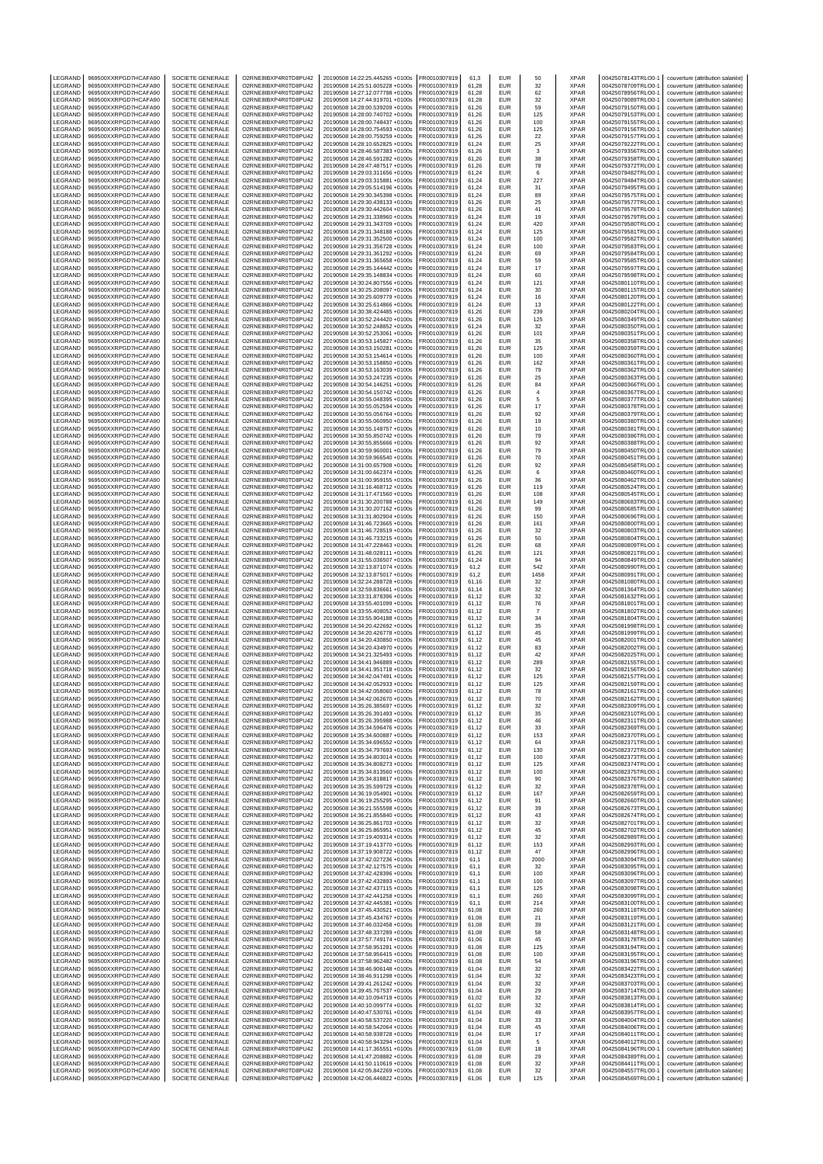| LEGRAND            | 969500XXRPGD7HCAFA90                         | SOCIETE GENERALE                     | O2RNE8IBXP4R0TD8PU42                         | 20190508 14:22:25.445265 +0100s                                    | FR0010307819                 | 61,3           | EUR                      | 50                   | <b>XPAR</b>                | 00425078143TRLO0-1                       | couverture (attribution salariée)                                      |
|--------------------|----------------------------------------------|--------------------------------------|----------------------------------------------|--------------------------------------------------------------------|------------------------------|----------------|--------------------------|----------------------|----------------------------|------------------------------------------|------------------------------------------------------------------------|
| LEGRAND<br>LEGRAND | 969500XXRPGD7HCAFA90<br>969500XXRPGD7HCAFA90 | SOCIETE GENERALE<br>SOCIETE GENERALE | O2RNE8IBXP4R0TD8PU42<br>O2RNE8IBXP4R0TD8PU42 | 20190508 14:25:51.605228 +0100s<br>20190508 14:27:12.077798 +0100s | FR0010307819<br>R0010307819  | 61,28<br>61,28 | <b>FUR</b><br>EUR        | 32<br>62             | <b>XPAR</b><br>XPAR        | 00425078709TRLO0-1<br>00425078956TRLO0-1 | couverture (attribution salariée)<br>couverture (attribution salariée) |
| LEGRAND            | 969500XXRPGD7HCAFA90                         | SOCIETE GENERALE                     | O2RNE8IBXP4R0TD8PU42                         | 20190508 14:27:44.919701 +0100s                                    | FR0010307819                 | 61,28          | <b>EUR</b>               | 32                   | <b>XPAR</b>                | 00425079089TRLO0-1                       | couverture (attribution salariée)                                      |
| LEGRAND            | 969500XXRPGD7HCAFA90                         | SOCIETE GENERALE                     | O2RNE8IBXP4R0TD8PU42                         | 20190508 14:28:00.539209 +0100s                                    | FR0010307819                 | 61.26          | EUR                      | 59                   | <b>XPAR</b>                | 00425079150TRLO0-1                       | couverture (attribution salariée)                                      |
| LEGRAND            | 969500XXRPGD7HCAFA90                         | SOCIETE GENERALE                     | O2RNE8IBXP4R0TD8PU42                         | 20190508 14:28:00.740702 +0100s                                    | FR0010307819                 | 61,26          | EUR                      | 125                  | XPAR                       | 00425079153TRLO0-1                       | couverture (attribution salariée)                                      |
| LEGRAND            | 969500XXRPGD7HCAFA90                         | SOCIETE GENERALE                     | O2RNE8IBXP4R0TD8PU42                         | 20190508 14:28:00.748437 +0100s                                    | FR0010307819                 | 61.26          | EUR                      | 100                  | <b>XPAR</b>                | 00425079155TRLO0-1                       | couverture (attribution salariée)                                      |
| LEGRAND<br>LEGRAND | 969500XXRPGD7HCAFA90<br>969500XXRPGD7HCAFA90 | SOCIETE GENERALE<br>SOCIETE GENERALE | O2RNE8IBXP4R0TD8PU42<br>O2RNE8IBXP4R0TD8PU42 | 20190508 14:28:00.754593 +0100s<br>20190508 14:28:00.759259 +0100s | R0010307819<br>FR0010307819  | 61,26<br>61.26 | EUR<br>EUR               | 125<br>22            | XPAR<br><b>XPAR</b>        | 00425079156TRLO0-1<br>00425079157TRLO0-  | couverture (attribution salariée)<br>couverture (attribution salariée) |
| LEGRAND            | 969500XXRPGD7HCAFA90                         | SOCIETE GENERALE                     | O2RNE8IBXP4R0TD8PU42                         | 20190508 14:28:10.652825 +0100s                                    | R0010307819                  | 61,24          | EUR                      | 25                   | XPAR                       | 00425079222TRLO0-                        | couverture (attribution salariée)                                      |
| LEGRAND            | 969500XXRPGD7HCAFA90                         | SOCIETE GENERALE                     | O2RNE8IBXP4R0TD8PU42                         | 20190508 14:28:46.587383 +0100s                                    | FR0010307819                 | 61.26          | EUR                      | 3                    | <b>XPAR</b>                | 00425079356TRLO0-1                       | couverture (attribution salariée)                                      |
| LEGRAND            | 969500XXRPGD7HCAFA90                         | SOCIETE GENERALE                     | O2RNE8IBXP4R0TD8PU42                         | 20190508 14:28:46.591282 +0100s                                    | R0010307819                  | 61,26          | EUR                      | 38                   | XPAR                       | 00425079358TRLO0-1                       | couverture (attribution salariée)                                      |
| LEGRAND<br>LEGRAND | 969500XXRPGD7HCAFA90<br>969500XXRPGD7HCAFA90 | SOCIETE GENERALE<br>SOCIETE GENERALE | O2RNE8IBXP4R0TD8PU42<br>O2RNE8IBXP4R0TD8PU42 | 20190508 14:28:47.487517 +0100s<br>20190508 14:29:03.311656 +0100s | FR0010307819<br>FR0010307819 | 61.26<br>61,24 | EUR<br>EUR               | 78<br>6              | <b>XPAR</b><br>XPAR        | 00425079372TRLO0-<br>00425079482TRLO0-1  | couverture (attribution salariée)<br>couverture (attribution salariée) |
| LEGRAND            | 969500XXRPGD7HCAFA90                         | SOCIETE GENERALE                     | O2RNE8IBXP4R0TD8PU42                         | 20190508 14:29:03.315881 +0100s                                    | FR0010307819                 | 61.24          | EUR                      | 227                  | <b>XPAR</b>                | 00425079484TRLO0-1                       | couverture (attribution salariée)                                      |
| LEGRAND            | 969500XXRPGD7HCAFA90                         | SOCIETE GENERALE                     | O2RNE8IBXP4R0TD8PU42                         | 20190508 14:29:05.514196 +0100s                                    | FR0010307819                 | 61,24          | EUR                      | 31                   | XPAR                       | 00425079495TRLO0-1                       | couverture (attribution salariée)                                      |
| LEGRAND            | 969500XXRPGD7HCAFA90                         | SOCIETE GENERALE                     | O2RNE8IBXP4R0TD8PU42                         | 20190508 14:29:30.345398 +0100s                                    | FR0010307819                 | 61,24          | EUR                      | 89                   | <b>XPAR</b>                | 00425079575TRLO0-                        | couverture (attribution salariée)                                      |
| LEGRAND            | 969500XXRPGD7HCAFA90<br>969500XXRPGD7HCAFA90 | SOCIETE GENERALE<br>SOCIETE GENERALE | O2RNE8IBXP4R0TD8PU42                         | 20190508 14:29:30.438133 +0100s<br>20190508 14:29:30.442604 +0100s | R0010307819                  | 61,26          | EUR<br>EUR               | 25                   | XPAR<br><b>XPAR</b>        | 00425079577TRLO0-1                       | couverture (attribution salariée)                                      |
| LEGRAND<br>LEGRAND | 969500XXRPGD7HCAFA90                         | SOCIETE GENERALE                     | O2RNE8IBXP4R0TD8PU42<br>O2RNE8IBXP4R0TD8PU42 | 20190508 14:29:31.338960 +0100s                                    | FR0010307819<br>FR0010307819 | 61,26<br>61,24 | EUR                      | 41<br>19             | XPAR                       | 00425079578TRLO0-<br>00425079579TRLO0-1  | couverture (attribution salariée)<br>couverture (attribution salariée) |
| LEGRAND            | 969500XXRPGD7HCAFA90                         | SOCIETE GENERALE                     | O2RNE8IBXP4R0TD8PU42                         | 20190508 14:29:31.343709 +0100s                                    | FR0010307819                 | 61,24          | <b>EUR</b>               | 420                  | XPAR                       | 00425079580TRLO0-1                       | couverture (attribution salariée)                                      |
| <b>FGRAND</b>      | 969500XXRPGD7HCAFA90                         | SOCIETE GENERALE                     | O2RNE8IBXP4R0TD8PU42                         | 20190508 14:29:31.348188 +0100s                                    | R0010307819                  | 61,24          | EUR                      | 125                  | <b>XPAR</b>                | 00425079581TRLO0-1                       | couverture (attribution salariée)                                      |
| LEGRAND<br>LEGRAND | 969500XXRPGD7HCAFA90<br>969500XXRPGD7HCAFA90 | SOCIETE GENERALE<br>SOCIETE GENERALE | O2RNE8IBXP4R0TD8PU42<br>O2RNE8IBXP4R0TD8PU42 | 20190508 14:29:31.352500 +0100s<br>20190508 14:29:31.356728 +0100s | FR0010307819<br>FR0010307819 | 61,24<br>61,24 | <b>EUR</b><br>EUR        | 100<br>100           | <b>XPAR</b><br>XPAR        | 00425079582TRLO0-<br>00425079583TRLO0-1  | couverture (attribution salariée)<br>couverture (attribution salariée) |
| LEGRAND            | 969500XXRPGD7HCAFA90                         | SOCIETE GENERALE                     | O2RNE8IBXP4R0TD8PU42                         | 20190508 14:29:31.361292 +0100s                                    | FR0010307819                 | 61,24          | EUR                      | 69                   | <b>XPAR</b>                | 00425079584TRLO0-1                       | couverture (attribution salariée)                                      |
| LEGRAND            | 969500XXRPGD7HCAFA90                         | SOCIETE GENERALE                     | O2RNE8IBXP4R0TD8PU42                         | 20190508 14:29:31.365658 +0100s                                    | R0010307819                  | 61,24          | EUR                      | 59                   | XPAR                       | 00425079585TRLO0-                        | couverture (attribution salariée)                                      |
| LEGRAND            | 969500XXRPGD7HCAFA90                         | SOCIETE GENERALE                     | O2RNE8IBXP4R0TD8PU42                         | 20190508 14:29:35.144442 +0100s                                    | FR0010307819                 | 61,24          | EUR                      | 17                   | <b>XPAR</b>                | 00425079597TRLO0-                        | couverture (attribution salariée)                                      |
| LEGRAND<br>LEGRAND | 969500XXRPGD7HCAFA90<br>969500XXRPGD7HCAFA90 | SOCIETE GENERALE<br>SOCIETE GENERALE | O2RNE8IBXP4R0TD8PU42<br>O2RNE8IBXP4R0TD8PU42 | 20190508 14:29:35.148834 +0100s<br>20190508 14:30:24.807556 +0100s | FR0010307819<br>R0010307819  | 61.24<br>61,24 | <b>EUR</b><br>EUR        | 60<br>121            | <b>XPAR</b><br>XPAR        | 00425079598TRLO0-<br>00425080110TRLO0-1  | couverture (attribution salariée)<br>couverture (attribution salariée) |
| LEGRAND            | 969500XXRPGD7HCAFA90                         | SOCIETE GENERALE                     | O2RNE8IBXP4R0TD8PU42                         | 20190508 14:30:25.208097 +0100s                                    | FR0010307819                 | 61.24          | EUR                      | 30                   | <b>XPAR</b>                | 00425080115TRLO0-                        | couverture (attribution salariée)                                      |
| LEGRAND            | 969500XXRPGD7HCAFA90                         | SOCIETE GENERALE                     | O2RNE8IBXP4R0TD8PU42                         | 20190508 14:30:25.609779 +0100s                                    | FR0010307819                 | 61,24          | EUR                      | 16                   | XPAR                       | 00425080120TRLO0-                        | couverture (attribution salariée)                                      |
| LEGRAND            | 969500XXRPGD7HCAFA90                         | SOCIETE GENERALE                     | O2RNE8IBXP4R0TD8PU42                         | 20190508 14:30:25.614866 +0100s                                    | FR0010307819                 | 61.24          | EUR                      | 13                   | <b>XPAR</b>                | 00425080122TRLO0-1                       | couverture (attribution salariée)                                      |
| LEGRAND<br>LEGRAND | 969500XXRPGD7HCAFA90<br>969500XXRPGD7HCAFA90 | SOCIETE GENERALE<br>SOCIETE GENERALE | O2RNE8IBXP4R0TD8PU42<br>O2RNE8IBXP4R0TD8PU42 | 20190508 14:30:38.424485 +0100s<br>20190508 14:30:52.244420 +0100s | R0010307819<br>FR0010307819  | 61,26<br>61.26 | EUR<br>EUR               | 239<br>125           | XPAR<br><b>XPAR</b>        | 00425080204TRLO0-1<br>00425080349TRLO0-  | couverture (attribution salariée)<br>couverture (attribution salariée) |
| LEGRAND            | 969500XXRPGD7HCAFA90                         | SOCIETE GENERALE                     | O2RNE8IBXP4R0TD8PU42                         | 20190508 14:30:52.248852 +0100s                                    | FR0010307819                 | 61,24          | EUR                      | 32                   | XPAR                       | 00425080350TRLO0-                        | couverture (attribution salariée)                                      |
| LEGRAND            | 969500XXRPGD7HCAFA90                         | SOCIETE GENERALE                     | O2RNE8IBXP4R0TD8PU42                         | 20190508 14:30:52.253061 +0100s                                    | FR0010307819                 | 61.26          | <b>EUR</b>               | 101                  | <b>XPAR</b>                | 00425080351TRLO0-1                       | couverture (attribution salariée)                                      |
| LEGRAND            | 969500XXRPGD7HCAFA90                         | SOCIETE GENERALE                     | O2RNE8IBXP4R0TD8PU42                         | 20190508 14:30:53.145827 +0100s                                    | R0010307819                  | 61,26          | EUR                      | 35                   | XPAR                       | 00425080358TRLO0-1                       | couverture (attribution salariée)                                      |
| LEGRAND<br>LEGRAND | 969500XXRPGD7HCAFA90<br>969500XXRPGD7HCAFA90 | SOCIETE GENERALE<br>SOCIETE GENERALE | O2RNE8IBXP4R0TD8PU42<br>O2RNE8IBXP4R0TD8PU42 | 20190508 14:30:53.150281 +0100s<br>20190508 14:30:53.154614 +0100s | FR0010307819<br>FR0010307819 | 61.26<br>61,26 | EUR<br>EUR               | 125<br>100           | <b>XPAR</b><br>XPAR        | 00425080359TRLO0-<br>00425080360TRLO0-   | couverture (attribution salariée)<br>couverture (attribution salariée) |
| LEGRAND            | 969500XXRPGD7HCAFA90                         | SOCIETE GENERALE                     | O2RNE8IBXP4R0TD8PU42                         | 20190508 14:30:53.158850 +0100s                                    | FR0010307819                 | 61,26          | EUR                      | 162                  | <b>XPAR</b>                | 00425080361TRLO0-1                       | couverture (attribution salariée)                                      |
| LEGRAND            | 969500XXRPGD7HCAFA90                         | SOCIETE GENERALE                     | O2RNE8IBXP4R0TD8PU42                         | 20190508 14:30:53.163039 +0100s                                    | FR0010307819                 | 61,26          | EUR                      | 79                   | XPAR                       | 00425080362TRLO0-1                       | couverture (attribution salariée)                                      |
| LEGRAND            | 969500XXRPGD7HCAFA90                         | SOCIETE GENERALE                     | O2RNE8IBXP4R0TD8PU42                         | 20190508 14:30:53.247235 +0100s                                    | FR0010307819                 | 61,26          | EUR                      | 25                   | <b>XPAR</b>                | 00425080363TRLO0-1                       | couverture (attribution salariée)                                      |
| LEGRAND<br>LEGRAND | 969500XXRPGD7HCAFA90<br>969500XXRPGD7HCAFA90 | SOCIETE GENERALE<br>SOCIETE GENERALE | O2RNE8IBXP4R0TD8PU42<br>O2RNE8IBXP4R0TD8PU42 | 20190508 14:30:54.146251 +0100s<br>20190508 14:30:54.150742 +0100s | R0010307819<br>FR0010307819  | 61,26<br>61,26 | EUR<br>EUR               | 84<br>$\overline{4}$ | XPAR<br><b>XPAR</b>        | 00425080366TRLO0-1<br>00425080367TRLO0-1 | couverture (attribution salariée)<br>couverture (attribution salariée) |
| LEGRAND            | 969500XXRPGD7HCAFA90                         | SOCIETE GENERALE                     | O2RNE8IBXP4R0TD8PU42                         | 20190508 14:30:55.048395 +0100s                                    | R0010307819                  | 61,26          | EUR                      | 5                    | XPAR                       | 00425080377TRLO0-1                       | couverture (attribution salariée)                                      |
| LEGRAND            | 969500XXRPGD7HCAFA90                         | SOCIETE GENERALE                     | O2RNE8IBXP4R0TD8PU42                         | 20190508 14:30:55.052594 +0100s                                    | FR0010307819                 | 61,26          | <b>EUR</b>               | 17                   | <b>XPAR</b>                | 00425080378TRLO0-                        | couverture (attribution salariée)                                      |
| LEGRAND            | 969500XXRPGD7HCAFA90                         | SOCIETE GENERALE                     | O2RNE8IBXP4R0TD8PU42                         | 20190508 14:30:55.056764 +0100s                                    | R0010307819                  | 61,26          | EUR                      | 92                   | <b>XPAR</b>                | 00425080379TRLO0-1                       | couverture (attribution salariée)                                      |
| LEGRAND<br>LEGRAND | 969500XXRPGD7HCAFA90<br>969500XXRPGD7HCAFA90 | SOCIETE GENERALE<br>SOCIETE GENERALE | O2RNE8IBXP4R0TD8PU42<br>O2RNE8IBXP4R0TD8PU42 | 20190508 14:30:55.060950 +0100s<br>20190508 14:30:55.148757 +0100s | FR0010307819<br>FR0010307819 | 61,26<br>61,26 | <b>EUR</b><br>EUR        | 19<br>10             | <b>XPAR</b><br>XPAR        | 00425080380TRLO0-<br>00425080381TRLO0-1  | couverture (attribution salariée)<br>couverture (attribution salariée) |
| LEGRAND            | 969500XXRPGD7HCAFA90                         | SOCIETE GENERALE                     | O2RNE8IBXP4R0TD8PU42                         | 20190508 14:30:55.850742 +0100s                                    | FR0010307819                 | 61,26          | EUR                      | 79                   | <b>XPAR</b>                | 00425080386TRLO0-1                       | couverture (attribution salariée)                                      |
| LEGRAND            | 969500XXRPGD7HCAFA90                         | SOCIETE GENERALE                     | O2RNE8IBXP4R0TD8PU42                         | 20190508 14:30:55.855666 +0100s                                    | R0010307819                  | 61,26          | EUR                      | 92                   | XPAR                       | 00425080388TRLO0-1                       | couverture (attribution salariée)                                      |
| LEGRAND            | 969500XXRPGD7HCAFA90                         | SOCIETE GENERALE                     | O2RNE8IBXP4R0TD8PU42                         | 20190508 14:30:59.960001 +0100s                                    | R0010307819                  | 61,26          | EUR                      | 79                   | XPAR                       | 00425080450TRLO0-                        | couverture (attribution salariée)                                      |
| LEGRAND            | 969500XXRPGD7HCAFA90                         | SOCIETE GENERALE                     | O2RNE8IBXP4R0TD8PU42                         | 20190508 14:30:59.966540 +0100s<br>20190508 14:31:00.657908 +0100s | FR0010307819                 | 61.26          | <b>EUR</b>               | 70                   | <b>XPAR</b>                | 00425080451TRLO0-<br>00425080458TRLO0-1  | couverture (attribution salariée)                                      |
| LEGRAND<br>LEGRAND | 969500XXRPGD7HCAFA90<br>969500XXRPGD7HCAFA90 | SOCIETE GENERALE<br>SOCIETE GENERALE | O2RNE8IBXP4R0TD8PU42<br>O2RNE8IBXP4R0TD8PU42 | 20190508 14:31:00.662374 +0100s                                    | R0010307819<br>FR0010307819  | 61,26<br>61.26 | EUR<br>EUR               | 92<br>6              | XPAR<br><b>XPAR</b>        | 00425080460TRLO0-1                       | couverture (attribution salariée)<br>couverture (attribution salariée) |
| LEGRAND            | 969500XXRPGD7HCAFA90                         | SOCIETE GENERALE                     | O2RNE8IBXP4R0TD8PU42                         | 20190508 14:31:00.959155 +0100s                                    | FR0010307819                 | 61,26          | EUR                      | 36                   | XPAR                       | 00425080462TRLO0-                        | couverture (attribution salariée)                                      |
| LEGRAND            | 969500XXRPGD7HCAFA90                         | SOCIETE GENERALE                     | O2RNE8IBXP4R0TD8PU42                         | 20190508 14:31:16.468712 +0100s                                    | FR0010307819                 | 61.26          | EUR                      | 119                  | <b>XPAR</b>                | 00425080524TRLO0-1                       | couverture (attribution salariée)                                      |
| LEGRAND<br>LEGRAND | 969500XXRPGD7HCAFA90<br>969500XXRPGD7HCAFA90 | SOCIETE GENERALE<br>SOCIETE GENERALE | O2RNE8IBXP4R0TD8PU42<br>O2RNE8IBXP4R0TD8PU42 | 20190508 14:31:17.471560 +0100s<br>20190508 14:31:30.200788 +0100s | R0010307819<br>FR0010307819  | 61,26<br>61.26 | EUR<br>EUR               | 108<br>149           | XPAR<br><b>XPAR</b>        | 00425080545TRLO0-1<br>00425080683TRLO0-  | couverture (attribution salariée)<br>couverture (attribution salariée) |
| LEGRAND            | 969500XXRPGD7HCAFA90                         | SOCIETE GENERALE                     | O2RNE8IBXP4R0TD8PU42                         | 20190508 14:31:30.207162 +0100s                                    | FR0010307819                 | 61,26          | EUR                      | 99                   | XPAR                       | 00425080685TRLO0-                        | couverture (attribution salariée)                                      |
| LEGRAND            | 969500XXRPGD7HCAFA90                         | SOCIETE GENERALE                     | O2RNE8IBXP4R0TD8PU42                         | 20190508 14:31:31.802904 +0100s                                    | FR0010307819                 | 61.26          | <b>EUR</b>               | 150                  | <b>XPAR</b>                | 00425080696TRLO0-1                       | couverture (attribution salariée)                                      |
| LEGRAND            | 969500XXRPGD7HCAFA90                         | SOCIETE GENERALE                     | O2RNE8IBXP4R0TD8PU42                         | 20190508 14:31:46.723665 +0100s                                    | R0010307819                  | 61,26          | EUR                      | 161                  | XPAR                       | 00425080800TRLO0-1                       | couverture (attribution salariée)                                      |
| LEGRAND<br>LEGRAND | 969500XXRPGD7HCAFA90<br>969500XXRPGD7HCAFA90 | SOCIETE GENERALE                     | O2RNE8IBXP4R0TD8PU42<br>O2RNE8IBXP4R0TD8PU42 | 20190508 14:31:46.728519 +0100s<br>20190508 14:31:46.733215 +0100s | FR0010307819<br>FR0010307819 | 61.26          | <b>EUR</b><br>EUR        | 32                   | <b>XPAR</b><br><b>XPAR</b> | 00425080803TRLO0-1<br>00425080804TRLO0-  | couverture (attribution salariée)                                      |
| LEGRAND            | 969500XXRPGD7HCAFA90                         | SOCIETE GENERALE<br>SOCIETE GENERALE | O2RNE8IBXP4R0TD8PU42                         | 20190508 14:31:47.228463 +0100s                                    | FR0010307819                 | 61,26<br>61,26 | EUR                      | 50<br>68             | <b>XPAR</b>                | 00425080809TRLO0-                        | couverture (attribution salariée)<br>couverture (attribution salariée) |
| LEGRAND            | 969500XXRPGD7HCAFA90                         | SOCIETE GENERALE                     | O2RNE8IBXP4R0TD8PU42                         | 20190508 14:31:48.028111 +0100s                                    | FR0010307819                 | 61,26          | EUR                      | 121                  | XPAR                       | 00425080821TRLO0-1                       | couverture (attribution salariée)                                      |
| LEGRAND            | 969500XXRPGD7HCAFA90                         | SOCIETE GENERALE                     | O2RNE8IBXP4R0TD8PU42                         | 20190508 14:31:55.036507 +0100s                                    | FR0010307819                 | 61,24          | EUR                      | 94                   | <b>XPAR</b>                | 00425080849TRLO0-1                       | couverture (attribution salariée)                                      |
| LEGRAND            | 969500XXRPGD7HCAFA90                         | SOCIETE GENERALE                     | O2RNE8IBXP4R0TD8PU42                         | 20190508 14:32:13.871074 +0100s                                    | R0010307819                  | 61,2           | EUR<br>EUR               | 542                  | XPAR<br><b>XPAR</b>        | 00425080990TRLO0-1                       | couverture (attribution salariée)                                      |
| LEGRAND<br>LEGRAND | 969500XXRPGD7HCAFA90<br>969500XXRPGD7HCAFA90 | SOCIETE GENERALE<br>SOCIETE GENERALE | O2RNE8IBXP4R0TD8PU42<br>O2RNE8IBXP4R0TD8PU42 | 20190508 14:32:13.875017 +0100s<br>20190508 14:32:24.288728 +0100s | FR0010307819<br>R0010307819  | 61,2<br>61,16  | EUR                      | 1458<br>32           | XPAR                       | 00425080991TRLO0-1<br>00425081080TRLO0-1 | couverture (attribution salariée)<br>couverture (attribution salariée) |
| LEGRAND            | 969500XXRPGD7HCAFA90                         | SOCIETE GENERALE                     | O2RNE8IBXP4R0TD8PU42                         | 20190508 14:32:59.836661 +0100s                                    | FR0010307819                 | 61,14          | <b>EUR</b>               | 32                   | <b>XPAR</b>                | 00425081364TRLO0-                        | couverture (attribution salariée)                                      |
| LEGRAND            | 969500XXRPGD7HCAFA90                         | SOCIETE GENERALE                     | O2RNE8IBXP4R0TD8PU42                         | 20190508 14:33:31.878396 +0100s                                    | R0010307819                  | 61,12          | EUR                      | 32                   | <b>XPAR</b>                | 00425081632TRLO0-1                       | couverture (attribution salariée)                                      |
| LEGRAND<br>LEGRAND | 969500XXRPGD7HCAFA90<br>969500XXRPGD7HCAFA90 | SOCIETE GENERALE<br>SOCIETE GENERALE | O2RNE8IBXP4R0TD8PU42<br>O2RNE8IBXP4R0TD8PU42 | 20190508 14:33:55.401099 +0100s<br>20190508 14:33:55.408052 +0100s | FR0010307819<br>FR0010307819 | 61,12<br>61,12 | EUR<br>EUR               | 76<br>$\overline{7}$ | <b>XPAR</b><br>XPAR        | 00425081801TRLO0-<br>00425081802TRLO0-1  | couverture (attribution salariée)<br>couverture (attribution salariée) |
| LEGRAND            | 969500XXRPGD7HCAFA90                         | SOCIETE GENERALE                     | O2RNE8IBXP4R0TD8PU42                         | 20190508 14:33:55.904188 +0100s                                    | FR0010307819                 | 61,12          | EUR                      | 34                   | <b>XPAR</b>                | 00425081804TRLO0-1                       | couverture (attribution salariée)                                      |
| LEGRAND            | 969500XXRPGD7HCAFA90                         | SOCIETE GENERALE                     | O2RNE8IBXP4R0TD8PU42                         | 20190508 14:34:20.422692 +0100s                                    | FR0010307819                 | 61.12          | EUR                      | 35                   | <b>XPAR</b>                | 00425081998TRLO0-                        | couverture (attribution salariée)                                      |
| LEGRAND            | 969500XXRPGD7HCAFA90                         | SOCIETE GENERALE                     | O2RNE8IBXP4R0TD8PU42                         | 20190508 14:34:20.426778 +0100s                                    | FR0010307819                 | 61,12          | EUR                      | 45                   | XPAR                       | 00425081999TRLO0-                        | couverture (attribution salariée)                                      |
| LEGRAND<br>LEGRAND | 969500XXRPGD7HCAFA90<br>969500XXRPGD7HCAFA90 | SOCIETE GENERALE<br>SOCIETE GENERALE | O2RNE8IBXP4R0TD8PU42<br>O2RNE8IBXP4R0TD8PU42 | 20190508 14:34:20.430850 +0100s<br>20190508 14:34:20.434970 +0100s | FR0010307819<br>R0010307819  | 61.12<br>61,12 | <b>EUR</b><br>EUR        | 45<br>83             | <b>XPAR</b><br>XPAR        | 00425082001TRLO0-<br>00425082002TRLO0-   | couverture (attribution salariée)<br>couverture (attribution salariée) |
| LEGRAND            | 969500XXRPGD7HCAFA90                         | SOCIETE GENERALE                     | O2RNE8IBXP4R0TD8PU42                         | 20190508 14:34:21.325493 +0100s                                    | FR0010307819                 | 61.12          | <b>EUR</b>               | 42                   | <b>XPAR</b>                | 00425082025TRLO0-                        | couverture (attribution salariée)                                      |
| LEGRAND            | 969500XXRPGD7HCAFA90                         | SOCIETE GENERALE                     | O2RNE8IBXP4R0TD8PU42                         | 20190508 14:34:41.946889 +0100s                                    | FR0010307819                 | 61,12          | EUR                      | 289                  | XPAR                       | 00425082155TRLO0-1                       | couverture (attribution salariée)                                      |
| LEGRAND            | 969500XXRPGD7HCAFA90                         | SOCIETE GENERALE                     | O2RNE8IBXP4R0TD8PU42                         | 20190508 14:34:41.951718 +0100s                                    | FR0010307819                 | 61.12          | EUR                      | 32                   | <b>XPAR</b>                | 00425082156TRLO0-1                       | couverture (attribution salariée)                                      |
| LEGRAND<br>LEGRAND | 969500XXRPGD7HCAFA90<br>969500XXRPGD7HCAFA90 | SOCIETE GENERALE<br>SOCIETE GENERALE | O2RNE8IBXP4R0TD8PU42<br>O2RNE8IBXP4R0TD8PU42 | 20190508 14:34:42.047491 +0100s<br>20190508 14:34:42.052933 +0100s | R0010307819<br>FR0010307819  | 61,12<br>61.12 | EUR<br><b>EUR</b>        | 125<br>125           | XPAR<br><b>XPAR</b>        | 00425082157TRLO0-1<br>00425082159TRLO0-1 | couverture (attribution salariée)<br>couverture (attribution salariée) |
| LEGRAND            | 969500XXRPGD7HCAFA90                         | SOCIETE GENERALE                     | O2RNE8IBXP4R0TD8PU42                         | 20190508 14:34:42.058060 +0100s                                    | FR0010307819                 | 61,12          | EUR                      | 78                   | <b>XPAR</b>                | 00425082161TRLO0-1                       | couverture (attribution salariée)                                      |
| LEGRAND            | 969500XXRPGD7HCAFA90                         | SOCIETE GENERALE                     | O2RNE8IBXP4R0TD8PU42                         | 20190508 14:34:42.062670 +0100s                                    | FR0010307819                 | 61.12          | EUR                      | 70                   | <b>XPAR</b>                | 00425082162TRLO0-1                       | couverture (attribution salariée)                                      |
| LEGRAND            | 969500XXRPGD7HCAFA90                         | SOCIETE GENERALE                     | O2RNE8IBXP4R0TD8PU42                         | 20190508 14:35:26.385697 +0100s                                    | FR0010307819<br>FR0010307819 | 61,12          | EUR<br><b>FUR</b>        | 32                   | XPAR                       | 00425082309TRLO0-1                       | couverture (attribution salariée)                                      |
| LEGRAND<br>LEGRAND | 969500XXRPGD7HCAFA90<br>969500XXRPGD7HCAFA90 | SOCIETE GENERALE<br>SOCIETE GENERALE | O2RNE8IBXP4R0TD8PU42<br>O2RNE8IBXP4R0TD8PU42 | 20190508 14:35:26.391493 +0100s<br>20190508 14:35:26.395988 +0100s | FR0010307819                 | 61,12<br>61.12 | <b>EUR</b>               | 35<br>46             | <b>XPAR</b><br><b>XPAR</b> | 00425082310TRLO0-1<br>00425082311TRLO0-1 | couverture (attribution salariée)<br>couverture (attribution salariée) |
| LEGRAND            | 969500XXRPGD7HCAFA90                         | SOCIETE GENERALE                     | O2RNE8IBXP4R0TD8PU42                         | 20190508 14:35:34.596476 +0100s                                    | FR0010307819                 | 61,12          | <b>EUR</b>               | 33                   | <b>XPAR</b>                | 00425082369TRLO0-1                       | couverture (attribution salariée)                                      |
| LEGRAND            | 969500XXRPGD7HCAFA90                         | SOCIETE GENERALE                     | O2RNE8IBXP4R0TD8PU42                         | 20190508 14:35:34.600887 +0100s                                    | FR0010307819                 | 61,12          | <b>EUR</b>               | 153                  | <b>XPAR</b>                | 00425082370TRLO0-1                       | couverture (attribution salariée)                                      |
| LEGRAND            | 969500XXRPGD7HCAFA90<br>969500XXRPGD7HCAFA90 | SOCIETE GENERALE                     | O2RNE8IBXP4R0TD8PU42                         | 20190508 14:35:34.696552 +0100s                                    | FR0010307819                 | 61,12          | <b>EUR</b><br><b>EUR</b> | 64                   | <b>XPAR</b><br><b>XPAR</b> | 00425082371TRLO0-1                       | couverture (attribution salariée)<br>couverture (attribution salariée) |
| LEGRAND<br>LEGRAND | 969500XXRPGD7HCAFA90                         | SOCIETE GENERALE<br>SOCIETE GENERALE | O2RNE8IBXP4R0TD8PU42<br>O2RNE8IBXP4R0TD8PU42 | 20190508 14:35:34.797693 +0100s<br>20190508 14:35:34.803014 +0100s | FR0010307819<br>FR0010307819 | 61,12<br>61,12 | <b>EUR</b>               | 130<br>100           | <b>XPAR</b>                | 00425082372TRLO0-1<br>00425082373TRLO0-1 | couverture (attribution salariée)                                      |
| LEGRAND            | 969500XXRPGD7HCAFA90                         | SOCIETE GENERALE                     | O2RNE8IBXP4R0TD8PU42                         | 20190508 14:35:34.808273 +0100s                                    | FR0010307819                 | 61,12          | <b>EUR</b>               | 125                  | XPAR                       | 00425082374TRLO0-1                       | couverture (attribution salariée)                                      |
| LEGRAND<br>LEGRAND | 969500XXRPGD7HCAFA90<br>969500XXRPGD7HCAFA90 | SOCIETE GENERALE<br>SOCIETE GENERALE | O2RNE8IBXP4R0TD8PU42<br>O2RNE8IBXP4R0TD8PU42 | 20190508 14:35:34.813560 +0100s<br>20190508 14:35:34.818817 +0100s | FR0010307819<br>FR0010307819 | 61,12<br>61,12 | <b>EUR</b><br><b>EUR</b> | 100<br>90            | <b>XPAR</b><br><b>XPAR</b> | 00425082375TRLO0-1<br>00425082376TRLO0-1 | couverture (attribution salariée)<br>couverture (attribution salariée) |
| LEGRAND            | 969500XXRPGD7HCAFA90                         | SOCIETE GENERALE                     | O2RNE8IBXP4R0TD8PU42                         | 20190508 14:35:35.599729 +0100s                                    | FR0010307819                 | 61,12          |                          |                      |                            |                                          |                                                                        |
| LEGRAND            | 969500XXRPGD7HCAFA90                         |                                      | O2RNE8IBXP4R0TD8PU42                         | 20190508 14:36:19.054901 +0100s                                    |                              |                | <b>EUR</b>               | 32                   | <b>XPAR</b>                | 00425082378TRLO0-1                       |                                                                        |
| LEGRAND            | 969500XXRPGD7HCAFA90                         | SOCIETE GENERALE                     |                                              |                                                                    | FR0010307819                 | 61,12          | <b>EUR</b>               | 167                  | <b>XPAR</b>                | 00425082659TRLO0-1                       | couverture (attribution salariée)<br>couverture (attribution salariée) |
| LEGRAND<br>LEGRAND |                                              | SOCIETE GENERALE                     | O2RNE8IBXP4R0TD8PU42                         | 20190508 14:36:19.255295 +0100s                                    | FR0010307819                 | 61,12          | EUR                      | 91                   | <b>XPAR</b>                | 00425082660TRLO0-1                       | couverture (attribution salariée)                                      |
| LEGRAND            | 969500XXRPGD7HCAFA90                         | SOCIETE GENERALE                     | O2RNE8IBXP4R0TD8PU42                         | 20190508 14:36:21.555598 +0100s                                    | FR0010307819                 | 61,12          | EUR                      | 39                   | <b>XPAR</b>                | 00425082673TRLO0-1                       | couverture (attribution salariée)                                      |
|                    | 969500XXRPGD7HCAFA90<br>969500XXRPGD7HCAFA90 | SOCIETE GENERALE<br>SOCIETE GENERALE | O2RNE8IBXP4R0TD8PU42<br>O2RNE8IBXP4R0TD8PU42 | 20190508 14:36:21.855840 +0100s<br>20190508 14:36:25 861703 +0100s | FR0010307819<br>FR0010307819 | 61,12<br>61.12 | EUR<br><b>EUR</b>        | 43<br>32             | <b>XPAR</b><br><b>XPAR</b> | 00425082674TRLO0-1<br>00425082701TRLO0-1 | couverture (attribution salariée)<br>couverture (attribution salariée) |
| LEGRAND            | 969500XXRPGD7HCAFA90                         | SOCIETE GENERALE                     | O2RNE8IBXP4R0TD8PU42                         | 20190508 14:36:25.865951 +0100s                                    | FR0010307819                 | 61,12          | EUR                      | 45                   | <b>XPAR</b>                | 00425082702TRLO0-1                       | couverture (attribution salariée)                                      |
| LEGRAND            | 969500XXRPGD7HCAFA90                         | SOCIETE GENERALE                     | O2RNE8IBXP4R0TD8PU42                         | 20190508 14:37:19.409314 +0100s                                    | FR0010307819                 | 61.12          | EUR                      | 32                   | <b>XPAR</b>                | 00425082989TRLO0-1                       | couverture (attribution salariée)                                      |
| LEGRAND<br>LEGRAND | 969500XXRPGD7HCAFA90<br>969500XXRPGD7HCAFA90 | SOCIETE GENERALE<br>SOCIETE GENERALE | O2RNE8IBXP4R0TD8PU42<br>O2RNE8IBXP4R0TD8PU42 | 20190508 14:37:19.413770 +0100s<br>20190508 14:37:19.908722 +0100s | FR0010307819<br>FR0010307819 | 61,12<br>61.12 | EUR<br><b>EUR</b>        | 153<br>47            | <b>XPAR</b><br><b>XPAR</b> | 00425082993TRLO0-1<br>00425082996TRLO0-1 | couverture (attribution salariée)                                      |
| LEGRAND            | 969500XXRPGD7HCAFA90                         | SOCIETE GENERALE                     | O2RNE8IBXP4R0TD8PU42                         | 20190508 14:37:42.027236 +0100s                                    | FR0010307819                 | 61,1           | EUR                      | 2000                 | <b>XPAR</b>                | 00425083094TRLO0-1                       | couverture (attribution salariée)<br>couverture (attribution salariée) |
| LEGRAND            | 969500XXRPGD7HCAFA90                         | SOCIETE GENERALE                     | O2RNE8IBXP4R0TD8PU42                         | 20190508 14:37:42.127575 +0100s                                    | FR0010307819                 | 61.1           | <b>EUR</b>               | 32                   | <b>XPAR</b>                | 00425083095TRLO0-1                       | couverture (attribution salariée)                                      |
| LEGRAND            | 969500XXRPGD7HCAFA90                         | SOCIETE GENERALE                     | O2RNE8IBXP4R0TD8PU42                         | 20190508 14:37:42.428396 +0100s                                    | FR0010307819                 | 61,1           | EUR                      | 100                  | <b>XPAR</b>                | 00425083096TRLO0-1                       | couverture (attribution salariée)                                      |
| LEGRAND<br>LEGRAND | 969500XXRPGD7HCAFA90<br>969500XXRPGD7HCAFA90 | SOCIETE GENERALE<br>SOCIETE GENERALE | O2RNE8IBXP4R0TD8PU42<br>O2RNE8IBXP4R0TD8PU42 | 20190508 14:37:42.432893 +0100s<br>20190508 14:37:42.437115 +0100s | FR0010307819<br>FR0010307819 | 61.1<br>61,1   | <b>EUR</b><br><b>EUR</b> | 100<br>125           | <b>XPAR</b><br><b>XPAR</b> | 00425083097TRLO0-1<br>00425083098TRLO0-1 | couverture (attribution salariée)<br>couverture (attribution salariée) |
| LEGRAND            | 969500XXRPGD7HCAFA90                         | SOCIETE GENERALE                     | O2RNE8IBXP4R0TD8PU42                         | 20190508 14:37:42.441258 +0100s                                    | FR0010307819                 | 61,1           | <b>EUR</b>               | 260                  | <b>XPAR</b>                | 00425083099TRLO0-1                       | couverture (attribution salariée)                                      |
| LEGRAND            | 969500XXRPGD7HCAFA90                         | SOCIETE GENERALE                     | O2RNE8IBXP4R0TD8PU42                         | 20190508 14:37:42.445381 +0100s                                    | FR0010307819                 | 61,1           | <b>EUR</b>               | 214                  | <b>XPAR</b>                | 00425083100TRLO0-1                       | couverture (attribution salariée)                                      |
| LEGRAND            | 969500XXRPGD7HCAFA90<br>969500XXRPGD7HCAFA90 | SOCIETE GENERALE                     | O2RNE8IBXP4R0TD8PU42<br>O2RNE8IBXP4R0TD8PU42 | 20190508 14:37:45.430521 +0100s                                    | FR0010307819                 | 61,08          | <b>EUR</b><br><b>EUR</b> | 260                  | <b>XPAR</b><br><b>XPAR</b> | 00425083118TRLO0-1                       | couverture (attribution salariée)                                      |
| LEGRAND<br>LEGRAND | 969500XXRPGD7HCAFA90                         | SOCIETE GENERALE<br>SOCIETE GENERALE | O2RNE8IBXP4R0TD8PU42                         | 20190508 14:37:45.434767 +0100s<br>20190508 14:37:46.032458 +0100s | FR0010307819<br>FR0010307819 | 61,08<br>61,08 | <b>EUR</b>               | 21<br>39             | <b>XPAR</b>                | 00425083119TRLO0-1<br>00425083121TRLO0-1 | couverture (attribution salariée)<br>couverture (attribution salariée) |
| LEGRAND            | 969500XXRPGD7HCAFA90                         | SOCIETE GENERALE                     | O2RNE8IBXP4R0TD8PU42                         | 20190508 14:37:48.337289 +0100s                                    | FR0010307819                 | 61,08          | <b>EUR</b>               | 58                   | <b>XPAR</b>                | 00425083148TRLO0-1                       | couverture (attribution salariée)                                      |
| LEGRAND            | 969500XXRPGD7HCAFA90                         | SOCIETE GENERALE                     | O2RNE8IBXP4R0TD8PU42                         | 20190508 14:37:57.749174 +0100s                                    | FR0010307819                 | 61,06          | <b>EUR</b>               | 45                   | <b>XPAR</b>                | 00425083178TRLO0-1                       | couverture (attribution salariée)                                      |
| LEGRAND<br>LEGRAND | 969500XXRPGD7HCAFA90<br>969500XXRPGD7HCAFA90 | SOCIETE GENERALE<br>SOCIETE GENERALE | O2RNE8IBXP4R0TD8PU42<br>O2RNE8IBXP4R0TD8PU42 | 20190508 14:37:58.951281 +0100s<br>20190508 14:37:58.956415 +0100s | FR0010307819<br>FR0010307819 | 61,08<br>61.08 | <b>EUR</b><br><b>FUR</b> | 125<br>100           | XPAR<br><b>XPAR</b>        | 00425083194TRLO0-1                       | couverture (attribution salariée)                                      |
| LEGRAND            | 969500XXRPGD7HCAFA90                         | SOCIETE GENERALE                     | O2RNE8IBXP4R0TD8PU42                         | 20190508 14:37:58.962482 +0100s                                    | FR0010307819                 | 61,08          | <b>EUR</b>               | 54                   | <b>XPAR</b>                | 00425083195TRLO0-1<br>00425083196TRLO0-1 | couverture (attribution salariée)<br>couverture (attribution salariée) |
| LEGRAND            | 969500XXRPGD7HCAFA90                         | SOCIETE GENERALE                     | O2RNE8IBXP4R0TD8PU42                         | 20190508 14:38:46.906148 +0100s                                    | FR0010307819                 | 61,04          | EUR                      | 32                   | <b>XPAR</b>                | 00425083422TRLO0-1                       | couverture (attribution salariée)                                      |
| LEGRAND            | 969500XXRPGD7HCAFA90                         | SOCIETE GENERALE                     | O2RNE8IBXP4R0TD8PU42                         | 20190508 14:38:46.911298 +0100s                                    | FR0010307819                 | 61.04          | <b>EUR</b>               | 32                   | <b>XPAR</b>                | 00425083423TRLO0-1                       | couverture (attribution salariée)                                      |
| LEGRAND<br>LEGRAND | 969500XXRPGD7HCAFA90<br>969500XXRPGD7HCAFA90 | SOCIETE GENERALE<br>SOCIETE GENERALE | O2RNE8IBXP4R0TD8PU42<br>O2RNE8IBXP4R0TD8PU42 | 20190508 14:39:41.261242 +0100s<br>20190508 14:39:45.767537 +0100s | FR0010307819<br>FR0010307819 | 61,04<br>61.04 | EUR<br>EUR               | 32<br>29             | <b>XPAR</b><br><b>XPAR</b> | 00425083703TRLO0-1<br>00425083714TRLO0-1 | couverture (attribution salariée)<br>couverture (attribution salariée) |
| LEGRAND            | 969500XXRPGD7HCAFA90                         | SOCIETE GENERALE                     | O2RNE8IBXP4R0TD8PU42                         | 20190508 14:40:10.094719 +0100s                                    | FR0010307819                 | 61,02          | EUR                      | 32                   | <b>XPAR</b>                | 00425083813TRLO0-1                       | couverture (attribution salariée)                                      |
| LEGRAND            | 969500XXRPGD7HCAFA90                         | SOCIETE GENERALE                     | O2RNE8IBXP4R0TD8PU42                         | 20190508 14:40:10.099774 +0100s                                    | FR0010307819                 | 61.02          | <b>EUR</b>               | 32                   | <b>XPAR</b>                | 00425083814TRLO0-1                       | couverture (attribution salariée)                                      |
| LEGRAND<br>LEGRAND | 969500XXRPGD7HCAFA90<br>969500XXRPGD7HCAFA90 | SOCIETE GENERALE<br>SOCIETE GENERALE | O2RNE8IBXP4R0TD8PU42<br>O2RNE8IBXP4R0TD8PU42 | 20190508 14:40:47.530761 +0100s<br>20190508 14:40:58.537220 +0100s | FR0010307819<br>FR0010307819 | 61,04<br>61.04 | EUR<br>EUR               | 49<br>33             | XPAR<br><b>XPAR</b>        | 00425083957TRLO0-1<br>00425084004TRLO0-1 | couverture (attribution salariée)                                      |
| LEGRAND            | 969500XXRPGD7HCAFA90                         | SOCIETE GENERALE                     | O2RNE8IBXP4R0TD8PU42                         | 20190508 14:40:58.542064 +0100s                                    | FR0010307819                 | 61,04          | EUR                      | 45                   | <b>XPAR</b>                | 00425084006TRLO0-1                       | couverture (attribution salariée)<br>couverture (attribution salariée) |
| LEGRAND            | 969500XXRPGD7HCAFA90                         | SOCIETE GENERALE                     | O2RNE8IBXP4R0TD8PU42                         | 20190508 14:40:58.938728 +0100s                                    | FR0010307819                 | 61.04          | <b>EUR</b>               | 17                   | <b>XPAR</b>                | 00425084011TRLO0-1                       | couverture (attribution salariée)                                      |
| LEGRAND            | 969500XXRPGD7HCAFA90                         | SOCIETE GENERALE                     | O2RNE8IBXP4R0TD8PU42                         | 20190508 14:40:58.943294 +0100s                                    | FR0010307819                 | 61,04          | EUR                      | 5                    | <b>XPAR</b>                | 00425084012TRLO0-1                       | couverture (attribution salariée)                                      |
| LEGRAND<br>LEGRAND | 969500XXRPGD7HCAFA90<br>969500XXRPGD7HCAFA90 | SOCIETE GENERALE                     | O2RNE8IBXP4R0TD8PU42                         | 20190508 14:41:17.365551 +0100s                                    | FR0010307819                 | 61,08          | <b>EUR</b><br><b>EUR</b> | 18                   | <b>XPAR</b><br><b>XPAR</b> | 00425084196TRLO0-1<br>00425084389TRLO0-1 | couverture (attribution salariée)                                      |
| LEGRAND            | 969500XXRPGD7HCAFA90                         | SOCIETE GENERALE<br>SOCIETE GENERALE | O2RNE8IBXP4R0TD8PU42<br>O2RNE8IBXP4R0TD8PU42 | 20190508 14:41:47.208882 +0100s<br>20190508 14:41:50.110619 +0100s | R0010307819<br>FR0010307819  | 61,08<br>61,08 | <b>EUR</b>               | 29<br>32             | <b>XPAR</b>                | 00425084411TRLO0-1                       | couverture (attribution salariée)<br>couverture (attribution salariée) |
| LEGRAND<br>LEGRAND | 969500XXRPGD7HCAFA90<br>969500XXRPGD7HCAFA90 | SOCIETE GENERALE<br>SOCIETE GENERALE | O2RNE8IBXP4R0TD8PU42<br>O2RNE8IBXP4R0TD8PU42 | 20190508 14:42:05.842269 +0100s<br>20190508 14:42:06.446822 +0100s | FR0010307819<br>FR0010307819 | 61.08<br>61,06 | <b>EUR</b><br>EUR        | 32<br>125            | <b>XPAR</b><br><b>XPAR</b> | 00425084557TRLO0-1<br>00425084569TRLO0-1 | couverture (attribution salariée)<br>couverture (attribution salariée) |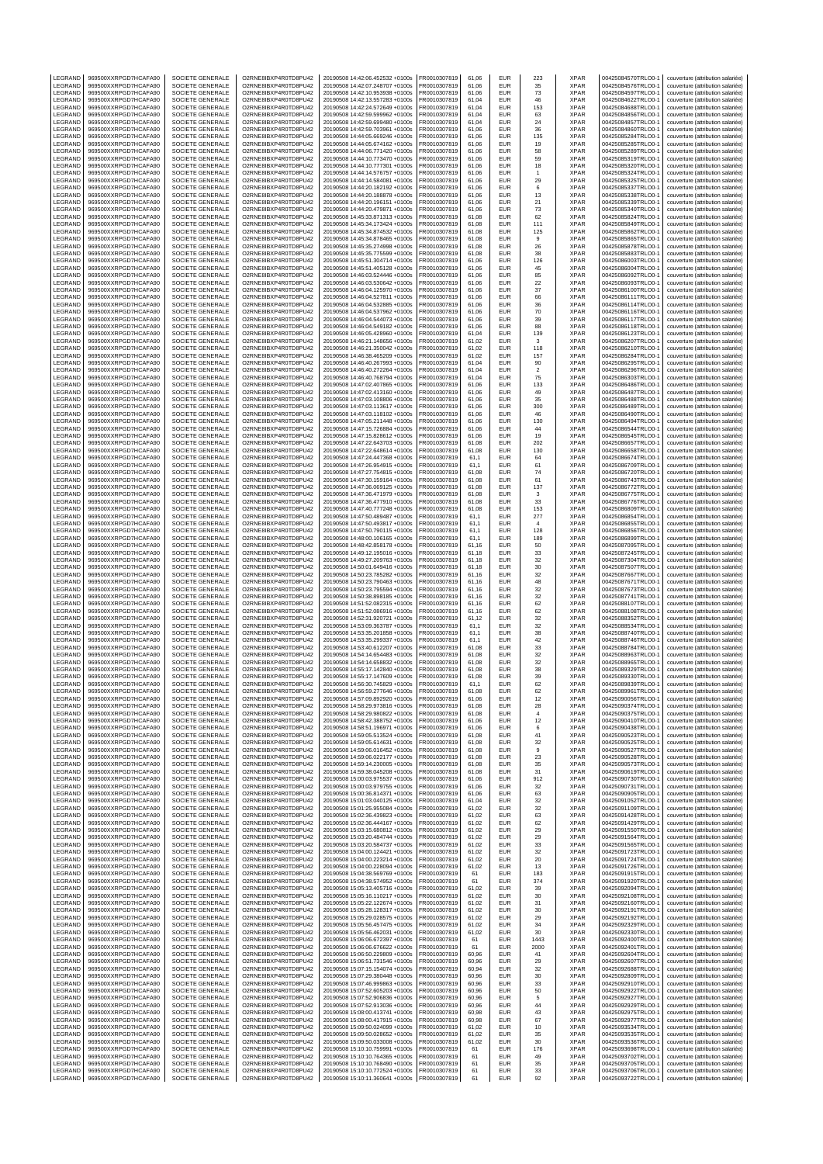| LEGRAND                   | 969500XXRPGD7HCAFA90                         | SOCIETE GENERALE                     | O2RNE8IBXP4R0TD8PU42                         | 20190508 14:42:06.452532 +0100s                                    | FR0010307819                 | 61,06          | EUR                      | 223            | XPAR                       | 00425084570TRLO0-1                       | couverture (attribution salariée)                                      |
|---------------------------|----------------------------------------------|--------------------------------------|----------------------------------------------|--------------------------------------------------------------------|------------------------------|----------------|--------------------------|----------------|----------------------------|------------------------------------------|------------------------------------------------------------------------|
| LEGRAND<br>LEGRAND        | 969500XXRPGD7HCAFA90<br>969500XXRPGD7HCAFA90 | SOCIETE GENERALE<br>SOCIETE GENERALE | O2RNE8IBXP4R0TD8PU42<br>O2RNE8IBXP4R0TD8PU42 | 20190508 14:42:07.248707 +0100s<br>20190508 14:42:10.953938 +0100s | FR0010307819<br>R0010307819  | 61.06<br>61,06 | <b>EUR</b><br>EUR        | 35<br>73       | <b>XPAR</b><br>XPAR        | 00425084576TRLO0-1<br>00425084597TRLO0-1 | couverture (attribution salariée)<br>couverture (attribution salariée) |
| LEGRAND                   | 969500XXRPGD7HCAFA90                         | SOCIETE GENERALE                     | O2RNE8IBXP4R0TD8PU42                         | 20190508 14:42:13.557283 +0100s                                    | FR0010307819                 | 61.04          | <b>EUR</b>               | 46             | <b>XPAR</b>                | 00425084622TRLO0-1                       | couverture (attribution salariée)                                      |
| LEGRAND                   | 969500XXRPGD7HCAFA90                         | SOCIETE GENERALE                     | O2RNE8IBXP4R0TD8PU42                         | 20190508 14:42:24.572649 +0100s                                    | FR0010307819                 | 61,04          | EUR                      | 153            | <b>XPAR</b>                | 00425084688TRLO0-1                       | couverture (attribution salariée)                                      |
| LEGRAND                   | 969500XXRPGD7HCAFA90                         | SOCIETE GENERALE                     | O2RNE8IBXP4R0TD8PU42                         | 20190508 14:42:59.599962 +0100s                                    | FR0010307819                 | 61,04          | EUR                      | 63             | <b>XPAR</b>                | 00425084856TRLO0-1                       | couverture (attribution salariée)                                      |
| LEGRAND<br>LEGRAND        | 969500XXRPGD7HCAFA90<br>969500XXRPGD7HCAFA90 | SOCIETE GENERALE<br>SOCIETE GENERALE | O2RNE8IBXP4R0TD8PU42<br>O2RNE8IBXP4R0TD8PU42 | 20190508 14:42:59.699480 +0100s<br>20190508 14:42:59.703961 +0100s | FR0010307819<br>FR0010307819 | 61,04<br>61,06 | EUR<br>EUR               | 24<br>36       | XPAR<br><b>XPAR</b>        | 00425084857TRLO0-1<br>00425084860TRLO0-1 | couverture (attribution salariée)<br>couverture (attribution salariée) |
| LEGRAND                   | 969500XXRPGD7HCAFA90                         | SOCIETE GENERALE                     | O2RNE8IBXP4R0TD8PU42                         | 20190508 14:44:05.669246 +0100s                                    | R0010307819                  | 61,06          | EUR                      | 135            | <b>XPAR</b>                | 00425085284TRLO0-1                       | couverture (attribution salariée)                                      |
| LEGRAND                   | 969500XXRPGD7HCAFA90                         | SOCIETE GENERALE                     | O2RNE8IBXP4R0TD8PU42                         | 20190508 14:44:05.674162 +0100s                                    | FR0010307819                 | 61,06          | EUR                      | 19             | <b>XPAR</b>                | 00425085285TRLO0-                        | couverture (attribution salariée)                                      |
| LEGRAND                   | 969500XXRPGD7HCAFA90                         | SOCIETE GENERALE                     | O2RNE8IBXP4R0TD8PU42<br>O2RNE8IBXP4R0TD8PU42 | 20190508 14:44:06.771420 +0100s                                    | R0010307819                  | 61,06          | EUR                      | 58             | XPAR                       | 00425085289TRLO0-1                       | couverture (attribution salariée)                                      |
| LEGRAND<br>LEGRAND        | 969500XXRPGD7HCAFA90<br>969500XXRPGD7HCAFA90 | SOCIETE GENERALE<br>SOCIETE GENERALE | O2RNE8IBXP4R0TD8PU42                         | 20190508 14:44:10.773470 +0100s<br>20190508 14:44:10.777301 +0100s | FR0010307819<br>R0010307819  | 61,06<br>61,06 | <b>EUR</b><br>EUR        | 59<br>18       | <b>XPAR</b><br>XPAR        | 00425085319TRLO0-<br>00425085320TRLO0-1  | couverture (attribution salariée)<br>couverture (attribution salariée) |
| LEGRAND                   | 969500XXRPGD7HCAFA90                         | SOCIETE GENERALE                     | O2RNE8IBXP4R0TD8PU42                         | 20190508 14:44:14.576757 +0100s                                    | FR0010307819                 | 61,06          | EUR                      | $\overline{1}$ | <b>XPAR</b>                | 00425085324TRLO0-                        | couverture (attribution salariée)                                      |
| LEGRAND                   | 969500XXRPGD7HCAFA90                         | SOCIETE GENERALE                     | O2RNE8IBXP4R0TD8PU42                         | 20190508 14:44:14.584081 +0100s                                    | FR0010307819                 | 61,06          | EUR                      | 29             | XPAR                       | 00425085325TRLO0-1                       | couverture (attribution salariée)                                      |
| LEGRAND                   | 969500XXRPGD7HCAFA90                         | SOCIETE GENERALE                     | O2RNE8IBXP4R0TD8PU42                         | 20190508 14:44:20.182192 +0100s                                    | R0010307819                  | 61,06          | EUR                      | 6              | XPAR                       | 00425085337TRLO0-1                       | couverture (attribution salariée)                                      |
| LEGRAND                   | 969500XXRPGD7HCAFA90                         | SOCIETE GENERALE                     | O2RNE8IBXP4R0TD8PU42                         | 20190508 14:44:20.188878 +0100s                                    | FR0010307819                 | 61.06          | EUR                      | 13             | <b>XPAR</b>                | 00425085338TRLO0-                        | couverture (attribution salariée)                                      |
| LEGRAND<br>LEGRAND        | 969500XXRPGD7HCAFA90<br>969500XXRPGD7HCAFA90 | SOCIETE GENERALE<br>SOCIETE GENERALE | O2RNE8IBXP4R0TD8PU42<br>O2RNE8IBXP4R0TD8PU42 | 20190508 14:44:20.196151 +0100s<br>20190508 14:44:20.479871 +0100s | FR0010307819<br>FR0010307819 | 61,06<br>61.06 | EUR<br><b>EUR</b>        | 21<br>73       | XPAR<br><b>XPAR</b>        | 00425085339TRLO0-<br>00425085340TRLO0-1  | couverture (attribution salariée)<br>couverture (attribution salariée) |
| LEGRAND                   | 969500XXRPGD7HCAFA90                         | SOCIETE GENERALE                     | O2RNE8IBXP4R0TD8PU42                         | 20190508 14:45:33.871313 +0100s                                    | R0010307819                  | 61,08          | EUR                      | 62             | XPAR                       | 00425085824TRLO0-1                       | couverture (attribution salariée)                                      |
| LEGRAND                   | 969500XXRPGD7HCAFA90                         | SOCIETE GENERALE                     | O2RNE8IBXP4R0TD8PU42                         | 20190508 14:45:34.173424 +0100s                                    | FR0010307819                 | 61.08          | EUR                      | 111            | <b>XPAR</b>                | 00425085849TRLO0-                        | couverture (attribution salariée)                                      |
| LEGRAND                   | 969500XXRPGD7HCAFA90                         | SOCIETE GENERALE                     | O2RNE8IBXP4R0TD8PU42                         | 20190508 14:45:34.874532 +0100s                                    | FR0010307819                 | 61,08          | EUR                      | 125            | XPAR                       | 00425085862TRLO0-                        | couverture (attribution salariée)                                      |
| LEGRAND<br>LEGRAND        | 969500XXRPGD7HCAFA90<br>969500XXRPGD7HCAFA90 | SOCIETE GENERALE<br>SOCIETE GENERALE | O2RNE8IBXP4R0TD8PU42<br>O2RNE8IBXP4R0TD8PU42 | 20190508 14:45:34.878465 +0100s<br>20190508 14:45:35.274998 +0100s | FR0010307819<br>R0010307819  | 61.08<br>61,08 | EUR<br>EUR               | 9<br>26        | <b>XPAR</b><br>XPAR        | 00425085865TRLO0-1<br>00425085878TRLO0-1 | couverture (attribution salariée)<br>couverture (attribution salariée) |
| LEGRAND                   | 969500XXRPGD7HCAFA90                         | SOCIETE GENERALE                     | O2RNE8IBXP4R0TD8PU42                         | 20190508 14:45:35.775599 +0100s                                    | FR0010307819                 | 61.08          | EUR                      | 38             | <b>XPAR</b>                | 00425085883TRLO0-                        | couverture (attribution salariée)                                      |
| LEGRAND                   | 969500XXRPGD7HCAFA90                         | SOCIETE GENERALE                     | O2RNE8IBXP4R0TD8PU42                         | 20190508 14:45:51.304714 +0100s                                    | R0010307819                  | 61,06          | EUR                      | 126            | XPAR                       | 00425086003TRLO0-1                       | couverture (attribution salariée)                                      |
| LEGRAND                   | 969500XXRPGD7HCAFA90                         | SOCIETE GENERALE                     | O2RNE8IBXP4R0TD8PU42                         | 20190508 14:45:51.405128 +0100s                                    | FR0010307819                 | 61,06          | <b>EUR</b>               | 45             | <b>XPAR</b>                | 00425086004TRLO0-1                       | couverture (attribution salariée)                                      |
| LEGRAND<br>LEGRAND        | 969500XXRPGD7HCAFA90<br>969500XXRPGD7HCAFA90 | SOCIETE GENERALE<br>SOCIETE GENERALE | O2RNE8IBXP4R0TD8PU42<br>O2RNE8IBXP4R0TD8PU42 | 20190508 14:46:03.524446 +0100s<br>20190508 14:46:03.530642 +0100s | FR0010307819<br>FR0010307819 | 61,06<br>61,06 | EUR<br>EUR               | 85<br>22       | XPAR<br><b>XPAR</b>        | 00425086092TRLO0-1<br>00425086093TRLO0-1 | couverture (attribution salariée)<br>couverture (attribution salariée) |
| LEGRAND                   | 969500XXRPGD7HCAFA90                         | SOCIETE GENERALE                     | O2RNE8IBXP4R0TD8PU42                         | 20190508 14:46:04.125970 +0100s                                    | R0010307819                  | 61,06          | EUR                      | 37             | <b>XPAR</b>                | 00425086100TRLO0-1                       | couverture (attribution salariée)                                      |
| LEGRAND                   | 969500XXRPGD7HCAFA90                         | SOCIETE GENERALE                     | O2RNE8IBXP4R0TD8PU42                         | 20190508 14:46:04.527811 +0100s                                    | FR0010307819                 | 61,06          | EUR                      | 66             | <b>XPAR</b>                | 00425086111TRLO0-                        | couverture (attribution salariée)                                      |
| LEGRAND                   | 969500XXRPGD7HCAFA90                         | SOCIETE GENERALE                     | O2RNE8IBXP4R0TD8PU42                         | 20190508 14:46:04.532885 +0100s                                    | FR0010307819                 | 61,06          | EUR                      | 36             | XPAR                       | 00425086114TRLO0-1                       | couverture (attribution salariée)                                      |
| LEGRAND<br>LEGRAND        | 969500XXRPGD7HCAFA90<br>969500XXRPGD7HCAFA90 | SOCIETE GENERALE<br>SOCIETE GENERALE | O2RNE8IBXP4R0TD8PU42<br>O2RNE8IBXP4R0TD8PU42 | 20190508 14:46:04.537962 +0100s<br>20190508 14:46:04.544073 +0100s | FR0010307819<br>R0010307819  | 61,06<br>61,06 | EUR<br>EUR               | 70<br>39       | <b>XPAR</b><br><b>XPAR</b> | 00425086116TRLO0-<br>00425086117TRLO0-1  | couverture (attribution salariée)<br>couverture (attribution salariée) |
| LEGRAND                   | 969500XXRPGD7HCAFA90                         | SOCIETE GENERALE                     | O2RNE8IBXP4R0TD8PU42                         | 20190508 14:46:04.549182 +0100s                                    | FR0010307819                 | 61,06          | EUR                      | 88             | <b>XPAR</b>                | 00425086118TRLO0-1                       | couverture (attribution salariée)                                      |
| LEGRAND                   | 969500XXRPGD7HCAFA90                         | SOCIETE GENERALE                     | O2RNE8IBXP4R0TD8PU42                         | 20190508 14:46:05.428960 +0100s                                    | R0010307819                  | 61,04          | EUR                      | 139            | XPAR                       | 00425086123TRLO0-1                       | couverture (attribution salariée)                                      |
| LEGRAND<br>LEGRAND        | 969500XXRPGD7HCAFA90<br>969500XXRPGD7HCAFA90 | SOCIETE GENERALE<br>SOCIETE GENERALE | O2RNE8IBXP4R0TD8PU42                         | 20190508 14:46:21.148656 +0100s                                    | FR0010307819                 | 61,02          | <b>EUR</b><br>EUR        | 3              | <b>XPAR</b>                | 00425086207TRLO0-                        | couverture (attribution salariée)                                      |
| LEGRAND                   | 969500XXRPGD7HCAFA90                         | SOCIETE GENERALE                     | O2RNE8IBXP4R0TD8PU42<br>O2RNE8IBXP4R0TD8PU42 | 20190508 14:46:21.350042 +0100s<br>20190508 14:46:38.465209 +0100s | R0010307819<br>FR0010307819  | 61,02<br>61,02 | EUR                      | 118<br>157     | XPAR<br><b>XPAR</b>        | 00425086210TRLO0-<br>00425086284TRLO0-   | couverture (attribution salariée)<br>couverture (attribution salariée) |
| LEGRAND                   | 969500XXRPGD7HCAFA90                         | SOCIETE GENERALE                     | O2RNE8IBXP4R0TD8PU42                         | 20190508 14:46:40.267993 +0100s                                    | FR0010307819                 | 61.04          | EUR                      | 90             | <b>XPAR</b>                | 00425086295TRLO0-1                       | couverture (attribution salariée)                                      |
| LEGRAND                   | 969500XXRPGD7HCAFA90                         | SOCIETE GENERALE                     | O2RNE8IBXP4R0TD8PU42                         | 20190508 14:46:40.272264 +0100s                                    | R0010307819                  | 61,04          | EUR                      | $\sqrt{2}$     | XPAR                       | 00425086296TRLO0-1                       | couverture (attribution salariée)                                      |
| LEGRAND                   | 969500XXRPGD7HCAFA90                         | SOCIETE GENERALE<br>SOCIETE GENERALE | O2RNE8IBXP4R0TD8PU42                         | 20190508 14:46:40.768794 +0100s<br>20190508 14:47:02.407865 +0100s | FR0010307819                 | 61.04          | EUR                      | 75             | <b>XPAR</b>                | 00425086303TRLO0-                        | couverture (attribution salariée)                                      |
| LEGRAND<br>LEGRAND        | 969500XXRPGD7HCAFA90<br>969500XXRPGD7HCAFA90 | SOCIETE GENERALE                     | O2RNE8IBXP4R0TD8PU42<br>O2RNE8IBXP4R0TD8PU42 | 20190508 14:47:02.413160 +0100s                                    | FR0010307819<br>FR0010307819 | 61,06<br>61.06 | EUR<br>EUR               | 133<br>49      | XPAR<br><b>XPAR</b>        | 00425086486TRLO0-<br>00425086487TRLO0-1  | couverture (attribution salariée)<br>couverture (attribution salariée) |
| LEGRAND                   | 969500XXRPGD7HCAFA90                         | SOCIETE GENERALE                     | O2RNE8IBXP4R0TD8PU42                         | 20190508 14:47:03.108806 +0100s                                    | R0010307819                  | 61,06          | EUR                      | 35             | XPAR                       | 00425086488TRLO0-1                       | couverture (attribution salariée)                                      |
| LEGRAND                   | 969500XXRPGD7HCAFA90                         | SOCIETE GENERALE                     | O2RNE8IBXP4R0TD8PU42                         | 20190508 14:47:03.113617 +0100s                                    | FR0010307819                 | 61.06          | EUR                      | 300            | <b>XPAR</b>                | 00425086489TRLO0-                        | couverture (attribution salariée)                                      |
| LEGRAND<br>LEGRAND        | 969500XXRPGD7HCAFA90<br>969500XXRPGD7HCAFA90 | SOCIETE GENERALE<br>SOCIETE GENERALE | O2RNE8IBXP4R0TD8PU42<br>O2RNE8IBXP4R0TD8PU42 | 20190508 14:47:03.118102 +0100s<br>20190508 14:47:05 211448 +0100s | FR0010307819<br>FR0010307819 | 61,06<br>61.06 | EUR<br>EUR               | 46             | XPAR<br><b>XPAR</b>        | 00425086490TRLO0-<br>00425086494TRLO0-1  | couverture (attribution salariée)                                      |
| LEGRAND                   | 969500XXRPGD7HCAFA90                         | SOCIETE GENERALE                     | O2RNE8IBXP4R0TD8PU42                         | 20190508 14:47:15.726884 +0100s                                    | FR0010307819                 | 61,06          | EUR                      | 130<br>44      | XPAR                       | 00425086544TRLO0-1                       | couverture (attribution salariée)<br>couverture (attribution salariée) |
| LEGRAND                   | 969500XXRPGD7HCAFA90                         | SOCIETE GENERALE                     | O2RNE8IBXP4R0TD8PU42                         | 20190508 14:47:15.828612 +0100s                                    | FR0010307819                 | 61.06          | EUR                      | 19             | <b>XPAR</b>                | 00425086545TRLO0-1                       | couverture (attribution salariée)                                      |
| LEGRAND                   | 969500XXRPGD7HCAFA90                         | SOCIETE GENERALE                     | O2RNE8IBXP4R0TD8PU42                         | 20190508 14:47:22.643703 +0100s                                    | FR0010307819                 | 61,08          | EUR                      | 202            | XPAR                       | 00425086657TRLO0-                        | couverture (attribution salariée)                                      |
| LEGRAND                   | 969500XXRPGD7HCAFA90                         | SOCIETE GENERALE                     | O2RNE8IBXP4R0TD8PU42                         | 20190508 14:47:22.648614 +0100s                                    | FR0010307819                 | 61,08          | EUR                      | 130            | XPAR                       | 00425086658TRLO0-                        | couverture (attribution salariée)                                      |
| LEGRAND<br>LEGRAND        | 969500XXRPGD7HCAFA90<br>969500XXRPGD7HCAFA90 | SOCIETE GENERALE<br>SOCIETE GENERALE | O2RNE8IBXP4R0TD8PU42<br>O2RNE8IBXP4R0TD8PU42 | 20190508 14:47:24.447368 +0100s<br>20190508 14:47:26.954915 +0100s | FR0010307819<br>FR0010307819 | 61,1<br>61,1   | EUR<br>EUR               | 64<br>61       | XPAR<br><b>XPAR</b>        | 00425086674TRLO0-1<br>00425086709TRLO0-1 | couverture (attribution salariée)<br>couverture (attribution salariée) |
| LEGRAND                   | 969500XXRPGD7HCAFA90                         | SOCIETE GENERALE                     | O2RNE8IBXP4R0TD8PU42                         | 20190508 14:47:27.754815 +0100s                                    | R0010307819                  | 61,08          | EUR                      | 74             | XPAR                       | 00425086720TRLO0-1                       | couverture (attribution salariée)                                      |
| LEGRAND                   | 969500XXRPGD7HCAFA90                         | SOCIETE GENERALE                     | O2RNE8IBXP4R0TD8PU42                         | 20190508 14:47:30.159164 +0100s                                    | FR0010307819                 | 61,08          | EUR                      | 61             | <b>XPAR</b>                | 00425086743TRLO0-1                       | couverture (attribution salariée)                                      |
| LEGRAND                   | 969500XXRPGD7HCAFA90                         | SOCIETE GENERALE                     | O2RNE8IBXP4R0TD8PU42                         | 20190508 14:47:36.069125 +0100s                                    | FR0010307819                 | 61,08          | EUR                      | 137            | XPAR                       | 00425086772TRLO0-1                       | couverture (attribution salariée)                                      |
| LEGRAND<br>LEGRAND        | 969500XXRPGD7HCAFA90<br>969500XXRPGD7HCAFA90 | SOCIETE GENERALE<br>SOCIETE GENERALE | O2RNE8IBXP4R0TD8PU42<br>O2RNE8IBXP4R0TD8PU42 | 20190508 14:47:36.471979 +0100s<br>20190508 14:47:36.477910 +0100s | FR0010307819<br>R0010307819  | 61,08<br>61,08 | EUR<br>EUR               | 3<br>33        | <b>XPAR</b><br><b>XPAR</b> | 00425086775TRLO0-1<br>00425086776TRLO0-1 | couverture (attribution salariée)<br>couverture (attribution salariée) |
| LEGRAND                   | 969500XXRPGD7HCAFA90                         | SOCIETE GENERALE                     | O2RNE8IBXP4R0TD8PU42                         | 20190508 14:47:40.777248 +0100s                                    | FR0010307819                 | 61,08          | EUR                      | 153            | <b>XPAR</b>                | 00425086809TRLO0-                        | couverture (attribution salariée)                                      |
| LEGRAND                   | 969500XXRPGD7HCAFA90                         | SOCIETE GENERALE                     | O2RNE8IBXP4R0TD8PU42                         | 20190508 14:47:50.489487 +0100s                                    | R0010307819                  | 61,1           | EUR                      | 277            | XPAR                       | 00425086854TRLO0-1                       | couverture (attribution salariée)                                      |
| LEGRAND                   | 969500XXRPGD7HCAFA90                         | SOCIETE GENERALE                     | O2RNE8IBXP4R0TD8PU42                         | 20190508 14:47:50.493817 +0100s                                    | FR0010307819                 | 61,1           | <b>EUR</b>               | $\overline{4}$ | <b>XPAR</b>                | 00425086855TRLO0-                        | couverture (attribution salariée)                                      |
| LEGRAND<br>LEGRAND        | 969500XXRPGD7HCAFA90<br>969500XXRPGD7HCAFA90 | SOCIETE GENERALE<br>SOCIETE GENERALE | O2RNE8IBXP4R0TD8PU42<br>O2RNE8IBXP4R0TD8PU42 | 20190508 14:47:50.790115 +0100s<br>20190508 14:48:00.106165 +0100s | R0010307819<br>R0010307819   | 61,1<br>61,1   | EUR<br>EUR               | 128<br>189     | XPAR<br>XPAR               | 00425086856TRLO0-1<br>00425086899TRLO0-1 | couverture (attribution salariée)<br>couverture (attribution salariée) |
| LEGRAND                   | 969500XXRPGD7HCAFA90                         | SOCIETE GENERALE                     | O2RNE8IBXP4R0TD8PU42                         | 20190508 14:48:42.858178 +0100s                                    | FR0010307819                 | 61.16          | EUR                      | 50             | <b>XPAR</b>                | 00425087095TRLO0-1                       | couverture (attribution salariée)                                      |
| LEGRAND                   | 969500XXRPGD7HCAFA90                         | SOCIETE GENERALE                     | O2RNE8IBXP4R0TD8PU42                         | 20190508 14:49:12.195016 +0100s                                    | R0010307819                  | 61,18          | EUR                      | 33             | XPAR                       | 00425087245TRLO0-1                       | couverture (attribution salariée)                                      |
| LEGRAND                   | 969500XXRPGD7HCAFA90                         | SOCIETE GENERALE                     | O2RNE8IBXP4R0TD8PU42                         | 20190508 14:49:27.209763 +0100s                                    | FR0010307819                 | 61.18          | EUR                      | 32             | <b>XPAR</b>                | 00425087304TRLO0-                        | couverture (attribution salariée)                                      |
| LEGRAND<br>LEGRAND        | 969500XXRPGD7HCAFA90<br>969500XXRPGD7HCAFA90 | SOCIETE GENERALE<br>SOCIETE GENERALE | O2RNE8IBXP4R0TD8PU42<br>O2RNE8IBXP4R0TD8PU42 | 20190508 14:50:01.649416 +0100s<br>20190508 14:50:23.785282 +0100s | FR0010307819<br>FR0010307819 | 61,18<br>61.16 | EUR<br><b>EUR</b>        | 30<br>32       | XPAR<br><b>XPAR</b>        | 00425087507TRLO0-<br>00425087667TRLO0-1  | couverture (attribution salariée)<br>couverture (attribution salariée) |
| LEGRAND                   | 969500XXRPGD7HCAFA90                         | SOCIETE GENERALE                     | O2RNE8IBXP4R0TD8PU42                         | 20190508 14:50:23.790463 +0100s                                    | R0010307819                  | 61,16          | <b>EUR</b>               | 48             | XPAR                       | 00425087671TRLO0-1                       | couverture (attribution salariée)                                      |
| LEGRAND                   | 969500XXRPGD7HCAFA90                         | SOCIETE GENERALE                     | O2RNE8IBXP4R0TD8PU42                         | 20190508 14:50:23.795594 +0100s                                    | FR0010307819                 | 61.16          | EUR                      | 32             | <b>XPAR</b>                | 00425087673TRLO0-                        | couverture (attribution salariée)                                      |
| LEGRAND                   | 969500XXRPGD7HCAFA90                         | SOCIETE GENERALE                     | O2RNE8IBXP4R0TD8PU42                         | 20190508 14:50:38.898185 +0100s                                    | FR0010307819                 | 61,16          | EUR                      | 32             | XPAR                       | 00425087741TRLO0-                        | couverture (attribution salariée)                                      |
| LEGRAND<br>LEGRAND        | 969500XXRPGD7HCAFA90<br>969500XXRPGD7HCAFA90 | SOCIETE GENERALE<br>SOCIETE GENERALE | O2RNE8IBXP4R0TD8PU42<br>O2RNE8IBXP4R0TD8PU42 | 20190508 14:51:52.082315 +0100s<br>20190508 14:51:52.086916 +0100s | FR0010307819<br>R0010307819  | 61.16<br>61,16 | <b>EUR</b><br>EUR        | 62<br>62       | <b>XPAR</b><br>XPAR        | 00425088107TRLO0-1<br>00425088108TRLO0-1 | couverture (attribution salariée)<br>couverture (attribution salariée) |
| LEGRAND                   | 969500XXRPGD7HCAFA90                         | SOCIETE GENERALE                     | O2RNE8IBXP4R0TD8PU42                         | 20190508 14:52:31.920721 +0100s                                    | FR0010307819                 | 61.12          | <b>EUR</b>               | 32             | <b>XPAR</b>                | 00425088352TRLO0-1                       | couverture (attribution salariée)                                      |
| LEGRAND                   | 969500XXRPGD7HCAFA90                         | SOCIETE GENERALE                     | O2RNE8IBXP4R0TD8PU42                         | 20190508 14:53:09.363787 +0100s                                    | FR0010307819                 | 61,1           | EUR                      | 32             | <b>XPAR</b>                | 00425088534TRLO0-1                       | couverture (attribution salariée)                                      |
| LEGRAND                   | 969500XXRPGD7HCAFA90                         | SOCIETE GENERALE                     | O2RNE8IBXP4R0TD8PU42                         | 20190508 14:53:35.201858 +0100s                                    | FR0010307819                 | 61,1           | EUR                      | 38             | <b>XPAR</b>                | 00425088740TRLO0-1                       | couverture (attribution salariée)                                      |
| LEGRAND<br>LEGRAND        | 969500XXRPGD7HCAFA90<br>969500XXRPGD7HCAFA90 | SOCIETE GENERALE<br>SOCIETE GENERALE | O2RNE8IBXP4R0TD8PU42<br>O2RNE8IBXP4R0TD8PU42 | 20190508 14:53:35.299337 +0100s<br>20190508 14:53:40.612207 +0100s | R0010307819<br>FR0010307819  | 61,1<br>61,08  | EUR<br><b>EUR</b>        | 42<br>33       | XPAR<br><b>XPAR</b>        | 00425088746TRLO0-1<br>00425088784TRLO0-  | couverture (attribution salariée)<br>couverture (attribution salariée) |
| LEGRAND                   | 969500XXRPGD7HCAFA90                         | SOCIETE GENERALE                     | O2RNE8IBXP4R0TD8PU42                         | 20190508 14:54:14.654483 +0100s                                    | R0010307819                  | 61,08          | EUR                      | 32             | <b>XPAR</b>                | 00425088963TRLO0-1                       | couverture (attribution salariée)                                      |
| LEGRAND                   | 969500XXRPGD7HCAFA90                         | SOCIETE GENERALE                     | O2RNE8IBXP4R0TD8PU42                         | 20190508 14:54:14.658832 +0100s                                    | FR0010307819                 | 61,08          | EUR                      | 32             | <b>XPAR</b>                | 00425088965TRLO0-1                       | couverture (attribution salariée)                                      |
| LEGRAND                   | 969500XXRPGD7HCAFA90<br>969500XXRPGD7HCAFA90 | SOCIETE GENERALE                     | O2RNE8IBXP4R0TD8PU42                         | 20190508 14:55:17.142840 +0100s                                    | R0010307819                  | 61.08          | EUR                      | 38             | <b>XPAR</b><br><b>XPAR</b> | 00425089329TRLO0-1                       |                                                                        |
| LEGRAND<br>LEGRAND        | 969500XXRPGD7HCAFA90                         | SOCIETE GENERALE<br>SOCIETE GENERALE | O2RNE8IBXP4R0TD8PU42<br>O2RNE8IBXP4R0TD8PU42 | 20190508 14:55:17.147609 +0100s<br>20190508 14:56:30.745829 +0100s | FR0010307819                 | 61,08          |                          |                |                            |                                          | couverture (attribution salariée)                                      |
| LEGRAND                   | 969500XXRPGD7HCAFA90                         |                                      |                                              |                                                                    |                              |                | EUR                      | 39             |                            | 00425089330TRLO0-1                       | couverture (attribution salariée)                                      |
| <b>IFGRAND</b>            | 969500XXRPGD7HCAFA90                         |                                      | O2RNE8IBXP4R0TD8PU42                         |                                                                    | FR0010307819                 | 61,1           | <b>EUR</b><br>EUR        | 62<br>62       | <b>XPAR</b><br><b>XPAR</b> | 00425089839TRLO0-1<br>00425089961TRLO0-1 | couverture (attribution salariée)                                      |
| LEGRAND<br>LEGRAND        | 969500XXRPGD7HCAFA90                         | SOCIETE GENERALE<br>SOCIETE GENERALE | O2RNE8IBXP4R0TD8PU42                         | 20190508 14:56:59.277646 +0100s<br>20190508 14:57:09.892920 +0100s | FR0010307819<br>FR0010307819 | 61,08<br>61.06 | <b>EUR</b>               | 12             | <b>XPAR</b>                | 00425090056TRLO0-1                       | couverture (attribution salariée)<br>couverture (attribution salariée) |
| LEGRAND                   |                                              | SOCIETE GENERALE                     | O2RNE8IBXP4R0TD8PU42                         | 20190508 14:58:29.973816 +0100s                                    | FR0010307819                 | 61,08          | <b>EUR</b>               | 28             | <b>XPAR</b>                | 00425090374TRLO0-1                       | couverture (attribution salariée)                                      |
|                           | 969500XXRPGD7HCAFA90<br>969500XXRPGD7HCAFA90 | SOCIETE GENERALE                     | O2RNE8IBXP4R0TD8PU42                         | 20190508 14:58:29.980822 +0100s                                    | FR0010307819                 | 61.08          | <b>EUR</b>               | $\overline{4}$ | <b>XPAR</b>                | 00425090375TRLO0-1                       | couverture (attribution salariée)                                      |
| LEGRAND                   | 969500XXRPGD7HCAFA90                         | SOCIETE GENERALE<br>SOCIETE GENERALE | O2RNE8IBXP4R0TD8PU42<br>O2RNE8IBXP4R0TD8PU42 | 20190508 14:58:42.388752 +0100s<br>20190508 14:58:51.196971 +0100s | FR0010307819<br>FR0010307819 | 61,06<br>61.06 | EUR<br><b>EUR</b>        | 12<br>6        | <b>XPAR</b><br><b>XPAR</b> | 00425090410TRLO0-1<br>00425090438TRLO0-1 | couverture (attribution salariée)<br>couverture (attribution salariée) |
| LEGRAND                   | 969500XXRPGD7HCAFA90                         | SOCIETE GENERALE                     | O2RNE8IBXP4R0TD8PU42                         | 20190508 14:59:05.513524 +0100s                                    | FR0010307819                 | 61,08          | EUR                      | 41             | <b>XPAR</b>                | 00425090523TRLO0-1                       | couverture (attribution salariée)                                      |
| LEGRAND                   | 969500XXRPGD7HCAFA90                         | SOCIETE GENERALE                     | O2RNE8IBXP4R0TD8PU42                         | 20190508 14:59:05.614631 +0100s                                    | FR0010307819                 | 61.08          | <b>EUR</b>               | 32             | <b>XPAR</b>                | 00425090525TRLO0-1                       | couverture (attribution salariée)                                      |
| LEGRAND<br>LEGRAND        | 969500XXRPGD7HCAFA90<br>969500XXRPGD7HCAFA90 | SOCIETE GENERALE<br>SOCIETE GENERALE | O2RNE8IBXP4R0TD8PU42<br>O2RNE8IBXP4R0TD8PU42 | 20190508 14:59:06.016452 +0100s<br>20190508 14:59:06.022177 +0100s | FR0010307819<br>FR0010307819 | 61,08<br>61.08 | EUR<br><b>EUR</b>        | 9<br>23        | <b>XPAR</b><br><b>XPAR</b> | 00425090527TRLO0-1<br>00425090528TRLO0-1 | couverture (attribution salariée)<br>couverture (attribution salariée) |
| LEGRAND                   | 969500XXRPGD7HCAFA90                         | SOCIETE GENERALE                     | O2RNE8IBXP4R0TD8PU42                         | 20190508 14:59:14.230005 +0100s                                    | FR0010307819                 | 61,08          | EUR                      | 35             | XPAR                       | 00425090573TRLO0-1                       | couverture (attribution salariée)                                      |
| LEGRAND                   | 969500XXRPGD7HCAFA90                         | SOCIETE GENERALE                     | O2RNE8IBXP4R0TD8PU42                         | 20190508 14:59:38.045208 +0100s                                    | FR0010307819                 | 61.08          | EUR                      | 31             | <b>XPAR</b>                | 00425090619TRLO0-1                       | couverture (attribution salariée)                                      |
| LEGRAND<br>LEGRAND        | 969500XXRPGD7HCAFA90<br>969500XXRPGD7HCAFA90 | SOCIETE GENERALE<br>SOCIETE GENERALE | O2RNE8IBXP4R0TD8PU42<br>O2RNE8IBXP4R0TD8PU42 | 20190508 15:00:03.975537 +0100s<br>20190508 15:00:03.979755 +0100s | FR0010307819<br>FR0010307819 | 61,06<br>61.06 | EUR<br><b>EUR</b>        | 912<br>32      | <b>XPAR</b><br><b>XPAR</b> | 00425090730TRLO0-1<br>00425090731TRLO0-1 | couverture (attribution salariée)<br>couverture (attribution salariée) |
| LEGRAND                   | 969500XXRPGD7HCAFA90                         | SOCIETE GENERALE                     | O2RNE8IBXP4R0TD8PU42                         | 20190508 15:00:36.814371 +0100s                                    | FR0010307819                 | 61,06          | EUR                      | 63             | <b>XPAR</b>                | 00425090905TRLO0-1                       | couverture (attribution salariée)                                      |
| LEGRAND                   | 969500XXRPGD7HCAFA90                         | SOCIETE GENERALE                     | O2RNE8IBXP4R0TD8PU42                         | 20190508 15:01:03.040125 +0100s                                    | FR0010307819                 | 61.04          | <b>EUR</b>               | 32             | <b>XPAR</b>                | 00425091052TRLO0-1                       | couverture (attribution salariée)                                      |
| LEGRAND                   | 969500XXRPGD7HCAFA90                         | SOCIETE GENERALE                     | O2RNE8IBXP4R0TD8PU42                         | 20190508 15:01:25.955084 +0100s                                    | FR0010307819                 | 61,02          | <b>EUR</b>               | 32             | <b>XPAR</b>                | 00425091109TRLO0-1                       | couverture (attribution salariée)                                      |
| LEGRAND<br>LEGRAND        | 969500XXRPGD7HCAFA90<br>969500XXRPGD7HCAFA90 | SOCIETE GENERALE<br>SOCIETE GENERALE | O2RNE8IBXP4R0TD8PU42<br>O2RNE8IBXP4R0TD8PU42 | 20190508 15:02:36.439823 +0100s<br>20190508 15:02:36.444167 +0100s | FR0010307819<br>FR0010307819 | 61,02<br>61,02 | <b>EUR</b><br><b>EUR</b> | 63<br>62       | <b>XPAR</b><br><b>XPAR</b> | 00425091428TRLO0-1<br>00425091429TRLO0-1 | couverture (attribution salariée)<br>couverture (attribution salariée) |
| LEGRAND                   | 969500XXRPGD7HCAFA90                         | SOCIETE GENERALE                     | O2RNE8IBXP4R0TD8PU42                         | 20190508 15:03:15.680812 +0100s                                    | FR0010307819                 | 61.02          | <b>EUR</b>               | 29             | <b>XPAR</b>                | 00425091550TRLO0-1                       | couverture (attribution salariée)                                      |
| LEGRAND                   | 969500XXRPGD7HCAFA90                         | SOCIETE GENERALE                     | O2RNE8IBXP4R0TD8PU42                         | 20190508 15:03:20.484744 +0100s                                    | FR0010307819                 | 61,02          | <b>EUR</b>               | 29             | <b>XPAR</b>                | 00425091564TRLO0-1                       | couverture (attribution salariée)                                      |
| LEGRAND                   | 969500XXRPGD7HCAFA90                         | SOCIETE GENERALE<br>SOCIETE GENERALE | O2RNE8IBXP4R0TD8PU42                         | 20190508 15:03:20.584737 +0100s                                    | FR0010307819                 | 61,02          | <b>EUR</b><br><b>EUR</b> | 33             | <b>XPAR</b>                | 00425091565TRLO0-1                       | couverture (attribution salariée)                                      |
| LEGRAND<br><b>IFGRAND</b> | 969500XXRPGD7HCAFA90<br>969500XXRPGD7HCAFA90 | SOCIETE GENERALE                     | O2RNE8IBXP4R0TD8PU42<br>O2RNE8IBXP4R0TD8PU42 | 20190508 15:04:00.124421 +0100s<br>20190508 15:04:00.223214 +0100s | FR0010307819<br>FR0010307819 | 61,02<br>61.02 | <b>FUR</b>               | 32<br>20       | <b>XPAR</b><br><b>XPAR</b> | 00425091723TRLO0-1<br>00425091724TRLO0-1 | couverture (attribution salariée)<br>couverture (attribution salariée) |
| LEGRAND                   | 969500XXRPGD7HCAFA90                         | SOCIETE GENERALE                     | O2RNE8IBXP4R0TD8PU42                         | 20190508 15:04:00.228094 +0100s                                    | FR0010307819                 | 61,02          | <b>EUR</b>               | 13             | <b>XPAR</b>                | 00425091726TRLO0-1                       | couverture (attribution salariée)                                      |
| LEGRAND                   | 969500XXRPGD7HCAFA90                         | SOCIETE GENERALE                     | O2RNE8IBXP4R0TD8PU42                         | 20190508 15:04:38.569769 +0100s                                    | FR0010307819                 | 61             | <b>EUR</b>               | 183            | <b>XPAR</b>                | 00425091915TRLO0-1                       | couverture (attribution salariée)                                      |
| LEGRAND<br>LEGRAND        | 969500XXRPGD7HCAFA90<br>969500XXRPGD7HCAFA90 | SOCIETE GENERALE<br>SOCIETE GENERALE | O2RNE8IBXP4R0TD8PU42<br>O2RNE8IBXP4R0TD8PU42 | 20190508 15:04:38.574952 +0100s<br>20190508 15:05:13.405716 +0100s | FR0010307819<br>FR0010307819 | 61<br>61,02    | <b>EUR</b><br>EUR        | 374<br>39      | <b>XPAR</b><br>XPAR        | 00425091920TRLO0-1<br>00425092094TRLO0-1 | couverture (attribution salariée)<br>couverture (attribution salariée) |
| LEGRAND                   | 969500XXRPGD7HCAFA90                         | SOCIETE GENERALE                     | O2RNE8IBXP4R0TD8PU42                         | 20190508 15:05:16.110217 +0100s                                    | FR0010307819                 | 61,02          | EUR                      | 30             | <b>XPAR</b>                | 00425092108TRLO0-1                       | couverture (attribution salariée)                                      |
| LEGRAND                   | 969500XXRPGD7HCAFA90                         | SOCIETE GENERALE                     | O2RNE8IBXP4R0TD8PU42                         | 20190508 15:05:22.122674 +0100s                                    | FR0010307819                 | 61,02          | EUR                      | 31             | <b>XPAR</b>                | 00425092160TRLO0-1                       | couverture (attribution salariée)                                      |
| LEGRAND                   | 969500XXRPGD7HCAFA90                         | SOCIETE GENERALE                     | O2RNE8IBXP4R0TD8PU42                         | 20190508 15:05:28.128317 +0100s                                    | FR0010307819                 | 61.02          | <b>EUR</b>               | 30             | <b>XPAR</b>                | 00425092191TRLO0-1                       | couverture (attribution salariée)                                      |
| LEGRAND<br>LEGRAND        | 969500XXRPGD7HCAFA90<br>969500XXRPGD7HCAFA90 | SOCIETE GENERALE<br>SOCIETE GENERALE | O2RNE8IBXP4R0TD8PU42<br>O2RNE8IBXP4R0TD8PU42 | 20190508 15:05:29.028575 +0100s<br>20190508 15:05:56.457475 +0100s | FR0010307819<br>FR0010307819 | 61,02<br>61,02 | EUR<br><b>EUR</b>        | 29<br>34       | <b>XPAR</b><br><b>XPAR</b> | 00425092192TRLO0-1<br>00425092329TRLO0-1 | couverture (attribution salariée)<br>couverture (attribution salariée) |
| LEGRAND                   | 969500XXRPGD7HCAFA90                         | SOCIETE GENERALE                     | O2RNE8IBXP4R0TD8PU42                         | 20190508 15:05:56.462031 +0100s                                    | FR0010307819                 | 61,02          | EUR                      | 30             | <b>XPAR</b>                | 00425092330TRLO0-1                       | couverture (attribution salariée)                                      |
| LEGRAND                   | 969500XXRPGD7HCAFA90                         | SOCIETE GENERALE                     | O2RNE8IBXP4R0TD8PU42                         | 20190508 15:06:06.672397 +0100s                                    | FR0010307819                 | 61             | <b>EUR</b>               | 1443           | <b>XPAR</b>                | 00425092400TRLO0-1                       | couverture (attribution salariée)                                      |
| LEGRAND<br>LEGRAND        | 969500XXRPGD7HCAFA90<br>969500XXRPGD7HCAFA90 | SOCIETE GENERALE<br>SOCIETE GENERALE | O2RNE8IBXP4R0TD8PU42<br>O2RNE8IBXP4R0TD8PU42 | 20190508 15:06:06.676622 +0100s<br>20190508 15:06:50.229809 +0100s | FR0010307819<br>FR0010307819 | 61<br>60.96    | EUR<br><b>EUR</b>        | 2000<br>41     | XPAR<br><b>XPAR</b>        | 00425092401TRLO0-1<br>00425092604TRLO0-1 | couverture (attribution salariée)<br>couverture (attribution salariée) |
| LEGRAND                   | 969500XXRPGD7HCAFA90                         | SOCIETE GENERALE                     | O2RNE8IBXP4R0TD8PU42                         | 20190508 15:06:51.731546 +0100s                                    | FR0010307819                 | 60,96          | EUR                      | 29             | <b>XPAR</b>                | 00425092607TRLO0-1                       | couverture (attribution salariée)                                      |
| LEGRAND                   | 969500XXRPGD7HCAFA90                         | SOCIETE GENERALE                     | O2RNE8IBXP4R0TD8PU42                         | 20190508 15:07:15.154074 +0100s                                    | FR0010307819                 | 60.94          | <b>EUR</b>               | 32             | <b>XPAR</b>                | 00425092688TRLO0-1                       | couverture (attribution salariée)                                      |
| LEGRAND                   | 969500XXRPGD7HCAFA90                         | SOCIETE GENERALE                     | O2RNE8IBXP4R0TD8PU42                         | 20190508 15:07:29.380448 +0100s                                    | FR0010307819                 | 60,96          | <b>EUR</b>               | 30             | <b>XPAR</b>                | 00425092809TRLO0-1                       | couverture (attribution salariée)                                      |
| LEGRAND<br>LEGRAND        | 969500XXRPGD7HCAFA90<br>969500XXRPGD7HCAFA90 | SOCIETE GENERALE<br>SOCIETE GENERALE | O2RNE8IBXP4R0TD8PU42<br>O2RNE8IBXP4R0TD8PU42 | 20190508 15:07:46.999863 +0100s<br>20190508 15:07:52.605203 +0100s | FR0010307819<br>FR0010307819 | 60.96<br>60,96 | <b>EUR</b><br><b>EUR</b> | 33<br>50       | <b>XPAR</b><br><b>XPAR</b> | 00425092910TRLO0-1<br>00425092922TRLO0-1 | couverture (attribution salariée)<br>couverture (attribution salariée) |
| LEGRAND                   | 969500XXRPGD7HCAFA90                         | SOCIETE GENERALE                     | O2RNE8IBXP4R0TD8PU42                         | 20190508 15:07:52.906836 +0100s                                    | FR0010307819                 | 60,96          | <b>EUR</b>               | 5              | <b>XPAR</b>                | 00425092927TRLO0-1                       | couverture (attribution salariée)                                      |
| LEGRAND                   | 969500XXRPGD7HCAFA90                         | SOCIETE GENERALE                     | O2RNE8IBXP4R0TD8PU42                         | 20190508 15:07:52.913036 +0100s                                    | FR0010307819                 | 60,96          | <b>EUR</b>               | 44             | <b>XPAR</b>                | 00425092929TRLO0-1                       | couverture (attribution salariée)                                      |
| LEGRAND<br>LEGRAND        | 969500XXRPGD7HCAFA90<br>969500XXRPGD7HCAFA90 | SOCIETE GENERALE                     | O2RNE8IBXP4R0TD8PU42                         | 20190508 15:08:00.413741 +0100s                                    | FR0010307819                 | 60.98          | <b>EUR</b><br><b>EUR</b> | 43             | <b>XPAR</b><br><b>XPAR</b> | 00425092975TRLO0-1                       | couverture (attribution salariée)                                      |
| LEGRAND                   | 969500XXRPGD7HCAFA90                         | SOCIETE GENERALE<br>SOCIETE GENERALE | O2RNE8IBXP4R0TD8PU42<br>O2RNE8IBXP4R0TD8PU42 | 20190508 15:08:00.417915 +0100s<br>20190508 15:09:50.024099 +0100s | FR0010307819<br>FR0010307819 | 60,98<br>61,02 | <b>EUR</b>               | 67<br>10       | <b>XPAR</b>                | 00425092977TRLO0-1<br>00425093534TRLO0-1 | couverture (attribution salariée)<br>couverture (attribution salariée) |
| LEGRAND                   | 969500XXRPGD7HCAFA90                         | SOCIETE GENERALE                     | O2RNE8IBXP4R0TD8PU42                         | 20190508 15:09:50.028652 +0100s                                    | FR0010307819                 | 61,02          | <b>EUR</b>               | 35             | <b>XPAR</b>                | 00425093535TRLO0-1                       | couverture (attribution salariée)                                      |
| LEGRAND                   | 969500XXRPGD7HCAFA90                         | SOCIETE GENERALE                     | O2RNE8IBXP4R0TD8PU42                         | 20190508 15:09:50.033008 +0100s                                    | FR0010307819                 | 61.02          | <b>FUR</b>               | 30             | <b>XPAR</b>                | 00425093536TRLO0-1                       | couverture (attribution salariée)                                      |
| LEGRAND                   | 969500XXRPGD7HCAFA90                         | SOCIETE GENERALE                     | O2RNE8IBXP4R0TD8PU42                         | 20190508 15:10:10.759991 +0100s                                    | FR0010307819                 | 61             | <b>EUR</b>               | 176            | <b>XPAR</b>                | 00425093698TRLO0-1                       | couverture (attribution salariée)                                      |
| LEGRAND<br>LEGRAND        | 969500XXRPGD7HCAFA90<br>969500XXRPGD7HCAFA90 | SOCIETE GENERALE<br>SOCIETE GENERALE | O2RNE8IBXP4R0TD8PU42<br>O2RNE8IBXP4R0TD8PU42 | 20190508 15:10:10.764365 +0100s<br>20190508 15:10:10.768490 +0100s | FR0010307819<br>FR0010307819 | 61<br>61       | EUR<br><b>EUR</b>        | 49<br>35       | <b>XPAR</b><br><b>XPAR</b> | 00425093702TRLO0-1<br>00425093705TRLO0-1 | couverture (attribution salariée)<br>couverture (attribution salariée) |
| LEGRAND<br>LEGRAND        | 969500XXRPGD7HCAFA90<br>969500XXRPGD7HCAFA90 | SOCIETE GENERALE<br>SOCIETE GENERALE | O2RNE8IBXP4R0TD8PU42<br>O2RNE8IBXP4R0TD8PU42 | 20190508 15:10:10.772524 +0100s<br>20190508 15:10:11.360641 +0100s | FR0010307819<br>FR0010307819 | 61<br>61       | <b>EUR</b><br>EUR        | 33<br>92       | <b>XPAR</b><br><b>XPAR</b> | 00425093706TRLO0-1<br>00425093722TRLO0-1 | couverture (attribution salariée)<br>couverture (attribution salariée) |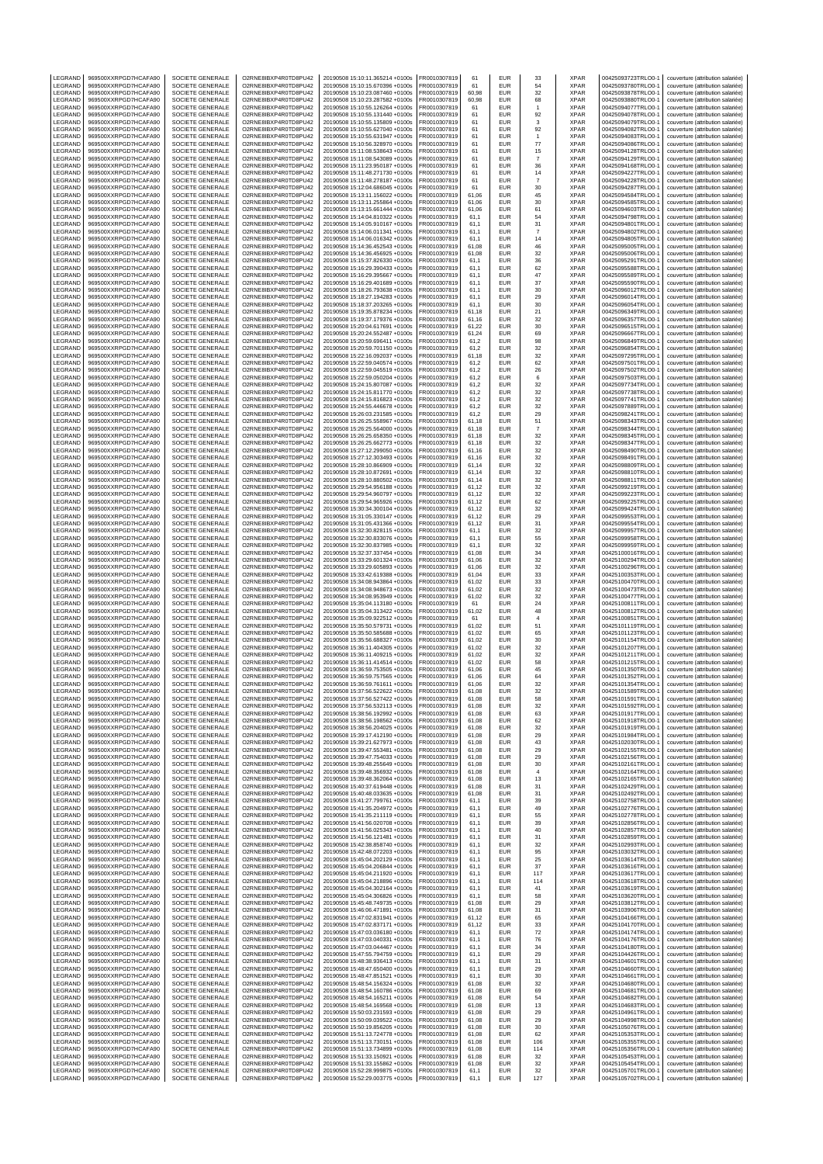| LEGRAND                   | 969500XXRPGD7HCAFA90                         | SOCIETE GENERALE                            | O2RNE8IBXP4R0TD8PU42                         | 20190508 15:10:11.365214 +0100s                                    | FR0010307819                 | 61             | EUR                      | 33                      | <b>XPAR</b>                | 00425093723TRLO0-1                       | couverture (attribution salariée)                                      |
|---------------------------|----------------------------------------------|---------------------------------------------|----------------------------------------------|--------------------------------------------------------------------|------------------------------|----------------|--------------------------|-------------------------|----------------------------|------------------------------------------|------------------------------------------------------------------------|
| LEGRAND<br>LEGRAND        | 969500XXRPGD7HCAFA90<br>969500XXRPGD7HCAFA90 | <b>SOCIETE GENERALE</b><br>SOCIETE GENERALE | O2RNE8IBXP4R0TD8PU42<br>O2RNE8IBXP4R0TD8PU42 | 20190508 15:10:15.670396 +0100s<br>20190508 15:10:23.087460 +0100s | FR0010307819<br>FR0010307819 | 61<br>60,98    | <b>EUR</b><br>EUR        | 54<br>32                | <b>XPAR</b><br><b>XPAR</b> | 00425093780TRLO0-1<br>00425093878TRLO0-1 | couverture (attribution salariée)<br>couverture (attribution salariée) |
| LEGRAND                   | 969500XXRPGD7HCAFA90                         | SOCIETE GENERALE                            | O2RNE8IBXP4R0TD8PU42                         | 20190508 15:10:23.287582 +0100s                                    | FR0010307819                 | 60.98          | EUR                      | 68                      | <b>XPAR</b>                | 00425093880TRLO0-1                       | couverture (attribution salariée)                                      |
| LEGRAND                   | 969500XXRPGD7HCAFA90                         | SOCIETE GENERALE                            | O2RNE8IBXP4R0TD8PU42                         | 20190508 15:10:55.126264 +0100s                                    | FR0010307819                 | 61             | EUR                      | $\overline{1}$          | <b>XPAR</b>                | 00425094077TRLO0-1                       | couverture (attribution salariée)                                      |
| LEGRAND<br>LEGRAND        | 969500XXRPGD7HCAFA90<br>969500XXRPGD7HCAFA90 | SOCIETE GENERALE<br>SOCIETE GENERALE        | O2RNE8IBXP4R0TD8PU42<br>O2RNE8IBXP4R0TD8PU42 | 20190508 15:10:55.131440 +0100s<br>20190508 15:10:55.135809 +0100s | FR0010307819<br>FR0010307819 | 61<br>61       | EUR<br>EUR               | 92<br>3                 | <b>XPAR</b><br>XPAR        | 00425094078TRLO0-1<br>00425094079TRLO0-1 | couverture (attribution salariée)<br>couverture (attribution salariée) |
| LEGRAND                   | 969500XXRPGD7HCAFA90                         | SOCIETE GENERALE                            | O2RNE8IBXP4R0TD8PU42                         | 20190508 15:10:55.627040 +0100s                                    | FR0010307819                 | 61             | EUR                      | 92                      | <b>XPAR</b>                | 00425094082TRLO0-1                       | couverture (attribution salariée)                                      |
| LEGRAND                   | 969500XXRPGD7HCAFA90                         | SOCIETE GENERALE                            | O2RNE8IBXP4R0TD8PU42<br>O2RNE8IBXP4R0TD8PU42 | 20190508 15:10:55.631947 +0100s                                    | FR0010307819                 | 61             | EUR                      | $\mathbf{1}$<br>$77\,$  | <b>XPAR</b><br><b>XPAR</b> | 00425094083TRLO0-1                       | couverture (attribution salariée)<br>couverture (attribution salariée) |
| LEGRAND<br>LEGRAND        | 969500XXRPGD7HCAFA90<br>969500XXRPGD7HCAFA90 | SOCIETE GENERALE<br>SOCIETE GENERALE        | O2RNE8IBXP4R0TD8PU42                         | 20190508 15:10:56.328970 +0100s<br>20190508 15:11:08.538643 +0100s | FR0010307819<br>FR0010307819 | 61<br>61       | EUR<br>EUR               | 15                      | XPAR                       | 00425094086TRLO0-1<br>00425094128TRLO0-1 | couverture (attribution salariée)                                      |
| LEGRAND                   | 969500XXRPGD7HCAFA90                         | SOCIETE GENERALE                            | O2RNE8IBXP4R0TD8PU42                         | 20190508 15:11:08.543089 +0100s                                    | FR0010307819                 | 61             | EUR                      | $\overline{7}$          | <b>XPAR</b>                | 00425094129TRLO0-1                       | couverture (attribution salariée)                                      |
| LEGRAND<br>LEGRAND        | 969500XXRPGD7HCAFA90<br>969500XXRPGD7HCAFA90 | SOCIETE GENERALE<br>SOCIETE GENERALE        | O2RNE8IBXP4R0TD8PU42<br>O2RNE8IBXP4R0TD8PU42 | 20190508 15:11:23.950187 +0100s<br>20190508 15:11:48.271730 +0100s | FR0010307819<br>FR0010307819 | 61<br>61       | EUR<br>EUR               | 36<br>14                | <b>XPAR</b><br><b>XPAR</b> | 00425094168TRLO0-1<br>00425094227TRLO0-1 | couverture (attribution salariée)<br>couverture (attribution salariée) |
| LEGRAND                   | 969500XXRPGD7HCAFA90                         | SOCIETE GENERALE                            | O2RNE8IBXP4R0TD8PU42                         | 20190508 15:11:48.278187 +0100s                                    | FR0010307819                 | 61             | EUR                      | $\overline{7}$          | XPAR                       | 00425094228TRLO0-1                       | couverture (attribution salariée)                                      |
| LEGRAND                   | 969500XXRPGD7HCAFA90                         | SOCIETE GENERALE                            | O2RNE8IBXP4R0TD8PU42                         | 20190508 15:12:04.686045 +0100s                                    | FR0010307819                 | 61             | EUR                      | 30                      | <b>XPAR</b>                | 00425094287TRLO0-1                       | couverture (attribution salariée)                                      |
| LEGRAND<br>LEGRAND        | 969500XXRPGD7HCAFA90<br>969500XXRPGD7HCAFA90 | <b>SOCIETE GENERALE</b><br>SOCIETE GENERALE | O2RNE8IBXP4R0TD8PU42<br>O2RNE8IBXP4R0TD8PU42 | 20190508 15:13:11.156022 +0100s<br>20190508 15:13:11.255864 +0100s | FR0010307819<br>FR0010307819 | 61.06<br>61,06 | <b>EUR</b><br>EUR        | 45<br>30                | <b>XPAR</b><br>XPAR        | 00425094584TRLO0-<br>00425094585TRLO0-1  | couverture (attribution salariée)<br>couverture (attribution salariée) |
| LEGRAND                   | 969500XXRPGD7HCAFA90                         | SOCIETE GENERALE                            | O2RNE8IBXP4R0TD8PU42                         | 20190508 15:13:15.661444 +0100s                                    | FR0010307819                 | 61.06          | EUR                      | 61                      | <b>XPAR</b>                | 00425094603TRLO0-1                       | couverture (attribution salariée)                                      |
| LEGRAND                   | 969500XXRPGD7HCAFA90                         | SOCIETE GENERALE                            | O2RNE8IBXP4R0TD8PU42                         | 20190508 15:14:04.810322 +0100s                                    | FR0010307819                 | 61,1           | EUR                      | 54                      | <b>XPAR</b>                | 00425094798TRLO0-1<br>00425094801TRLO0-1 | couverture (attribution salariée)                                      |
| LEGRAND<br>LEGRAND        | 969500XXRPGD7HCAFA90<br>969500XXRPGD7HCAFA90 | <b>SOCIETE GENERALE</b><br>SOCIETE GENERALE | O2RNE8IBXP4R0TD8PU42<br>O2RNE8IBXP4R0TD8PU42 | 20190508 15:14:05.910167 +0100s<br>20190508 15:14:06.011341 +0100s | FR0010307819<br>FR0010307819 | 61.1<br>61,1   | EUR<br>EUR               | 31<br>$\scriptstyle{7}$ | <b>XPAR</b><br><b>XPAR</b> | 00425094802TRLO0-1                       | couverture (attribution salariée)<br>couverture (attribution salariée) |
| LEGRAND                   | 969500XXRPGD7HCAFA90                         | <b>SOCIETE GENERALE</b>                     | O2RNE8IBXP4R0TD8PU42                         | 20190508 15:14:06.016342 +0100s                                    | FR0010307819                 | 61.1           | EUR                      | 14                      | <b>XPAR</b>                | 00425094805TRLO0-1                       | couverture (attribution salariée)                                      |
| LEGRAND<br>LEGRAND        | 969500XXRPGD7HCAFA90<br>969500XXRPGD7HCAFA90 | SOCIETE GENERALE<br><b>SOCIETE GENERALE</b> | O2RNE8IBXP4R0TD8PU42<br>O2RNE8IBXP4R0TD8PU42 | 20190508 15:14:36.452543 +0100s<br>20190508 15:14:36.456925 +0100s | FR0010307819<br>FR0010307819 | 61,08<br>61.08 | EUR<br><b>EUR</b>        | 46<br>32                | <b>XPAR</b><br><b>XPAR</b> | 00425095005TRLO0-1<br>00425095006TRLO0-1 | couverture (attribution salariée)<br>couverture (attribution salariée) |
| LEGRAND                   | 969500XXRPGD7HCAFA90                         | SOCIETE GENERALE                            | O2RNE8IBXP4R0TD8PU42                         | 20190508 15:15:37.826330 +0100s                                    | FR0010307819                 | 61,1           | EUR                      | 36                      | <b>XPAR</b>                | 00425095291TRLO0-1                       | couverture (attribution salariée)                                      |
| LEGRAND                   | 969500XXRPGD7HCAFA90                         | SOCIETE GENERALE                            | O2RNE8IBXP4R0TD8PU42                         | 20190508 15:16:29.390433 +0100s                                    | FR0010307819                 | 61.1           | <b>EUR</b>               | 62                      | XPAR                       | 00425095588TRLO0-1                       | couverture (attribution salariée)                                      |
| LEGRAND<br>LEGRAND        | 969500XXRPGD7HCAFA90<br>969500XXRPGD7HCAFA90 | SOCIETE GENERALE<br>SOCIETE GENERALE        | O2RNE8IBXP4R0TD8PU42<br>O2RNE8IBXP4R0TD8PU42 | 20190508 15:16:29.395667 +0100s<br>20190508 15:16:29.401689 +0100s | FR0010307819<br>FR0010307819 | 61,1<br>61,1   | EUR<br><b>EUR</b>        | 47<br>37                | <b>XPAR</b><br><b>XPAR</b> | 00425095589TRLO0-1<br>00425095590TRLO0-1 | couverture (attribution salariée)<br>couverture (attribution salariée) |
| LEGRAND                   | 969500XXRPGD7HCAFA90                         | SOCIETE GENERALE                            | O2RNE8IBXP4R0TD8PU42                         | 20190508 15:18:26.793638 +0100s                                    | FR0010307819                 | 61,1           | EUR                      | 30                      | <b>XPAR</b>                | 00425096012TRLO0-1                       | couverture (attribution salariée)                                      |
| LEGRAND                   | 969500XXRPGD7HCAFA90                         | SOCIETE GENERALE                            | O2RNE8IBXP4R0TD8PU42<br>O2RNE8IBXP4R0TD8PU42 | 20190508 15:18:27.194283 +0100s                                    | FR0010307819                 | 61,1           | EUR                      | 29                      | <b>XPAR</b>                | 00425096014TRLO0-1                       | couverture (attribution salariée)                                      |
| LEGRAND<br>LEGRAND        | 969500XXRPGD7HCAFA90<br>969500XXRPGD7HCAFA90 | SOCIETE GENERALE<br>SOCIETE GENERALE        | O2RNE8IBXP4R0TD8PU42                         | 20190508 15:18:37.203265 +0100s<br>20190508 15:19:35.878234 +0100s | FR0010307819<br>FR0010307819 | 61,1<br>61,18  | EUR<br><b>EUR</b>        | 30<br>21                | <b>XPAR</b><br><b>XPAR</b> | 00425096054TRLO0-1<br>00425096349TRLO0-1 | couverture (attribution salariée)<br>couverture (attribution salariée) |
| LEGRAND                   | 969500XXRPGD7HCAFA90                         | SOCIETE GENERALE                            | O2RNE8IBXP4R0TD8PU42                         | 20190508 15:19:37.179376 +0100s                                    | FR0010307819                 | 61,16          | EUR                      | 32                      | <b>XPAR</b>                | 00425096357TRLO0-1                       | couverture (attribution salariée)                                      |
| LEGRAND<br>LEGRAND        | 969500XXRPGD7HCAFA90<br>969500XXRPGD7HCAFA90 | SOCIETE GENERALE<br>SOCIETE GENERALE        | O2RNE8IBXP4R0TD8PU42<br>O2RNE8IBXP4R0TD8PU42 | 20190508 15:20:04.617691 +0100s<br>20190508 15:20:24.552487 +0100s | FR0010307819<br>FR0010307819 | 61,22<br>61,24 | <b>EUR</b><br>EUR        | 30<br>69                | <b>XPAR</b><br>XPAR        | 00425096515TRLO0-1<br>00425096667TRLO0-1 | couverture (attribution salariée)<br>couverture (attribution salariée) |
| LEGRAND                   | 969500XXRPGD7HCAFA90                         | SOCIETE GENERALE                            | O2RNE8IBXP4R0TD8PU42                         | 20190508 15:20:59.696411 +0100s                                    | FR0010307819                 | 61,2           | EUR                      | 98                      | <b>XPAR</b>                | 00425096849TRLO0-1                       | couverture (attribution salariée)                                      |
| LEGRAND<br>LEGRAND        | 969500XXRPGD7HCAFA90                         | SOCIETE GENERALE<br><b>SOCIETE GENERALE</b> | O2RNE8IBXP4R0TD8PU42<br>O2RNE8IBXP4R0TD8PU42 | 20190508 15:20:59.701150 +0100s                                    | FR0010307819                 | 61,2           | EUR                      | 32                      | <b>XPAR</b><br><b>XPAR</b> | 00425096854TRLO0-1                       | couverture (attribution salariée)                                      |
| LEGRAND                   | 969500XXRPGD7HCAFA90<br>969500XXRPGD7HCAFA90 | SOCIETE GENERALE                            | O2RNE8IBXP4R0TD8PU42                         | 20190508 15:22:16.092037 +0100s<br>20190508 15:22:59.040574 +0100s | FR0010307819<br>FR0010307819 | 61,18<br>61.2  | EUR<br>EUR               | 32<br>62                | <b>XPAR</b>                | 00425097295TRLO0-1<br>00425097501TRLO0-1 | couverture (attribution salariée)<br>couverture (attribution salariée) |
| LEGRAND                   | 969500XXRPGD7HCAFA90                         | SOCIETE GENERALE                            | O2RNE8IBXP4R0TD8PU42                         | 20190508 15:22:59.045519 +0100s                                    | FR0010307819                 | 61,2           | EUR                      | 26                      | <b>XPAR</b>                | 00425097502TRLO0-1                       | couverture (attribution salariée)                                      |
| LEGRAND<br>LEGRAND        | 969500XXRPGD7HCAFA90<br>969500XXRPGD7HCAFA90 | <b>SOCIETE GENERALE</b><br>SOCIETE GENERALE | O2RNE8IBXP4R0TD8PU42<br>O2RNE8IBXP4R0TD8PU42 | 20190508 15:22:59.050204 +0100s<br>20190508 15:24:15.807087 +0100s | FR0010307819<br>FR0010307819 | 61.2<br>61,2   | EUR<br>EUR               | 6<br>32                 | <b>XPAR</b><br><b>XPAR</b> | 00425097503TRLO0-1<br>00425097734TRLO0-1 | couverture (attribution salariée)<br>couverture (attribution salariée) |
| LEGRAND                   | 969500XXRPGD7HCAFA90                         | SOCIETE GENERALE                            | O2RNE8IBXP4R0TD8PU42                         | 20190508 15:24:15.811770 +0100s                                    | FR0010307819                 | 61,2           | <b>EUR</b>               | 32                      | <b>XPAR</b>                | 00425097738TRLO0-1                       | couverture (attribution salariée)                                      |
| LEGRAND                   | 969500XXRPGD7HCAFA90                         | SOCIETE GENERALE                            | O2RNE8IBXP4R0TD8PU42                         | 20190508 15:24:15.816823 +0100s                                    | FR0010307819                 | 61,2           | EUR                      | 32                      | <b>XPAR</b>                | 00425097741TRLO0-1                       | couverture (attribution salariée)                                      |
| LEGRAND<br>LEGRAND        | 969500XXRPGD7HCAFA90<br>969500XXRPGD7HCAFA90 | <b>SOCIETE GENERALE</b><br>SOCIETE GENERALE | O2RNE8IBXP4R0TD8PU42<br>O2RNE8IBXP4R0TD8PU42 | 20190508 15:24:55.446678 +0100s<br>20190508 15:26:03.231585 +0100s | FR0010307819<br>FR0010307819 | 61.2<br>61,2   | EUR<br>EUR               | 32<br>29                | <b>XPAR</b><br>XPAR        | 00425097889TRLO0-1<br>00425098241TRLO0-1 | couverture (attribution salariée)<br>couverture (attribution salariée) |
| LEGRAND                   | 969500XXRPGD7HCAFA90                         | <b>SOCIETE GENERALE</b>                     | O2RNE8IBXP4R0TD8PU42                         | 20190508 15:26:25.558967 +0100s                                    | FR0010307819                 | 61.18          | EUR                      | 51                      | <b>XPAR</b>                | 00425098343TRLO0-1                       | couverture (attribution salariée)                                      |
| LEGRAND                   | 969500XXRPGD7HCAFA90                         | SOCIETE GENERALE                            | O2RNE8IBXP4R0TD8PU42<br>O2RNE8IBXP4R0TD8PU42 | 20190508 15:26:25.564000 +0100s                                    | FR0010307819                 | 61,18          | EUR                      | $\scriptstyle{7}$       | <b>XPAR</b>                | 00425098344TRLO0-1                       | couverture (attribution salariée)                                      |
| LEGRAND<br>LEGRAND        | 969500XXRPGD7HCAFA90<br>969500XXRPGD7HCAFA90 | <b>SOCIETE GENERALE</b><br>SOCIETE GENERALE | O2RNE8IBXP4R0TD8PU42                         | 20190508 15:26:25.658350 +0100s<br>20190508 15:26:25.662773 +0100s | FR0010307819<br>FR0010307819 | 61.18<br>61,18 | EUR<br>EUR               | 32<br>32                | <b>XPAR</b><br>XPAR        | 00425098345TRLO0-1<br>00425098347TRLO0-1 | couverture (attribution salariée)<br>couverture (attribution salariée) |
| LEGRAND                   | 969500XXRPGD7HCAFA90                         | SOCIETE GENERALE                            | O2RNE8IBXP4R0TD8PU42                         | 20190508 15:27:12.299050 +0100s                                    | FR0010307819                 | 61,16          | <b>EUR</b>               | 32                      | <b>XPAR</b>                | 00425098490TRLO0-1                       | couverture (attribution salariée)                                      |
| LEGRAND                   | 969500XXRPGD7HCAFA90                         | SOCIETE GENERALE                            | O2RNE8IBXP4R0TD8PU42                         | 20190508 15:27:12.303493 +0100s                                    | FR0010307819                 | 61,16          | EUR                      | 32                      | XPAR                       | 00425098491TRLO0-1                       | couverture (attribution salariée)                                      |
| LEGRAND<br>LEGRAND        | 969500XXRPGD7HCAFA90<br>969500XXRPGD7HCAFA90 | SOCIETE GENERALE<br>SOCIETE GENERALE        | O2RNE8IBXP4R0TD8PU42<br>O2RNE8IBXP4R0TD8PU42 | 20190508 15:28:10.866909 +0100s<br>20190508 15:28:10.872691 +0100s | FR0010307819<br>FR0010307819 | 61,14<br>61,14 | <b>EUR</b><br>EUR        | $32\,$<br>32            | <b>XPAR</b><br><b>XPAR</b> | 00425098809TRLO0-1<br>00425098810TRLO0-1 | couverture (attribution salariée)<br>couverture (attribution salariée) |
| LEGRAND                   | 969500XXRPGD7HCAFA90                         | SOCIETE GENERALE                            | O2RNE8IBXP4R0TD8PU42                         | 20190508 15:28:10.880502 +0100s                                    | FR0010307819                 | 61,14          | <b>EUR</b>               | $32\,$                  | <b>XPAR</b>                | 00425098811TRLO0-1                       | couverture (attribution salariée)                                      |
| LEGRAND<br>LEGRAND        | 969500XXRPGD7HCAFA90<br>969500XXRPGD7HCAFA90 | SOCIETE GENERALE                            | O2RNE8IBXP4R0TD8PU42<br>O2RNE8IBXP4R0TD8PU42 | 20190508 15:29:54.956188 +0100s<br>20190508 15:29:54.960797 +0100s | FR0010307819<br>FR0010307819 | 61,12<br>61,12 | EUR<br><b>EUR</b>        | 32                      | XPAR<br><b>XPAR</b>        | 00425099219TRLO0-1<br>00425099223TRLO0-1 | couverture (attribution salariée)<br>couverture (attribution salariée) |
| LEGRAND                   | 969500XXRPGD7HCAFA90                         | SOCIETE GENERALE<br>SOCIETE GENERALE        | O2RNE8IBXP4R0TD8PU42                         | 20190508 15:29:54.965926 +0100s                                    | FR0010307819                 | 61,12          | EUR                      | 32<br>62                | <b>XPAR</b>                | 00425099225TRLO0-1                       | couverture (attribution salariée)                                      |
| LEGRAND                   | 969500XXRPGD7HCAFA90                         | SOCIETE GENERALE                            | O2RNE8IBXP4R0TD8PU42                         | 20190508 15:30:34.300104 +0100s                                    | FR0010307819                 | 61,12          | <b>EUR</b>               | $32\,$                  | <b>XPAR</b>                | 00425099424TRLO0-1                       | couverture (attribution salariée)                                      |
| LEGRAND<br>LEGRAND        | 969500XXRPGD7HCAFA90<br>969500XXRPGD7HCAFA90 | SOCIETE GENERALE<br>SOCIETE GENERALE        | O2RNE8IBXP4R0TD8PU42<br>O2RNE8IBXP4R0TD8PU42 | 20190508 15:31:05.330147 +0100s<br>20190508 15:31:05.431366 +0100s | FR0010307819<br>FR0010307819 | 61,12<br>61,12 | EUR<br><b>EUR</b>        | 29<br>31                | XPAR<br><b>XPAR</b>        | 00425099553TRLO0-1<br>00425099554TRLO0-1 | couverture (attribution salariée)<br>couverture (attribution salariée) |
| LEGRAND                   | 969500XXRPGD7HCAFA90                         | SOCIETE GENERALE                            | O2RNE8IBXP4R0TD8PU42                         | 20190508 15:32:30.828115 +0100s                                    | FR0010307819                 | 61,1           | EUR                      | 32                      | <b>XPAR</b>                | 00425099957TRLO0-1                       | couverture (attribution salariée)                                      |
| LEGRAND                   | 969500XXRPGD7HCAFA90                         | SOCIETE GENERALE                            | O2RNE8IBXP4R0TD8PU42                         | 20190508 15:32:30.833076 +0100s                                    | FR0010307819                 | 61,1           | EUR                      | 55                      | <b>XPAR</b>                | 00425099958TRLO0-1                       | couverture (attribution salariée)                                      |
| LEGRAND<br>LEGRAND        | 969500XXRPGD7HCAFA90<br>969500XXRPGD7HCAFA90 | <b>SOCIETE GENERALE</b><br>SOCIETE GENERALE | O2RNE8IBXP4R0TD8PU42<br>O2RNE8IBXP4R0TD8PU42 | 20190508 15:32:30.837985 +0100s<br>20190508 15:32:37.337454 +0100s | FR0010307819<br>FR0010307819 | 61.1<br>61,08  | EUR<br>EUR               | 32<br>34                | <b>XPAR</b><br><b>XPAR</b> | 00425099959TRLO0-1<br>00425100016TRLO0-1 | couverture (attribution salariée)<br>couverture (attribution salariée) |
| LEGRAND                   | 969500XXRPGD7HCAFA90                         | <b>SOCIETE GENERALE</b>                     | O2RNE8IBXP4R0TD8PU42                         | 20190508 15:33:29.601324 +0100s                                    | FR0010307819                 | 61.06          | EUR                      | 32                      | <b>XPAR</b>                | 00425100294TRLO0-1                       | couverture (attribution salariée)                                      |
| LEGRAND<br>LEGRAND        | 969500XXRPGD7HCAFA90<br>969500XXRPGD7HCAFA90 | SOCIETE GENERALE<br><b>SOCIETE GENERALE</b> | O2RNE8IBXP4R0TD8PU42<br>O2RNE8IBXP4R0TD8PU42 | 20190508 15:33:29.605893 +0100s<br>20190508 15:33:42.619388 +0100s | FR0010307819<br>FR0010307819 | 61,06<br>61.04 | EUR<br>EUR               | 32<br>33                | XPAR<br><b>XPAR</b>        | 00425100296TRLO0-1<br>00425100353TRLO0-1 | couverture (attribution salariée)<br>couverture (attribution salariée) |
| LEGRAND                   | 969500XXRPGD7HCAFA90                         | SOCIETE GENERALE                            | O2RNE8IBXP4R0TD8PU42                         | 20190508 15:34:08.943864 +0100s                                    | FR0010307819                 | 61,02          | EUR                      | 33                      | <b>XPAR</b>                | 00425100470TRLO0-1                       | couverture (attribution salariée)                                      |
| LEGRAND                   | 969500XXRPGD7HCAFA90                         | <b>SOCIETE GENERALE</b>                     | O2RNE8IBXP4R0TD8PU42                         | 20190508 15:34:08.948673 +0100s                                    | FR0010307819                 | 61.02          | EUR                      | 32                      | <b>XPAR</b>                | 00425100473TRLO0-1                       | couverture (attribution salariée)                                      |
| LEGRAND<br>LEGRAND        | 969500XXRPGD7HCAFA90<br>969500XXRPGD7HCAFA90 | SOCIETE GENERALE<br><b>SOCIETE GENERALE</b> | O2RNE8IBXP4R0TD8PU42<br>O2RNE8IBXP4R0TD8PU42 | 20190508 15:34:08.953949 +0100s<br>20190508 15:35:04.113180 +0100s | FR0010307819<br>FR0010307819 | 61,02<br>61    | EUR<br>EUR               | 32<br>24                | <b>XPAR</b><br><b>XPAR</b> | 00425100477TRLO0-1<br>00425100811TRLO0-1 | couverture (attribution salariée)<br>couverture (attribution salariée) |
| LEGRAND                   | 969500XXRPGD7HCAFA90                         | SOCIETE GENERALE                            | O2RNE8IBXP4R0TD8PU42                         | 20190508 15:35:04.313422 +0100s                                    | FR0010307819                 | 61,02          | EUR                      | 48                      | <b>XPAR</b>                | 00425100812TRLO0-1                       | couverture (attribution salariée)                                      |
| LEGRAND                   | 969500XXRPGD7HCAFA90                         | SOCIETE GENERALE                            | O2RNE8IBXP4R0TD8PU42                         | 20190508 15:35:09.922512 +0100s                                    | FR0010307819                 | 61             | <b>EUR</b>               | $\overline{4}$          | <b>XPAR</b>                | 00425100851TRLO0-1                       | couverture (attribution salariée)                                      |
| LEGRAND<br>LEGRAND        | 969500XXRPGD7HCAFA90<br>969500XXRPGD7HCAFA90 | SOCIETE GENERALE<br>SOCIETE GENERALE        | O2RNE8IBXP4R0TD8PU42<br>O2RNE8IBXP4R0TD8PU42 | 20190508 15:35:50.579731 +0100s<br>20190508 15:35:50.585688 +0100s | FR0010307819<br>FR0010307819 | 61,02<br>61,02 | <b>EUR</b><br><b>EUR</b> | 51<br>65                | <b>XPAR</b><br><b>XPAR</b> | 00425101119TRLO0-<br>00425101123TRLO0-1  | couverture (attribution salariée)<br>couverture (attribution salariée) |
| LEGRAND                   | 969500XXRPGD7HCAFA90                         | SOCIETE GENERALE                            | O2RNE8IBXP4R0TD8PU42                         | 20190508 15:35:56.688327 +0100s                                    | FR0010307819                 | 61,02          | EUR                      | 30                      | XPAR                       | 00425101154TRLO0-1                       | couverture (attribution salariée)                                      |
| LEGRAND<br>LEGRAND        | 969500XXRPGD7HCAFA90<br>969500XXRPGD7HCAFA90 | SOCIETE GENERALE<br>SOCIETE GENERALE        | O2RNE8IBXP4R0TD8PU42<br>O2RNE8IBXP4R0TD8PU42 | 20190508 15:36:11.404305 +0100s<br>20190508 15:36:11.409215 +0100s | FR0010307819<br>FR0010307819 | 61,02<br>61,02 | <b>EUR</b><br><b>EUR</b> | 32<br>32                | <b>XPAR</b><br><b>XPAR</b> | 00425101207TRLO0-1<br>00425101211TRLO0-1 | couverture (attribution salariée)<br>couverture (attribution salariée) |
| LEGRAND                   | 969500XXRPGD7HCAFA90                         | SOCIETE GENERALE                            | O2RNE8IBXP4R0TD8PU42                         | 20190508 15:36:11.414514 +0100s                                    | FR0010307819                 | 61.02          | <b>EUR</b>               | 58                      | <b>XPAR</b>                | 00425101215TRLO0-1                       | couverture (attribution salariée)                                      |
| LEGRAND                   | 969500XXRPGD7HCAFA90                         | SOCIETE GENERALE                            | O2RNE8IBXP4R0TD8PU42                         | 20190508 15:36:59.753505 +0100s                                    | FR0010307819                 | 61,06          | EUR                      | 45                      | <b>XPAR</b>                | 00425101350TRLO0-1                       | couverture (attribution salariée)                                      |
| LEGRAND<br>LEGRAND        | 969500XXRPGD7HCAFA90<br>969500XXRPGD7HCAFA90 | SOCIETE GENERALE<br>SOCIETE GENERALE        | O2RNE8IBXP4R0TD8PU42<br>O2RNE8IBXP4R0TD8PU42 | 20190508 15:36:59.757565 +0100s<br>20190508 15:36:59.761611 +0100s | FR0010307819<br>FR0010307819 | 61.06<br>61.06 | <b>EUR</b><br><b>EUR</b> | 64<br>32                | <b>XPAR</b><br><b>XPAR</b> | 00425101352TRLO0-1<br>00425101354TRLO0-1 | couverture (attribution salariée)<br>couverture (attribution salariée) |
| LEGRAND                   | 969500XXRPGD7HCAFA90                         | SOCIETE GENERALE                            | O2RNE8IBXP4R0TD8PU42                         | 20190508 15:37:56.522622 +0100s                                    | FR0010307819                 | 61,08          | EUR                      | 32                      | <b>XPAR</b>                | 00425101589TRLO0-1                       | couverture (attribution salariée)                                      |
| <b>IFGRAND</b><br>LEGRAND | 969500XXRPGD7HCAFA90<br>969500XXRPGD7HCAFA90 | <b>SOCIETE GENERALE</b>                     | O2RNE8IBXP4R0TD8PU42                         | 20190508 15:37:56.527422 +0100s                                    | FR0010307819<br>FR0010307819 | 61.08          | EUR                      | 58                      | <b>XPAR</b><br><b>XPAR</b> | 00425101591TRLO0-1                       | couverture (attribution salariée)                                      |
| LEGRAND                   | 969500XXRPGD7HCAFA90                         | SOCIETE GENERALE<br>SOCIETE GENERALE        | O2RNE8IBXP4R0TD8PU42<br>O2RNE8IBXP4R0TD8PU42 | 20190508 15:37:56.532113 +0100s<br>20190508 15:38:56.192992 +0100s | FR0010307819                 | 61,08<br>61.08 | EUR<br>EUR               | 32<br>63                | <b>XPAR</b>                | 00425101592TRLO0-1<br>00425101917TRLO0-1 | couverture (attribution salariée)<br>couverture (attribution salariée) |
| LEGRAND                   | 969500XXRPGD7HCAFA90                         | SOCIETE GENERALE                            | O2RNE8IBXP4R0TD8PU42                         | 20190508 15:38:56.198562 +0100s                                    | FR0010307819                 | 61,08          | EUR                      | 62                      | XPAR                       | 00425101918TRLO0-1                       | couverture (attribution salariée)                                      |
| LEGRAND<br>LEGRAND        | 969500XXRPGD7HCAFA90<br>969500XXRPGD7HCAFA90 | SOCIETE GENERALE<br>SOCIETE GENERALE        | O2RNE8IBXP4R0TD8PU42<br>O2RNE8IBXP4R0TD8PU42 | 20190508 15:38:56.204025 +0100s<br>20190508 15:39:17.412190 +0100s | FR0010307819<br>FR0010307819 | 61.08<br>61,08 | <b>EUR</b><br>EUR        | 32<br>29                | <b>XPAR</b><br>XPAR        | 00425101919TRLO0-1<br>00425101984TRLO0-1 | couverture (attribution salariée)<br>couverture (attribution salariée) |
| LEGRAND                   | 969500XXRPGD7HCAFA90                         | SOCIETE GENERALE                            | O2RNE8IBXP4R0TD8PU42                         | 20190508 15:39:21.627973 +0100s                                    | FR0010307819                 | 61,08          | EUR                      | 43                      | <b>XPAR</b>                | 00425102030TRLO0-1                       | couverture (attribution salariée)                                      |
| LEGRAND                   | 969500XXRPGD7HCAFA90                         | SOCIETE GENERALE                            | O2RNE8IBXP4R0TD8PU42                         | 20190508 15:39:47.553481 +0100s                                    | FR0010307819                 | 61,08          | EUR                      | 29                      | XPAR                       | 00425102155TRLO0-1                       | couverture (attribution salariée)                                      |
| LEGRAND<br>LEGRAND        | 969500XXRPGD7HCAFA90<br>969500XXRPGD7HCAFA90 | SOCIETE GENERALE<br>SOCIETE GENERALE        | O2RNE8IBXP4R0TD8PU42<br>O2RNE8IBXP4R0TD8PU42 | 20190508 15:39:47.754033 +0100s<br>20190508 15:39:48.255649 +0100s | FR0010307819<br>FR0010307819 | 61.08<br>61,08 | <b>EUR</b><br>EUR        | 29<br>30                | <b>XPAR</b><br>XPAR        | 00425102156TRLO0-1<br>00425102161TRLO0-1 | couverture (attribution salariée)<br>couverture (attribution salariée) |
| LEGRAND                   | 969500XXRPGD7HCAFA90                         | SOCIETE GENERALE                            | O2RNE8IBXP4R0TD8PU42                         | 20190508 15:39:48.356932 +0100s                                    | FR0010307819                 | 61.08          | EUR                      | $\overline{4}$          | <b>XPAR</b>                | 00425102164TRLO0-1                       | couverture (attribution salariée)                                      |
| LEGRAND<br>LEGRAND        | 969500XXRPGD7HCAFA90<br>969500XXRPGD7HCAFA90 | SOCIETE GENERALE<br>SOCIETE GENERALE        | O2RNE8IBXP4R0TD8PU42<br>O2RNE8IBXP4R0TD8PU42 | 20190508 15:39:48.362064 +0100s<br>20190508 15:40:37.619448 +0100s | FR0010307819<br>FR0010307819 | 61,08<br>61.08 | EUR<br><b>EUR</b>        | 13<br>31                | XPAR<br><b>XPAR</b>        | 00425102165TRLO0-1<br>00425102429TRLO0-1 | couverture (attribution salariée)<br>couverture (attribution salariée) |
| LEGRAND                   | 969500XXRPGD7HCAFA90                         | SOCIETE GENERALE                            | O2RNE8IBXP4R0TD8PU42                         | 20190508 15:40:48.033635 +0100s                                    | FR0010307819                 | 61,08          | EUR                      | 31                      | XPAR                       | 00425102492TRLO0-1                       | couverture (attribution salariée)                                      |
| LEGRAND                   | 969500XXRPGD7HCAFA90                         | SOCIETE GENERALE                            | O2RNE8IBXP4R0TD8PU42<br>O2RNE8IBXP4R0TD8PU42 | 20190508 15:41:27.799761 +0100s                                    | FR0010307819                 | 61,1           | EUR                      | 39                      | <b>XPAR</b>                | 00425102758TRLO0-1                       | couverture (attribution salariée)                                      |
| LEGRAND<br>LEGRAND        | 969500XXRPGD7HCAFA90<br>969500XXRPGD7HCAFA90 | SOCIETE GENERALE<br>SOCIETE GENERALE        | O2RNE8IBXP4R0TD8PU42                         | 20190508 15:41:35.204972 +0100s<br>20190508 15:41:35.211119 +0100s | FR0010307819<br>FR0010307819 | 61,1<br>61,1   | <b>EUR</b><br><b>EUR</b> | 49<br>55                | <b>XPAR</b><br><b>XPAR</b> | 00425102776TRLO0-1<br>00425102778TRLO0-1 | couverture (attribution salariée)<br>couverture (attribution salariée) |
| LEGRAND                   | 969500XXRPGD7HCAFA90                         | SOCIETE GENERALE                            | O2RNE8IBXP4R0TD8PU42                         | 20190508 15:41:56.020708 +0100s                                    | FR0010307819                 | 61,1           | <b>EUR</b>               | 39                      | <b>XPAR</b>                | 00425102856TRLO0-1                       | couverture (attribution salariée)                                      |
| LEGRAND<br>LEGRAND        | 969500XXRPGD7HCAFA90<br>969500XXRPGD7HCAFA90 | SOCIETE GENERALE<br>SOCIETE GENERALE        | O2RNE8IBXP4R0TD8PU42<br>O2RNE8IBXP4R0TD8PU42 | 20190508 15:41:56.025343 +0100s<br>20190508 15:41:56.121481 +0100s | FR0010307819<br>FR0010307819 | 61,1<br>61,1   | <b>EUR</b><br><b>EUR</b> | 40<br>31                | <b>XPAR</b><br><b>XPAR</b> | 00425102857TRLO0-1<br>00425102859TRLO0-1 | couverture (attribution salariée)<br>couverture (attribution salariée) |
| LEGRAND                   | 969500XXRPGD7HCAFA90                         | SOCIETE GENERALE                            | O2RNE8IBXP4R0TD8PU42                         | 20190508 15:42:38.858740 +0100s                                    | FR0010307819                 | 61,1           | EUR                      | 32                      | <b>XPAR</b>                | 00425102993TRLO0-1                       | couverture (attribution salariée)                                      |
| LEGRAND<br><b>IFGRAND</b> | 969500XXRPGD7HCAFA90<br>969500XXRPGD7HCAFA90 | SOCIETE GENERALE<br>SOCIETE GENERALE        | O2RNE8IBXP4R0TD8PU42<br>O2RNE8IBXP4R0TD8PU42 | 20190508 15:42:48.072203 +0100s<br>20190508 15:45:04.202129 +0100s | FR0010307819<br>FR0010307819 | 61,1<br>61,1   | <b>EUR</b><br><b>EUR</b> | 95<br>25                | <b>XPAR</b><br><b>XPAR</b> | 00425103032TRLO0-1<br>00425103614TRLO0-1 | couverture (attribution salariée)<br>couverture (attribution salariée) |
| LEGRAND                   | 969500XXRPGD7HCAFA90                         | SOCIETE GENERALE                            | O2RNE8IBXP4R0TD8PU42                         | 20190508 15:45:04.206844 +0100s                                    | FR0010307819                 | 61,1           | <b>EUR</b>               | 37                      | <b>XPAR</b>                | 00425103616TRLO0-1                       | couverture (attribution salariée)                                      |
| LEGRAND                   | 969500XXRPGD7HCAFA90                         | SOCIETE GENERALE                            | O2RNE8IBXP4R0TD8PU42                         | 20190508 15:45:04.211920 +0100s                                    | FR0010307819                 | 61,1           | EUR                      | 117                     | <b>XPAR</b>                | 00425103617TRLO0-1                       | couverture (attribution salariée)                                      |
| LEGRAND<br>LEGRAND        | 969500XXRPGD7HCAFA90<br>969500XXRPGD7HCAFA90 | SOCIETE GENERALE<br>SOCIETE GENERALE        | O2RNE8IBXP4R0TD8PU42<br>O2RNE8IBXP4R0TD8PU42 | 20190508 15:45:04.218896 +0100s<br>20190508 15:45:04.302164 +0100s | FR0010307819<br>FR0010307819 | 61.1<br>61,1   | EUR<br>EUR               | 114<br>41               | <b>XPAR</b><br>XPAR        | 00425103618TRLO0-1<br>00425103619TRLO0-1 | couverture (attribution salariée)<br>couverture (attribution salariée) |
| LEGRAND                   | 969500XXRPGD7HCAFA90                         | SOCIETE GENERALE                            | O2RNE8IBXP4R0TD8PU42                         | 20190508 15:45:04.306826 +0100s                                    | FR0010307819                 | 61.1           | EUR                      | 58                      | <b>XPAR</b>                | 00425103620TRLO0-1                       | couverture (attribution salariée)                                      |
| LEGRAND<br>LEGRAND        | 969500XXRPGD7HCAFA90<br>969500XXRPGD7HCAFA90 | SOCIETE GENERALE<br>SOCIETE GENERALE        | O2RNE8IBXP4R0TD8PU42<br>O2RNE8IBXP4R0TD8PU42 | 20190508 15:45:48.749735 +0100s<br>20190508 15:46:06.471891 +0100s | FR0010307819<br>FR0010307819 | 61,08<br>61.08 | EUR<br><b>EUR</b>        | 29<br>31                | XPAR<br><b>XPAR</b>        | 00425103812TRLO0-1<br>00425103906TRLO0-1 | couverture (attribution salariée)<br>couverture (attribution salariée) |
| LEGRAND                   | 969500XXRPGD7HCAFA90                         | SOCIETE GENERALE                            | O2RNE8IBXP4R0TD8PU42                         | 20190508 15:47:02.831941 +0100s                                    | FR0010307819                 | 61,12          | EUR                      | 65                      | XPAR                       | 00425104166TRLO0-1                       | couverture (attribution salariée)                                      |
| LEGRAND                   | 969500XXRPGD7HCAFA90                         | SOCIETE GENERALE                            | O2RNE8IBXP4R0TD8PU42                         | 20190508 15:47:02.837171 +0100s                                    | FR0010307819                 | 61.12          | EUR                      | 33                      | <b>XPAR</b>                | 00425104170TRLO0-1                       | couverture (attribution salariée)                                      |
| LEGRAND<br>LEGRAND        | 969500XXRPGD7HCAFA90<br>969500XXRPGD7HCAFA90 | SOCIETE GENERALE<br>SOCIETE GENERALE        | O2RNE8IBXP4R0TD8PU42<br>O2RNE8IBXP4R0TD8PU42 | 20190508 15:47:03.036180 +0100s<br>20190508 15:47:03.040331 +0100s | FR0010307819<br>FR0010307819 | 61,1<br>61.1   | EUR<br><b>EUR</b>        | 72<br>76                | XPAR<br><b>XPAR</b>        | 00425104174TRLO0-1<br>00425104176TRLO0-1 | couverture (attribution salariée)<br>couverture (attribution salariée) |
| LEGRAND                   | 969500XXRPGD7HCAFA90                         | SOCIETE GENERALE                            | O2RNE8IBXP4R0TD8PU42                         | 20190508 15:47:03.044467 +0100s                                    | FR0010307819                 | 61,1           | EUR                      | 34                      | XPAR                       | 00425104180TRLO0-1                       | couverture (attribution salariée)                                      |
| LEGRAND<br>LEGRAND        | 969500XXRPGD7HCAFA90<br>969500XXRPGD7HCAFA90 | SOCIETE GENERALE<br>SOCIETE GENERALE        | O2RNE8IBXP4R0TD8PU42<br>O2RNE8IBXP4R0TD8PU42 | 20190508 15:47:55.794759 +0100s<br>20190508 15:48:38.936413 +0100s | FR0010307819<br>FR0010307819 | 61.1<br>61,1   | EUR<br>EUR               | 29<br>31                | <b>XPAR</b><br>XPAR        | 00425104426TRLO0-1<br>00425104601TRLO0-1 | couverture (attribution salariée)<br>couverture (attribution salariée) |
| LEGRAND                   | 969500XXRPGD7HCAFA90                         | SOCIETE GENERALE                            | O2RNE8IBXP4R0TD8PU42                         | 20190508 15:48:47.650400 +0100s                                    | FR0010307819                 | 61,1           | <b>EUR</b>               | 29                      | <b>XPAR</b>                | 00425104660TRLO0-1                       | couverture (attribution salariée)                                      |
| LEGRAND                   | 969500XXRPGD7HCAFA90                         | SOCIETE GENERALE                            | O2RNE8IBXP4R0TD8PU42                         | 20190508 15:48:47.851521 +0100s                                    | FR0010307819                 | 61,1           | <b>EUR</b>               | 30                      | <b>XPAR</b>                | 00425104661TRLO0-1                       | couverture (attribution salariée)                                      |
| LEGRAND<br>LEGRAND        | 969500XXRPGD7HCAFA90<br>969500XXRPGD7HCAFA90 | SOCIETE GENERALE<br>SOCIETE GENERALE        | O2RNE8IBXP4R0TD8PU42<br>O2RNE8IBXP4R0TD8PU42 | 20190508 15:48:54.156324 +0100s<br>20190508 15:48:54.160786 +0100s | FR0010307819<br>FR0010307819 | 61.08<br>61.08 | <b>EUR</b><br><b>EUR</b> | 32<br>69                | <b>XPAR</b><br><b>XPAR</b> | 00425104680TRLO0-1<br>00425104681TRLO0-1 | couverture (attribution salariée)<br>couverture (attribution salariée) |
| LEGRAND                   | 969500XXRPGD7HCAFA90                         | SOCIETE GENERALE                            | O2RNE8IBXP4R0TD8PU42                         | 20190508 15:48:54.165211 +0100s                                    | FR0010307819                 | 61,08          | EUR                      | 54                      | <b>XPAR</b>                | 00425104682TRLO0-1                       | couverture (attribution salariée)                                      |
| LEGRAND                   | 969500XXRPGD7HCAFA90                         | SOCIETE GENERALE                            | O2RNE8IBXP4R0TD8PU42                         | 20190508 15:48:54.169568 +0100s                                    | FR0010307819                 | 61,08          | <b>EUR</b>               | 13                      | <b>XPAR</b>                | 00425104683TRLO0-1                       | couverture (attribution salariée)                                      |
| LEGRAND<br>LEGRAND        | 969500XXRPGD7HCAFA90<br>969500XXRPGD7HCAFA90 | SOCIETE GENERALE<br>SOCIETE GENERALE        | O2RNE8IBXP4R0TD8PU42<br>O2RNE8IBXP4R0TD8PU42 | 20190508 15:50:03.231593 +0100s<br>20190508 15:50:09.039522 +0100s | FR0010307819<br>FR0010307819 | 61.08<br>61,08 | <b>EUR</b><br><b>EUR</b> | 29<br>29                | <b>XPAR</b><br><b>XPAR</b> | 00425104961TRLO0-1<br>00425104998TRLO0-1 | couverture (attribution salariée)<br>couverture (attribution salariée) |
| LEGRAND                   | 969500XXRPGD7HCAFA90                         | SOCIETE GENERALE                            | O2RNE8IBXP4R0TD8PU42                         | 20190508 15:50:19.856205 +0100s                                    | FR0010307819                 | 61,08          | EUR                      | 30                      | <b>XPAR</b>                | 00425105076TRLO0-1                       | couverture (attribution salariée)                                      |
| LEGRAND<br>LEGRAND        | 969500XXRPGD7HCAFA90<br>969500XXRPGD7HCAFA90 | SOCIETE GENERALE<br>SOCIETE GENERALE        | O2RNE8IBXP4R0TD8PU42<br>O2RNE8IBXP4R0TD8PU42 | 20190508 15:51:13.724778 +0100s<br>20190508 15:51:13.730151 +0100s | FR0010307819<br>FR0010307819 | 61,08<br>61.08 | <b>EUR</b><br><b>EUR</b> | 62<br>106               | <b>XPAR</b><br><b>XPAR</b> | 00425105353TRLO0-1<br>00425105355TRLO0-1 | couverture (attribution salariée)                                      |
| LEGRAND                   |                                              |                                             |                                              |                                                                    |                              |                |                          |                         |                            |                                          |                                                                        |
|                           | 969500XXRPGD7HCAFA90                         | SOCIETE GENERALE                            | O2RNE8IBXP4R0TD8PU42                         | 20190508 15:51:13.734899 +0100s                                    | FR0010307819                 | 61,08          | <b>EUR</b>               | 114                     | <b>XPAR</b>                | 00425105356TRLO0-1                       | couverture (attribution salariée)<br>couverture (attribution salariée) |
| LEGRAND                   | 969500XXRPGD7HCAFA90                         | SOCIETE GENERALE                            | O2RNE8IBXP4R0TD8PU42                         | 20190508 15:51:33.150921 +0100s                                    | FR0010307819                 | 61,08          | EUR                      | 32                      | XPAR                       | 00425105453TRLO0-1                       | couverture (attribution salariée)                                      |
| LEGRAND<br>LEGRAND        | 969500XXRPGD7HCAFA90<br>969500XXRPGD7HCAFA90 | SOCIETE GENERALE<br>SOCIETE GENERALE        | O2RNE8IBXP4R0TD8PU42<br>O2RNE8IBXP4R0TD8PU42 | 20190508 15:51:33.155862 +0100s<br>20190508 15:52:28.999875 +0100s | FR0010307819<br>FR0010307819 | 61.08<br>61,1  | <b>EUR</b><br>EUR        | 32<br>32                | <b>XPAR</b><br>XPAR        | 00425105454TRLO0-1<br>00425105701TRLO0-1 | couverture (attribution salariée)<br>couverture (attribution salariée) |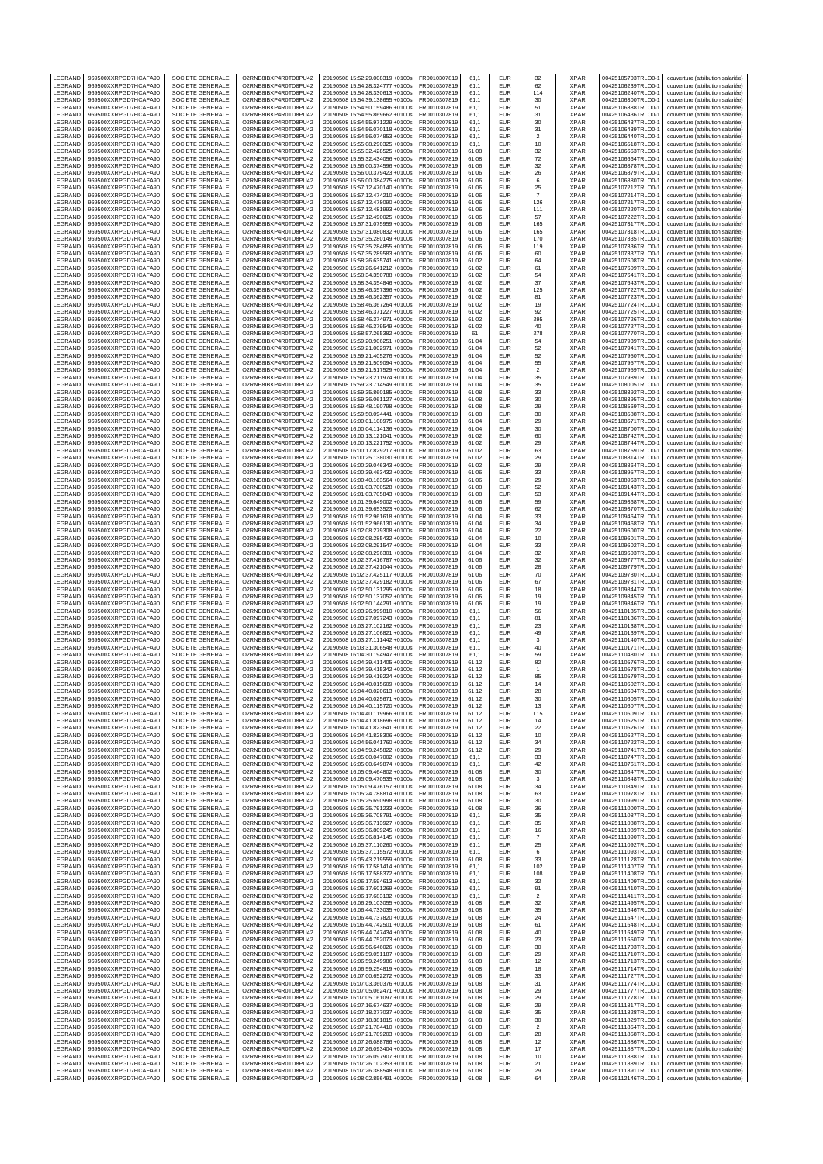| LEGRAND            | 969500XXRPGD7HCAFA90                         | SOCIETE GENERALE                                         | O2RNE8IBXP4R0TD8PU42                         | 20190508 15:52:29.008319 +0100s                                                                       | FR0010307819                 | 61,1                    | EUR                      | 32                            | <b>XPAR</b>                | 00425105703TRLO0-1                                             | couverture (attribution salariée)                                                                           |
|--------------------|----------------------------------------------|----------------------------------------------------------|----------------------------------------------|-------------------------------------------------------------------------------------------------------|------------------------------|-------------------------|--------------------------|-------------------------------|----------------------------|----------------------------------------------------------------|-------------------------------------------------------------------------------------------------------------|
| LEGRAND<br>LEGRAND | 969500XXRPGD7HCAFA90<br>969500XXRPGD7HCAFA90 | SOCIETE GENERALE<br>SOCIETE GENERALE                     | O2RNE8IBXP4R0TD8PU42<br>O2RNE8IBXP4R0TD8PU42 | 20190508 15:54:28.324777 +0100s<br>20190508 15:54:28.330613 +0100s                                    | FR0010307819<br>R0010307819  | 61.1<br>61.1            | EUR<br>EUR               | 62<br>114                     | <b>XPAR</b><br>XPAR        | 00425106239TRLO0-1<br>00425106240TRLO0-1                       | couverture (attribution salariée)<br>couverture (attribution salariée)                                      |
| LEGRAND            | 969500XXRPGD7HCAFA90                         | SOCIETE GENERALE                                         | O2RNE8IBXP4R0TD8PU42                         | 20190508 15:54:39.138655 +0100s                                                                       | FR0010307819                 | 61,1                    | <b>EUR</b>               | 30                            | <b>XPAR</b>                | 00425106300TRLO0-1                                             | couverture (attribution salariée)                                                                           |
| LEGRAND            | 969500XXRPGD7HCAFA90                         | <b>SOCIETE GENERALE</b>                                  | O2RNE8IBXP4R0TD8PU42                         | 20190508 15:54:50.159486 +0100s                                                                       | FR0010307819                 | 61.1                    | EUR                      | 51                            | <b>XPAR</b>                | 00425106388TRLO0-1                                             | couverture (attribution salariée)                                                                           |
| LEGRAND            | 969500XXRPGD7HCAFA90                         | SOCIETE GENERALE                                         | O2RNE8IBXP4R0TD8PU42                         | 20190508 15:54:55.869662 +0100s                                                                       | FR0010307819                 | 61,1                    | EUR                      | 31                            | XPAR                       | 00425106436TRLO0-1                                             | couverture (attribution salariée)                                                                           |
| LEGRAND            | 969500XXRPGD7HCAFA90                         | <b>SOCIETE GENERALE</b>                                  | O2RNE8IBXP4R0TD8PU42                         | 20190508 15:54:55.971229 +0100s                                                                       | FR0010307819                 | 61.1                    | EUR                      | 30                            | <b>XPAR</b>                | 00425106437TRLO0-1                                             | couverture (attribution salariée)                                                                           |
| LEGRAND<br>LEGRAND | 969500XXRPGD7HCAFA90<br>969500XXRPGD7HCAFA90 | SOCIETE GENERALE<br>SOCIETE GENERALE                     | O2RNE8IBXP4R0TD8PU42<br>O2RNE8IBXP4R0TD8PU42 | 20190508 15:54:56.070118 +0100s<br>20190508 15:54:56.074853 +0100s                                    | R0010307819<br>FR0010307819  | 61,1<br>61.1            | EUR<br>EUR               | 31<br>$\overline{2}$          | XPAR<br><b>XPAR</b>        | 00425106439TRLO0-1<br>00425106440TRLO0-                        | couverture (attribution salariée)<br>couverture (attribution salariée)                                      |
| LEGRAND            | 969500XXRPGD7HCAFA90                         | SOCIETE GENERALE                                         | O2RNE8IBXP4R0TD8PU42                         | 20190508 15:55:08.290325 +0100s                                                                       | FR0010307819                 | 61,1                    | EUR                      | 10                            | XPAR                       | 00425106518TRLO0-                                              | couverture (attribution salariée)                                                                           |
| LEGRAND            | 969500XXRPGD7HCAFA90                         | <b>SOCIETE GENERALE</b>                                  | O2RNE8IBXP4R0TD8PU42                         | 20190508 15:55:32 428525 +0100s                                                                       | FR0010307819                 | 61.08                   | <b>EUR</b>               | 32                            | <b>XPAR</b>                | 00425106663TRLO0-1                                             | couverture (attribution salariée)                                                                           |
| LEGRAND<br>LEGRAND | 969500XXRPGD7HCAFA90<br>969500XXRPGD7HCAFA90 | SOCIETE GENERALE<br>SOCIETE GENERALE                     | O2RNE8IBXP4R0TD8PU42<br>O2RNE8IBXP4R0TD8PU42 | 20190508 15:55:32.434056 +0100s<br>20190508 15:56:00.374596 +0100s                                    | FR0010307819<br>FR0010307819 | 61,08<br>61.06          | EUR<br>EUR               | 72<br>32                      | XPAR<br><b>XPAR</b>        | 00425106664TRLO0-1<br>00425106878TRLO0-                        | couverture (attribution salariée)<br>couverture (attribution salariée)                                      |
| LEGRAND            | 969500XXRPGD7HCAFA90                         | SOCIETE GENERALE                                         | O2RNE8IBXP4R0TD8PU42                         | 20190508 15:56:00.379423 +0100s                                                                       | FR0010307819                 | 61,06                   | EUR                      | 26                            | XPAR                       | 00425106879TRLO0-1                                             | couverture (attribution salariée)                                                                           |
| LEGRAND            | 969500XXRPGD7HCAFA90                         | SOCIETE GENERALE                                         | O2RNE8IBXP4R0TD8PU42                         | 20190508 15:56:00.384275 +0100s                                                                       | FR0010307819                 | 61.06                   | EUR                      | 6                             | <b>XPAR</b>                | 00425106880TRLO0-1                                             | couverture (attribution salariée)                                                                           |
| LEGRAND            | 969500XXRPGD7HCAFA90                         | SOCIETE GENERALE                                         | O2RNE8IBXP4R0TD8PU42                         | 20190508 15:57:12.470140 +0100s                                                                       | FR0010307819                 | 61,06                   | EUR                      | 25                            | XPAR                       | 00425107212TRLO0-1                                             | couverture (attribution salariée)                                                                           |
| LEGRAND<br>LEGRAND | 969500XXRPGD7HCAFA90                         | SOCIETE GENERALE                                         | O2RNE8IBXP4R0TD8PU42                         | 20190508 15:57:12.474210 +0100s                                                                       | FR0010307819                 | 61,06                   | EUR<br>EUR               | $\overline{7}$                | <b>XPAR</b>                | 00425107214TRLO0-                                              | couverture (attribution salariée)                                                                           |
| LEGRAND            | 969500XXRPGD7HCAFA90<br>969500XXRPGD7HCAFA90 | SOCIETE GENERALE<br><b>SOCIETE GENERALE</b>              | O2RNE8IBXP4R0TD8PU42<br>O2RNE8IBXP4R0TD8PU42 | 20190508 15:57:12.478090 +0100s<br>20190508 15:57:12.481993 +0100s                                    | R0010307819<br>FR0010307819  | 61,06<br>61,06          | EUR                      | 126<br>111                    | XPAR<br><b>XPAR</b>        | 00425107217TRLO0-1<br>00425107220TRLO0-                        | couverture (attribution salariée)<br>couverture (attribution salariée)                                      |
| LEGRAND            | 969500XXRPGD7HCAFA90                         | SOCIETE GENERALE                                         | O2RNE8IBXP4R0TD8PU42                         | 20190508 15:57:12.490025 +0100s                                                                       | FR0010307819                 | 61,06                   | EUR                      | 57                            | XPAR                       | 00425107222TRLO0-1                                             | couverture (attribution salariée)                                                                           |
| LEGRAND            | 969500XXRPGD7HCAFA90                         | SOCIETE GENERALE                                         | O2RNE8IBXP4R0TD8PU42                         | 20190508 15:57:31.075959 +0100s                                                                       | FR0010307819                 | 61,06                   | <b>EUR</b>               | 165                           | XPAR                       | 00425107317TRLO0-1                                             | couverture (attribution salariée)                                                                           |
| <b>FGRAND</b>      | 969500XXRPGD7HCAFA90<br>969500XXRPGD7HCAFA90 | SOCIETE GENERALE<br>SOCIETE GENERALE                     | O2RNE8IBXP4R0TD8PU42<br>O2RNE8IBXP4R0TD8PU42 | 20190508 15:57:31.080832 +0100s                                                                       | R0010307819                  | 61,06                   | EUR<br>EUR               | 165                           | <b>XPAR</b><br><b>XPAR</b> | 00425107318TRLO0-1                                             | couverture (attribution salariée)                                                                           |
| LEGRAND<br>LEGRAND | 969500XXRPGD7HCAFA90                         | SOCIETE GENERALE                                         | O2RNE8IBXP4R0TD8PU42                         | 20190508 15:57:35.280149 +0100s<br>20190508 15:57:35.284855 +0100s                                    | FR0010307819<br>FR0010307819 | 61,06<br>61,06          | EUR                      | 170<br>119                    | XPAR                       | 00425107335TRLO0-1<br>00425107336TRLO0-1                       | couverture (attribution salariée)<br>couverture (attribution salariée)                                      |
| LEGRAND            | 969500XXRPGD7HCAFA90                         | SOCIETE GENERALE                                         | O2RNE8IBXP4R0TD8PU42                         | 20190508 15:57:35.289583 +0100s                                                                       | FR0010307819                 | 61,06                   | EUR                      | 60                            | <b>XPAR</b>                | 00425107337TRLO0-1                                             | couverture (attribution salariée)                                                                           |
| LEGRAND            | 969500XXRPGD7HCAFA90                         | SOCIETE GENERALE                                         | O2RNE8IBXP4R0TD8PU42                         | 20190508 15:58:26.635741 +0100s                                                                       | R0010307819                  | 61,02                   | EUR                      | 64                            | XPAR                       | 00425107608TRLO0-                                              | couverture (attribution salariée)                                                                           |
| LEGRAND<br>LEGRAND | 969500XXRPGD7HCAFA90<br>969500XXRPGD7HCAFA90 | SOCIETE GENERALE<br>SOCIETE GENERALE                     | O2RNE8IBXP4R0TD8PU42<br>O2RNE8IBXP4R0TD8PU42 | 20190508 15:58:26.641212 +0100s<br>20190508 15:58:34.350788 +0100s                                    | FR0010307819<br>FR0010307819 | 61,02<br>61.02          | EUR<br><b>EUR</b>        | 61                            | <b>XPAR</b><br><b>XPAR</b> | 00425107609TRLO0-1<br>00425107641TRLO0-                        | couverture (attribution salariée)                                                                           |
| LEGRAND            | 969500XXRPGD7HCAFA90                         | SOCIETE GENERALE                                         | O2RNE8IBXP4R0TD8PU42                         | 20190508 15:58:34.354846 +0100s                                                                       | R0010307819                  | 61,02                   | EUR                      | 54<br>37                      | XPAR                       | 00425107643TRLO0-1                                             | couverture (attribution salariée)<br>couverture (attribution salariée)                                      |
| LEGRAND            | 969500XXRPGD7HCAFA90                         | SOCIETE GENERALE                                         | O2RNE8IBXP4R0TD8PU42                         | 20190508 15:58:46.357396 +0100s                                                                       | FR0010307819                 | 61.02                   | EUR                      | 125                           | <b>XPAR</b>                | 00425107722TRLO0-                                              | couverture (attribution salariée)                                                                           |
| LEGRAND            | 969500XXRPGD7HCAFA90                         | SOCIETE GENERALE                                         | O2RNE8IBXP4R0TD8PU42                         | 20190508 15:58:46.362357 +0100s                                                                       | FR0010307819                 | 61,02                   | EUR                      | 81                            | XPAR                       | 00425107723TRLO0-                                              | couverture (attribution salariée)                                                                           |
| LEGRAND<br>LEGRAND | 969500XXRPGD7HCAFA90<br>969500XXRPGD7HCAFA90 | <b>SOCIETE GENERALE</b><br>SOCIETE GENERALE              | O2RNE8IBXP4R0TD8PU42<br>O2RNE8IBXP4R0TD8PU42 | 20190508 15:58:46.367264 +0100s<br>20190508 15:58:46.371227 +0100s                                    | FR0010307819<br>R0010307819  | 61.02<br>61,02          | EUR<br>EUR               | 19<br>92                      | <b>XPAR</b><br>XPAR        | 00425107724TRLO0-1<br>00425107725TRLO0-1                       | couverture (attribution salariée)<br>couverture (attribution salariée)                                      |
| LEGRAND            | 969500XXRPGD7HCAFA90                         | SOCIETE GENERALE                                         | O2RNE8IBXP4R0TD8PU42                         | 20190508 15:58:46.374971 +0100s                                                                       | FR0010307819                 | 61.02                   | EUR                      | 295                           | <b>XPAR</b>                | 00425107726TRLO0-                                              | couverture (attribution salariée)                                                                           |
| LEGRAND            | 969500XXRPGD7HCAFA90                         | SOCIETE GENERALE                                         | O2RNE8IBXP4R0TD8PU42                         | 20190508 15:58:46.379549 +0100s                                                                       | FR0010307819                 | 61,02                   | EUR                      | 40                            | XPAR                       | 00425107727TRLO0-                                              | couverture (attribution salariée)                                                                           |
| LEGRAND<br>LEGRAND | 969500XXRPGD7HCAFA90<br>969500XXRPGD7HCAFA90 | <b>SOCIETE GENERALE</b><br>SOCIETE GENERALE              | O2RNE8IBXP4R0TD8PU42<br>O2RNE8IBXP4R0TD8PU42 | 20190508 15:58:57.265382 +0100s<br>20190508 15:59:20.906251 +0100s                                    | FR0010307819<br>R0010307819  | 61<br>61,04             | <b>EUR</b><br><b>EUR</b> | 278<br>54                     | <b>XPAR</b><br>XPAR        | 00425107770TRLO0-1<br>00425107939TRLO0-1                       | couverture (attribution salariée)<br>couverture (attribution salariée)                                      |
| LEGRAND            | 969500XXRPGD7HCAFA90                         | SOCIETE GENERALE                                         | O2RNE8IBXP4R0TD8PU42                         | 20190508 15:59:21.002971 +0100s                                                                       | FR0010307819                 | 61.04                   | <b>EUR</b>               | 52                            | <b>XPAR</b>                | 00425107941TRLO0-1                                             | couverture (attribution salariée)                                                                           |
| LEGRAND            | 969500XXRPGD7HCAFA90                         | SOCIETE GENERALE                                         | O2RNE8IBXP4R0TD8PU42                         | 20190508 15:59:21.405276 +0100s                                                                       | FR0010307819                 | 61,04                   | EUR                      | 52                            | XPAR                       | 00425107950TRLO0-1                                             | couverture (attribution salariée)                                                                           |
| LEGRAND            | 969500XXRPGD7HCAFA90                         | <b>SOCIETE GENERALE</b>                                  | O2RNE8IBXP4R0TD8PU42                         | 20190508 15:59:21.509094 +0100s                                                                       | FR0010307819                 | 61,04                   | EUR                      | 55                            | <b>XPAR</b>                | 00425107957TRLO0-1                                             | couverture (attribution salariée)                                                                           |
| LEGRAND<br>LEGRAND | 969500XXRPGD7HCAFA90<br>969500XXRPGD7HCAFA90 | SOCIETE GENERALE<br>SOCIETE GENERALE                     | O2RNE8IBXP4R0TD8PU42<br>O2RNE8IBXP4R0TD8PU42 | 20190508 15:59:21.517529 +0100s<br>20190508 15:59:23.211974 +0100s                                    | FR0010307819<br>FR0010307819 | 61,04<br>61,04          | EUR<br>EUR               | $\sqrt{2}$<br>35              | XPAR<br><b>XPAR</b>        | 00425107959TRLO0-1<br>00425107989TRLO0-1                       | couverture (attribution salariée)<br>couverture (attribution salariée)                                      |
| LEGRAND            | 969500XXRPGD7HCAFA90                         | SOCIETE GENERALE                                         | O2RNE8IBXP4R0TD8PU42                         | 20190508 15:59:23.714549 +0100s                                                                       | R0010307819                  | 61,04                   | EUR                      | 35                            | XPAR                       | 00425108005TRLO0-1                                             | couverture (attribution salariée)                                                                           |
| LEGRAND            | 969500XXRPGD7HCAFA90                         | SOCIETE GENERALE                                         | O2RNE8IBXP4R0TD8PU42                         | 20190508 15:59:35.860185 +0100s                                                                       | FR0010307819                 | 61,08                   | EUR                      | 33                            | <b>XPAR</b>                | 00425108392TRLO0-                                              | couverture (attribution salariée)                                                                           |
| LEGRAND            | 969500XXRPGD7HCAFA90                         | SOCIETE GENERALE                                         | O2RNE8IBXP4R0TD8PU42<br>O2RNE8IBXP4R0TD8PU42 | 20190508 15:59:36.061127 +0100s<br>20190508 15:59:48.190798 +0100s                                    | R0010307819                  | 61,08                   | EUR                      | 30                            | XPAR                       | 00425108395TRLO0-1                                             | couverture (attribution salariée)                                                                           |
| LEGRAND<br>LEGRAND | 969500XXRPGD7HCAFA90<br>969500XXRPGD7HCAFA90 | SOCIETE GENERALE<br>SOCIETE GENERALE                     | O2RNE8IBXP4R0TD8PU42                         | 20190508 15:59:50.094441 +0100s                                                                       | FR0010307819<br>R0010307819  | 61,08<br>61,08          | <b>EUR</b><br>EUR        | 29<br>30                      | <b>XPAR</b><br><b>XPAR</b> | 00425108569TRLO0-1<br>00425108588TRLO0-1                       | couverture (attribution salariée)<br>couverture (attribution salariée)                                      |
| LEGRAND            | 969500XXRPGD7HCAFA90                         | SOCIETE GENERALE                                         | O2RNE8IBXP4R0TD8PU42                         | 20190508 16:00:01.108975 +0100s                                                                       | FR0010307819                 | 61,04                   | EUR                      | 29                            | <b>XPAR</b>                | 00425108671TRLO0-                                              | couverture (attribution salariée)                                                                           |
| LEGRAND            | 969500XXRPGD7HCAFA90                         | SOCIETE GENERALE                                         | O2RNE8IBXP4R0TD8PU42                         | 20190508 16:00:04.114136 +0100s                                                                       | FR0010307819                 | 61,04                   | EUR                      | 30                            | XPAR                       | 00425108700TRLO0-1                                             | couverture (attribution salariée)                                                                           |
| LEGRAND<br>LEGRAND | 969500XXRPGD7HCAFA90<br>969500XXRPGD7HCAFA90 | SOCIETE GENERALE<br>SOCIETE GENERALE                     | O2RNE8IBXP4R0TD8PU42<br>O2RNE8IBXP4R0TD8PU42 | 20190508 16:00:13.121041 +0100s<br>20190508 16:00:13.221752 +0100s                                    | FR0010307819<br>R0010307819  | 61,02<br>61,02          | EUR<br>EUR               | 60<br>29                      | <b>XPAR</b><br>XPAR        | 00425108742TRLO0-1<br>00425108744TRLO0-1                       | couverture (attribution salariée)<br>couverture (attribution salariée)                                      |
| LEGRAND            | 969500XXRPGD7HCAFA90                         | SOCIETE GENERALE                                         | O2RNE8IBXP4R0TD8PU42                         | 20190508 16:00:17.829217 +0100s                                                                       | R0010307819                  | 61,02                   | EUR                      | 63                            | XPAR                       | 00425108759TRLO0-1                                             | couverture (attribution salariée)                                                                           |
| LEGRAND            | 969500XXRPGD7HCAFA90                         | <b>SOCIETE GENERALE</b>                                  | O2RNE8IBXP4R0TD8PU42                         | 20190508 16:00:25.138030 +0100s                                                                       | FR0010307819                 | 61.02                   | <b>EUR</b>               | 29                            | <b>XPAR</b>                | 00425108814TRLO0-1                                             | couverture (attribution salariée)                                                                           |
| LEGRAND            | 969500XXRPGD7HCAFA90                         | SOCIETE GENERALE                                         | O2RNE8IBXP4R0TD8PU42                         | 20190508 16:00:29.046343 +0100s                                                                       | R0010307819                  | 61,02                   | <b>EUR</b>               | 29                            | XPAR                       | 00425108864TRLO0-1                                             | couverture (attribution salariée)                                                                           |
| LEGRAND<br>LEGRAND | 969500XXRPGD7HCAFA90<br>969500XXRPGD7HCAFA90 | SOCIETE GENERALE<br>SOCIETE GENERALE                     | O2RNE8IBXP4R0TD8PU42<br>O2RNE8IBXP4R0TD8PU42 | 20190508 16:00:39 463432 +0100s<br>20190508 16:00:40.163564 +0100s                                    | FR0010307819<br>FR0010307819 | 61.06<br>61,06          | EUR<br>EUR               | 33<br>29                      | <b>XPAR</b><br>XPAR        | 00425108957TRLO0-<br>00425108963TRLO0-1                        | couverture (attribution salariée)<br>couverture (attribution salariée)                                      |
| LEGRAND            | 969500XXRPGD7HCAFA90                         | <b>SOCIETE GENERALE</b>                                  | O2RNE8IBXP4R0TD8PU42                         | 20190508 16:01:03.700528 +0100s                                                                       | FR0010307819                 | 61.08                   | EUR                      | 52                            | <b>XPAR</b>                | 00425109143TRLO0-1                                             | couverture (attribution salariée)                                                                           |
| LEGRAND            | 969500XXRPGD7HCAFA90                         | SOCIETE GENERALE                                         | O2RNE8IBXP4R0TD8PU42                         | 20190508 16:01:03.705843 +0100s                                                                       | R0010307819                  | 61,08                   | EUR                      | 53                            | XPAR                       | 00425109144TRLO0-1                                             | couverture (attribution salariée)                                                                           |
| LEGRAND            | 969500XXRPGD7HCAFA90                         | SOCIETE GENERALE                                         | O2RNE8IBXP4R0TD8PU42                         | 20190508 16:01:39.649002 +0100s                                                                       | FR0010307819                 | 61.06                   | EUR                      | 59                            | <b>XPAR</b>                | 00425109368TRLO0-1                                             | couverture (attribution salariée)                                                                           |
| LEGRAND<br>LEGRAND | 969500XXRPGD7HCAFA90<br>969500XXRPGD7HCAFA90 | SOCIETE GENERALE<br><b>SOCIETE GENERALE</b>              | O2RNE8IBXP4R0TD8PU42<br>O2RNE8IBXP4R0TD8PU42 | 20190508 16:01:39.653523 +0100s<br>20190508 16:01:52.961618 +0100s                                    | FR0010307819<br>FR0010307819 | 61,06<br>61.04          | EUR<br><b>EUR</b>        | 62<br>33                      | XPAR<br><b>XPAR</b>        | 00425109370TRLO0-<br>00425109464TRLO0-1                        | couverture (attribution salariée)<br>couverture (attribution salariée)                                      |
| LEGRAND            | 969500XXRPGD7HCAFA90                         | SOCIETE GENERALE                                         | O2RNE8IBXP4R0TD8PU42                         | 20190508 16:01:52.966130 +0100s                                                                       | R0010307819                  | 61,04                   | <b>EUR</b>               | 34                            | XPAR                       | 00425109468TRLO0-1                                             | couverture (attribution salariée)                                                                           |
| LEGRAND            | 969500XXRPGD7HCAFA90                         | SOCIETE GENERALE                                         | O2RNE8IBXP4R0TD8PU42                         | 20190508 16:02:08.279308 +0100s                                                                       | FR0010307819                 | 61.04                   | <b>EUR</b>               | $22\,$                        | <b>XPAR</b>                | 00425109600TRLO0-1                                             | couverture (attribution salariée)                                                                           |
| LEGRAND            | 969500XXRPGD7HCAFA90                         | SOCIETE GENERALE                                         | O2RNE8IBXP4R0TD8PU42                         | 20190508 16:02:08.285432 +0100s                                                                       | R0010307819                  | 61,04                   | EUR                      | 10                            | <b>XPAR</b>                | 00425109601TRLO0-                                              | couverture (attribution salariée)                                                                           |
| LEGRAND<br>LEGRAND | 969500XXRPGD7HCAFA90<br>969500XXRPGD7HCAFA90 | SOCIETE GENERALE<br>SOCIETE GENERALE                     | O2RNE8IBXP4R0TD8PU42<br>O2RNE8IBXP4R0TD8PU42 | 20190508 16:02:08.291547 +0100s<br>20190508 16:02:08.296301 +0100s                                    | FR0010307819<br>FR0010307819 | 61,04<br>61,04          | EUR<br>EUR               | 33<br>32                      | <b>XPAR</b><br>XPAR        | 00425109602TRLO0-<br>00425109603TRLO0-1                        | couverture (attribution salariée)<br>couverture (attribution salariée)                                      |
| LEGRAND            | 969500XXRPGD7HCAFA90                         | SOCIETE GENERALE                                         | O2RNE8IBXP4R0TD8PU42                         | 20190508 16:02:37.416787 +0100s                                                                       | FR0010307819                 | 61,06                   | EUR                      | 32                            | <b>XPAR</b>                | 00425109777TRLO0-1                                             | couverture (attribution salariée)                                                                           |
| LEGRAND            | 969500XXRPGD7HCAFA90                         | SOCIETE GENERALE                                         | O2RNE8IBXP4R0TD8PU42                         | 20190508 16:02:37.421044 +0100s                                                                       | R0010307819                  | 61,06                   | EUR                      | 28                            | XPAR                       | 00425109779TRLO0-1                                             | couverture (attribution salariée)                                                                           |
| LEGRAND            | 969500XXRPGD7HCAFA90                         | SOCIETE GENERALE                                         | O2RNE8IBXP4R0TD8PU42<br>O2RNE8IBXP4R0TD8PU42 | 20190508 16:02:37.425117 +0100s                                                                       | FR0010307819                 | 61,06                   | EUR<br>EUR               | 70                            | <b>XPAR</b>                | 00425109780TRLO0-                                              | couverture (attribution salariée)                                                                           |
| LEGRAND<br>LEGRAND | 969500XXRPGD7HCAFA90<br>969500XXRPGD7HCAFA90 | SOCIETE GENERALE<br>SOCIETE GENERALE                     | O2RNE8IBXP4R0TD8PU42                         | 20190508 16:02:37.429182 +0100s<br>20190508 16:02:50.131295 +0100s                                    | R0010307819<br>FR0010307819  | 61,06<br>61,06          | <b>EUR</b>               | 67<br>18                      | XPAR<br><b>XPAR</b>        | 00425109781TRLO0-1<br>00425109844TRLO0-1                       | couverture (attribution salariée)<br>couverture (attribution salariée)                                      |
| LEGRAND            | 969500XXRPGD7HCAFA90                         | SOCIETE GENERALE                                         | O2RNE8IBXP4R0TD8PU42                         | 20190508 16:02:50.137052 +0100s                                                                       | R0010307819                  | 61,06                   | EUR                      | 19                            | <b>XPAR</b>                | 00425109845TRLO0-1                                             | couverture (attribution salariée)                                                                           |
| LEGRAND            | 969500XXRPGD7HCAFA90                         | SOCIETE GENERALE                                         | O2RNE8IBXP4R0TD8PU42                         | 20190508 16:02:50.144291 +0100s                                                                       | FR0010307819                 | 61,06                   | EUR                      | 19                            | <b>XPAR</b>                | 00425109846TRLO0-                                              | couverture (attribution salariée)                                                                           |
| LEGRAND<br>LEGRAND | 969500XXRPGD7HCAFA90<br>969500XXRPGD7HCAFA90 | SOCIETE GENERALE<br>SOCIETE GENERALE                     | O2RNE8IBXP4R0TD8PU42<br>O2RNE8IBXP4R0TD8PU42 | 20190508 16:03:26.999810 +0100s<br>20190508 16:03:27.097243 +0100s                                    | FR0010307819<br>FR0010307819 | 61.1<br>61,1            | EUR<br>EUR               | 56<br>81                      | XPAR<br><b>XPAR</b>        | 00425110135TRLO0-1<br>00425110136TRLO0-1                       | couverture (attribution salariée)<br>couverture (attribution salariée)                                      |
| LEGRAND            | 969500XXRPGD7HCAFA90                         | SOCIETE GENERALE                                         | O2RNE8IBXP4R0TD8PU42                         | 20190508 16:03:27.102162 +0100s                                                                       | FR0010307819                 | 61.1                    | EUR                      | 23                            | <b>XPAR</b>                | 00425110138TRLO0-                                              | couverture (attribution salariée)                                                                           |
| LEGRAND            | 969500XXRPGD7HCAFA90                         | SOCIETE GENERALE                                         | O2RNE8IBXP4R0TD8PU42                         | 20190508 16:03:27.106821 +0100s                                                                       | FR0010307819                 | 61,1                    | EUR                      | 49                            | XPAR                       | 00425110139TRLO0-                                              | couverture (attribution salariée)                                                                           |
| LEGRAND            | 969500XXRPGD7HCAFA90                         | <b>SOCIETE GENERALE</b>                                  | O2RNE8IBXP4R0TD8PU42                         | 20190508 16:03:27.111442 +0100s                                                                       | FR0010307819                 | 61.1                    | <b>EUR</b>               | 3                             | <b>XPAR</b>                | 00425110140TRLO0-1                                             | couverture (attribution salariée)                                                                           |
| LEGRAND<br>LEGRAND | 969500XXRPGD7HCAFA90<br>969500XXRPGD7HCAFA90 | SOCIETE GENERALE<br>SOCIETE GENERALE                     | O2RNE8IBXP4R0TD8PU42<br>O2RNE8IBXP4R0TD8PU42 | 20190508 16:03:31.306548 +0100s<br>20190508 16:04:30.194947 +0100s                                    | R0010307819<br>FR0010307819  | 61,1<br>61.1            | EUR<br><b>EUR</b>        | 40<br>59                      | XPAR<br><b>XPAR</b>        | 00425110171TRLO0-1<br>00425110480TRLO0-                        | couverture (attribution salariée)<br>couverture (attribution salariée)                                      |
| LEGRAND            | 969500XXRPGD7HCAFA90                         | SOCIETE GENERALE                                         | O2RNE8IBXP4R0TD8PU42                         | 20190508 16:04:39.411405 +0100s                                                                       | FR0010307819                 | 61,12                   | EUR                      | 82                            | XPAR                       | 00425110576TRLO0-1                                             | couverture (attribution salariée)                                                                           |
| LEGRAND            | 969500XXRPGD7HCAFA90                         | SOCIETE GENERALE                                         | O2RNE8IBXP4R0TD8PU42                         | 20190508 16:04:39.415342 +0100s                                                                       | FR0010307819                 | 61.12                   | <b>EUR</b>               | $\overline{1}$                | <b>XPAR</b>                | 00425110578TRLO0-1                                             | couverture (attribution salariée)                                                                           |
| LEGRAND<br>LEGRAND | 969500XXRPGD7HCAFA90<br>969500XXRPGD7HCAFA90 | SOCIETE GENERALE<br>SOCIETE GENERALE                     | O2RNE8IBXP4R0TD8PU42<br>O2RNE8IBXP4R0TD8PU42 | 20190508 16:04:39.419224 +0100s<br>20190508 16:04:40.015609 +0100s                                    | R0010307819<br>FR0010307819  | 61,12<br>61.12          | EUR<br><b>EUR</b>        | 85<br>14                      | XPAR<br><b>XPAR</b>        | 00425110579TRLO0-1<br>00425110602TRLO0-1                       | couverture (attribution salariée)<br>couverture (attribution salariée)                                      |
| LEGRAND            | 969500XXRPGD7HCAFA90                         | SOCIETE GENERALE                                         | O2RNE8IBXP4R0TD8PU42                         | 20190508 16:04:40.020613 +0100s                                                                       | FR0010307819                 | 61,12                   | EUR                      | 28                            | <b>XPAR</b>                | 00425110604TRLO0-1                                             | couverture (attribution salariée)                                                                           |
| LEGRAND            | 969500XXRPGD7HCAFA90                         | SOCIETE GENERALE                                         | O2RNE8IBXP4R0TD8PU42                         | 20190508 16:04:40.025671 +0100s                                                                       | FR0010307819                 | 61.12                   | EUR                      | 30                            | <b>XPAR</b>                | 00425110605TRLO0-1                                             | couverture (attribution salariée)                                                                           |
| LEGRAND<br>LEGRAND | 969500XXRPGD7HCAFA90<br>969500XXRPGD7HCAFA90 | SOCIETE GENERALE<br>SOCIETE GENERALE                     | O2RNE8IBXP4R0TD8PU42<br>O2RNE8IBXP4R0TD8PU42 | 20190508 16:04:40.115720 +0100s<br>20190508 16:04:40.119966 +0100s                                    | FR0010307819<br>FR0010307819 | 61,12                   | <b>EUR</b><br><b>FUR</b> | 13                            | XPAR<br><b>XPAR</b>        | 00425110607TRLO0-1<br>00425110609TRLO0-1                       | couverture (attribution salariée)                                                                           |
| LEGRAND            | 969500XXRPGD7HCAFA90                         | SOCIETE GENERALE                                         | O2RNE8IBXP4R0TD8PU42                         | 20190508 16:04:41.818696 +0100s                                                                       | FR0010307819                 | 61,12<br>61.12          | <b>EUR</b>               | 115<br>14                     | <b>XPAR</b>                | 00425110625TRLO0-1                                             | couverture (attribution salariée)<br>couverture (attribution salariée)                                      |
| LEGRAND            | 969500XXRPGD7HCAFA90                         | SOCIETE GENERALE                                         | O2RNE8IBXP4R0TD8PU42                         | 20190508 16:04:41.823641 +0100s                                                                       | FR0010307819                 | 61,12                   | <b>EUR</b>               | 22                            | <b>XPAR</b>                | 00425110626TRLO0-1                                             | couverture (attribution salariée)                                                                           |
| LEGRAND<br>LEGRAND | 969500XXRPGD7HCAFA90                         | SOCIETE GENERALE                                         | O2RNE8IBXP4R0TD8PU42                         | 20190508 16:04:41.828306 +0100s                                                                       | FR0010307819<br>FR0010307819 | 61,12                   | <b>EUR</b><br><b>FUR</b> | 10                            | <b>XPAR</b><br><b>XPAR</b> | 00425110627TRLO0-1                                             | couverture (attribution salariée)                                                                           |
| LEGRAND            | 969500XXRPGD7HCAFA90<br>969500XXRPGD7HCAFA90 | SOCIETE GENERALE<br>SOCIETE GENERALE                     | O2RNE8IBXP4R0TD8PU42<br>O2RNE8IBXP4R0TD8PU42 | 20190508 16:04:56.041760 +0100s<br>20190508 16:04:59.245822 +0100s                                    | FR0010307819                 | 61,12<br>61,12          | <b>EUR</b>               | 34<br>29                      | <b>XPAR</b>                | 00425110722TRLO0-1<br>00425110741TRLO0-1                       | couverture (attribution salariée)<br>couverture (attribution salariée)                                      |
| LEGRAND            | 969500XXRPGD7HCAFA90                         | SOCIETE GENERALE                                         | O2RNE8IBXP4R0TD8PU42                         | 20190508 16:05:00.047002 +0100s                                                                       | FR0010307819                 | 61,1                    | <b>EUR</b>               | 33                            | <b>XPAR</b>                | 00425110747TRLO0-1                                             | couverture (attribution salariée)                                                                           |
| LEGRAND            | 969500XXRPGD7HCAFA90                         | SOCIETE GENERALE                                         | O2RNE8IBXP4R0TD8PU42                         | 20190508 16:05:00.649874 +0100s                                                                       | FR0010307819                 | 61,1                    | <b>EUR</b>               | 42                            | <b>XPAR</b>                | 00425110761TRLO0-1                                             | couverture (attribution salariée)                                                                           |
| LEGRAND<br>LEGRAND | 969500XXRPGD7HCAFA90<br>969500XXRPGD7HCAFA90 | SOCIETE GENERALE<br>SOCIETE GENERALE                     | O2RNE8IBXP4R0TD8PU42<br>O2RNE8IBXP4R0TD8PU42 | 20190508 16:05:09.464802 +0100s<br>20190508 16:05:09.470535 +0100s                                    | FR0010307819<br>FR0010307819 | 61,08<br>61,08          | <b>FUR</b><br><b>EUR</b> | 30<br>3                       | <b>XPAR</b><br><b>XPAR</b> | 00425110847TRLO0-1<br>00425110848TRLO0-1                       | couverture (attribution salariée)<br>couverture (attribution salariée)                                      |
| LEGRAND            | 969500XXRPGD7HCAFA90                         | <b>SOCIETE GENERALE</b>                                  | O2RNE8IBXP4R0TD8PU42                         | 20190508 16:05:09.476157 +0100s                                                                       | FR0010307819                 | 61,08                   | <b>EUR</b>               | 34                            | <b>XPAR</b>                | 00425110849TRLO0-1                                             | couverture (attribution salariée)                                                                           |
| LEGRAND            | 969500XXRPGD7HCAFA90                         | SOCIETE GENERALE                                         | O2RNE8IBXP4R0TD8PU42                         | 20190508 16:05:24.788814 +0100s                                                                       | FR0010307819                 | 61,08                   | <b>EUR</b>               | 63                            | <b>XPAR</b>                | 00425110978TRLO0-1                                             | couverture (attribution salariée)                                                                           |
| LEGRAND<br>LEGRAND | 969500XXRPGD7HCAFA90<br>969500XXRPGD7HCAFA90 | SOCIETE GENERALE<br>SOCIETE GENERALE                     | O2RNE8IBXP4R0TD8PU42<br>O2RNE8IBXP4R0TD8PU42 | 20190508 16:05:25.690998 +0100s<br>20190508 16:05:25.791233 +0100s                                    | FR0010307819<br>FR0010307819 | 61,08<br>61.08          | EUR<br><b>EUR</b>        | 30<br>36                      | <b>XPAR</b><br><b>XPAR</b> | 00425110999TRLO0-1<br>00425111000TRLO0-1                       | couverture (attribution salariée)<br>couverture (attribution salariée)                                      |
| LEGRAND            | 969500XXRPGD7HCAFA90                         | SOCIETE GENERALE                                         | O2RNE8IBXP4R0TD8PU42                         | 20190508 16:05:36.708791 +0100s                                                                       | FR0010307819                 | 61,1                    | EUR                      | 35                            | <b>XPAR</b>                | 00425111087TRLO0-1                                             | couverture (attribution salariée)                                                                           |
| LEGRAND            | 969500XXRPGD7HCAFA90                         | SOCIETE GENERALE                                         | O2RNE8IBXP4R0TD8PU42                         | 20190508 16:05:36.713927 +0100s                                                                       | FR0010307819                 | 61.1                    | <b>EUR</b>               | 35                            | <b>XPAR</b>                | 00425111088TRLO0-1                                             | couverture (attribution salariée)                                                                           |
| LEGRAND<br>LEGRAND | 969500XXRPGD7HCAFA90<br>969500XXRPGD7HCAFA90 | SOCIETE GENERALE<br>SOCIETE GENERALE                     | O2RNE8IBXP4R0TD8PU42<br>O2RNE8IBXP4R0TD8PU42 | 20190508 16:05:36.809245 +0100s<br>20190508 16:05:36.814145 +0100s                                    | FR0010307819<br>FR0010307819 | 61,1<br>61.1            | EUR<br>EUR               | 16<br>$\overline{7}$          | <b>XPAR</b><br><b>XPAR</b> | 00425111089TRLO0-1<br>00425111090TRLO0-1                       | couverture (attribution salariée)<br>couverture (attribution salariée)                                      |
| LEGRAND            | 969500XXRPGD7HCAFA90                         | SOCIETE GENERALE                                         | O2RNE8IBXP4R0TD8PU42                         | 20190508 16:05:37.110260 +0100s                                                                       | FR0010307819                 | 61,1                    | EUR                      | 25                            | <b>XPAR</b>                | 00425111092TRLO0-1                                             | couverture (attribution salariée)                                                                           |
| LEGRAND            | 969500XXRPGD7HCAFA90                         | SOCIETE GENERALE                                         | O2RNE8IBXP4R0TD8PU42                         | 20190508 16:05:37.115572 +0100s                                                                       | FR0010307819                 | 61.1                    | <b>EUR</b>               | 6                             | <b>XPAR</b>                | 00425111093TRLO0-1                                             | couverture (attribution salariée)                                                                           |
| LEGRAND<br>LEGRAND | 969500XXRPGD7HCAFA90<br>969500XXRPGD7HCAFA90 | SOCIETE GENERALE<br>SOCIETE GENERALE                     | O2RNE8IBXP4R0TD8PU42<br>O2RNE8IBXP4R0TD8PU42 | 20190508 16:05:43.219559 +0100s<br>20190508 16:06:17.581414 +0100s                                    | FR0010307819<br>FR0010307819 | 61,08<br>61.1           | EUR<br><b>EUR</b>        | 33<br>102                     | <b>XPAR</b><br><b>XPAR</b> | 00425111128TRLO0-1<br>00425111407TRLO0-1                       | couverture (attribution salariée)<br>couverture (attribution salariée)                                      |
| LEGRAND            | 969500XXRPGD7HCAFA90                         | SOCIETE GENERALE                                         | O2RNE8IBXP4R0TD8PU42                         | 20190508 16:06:17.588372 +0100s                                                                       | FR0010307819                 | 61,1                    | EUR                      | 108                           | <b>XPAR</b>                | 00425111408TRLO0-1                                             | couverture (attribution salariée)                                                                           |
| LEGRAND            | 969500XXRPGD7HCAFA90                         | SOCIETE GENERALE                                         | O2RNE8IBXP4R0TD8PU42                         | 20190508 16:06:17.594613 +0100s                                                                       | FR0010307819                 | 61,1                    | <b>EUR</b>               | 32                            | <b>XPAR</b>                | 00425111409TRLO0-1                                             | couverture (attribution salariée)                                                                           |
| LEGRAND            | 969500XXRPGD7HCAFA90                         | SOCIETE GENERALE                                         | O2RNE8IBXP4R0TD8PU42                         | 20190508 16:06:17.601269 +0100s                                                                       | FR0010307819                 | 61,1                    | <b>EUR</b>               | 91                            | <b>XPAR</b>                | 00425111410TRLO0-1                                             | couverture (attribution salariée)                                                                           |
| LEGRAND<br>LEGRAND | 969500XXRPGD7HCAFA90<br>969500XXRPGD7HCAFA90 | SOCIETE GENERALE<br>SOCIETE GENERALE                     | O2RNE8IBXP4R0TD8PU42<br>O2RNE8IBXP4R0TD8PU42 | 20190508 16:06:17.683132 +0100s<br>20190508 16:06:29.103055 +0100s                                    | FR0010307819<br>FR0010307819 | 61,1<br>61,08           | <b>EUR</b><br><b>EUR</b> | $\overline{\mathbf{2}}$<br>32 | <b>XPAR</b><br><b>XPAR</b> | 00425111411TRLO0-1<br>00425111495TRLO0-1                       | couverture (attribution salariée)<br>couverture (attribution salariée)                                      |
| LEGRAND            | 969500XXRPGD7HCAFA90                         | SOCIETE GENERALE                                         | O2RNE8IBXP4R0TD8PU42                         | 20190508 16:06:44.733035 +0100s                                                                       | FR0010307819                 | 61,08                   | <b>EUR</b>               | 35                            | <b>XPAR</b>                | 00425111646TRLO0-1                                             | couverture (attribution salariée)                                                                           |
| LEGRAND            | 969500XXRPGD7HCAFA90                         | SOCIETE GENERALE                                         | O2RNE8IBXP4R0TD8PU42                         | 20190508 16:06:44.737820 +0100s                                                                       | FR0010307819                 | 61,08                   | <b>EUR</b>               | 24                            | <b>XPAR</b>                | 00425111647TRLO0-1                                             | couverture (attribution salariée)                                                                           |
| LEGRAND<br>LEGRAND | 969500XXRPGD7HCAFA90<br>969500XXRPGD7HCAFA90 | SOCIETE GENERALE<br>SOCIETE GENERALE                     | O2RNE8IBXP4R0TD8PU42<br>O2RNE8IBXP4R0TD8PU42 | 20190508 16:06:44.742501 +0100s<br>20190508 16:06:44.747434 +0100s                                    | FR0010307819<br>FR0010307819 | 61,08<br>61,08          | <b>EUR</b><br><b>EUR</b> | 61<br>40                      | <b>XPAR</b><br><b>XPAR</b> | 00425111648TRLO0-1<br>00425111649TRLO0-1                       | couverture (attribution salariée)<br>couverture (attribution salariée)                                      |
| LEGRAND            | 969500XXRPGD7HCAFA90                         | SOCIETE GENERALE                                         | O2RNE8IBXP4R0TD8PU42                         | 20190508 16:06:44.752073 +0100s                                                                       | FR0010307819                 | 61,08                   | <b>EUR</b>               | 23                            | <b>XPAR</b>                | 00425111650TRLO0-1                                             | couverture (attribution salariée)                                                                           |
| LEGRAND            | 969500XXRPGD7HCAFA90                         | SOCIETE GENERALE                                         | O2RNE8IBXP4R0TD8PU42                         | 20190508 16:06:56.646026 +0100s                                                                       | FR0010307819                 | 61,08                   | <b>EUR</b>               | 30                            | <b>XPAR</b>                | 00425111703TRLO0-1                                             | couverture (attribution salariée)                                                                           |
| LEGRAND            | 969500XXRPGD7HCAFA90                         | SOCIETE GENERALE                                         | O2RNE8IBXP4R0TD8PU42                         | 20190508 16:06:59.051187 +0100s                                                                       | FR0010307819                 | 61.08                   | <b>FUR</b><br><b>EUR</b> | 29                            | <b>XPAR</b><br><b>XPAR</b> | 00425111710TRLO0-1                                             | couverture (attribution salariée)                                                                           |
| LEGRAND<br>LEGRAND | 969500XXRPGD7HCAFA90<br>969500XXRPGD7HCAFA90 | SOCIETE GENERALE<br>SOCIETE GENERALE                     | O2RNE8IBXP4R0TD8PU42<br>O2RNE8IBXP4R0TD8PU42 | 20190508 16:06:59.249986 +0100s<br>20190508 16:06:59.254819 +0100s                                    | FR0010307819<br>FR0010307819 | 61,08<br>61,08          | EUR                      | 12<br>18                      | <b>XPAR</b>                | 00425111713TRLO0-1<br>00425111714TRLO0-1                       | couverture (attribution salariée)<br>couverture (attribution salariée)                                      |
| LEGRAND            | 969500XXRPGD7HCAFA90                         | SOCIETE GENERALE                                         | O2RNE8IBXP4R0TD8PU42                         | 20190508 16:07:00.652272 +0100s                                                                       | FR0010307819                 | 61.08                   | <b>EUR</b>               | 33                            | <b>XPAR</b>                | 00425111727TRLO0-1                                             | couverture (attribution salariée)                                                                           |
| LEGRAND            | 969500XXRPGD7HCAFA90                         | SOCIETE GENERALE                                         | O2RNE8IBXP4R0TD8PU42                         | 20190508 16:07:03.360376 +0100s                                                                       | FR0010307819                 | 61,08                   | EUR                      | 31                            | <b>XPAR</b>                | 00425111774TRLO0-1                                             | couverture (attribution salariée)                                                                           |
| LEGRAND<br>LEGRAND | 969500XXRPGD7HCAFA90<br>969500XXRPGD7HCAFA90 | SOCIETE GENERALE<br>SOCIETE GENERALE                     | O2RNE8IBXP4R0TD8PU42<br>O2RNE8IBXP4R0TD8PU42 | 20190508 16:07:05.062471 +0100s<br>20190508 16:07:05.161097 +0100s                                    | FR0010307819<br>FR0010307819 | 61.08<br>61,08          | <b>EUR</b><br>EUR        | 29<br>29                      | <b>XPAR</b><br><b>XPAR</b> | 00425111777TRLO0-1<br>00425111778TRLO0-1                       | couverture (attribution salariée)<br>couverture (attribution salariée)                                      |
| LEGRAND            | 969500XXRPGD7HCAFA90                         | SOCIETE GENERALE                                         | O2RNE8IBXP4R0TD8PU42                         | 20190508 16:07:16.674637 +0100s                                                                       | FR0010307819                 | 61.08                   | <b>EUR</b>               | 29                            | <b>XPAR</b>                | 00425111817TRLO0-1                                             | couverture (attribution salariée)                                                                           |
| LEGRAND            | 969500XXRPGD7HCAFA90                         | SOCIETE GENERALE                                         | O2RNE8IBXP4R0TD8PU42                         | 20190508 16:07:18.377037 +0100s                                                                       | FR0010307819                 | 61,08                   | EUR                      | 35                            | <b>XPAR</b>                | 00425111828TRLO0-1                                             | couverture (attribution salariée)                                                                           |
| LEGRAND<br>LEGRAND | 969500XXRPGD7HCAFA90<br>969500XXRPGD7HCAFA90 | SOCIETE GENERALE<br>SOCIETE GENERALE                     | O2RNE8IBXP4R0TD8PU42<br>O2RNE8IBXP4R0TD8PU42 | 20190508 16:07:18.381815 +0100s<br>20190508 16:07:21.784410 +0100s                                    | FR0010307819<br>FR0010307819 | 61.08<br>61,08          | EUR<br>EUR               | 30<br>$\sqrt{2}$              | <b>XPAR</b><br><b>XPAR</b> | 00425111829TRLO0-1<br>00425111854TRLO0-1                       | couverture (attribution salariée)<br>couverture (attribution salariée)                                      |
| LEGRAND            | 969500XXRPGD7HCAFA90                         | SOCIETE GENERALE                                         | O2RNE8IBXP4R0TD8PU42                         | 20190508 16:07:21.789203 +0100s                                                                       | FR0010307819                 | 61.08                   | <b>EUR</b>               | 28                            | <b>XPAR</b>                | 00425111858TRLO0-1                                             | couverture (attribution salariée)                                                                           |
| LEGRAND            | 969500XXRPGD7HCAFA90                         | SOCIETE GENERALE                                         | O2RNE8IBXP4R0TD8PU42                         | 20190508 16:07:26.088786 +0100s                                                                       | FR0010307819                 | 61,08                   | EUR                      | 12                            | <b>XPAR</b>                | 00425111886TRLO0-1                                             | couverture (attribution salariée)                                                                           |
| LEGRAND<br>LEGRAND | 969500XXRPGD7HCAFA90                         | SOCIETE GENERALE                                         | O2RNE8IBXP4R0TD8PU42                         | 20190508 16:07:26.093404 +0100s                                                                       | FR0010307819                 | 61.08                   | <b>EUR</b>               | 17                            | <b>XPAR</b>                | 00425111887TRLO0-1                                             | couverture (attribution salariée)                                                                           |
|                    |                                              |                                                          |                                              |                                                                                                       |                              |                         |                          |                               |                            |                                                                |                                                                                                             |
| LEGRAND            | 969500XXRPGD7HCAFA90<br>969500XXRPGD7HCAFA90 | SOCIETE GENERALE                                         | O2RNE8IBXP4R0TD8PU42<br>O2RNE8IBXP4R0TD8PU42 | 20190508 16:07:26.097907 +0100s                                                                       | R0010307819<br>FR0010307819  | 61,08                   | <b>EUR</b><br><b>EUR</b> | 10                            | <b>XPAR</b><br><b>XPAR</b> | 00425111888TRLO0-1                                             | couverture (attribution salariée)                                                                           |
| LEGRAND<br>LEGRAND | 969500XXRPGD7HCAFA90<br>969500XXRPGD7HCAFA90 | SOCIETE GENERALE<br>SOCIETE GENERALE<br>SOCIETE GENERALE | O2RNE8IBXP4R0TD8PU42<br>O2RNE8IBXP4R0TD8PU42 | 20190508 16:07:26.102353 +0100s<br>20190508 16:07:26.388548 +0100s<br>20190508 16:08:02.856491 +0100s | FR0010307819<br>FR0010307819 | 61,08<br>61.08<br>61,08 | <b>EUR</b><br>EUR        | 21<br>29<br>64                | <b>XPAR</b><br><b>XPAR</b> | 00425111889TRLO0-1<br>00425111891TRLO0-1<br>00425112146TRLO0-1 | couverture (attribution salariée)<br>couverture (attribution salariée)<br>couverture (attribution salariée) |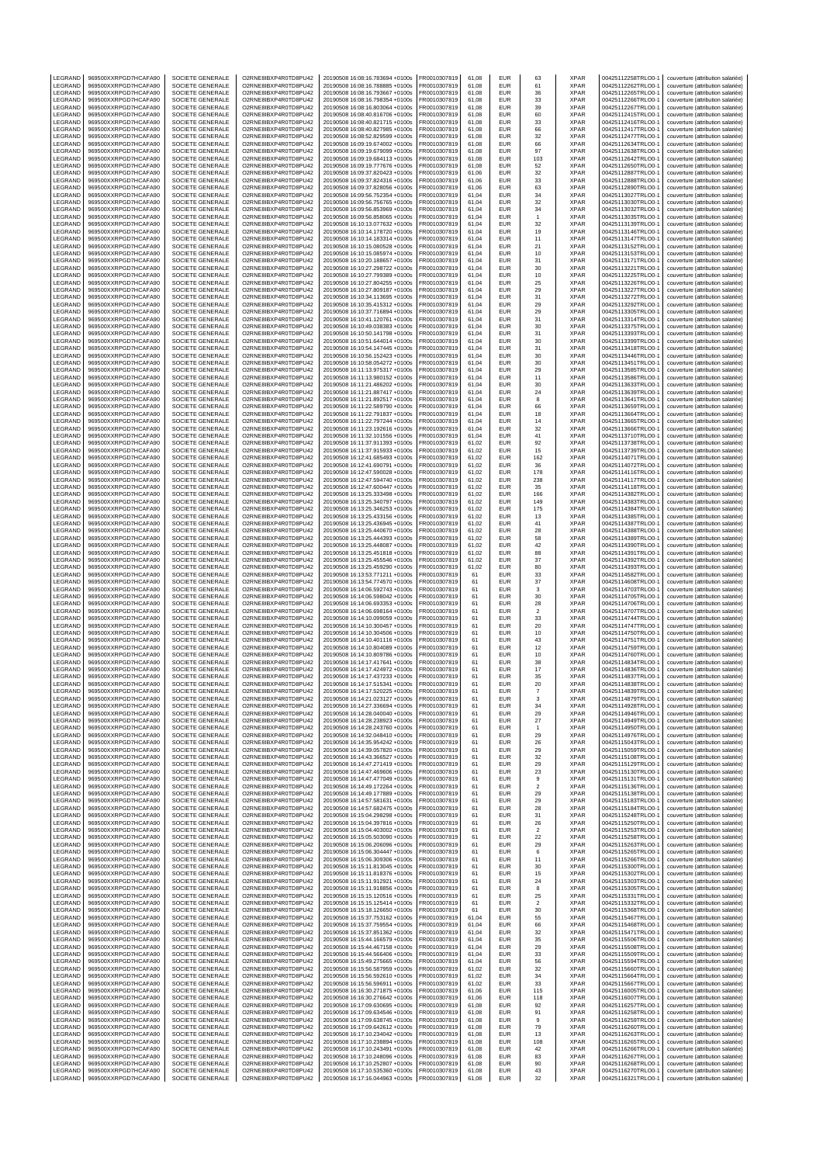| LEGRAND                       | 969500XXRPGD7HCAFA90                                                 | SOCIETE GENERALE                                         | O2RNE8IBXP4R0TD8PU42                                                 | 20190508 16:08:16.783694 +0100s                                                                       | FR0010307819                                 | 61.08                   | EUR               | 63                            | <b>XPAR</b>                        | 00425112258TRLO0-1                                             | couverture (attribution salariée)                                                                           |
|-------------------------------|----------------------------------------------------------------------|----------------------------------------------------------|----------------------------------------------------------------------|-------------------------------------------------------------------------------------------------------|----------------------------------------------|-------------------------|-------------------|-------------------------------|------------------------------------|----------------------------------------------------------------|-------------------------------------------------------------------------------------------------------------|
| LEGRAND<br>LEGRAND            | 969500XXRPGD7HCAFA90<br>969500XXRPGD7HCAFA90                         | SOCIETE GENERALE<br>SOCIETE GENERALE                     | O2RNE8IBXP4R0TD8PU42<br>O2RNE8IBXP4R0TD8PU42                         | 20190508 16:08:16.788885 +0100s<br>20190508 16:08:16 793667 +0100s                                    | FR0010307819<br>FR0010307819                 | 61,08<br>61.08          | EUR<br>EUR        | 61<br>36                      | <b>XPAR</b><br><b>XPAR</b>         | 00425112262TRLO0-1<br>00425112265TRLO0-1                       | couverture (attribution salariée)<br>couverture (attribution salariée)                                      |
| LEGRAND                       | 969500XXRPGD7HCAFA90                                                 | SOCIETE GENERALE                                         | O2RNE8IBXP4R0TD8PU42                                                 | 20190508 16:08:16.798354 +0100s                                                                       | FR0010307819                                 | 61,08                   | EUR               | 33                            | <b>XPAR</b>                        | 00425112266TRLO0-1                                             | couverture (attribution salariée)                                                                           |
| LEGRAND                       | 969500XXRPGD7HCAFA90                                                 | SOCIETE GENERALE                                         | O2RNE8IBXP4R0TD8PU42                                                 | 20190508 16:08:16.803064 +0100s                                                                       | FR0010307819                                 | 61,08                   | EUR               | 39                            | <b>XPAR</b>                        | 00425112267TRLO0-1                                             | couverture (attribution salariée)                                                                           |
| LEGRAND<br>LEGRAND            | 969500XXRPGD7HCAFA90<br>969500XXRPGD7HCAFA90                         | SOCIETE GENERALE<br><b>SOCIETE GENERALE</b>              | O2RNE8IBXP4R0TD8PU42<br>O2RNE8IBXP4R0TD8PU42                         | 20190508 16:08:40.816706 +0100s<br>20190508 16:08:40.821715 +0100s                                    | FR0010307819<br>FR0010307819                 | 61,08<br>61,08          | EUR<br>EUR        | 60<br>33                      | <b>XPAR</b><br><b>XPAR</b>         | 00425112415TRLO0-1<br>00425112416TRLO0-1                       | couverture (attribution salariée)<br>couverture (attribution salariée)                                      |
| LEGRAND                       | 969500XXRPGD7HCAFA90                                                 | SOCIETE GENERALE                                         | O2RNE8IBXP4R0TD8PU42                                                 | 20190508 16:08:40.827985 +0100s                                                                       | FR0010307819                                 | 61,08                   | EUR               | 66                            | <b>XPAR</b>                        | 00425112417TRLO0-1                                             | couverture (attribution salariée)                                                                           |
| LEGRAND                       | 969500XXRPGD7HCAFA90                                                 | SOCIETE GENERALE                                         | O2RNE8IBXP4R0TD8PU42                                                 | 20190508 16:08:52.829599 +0100s                                                                       | FR0010307819                                 | 61,08                   | EUR               | 32                            | <b>XPAR</b>                        | 00425112477TRLO0-1                                             | couverture (attribution salariée)                                                                           |
| LEGRAND<br>LEGRAND            | 969500XXRPGD7HCAFA90<br>969500XXRPGD7HCAFA90                         | SOCIETE GENERALE<br>SOCIETE GENERALE                     | O2RNE8IBXP4R0TD8PU42<br>O2RNE8IBXP4R0TD8PU42                         | 20190508 16:09:19.674002 +0100s<br>20190508 16:09:19.679099 +0100s                                    | FR0010307819<br>FR0010307819                 | 61,08<br>61,08          | EUR<br>EUR        | 66<br>97                      | <b>XPAR</b><br><b>XPAR</b>         | 00425112634TRLO0-1<br>00425112638TRLO0-1                       | couverture (attribution salariée)<br>couverture (attribution salariée)                                      |
| LEGRAND                       | 969500XXRPGD7HCAFA90                                                 | SOCIETE GENERALE                                         | O2RNE8IBXP4R0TD8PU42                                                 | 20190508 16:09:19.684113 +0100s                                                                       | FR0010307819                                 | 61,08                   | EUR               | 103                           | <b>XPAR</b>                        | 00425112642TRLO0-1                                             | couverture (attribution salariée)                                                                           |
| LEGRAND                       | 969500XXRPGD7HCAFA90                                                 | <b>SOCIETE GENERALE</b>                                  | O2RNE8IBXP4R0TD8PU42                                                 | 20190508 16:09:19.777676 +0100s                                                                       | FR0010307819                                 | 61,08                   | EUR               | 52                            | <b>XPAR</b>                        | 00425112650TRLO0-1                                             | couverture (attribution salariée)                                                                           |
| LEGRAND<br>LEGRAND            | 969500XXRPGD7HCAFA90<br>969500XXRPGD7HCAFA90                         | SOCIETE GENERALE<br>SOCIETE GENERALE                     | O2RNE8IBXP4R0TD8PU42<br>O2RNE8IBXP4R0TD8PU42                         | 20190508 16:09:37.820423 +0100s<br>20190508 16:09:37.824316 +0100s                                    | FR0010307819<br>FR0010307819                 | 61,06<br>61,06          | EUR<br>EUR        | 32<br>33                      | <b>XPAR</b><br><b>XPAR</b>         | 00425112887TRLO0-1<br>00425112888TRLO0-1                       | couverture (attribution salariée)<br>couverture (attribution salariée)                                      |
| LEGRAND                       | 969500XXRPGD7HCAFA90                                                 | SOCIETE GENERALE                                         | O2RNE8IBXP4R0TD8PU42                                                 | 20190508 16:09:37.828056 +0100s                                                                       | FR0010307819                                 | 61.06                   | EUR               | 63                            | <b>XPAR</b>                        | 00425112890TRLO0-1                                             | couverture (attribution salariée)                                                                           |
| LEGRAND                       | 969500XXRPGD7HCAFA90                                                 | SOCIETE GENERALE                                         | O2RNE8IBXP4R0TD8PU42                                                 | 20190508 16:09:56.752354 +0100s                                                                       | FR0010307819                                 | 61,04                   | EUR               | 34                            | <b>XPAR</b>                        | 00425113027TRLO0-1                                             | couverture (attribution salariée)                                                                           |
| LEGRAND<br>LEGRAND            | 969500XXRPGD7HCAFA90<br>969500XXRPGD7HCAFA90                         | SOCIETE GENERALE<br>SOCIETE GENERALE                     | O2RNE8IBXP4R0TD8PU42<br>O2RNE8IBXP4R0TD8PU42                         | 20190508 16:09:56.756765 +0100s<br>20190508 16:09:56.853969 +0100s                                    | FR0010307819<br>FR0010307819                 | 61.04<br>61,04          | EUR<br>EUR        | 32<br>34                      | <b>XPAR</b><br><b>XPAR</b>         | 00425113030TRLO0-1<br>00425113032TRLO0-1                       | couverture (attribution salariée)<br>couverture (attribution salariée)                                      |
| LEGRAND                       | 969500XXRPGD7HCAFA90                                                 | SOCIETE GENERALE                                         | O2RNE8IBXP4R0TD8PU42                                                 | 20190508 16:09:56 858065 +0100s                                                                       | FR0010307819                                 | 61.04                   | EUR               | -1                            | <b>XPAR</b>                        | 00425113035TRLO0-1                                             | couverture (attribution salariée)                                                                           |
| LEGRAND<br>LEGRAND            | 969500XXRPGD7HCAFA90<br>969500XXRPGD7HCAFA90                         | SOCIETE GENERALE<br>SOCIETE GENERALE                     | O2RNE8IBXP4R0TD8PU42<br>O2RNE8IBXP4R0TD8PU42                         | 20190508 16:10:13.077632 +0100s<br>20190508 16:10:14.178720 +0100s                                    | FR0010307819<br>FR0010307819                 | 61,04<br>61.04          | EUR<br>EUR        | 32<br>19                      | XPAR<br><b>XPAR</b>                | 00425113139TRLO0-1<br>00425113146TRLO0-1                       | couverture (attribution salariée)<br>couverture (attribution salariée)                                      |
| LEGRAND                       | 969500XXRPGD7HCAFA90                                                 | SOCIETE GENERALE                                         | O2RNE8IBXP4R0TD8PU42                                                 | 20190508 16:10:14.183314 +0100s                                                                       | FR0010307819                                 | 61,04                   | EUR               | 11                            | <b>XPAR</b>                        | 00425113147TRLO0-1                                             | couverture (attribution salariée)                                                                           |
| LEGRAND                       | 969500XXRPGD7HCAFA90                                                 | SOCIETE GENERALE                                         | O2RNE8IBXP4R0TD8PU42                                                 | 20190508 16:10:15.080528 +0100s                                                                       | FR0010307819                                 | 61.04                   | EUR               | 21                            | <b>XPAR</b>                        | 00425113152TRLO0-1                                             | couverture (attribution salariée)                                                                           |
| LEGRAND<br>LEGRAND            | 969500XXRPGD7HCAFA90<br>969500XXRPGD7HCAFA90                         | SOCIETE GENERALE<br>SOCIETE GENERALE                     | O2RNE8IBXP4R0TD8PU42<br>O2RNE8IBXP4R0TD8PU42                         | 20190508 16:10:15.085974 +0100s<br>20190508 16:10:20.188657 +0100s                                    | FR0010307819<br>FR0010307819                 | 61,04<br>61.04          | EUR<br>EUR        | 10<br>31                      | <b>XPAR</b><br><b>XPAR</b>         | 00425113153TRLO0-1<br>00425113171TRLO0-1                       | couverture (attribution salariée)<br>couverture (attribution salariée)                                      |
| LEGRAND                       | 969500XXRPGD7HCAFA90                                                 | SOCIETE GENERALE                                         | O2RNE8IBXP4R0TD8PU42                                                 | 20190508 16:10:27.298722 +0100s                                                                       | FR0010307819                                 | 61,04                   | EUR               | 30                            | <b>XPAR</b>                        | 00425113221TRLO0-1                                             | couverture (attribution salariée)                                                                           |
| LEGRAND                       | 969500XXRPGD7HCAFA90                                                 | SOCIETE GENERALE                                         | O2RNE8IBXP4R0TD8PU42                                                 | 20190508 16:10:27.799389 +0100s                                                                       | FR0010307819                                 | 61,04                   | EUR               | 10                            | <b>XPAR</b>                        | 00425113225TRLO0-1                                             | couverture (attribution salariée)                                                                           |
| LEGRAND<br>LEGRAND            | 969500XXRPGD7HCAFA90<br>969500XXRPGD7HCAFA90                         | SOCIETE GENERALE<br>SOCIETE GENERALE                     | O2RNE8IBXP4R0TD8PU42<br>O2RNE8IBXP4R0TD8PU42                         | 20190508 16:10:27.804255 +0100s<br>20190508 16:10:27.809187 +0100s                                    | FR0010307819<br>FR0010307819                 | 61,04<br>61,04          | EUR<br>EUR        | 25<br>29                      | <b>XPAR</b><br><b>XPAR</b>         | 00425113226TRLO0-1<br>00425113227TRLO0-1                       | couverture (attribution salariée)<br>couverture (attribution salariée)                                      |
| LEGRAND                       | 969500XXRPGD7HCAFA90                                                 | SOCIETE GENERALE                                         | O2RNE8IBXP4R0TD8PU42                                                 | 20190508 16:10:34.113695 +0100s                                                                       | FR0010307819                                 | 61,04                   | EUR               | 31                            | <b>XPAR</b>                        | 00425113272TRLO0-1                                             | couverture (attribution salariée)                                                                           |
| LEGRAND                       | 969500XXRPGD7HCAFA90                                                 | SOCIETE GENERALE                                         | O2RNE8IBXP4R0TD8PU42<br>O2RNE8IBXP4R0TD8PU42                         | 20190508 16:10:35.415312 +0100s                                                                       | FR0010307819                                 | 61,04                   | EUR               | 29                            | <b>XPAR</b>                        | 00425113292TRLO0-1                                             | couverture (attribution salariée)                                                                           |
| LEGRAND<br>LEGRAND            | 969500XXRPGD7HCAFA90<br>969500XXRPGD7HCAFA90                         | SOCIETE GENERALE<br>SOCIETE GENERALE                     | O2RNE8IBXP4R0TD8PU42                                                 | 20190508 16:10:37.716894 +0100s<br>20190508 16:10:41.120761 +0100s                                    | FR0010307819<br>FR0010307819                 | 61,04<br>61,04          | EUR<br>EUR        | 29<br>31                      | <b>XPAR</b><br><b>XPAR</b>         | 00425113305TRLO0-1<br>00425113314TRLO0-1                       | couverture (attribution salariée)<br>couverture (attribution salariée)                                      |
| LEGRAND                       | 969500XXRPGD7HCAFA90                                                 | SOCIETE GENERALE                                         | O2RNE8IBXP4R0TD8PU42                                                 | 20190508 16:10:49.038383 +0100s                                                                       | FR0010307819                                 | 61,04                   | EUR               | 30                            | <b>XPAR</b>                        | 00425113375TRLO0-1                                             | couverture (attribution salariée)                                                                           |
| LEGRAND<br>LEGRAND            | 969500XXRPGD7HCAFA90<br>969500XXRPGD7HCAFA90                         | SOCIETE GENERALE<br>SOCIETE GENERALE                     | O2RNE8IBXP4R0TD8PU42<br>O2RNE8IBXP4R0TD8PU42                         | 20190508 16:10:50.141798 +0100s<br>20190508 16:10:51.644014 +0100s                                    | FR0010307819<br>FR0010307819                 | 61,04<br>61,04          | EUR<br>EUR        | 31<br>30                      | <b>XPAR</b><br><b>XPAR</b>         | 00425113393TRLO0-1<br>00425113399TRLO0-1                       | couverture (attribution salariée)<br>couverture (attribution salariée)                                      |
| LEGRAND                       | 969500XXRPGD7HCAFA90                                                 | <b>SOCIETE GENERALE</b>                                  | O2RNE8IBXP4R0TD8PU42                                                 | 20190508 16:10:54.147445 +0100s                                                                       | FR0010307819                                 | 61,04                   | EUR               | 31                            | <b>XPAR</b>                        | 00425113418TRLO0-1                                             | couverture (attribution salariée)                                                                           |
| LEGRAND                       | 969500XXRPGD7HCAFA90                                                 | SOCIETE GENERALE                                         | O2RNE8IBXP4R0TD8PU42                                                 | 20190508 16:10:56.152423 +0100s                                                                       | FR0010307819                                 | 61,04                   | EUR               | 30                            | <b>XPAR</b>                        | 00425113446TRLO0-1                                             | couverture (attribution salariée)                                                                           |
| LEGRAND<br>LEGRAND            | 969500XXRPGD7HCAFA90<br>969500XXRPGD7HCAFA90                         | SOCIETE GENERALE<br>SOCIETE GENERALE                     | O2RNE8IBXP4R0TD8PU42<br>O2RNE8IBXP4R0TD8PU42                         | 20190508 16:10:58.054272 +0100s<br>20190508 16:11:13.975317 +0100s                                    | FR0010307819<br>FR0010307819                 | 61,04<br>61.04          | EUR<br>EUR        | 30<br>29                      | <b>XPAR</b><br><b>XPAR</b>         | 00425113451TRLO0-1<br>00425113585TRLO0-1                       | couverture (attribution salariée)<br>couverture (attribution salariée)                                      |
| LEGRAND                       | 969500XXRPGD7HCAFA90                                                 | SOCIETE GENERALE                                         | O2RNE8IBXP4R0TD8PU42                                                 | 20190508 16:11:13.980152 +0100s                                                                       | FR0010307819                                 | 61,04                   | EUR               | 11                            | <b>XPAR</b>                        | 00425113586TRLO0-1                                             | couverture (attribution salariée)                                                                           |
| LEGRAND                       | 969500XXRPGD7HCAFA90                                                 | SOCIETE GENERALE                                         | O2RNE8IBXP4R0TD8PU42<br>O2RNE8IBXP4R0TD8PU42                         | 20190508 16:11:21.486202 +0100s<br>20190508 16:11:21.887417 +0100s                                    | FR0010307819                                 | 61.04                   | EUR               | 30                            | <b>XPAR</b>                        | 00425113633TRLO0-1                                             | couverture (attribution salariée)<br>couverture (attribution salariée)                                      |
| LEGRAND<br>LEGRAND            | 969500XXRPGD7HCAFA90<br>969500XXRPGD7HCAFA90                         | SOCIETE GENERALE<br>SOCIETE GENERALE                     | O2RNE8IBXP4R0TD8PU42                                                 | 20190508 16:11:21.892517 +0100s                                                                       | FR0010307819<br>FR0010307819                 | 61,04<br>61.04          | EUR<br>EUR        | 24<br>8                       | <b>XPAR</b><br><b>XPAR</b>         | 00425113639TRLO0-1<br>00425113641TRLO0-1                       | couverture (attribution salariée)                                                                           |
| LEGRAND                       | 969500XXRPGD7HCAFA90                                                 | SOCIETE GENERALE                                         | O2RNE8IBXP4R0TD8PU42                                                 | 20190508 16:11:22.589790 +0100s                                                                       | FR0010307819                                 | 61,04                   | EUR               | 66                            | XPAR                               | 00425113659TRLO0-1                                             | couverture (attribution salariée)                                                                           |
| LEGRAND                       | 969500XXRPGD7HCAFA90                                                 | SOCIETE GENERALE                                         | O2RNE8IBXP4R0TD8PU42                                                 | 20190508 16:11:22.791837 +0100s                                                                       | FR0010307819<br>FR0010307819                 | 61.04                   | EUR               | 18                            | <b>XPAR</b>                        | 00425113664TRLO0-1                                             | couverture (attribution salariée)                                                                           |
| LEGRAND<br>LEGRAND            | 969500XXRPGD7HCAFA90<br>969500XXRPGD7HCAFA90                         | SOCIETE GENERALE<br>SOCIETE GENERALE                     | O2RNE8IBXP4R0TD8PU42<br>O2RNE8IBXP4R0TD8PU42                         | 20190508 16:11:22.797244 +0100s<br>20190508 16:11:23.192616 +0100s                                    | FR0010307819                                 | 61,04<br>61.04          | EUR<br>EUR        | 14<br>32                      | <b>XPAR</b><br><b>XPAR</b>         | 00425113665TRLO0-1<br>00425113666TRLO0-1                       | couverture (attribution salariée)<br>couverture (attribution salariée)                                      |
| LEGRAND                       | 969500XXRPGD7HCAFA90                                                 | SOCIETE GENERALE                                         | O2RNE8IBXP4R0TD8PU42                                                 | 20190508 16:11:32.101556 +0100s                                                                       | FR0010307819                                 | 61,04                   | EUR               | 41                            | <b>XPAR</b>                        | 00425113710TRLO0-1                                             | couverture (attribution salariée)                                                                           |
| LEGRAND<br>LEGRAND            | 969500XXRPGD7HCAFA90<br>969500XXRPGD7HCAFA90                         | SOCIETE GENERALE                                         | O2RNE8IBXP4R0TD8PU42<br>O2RNE8IBXP4R0TD8PU42                         | 20190508 16:11:37.911393 +0100s                                                                       | FR0010307819<br>FR0010307819                 | 61.02                   | EUR<br>EUR        | 92                            | <b>XPAR</b><br><b>XPAR</b>         | 00425113738TRLO0-1                                             | couverture (attribution salariée)                                                                           |
| LEGRAND                       | 969500XXRPGD7HCAFA90                                                 | SOCIETE GENERALE<br>SOCIETE GENERALE                     | O2RNE8IBXP4R0TD8PU42                                                 | 20190508 16:11:37.915933 +0100s<br>20190508 16:12:41.685493 +0100s                                    | FR0010307819                                 | 61,02<br>61,02          | EUR               | 15<br>162                     | <b>XPAR</b>                        | 00425113739TRLO0-1<br>00425114071TRLO0-1                       | couverture (attribution salariée)<br>couverture (attribution salariée)                                      |
| LEGRAND                       | 969500XXRPGD7HCAFA90                                                 | SOCIETE GENERALE                                         | O2RNE8IBXP4R0TD8PU42                                                 | 20190508 16:12:41.690791 +0100s                                                                       | FR0010307819                                 | 61,02                   | EUR               | 36                            | <b>XPAR</b>                        | 00425114072TRLO0-1                                             | couverture (attribution salariée)                                                                           |
| LEGRAND<br>LEGRAND            | 969500XXRPGD7HCAFA90<br>969500XXRPGD7HCAFA90                         | SOCIETE GENERALE<br>SOCIETE GENERALE                     | O2RNE8IBXP4R0TD8PU42<br>O2RNE8IBXP4R0TD8PU42                         | 20190508 16:12:47.590028 +0100s<br>20190508 16:12:47.594740 +0100s                                    | FR0010307819<br>FR0010307819                 | 61,02<br>61,02          | EUR<br>EUR        | 178<br>238                    | <b>XPAR</b><br><b>XPAR</b>         | 00425114116TRLO0-1<br>00425114117TRLO0-1                       | couverture (attribution salariée)<br>couverture (attribution salariée)                                      |
| LEGRAND                       | 969500XXRPGD7HCAFA90                                                 | SOCIETE GENERALE                                         | O2RNE8IBXP4R0TD8PU42                                                 | 20190508 16:12:47.600447 +0100s                                                                       | FR0010307819                                 | 61,02                   | EUR               | 35                            | <b>XPAR</b>                        | 00425114118TRLO0-1                                             | couverture (attribution salariée)                                                                           |
| LEGRAND                       | 969500XXRPGD7HCAFA90                                                 | SOCIETE GENERALE                                         | O2RNE8IBXP4R0TD8PU42                                                 | 20190508 16:13:25.333498 +0100s                                                                       | FR0010307819                                 | 61,02                   | EUR               | 166                           | <b>XPAR</b>                        | 00425114382TRLO0-1                                             | couverture (attribution salariée)                                                                           |
| LEGRAND<br>LEGRAND            | 969500XXRPGD7HCAFA90<br>969500XXRPGD7HCAFA90                         | SOCIETE GENERALE<br>SOCIETE GENERALE                     | O2RNE8IBXP4R0TD8PU42<br>O2RNE8IBXP4R0TD8PU42                         | 20190508 16:13:25.340797 +0100s<br>20190508 16:13:25.346253 +0100s                                    | FR0010307819<br>FR0010307819                 | 61,02<br>61,02          | EUR<br>EUR        | 149<br>175                    | <b>XPAR</b><br><b>XPAR</b>         | 00425114383TRLO0-1<br>00425114384TRLO0-1                       | couverture (attribution salariée)<br>couverture (attribution salariée)                                      |
| LEGRAND                       | 969500XXRPGD7HCAFA90                                                 | SOCIETE GENERALE                                         | O2RNE8IBXP4R0TD8PU42                                                 | 20190508 16:13:25.433156 +0100s                                                                       | FR0010307819                                 | 61,02                   | EUR               | 13                            | <b>XPAR</b>                        | 00425114385TRLO0-1                                             | couverture (attribution salariée)                                                                           |
| LEGRAND                       | 969500XXRPGD7HCAFA90                                                 | SOCIETE GENERALE                                         | O2RNE8IBXP4R0TD8PU42                                                 | 20190508 16:13:25.436945 +0100s                                                                       | FR0010307819                                 | 61,02                   | EUR               | 41                            | <b>XPAR</b>                        | 00425114387TRLO0-1                                             | couverture (attribution salariée)                                                                           |
| LEGRAND<br>LEGRAND            | 969500XXRPGD7HCAFA90<br>969500XXRPGD7HCAFA90                         | SOCIETE GENERALE<br>SOCIETE GENERALE                     | O2RNE8IBXP4R0TD8PU42<br>O2RNE8IBXP4R0TD8PU42                         | 20190508 16:13:25.440670 +0100s<br>20190508 16:13:25.444393 +0100s                                    | FR0010307819<br>FR0010307819                 | 61,02<br>61.02          | EUR<br>EUR        | 28<br>58                      | <b>XPAR</b><br><b>XPAR</b>         | 00425114388TRLO0-1<br>00425114389TRLO0-1                       | couverture (attribution salariée)<br>couverture (attribution salariée)                                      |
| LEGRAND                       | 969500XXRPGD7HCAFA90                                                 | SOCIETE GENERALE                                         | O2RNE8IBXP4R0TD8PU42                                                 | 20190508 16:13:25.448087 +0100s                                                                       | FR0010307819                                 | 61,02                   | EUR               | 42                            | <b>XPAR</b>                        | 00425114390TRLO0-1                                             | couverture (attribution salariée)                                                                           |
| LEGRAND                       | 969500XXRPGD7HCAFA90                                                 | SOCIETE GENERALE                                         | O2RNE8IBXP4R0TD8PU42                                                 | 20190508 16:13:25.451818 +0100s                                                                       | FR0010307819                                 | 61.02                   | EUR               | 88                            | <b>XPAR</b>                        | 00425114391TRLO0-1                                             | couverture (attribution salariée)                                                                           |
| LEGRAND<br>LEGRAND            | 969500XXRPGD7HCAFA90<br>969500XXRPGD7HCAFA90                         | SOCIETE GENERALE<br>SOCIETE GENERALE                     | O2RNE8IBXP4R0TD8PU42<br>O2RNE8IBXP4R0TD8PU42                         | 20190508 16:13:25.455546 +0100s<br>20190508 16:13:25.459290 +0100s                                    | FR0010307819<br>FR0010307819                 | 61,02<br>61.02          | EUR<br>EUR        | 37<br>80                      | <b>XPAR</b><br><b>XPAR</b>         | 00425114392TRLO0-1<br>00425114393TRLO0-1                       | couverture (attribution salariée)<br>couverture (attribution salariée)                                      |
| LEGRAND                       | 969500XXRPGD7HCAFA90                                                 | SOCIETE GENERALE                                         | O2RNE8IBXP4R0TD8PU42                                                 | 20190508 16:13:53.771211 +0100s                                                                       | FR0010307819                                 | 61                      | EUR               | 33                            | <b>XPAR</b>                        | 00425114582TRLO0-1                                             | couverture (attribution salariée)                                                                           |
| LEGRAND<br>LEGRAND            | 969500XXRPGD7HCAFA90<br>969500XXRPGD7HCAFA90                         | SOCIETE GENERALE<br>SOCIETE GENERALE                     | O2RNE8IBXP4R0TD8PU42<br>O2RNE8IBXP4R0TD8PU42                         | 20190508 16:13:54.774570 +0100s<br>20190508 16:14:06.592743 +0100s                                    | FR0010307819<br>FR0010307819                 | 61<br>61                | EUR<br>EUR        | 37<br>3                       | <b>XPAR</b><br>XPAR                | 00425114608TRLO0-1<br>00425114703TRLO0-1                       | couverture (attribution salariée)<br>couverture (attribution salariée)                                      |
| LEGRAND                       | 969500XXRPGD7HCAFA90                                                 | SOCIETE GENERALE                                         | O2RNE8IBXP4R0TD8PU42                                                 | 20190508 16:14:06.598042 +0100s                                                                       | FR0010307819                                 | 61                      | EUR               | 30                            | <b>XPAR</b>                        | 00425114705TRLO0-1                                             | couverture (attribution salariée)                                                                           |
| LEGRAND                       | 969500XXRPGD7HCAFA90                                                 | SOCIETE GENERALE<br>SOCIETE GENERALE                     | O2RNE8IBXP4R0TD8PU42<br>O2RNE8IBXP4R0TD8PU42                         | 20190508 16:14:06.693353 +0100s                                                                       | FR0010307819                                 | 61                      | EUR               | 28                            | <b>XPAR</b>                        | 00425114706TRLO0-1<br>00425114707TRLO0-1                       | couverture (attribution salariée)                                                                           |
| LEGRAND<br>LEGRAND            | 969500XXRPGD7HCAFA90<br>969500XXRPGD7HCAFA90                         | SOCIETE GENERALE                                         | O2RNE8IBXP4R0TD8PU42                                                 | 20190508 16:14:06.698164 +0100s<br>20190508 16:14:10.099059 +0100s                                    | FR0010307819<br>FR0010307819                 | 61<br>61                | EUR<br>EUR        | $\overline{2}$<br>33          | <b>XPAR</b><br><b>XPAR</b>         | 00425114744TRLO0-1                                             | couverture (attribution salariée)<br>couverture (attribution salariée)                                      |
| LEGRAND                       | 969500XXRPGD7HCAFA90                                                 | SOCIETE GENERALE                                         | O2RNE8IBXP4R0TD8PU42                                                 | 20190508 16:14:10.300457 +0100s                                                                       | FR0010307819                                 | 61                      | EUR               | 20                            | <b>XPAR</b>                        | 00425114747TRLO0-1                                             | couverture (attribution salariée)                                                                           |
| LEGRAND                       | 969500XXRPGD7HCAFA90                                                 | SOCIETE GENERALE                                         | O2RNE8IBXP4R0TD8PU42<br>O2RNE8IBXP4R0TD8PU42                         | 20190508 16:14:10.304506 +0100s<br>20190508 16:14:10.401116 +0100s                                    | FR0010307819                                 | 61                      | EUR               | 10                            | <b>XPAR</b>                        | 00425114750TRLO0-1                                             | couverture (attribution salariée)                                                                           |
| LEGRAND<br>LEGRAND            | 969500XXRPGD7HCAFA90<br>969500XXRPGD7HCAFA90                         | SOCIETE GENERALE<br>SOCIETE GENERALE                     | O2RNE8IBXP4R0TD8PU42                                                 | 20190508 16:14:10.804089 +0100s                                                                       | FR0010307819<br>FR0010307819                 | 61<br>61                | EUR<br>EUR        | 43<br>12                      | <b>XPAR</b><br><b>XPAR</b>         | 00425114751TRLO0-1<br>00425114759TRLO0-1                       | couverture (attribution salariée)<br>couverture (attribution salariée)                                      |
| LEGRAND                       | 969500XXRPGD7HCAFA90                                                 | SOCIETE GENERALE                                         | O2RNE8IBXP4R0TD8PU42                                                 | 20190508 16:14:10.809786 +0100s                                                                       | FR0010307819                                 | 61                      | EUR               | 10                            | <b>XPAR</b>                        | 00425114760TRLO0-1                                             | couverture (attribution salariée)                                                                           |
| LEGRAND<br><b>IFGRAND</b>     | 969500XXRPGD7HCAFA90<br>969500XXRPGD7HCAFA90                         | SOCIETE GENERALE<br>SOCIETE GENERALE                     | O2RNE8IBXP4R0TD8PU42<br>O2RNE8IBXP4R0TD8PU42                         | 20190508 16:14:17.417641 +0100s<br>20190508 16:14:17.424972 +0100s                                    | FR0010307819<br>FR0010307819                 | 61<br>61                | EUR<br>EUR        | 38<br>17                      | <b>XPAR</b><br><b>XPAR</b>         | 00425114834TRLO0-1<br>00425114836TRLO0-1                       | couverture (attribution salariée)<br>couverture (attribution salariée)                                      |
| LEGRAND                       | 969500XXRPGD7HCAFA90                                                 | SOCIETE GENERALE                                         | O2RNE8IBXP4R0TD8PU42                                                 | 20190508 16:14:17.437233 +0100s                                                                       | FR0010307819                                 | 61                      | EUR               | 35                            | <b>XPAR</b>                        | 00425114837TRLO0-1                                             | couverture (attribution salariée)                                                                           |
| LEGRAND                       | 969500XXRPGD7HCAFA90                                                 | SOCIETE GENERALE                                         | O2RNE8IBXP4R0TD8PU42<br>O2RNE8IBXP4R0TD8PU42                         | 20190508 16:14:17.515341 +0100s                                                                       | FR0010307819                                 | 61<br>61                | EUR               | 20                            | <b>XPAR</b>                        | 00425114838TRLO0-1                                             | couverture (attribution salariée)                                                                           |
| LEGRAND<br>LEGRAND            | 969500XXRPGD7HCAFA90<br>969500XXRPGD7HCAFA90                         | SOCIETE GENERALE<br>SOCIETE GENERALE                     | O2RNE8IBXP4R0TD8PU42                                                 | 20190508 16:14:17.520225 +0100s<br>20190508 16:14:21.023127 +0100s                                    | FR0010307819<br>FR0010307819                 | 61                      | EUR<br>EUR        | 3                             | <b>XPAR</b><br><b>XPAR</b>         | 00425114839TRLO0-1<br>00425114879TRLO0-1                       | couverture (attribution salariée)<br>couverture (attribution salariée)                                      |
| LEGRAND                       | 969500XXRPGD7HCAFA90                                                 | SOCIETE GENERALE                                         | O2RNE8IBXP4R0TD8PU42                                                 | 20190508 16:14:27.336694 +0100s                                                                       | FR0010307819                                 | 61                      | EUR               | 34                            | <b>XPAR</b>                        | 00425114928TRLO0-1                                             | couverture (attribution salariée)                                                                           |
| LEGRAND<br>LEGRAND            | 969500XXRPGD7HCAFA90<br>969500XXRPGD7HCAFA90                         | SOCIETE GENERALE<br>SOCIETE GENERALE                     | O2RNE8IBXP4R0TD8PU42<br>O2RNE8IBXP4R0TD8PU42                         | 20190508 16:14:28.040040 +0100s<br>20190508 16:14:28.238923 +0100s                                    | FR0010307819<br>FR0010307819                 | 61<br>61                | EUR<br>EUR        | 29<br>27                      | <b>XPAR</b><br><b>XPAR</b>         | 00425114946TRLO0-1<br>00425114949TRLO0-1                       | couverture (attribution salariée)<br>couverture (attribution salariée)                                      |
| LEGRAND                       | 969500XXRPGD7HCAFA90                                                 | SOCIETE GENERALE                                         | O2RNE8IBXP4R0TD8PU42                                                 | 20190508 16:14:28.243760 +0100s                                                                       | FR0010307819                                 | 61                      | EUR               | 1                             | <b>XPAR</b>                        | 00425114950TRLO0-1                                             | couverture (attribution salariée)                                                                           |
| LEGRAND                       | 969500XXRPGD7HCAFA90                                                 | SOCIETE GENERALE                                         | O2RNE8IBXP4R0TD8PU42                                                 | 20190508 16:14:32.048410 +0100s                                                                       | FR0010307819                                 | 61                      | EUR               | 29                            | <b>XPAR</b>                        | 00425114976TRLO0-1                                             | couverture (attribution salariée)                                                                           |
| LEGRAND<br>LEGRAND            | 969500XXRPGD7HCAFA90<br>969500XXRPGD7HCAFA90                         | SOCIETE GENERALE<br>SOCIETE GENERALE                     | O2RNE8IBXP4R0TD8PU42<br>O2RNE8IBXP4R0TD8PU42                         | 20190508 16:14:35.954242 +0100s<br>20190508 16:14:39.057820 +0100s                                    | FR0010307819<br>FR0010307819                 | 61<br>61                | EUR<br>EUR        | 26<br>29                      | <b>XPAR</b><br><b>XPAR</b>         | 00425115043TRLO0-1<br>00425115059TRLO0-1                       | couverture (attribution salariée)<br>couverture (attribution salariée)                                      |
| LEGRAND                       | 969500XXRPGD7HCAFA90                                                 | SOCIETE GENERALE                                         | O2RNE8IBXP4R0TD8PU42                                                 | 20190508 16:14:43.366527 +0100s                                                                       | FR0010307819                                 | 61                      | EUR               | 32                            | <b>XPAR</b>                        | 00425115108TRLO0-1                                             | couverture (attribution salariée)                                                                           |
| LEGRAND<br>LEGRAND            | 969500XXRPGD7HCAFA90<br>969500XXRPGD7HCAFA90                         | SOCIETE GENERALE<br>SOCIETE GENERALE                     | O2RNE8IBXP4R0TD8PU42<br>O2RNE8IBXP4R0TD8PU42                         | 20190508 16:14:47.271419 +0100s<br>20190508 16:14:47.469606 +0100s                                    | FR0010307819<br>FR0010307819                 | 61<br>61                | EUR<br>EUR        | 29<br>23                      | <b>XPAR</b><br><b>XPAR</b>         | 00425115129TRLO0-1<br>00425115130TRLO0-1                       | couverture (attribution salariée)<br>couverture (attribution salariée)                                      |
| LEGRAND                       | 969500XXRPGD7HCAFA90                                                 | SOCIETE GENERALE                                         | O2RNE8IBXP4R0TD8PU42                                                 | 20190508 16:14:47.477049 +0100s                                                                       | FR0010307819                                 | 61                      | EUR               | 9                             | <b>XPAR</b>                        | 00425115131TRLO0-1                                             | couverture (attribution salariée)                                                                           |
| LEGRAND<br>LEGRAND            | 969500XXRPGD7HCAFA90<br>969500XXRPGD7HCAFA90                         | SOCIETE GENERALE<br>SOCIETE GENERALE                     | O2RNE8IBXP4R0TD8PU42<br>O2RNE8IBXP4R0TD8PU42                         | 20190508 16:14:49.172264 +0100s<br>20190508 16:14:49.177889 +0100s                                    | FR0010307819<br>FR0010307819                 | 61<br>61                | EUR<br>EUR        | $\overline{\mathbf{c}}$<br>29 | <b>XPAR</b><br><b>XPAR</b>         | 00425115136TRLO0-1<br>00425115138TRLO0-1                       | couverture (attribution salariée)                                                                           |
| <b>IFGRAND</b>                | 969500XXRPGD7HCAFA90                                                 | SOCIETE GENERALE                                         | O2RNE8IBXP4R0TD8PU42                                                 | 20190508 16:14:57.581631 +0100s                                                                       | FR0010307819                                 | 61                      | EUR               | 29                            | <b>XPAR</b>                        | 00425115183TRLO0-1                                             | couverture (attribution salariée)<br>couverture (attribution salariée)                                      |
| <b>IFGRAND</b>                | 969500XXRPGD7HCAFA90                                                 | SOCIETE GENERALE                                         | O2RNE8IBXP4R0TD8PU42                                                 | 20190508 16:14:57.682475 +0100s                                                                       | FR0010307819                                 | 61                      | EUR               | 28                            | <b>XPAR</b>                        | 00425115184TRLO0-1                                             | couverture (attribution salariée)                                                                           |
| LEGRAND<br>LEGRAND            | 969500XXRPGD7HCAFA90<br>969500XXRPGD7HCAFA90                         | SOCIETE GENERALE<br>SOCIETE GENERALE                     | O2RNE8IBXP4R0TD8PU42<br>O2RNE8IBXP4R0TD8PU42                         | 20190508 16:15:04.298298 +0100s<br>20190508 16:15:04.397816 +0100s                                    | FR0010307819<br>FR0010307819                 | 61<br>61                | EUR<br>EUR        | 31<br>26                      | <b>XPAR</b><br><b>XPAR</b>         | 00425115248TRLO0-1<br>00425115250TRLO0-1                       | couverture (attribution salariée)<br>couverture (attribution salariée)                                      |
| LEGRAND                       | 969500XXRPGD7HCAFA90                                                 | SOCIETE GENERALE                                         | O2RNE8IBXP4R0TD8PU42                                                 | 20190508 16:15:04.403002 +0100s                                                                       | FR0010307819                                 | 61                      | EUR               | $\overline{\mathbf{c}}$       | <b>XPAR</b>                        | 00425115253TRLO0-1                                             | couverture (attribution salariée)                                                                           |
| LEGRAND<br>LEGRAND            | 969500XXRPGD7HCAFA90<br>969500XXRPGD7HCAFA90                         | SOCIETE GENERALE                                         | O2RNE8IBXP4R0TD8PU42<br>O2RNE8IBXP4R0TD8PU42                         | 20190508 16:15:05.503090 +0100s                                                                       | FR0010307819<br>FR0010307819                 | 61                      | EUR<br>EUR        | 22                            | <b>XPAR</b><br><b>XPAR</b>         | 00425115258TRLO0-1                                             | couverture (attribution salariée)                                                                           |
| LEGRAND                       | 969500XXRPGD7HCAFA90                                                 | SOCIETE GENERALE<br>SOCIETE GENERALE                     | O2RNE8IBXP4R0TD8PU42                                                 | 20190508 16:15:06.206096 +0100s<br>20190508 16:15:06.304447 +0100s                                    | FR0010307819                                 | 61<br>61                | EUR               | 29<br>6                       | <b>XPAR</b>                        | 00425115263TRLO0-1<br>00425115265TRLO0-1                       | couverture (attribution salariée)<br>couverture (attribution salariée)                                      |
| LEGRAND                       | 969500XXRPGD7HCAFA90                                                 | SOCIETE GENERALE                                         | O2RNE8IBXP4R0TD8PU42                                                 | 20190508 16:15:06.309306 +0100s                                                                       | FR0010307819                                 | 61                      | EUR               | 11                            | <b>XPAR</b>                        | 00425115266TRLO0-1                                             | couverture (attribution salariée)                                                                           |
| <b>IFGRAND</b><br>LEGRAND     | 969500XXRPGD7HCAFA90<br>969500XXRPGD7HCAFA90                         | SOCIETE GENERALE<br>SOCIETE GENERALE                     | O2RNE8IBXP4R0TD8PU42<br>O2RNE8IBXP4R0TD8PU42                         | 20190508 16:15:11.813045 +0100s<br>20190508 16:15:11.818376 +0100s                                    | FR0010307819<br>FR0010307819                 | 61<br>61                | EUR<br>EUR        | 30<br>15                      | <b>XPAR</b><br><b>XPAR</b>         | 00425115300TRLO0-1<br>00425115302TRLO0-1                       | couverture (attribution salariée)<br>couverture (attribution salariée)                                      |
| LEGRAND                       | 969500XXRPGD7HCAFA90                                                 | SOCIETE GENERALE                                         | O2RNE8IBXP4R0TD8PU42                                                 | 20190508 16:15:11.912921 +0100s                                                                       | FR0010307819                                 | 61                      | EUR               | 24                            | XPAR                               | 00425115303TRLO0-1                                             | couverture (attribution salariée)                                                                           |
| LEGRAND                       | 969500XXRPGD7HCAFA90                                                 | SOCIETE GENERALE                                         | O2RNE8IBXP4R0TD8PU42                                                 | 20190508 16:15:11.918856 +0100s                                                                       | FR0010307819                                 | 61                      | EUR               | 8                             | <b>XPAR</b>                        | 00425115305TRLO0-1                                             | couverture (attribution salariée)                                                                           |
| LEGRAND<br>LEGRAND            | 969500XXRPGD7HCAFA90<br>969500XXRPGD7HCAFA90                         | SOCIETE GENERALE<br>SOCIETE GENERALE                     | O2RNE8IBXP4R0TD8PU42<br>O2RNE8IBXP4R0TD8PU42                         | 20190508 16:15:15.120516 +0100s<br>20190508 16:15:15.125414 +0100s                                    | FR0010307819<br>FR0010307819                 | 61<br>61                | EUR<br>EUR        | 25<br>$\overline{2}$          | <b>XPAR</b><br><b>XPAR</b>         | 00425115331TRLO0-1<br>00425115332TRLO0-1                       | couverture (attribution salariée)<br>couverture (attribution salariée)                                      |
| LEGRAND                       | 969500XXRPGD7HCAFA90                                                 | SOCIETE GENERALE                                         | O2RNE8IBXP4R0TD8PU42                                                 | 20190508 16:15:18.126650 +0100s                                                                       | FR0010307819                                 | 61                      | EUR               | 30                            | <b>XPAR</b>                        | 00425115368TRLO0-1                                             | couverture (attribution salariée)                                                                           |
| LEGRAND<br>LEGRAND            | 969500XXRPGD7HCAFA90<br>969500XXRPGD7HCAFA90                         | SOCIETE GENERALE<br>SOCIETE GENERALE                     | O2RNE8IBXP4R0TD8PU42<br>O2RNE8IBXP4R0TD8PU42                         | 20190508 16:15:37.753162 +0100s<br>20190508 16:15:37.759554 +0100s                                    | FR0010307819<br>FR0010307819                 | 61.04<br>61,04          | EUR<br>EUR        | 55<br>66                      | <b>XPAR</b><br><b>XPAR</b>         | 00425115467TRLO0-1<br>00425115468TRLO0-1                       | couverture (attribution salariée)<br>couverture (attribution salariée)                                      |
| LEGRAND                       | 969500XXRPGD7HCAFA90                                                 | SOCIETE GENERALE                                         | O2RNE8IBXP4R0TD8PU42                                                 | 20190508 16:15:37.851362 +0100s                                                                       | FR0010307819                                 | 61.04                   | EUR               | 32                            | <b>XPAR</b>                        | 00425115471TRLO0-1                                             | couverture (attribution salariée)                                                                           |
| LEGRAND                       | 969500XXRPGD7HCAFA90                                                 | SOCIETE GENERALE                                         | O2RNE8IBXP4R0TD8PU42                                                 | 20190508 16:15:44.166579 +0100s                                                                       | FR0010307819                                 | 61,04                   | EUR               | 35                            | <b>XPAR</b>                        | 00425115506TRLO0-1                                             | couverture (attribution salariée)                                                                           |
| LEGRAND<br>LEGRAND            | 969500XXRPGD7HCAFA90<br>969500XXRPGD7HCAFA90                         | SOCIETE GENERALE<br>SOCIETE GENERALE                     | O2RNE8IBXP4R0TD8PU42<br>O2RNE8IBXP4R0TD8PU42                         | 20190508 16:15:44.467158 +0100s<br>20190508 16:15:44.566406 +0100s                                    | FR0010307819<br>FR0010307819                 | 61.04<br>61,04          | EUR<br>EUR        | 29<br>33                      | <b>XPAR</b><br><b>XPAR</b>         | 00425115508TRLO0-1<br>00425115509TRLO0-1                       | couverture (attribution salariée)<br>couverture (attribution salariée)                                      |
| LEGRAND                       | 969500XXRPGD7HCAFA90                                                 | SOCIETE GENERALE                                         | O2RNE8IBXP4R0TD8PU42                                                 | 20190508 16:15:49.275665 +0100s                                                                       | FR0010307819                                 | 61.04                   | EUR               | 56                            | <b>XPAR</b>                        | 00425115594TRLO0-1                                             | couverture (attribution salariée)                                                                           |
| LEGRAND                       |                                                                      | SOCIETE GENERALE                                         | O2RNE8IBXP4R0TD8PU42                                                 | 20190508 16:15:56.587959 +0100s                                                                       | FR0010307819                                 | 61,02                   | EUR               | 32                            | <b>XPAR</b>                        | 00425115660TRLO0-1                                             | couverture (attribution salariée)                                                                           |
|                               | 969500XXRPGD7HCAFA90                                                 |                                                          | O2RNE8IBXP4R0TD8PU42                                                 | 20190508 16:15:56.592610 +0100s                                                                       | FR0010307819<br>FR0010307819                 | 61,02<br>61,02          | EUR<br>EUR        | 34<br>33                      | <b>XPAR</b><br><b>XPAR</b>         | 00425115664TRLO0-1<br>00425115667TRLO0-1                       | couverture (attribution salariée)<br>couverture (attribution salariée)                                      |
| LEGRAND                       | 969500XXRPGD7HCAFA90                                                 | SOCIETE GENERALE                                         |                                                                      |                                                                                                       |                                              |                         |                   |                               |                                    |                                                                |                                                                                                             |
| LEGRAND<br>LEGRAND            | 969500XXRPGD7HCAFA90<br>969500XXRPGD7HCAFA90                         | SOCIETE GENERALE<br>SOCIETE GENERALE                     | O2RNE8IBXP4R0TD8PU42<br>O2RNE8IBXP4R0TD8PU42                         | 20190508 16:15:56.596911 +0100s<br>20190508 16:16:30.271875 +0100s                                    | FR0010307819                                 | 61.06                   | EUR               | 115                           | <b>XPAR</b>                        | 00425116005TRLO0-1                                             | couverture (attribution salariée)                                                                           |
| LEGRAND                       | 969500XXRPGD7HCAFA90                                                 | SOCIETE GENERALE                                         | O2RNE8IBXP4R0TD8PU42                                                 | 20190508 16:16:30.276642 +0100s                                                                       | FR0010307819                                 | 61,06                   | EUR               | 118                           | <b>XPAR</b>                        | 00425116007TRLO0-1                                             | couverture (attribution salariée)                                                                           |
| LEGRAND<br>LEGRAND            | 969500XXRPGD7HCAFA90<br>969500XXRPGD7HCAFA90                         | SOCIETE GENERALE<br>SOCIETE GENERALE                     | O2RNE8IBXP4R0TD8PU42<br>O2RNE8IBXP4R0TD8PU42                         | 20190508 16:17:09.630695 +0100s<br>20190508 16:17:09.634546 +0100s                                    | FR0010307819<br>FR0010307819                 | 61,08<br>61,08          | EUR<br>EUR        | 92<br>91                      | <b>XPAR</b><br><b>XPAR</b>         | 00425116257TRLO0-1<br>00425116258TRLO0-1                       | couverture (attribution salariée)<br>couverture (attribution salariée)                                      |
| LEGRAND                       | 969500XXRPGD7HCAFA90                                                 | SOCIETE GENERALE                                         | O2RNE8IBXP4R0TD8PU42                                                 | 20190508 16:17:09.638745 +0100s                                                                       | FR0010307819                                 | 61,08                   | EUR               | 9                             | <b>XPAR</b>                        | 00425116259TRLO0-1                                             | couverture (attribution salariée)                                                                           |
| LEGRAND                       | 969500XXRPGD7HCAFA90<br>969500XXRPGD7HCAFA90                         | SOCIETE GENERALE                                         | O2RNE8IBXP4R0TD8PU42<br>O2RNE8IBXP4R0TD8PU42                         | 20190508 16:17:09.642612 +0100s                                                                       | FR0010307819                                 | 61,08                   | EUR<br>EUR        | 79                            | <b>XPAR</b><br><b>XPAR</b>         | 00425116260TRLO0-1                                             | couverture (attribution salariée)                                                                           |
| LEGRAND<br>LEGRAND            | 969500XXRPGD7HCAFA90                                                 | SOCIETE GENERALE<br>SOCIETE GENERALE                     | O2RNE8IBXP4R0TD8PU42                                                 | 20190508 16:17:10.234042 +0100s<br>20190508 16:17:10.238894 +0100s                                    | FR0010307819<br>FR0010307819                 | 61,08<br>61,08          | EUR               | 13<br>108                     | <b>XPAR</b>                        | 00425116263TRLO0-1<br>00425116265TRLO0-1                       | couverture (attribution salariée)<br>couverture (attribution salariée)                                      |
| LEGRAND                       | 969500XXRPGD7HCAFA90                                                 | SOCIETE GENERALE                                         | O2RNE8IBXP4R0TD8PU42                                                 | 20190508 16:17:10.243491 +0100s                                                                       | FR0010307819                                 | 61,08                   | EUR               | 42                            | <b>XPAR</b>                        | 00425116266TRLO0-1                                             | couverture (attribution salariée)                                                                           |
| LEGRAND                       | 969500XXRPGD7HCAFA90                                                 | SOCIETE GENERALE                                         | O2RNE8IBXP4R0TD8PU42                                                 | 20190508 16:17:10.248096 +0100s                                                                       | FR0010307819                                 | 61,08                   | EUR               | 83                            | <b>XPAR</b>                        | 00425116267TRLO0-1                                             | couverture (attribution salariée)                                                                           |
| LEGRAND<br>LEGRAND<br>LEGRAND | 969500XXRPGD7HCAFA90<br>969500XXRPGD7HCAFA90<br>969500XXRPGD7HCAFA90 | SOCIETE GENERALE<br>SOCIETE GENERALE<br>SOCIETE GENERALE | O2RNE8IBXP4R0TD8PU42<br>O2RNE8IBXP4R0TD8PU42<br>O2RNE8IBXP4R0TD8PU42 | 20190508 16:17:10.252807 +0100s<br>20190508 16:17:10.535360 +0100s<br>20190508 16:17:16.044963 +0100s | FR0010307819<br>FR0010307819<br>FR0010307819 | 61,08<br>61.08<br>61,08 | EUR<br>EUR<br>EUR | 90<br>43<br>32                | XPAR<br><b>XPAR</b><br><b>XPAR</b> | 00425116268TRLO0-1<br>00425116270TRLO0-1<br>00425116321TRLO0-1 | couverture (attribution salariée)<br>couverture (attribution salariée)<br>couverture (attribution salariée) |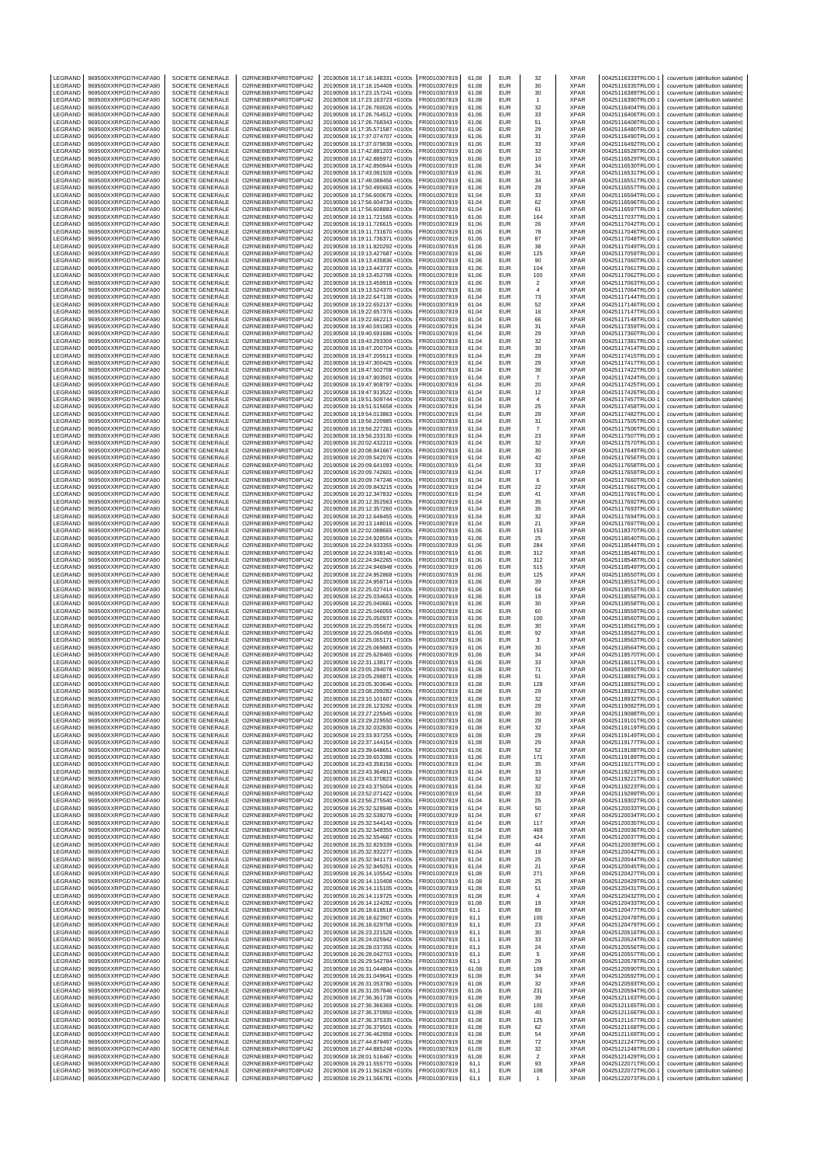| LEGRAND            | 969500XXRPGD7HCAFA90                         | SOCIETE GENERALE                            | O2RNE8IBXP4R0TD8PU42                         | 20190508 16:17:18.148331 +0100s                                    | FR0010307819                 | 61.08          | EUR                      | 32                           | <b>XPAR</b>                | 00425116333TRLO0-1                       | couverture (attribution salariée)                                      |
|--------------------|----------------------------------------------|---------------------------------------------|----------------------------------------------|--------------------------------------------------------------------|------------------------------|----------------|--------------------------|------------------------------|----------------------------|------------------------------------------|------------------------------------------------------------------------|
| LEGRAND<br>LEGRAND | 969500XXRPGD7HCAFA90<br>969500XXRPGD7HCAFA90 | SOCIETE GENERALE<br>SOCIETE GENERALE        | O2RNE8IBXP4R0TD8PU42<br>O2RNE8IBXP4R0TD8PU42 | 20190508 16:17:18.154409 +0100s<br>20190508 16:17:23.157241 +0100s | FR0010307819<br>R0010307819  | 61.08<br>61.08 | <b>FUR</b><br>EUR        | 30<br>30                     | <b>XPAR</b><br>XPAR        | 00425116335TRLO0-1<br>00425116389TRLO0-1 | couverture (attribution salariée)<br>couverture (attribution salariée) |
| LEGRAND            | 969500XXRPGD7HCAFA90                         | SOCIETE GENERALE                            | O2RNE8IBXP4R0TD8PU42                         | 20190508 16:17:23.163723 +0100s                                    | FR0010307819                 | 61,08          | <b>EUR</b>               | $\overline{1}$               | <b>XPAR</b>                | 00425116390TRLO0-1                       | couverture (attribution salariée)                                      |
| LEGRAND            | 969500XXRPGD7HCAFA90                         | SOCIETE GENERALE                            | O2RNE8IBXP4R0TD8PU42                         | 20190508 16:17:26.760026 +0100s                                    | FR0010307819                 | 61.06          | <b>EUR</b>               | 32                           | <b>XPAR</b>                | 00425116404TRLO0-1                       | couverture (attribution salariée)                                      |
| LEGRAND            | 969500XXRPGD7HCAFA90                         | SOCIETE GENERALE                            | O2RNE8IBXP4R0TD8PU42                         | 20190508 16:17:26.764512 +0100s                                    | FR0010307819                 | 61,06          | EUR                      | 33                           | XPAR                       | 00425116406TRLO0-1                       | couverture (attribution salariée)                                      |
| LEGRAND            | 969500XXRPGD7HCAFA90                         | SOCIETE GENERALE                            | O2RNE8IBXP4R0TD8PU42                         | 20190508 16:17:26.768343 +0100s                                    | FR0010307819                 | 61.06          | EUR                      | 51                           | <b>XPAR</b>                | 00425116408TRLO0-1                       | couverture (attribution salariée)                                      |
| LEGRAND<br>LEGRAND | 969500XXRPGD7HCAFA90<br>969500XXRPGD7HCAFA90 | SOCIETE GENERALE<br>SOCIETE GENERALE        | O2RNE8IBXP4R0TD8PU42<br>O2RNE8IBXP4R0TD8PU42 | 20190508 16:17:35.571587 +0100s<br>20190508 16:17:37.074707 +0100s | R0010307819<br>FR0010307819  | 61,06<br>61.06 | EUR<br>EUR               | 29<br>31                     | XPAR<br><b>XPAR</b>        | 00425116480TRLO0-1<br>00425116490TRLO0-  | couverture (attribution salariée)<br>couverture (attribution salariée) |
| LEGRAND            | 969500XXRPGD7HCAFA90                         | SOCIETE GENERALE                            | O2RNE8IBXP4R0TD8PU42                         | 20190508 16:17:37.079838 +0100s                                    | R0010307819                  | 61,06          | EUR                      | 33                           | XPAR                       | 00425116492TRLO0-                        | couverture (attribution salariée)                                      |
| LEGRAND            | 969500XXRPGD7HCAFA90                         | SOCIETE GENERALE                            | O2RNE8IBXP4R0TD8PU42                         | 20190508 16:17:42.881203 +0100s                                    | FR0010307819                 | 61.06          | <b>EUR</b>               | 32                           | <b>XPAR</b>                | 00425116528TRLO0-1                       | couverture (attribution salariée)                                      |
| LEGRAND            | 969500XXRPGD7HCAFA90                         | SOCIETE GENERALE                            | O2RNE8IBXP4R0TD8PU42                         | 20190508 16:17:42.885972 +0100s                                    | R0010307819                  | 61,06          | EUR                      | 10                           | XPAR                       | 00425116529TRLO0-1                       | couverture (attribution salariée)                                      |
| LEGRAND            | 969500XXRPGD7HCAFA90                         | SOCIETE GENERALE                            | O2RNE8IBXP4R0TD8PU42                         | 20190508 16:17:42.890944 +0100s                                    | FR0010307819                 | 61.06          | EUR                      | 34                           | <b>XPAR</b>                | 00425116530TRLO0-                        | couverture (attribution salariée)                                      |
| LEGRAND<br>LEGRAND | 969500XXRPGD7HCAFA90<br>969500XXRPGD7HCAFA90 | SOCIETE GENERALE<br>SOCIETE GENERALE        | O2RNE8IBXP4R0TD8PU42<br>O2RNE8IBXP4R0TD8PU42 | 20190508 16:17:43.081928 +0100s<br>20190508 16:17:48.088456 +0100s | R0010307819<br>FR0010307819  | 61,06<br>61.06 | EUR<br>EUR               | 31<br>34                     | XPAR<br><b>XPAR</b>        | 00425116531TRLO0-1<br>00425116551TRLO0-1 | couverture (attribution salariée)<br>couverture (attribution salariée) |
| LEGRAND            | 969500XXRPGD7HCAFA90                         | SOCIETE GENERALE                            | O2RNE8IBXP4R0TD8PU42                         | 20190508 16:17:50.490663 +0100s                                    | FR0010307819                 | 61,06          | EUR                      | 29                           | XPAR                       | 00425116557TRLO0-1                       | couverture (attribution salariée)                                      |
| LEGRAND            | 969500XXRPGD7HCAFA90                         | SOCIETE GENERALE                            | O2RNE8IBXP4R0TD8PU42                         | 20190508 16:17:56.600679 +0100s                                    | FR0010307819                 | 61,04          | EUR                      | 33                           | <b>XPAR</b>                | 00425116594TRLO0-1                       | couverture (attribution salariée)                                      |
| LEGRAND            | 969500XXRPGD7HCAFA90                         | SOCIETE GENERALE                            | O2RNE8IBXP4R0TD8PU42                         | 20190508 16:17:56.604734 +0100s                                    | R0010307819                  | 61,04          | EUR                      | 62                           | XPAR                       | 00425116596TRLO0-1                       | couverture (attribution salariée)                                      |
| LEGRAND<br>LEGRAND | 969500XXRPGD7HCAFA90<br>969500XXRPGD7HCAFA90 | SOCIETE GENERALE<br>SOCIETE GENERALE        | O2RNE8IBXP4R0TD8PU42<br>O2RNE8IBXP4R0TD8PU42 | 20190508 16:17:56.608883 +0100s<br>20190508 16:19:11.721565 +0100s | FR0010307819<br>FR0010307819 | 61,04<br>61,06 | EUR<br>EUR               | 61<br>164                    | <b>XPAR</b><br>XPAR        | 00425116597TRLO0-1<br>00425117037TRLO0-1 | couverture (attribution salariée)<br>couverture (attribution salariée) |
| LEGRAND            | 969500XXRPGD7HCAFA90                         | SOCIETE GENERALE                            | O2RNE8IBXP4R0TD8PU42                         | 20190508 16:19:11.726615 +0100s                                    | FR0010307819                 | 61,06          | <b>EUR</b>               | 26                           | XPAR                       | 00425117042TRLO0-1                       | couverture (attribution salariée)                                      |
| <b>FGRAND</b>      | 969500XXRPGD7HCAFA90                         | SOCIETE GENERALE                            | O2RNE8IBXP4R0TD8PU42                         | 20190508 16:19:11.731670 +0100s                                    | R0010307819                  | 61,06          | EUR                      | 78                           | <b>XPAR</b>                | 00425117046TRLO0-1                       | couverture (attribution salariée)                                      |
| LEGRAND            | 969500XXRPGD7HCAFA90                         | SOCIETE GENERALE                            | O2RNE8IBXP4R0TD8PU42                         | 20190508 16:19:11.736371 +0100s                                    | FR0010307819                 | 61,06          | <b>EUR</b>               | 87                           | <b>XPAR</b>                | 00425117048TRLO0-1                       | couverture (attribution salariée)                                      |
| LEGRAND<br>LEGRAND | 969500XXRPGD7HCAFA90<br>969500XXRPGD7HCAFA90 | SOCIETE GENERALE<br>SOCIETE GENERALE        | O2RNE8IBXP4R0TD8PU42<br>O2RNE8IBXP4R0TD8PU42 | 20190508 16:19:11.820292 +0100s<br>20190508 16:19:13.427687 +0100s | FR0010307819<br>FR0010307819 | 61,06<br>61,06 | EUR<br>EUR               | 38<br>125                    | XPAR<br><b>XPAR</b>        | 00425117049TRLO0-1<br>00425117059TRLO0-1 | couverture (attribution salariée)<br>couverture (attribution salariée) |
| LEGRAND            | 969500XXRPGD7HCAFA90                         | SOCIETE GENERALE                            | O2RNE8IBXP4R0TD8PU42                         | 20190508 16:19:13.435836 +0100s                                    | R0010307819                  | 61,06          | EUR                      | 90                           | XPAR                       | 00425117060TRLO0-1                       | couverture (attribution salariée)                                      |
| LEGRAND            | 969500XXRPGD7HCAFA90                         | SOCIETE GENERALE                            | O2RNE8IBXP4R0TD8PU42                         | 20190508 16:19:13.443737 +0100s                                    | FR0010307819                 | 61,06          | EUR                      | 104                          | <b>XPAR</b>                | 00425117061TRLO0-1                       | couverture (attribution salariée)                                      |
| LEGRAND            | 969500XXRPGD7HCAFA90                         | SOCIETE GENERALE                            | O2RNE8IBXP4R0TD8PU42                         | 20190508 16:19:13 452799 +0100s                                    | FR0010307819                 | 61.06          | <b>EUR</b>               | 100                          | <b>XPAR</b>                | 00425117062TRLO0-1                       | couverture (attribution salariée)                                      |
| LEGRAND<br>LEGRAND | 969500XXRPGD7HCAFA90<br>969500XXRPGD7HCAFA90 | SOCIETE GENERALE<br>SOCIETE GENERALE        | O2RNE8IBXP4R0TD8PU42<br>O2RNE8IBXP4R0TD8PU42 | 20190508 16:19:13.459918 +0100s<br>20190508 16:19:13.524370 +0100s | R0010307819<br>FR0010307819  | 61,06<br>61.06 | EUR<br>EUR               | $\sqrt{2}$<br>$\overline{4}$ | XPAR<br><b>XPAR</b>        | 00425117063TRLO0-1<br>00425117064TRLO0-  | couverture (attribution salariée)<br>couverture (attribution salariée) |
| LEGRAND            | 969500XXRPGD7HCAFA90                         | SOCIETE GENERALE                            | O2RNE8IBXP4R0TD8PU42                         | 20190508 16:19:22.647138 +0100s                                    | FR0010307819                 | 61,04          | EUR                      | 73                           | XPAR                       | 00425117144TRLO0-1                       | couverture (attribution salariée)                                      |
| LEGRAND            | 969500XXRPGD7HCAFA90                         | SOCIETE GENERALE                            | O2RNE8IBXP4R0TD8PU42                         | 20190508 16:19:22.652137 +0100s                                    | FR0010307819                 | 61.04          | EUR                      | 52                           | <b>XPAR</b>                | 00425117146TRLO0-1                       | couverture (attribution salariée)                                      |
| LEGRAND            | 969500XXRPGD7HCAFA90                         | SOCIETE GENERALE                            | O2RNE8IBXP4R0TD8PU42                         | 20190508 16:19:22.657376 +0100s                                    | R0010307819                  | 61,04          | EUR                      | 16                           | XPAR                       | 00425117147TRLO0-1                       | couverture (attribution salariée)                                      |
| LEGRAND<br>LEGRAND | 969500XXRPGD7HCAFA90<br>969500XXRPGD7HCAFA90 | SOCIETE GENERALE<br>SOCIETE GENERALE        | O2RNE8IBXP4R0TD8PU42<br>O2RNE8IBXP4R0TD8PU42 | 20190508 16:19:22.662213 +0100s<br>20190508 16:19:40.591083 +0100s | FR0010307819<br>R0010307819  | 61.04<br>61,04 | EUR<br>EUR               | 66<br>31                     | <b>XPAR</b><br>XPAR        | 00425117148TRLO0-1<br>00425117359TRLO0-  | couverture (attribution salariée)<br>couverture (attribution salariée) |
| LEGRAND            | 969500XXRPGD7HCAFA90                         | <b>SOCIETE GENERALE</b>                     | O2RNE8IBXP4R0TD8PU42                         | 20190508 16:19:40.691686 +0100s                                    | FR0010307819                 | 61.04          | <b>EUR</b>               | 29                           | <b>XPAR</b>                | 00425117360TRLO0-1                       | couverture (attribution salariée)                                      |
| LEGRAND            | 969500XXRPGD7HCAFA90                         | SOCIETE GENERALE                            | O2RNE8IBXP4R0TD8PU42                         | 20190508 16:19:43.293309 +0100s                                    | R0010307819                  | 61,04          | EUR                      | 32                           | XPAR                       | 00425117381TRLO0-1                       | couverture (attribution salariée)                                      |
| LEGRAND            | 969500XXRPGD7HCAFA90                         | SOCIETE GENERALE                            | O2RNE8IBXP4R0TD8PU42                         | 20190508 16:19:47.200704 +0100s                                    | FR0010307819                 | 61.04          | <b>EUR</b>               | 30                           | <b>XPAR</b>                | 00425117414TRLO0-1                       | couverture (attribution salariée)                                      |
| LEGRAND<br>LEGRAND | 969500XXRPGD7HCAFA90<br>969500XXRPGD7HCAFA90 | SOCIETE GENERALE<br><b>SOCIETE GENERALE</b> | O2RNE8IBXP4R0TD8PU42<br>O2RNE8IBXP4R0TD8PU42 | 20190508 16:19:47.205513 +0100s<br>20190508 16:19:47.300425 +0100s | FR0010307819<br>FR0010307819 | 61,04<br>61,04 | EUR<br>EUR               | 29<br>29                     | XPAR<br><b>XPAR</b>        | 00425117415TRLO0-1<br>00425117417TRLO0-1 | couverture (attribution salariée)                                      |
| LEGRAND            | 969500XXRPGD7HCAFA90                         | SOCIETE GENERALE                            | O2RNE8IBXP4R0TD8PU42                         | 20190508 16:19:47.502708 +0100s                                    | FR0010307819                 | 61,04          | EUR                      | 36                           | XPAR                       | 00425117422TRLO0-1                       | couverture (attribution salariée)<br>couverture (attribution salariée) |
| LEGRAND            | 969500XXRPGD7HCAFA90                         | SOCIETE GENERALE                            | O2RNE8IBXP4R0TD8PU42                         | 20190508 16:19:47.903501 +0100s                                    | FR0010307819                 | 61,04          | EUR                      | $\overline{7}$               | <b>XPAR</b>                | 00425117424TRLO0-1                       | couverture (attribution salariée)                                      |
| LEGRAND            | 969500XXRPGD7HCAFA90                         | SOCIETE GENERALE                            | O2RNE8IBXP4R0TD8PU42                         | 20190508 16:19:47.908797 +0100s                                    | R0010307819                  | 61,04          | EUR                      | 20                           | XPAR                       | 00425117425TRLO0-1                       | couverture (attribution salariée)                                      |
| LEGRAND<br>LEGRAND | 969500XXRPGD7HCAFA90<br>969500XXRPGD7HCAFA90 | <b>SOCIETE GENERALE</b><br>SOCIETE GENERALE | O2RNE8IBXP4R0TD8PU42<br>O2RNE8IBXP4R0TD8PU42 | 20190508 16:19:47.913522 +0100s<br>20190508 16:19:51.509744 +0100s | FR0010307819<br>R0010307819  | 61,04<br>61,04 | EUR<br>EUR               | 12<br>$\sqrt{4}$             | <b>XPAR</b><br>XPAR        | 00425117426TRLO0-<br>00425117457TRLO0-1  | couverture (attribution salariée)<br>couverture (attribution salariée) |
| LEGRAND            | 969500XXRPGD7HCAFA90                         | SOCIETE GENERALE                            | O2RNE8IBXP4R0TD8PU42                         | 20190508 16:19:51.515658 +0100s                                    | FR0010307819                 | 61,04          | <b>EUR</b>               | 25                           | <b>XPAR</b>                | 00425117458TRLO0-1                       | couverture (attribution salariée)                                      |
| LEGRAND            | 969500XXRPGD7HCAFA90                         | SOCIETE GENERALE                            | O2RNE8IBXP4R0TD8PU42                         | 20190508 16:19:54.013863 +0100s                                    | R0010307819                  | 61,04          | EUR                      | 29                           | <b>XPAR</b>                | 00425117482TRLO0-1                       | couverture (attribution salariée)                                      |
| LEGRAND            | 969500XXRPGD7HCAFA90                         | <b>SOCIETE GENERALE</b>                     | O2RNE8IBXP4R0TD8PU42                         | 20190508 16:19:56.220985 +0100s                                    | FR0010307819                 | 61,04          | EUR                      | 31                           | <b>XPAR</b>                | 00425117505TRLO0-1                       | couverture (attribution salariée)                                      |
| LEGRAND            | 969500XXRPGD7HCAFA90                         | SOCIETE GENERALE                            | O2RNE8IBXP4R0TD8PU42                         | 20190508 16:19:56.227261 +0100s                                    | FR0010307819                 | 61,04          | EUR                      | $\overline{7}$               | <b>XPAR</b>                | 00425117506TRLO0-1                       | couverture (attribution salariée)                                      |
| LEGRAND<br>LEGRAND | 969500XXRPGD7HCAFA90<br>969500XXRPGD7HCAFA90 | SOCIETE GENERALE<br>SOCIETE GENERALE        | O2RNE8IBXP4R0TD8PU42<br>O2RNE8IBXP4R0TD8PU42 | 20190508 16:19:56.233130 +0100s<br>20190508 16:20:02.432210 +0100s | FR0010307819<br>R0010307819  | 61,04<br>61,04 | EUR<br><b>EUR</b>        | 23<br>32                     | <b>XPAR</b><br>XPAR        | 00425117507TRLO0-1<br>00425117570TRLO0-1 | couverture (attribution salariée)<br>couverture (attribution salariée) |
| LEGRAND            | 969500XXRPGD7HCAFA90                         | SOCIETE GENERALE                            | O2RNE8IBXP4R0TD8PU42                         | 20190508 16:20:08.841667 +0100s                                    | R0010307819                  | 61,04          | EUR                      | 30                           | XPAR                       | 00425117649TRLO0-1                       | couverture (attribution salariée)                                      |
| LEGRAND            | 969500XXRPGD7HCAFA90                         | <b>SOCIETE GENERALE</b>                     | O2RNE8IBXP4R0TD8PU42                         | 20190508 16:20:09.542076 +0100s                                    | FR0010307819                 | 61.04          | <b>EUR</b>               | 42                           | <b>XPAR</b>                | 00425117656TRLO0-1                       | couverture (attribution salariée)                                      |
| LEGRAND            | 969500XXRPGD7HCAFA90                         | SOCIETE GENERALE                            | O2RNE8IBXP4R0TD8PU42                         | 20190508 16:20:09.641093 +0100s                                    | R0010307819                  | 61,04          | <b>EUR</b>               | 33                           | XPAR                       | 00425117658TRLO0-1                       | couverture (attribution salariée)                                      |
| LEGRAND<br>LEGRAND | 969500XXRPGD7HCAFA90<br>969500XXRPGD7HCAFA90 | SOCIETE GENERALE<br>SOCIETE GENERALE        | O2RNE8IBXP4R0TD8PU42<br>O2RNE8IBXP4R0TD8PU42 | 20190508 16:20:09.742601 +0100s<br>20190508 16:20:09.747246 +0100s | FR0010307819<br>FR0010307819 | 61.04<br>61,04 | EUR<br>EUR               | $17\,$<br>6                  | <b>XPAR</b><br>XPAR        | 00425117659TRLO0-<br>00425117660TRLO0-1  | couverture (attribution salariée)<br>couverture (attribution salariée) |
| LEGRAND            | 969500XXRPGD7HCAFA90                         | <b>SOCIETE GENERALE</b>                     | O2RNE8IBXP4R0TD8PU42                         | 20190508 16:20:09.843215 +0100s                                    | FR0010307819                 | 61.04          | EUR                      | 22                           | <b>XPAR</b>                | 00425117661TRLO0-1                       | couverture (attribution salariée)                                      |
| LEGRAND            | 969500XXRPGD7HCAFA90                         | SOCIETE GENERALE                            | O2RNE8IBXP4R0TD8PU42                         | 20190508 16:20:12.347832 +0100s                                    | R0010307819                  | 61,04          | EUR                      | 41                           | XPAR                       | 00425117691TRLO0-1                       | couverture (attribution salariée)                                      |
| LEGRAND            | 969500XXRPGD7HCAFA90                         | SOCIETE GENERALE                            | O2RNE8IBXP4R0TD8PU42                         | 20190508 16:20:12.352563 +0100s                                    | FR0010307819                 | 61.04          | EUR                      | 35                           | <b>XPAR</b>                | 00425117692TRLO0-1                       | couverture (attribution salariée)                                      |
| LEGRAND<br>LEGRAND | 969500XXRPGD7HCAFA90<br>969500XXRPGD7HCAFA90 | SOCIETE GENERALE<br><b>SOCIETE GENERALE</b> | O2RNE8IBXP4R0TD8PU42<br>O2RNE8IBXP4R0TD8PU42 | 20190508 16:20:12.357260 +0100s<br>20190508 16:20:12.648455 +0100s | FR0010307819<br>FR0010307819 | 61,04<br>61.04 | EUR<br><b>EUR</b>        | 35<br>32                     | XPAR<br><b>XPAR</b>        | 00425117693TRLO0-<br>00425117694TRLO0-1  | couverture (attribution salariée)<br>couverture (attribution salariée) |
| LEGRAND            | 969500XXRPGD7HCAFA90                         | SOCIETE GENERALE                            | O2RNE8IBXP4R0TD8PU42                         | 20190508 16:20:13.148016 +0100s                                    | R0010307819                  | 61,04          | <b>EUR</b>               | 21                           | XPAR                       | 00425117697TRLO0-1                       | couverture (attribution salariée)                                      |
| LEGRAND            | 969500XXRPGD7HCAFA90                         | SOCIETE GENERALE                            | O2RNE8IBXP4R0TD8PU42                         | 20190508 16:22:02.088665 +0100s                                    | FR0010307819                 | 61.06          | <b>EUR</b>               | 153                          | <b>XPAR</b>                | 00425118370TRLO0-1                       | couverture (attribution salariée)                                      |
| LEGRAND            | 969500XXRPGD7HCAFA90                         | SOCIETE GENERALE                            | O2RNE8IBXP4R0TD8PU42                         | 20190508 16:22:24.928554 +0100s                                    | FR0010307819                 | 61,06          | EUR                      | 25                           | <b>XPAR</b>                | 00425118540TRLO0-1                       | couverture (attribution salariée)                                      |
| LEGRAND            | 969500XXRPGD7HCAFA90                         | SOCIETE GENERALE                            | O2RNE8IBXP4R0TD8PU42                         | 20190508 16:22:24.933355 +0100s                                    | FR0010307819                 | 61,06          | EUR                      | 284                          | <b>XPAR</b>                | 00425118544TRLO0-                        | couverture (attribution salariée)                                      |
| LEGRAND<br>LEGRAND | 969500XXRPGD7HCAFA90<br>969500XXRPGD7HCAFA90 | SOCIETE GENERALE<br>SOCIETE GENERALE        | O2RNE8IBXP4R0TD8PU42<br>O2RNE8IBXP4R0TD8PU42 | 20190508 16:22:24.938140 +0100s<br>20190508 16:22:24.942265 +0100s | FR0010307819<br>FR0010307819 | 61,06<br>61,06 | EUR<br>EUR               | 312<br>312                   | XPAR<br><b>XPAR</b>        | 00425118546TRLO0-1<br>00425118548TRLO0-1 | couverture (attribution salariée)<br>couverture (attribution salariée) |
| LEGRAND            | 969500XXRPGD7HCAFA90                         | SOCIETE GENERALE                            | O2RNE8IBXP4R0TD8PU42                         | 20190508 16:22:24.946948 +0100s                                    | R0010307819                  | 61,06          | EUR                      | 515                          | XPAR                       | 00425118549TRLO0-1                       | couverture (attribution salariée)                                      |
| LEGRAND            | 969500XXRPGD7HCAFA90                         | SOCIETE GENERALE                            | O2RNE8IBXP4R0TD8PU42                         | 20190508 16:22:24.952868 +0100s                                    | FR0010307819                 | 61,06          | EUR                      | 125                          | <b>XPAR</b>                | 00425118550TRLO0-                        | couverture (attribution salariée)                                      |
| LEGRAND<br>LEGRAND | 969500XXRPGD7HCAFA90<br>969500XXRPGD7HCAFA90 | SOCIETE GENERALE<br>SOCIETE GENERALE        | O2RNE8IBXP4R0TD8PU42<br>O2RNE8IBXP4R0TD8PU42 | 20190508 16:22:24.958714 +0100s<br>20190508 16:22:25.027414 +0100s | R0010307819<br>FR0010307819  | 61,06<br>61,06 | EUR<br>EUR               | 39<br>64                     | XPAR<br><b>XPAR</b>        | 00425118551TRLO0-1<br>00425118553TRLO0-1 | couverture (attribution salariée)<br>couverture (attribution salariée) |
| LEGRAND            | 969500XXRPGD7HCAFA90                         | SOCIETE GENERALE                            | O2RNE8IBXP4R0TD8PU42                         | 20190508 16:22:25.034653 +0100s                                    | R0010307819                  | 61,06          | EUR                      | 19                           | <b>XPAR</b>                | 00425118556TRLO0-1                       | couverture (attribution salariée)                                      |
| LEGRAND            | 969500XXRPGD7HCAFA90                         | SOCIETE GENERALE                            | O2RNE8IBXP4R0TD8PU42                         | 20190508 16:22:25.040661 +0100s                                    | FR0010307819                 | 61,06          | EUR                      | 30                           | <b>XPAR</b>                | 00425118558TRLO0-                        | couverture (attribution salariée)                                      |
| LEGRAND            | 969500XXRPGD7HCAFA90                         | SOCIETE GENERALE                            | O2RNE8IBXP4R0TD8PU42                         | 20190508 16:22:25.046055 +0100s                                    | FR0010307819                 | 61,06          | EUR                      | 60                           | XPAR                       | 00425118559TRLO0-1                       | couverture (attribution salariée)                                      |
| LEGRAND<br>LEGRAND | 969500XXRPGD7HCAFA90<br>969500XXRPGD7HCAFA90 | SOCIETE GENERALE<br>SOCIETE GENERALE        | O2RNE8IBXP4R0TD8PU42<br>O2RNE8IBXP4R0TD8PU42 | 20190508 16:22:25.050937 +0100s<br>20190508 16:22:25.055672 +0100s | FR0010307819<br>FR0010307819 | 61,06<br>61.06 | EUR<br>EUR               | 100<br>30                    | <b>XPAR</b><br><b>XPAR</b> | 00425118560TRLO0-1<br>00425118561TRLO0-  | couverture (attribution salariée)                                      |
| LEGRAND            | 969500XXRPGD7HCAFA90                         | SOCIETE GENERALE                            | O2RNE8IBXP4R0TD8PU42                         | 20190508 16:22:25.060459 +0100s                                    | FR0010307819                 | 61,06          | EUR                      | 92                           | XPAR                       | 00425118562TRLO0-                        | couverture (attribution salariée)<br>couverture (attribution salariée) |
| LEGRAND            | 969500XXRPGD7HCAFA90                         | <b>SOCIETE GENERALE</b>                     | O2RNE8IBXP4R0TD8PU42                         | 20190508 16:22:25.065171 +0100s                                    | FR0010307819                 | 61.06          | <b>EUR</b>               | 3                            | <b>XPAR</b>                | 00425118563TRLO0-1                       | couverture (attribution salariée)                                      |
| LEGRAND            | 969500XXRPGD7HCAFA90                         | SOCIETE GENERALE                            | O2RNE8IBXP4R0TD8PU42                         | 20190508 16:22:25.069883 +0100s                                    | R0010307819                  | 61,06          | EUR                      | 30                           | XPAR                       | 00425118564TRLO0-1                       | couverture (attribution salariée)                                      |
| LEGRAND<br>LEGRAND | 969500XXRPGD7HCAFA90<br>969500XXRPGD7HCAFA90 | SOCIETE GENERALE<br>SOCIETE GENERALE        | O2RNE8IBXP4R0TD8PU42<br>O2RNE8IBXP4R0TD8PU42 | 20190508 16:22:25.628465 +0100s<br>20190508 16:22:31.138177 +0100s | FR0010307819<br>FR0010307819 | 61.06<br>61,06 | EUR<br>EUR               | 34<br>33                     | <b>XPAR</b><br>XPAR        | 00425118570TRLO0-1<br>00425118611TRLO0-1 | couverture (attribution salariée)<br>couverture (attribution salariée) |
| LEGRAND            | 969500XXRPGD7HCAFA90                         | SOCIETE GENERALE                            | O2RNE8IBXP4R0TD8PU42                         | 20190508 16:23:05.294078 +0100s                                    | FR0010307819                 | 61.08          | EUR                      | 71                           | <b>XPAR</b>                | 00425118890TRLO0-1                       | couverture (attribution salariée)                                      |
| LEGRAND            | 969500XXRPGD7HCAFA90                         | SOCIETE GENERALE                            | O2RNE8IBXP4R0TD8PU42                         | 20190508 16:23:05.298871 +0100s                                    | FR0010307819                 | 61,08          | EUR                      | 51                           | XPAR                       | 00425118891TRLO0-1                       | couverture (attribution salariée)                                      |
| LEGRAND            | 969500XXRPGD7HCAFA90                         | SOCIETE GENERALE                            | O2RNE8IBXP4R0TD8PU42                         | 20190508 16:23:05.303646 +0100s                                    | FR0010307819                 | 61.08          | <b>EUR</b>               | 128                          | <b>XPAR</b>                | 00425118892TRLO0-1                       | couverture (attribution salariée)                                      |
| LEGRAND<br>LEGRAND | 969500XXRPGD7HCAFA90<br>969500XXRPGD7HCAFA90 | SOCIETE GENERALE<br>SOCIETE GENERALE        | O2RNE8IBXP4R0TD8PU42<br>O2RNE8IBXP4R0TD8PU42 | 20190508 16:23:08.299282 +0100s<br>20190508 16:23:10.101607 +0100s | FR0010307819<br>FR0010307819 | 61,08<br>61.08 | EUR<br>EUR               | 29<br>32                     | <b>XPAR</b><br><b>XPAR</b> | 00425118922TRLO0-1<br>00425118932TRLO0-1 | couverture (attribution salariée)<br>couverture (attribution salariée) |
| LEGRAND            | 969500XXRPGD7HCAFA90                         | SOCIETE GENERALE                            | O2RNE8IBXP4R0TD8PU42                         | 20190508 16:23:26.123292 +0100s                                    | FR0010307819                 | 61,08          | EUR                      |                              |                            | 00425119082TRLO0-1                       |                                                                        |
| LEGRAND            | 969500XXRPGD7HCAFA90                         | SOCIETE GENERALE                            | O2RNE8IBXP4R0TD8PU42                         | 20190508 16:23:27.225945 +0100s                                    | FR0010307819                 |                |                          |                              |                            |                                          |                                                                        |
| LEGRAND            | 969500XXRPGD7HCAFA90                         | SOCIETE GENERALE                            | O2RNE8IBXP4R0TD8PU42                         | 20190508 16:23:29.229550 +0100s                                    |                              | 61.08          | <b>FUR</b>               | 29<br>30                     | XPAR<br><b>XPAR</b>        | 00425119088TRLO0-1                       | couverture (attribution salariée)<br>couverture (attribution salariée) |
| LEGRAND<br>LEGRAND | 969500XXRPGD7HCAFA90<br>969500XXRPGD7HCAFA90 | SOCIETE GENERALE                            | O2RNE8IBXP4R0TD8PU42                         |                                                                    | FR0010307819                 | 61.08          | <b>EUR</b>               | 29                           | <b>XPAR</b>                | 00425119101TRLO0-1                       | couverture (attribution salariée)                                      |
| LEGRAND            | 969500XXRPGD7HCAFA90                         |                                             |                                              | 20190508 16:23:32.032830 +0100s                                    | FR0010307819                 | 61,08          | <b>EUR</b>               | 32                           | <b>XPAR</b>                | 00425119119TRLO0-1                       | couverture (attribution salariée)                                      |
| LEGRAND            | 969500XXRPGD7HCAFA90                         | SOCIETE GENERALE<br>SOCIETE GENERALE        | O2RNE8IBXP4R0TD8PU42<br>O2RNE8IBXP4R0TD8PU42 | 20190508 16:23:33.937255 +0100s<br>20190508 16:23:37.144154 +0100s | FR0010307819<br>FR0010307819 | 61,08<br>61,08 | <b>EUR</b><br><b>FUR</b> | 29<br>29                     | <b>XPAR</b><br><b>XPAR</b> | 00425119149TRLO0-1<br>00425119177TRLO0-1 | couverture (attribution salariée)<br>couverture (attribution salariée) |
| LEGRAND            |                                              | SOCIETE GENERALE                            | O2RNE8IBXP4R0TD8PU42                         | 20190508 16:23:39.648651 +0100s                                    | FR0010307819                 | 61,06          | <b>EUR</b>               | 52                           | <b>XPAR</b>                | 00425119188TRLO0-1                       | couverture (attribution salariée)                                      |
| LEGRAND<br>LEGRAND | 969500XXRPGD7HCAFA90                         | SOCIETE GENERALE                            | O2RNE8IBXP4R0TD8PU42                         | 20190508 16:23:39.653386 +0100s                                    | FR0010307819                 | 61,06          | <b>EUR</b>               | 171                          | <b>XPAR</b>                | 00425119189TRLO0-1                       | couverture (attribution salariée)                                      |
|                    | 969500XXRPGD7HCAFA90<br>969500XXRPGD7HCAFA90 | SOCIETE GENERALE<br>SOCIETE GENERALE        | O2RNE8IBXP4R0TD8PU42<br>O2RNE8IBXP4R0TD8PU42 | 20190508 16:23:43.358156 +0100s<br>20190508 16:23:43.364912 +0100s | FR0010307819<br>FR0010307819 | 61,04<br>61.04 | <b>EUR</b><br><b>FUR</b> | 35<br>33                     | XPAR<br><b>XPAR</b>        | 00425119217TRLO0-1<br>00425119219TRLO0-1 | couverture (attribution salariée)                                      |
| LEGRAND            | 969500XXRPGD7HCAFA90                         | SOCIETE GENERALE                            | O2RNE8IBXP4R0TD8PU42                         | 20190508 16:23:43.370823 +0100s                                    | FR0010307819                 | 61,04          | <b>EUR</b>               | 32                           | <b>XPAR</b>                | 00425119221TRLO0-1                       | couverture (attribution salariée)<br>couverture (attribution salariée) |
| LEGRAND            | 969500XXRPGD7HCAFA90                         | <b>SOCIETE GENERALE</b>                     | O2RNE8IBXP4R0TD8PU42                         | 20190508 16:23:43.375004 +0100s                                    | FR0010307819                 | 61,04          | <b>EUR</b>               | 32                           | <b>XPAR</b>                | 00425119223TRLO0-1                       | couverture (attribution salariée)                                      |
| LEGRAND            | 969500XXRPGD7HCAFA90                         | SOCIETE GENERALE                            | O2RNE8IBXP4R0TD8PU42                         | 20190508 16:23:52.071422 +0100s                                    | FR0010307819                 | 61,04          | <b>EUR</b>               | 33                           | <b>XPAR</b>                | 00425119289TRLO0-1                       | couverture (attribution salariée)                                      |
| LEGRAND<br>LEGRAND | 969500XXRPGD7HCAFA90<br>969500XXRPGD7HCAFA90 | SOCIETE GENERALE<br>SOCIETE GENERALE        | O2RNE8IBXP4R0TD8PU42<br>O2RNE8IBXP4R0TD8PU42 | 20190508 16:23:56.275540 +0100s<br>20190508 16:25:32.528948 +0100s | FR0010307819<br>FR0010307819 | 61,04<br>61.04 | EUR<br><b>EUR</b>        | 25<br>50                     | <b>XPAR</b><br><b>XPAR</b> | 00425119302TRLO0-1<br>00425120033TRLO0-1 | couverture (attribution salariée)<br>couverture (attribution salariée) |
| LEGRAND            | 969500XXRPGD7HCAFA90                         | SOCIETE GENERALE                            | O2RNE8IBXP4R0TD8PU42                         | 20190508 16:25:32.538279 +0100s                                    | FR0010307819                 | 61,04          | EUR                      | 67                           | <b>XPAR</b>                | 00425120034TRLO0-1                       | couverture (attribution salariée)                                      |
| LEGRAND            | 969500XXRPGD7HCAFA90                         | SOCIETE GENERALE                            | O2RNE8IBXP4R0TD8PU42                         | 20190508 16:25:32 544143 +0100s                                    | FR0010307819                 | 61.04          | <b>EUR</b>               | 117                          | <b>XPAR</b>                | 00425120035TRLO0-1                       | couverture (attribution salariée)                                      |
| LEGRAND<br>LEGRAND | 969500XXRPGD7HCAFA90<br>969500XXRPGD7HCAFA90 | SOCIETE GENERALE<br>SOCIETE GENERALE        | O2RNE8IBXP4R0TD8PU42<br>O2RNE8IBXP4R0TD8PU42 | 20190508 16:25:32.549355 +0100s<br>20190508 16:25:32.554667 +0100s | FR0010307819<br>FR0010307819 | 61,04<br>61.04 | EUR<br>EUR               | 469<br>424                   | <b>XPAR</b><br><b>XPAR</b> | 00425120036TRLO0-1<br>00425120037TRLO0-1 | couverture (attribution salariée)                                      |
| LEGRAND            | 969500XXRPGD7HCAFA90                         | SOCIETE GENERALE                            | O2RNE8IBXP4R0TD8PU42                         | 20190508 16:25:32.829339 +0100s                                    | FR0010307819                 | 61,04          | EUR                      | 44                           | <b>XPAR</b>                | 00425120039TRLO0-1                       | couverture (attribution salariée)<br>couverture (attribution salariée) |
| LEGRAND            | 969500XXRPGD7HCAFA90                         | SOCIETE GENERALE                            | O2RNE8IBXP4R0TD8PU42                         | 20190508 16:25:32.932277 +0100s                                    | FR0010307819                 | 61.04          | <b>EUR</b>               | 19                           | <b>XPAR</b>                | 00425120042TRLO0-1                       | couverture (attribution salariée)                                      |
| LEGRAND            | 969500XXRPGD7HCAFA90                         | SOCIETE GENERALE                            | O2RNE8IBXP4R0TD8PU42                         | 20190508 16:25:32.941173 +0100s                                    | FR0010307819                 | 61,04          | EUR                      | 25                           | <b>XPAR</b>                | 00425120044TRLO0-1                       | couverture (attribution salariée)                                      |
| LEGRAND<br>LEGRAND | 969500XXRPGD7HCAFA90<br>969500XXRPGD7HCAFA90 | SOCIETE GENERALE<br>SOCIETE GENERALE        | O2RNE8IBXP4R0TD8PU42<br>O2RNE8IBXP4R0TD8PU42 | 20190508 16:25:32.949251 +0100s<br>20190508 16:26:14.105542 +0100s | FR0010307819<br>FR0010307819 | 61.04<br>61,08 | <b>EUR</b><br>EUR        | 21<br>271                    | <b>XPAR</b><br><b>XPAR</b> | 00425120045TRLO0-1<br>00425120427TRLO0-1 | couverture (attribution salariée)                                      |
| LEGRAND            | 969500XXRPGD7HCAFA90                         | SOCIETE GENERALE                            | O2RNE8IBXP4R0TD8PU42                         | 20190508 16:26:14.110408 +0100s                                    | FR0010307819                 | 61,08          | <b>EUR</b>               | 25                           | <b>XPAR</b>                | 00425120429TRLO0-1                       | couverture (attribution salariée)<br>couverture (attribution salariée) |
| LEGRAND            | 969500XXRPGD7HCAFA90                         | SOCIETE GENERALE                            | O2RNE8IBXP4R0TD8PU42                         | 20190508 16:26:14.115105 +0100s                                    | FR0010307819                 | 61,08          | <b>EUR</b>               | 51                           | <b>XPAR</b>                | 00425120431TRLO0-1                       | couverture (attribution salariée)                                      |
| LEGRAND            | 969500XXRPGD7HCAFA90                         | SOCIETE GENERALE                            | O2RNE8IBXP4R0TD8PU42                         | 20190508 16:26:14.119725 +0100s                                    | FR0010307819                 | 61.08          | <b>EUR</b>               | $\overline{4}$               | <b>XPAR</b>                | 00425120432TRLO0-1                       | couverture (attribution salariée)                                      |
| LEGRAND<br>LEGRAND | 969500XXRPGD7HCAFA90<br>969500XXRPGD7HCAFA90 | SOCIETE GENERALE<br>SOCIETE GENERALE        | O2RNE8IBXP4R0TD8PU42<br>O2RNE8IBXP4R0TD8PU42 | 20190508 16:26:14.124282 +0100s<br>20190508 16:26:18.618518 +0100s | FR0010307819<br>FR0010307819 | 61,08<br>61,1  | <b>EUR</b><br><b>EUR</b> | 19<br>89                     | <b>XPAR</b><br><b>XPAR</b> | 00425120433TRLO0-1<br>00425120477TRLO0-1 | couverture (attribution salariée)<br>couverture (attribution salariée) |
| LEGRAND            | 969500XXRPGD7HCAFA90                         | SOCIETE GENERALE                            | O2RNE8IBXP4R0TD8PU42                         | 20190508 16:26:18.623907 +0100s                                    | FR0010307819                 | 61,1           | <b>EUR</b>               | 100                          | <b>XPAR</b>                | 00425120478TRLO0-1                       | couverture (attribution salariée)                                      |
| LEGRAND            | 969500XXRPGD7HCAFA90                         | SOCIETE GENERALE                            | O2RNE8IBXP4R0TD8PU42                         | 20190508 16:26:18.629758 +0100s                                    | FR0010307819                 | 61,1           | <b>EUR</b>               | 23                           | <b>XPAR</b>                | 00425120479TRLO0-1                       | couverture (attribution salariée)                                      |
| LEGRAND<br>LEGRAND | 969500XXRPGD7HCAFA90<br>969500XXRPGD7HCAFA90 | SOCIETE GENERALE<br>SOCIETE GENERALE        | O2RNE8IBXP4R0TD8PU42<br>O2RNE8IBXP4R0TD8PU42 | 20190508 16:26:23.221528 +0100s                                    | FR0010307819<br>FR0010307819 | 61,1<br>61,1   | <b>EUR</b><br><b>EUR</b> | 30<br>33                     | <b>XPAR</b><br><b>XPAR</b> | 00425120516TRLO0-1<br>00425120524TRLO0-1 | couverture (attribution salariée)                                      |
| LEGRAND            | 969500XXRPGD7HCAFA90                         | SOCIETE GENERALE                            | O2RNE8IBXP4R0TD8PU42                         | 20190508 16:26:24.025942 +0100s<br>20190508 16:26:28.037355 +0100s | FR0010307819                 | 61,1           | <b>EUR</b>               | 24                           | XPAR                       | 00425120556TRLO0-1                       | couverture (attribution salariée)<br>couverture (attribution salariée) |
| LEGRAND            | 969500XXRPGD7HCAFA90                         | SOCIETE GENERALE                            | O2RNE8IBXP4R0TD8PU42                         | 20190508 16:26:28.042703 +0100s                                    | FR0010307819                 | 61,1           | <b>FUR</b>               | 5                            | <b>XPAR</b>                | 00425120557TRLO0-1                       | couverture (attribution salariée)                                      |
| LEGRAND            | 969500XXRPGD7HCAFA90                         | SOCIETE GENERALE                            | O2RNE8IBXP4R0TD8PU42                         | 20190508 16:26:29.542784 +0100s                                    | FR0010307819                 | 61,1           | <b>EUR</b>               | 29                           | <b>XPAR</b>                | 00425120578TRLO0-1                       | couverture (attribution salariée)                                      |
| LEGRAND<br>LEGRAND | 969500XXRPGD7HCAFA90<br>969500XXRPGD7HCAFA90 | SOCIETE GENERALE                            | O2RNE8IBXP4R0TD8PU42                         | 20190508 16:26:31.044804 +0100s<br>20190508 16:26:31.049641 +0100s | FR0010307819<br>FR0010307819 | 61,08<br>61.08 | EUR<br><b>EUR</b>        | 109<br>34                    | <b>XPAR</b>                | 00425120590TRLO0-1                       | couverture (attribution salariée)                                      |
| LEGRAND            | 969500XXRPGD7HCAFA90                         | SOCIETE GENERALE<br>SOCIETE GENERALE        | O2RNE8IBXP4R0TD8PU42<br>O2RNE8IBXP4R0TD8PU42 | 20190508 16:26:31.053780 +0100s                                    | FR0010307819                 | 61,08          | EUR                      | 32                           | <b>XPAR</b><br><b>XPAR</b> | 00425120592TRLO0-1<br>00425120593TRLO0-1 | couverture (attribution salariée)<br>couverture (attribution salariée) |
| LEGRAND            | 969500XXRPGD7HCAFA90                         | SOCIETE GENERALE                            | O2RNE8IBXP4R0TD8PU42                         | 20190508 16:26:31.057846 +0100s                                    | FR0010307819                 | 61.06          | <b>EUR</b>               | 231                          | <b>XPAR</b>                | 00425120594TRLO0-1                       | couverture (attribution salariée)                                      |
| LEGRAND            | 969500XXRPGD7HCAFA90                         | SOCIETE GENERALE                            | O2RNE8IBXP4R0TD8PU42                         | 20190508 16:27:36.361738 +0100s                                    | FR0010307819                 | 61,08          | EUR                      | 39                           | <b>XPAR</b>                | 00425121163TRLO0-1                       | couverture (attribution salariée)                                      |
| LEGRAND            | 969500XXRPGD7HCAFA90                         | SOCIETE GENERALE                            | O2RNE8IBXP4R0TD8PU42                         | 20190508 16:27:36.366369 +0100s                                    | FR0010307819                 | 61.08          | <b>EUR</b>               | 100                          | <b>XPAR</b>                | 00425121165TRLO0-1                       | couverture (attribution salariée)                                      |
| LEGRAND<br>LEGRAND | 969500XXRPGD7HCAFA90<br>969500XXRPGD7HCAFA90 | SOCIETE GENERALE<br>SOCIETE GENERALE        | O2RNE8IBXP4R0TD8PU42<br>O2RNE8IBXP4R0TD8PU42 | 20190508 16:27:36.370950 +0100s<br>20190508 16:27:36.375335 +0100s | FR0010307819<br>FR0010307819 | 61,08<br>61.08 | EUR<br>EUR               | 40<br>125                    | <b>XPAR</b><br><b>XPAR</b> | 00425121166TRLO0-1<br>00425121167TRLO0-1 | couverture (attribution salariée)<br>couverture (attribution salariée) |
| LEGRAND            | 969500XXRPGD7HCAFA90                         | SOCIETE GENERALE                            | O2RNE8IBXP4R0TD8PU42                         | 20190508 16:27:36.379501 +0100s                                    | FR0010307819                 | 61,08          | EUR                      | 62                           | <b>XPAR</b>                | 00425121168TRLO0-1                       | couverture (attribution salariée)                                      |
| LEGRAND            | 969500XXRPGD7HCAFA90                         | SOCIETE GENERALE                            | O2RNE8IBXP4R0TD8PU42                         | 20190508 16:27:36.462958 +0100s                                    | FR0010307819                 | 61.08          | <b>EUR</b>               | 54                           | <b>XPAR</b>                | 00425121169TRLO0-1                       | couverture (attribution salariée)                                      |
| LEGRAND<br>LEGRAND | 969500XXRPGD7HCAFA90<br>969500XXRPGD7HCAFA90 | SOCIETE GENERALE<br>SOCIETE GENERALE        | O2RNE8IBXP4R0TD8PU42<br>O2RNE8IBXP4R0TD8PU42 | 20190508 16:27:44.879497 +0100s<br>20190508 16:27:44.885248 +0100s | FR0010307819<br>FR0010307819 | 61,08<br>61.08 | EUR<br><b>EUR</b>        | 72<br>32                     | <b>XPAR</b><br><b>XPAR</b> | 00425121247TRLO0-1<br>00425121248TRLO0-1 | couverture (attribution salariée)<br>couverture (attribution salariée) |
| LEGRAND            | 969500XXRPGD7HCAFA90                         | SOCIETE GENERALE                            | O2RNE8IBXP4R0TD8PU42                         | 20190508 16:28:01.516467 +0100s                                    | R0010307819                  | 61,08          | <b>EUR</b>               | $\sqrt{2}$                   | <b>XPAR</b>                | 00425121429TRLO0-1                       | couverture (attribution salariée)                                      |
| LEGRAND            | 969500XXRPGD7HCAFA90                         | SOCIETE GENERALE                            | O2RNE8IBXP4R0TD8PU42                         | 20190508 16:29:11.555770 +0100s                                    | FR0010307819                 | 61,1           | <b>EUR</b>               | 93                           | <b>XPAR</b>                | 00425122071TRLO0-1                       | couverture (attribution salariée)                                      |
| LEGRAND<br>LEGRAND | 969500XXRPGD7HCAFA90<br>969500XXRPGD7HCAFA90 | SOCIETE GENERALE<br>SOCIETE GENERALE        | O2RNE8IBXP4R0TD8PU42<br>O2RNE8IBXP4R0TD8PU42 | 20190508 16:29:11.561828 +0100s<br>20190508 16:29:11.566781 +0100s | FR0010307819<br>FR0010307819 | 61,1<br>61,1   | <b>EUR</b><br>EUR        | 108<br>$\overline{1}$        | <b>XPAR</b><br><b>XPAR</b> | 00425122072TRLO0-1<br>00425122073TRLO0-1 | couverture (attribution salariée)<br>couverture (attribution salariée) |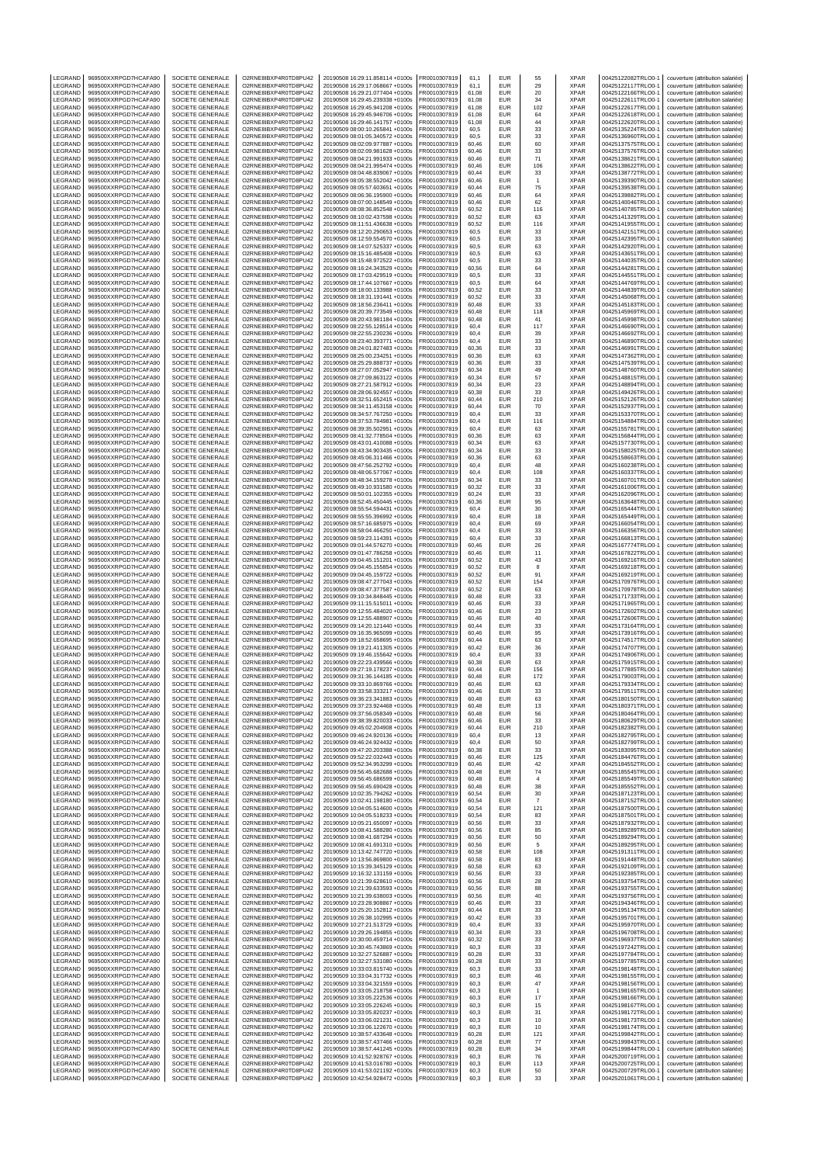| LEGRAND            | 969500XXRPGD7HCAFA90                         | SOCIETE GENERALE                            | O2RNE8IBXP4R0TD8PU42                         | 20190508 16:29:11.858114 +0100s                                    | FR0010307819                 | 61,1           | EUR                      | 55               | <b>XPAR</b>                | 00425122082TRLO0-1                       | couverture (attribution salariée)                                      |
|--------------------|----------------------------------------------|---------------------------------------------|----------------------------------------------|--------------------------------------------------------------------|------------------------------|----------------|--------------------------|------------------|----------------------------|------------------------------------------|------------------------------------------------------------------------|
| LEGRAND<br>LEGRAND | 969500XXRPGD7HCAFA90<br>969500XXRPGD7HCAFA90 | SOCIETE GENERALE<br>SOCIETE GENERALE        | O2RNE8IBXP4R0TD8PU42<br>O2RNE8IBXP4R0TD8PU42 | 20190508 16:29:17.068667 +0100s<br>20190508 16:29:21.077404 +0100s | FR0010307819<br>R0010307819  | 61.1<br>61,08  | <b>FUR</b><br>EUR        | 29<br>20         | <b>XPAR</b><br>XPAR        | 00425122117TRLO0-1<br>00425122166TRLO0-1 | couverture (attribution salariée)<br>couverture (attribution salariée) |
| LEGRAND            | 969500XXRPGD7HCAFA90                         | SOCIETE GENERALE                            | O2RNE8IBXP4R0TD8PU42                         | 20190508 16:29:45.239338 +0100s                                    | FR0010307819                 | 61,08          | <b>EUR</b>               | 34               | <b>XPAR</b>                | 00425122611TRLO0-1                       | couverture (attribution salariée)                                      |
| LEGRAND            | 969500XXRPGD7HCAFA90                         | <b>SOCIETE GENERALE</b>                     | O2RNE8IBXP4R0TD8PU42                         | 20190508 16:29:45.941208 +0100s                                    | FR0010307819                 | 61.08          | <b>EUR</b>               | 102              | <b>XPAR</b>                | 00425122617TRLO0-1                       | couverture (attribution salariée)                                      |
| LEGRAND            | 969500XXRPGD7HCAFA90                         | SOCIETE GENERALE                            | O2RNE8IBXP4R0TD8PU42                         | 20190508 16:29:45.946706 +0100s                                    | FR0010307819                 | 61,08          | EUR                      | 64               | XPAR                       | 00425122618TRLO0-1                       | couverture (attribution salariée)                                      |
| LEGRAND            | 969500XXRPGD7HCAFA90                         | <b>SOCIETE GENERALE</b>                     | O2RNE8IBXP4R0TD8PU42                         | 20190508 16:29:46.141757 +0100s                                    | FR0010307819                 | 61.08          | EUR                      | 44               | <b>XPAR</b>                | 00425122620TRLO0-1                       | couverture (attribution salariée)                                      |
| LEGRAND<br>LEGRAND | 969500XXRPGD7HCAFA90<br>969500XXRPGD7HCAFA90 | SOCIETE GENERALE<br>SOCIETE GENERALE        | O2RNE8IBXP4R0TD8PU42<br>O2RNE8IBXP4R0TD8PU42 | 20190509 08:00:10.265841 +0100s<br>20190509 08:01:05.340572 +0100s | FR0010307819<br>FR0010307819 | 60,5<br>60.5   | EUR<br>EUR               | 33<br>33         | XPAR<br><b>XPAR</b>        | 00425135224TRLO0-1<br>00425136960TRLO0-  | couverture (attribution salariée)<br>couverture (attribution salariée) |
| LEGRAND            | 969500XXRPGD7HCAFA90                         | SOCIETE GENERALE                            | O2RNE8IBXP4R0TD8PU42                         | 20190509 08:02:09.977887 +0100s                                    | R0010307819                  | 60,46          | EUR                      | 60               | XPAR                       | 00425137575TRLO0-                        | couverture (attribution salariée)                                      |
| LEGRAND            | 969500XXRPGD7HCAFA90                         | <b>SOCIETE GENERALE</b>                     | O2RNE8IBXP4R0TD8PU42                         | 20190509 08:02:09.981628 +0100s                                    | FR0010307819                 | 60.46          | EUR                      | 33               | <b>XPAR</b>                | 00425137576TRLO0-1                       | couverture (attribution salariée)                                      |
| LEGRAND<br>LEGRAND | 969500XXRPGD7HCAFA90<br>969500XXRPGD7HCAFA90 | SOCIETE GENERALE<br>SOCIETE GENERALE        | O2RNE8IBXP4R0TD8PU42<br>O2RNE8IBXP4R0TD8PU42 | 20190509 08:04:21.991933 +0100s<br>20190509 08:04:21.995474 +0100s | R0010307819<br>FR0010307819  | 60,46<br>60.46 | EUR<br>EUR               | 71<br>106        | XPAR<br><b>XPAR</b>        | 00425138621TRLO0-1<br>00425138622TRLO0-  | couverture (attribution salariée)<br>couverture (attribution salariée) |
| LEGRAND            | 969500XXRPGD7HCAFA90                         | SOCIETE GENERALE                            | O2RNE8IBXP4R0TD8PU42                         | 20190509 08:04:48.839067 +0100s                                    | FR0010307819                 | 60,44          | EUR                      | 33               | XPAR                       | 00425138772TRLO0-1                       | couverture (attribution salariée)                                      |
| LEGRAND            | 969500XXRPGD7HCAFA90                         | SOCIETE GENERALE                            | O2RNE8IBXP4R0TD8PU42                         | 20190509 08:05:38.552042 +0100s                                    | FR0010307819                 | 60.46          | EUR                      | $\overline{1}$   | <b>XPAR</b>                | 00425139390TRLO0-1                       | couverture (attribution salariée)                                      |
| LEGRAND            | 969500XXRPGD7HCAFA90                         | SOCIETE GENERALE                            | O2RNE8IBXP4R0TD8PU42                         | 20190509 08:05:57.603651 +0100s                                    | FR0010307819                 | 60,44          | EUR                      | 75               | XPAR                       | 00425139538TRLO0-1                       | couverture (attribution salariée)                                      |
| LEGRAND            | 969500XXRPGD7HCAFA90                         | SOCIETE GENERALE                            | O2RNE8IBXP4R0TD8PU42                         | 20190509 08:06:36.195900 +0100s                                    | FR0010307819                 | 60,46          | EUR                      | 64               | <b>XPAR</b>                | 00425139882TRLO0-1                       | couverture (attribution salariée)                                      |
| LEGRAND<br>LEGRAND | 969500XXRPGD7HCAFA90<br>969500XXRPGD7HCAFA90 | SOCIETE GENERALE<br><b>SOCIETE GENERALE</b> | O2RNE8IBXP4R0TD8PU42<br>O2RNE8IBXP4R0TD8PU42 | 20190509 08:07:00.148549 +0100s<br>20190509 08:08:36.852548 +0100s | R0010307819<br>FR0010307819  | 60,46<br>60,52 | EUR<br>EUR               | 62<br>116        | XPAR<br><b>XPAR</b>        | 00425140046TRLO0-1<br>00425140785TRLO0-  | couverture (attribution salariée)<br>couverture (attribution salariée) |
| LEGRAND            | 969500XXRPGD7HCAFA90                         | SOCIETE GENERALE                            | O2RNE8IBXP4R0TD8PU42                         | 20190509 08:10:02.437598 +0100s                                    | FR0010307819                 | 60,52          | EUR                      | 63               | XPAR                       | 00425141329TRLO0-1                       | couverture (attribution salariée)                                      |
| LEGRAND            | 969500XXRPGD7HCAFA90                         | SOCIETE GENERALE                            | O2RNE8IBXP4R0TD8PU42                         | 20190509 08:11:51.436638 +0100s                                    | FR0010307819                 | 60,52          | <b>EUR</b>               | 116              | XPAR                       | 00425141955TRLO0-1                       | couverture (attribution salariée)                                      |
| <b>FGRAND</b>      | 969500XXRPGD7HCAFA90                         | SOCIETE GENERALE                            | O2RNE8IBXP4R0TD8PU42                         | 20190509 08:12:20.290653 +0100s                                    | R0010307819                  | 60,5           | EUR                      | 33               | <b>XPAR</b>                | 00425142151TRLO0-1                       | couverture (attribution salariée)                                      |
| LEGRAND<br>LEGRAND | 969500XXRPGD7HCAFA90<br>969500XXRPGD7HCAFA90 | SOCIETE GENERALE<br>SOCIETE GENERALE        | O2RNE8IBXP4R0TD8PU42<br>O2RNE8IBXP4R0TD8PU42 | 20190509 08:12:59.554570 +0100s<br>20190509 08:14:07.525337 +0100s | FR0010307819<br>FR0010307819 | 60,5<br>60,5   | <b>EUR</b><br>EUR        | 33<br>63         | <b>XPAR</b><br>XPAR        | 00425142395TRLO0-1<br>00425142920TRLO0-1 | couverture (attribution salariée)<br>couverture (attribution salariée) |
| LEGRAND            | 969500XXRPGD7HCAFA90                         | SOCIETE GENERALE                            | O2RNE8IBXP4R0TD8PU42                         | 20190509 08:15:16.485408 +0100s                                    | FR0010307819                 | 60,5           | EUR                      | 63               | <b>XPAR</b>                | 00425143651TRLO0-1                       | couverture (attribution salariée)                                      |
| LEGRAND            | 969500XXRPGD7HCAFA90                         | SOCIETE GENERALE                            | O2RNE8IBXP4R0TD8PU42                         | 20190509 08:15:48.972522 +0100s                                    | R0010307819                  | 60,5           | EUR                      | 33               | XPAR                       | 00425144035TRLO0-                        | couverture (attribution salariée)                                      |
| LEGRAND            | 969500XXRPGD7HCAFA90                         | SOCIETE GENERALE                            | O2RNE8IBXP4R0TD8PU42                         | 20190509 08:16:24.343529 +0100s                                    | FR0010307819                 | 60,56          | EUR                      | 64               | XPAR                       | 00425144281TRLO0-1                       | couverture (attribution salariée)                                      |
| LEGRAND<br>LEGRAND | 969500XXRPGD7HCAFA90<br>969500XXRPGD7HCAFA90 | SOCIETE GENERALE<br>SOCIETE GENERALE        | O2RNE8IBXP4R0TD8PU42<br>O2RNE8IBXP4R0TD8PU42 | 20190509 08:17:03.429519 +0100s<br>20190509 08:17:44.107667 +0100s | FR0010307819<br>R0010307819  | 60.5<br>60,5   | <b>EUR</b><br>EUR        | 33<br>64         | <b>XPAR</b><br>XPAR        | 00425144551TRLO0-<br>00425144769TRLO0-1  | couverture (attribution salariée)<br>couverture (attribution salariée) |
| LEGRAND            | 969500XXRPGD7HCAFA90                         | SOCIETE GENERALE                            | O2RNE8IBXP4R0TD8PU42                         | 20190509 08:18:00.133988 +0100s                                    | FR0010307819                 | 60.52          | EUR                      | 33               | <b>XPAR</b>                | 00425144839TRLO0-                        | couverture (attribution salariée)                                      |
| LEGRAND            | 969500XXRPGD7HCAFA90                         | SOCIETE GENERALE                            | O2RNE8IBXP4R0TD8PU42                         | 20190509 08:18:31.191441 +0100s                                    | FR0010307819                 | 60,52          | EUR                      | 33               | XPAR                       | 00425145068TRLO0-                        | couverture (attribution salariée)                                      |
| LEGRAND            | 969500XXRPGD7HCAFA90                         | <b>SOCIETE GENERALE</b>                     | O2RNE8IBXP4R0TD8PU42                         | 20190509 08:18:56.236411 +0100s                                    | FR0010307819                 | 60.48          | EUR                      | 33               | <b>XPAR</b>                | 00425145183TRLO0-1                       | couverture (attribution salariée)                                      |
| LEGRAND<br>LEGRAND | 969500XXRPGD7HCAFA90<br>969500XXRPGD7HCAFA90 | SOCIETE GENERALE<br>SOCIETE GENERALE        | O2RNE8IBXP4R0TD8PU42<br>O2RNE8IBXP4R0TD8PU42 | 20190509 08:20:39.773549 +0100s<br>20190509 08:20:43.981184 +0100s | R0010307819<br>FR0010307819  | 60,48<br>60.48 | EUR<br>EUR               | 118<br>41        | XPAR<br><b>XPAR</b>        | 00425145969TRLO0-1<br>00425145998TRLO0-  | couverture (attribution salariée)<br>couverture (attribution salariée) |
| LEGRAND            | 969500XXRPGD7HCAFA90                         | SOCIETE GENERALE                            | O2RNE8IBXP4R0TD8PU42                         | 20190509 08:22:55.128514 +0100s                                    | FR0010307819                 | 60,4           | EUR                      | 117              | XPAR                       | 00425146690TRLO0-                        | couverture (attribution salariée)                                      |
| LEGRAND            | 969500XXRPGD7HCAFA90                         | <b>SOCIETE GENERALE</b>                     | O2RNE8IBXP4R0TD8PU42                         | 20190509 08:22:55.230236 +0100s                                    | FR0010307819                 | 60.4           | <b>EUR</b>               | 39               | <b>XPAR</b>                | 00425146692TRLO0-1                       | couverture (attribution salariée)                                      |
| LEGRAND            | 969500XXRPGD7HCAFA90                         | SOCIETE GENERALE                            | O2RNE8IBXP4R0TD8PU42                         | 20190509 08:23:40.393771 +0100s                                    | R0010307819                  | 60,4           | EUR                      | 33               | XPAR                       | 00425146890TRLO0-1                       | couverture (attribution salariée)                                      |
| LEGRAND<br>LEGRAND | 969500XXRPGD7HCAFA90<br>969500XXRPGD7HCAFA90 | SOCIETE GENERALE<br>SOCIETE GENERALE        | O2RNE8IBXP4R0TD8PU42<br>O2RNE8IBXP4R0TD8PU42 | 20190509 08:24:01.827483 +0100s<br>20190509 08:25:00.234251 +0100s | FR0010307819<br>FR0010307819 | 60.36<br>60,36 | EUR<br>EUR               | 33<br>63         | <b>XPAR</b><br>XPAR        | 00425146991TRLO0-<br>00425147362TRLO0-1  | couverture (attribution salariée)<br>couverture (attribution salariée) |
| LEGRAND            | 969500XXRPGD7HCAFA90                         | <b>SOCIETE GENERALE</b>                     | O2RNE8IBXP4R0TD8PU42                         | 20190509 08:25:29.888737 +0100s                                    | FR0010307819                 | 60,36          | EUR                      | 33               | <b>XPAR</b>                | 00425147539TRLO0-1                       | couverture (attribution salariée)                                      |
| LEGRAND            | 969500XXRPGD7HCAFA90                         | SOCIETE GENERALE                            | O2RNE8IBXP4R0TD8PU42                         | 20190509 08:27:07.052947 +0100s                                    | FR0010307819                 | 60,34          | EUR                      | 49               | XPAR                       | 00425148760TRLO0-1                       | couverture (attribution salariée)                                      |
| LEGRAND            | 969500XXRPGD7HCAFA90                         | SOCIETE GENERALE                            | O2RNE8IBXP4R0TD8PU42                         | 20190509 08:27:09.863122 +0100s                                    | FR0010307819                 | 60,34          | EUR                      | 57               | <b>XPAR</b>                | 00425148815TRLO0-1                       | couverture (attribution salariée)                                      |
| LEGRAND<br>LEGRAND | 969500XXRPGD7HCAFA90<br>969500XXRPGD7HCAFA90 | SOCIETE GENERALE<br><b>SOCIETE GENERALE</b> | O2RNE8IBXP4R0TD8PU42<br>O2RNE8IBXP4R0TD8PU42 | 20190509 08:27:21.587912 +0100s<br>20190509 08:28:06.924557 +0100s | R0010307819<br>FR0010307819  | 60,34<br>60,38 | EUR<br>EUR               | 23<br>33         | XPAR<br><b>XPAR</b>        | 00425148894TRLO0-1<br>00425149426TRLO0-  | couverture (attribution salariée)<br>couverture (attribution salariée) |
| LEGRAND            | 969500XXRPGD7HCAFA90                         | SOCIETE GENERALE                            | O2RNE8IBXP4R0TD8PU42                         | 20190509 08:32:51.652415 +0100s                                    | FR0010307819                 | 60,44          | EUR                      | 210              | XPAR                       | 00425152126TRLO0-1                       | couverture (attribution salariée)                                      |
| LEGRAND            | 969500XXRPGD7HCAFA90                         | SOCIETE GENERALE                            | O2RNE8IBXP4R0TD8PU42                         | 20190509 08:34:11.453158 +0100s                                    | FR0010307819                 | 60,44          | <b>EUR</b>               | 70               | <b>XPAR</b>                | 00425152937TRLO0-1                       | couverture (attribution salariée)                                      |
| LEGRAND            | 969500XXRPGD7HCAFA90                         | SOCIETE GENERALE                            | O2RNE8IBXP4R0TD8PU42                         | 20190509 08:34:57.767250 +0100s                                    | R0010307819                  | 60,4           | EUR                      | 33               | <b>XPAR</b>                | 00425153370TRLO0-1                       | couverture (attribution salariée)                                      |
| LEGRAND            | 969500XXRPGD7HCAFA90<br>969500XXRPGD7HCAFA90 | SOCIETE GENERALE                            | O2RNE8IBXP4R0TD8PU42<br>O2RNE8IBXP4R0TD8PU42 | 20190509 08:37:53.784981 +0100s                                    | FR0010307819                 | 60,4           | <b>EUR</b><br>EUR        | 116              | <b>XPAR</b>                | 00425154884TRLO0-1                       | couverture (attribution salariée)                                      |
| LEGRAND<br>LEGRAND | 969500XXRPGD7HCAFA90                         | SOCIETE GENERALE<br>SOCIETE GENERALE        | O2RNE8IBXP4R0TD8PU42                         | 20190509 08:39:35.502951 +0100s<br>20190509 08:41:32.778504 +0100s | FR0010307819<br>FR0010307819 | 60,4<br>60,36  | EUR                      | 63<br>63         | XPAR<br><b>XPAR</b>        | 00425155781TRLO0-1<br>00425156844TRLO0-1 | couverture (attribution salariée)<br>couverture (attribution salariée) |
| LEGRAND            | 969500XXRPGD7HCAFA90                         | SOCIETE GENERALE                            | O2RNE8IBXP4R0TD8PU42                         | 20190509 08:43:01.410088 +0100s                                    | R0010307819                  | 60,34          | EUR                      | 63               | XPAR                       | 00425157730TRLO0-1                       | couverture (attribution salariée)                                      |
| LEGRAND            | 969500XXRPGD7HCAFA90                         | SOCIETE GENERALE                            | O2RNE8IBXP4R0TD8PU42                         | 20190509 08:43:34.903435 +0100s                                    | R0010307819                  | 60,34          | EUR                      | 33               | XPAR                       | 00425158025TRLO0-1                       | couverture (attribution salariée)                                      |
| LEGRAND            | 969500XXRPGD7HCAFA90                         | <b>SOCIETE GENERALE</b>                     | O2RNE8IBXP4R0TD8PU42                         | 20190509 08:45:06.311466 +0100s                                    | FR0010307819                 | 60.36          | <b>EUR</b>               | 63               | <b>XPAR</b>                | 00425158663TRLO0-1                       | couverture (attribution salariée)                                      |
| LEGRAND<br>LEGRAND | 969500XXRPGD7HCAFA90<br>969500XXRPGD7HCAFA90 | SOCIETE GENERALE<br>SOCIETE GENERALE        | O2RNE8IBXP4R0TD8PU42<br>O2RNE8IBXP4R0TD8PU42 | 20190509 08:47:56.252792 +0100s<br>20190509 08:48:06.577067 +0100s | R0010307819<br>FR0010307819  | 60,4<br>60.4   | EUR<br>EUR               | 48<br>108        | XPAR<br><b>XPAR</b>        | 00425160238TRLO0-1<br>00425160337TRLO0-1 | couverture (attribution salariée)<br>couverture (attribution salariée) |
| LEGRAND            | 969500XXRPGD7HCAFA90                         | SOCIETE GENERALE                            | O2RNE8IBXP4R0TD8PU42                         | 20190509 08:48:34.159278 +0100s                                    | FR0010307819                 | 60,34          | EUR                      | 33               | XPAR                       | 00425160701TRLO0-1                       | couverture (attribution salariée)                                      |
| LEGRAND            | 969500XXRPGD7HCAFA90                         | <b>SOCIETE GENERALE</b>                     | O2RNE8IBXP4R0TD8PU42                         | 20190509 08:49:10.931580 +0100s                                    | FR0010307819                 | 60.32          | EUR                      | 33               | <b>XPAR</b>                | 00425161006TRLO0-1                       | couverture (attribution salariée)                                      |
| LEGRAND            | 969500XXRPGD7HCAFA90                         | SOCIETE GENERALE                            | O2RNE8IBXP4R0TD8PU42                         | 20190509 08:50:01.102355 +0100s                                    | FR0010307819                 | 60,24          | EUR                      | 33               | XPAR                       | 00425162096TRLO0-1                       | couverture (attribution salariée)                                      |
| LEGRAND<br>LEGRAND | 969500XXRPGD7HCAFA90<br>969500XXRPGD7HCAFA90 | SOCIETE GENERALE<br>SOCIETE GENERALE        | O2RNE8IBXP4R0TD8PU42<br>O2RNE8IBXP4R0TD8PU42 | 20190509 08:52:45.450445 +0100s<br>20190509 08:55:54.594431 +0100s | FR0010307819<br>FR0010307819 | 60.36<br>60,4  | EUR<br>EUR               | 95<br>30         | <b>XPAR</b><br>XPAR        | 00425163648TRLO0-1<br>00425165444TRLO0-  | couverture (attribution salariée)<br>couverture (attribution salariée) |
| LEGRAND            | 969500XXRPGD7HCAFA90                         | <b>SOCIETE GENERALE</b>                     | O2RNE8IBXP4R0TD8PU42                         | 20190509 08:55:55.396992 +0100s                                    | FR0010307819                 | 60.4           | <b>EUR</b>               | 18               | <b>XPAR</b>                | 00425165449TRLO0-1                       | couverture (attribution salariée)                                      |
| LEGRAND            | 969500XXRPGD7HCAFA90                         | SOCIETE GENERALE                            | O2RNE8IBXP4R0TD8PU42                         | 20190509 08:57:16.685975 +0100s                                    | R0010307819                  | 60,4           | EUR                      | 69               | XPAR                       | 00425166054TRLO0-1                       | couverture (attribution salariée)                                      |
| LEGRAND            | 969500XXRPGD7HCAFA90                         | SOCIETE GENERALE                            | O2RNE8IBXP4R0TD8PU42                         | 20190509 08:58:04.466250 +0100s                                    | FR0010307819                 | 60,4           | <b>EUR</b>               | 33               | <b>XPAR</b>                | 00425166356TRLO0-1                       | couverture (attribution salariée)                                      |
| LEGRAND<br>LEGRAND | 969500XXRPGD7HCAFA90<br>969500XXRPGD7HCAFA90 | SOCIETE GENERALE<br>SOCIETE GENERALE        | O2RNE8IBXP4R0TD8PU42<br>O2RNE8IBXP4R0TD8PU42 | 20190509 08:59:23.114391 +0100s<br>20190509 09:01:44.576270 +0100s | R0010307819<br>FR0010307819  | 60,4<br>60,46  | EUR<br><b>EUR</b>        | 33               | <b>XPAR</b><br><b>XPAR</b> | 00425166813TRLO0-1<br>00425167774TRLO0-  | couverture (attribution salariée)                                      |
| LEGRAND            | 969500XXRPGD7HCAFA90                         | SOCIETE GENERALE                            | O2RNE8IBXP4R0TD8PU42                         | 20190509 09:01:47.786258 +0100s                                    | FR0010307819                 | 60,46          | EUR                      | 26<br>11         | XPAR                       | 00425167822TRLO0-1                       | couverture (attribution salariée)<br>couverture (attribution salariée) |
| LEGRAND            | 969500XXRPGD7HCAFA90                         | SOCIETE GENERALE                            | O2RNE8IBXP4R0TD8PU42                         | 20190509 09:04:45.151201 +0100s                                    | FR0010307819                 | 60,52          | EUR                      | 43               | <b>XPAR</b>                | 00425169216TRLO0-1                       | couverture (attribution salariée)                                      |
| LEGRAND            | 969500XXRPGD7HCAFA90                         | SOCIETE GENERALE                            | O2RNE8IBXP4R0TD8PU42                         | 20190509 09:04:45.155854 +0100s                                    | R0010307819                  | 60,52          | EUR                      | 8                | XPAR                       | 00425169218TRLO0-1                       | couverture (attribution salariée)                                      |
| LEGRAND<br>LEGRAND | 969500XXRPGD7HCAFA90<br>969500XXRPGD7HCAFA90 | SOCIETE GENERALE<br>SOCIETE GENERALE        | O2RNE8IBXP4R0TD8PU42<br>O2RNE8IBXP4R0TD8PU42 | 20190509 09:04:45.159722 +0100s<br>20190509 09:08:47.277043 +0100s | FR0010307819<br>R0010307819  | 60,52<br>60,52 | EUR<br>EUR               | 91<br>154        | <b>XPAR</b><br>XPAR        | 00425169219TRLO0-<br>00425170976TRLO0-1  | couverture (attribution salariée)<br>couverture (attribution salariée) |
| LEGRAND            | 969500XXRPGD7HCAFA90                         | SOCIETE GENERALE                            | O2RNE8IBXP4R0TD8PU42                         | 20190509 09:08:47.377587 +0100s                                    | FR0010307819                 | 60,52          | EUR                      | 63               | <b>XPAR</b>                | 00425170978TRLO0-1                       | couverture (attribution salariée)                                      |
| LEGRAND            | 969500XXRPGD7HCAFA90                         | SOCIETE GENERALE                            | O2RNE8IBXP4R0TD8PU42                         | 20190509 09:10:34.848445 +0100s                                    | R0010307819                  | 60,48          | EUR                      | 33               | <b>XPAR</b>                | 00425171733TRLO0-1                       | couverture (attribution salariée)                                      |
| LEGRAND            | 969500XXRPGD7HCAFA90                         | SOCIETE GENERALE                            | O2RNE8IBXP4R0TD8PU42                         | 20190509 09:11:15.515011 +0100s                                    | FR0010307819                 | 60,46          | EUR                      | 33               | <b>XPAR</b>                | 00425171965TRLO0-                        | couverture (attribution salariée)                                      |
| LEGRAND<br>LEGRAND | 969500XXRPGD7HCAFA90<br>969500XXRPGD7HCAFA90 | SOCIETE GENERALE<br>SOCIETE GENERALE        | O2RNE8IBXP4R0TD8PU42<br>O2RNE8IBXP4R0TD8PU42 | 20190509 09:12:55.484020 +0100s                                    | FR0010307819                 | 60,46<br>60,46 | EUR<br>EUR               | 23<br>40         | XPAR<br><b>XPAR</b>        | 00425172602TRLO0-1                       | couverture (attribution salariée)                                      |
| LEGRAND            | 969500XXRPGD7HCAFA90                         | SOCIETE GENERALE                            | O2RNE8IBXP4R0TD8PU42                         | 20190509 09:12:55.488907 +0100s<br>20190509 09:14:20 121440 +0100s | FR0010307819<br>FR0010307819 | 60.44          | <b>EUR</b>               | 33               | <b>XPAR</b>                | 00425172606TRLO0-1<br>00425173164TRLO0-  | couverture (attribution salariée)<br>couverture (attribution salariée) |
| LEGRAND            | 969500XXRPGD7HCAFA90                         | SOCIETE GENERALE                            | O2RNE8IBXP4R0TD8PU42                         | 20190509 09:16:35.965099 +0100s                                    | FR0010307819                 | 60,46          | EUR                      | 95               | XPAR                       | 00425173916TRLO0-                        | couverture (attribution salariée)                                      |
| LEGRAND            | 969500XXRPGD7HCAFA90                         | <b>SOCIETE GENERALE</b>                     | O2RNE8IBXP4R0TD8PU42                         | 20190509 09:18:52 658695 +0100s                                    | FR0010307819                 | 60.44          | <b>EUR</b>               | 63               | <b>XPAR</b>                | 00425174517TRLO0-1                       | couverture (attribution salariée)                                      |
| LEGRAND<br>LEGRAND | 969500XXRPGD7HCAFA90<br>969500XXRPGD7HCAFA90 | SOCIETE GENERALE<br>SOCIETE GENERALE        | O2RNE8IBXP4R0TD8PU42<br>O2RNE8IBXP4R0TD8PU42 | 20190509 09:19:21.411305 +0100s<br>20190509 09:19:46.155642 +0100s | R0010307819<br>FR0010307819  | 60,42<br>60.4  | EUR<br><b>EUR</b>        | 36<br>33         | XPAR<br><b>XPAR</b>        | 00425174707TRLO0-1<br>00425174906TRLO0-1 | couverture (attribution salariée)<br>couverture (attribution salariée) |
| LEGRAND            | 969500XXRPGD7HCAFA90                         | SOCIETE GENERALE                            | O2RNE8IBXP4R0TD8PU42                         | 20190509 09:22:23.439566 +0100s                                    | FR0010307819                 | 60,38          | EUR                      | 63               | XPAR                       | 00425175915TRLO0-1                       | couverture (attribution salariée)                                      |
| LEGRAND            | 969500XXRPGD7HCAFA90                         | SOCIETE GENERALE                            | O2RNE8IBXP4R0TD8PU42                         | 20190509 09:27:19.178237 +0100s                                    | FR0010307819                 | 60.44          | <b>EUR</b>               | 156              | <b>XPAR</b>                | 00425177885TRLO0-1                       | couverture (attribution salariée)                                      |
| LEGRAND            | 969500XXRPGD7HCAFA90<br>969500XXRPGD7HCAFA90 | SOCIETE GENERALE                            | O2RNE8IBXP4R0TD8PU42                         | 20190509 09:31:36.144185 +0100s                                    | R0010307819                  | 60,48          | EUR                      | 172              | XPAR                       | 00425179003TRLO0-1                       | couverture (attribution salariée)                                      |
| LEGRAND<br>LEGRAND | 969500XXRPGD7HCAFA90                         | SOCIETE GENERALE<br>SOCIETE GENERALE        | O2RNE8IBXP4R0TD8PU42<br>O2RNE8IBXP4R0TD8PU42 | 20190509 09:33:10.869766 +0100s<br>20190509 09:33:58.333217 +0100s | FR0010307819<br>FR0010307819 | 60.46<br>60,46 | <b>EUR</b><br>EUR        | 63<br>33         | <b>XPAR</b><br><b>XPAR</b> | 00425179334TRLO0-1<br>00425179511TRLO0-1 | couverture (attribution salariée)<br>couverture (attribution salariée) |
| LEGRAND            | 969500XXRPGD7HCAFA90                         | SOCIETE GENERALE                            | O2RNE8IBXP4R0TD8PU42                         | 20190509 09:36:23.341883 +0100s                                    | FR0010307819                 | 60.48          | EUR                      | 63               | <b>XPAR</b>                | 00425180150TRLO0-1                       | couverture (attribution salariée)                                      |
| LEGRAND            | 969500XXRPGD7HCAFA90                         | SOCIETE GENERALE                            | O2RNE8IBXP4R0TD8PU42                         | 20190509 09:37:23.924468 +0100s                                    | FR0010307819                 | 60,48          | EUR                      | 13               | XPAR                       | 00425180371TRLO0-1                       | couverture (attribution salariée)                                      |
| LEGRAND<br>LEGRAND | 969500XXRPGD7HCAFA90<br>969500XXRPGD7HCAFA90 | SOCIETE GENERALE                            | O2RNE8IBXP4R0TD8PU42<br>O2RNE8IBXP4R0TD8PU42 | 20190509 09:37:56.058349 +0100s                                    | FR0010307819<br>FR0010307819 | 60.48<br>60.46 | <b>FUR</b><br><b>EUR</b> | 56               | <b>XPAR</b><br><b>XPAR</b> | 00425180464TRLO0-1<br>00425180629TRLO0-1 | couverture (attribution salariée)<br>couverture (attribution salariée) |
| LEGRAND            | 969500XXRPGD7HCAFA90                         | SOCIETE GENERALE<br>SOCIETE GENERALE        | O2RNE8IBXP4R0TD8PU42                         | 20190509 09:38:39.820033 +0100s<br>20190509 09:45:02.204908 +0100s | FR0010307819                 | 60.44          | EUR                      | 33<br>210        | <b>XPAR</b>                | 00425182382TRLO0-1                       | couverture (attribution salariée)                                      |
| LEGRAND            | 969500XXRPGD7HCAFA90                         | SOCIETE GENERALE                            | O2RNE8IBXP4R0TD8PU42                         | 20190509 09:46:24.920136 +0100s                                    | FR0010307819                 | 60,4           | <b>EUR</b>               | 13               | <b>XPAR</b>                | 00425182795TRLO0-1                       | couverture (attribution salariée)                                      |
| LEGRAND            | 969500XXRPGD7HCAFA90                         | SOCIETE GENERALE                            | O2RNE8IBXP4R0TD8PU42                         | 20190509 09:46:24.924432 +0100s                                    | FR0010307819                 | 60,4           | <b>EUR</b>               | 50               | <b>XPAR</b>                | 00425182799TRLO0-1                       | couverture (attribution salariée)                                      |
| LEGRAND<br>LEGRAND | 969500XXRPGD7HCAFA90<br>969500XXRPGD7HCAFA90 | SOCIETE GENERALE<br>SOCIETE GENERALE        | O2RNE8IBXP4R0TD8PU42<br>O2RNE8IBXP4R0TD8PU42 | 20190509 09:47:20.203388 +0100s<br>20190509 09:52:22.032443 +0100s | FR0010307819<br>FR0010307819 | 60,38<br>60,46 | <b>EUR</b><br><b>EUR</b> | 33<br>125        | <b>XPAR</b><br><b>XPAR</b> | 00425183095TRLO0-1<br>00425184476TRLO0-1 | couverture (attribution salariée)<br>couverture (attribution salariée) |
| LEGRAND            | 969500XXRPGD7HCAFA90                         | SOCIETE GENERALE                            | O2RNE8IBXP4R0TD8PU42                         | 20190509 09:52:34.953299 +0100s                                    | FR0010307819                 | 60,46          | <b>EUR</b>               | 42               | <b>XPAR</b>                | 00425184552TRLO0-1                       | couverture (attribution salariée)                                      |
| LEGRAND            | 969500XXRPGD7HCAFA90                         | SOCIETE GENERALE                            | O2RNE8IBXP4R0TD8PU42                         | 20190509 09:56:45.682688 +0100s                                    | FR0010307819                 | 60.48          | <b>FUR</b>               | 74               | <b>XPAR</b>                | 00425185545TRLO0-1                       | couverture (attribution salariée)                                      |
| LEGRAND<br>LEGRAND | 969500XXRPGD7HCAFA90<br>969500XXRPGD7HCAFA90 | SOCIETE GENERALE<br>SOCIETE GENERALE        | O2RNE8IBXP4R0TD8PU42<br>O2RNE8IBXP4R0TD8PU42 | 20190509 09:56:45.686599 +0100s<br>20190509 09:56:45.690428 +0100s | FR0010307819<br>FR0010307819 | 60,48<br>60.48 | <b>EUR</b><br><b>EUR</b> | $\sqrt{4}$<br>38 | <b>XPAR</b><br><b>XPAR</b> | 00425185549TRLO0-1<br>00425185552TRLO0-1 | couverture (attribution salariée)                                      |
| LEGRAND            | 969500XXRPGD7HCAFA90                         | SOCIETE GENERALE                            | O2RNE8IBXP4R0TD8PU42                         | 20190509 10:02:35.794262 +0100s                                    | FR0010307819                 | 60,54          | <b>EUR</b>               | 30               | <b>XPAR</b>                | 00425187123TRLO0-1                       | couverture (attribution salariée)<br>couverture (attribution salariée) |
| LEGRAND            | 969500XXRPGD7HCAFA90                         | SOCIETE GENERALE                            | O2RNE8IBXP4R0TD8PU42                         | 20190509 10:02:41.198180 +0100s                                    | FR0010307819                 | 60,54          | EUR                      | $\overline{7}$   | <b>XPAR</b>                | 00425187152TRLO0-1                       | couverture (attribution salariée)                                      |
| LEGRAND            | 969500XXRPGD7HCAFA90                         | SOCIETE GENERALE                            | O2RNE8IBXP4R0TD8PU42                         | 20190509 10:04:05.514600 +0100s                                    | FR0010307819                 | 60.54          | EUR                      | 121              | <b>XPAR</b>                | 00425187500TRLO0-1                       | couverture (attribution salariée)                                      |
| LEGRAND<br>LEGRAND | 969500XXRPGD7HCAFA90<br>969500XXRPGD7HCAFA90 | SOCIETE GENERALE<br>SOCIETE GENERALE        | O2RNE8IBXP4R0TD8PU42<br>O2RNE8IBXP4R0TD8PU42 | 20190509 10:04:05.518233 +0100s<br>20190509 10:05:21.650097 +0100s | FR0010307819<br>FR0010307819 | 60,54<br>60.56 | EUR<br><b>EUR</b>        | 83<br>33         | <b>XPAR</b><br><b>XPAR</b> | 00425187501TRLO0-1<br>00425187932TRLO0-1 | couverture (attribution salariée)<br>couverture (attribution salariée) |
| LEGRAND            | 969500XXRPGD7HCAFA90                         | SOCIETE GENERALE                            | O2RNE8IBXP4R0TD8PU42                         | 20190509 10:08:41.588280 +0100s                                    | FR0010307819                 | 60,56          | EUR                      | 85               | <b>XPAR</b>                | 00425189289TRLO0-1                       | couverture (attribution salariée)                                      |
| LEGRAND            | 969500XXRPGD7HCAFA90                         | SOCIETE GENERALE                            | O2RNE8IBXP4R0TD8PU42                         | 20190509 10:08:41.687294 +0100s                                    | FR0010307819                 | 60.56          | EUR                      | 50               | <b>XPAR</b>                | 00425189294TRLO0-1                       | couverture (attribution salariée)                                      |
| LEGRAND<br>LEGRAND | 969500XXRPGD7HCAFA90<br>969500XXRPGD7HCAFA90 | SOCIETE GENERALE<br>SOCIETE GENERALE        | O2RNE8IBXP4R0TD8PU42<br>O2RNE8IBXP4R0TD8PU42 | 20190509 10:08:41.691310 +0100s<br>20190509 10:13:42 747720 +0100s | FR0010307819<br>FR0010307819 | 60,56<br>60.58 | EUR<br><b>EUR</b>        | 5<br>108         | <b>XPAR</b><br><b>XPAR</b> | 00425189295TRLO0-1<br>00425191311TRLO0-1 | couverture (attribution salariée)                                      |
| LEGRAND            | 969500XXRPGD7HCAFA90                         | SOCIETE GENERALE                            | O2RNE8IBXP4R0TD8PU42                         | 20190509 10:13:56.869800 +0100s                                    | FR0010307819                 | 60,58          | EUR                      | 83               | <b>XPAR</b>                | 00425191448TRLO0-1                       | couverture (attribution salariée)<br>couverture (attribution salariée) |
| LEGRAND            | 969500XXRPGD7HCAFA90                         | SOCIETE GENERALE                            | O2RNE8IBXP4R0TD8PU42                         | 20190509 10:15:39.345129 +0100s                                    | FR0010307819                 | 60,58          | EUR                      | 63               | <b>XPAR</b>                | 00425192109TRLO0-1                       | couverture (attribution salariée)                                      |
| LEGRAND            | 969500XXRPGD7HCAFA90                         | SOCIETE GENERALE                            | O2RNE8IBXP4R0TD8PU42                         | 20190509 10:16:32.131159 +0100s                                    | FR0010307819                 | 60,56          | EUR                      | 33               | <b>XPAR</b>                | 00425192385TRLO0-1                       | couverture (attribution salariée)                                      |
| LEGRAND            | 969500XXRPGD7HCAFA90                         | SOCIETE GENERALE                            | O2RNE8IBXP4R0TD8PU42                         | 20190509 10:21:39.628610 +0100s                                    | FR0010307819                 | 60.56<br>60.56 | <b>EUR</b><br><b>EUR</b> | 28               | <b>XPAR</b><br><b>XPAR</b> | 00425193754TRLO0-1                       | couverture (attribution salariée)                                      |
| LEGRAND<br>LEGRAND | 969500XXRPGD7HCAFA90<br>969500XXRPGD7HCAFA90 | SOCIETE GENERALE<br>SOCIETE GENERALE        | O2RNE8IBXP4R0TD8PU42<br>O2RNE8IBXP4R0TD8PU42 | 20190509 10:21:39.633593 +0100s<br>20190509 10:21:39.638003 +0100s | FR0010307819<br>FR0010307819 | 60.56          | <b>EUR</b>               | 88<br>40         | <b>XPAR</b>                | 00425193755TRLO0-1<br>00425193756TRLO0-1 | couverture (attribution salariée)<br>couverture (attribution salariée) |
| LEGRAND            | 969500XXRPGD7HCAFA90                         | SOCIETE GENERALE                            | O2RNE8IBXP4R0TD8PU42                         | 20190509 10:23:28.908867 +0100s                                    | FR0010307819                 | 60.46          | <b>EUR</b>               | 33               | <b>XPAR</b>                | 00425194346TRLO0-1                       | couverture (attribution salariée)                                      |
| LEGRAND            | 969500XXRPGD7HCAFA90                         | SOCIETE GENERALE                            | O2RNE8IBXP4R0TD8PU42                         | 20190509 10:25:20.152812 +0100s                                    | FR0010307819                 | 60.44          | <b>EUR</b>               | 33               | <b>XPAR</b>                | 00425195134TRLO0-1                       | couverture (attribution salariée)                                      |
| LEGRAND<br>LEGRAND | 969500XXRPGD7HCAFA90<br>969500XXRPGD7HCAFA90 | SOCIETE GENERALE<br>SOCIETE GENERALE        | O2RNE8IBXP4R0TD8PU42<br>O2RNE8IBXP4R0TD8PU42 | 20190509 10:26:38.102995 +0100s<br>20190509 10:27:21.513729 +0100s | FR0010307819<br>FR0010307819 | 60,42<br>60,4  | <b>EUR</b><br><b>EUR</b> | 33<br>33         | <b>XPAR</b><br><b>XPAR</b> | 00425195701TRLO0-1<br>00425195970TRLO0-1 | couverture (attribution salariée)<br>couverture (attribution salariée) |
| LEGRAND            | 969500XXRPGD7HCAFA90                         | SOCIETE GENERALE                            | O2RNE8IBXP4R0TD8PU42                         | 20190509 10:29:26.194855 +0100s                                    | FR0010307819                 | 60,34          | <b>EUR</b>               | 33               | <b>XPAR</b>                | 00425196708TRLO0-1                       | couverture (attribution salariée)                                      |
| LEGRAND            | 969500XXRPGD7HCAFA90                         | SOCIETE GENERALE                            | O2RNE8IBXP4R0TD8PU42                         | 20190509 10:30:00.459714 +0100s                                    | FR0010307819                 | 60.32          | <b>EUR</b>               | 33               | <b>XPAR</b>                | 00425196937TRLO0-1                       | couverture (attribution salariée)                                      |
| LEGRAND            | 969500XXRPGD7HCAFA90                         | SOCIETE GENERALE                            | O2RNE8IBXP4R0TD8PU42                         | 20190509 10:30:45.743869 +0100s                                    | FR0010307819                 | 60,3           | <b>EUR</b>               | 33               | XPAR                       | 00425197242TRLO0-1                       | couverture (attribution salariée)                                      |
| LEGRAND<br>LEGRAND | 969500XXRPGD7HCAFA90<br>969500XXRPGD7HCAFA90 | SOCIETE GENERALE<br>SOCIETE GENERALE        | O2RNE8IBXP4R0TD8PU42<br>O2RNE8IBXP4R0TD8PU42 | 20190509 10:32:27.526887 +0100s<br>20190509 10:32:27.531080 +0100s | FR0010307819<br>FR0010307819 | 60.28<br>60,28 | <b>FUR</b><br><b>EUR</b> | 33<br>33         | <b>XPAR</b><br><b>XPAR</b> | 00425197784TRLO0-1<br>00425197785TRLO0-1 | couverture (attribution salariée)<br>couverture (attribution salariée) |
|                    |                                              | SOCIETE GENERALE                            | O2RNE8IBXP4R0TD8PU42                         | 20190509 10:33:03.815740 +0100s                                    | FR0010307819                 | 60,3           | EUR                      | 33               | <b>XPAR</b>                | 00425198148TRLO0-1                       | couverture (attribution salariée)                                      |
| LEGRAND            | 969500XXRPGD7HCAFA90                         |                                             |                                              | 20190509 10:33:04.317732 +0100s                                    | FR0010307819                 | 60.3           | <b>EUR</b>               | 46               | <b>XPAR</b>                | 00425198155TRLO0-1                       | couverture (attribution salariée)                                      |
| LEGRAND            | 969500XXRPGD7HCAFA90                         | SOCIETE GENERALE                            | O2RNE8IBXP4R0TD8PU42                         |                                                                    |                              | 60,3           | EUR                      | 47               |                            |                                          |                                                                        |
| LEGRAND            | 969500XXRPGD7HCAFA90                         | SOCIETE GENERALE                            | O2RNE8IBXP4R0TD8PU42                         | 20190509 10:33:04.321559 +0100s                                    | FR0010307819                 |                |                          |                  | <b>XPAR</b>                | 00425198156TRLO0-1                       | couverture (attribution salariée)                                      |
| LEGRAND            | 969500XXRPGD7HCAFA90                         | SOCIETE GENERALE                            | O2RNE8IBXP4R0TD8PU42                         | 20190509 10:33:05.218758 +0100s                                    | FR0010307819                 | 60.3           | <b>EUR</b>               | $\overline{1}$   | <b>XPAR</b>                | 00425198165TRLO0-1                       | couverture (attribution salariée)                                      |
| LEGRAND<br>LEGRAND | 969500XXRPGD7HCAFA90<br>969500XXRPGD7HCAFA90 | SOCIETE GENERALE<br>SOCIETE GENERALE        | O2RNE8IBXP4R0TD8PU42<br>O2RNE8IBXP4R0TD8PU42 | 20190509 10:33:05.222536 +0100s<br>20190509 10:33:05.226245 +0100s | FR0010307819<br>FR0010307819 | 60,3<br>60.3   | EUR<br><b>EUR</b>        | 17<br>15         | <b>XPAR</b><br><b>XPAR</b> | 00425198166TRLO0-1<br>00425198167TRLO0-1 | couverture (attribution salariée)<br>couverture (attribution salariée) |
| LEGRAND            | 969500XXRPGD7HCAFA90                         | SOCIETE GENERALE                            | O2RNE8IBXP4R0TD8PU42                         | 20190509 10:33:05.820237 +0100s                                    | FR0010307819                 | 60,3           | EUR                      | 31               | <b>XPAR</b>                | 00425198172TRLO0-1                       | couverture (attribution salariée)                                      |
| LEGRAND            | 969500XXRPGD7HCAFA90                         | SOCIETE GENERALE                            | O2RNE8IBXP4R0TD8PU42                         | 20190509 10:33:06.021231 +0100s                                    | FR0010307819                 | 60.3           | EUR                      | 10               | <b>XPAR</b>                | 00425198173TRLO0-1                       | couverture (attribution salariée)                                      |
| LEGRAND<br>LEGRAND | 969500XXRPGD7HCAFA90<br>969500XXRPGD7HCAFA90 | SOCIETE GENERALE<br>SOCIETE GENERALE        | O2RNE8IBXP4R0TD8PU42<br>O2RNE8IBXP4R0TD8PU42 | 20190509 10:33:06.122670 +0100s<br>20190509 10:38:57.433648 +0100s | FR0010307819<br>FR0010307819 | 60,3<br>60.28  | EUR<br><b>EUR</b>        | 10<br>121        | <b>XPAR</b><br><b>XPAR</b> | 00425198174TRLO0-1<br>00425199842TRLO0-1 | couverture (attribution salariée)                                      |
| LEGRAND            | 969500XXRPGD7HCAFA90                         | SOCIETE GENERALE                            | O2RNE8IBXP4R0TD8PU42                         | 20190509 10:38:57.437466 +0100s                                    | FR0010307819                 | 60,28          | EUR                      | 77               | <b>XPAR</b>                | 00425199843TRLO0-1                       | couverture (attribution salariée)<br>couverture (attribution salariée) |
| LEGRAND            | 969500XXRPGD7HCAFA90                         | SOCIETE GENERALE                            | O2RNE8IBXP4R0TD8PU42                         | 20190509 10:38:57.441245 +0100s                                    | FR0010307819                 | 60.28          | <b>EUR</b>               | 34               | <b>XPAR</b>                | 00425199844TRLO0-1                       | couverture (attribution salariée)                                      |
| LEGRAND            | 969500XXRPGD7HCAFA90                         | SOCIETE GENERALE                            | O2RNE8IBXP4R0TD8PU42                         | 20190509 10:41:52.928767 +0100s                                    | FR0010307819                 | 60,3           | <b>EUR</b>               | 76               | <b>XPAR</b>                | 00425200719TRLO0-1                       | couverture (attribution salariée)                                      |
| LEGRAND<br>LEGRAND | 969500XXRPGD7HCAFA90<br>969500XXRPGD7HCAFA90 | SOCIETE GENERALE<br>SOCIETE GENERALE        | O2RNE8IBXP4R0TD8PU42<br>O2RNE8IBXP4R0TD8PU42 | 20190509 10:41:53.016780 +0100s<br>20190509 10:41:53.021192 +0100s | FR0010307819<br>FR0010307819 | 60,3<br>60,3   | <b>EUR</b><br><b>EUR</b> | 113<br>50        | <b>XPAR</b><br><b>XPAR</b> | 00425200725TRLO0-1<br>00425200729TRLO0-1 | couverture (attribution salariée)<br>couverture (attribution salariée) |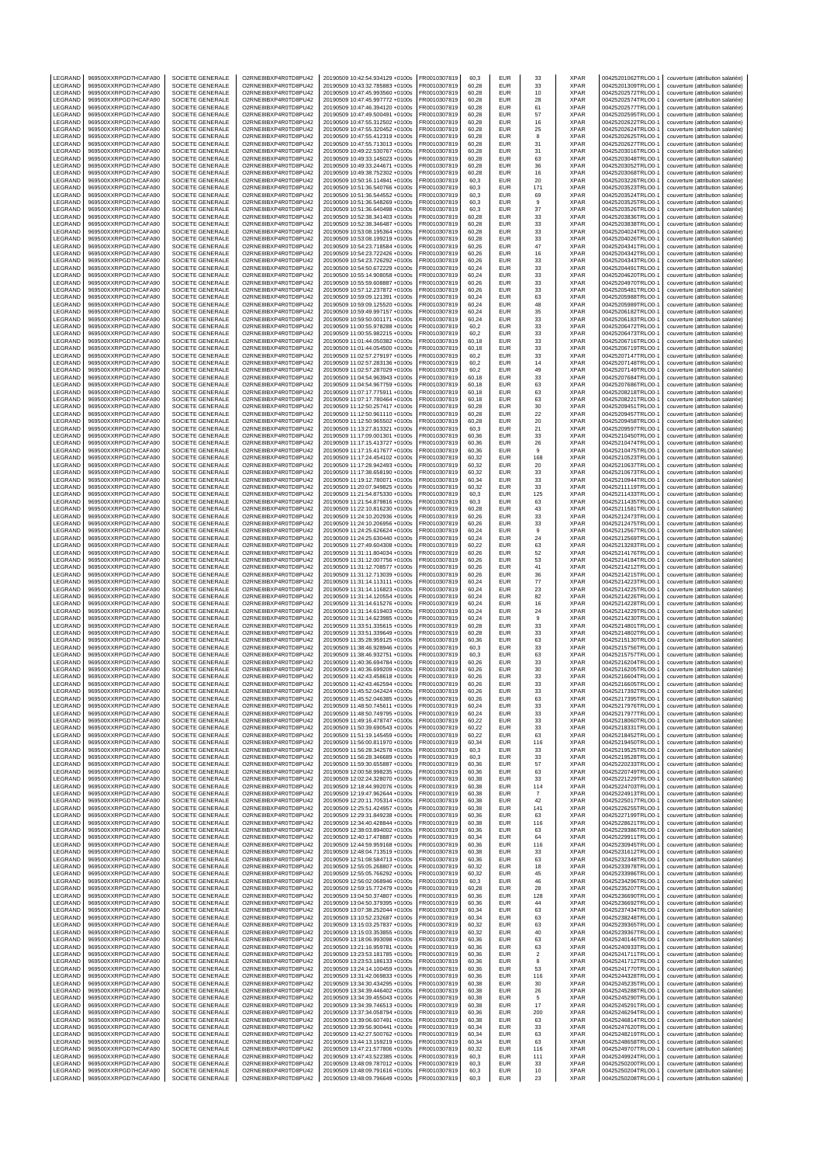| LEGRAND                   | 969500XXRPGD7HCAFA90                         | SOCIETE GENERALE                            | O2RNE8IBXP4R0TD8PU42                         | 20190509 10:42:54.934129 +0100s                                    | FR0010307819                 | 60,3           | EUR                      | 33                | <b>XPAR</b>                | 00425201062TRLO0-1                       | couverture (attribution salariée)                                      |
|---------------------------|----------------------------------------------|---------------------------------------------|----------------------------------------------|--------------------------------------------------------------------|------------------------------|----------------|--------------------------|-------------------|----------------------------|------------------------------------------|------------------------------------------------------------------------|
| LEGRAND<br>LEGRAND        | 969500XXRPGD7HCAFA90<br>969500XXRPGD7HCAFA90 | <b>SOCIETE GENERALE</b><br>SOCIETE GENERALE | O2RNE8IBXP4R0TD8PU42<br>O2RNE8IBXP4R0TD8PU42 | 20190509 10:43:32.785883 +0100s<br>20190509 10:47:45.993560 +0100s | FR0010307819<br>FR0010307819 | 60.28<br>60,28 | <b>EUR</b><br>EUR        | 33<br>10          | <b>XPAR</b><br><b>XPAR</b> | 00425201309TRLO0-1<br>00425202572TRLO0-1 | couverture (attribution salariée)<br>couverture (attribution salariée) |
| LEGRAND                   | 969500XXRPGD7HCAFA90                         | SOCIETE GENERALE                            | O2RNE8IBXP4R0TD8PU42                         | 20190509 10:47:45.997772 +0100s                                    | FR0010307819                 | 60.28          | <b>EUR</b>               | 28                | <b>XPAR</b>                | 00425202574TRLO0-1                       | couverture (attribution salariée)                                      |
| LEGRAND                   | 969500XXRPGD7HCAFA90                         | SOCIETE GENERALE                            | O2RNE8IBXP4R0TD8PU42                         | 20190509 10:47:46.394120 +0100s                                    | FR0010307819                 | 60.28          | EUR                      | 61                | <b>XPAR</b>                | 00425202577TRLO0-1                       | couverture (attribution salariée)                                      |
| LEGRAND<br>LEGRAND        | 969500XXRPGD7HCAFA90<br>969500XXRPGD7HCAFA90 | SOCIETE GENERALE<br>SOCIETE GENERALE        | O2RNE8IBXP4R0TD8PU42<br>O2RNE8IBXP4R0TD8PU42 | 20190509 10:47:49.500491 +0100s<br>20190509 10:47:55.312502 +0100s | FR0010307819<br>FR0010307819 | 60,28<br>60,28 | <b>EUR</b><br>EUR        | 57<br>16          | <b>XPAR</b><br>XPAR        | 00425202595TRLO0-1<br>00425202622TRLO0-1 | couverture (attribution salariée)<br>couverture (attribution salariée) |
| LEGRAND                   | 969500XXRPGD7HCAFA90                         | SOCIETE GENERALE                            | O2RNE8IBXP4R0TD8PU42                         | 20190509 10:47:55.320452 +0100s                                    | FR0010307819                 | 60,28          | EUR                      | 25                | <b>XPAR</b>                | 00425202624TRLO0-1                       | couverture (attribution salariée)                                      |
| LEGRAND                   | 969500XXRPGD7HCAFA90<br>969500XXRPGD7HCAFA90 | SOCIETE GENERALE                            | O2RNE8IBXP4R0TD8PU42                         | 20190509 10:47:55.412319 +0100s<br>20190509 10:47:55.713013 +0100s | FR0010307819                 | 60,28          | <b>EUR</b><br><b>EUR</b> | 8                 | <b>XPAR</b><br><b>XPAR</b> | 00425202625TRLO0-1                       | couverture (attribution salariée)                                      |
| LEGRAND<br>LEGRAND        | 969500XXRPGD7HCAFA90                         | SOCIETE GENERALE<br>SOCIETE GENERALE        | O2RNE8IBXP4R0TD8PU42<br>O2RNE8IBXP4R0TD8PU42 | 20190509 10:49:22.530767 +0100s                                    | FR0010307819<br>FR0010307819 | 60,28<br>60,28 | EUR                      | 31<br>31          | XPAR                       | 00425202627TRLO0-1<br>00425203016TRLO0-1 | couverture (attribution salariée)<br>couverture (attribution salariée) |
| LEGRAND                   | 969500XXRPGD7HCAFA90                         | SOCIETE GENERALE                            | O2RNE8IBXP4R0TD8PU42                         | 20190509 10:49:33.145023 +0100s                                    | FR0010307819                 | 60,28          | <b>EUR</b>               | 63                | <b>XPAR</b>                | 00425203048TRLO0-1                       | couverture (attribution salariée)                                      |
| LEGRAND<br>LEGRAND        | 969500XXRPGD7HCAFA90<br>969500XXRPGD7HCAFA90 | SOCIETE GENERALE                            | O2RNE8IBXP4R0TD8PU42<br>O2RNE8IBXP4R0TD8PU42 | 20190509 10:49:33.244671 +0100s                                    | FR0010307819                 | 60.28          | EUR<br>EUR               | 36                | <b>XPAR</b><br><b>XPAR</b> | 00425203052TRLO0-1                       | couverture (attribution salariée)                                      |
| LEGRAND                   | 969500XXRPGD7HCAFA90                         | SOCIETE GENERALE<br>SOCIETE GENERALE        | O2RNE8IBXP4R0TD8PU42                         | 20190509 10:49:38.752302 +0100s<br>20190509 10:50:16.114941 +0100s | FR0010307819<br>FR0010307819 | 60,28<br>60,3  | EUR                      | 16<br>20          | XPAR                       | 00425203068TRLO0-1<br>00425203226TRLO0-1 | couverture (attribution salariée)<br>couverture (attribution salariée) |
| LEGRAND                   | 969500XXRPGD7HCAFA90                         | SOCIETE GENERALE                            | O2RNE8IBXP4R0TD8PU42                         | 20190509 10:51:36.540766 +0100s                                    | FR0010307819                 | 60,3           | EUR                      | 171               | <b>XPAR</b>                | 00425203523TRLO0-1                       | couverture (attribution salariée)                                      |
| LEGRAND                   | 969500XXRPGD7HCAFA90                         | <b>SOCIETE GENERALE</b>                     | O2RNE8IBXP4R0TD8PU42                         | 20190509 10:51:36.544552 +0100s                                    | FR0010307819                 | 60.3           | <b>EUR</b>               | 69                | <b>XPAR</b>                | 00425203524TRLO0-1                       | couverture (attribution salariée)                                      |
| LEGRAND<br>LEGRAND        | 969500XXRPGD7HCAFA90<br>969500XXRPGD7HCAFA90 | SOCIETE GENERALE<br>SOCIETE GENERALE        | O2RNE8IBXP4R0TD8PU42<br>O2RNE8IBXP4R0TD8PU42 | 20190509 10:51:36.548269 +0100s<br>20190509 10:51:36.640498 +0100s | FR0010307819<br>FR0010307819 | 60,3<br>60.3   | EUR<br>EUR               | 9<br>37           | XPAR<br><b>XPAR</b>        | 00425203525TRLO0-1<br>00425203526TRLO0-1 | couverture (attribution salariée)<br>couverture (attribution salariée) |
| LEGRAND                   | 969500XXRPGD7HCAFA90                         | SOCIETE GENERALE                            | O2RNE8IBXP4R0TD8PU42                         | 20190509 10:52:38.341403 +0100s                                    | FR0010307819                 | 60,28          | EUR                      | 33                | <b>XPAR</b>                | 00425203836TRLO0-1                       | couverture (attribution salariée)                                      |
| LEGRAND<br>LEGRAND        | 969500XXRPGD7HCAFA90<br>969500XXRPGD7HCAFA90 | <b>SOCIETE GENERALE</b><br>SOCIETE GENERALE | O2RNE8IBXP4R0TD8PU42<br>O2RNE8IBXP4R0TD8PU42 | 20190509 10:52:38.346487 +0100s<br>20190509 10:53:08.195364 +0100s | FR0010307819<br>FR0010307819 | 60.28<br>60,28 | EUR<br>EUR               | 33<br>33          | <b>XPAR</b><br>XPAR        | 00425203838TRLO0-1<br>00425204024TRLO0-1 | couverture (attribution salariée)<br>couverture (attribution salariée) |
| LEGRAND                   | 969500XXRPGD7HCAFA90                         | SOCIETE GENERALE                            | O2RNE8IBXP4R0TD8PU42                         | 20190509 10:53:08.199219 +0100s                                    | FR0010307819                 | 60.28          | EUR                      | 33                | <b>XPAR</b>                | 00425204026TRLO0-1                       | couverture (attribution salariée)                                      |
| LEGRAND                   | 969500XXRPGD7HCAFA90                         | SOCIETE GENERALE                            | O2RNE8IBXP4R0TD8PU42                         | 20190509 10:54:23.718584 +0100s                                    | FR0010307819                 | 60,26          | EUR                      | 47                | <b>XPAR</b>                | 00425204341TRLO0-1                       | couverture (attribution salariée)                                      |
| LEGRAND<br>LEGRAND        | 969500XXRPGD7HCAFA90<br>969500XXRPGD7HCAFA90 | <b>SOCIETE GENERALE</b><br>SOCIETE GENERALE | O2RNE8IBXP4R0TD8PU42<br>O2RNE8IBXP4R0TD8PU42 | 20190509 10:54:23.722426 +0100s<br>20190509 10:54:23.726292 +0100s | FR0010307819<br>FR0010307819 | 60.26<br>60,26 | EUR<br>EUR               | 16<br>33          | <b>XPAR</b><br><b>XPAR</b> | 00425204342TRLO0-1<br>00425204343TRLO0-1 | couverture (attribution salariée)<br>couverture (attribution salariée) |
| LEGRAND                   | 969500XXRPGD7HCAFA90                         | SOCIETE GENERALE                            | O2RNE8IBXP4R0TD8PU42                         | 20190509 10:54:50.672229 +0100s                                    | FR0010307819                 | 60,24          | <b>EUR</b>               | 33                | <b>XPAR</b>                | 00425204491TRLO0-1                       | couverture (attribution salariée)                                      |
| LEGRAND                   | 969500XXRPGD7HCAFA90                         | SOCIETE GENERALE                            | O2RNE8IBXP4R0TD8PU42                         | 20190509 10:55:14.908058 +0100s                                    | FR0010307819                 | 60,24          | EUR                      | 33                | XPAR                       | 00425204620TRLO0-1                       | couverture (attribution salariée)                                      |
| LEGRAND<br>LEGRAND        | 969500XXRPGD7HCAFA90<br>969500XXRPGD7HCAFA90 | SOCIETE GENERALE<br>SOCIETE GENERALE        | O2RNE8IBXP4R0TD8PU42<br>O2RNE8IBXP4R0TD8PU42 | 20190509 10:55:59.608887 +0100s<br>20190509 10:57:12.237872 +0100s | FR0010307819<br>FR0010307819 | 60,26<br>60.26 | EUR<br>EUR               | 33<br>33          | <b>XPAR</b><br><b>XPAR</b> | 00425204970TRLO0-1<br>00425205481TRLO0-1 | couverture (attribution salariée)<br>couverture (attribution salariée) |
| LEGRAND                   | 969500XXRPGD7HCAFA90                         | SOCIETE GENERALE                            | O2RNE8IBXP4R0TD8PU42                         | 20190509 10:59:09.121391 +0100s                                    | FR0010307819                 | 60.24          | EUR                      | 63                | <b>XPAR</b>                | 00425205988TRLO0-1                       | couverture (attribution salariée)                                      |
| LEGRAND<br>LEGRAND        | 969500XXRPGD7HCAFA90<br>969500XXRPGD7HCAFA90 | SOCIETE GENERALE<br>SOCIETE GENERALE        | O2RNE8IBXP4R0TD8PU42<br>O2RNE8IBXP4R0TD8PU42 | 20190509 10:59:09.125520 +0100s<br>20190509 10:59:49.997157 +0100s | FR0010307819<br>FR0010307819 | 60,24<br>60,24 | EUR<br><b>EUR</b>        | 48<br>35          | XPAR<br><b>XPAR</b>        | 00425205989TRLO0-1<br>00425206182TRLO0-1 | couverture (attribution salariée)<br>couverture (attribution salariée) |
| LEGRAND                   | 969500XXRPGD7HCAFA90                         | SOCIETE GENERALE                            | O2RNE8IBXP4R0TD8PU42                         | 20190509 10:59:50.001171 +0100s                                    | FR0010307819                 | 60,24          | <b>EUR</b>               | 33                | <b>XPAR</b>                | 00425206183TRLO0-1                       | couverture (attribution salariée)                                      |
| LEGRAND                   | 969500XXRPGD7HCAFA90                         | SOCIETE GENERALE                            | O2RNE8IBXP4R0TD8PU42                         | 20190509 11:00:55.978288 +0100s                                    | FR0010307819                 | 60,2           | <b>EUR</b>               | 33                | <b>XPAR</b>                | 00425206472TRLO0-1                       | couverture (attribution salariée)                                      |
| LEGRAND<br>LEGRAND        | 969500XXRPGD7HCAFA90<br>969500XXRPGD7HCAFA90 | SOCIETE GENERALE<br>SOCIETE GENERALE        | O2RNE8IBXP4R0TD8PU42<br>O2RNE8IBXP4R0TD8PU42 | 20190509 11:00:55.982215 +0100s<br>20190509 11:01:44.050382 +0100s | FR0010307819<br>FR0010307819 | 60,2<br>60,18  | EUR<br><b>EUR</b>        | 33<br>33          | XPAR<br><b>XPAR</b>        | 00425206473TRLO0-1<br>00425206716TRLO0-1 | couverture (attribution salariée)<br>couverture (attribution salariée) |
| LEGRAND                   | 969500XXRPGD7HCAFA90                         | SOCIETE GENERALE                            | O2RNE8IBXP4R0TD8PU42                         | 20190509 11:01:44.054500 +0100s                                    | FR0010307819                 | 60.18          | <b>EUR</b>               | 33                | <b>XPAR</b>                | 00425206719TRLO0-1                       | couverture (attribution salariée)                                      |
| LEGRAND                   | 969500XXRPGD7HCAFA90                         | <b>SOCIETE GENERALE</b>                     | O2RNE8IBXP4R0TD8PU42                         | 20190509 11:02:57.279197 +0100s                                    | FR0010307819                 | 60,2           | EUR                      | 33                | <b>XPAR</b>                | 00425207147TRLO0-1                       | couverture (attribution salariée)                                      |
| LEGRAND<br>LEGRAND        | 969500XXRPGD7HCAFA90<br>969500XXRPGD7HCAFA90 | SOCIETE GENERALE<br>SOCIETE GENERALE        | O2RNE8IBXP4R0TD8PU42<br>O2RNE8IBXP4R0TD8PU42 | 20190509 11:02:57.283136 +0100s<br>20190509 11:02:57.287029 +0100s | FR0010307819<br>FR0010307819 | 60.2<br>60,2   | EUR<br>EUR               | 14<br>49          | <b>XPAR</b><br><b>XPAR</b> | 00425207148TRLO0-1<br>00425207149TRLO0-1 | couverture (attribution salariée)<br>couverture (attribution salariée) |
| LEGRAND                   | 969500XXRPGD7HCAFA90                         | <b>SOCIETE GENERALE</b>                     | O2RNE8IBXP4R0TD8PU42                         | 20190509 11:04:54.963943 +0100s                                    | FR0010307819                 | 60.18          | EUR                      | 33                | <b>XPAR</b>                | 00425207684TRLO0-1                       | couverture (attribution salariée)                                      |
| LEGRAND                   | 969500XXRPGD7HCAFA90                         | SOCIETE GENERALE                            | O2RNE8IBXP4R0TD8PU42                         | 20190509 11:04:54.967759 +0100s                                    | FR0010307819                 | 60,18          | EUR                      | 63                | <b>XPAR</b>                | 00425207686TRLO0-1                       | couverture (attribution salariée)                                      |
| LEGRAND<br>LEGRAND        | 969500XXRPGD7HCAFA90<br>969500XXRPGD7HCAFA90 | SOCIETE GENERALE<br>SOCIETE GENERALE        | O2RNE8IBXP4R0TD8PU42<br>O2RNE8IBXP4R0TD8PU42 | 20190509 11:07:17.775911 +0100s<br>20190509 11:07:17.780464 +0100s | FR0010307819<br>FR0010307819 | 60.18<br>60,18 | <b>EUR</b><br>EUR        | 63<br>63          | <b>XPAR</b><br><b>XPAR</b> | 00425208218TRLO0-1<br>00425208221TRLO0-1 | couverture (attribution salariée)<br>couverture (attribution salariée) |
| LEGRAND                   | 969500XXRPGD7HCAFA90                         | <b>SOCIETE GENERALE</b>                     | O2RNE8IBXP4R0TD8PU42                         | 20190509 11:12:50.257417 +0100s                                    | FR0010307819                 | 60.28          | EUR                      | 30                | <b>XPAR</b>                | 00425209451TRLO0-1                       | couverture (attribution salariée)                                      |
| LEGRAND                   | 969500XXRPGD7HCAFA90                         | SOCIETE GENERALE                            | O2RNE8IBXP4R0TD8PU42                         | 20190509 11:12:50.961110 +0100s                                    | FR0010307819                 | 60,28          | EUR                      | 22                | XPAR                       | 00425209457TRLO0-1                       | couverture (attribution salariée)                                      |
| LEGRAND<br>LEGRAND        | 969500XXRPGD7HCAFA90<br>969500XXRPGD7HCAFA90 | <b>SOCIETE GENERALE</b><br>SOCIETE GENERALE | O2RNE8IBXP4R0TD8PU42<br>O2RNE8IBXP4R0TD8PU42 | 20190509 11:12:50.965502 +0100s<br>20190509 11:13:27.813321 +0100s | FR0010307819<br>FR0010307819 | 60.28<br>60,3  | EUR<br>EUR               | 20<br>21          | <b>XPAR</b><br><b>XPAR</b> | 00425209458TRLO0-1<br>00425209597TRLO0-1 | couverture (attribution salariée)<br>couverture (attribution salariée) |
| LEGRAND                   | 969500XXRPGD7HCAFA90                         | <b>SOCIETE GENERALE</b>                     | O2RNE8IBXP4R0TD8PU42                         | 20190509 11:17:09.001301 +0100s                                    | FR0010307819                 | 60.36          | EUR                      | 33                | <b>XPAR</b>                | 00425210450TRLO0-1                       | couverture (attribution salariée)                                      |
| LEGRAND                   | 969500XXRPGD7HCAFA90                         | SOCIETE GENERALE                            | O2RNE8IBXP4R0TD8PU42                         | 20190509 11:17:15.413727 +0100s                                    | FR0010307819                 | 60,36          | EUR                      | 26                | XPAR                       | 00425210474TRLO0-1                       | couverture (attribution salariée)                                      |
| LEGRAND<br>LEGRAND        | 969500XXRPGD7HCAFA90<br>969500XXRPGD7HCAFA90 | SOCIETE GENERALE<br>SOCIETE GENERALE        | O2RNE8IBXP4R0TD8PU42<br>O2RNE8IBXP4R0TD8PU42 | 20190509 11:17:15.417677 +0100s<br>20190509 11:17:24.454102 +0100s | FR0010307819<br>FR0010307819 | 60,36<br>60,32 | EUR<br>EUR               | 9<br>168          | <b>XPAR</b><br>XPAR        | 00425210475TRLO0-1<br>00425210523TRLO0-1 | couverture (attribution salariée)<br>couverture (attribution salariée) |
| LEGRAND                   | 969500XXRPGD7HCAFA90                         | SOCIETE GENERALE                            | O2RNE8IBXP4R0TD8PU42                         | 20190509 11:17:28.942493 +0100s                                    | FR0010307819                 | 60,32          | <b>EUR</b>               | 20                | <b>XPAR</b>                | 00425210637TRLO0-1                       | couverture (attribution salariée)                                      |
| <b>FGRAND</b>             | 969500XXRPGD7HCAFA90                         | SOCIETE GENERALE                            | O2RNE8IBXP4R0TD8PU42<br>O2RNE8IBXP4R0TD8PU42 | 20190509 11:17:38.658190 +0100s                                    | FR0010307819                 | 60.32          | EUR<br><b>EUR</b>        | 33                | <b>XPAR</b><br><b>XPAR</b> | 00425210673TRLO0-1                       | couverture (attribution salariée)                                      |
| LEGRAND<br>LEGRAND        | 969500XXRPGD7HCAFA90<br>969500XXRPGD7HCAFA90 | SOCIETE GENERALE<br>SOCIETE GENERALE        | O2RNE8IBXP4R0TD8PU42                         | 20190509 11:19:12.780071 +0100s<br>20190509 11:20:07.949825 +0100s | FR0010307819<br>FR0010307819 | 60,34<br>60,32 | EUR                      | 33<br>33          | XPAR                       | 00425210944TRLO0-1<br>00425211119TRLO0-1 | couverture (attribution salariée)<br>couverture (attribution salariée) |
| LEGRAND                   | 969500XXRPGD7HCAFA90                         | SOCIETE GENERALE                            | O2RNE8IBXP4R0TD8PU42                         | 20190509 11:21:54.875330 +0100s                                    | FR0010307819                 | 60,3           | EUR                      | 125               | <b>XPAR</b>                | 00425211433TRLO0-1                       | couverture (attribution salariée)                                      |
| LEGRAND<br>LEGRAND        | 969500XXRPGD7HCAFA90<br>969500XXRPGD7HCAFA90 | SOCIETE GENERALE<br>SOCIETE GENERALE        | O2RNE8IBXP4R0TD8PU42<br>O2RNE8IBXP4R0TD8PU42 | 20190509 11:21:54.879816 +0100s<br>20190509 11:22:10.816230 +0100s | FR0010307819<br>FR0010307819 | 60,3<br>60,28  | EUR<br><b>EUR</b>        | 63<br>43          | <b>XPAR</b><br><b>XPAR</b> | 00425211435TRLO0-1<br>00425211581TRLO0-1 | couverture (attribution salariée)                                      |
| LEGRAND                   | 969500XXRPGD7HCAFA90                         | SOCIETE GENERALE                            | O2RNE8IBXP4R0TD8PU42                         | 20190509 11:24:10.202936 +0100s                                    | FR0010307819                 | 60,26          | EUR                      | 33                | XPAR                       | 00425212473TRLO0-1                       | couverture (attribution salariée)<br>couverture (attribution salariée) |
| LEGRAND                   | 969500XXRPGD7HCAFA90                         | SOCIETE GENERALE                            | O2RNE8IBXP4R0TD8PU42                         | 20190509 11:24:10.206956 +0100s                                    | FR0010307819                 | 60,26          | EUR                      | 33                | <b>XPAR</b>                | 00425212475TRLO0-1                       | couverture (attribution salariée)                                      |
| LEGRAND<br>LEGRAND        | 969500XXRPGD7HCAFA90<br>969500XXRPGD7HCAFA90 | SOCIETE GENERALE<br>SOCIETE GENERALE        | O2RNE8IBXP4R0TD8PU42<br>O2RNE8IBXP4R0TD8PU42 | 20190509 11:24:25.626624 +0100s<br>20190509 11:24:25.630440 +0100s | FR0010307819<br>FR0010307819 | 60,24<br>60,24 | EUR<br>EUR               | $\mathsf g$<br>24 | <b>XPAR</b><br><b>XPAR</b> | 00425212567TRLO0-1<br>00425212569TRLO0-1 | couverture (attribution salariée)<br>couverture (attribution salariée) |
| LEGRAND                   | 969500XXRPGD7HCAFA90                         | <b>SOCIETE GENERALE</b>                     | O2RNE8IBXP4R0TD8PU42                         | 20190509 11:27:49.604308 +0100s                                    | FR0010307819                 | 60.22          | EUR                      | 63                | <b>XPAR</b>                | 00425213283TRLO0-1                       | couverture (attribution salariée)                                      |
| LEGRAND                   | 969500XXRPGD7HCAFA90                         | SOCIETE GENERALE                            | O2RNE8IBXP4R0TD8PU42                         | 20190509 11:31:11.804034 +0100s                                    | FR0010307819                 | 60,26          | EUR                      | 52                | <b>XPAR</b>                | 00425214176TRLO0-1                       | couverture (attribution salariée)                                      |
| LEGRAND<br>LEGRAND        | 969500XXRPGD7HCAFA90<br>969500XXRPGD7HCAFA90 | <b>SOCIETE GENERALE</b><br>SOCIETE GENERALE | O2RNE8IBXP4R0TD8PU42<br>O2RNE8IBXP4R0TD8PU42 | 20190509 11:31:12.007756 +0100s<br>20190509 11:31:12.708577 +0100s | FR0010307819<br>FR0010307819 | 60.26<br>60,26 | EUR<br>EUR               | 53<br>41          | <b>XPAR</b><br>XPAR        | 00425214184TRLO0-1<br>00425214212TRLO0-1 | couverture (attribution salariée)<br>couverture (attribution salariée) |
| LEGRAND                   | 969500XXRPGD7HCAFA90                         | SOCIETE GENERALE                            | O2RNE8IBXP4R0TD8PU42                         | 20190509 11:31:12.713039 +0100s                                    | FR0010307819                 | 60.26          | EUR                      | 36                | <b>XPAR</b>                | 00425214215TRLO0-1                       | couverture (attribution salariée)                                      |
| LEGRAND<br>LEGRAND        | 969500XXRPGD7HCAFA90<br>969500XXRPGD7HCAFA90 | SOCIETE GENERALE<br><b>SOCIETE GENERALE</b> | O2RNE8IBXP4R0TD8PU42                         | 20190509 11:31:14.113111 +0100s                                    | FR0010307819<br>FR0010307819 | 60,24<br>60.24 | EUR<br>EUR               | $77\,$<br>23      | <b>XPAR</b><br><b>XPAR</b> | 00425214223TRLO0-1<br>00425214225TRLO0-1 | couverture (attribution salariée)                                      |
| LEGRAND                   | 969500XXRPGD7HCAFA90                         | SOCIETE GENERALE                            | O2RNE8IBXP4R0TD8PU42<br>O2RNE8IBXP4R0TD8PU42 | 20190509 11:31:14.116823 +0100s<br>20190509 11:31:14.120554 +0100s | FR0010307819                 | 60,24          | EUR                      | 82                | <b>XPAR</b>                | 00425214226TRLO0-1                       | couverture (attribution salariée)<br>couverture (attribution salariée) |
| LEGRAND                   | 969500XXRPGD7HCAFA90                         | <b>SOCIETE GENERALE</b>                     | O2RNE8IBXP4R0TD8PU42                         | 20190509 11:31:14.615276 +0100s                                    | FR0010307819                 | 60.24          | EUR                      | 16                | <b>XPAR</b>                | 00425214228TRLO0-1                       | couverture (attribution salariée)                                      |
| LEGRAND<br>LEGRAND        | 969500XXRPGD7HCAFA90<br>969500XXRPGD7HCAFA90 | SOCIETE GENERALE<br>SOCIETE GENERALE        | O2RNE8IBXP4R0TD8PU42<br>O2RNE8IBXP4R0TD8PU42 | 20190509 11:31:14.619403 +0100s<br>20190509 11:31:14.623985 +0100s | FR0010307819<br>FR0010307819 | 60,24<br>60.24 | EUR<br><b>EUR</b>        | 24<br>$\mathsf g$ | <b>XPAR</b><br><b>XPAR</b> | 00425214229TRLO0-1<br>00425214230TRLO0-1 | couverture (attribution salariée)<br>couverture (attribution salariée) |
| LEGRAND                   | 969500XXRPGD7HCAFA90                         | SOCIETE GENERALE                            | O2RNE8IBXP4R0TD8PU42                         | 20190509 11:33:51.335615 +0100s                                    | FR0010307819                 | 60.28          | <b>EUR</b>               | 33                | <b>XPAR</b>                | 00425214801TRLO0-1                       | couverture (attribution salariée)                                      |
| LEGRAND                   | 969500XXRPGD7HCAFA90                         | SOCIETE GENERALE                            | O2RNE8IBXP4R0TD8PU42                         | 20190509 11:33:51.339649 +0100s                                    | FR0010307819                 | 60,28          | EUR                      | 33                | <b>XPAR</b>                | 00425214802TRLO0-1                       | couverture (attribution salariée)                                      |
| LEGRAND<br>LEGRAND        | 969500XXRPGD7HCAFA90<br>969500XXRPGD7HCAFA90 | SOCIETE GENERALE<br>SOCIETE GENERALE        | O2RNE8IBXP4R0TD8PU42<br>O2RNE8IBXP4R0TD8PU42 | 20190509 11:35:28.959125 +0100s<br>20190509 11:38:46.928946 +0100s | FR0010307819<br>FR0010307819 | 60,36<br>60,3  | EUR<br><b>EUR</b>        | 63<br>33          | XPAR<br><b>XPAR</b>        | 00425215130TRLO0-1<br>00425215756TRLO0-1 | couverture (attribution salariée)<br>couverture (attribution salariée) |
| LEGRAND                   | 969500XXRPGD7HCAFA90                         | SOCIETE GENERALE                            | O2RNE8IBXP4R0TD8PU42                         | 20190509 11:38:46.932751 +0100s                                    | FR0010307819                 | 60,3           | EUR                      | 63                | <b>XPAR</b>                | 00425215757TRLO0-1                       | couverture (attribution salariée)                                      |
| LEGRAND                   | 969500XXRPGD7HCAFA90                         | SOCIETE GENERALE                            | O2RNE8IBXP4R0TD8PU42                         | 20190509 11:40:36.694784 +0100s                                    | FR0010307819                 | 60.26          | <b>EUR</b>               | 33                | <b>XPAR</b>                | 00425216204TRLO0-1                       | couverture (attribution salariée)                                      |
| LEGRAND<br>LEGRAND        | 969500XXRPGD7HCAFA90<br>969500XXRPGD7HCAFA90 | SOCIETE GENERALE<br>SOCIETE GENERALE        | O2RNE8IBXP4R0TD8PU42<br>O2RNE8IBXP4R0TD8PU42 | 20190509 11:40:36.699209 +0100s<br>20190509 11:42:43.458618 +0100s | FR0010307819<br>FR0010307819 | 60,26<br>60.26 | EUR<br><b>EUR</b>        | 30<br>33          | <b>XPAR</b><br><b>XPAR</b> | 00425216205TRLO0-1<br>00425216604TRLO0-1 | couverture (attribution salariée)<br>couverture (attribution salariée) |
| LEGRAND                   | 969500XXRPGD7HCAFA90                         | SOCIETE GENERALE                            | O2RNE8IBXP4R0TD8PU42                         | 20190509 11:42:43.462594 +0100s                                    | FR0010307819                 | 60.26          | <b>EUR</b>               | 33                | <b>XPAR</b>                | 00425216605TRLO0-1                       | couverture (attribution salariée)                                      |
| LEGRAND<br><b>IFGRAND</b> | 969500XXRPGD7HCAFA90<br>969500XXRPGD7HCAFA90 | SOCIETE GENERALE<br>SOCIETE GENERALE        | O2RNE8IBXP4R0TD8PU42<br>O2RNE8IBXP4R0TD8PU42 | 20190509 11:45:52.042424 +0100s<br>20190509 11:45:52.046385 +0100s | FR0010307819<br>FR0010307819 | 60,26<br>60.26 | EUR<br>EUR               | 33<br>63          | <b>XPAR</b><br><b>XPAR</b> | 00425217392TRLO0-1<br>00425217395TRLO0-1 | couverture (attribution salariée)                                      |
| LEGRAND                   | 969500XXRPGD7HCAFA90                         | SOCIETE GENERALE                            | O2RNE8IBXP4R0TD8PU42                         | 20190509 11:48:50.745611 +0100s                                    | FR0010307819                 | 60,24          | EUR                      | 33                | <b>XPAR</b>                | 00425217976TRLO0-1                       | couverture (attribution salariée)<br>couverture (attribution salariée) |
| LEGRAND                   | 969500XXRPGD7HCAFA90                         | SOCIETE GENERALE                            | O2RNE8IBXP4R0TD8PU42                         | 20190509 11:48:50.749795 +0100s                                    | FR0010307819                 | 60.24          | EUR                      | 33                | <b>XPAR</b>                | 00425217977TRLO0-1                       | couverture (attribution salariée)                                      |
| LEGRAND<br>LEGRAND        | 969500XXRPGD7HCAFA90<br>969500XXRPGD7HCAFA90 | SOCIETE GENERALE<br>SOCIETE GENERALE        | O2RNE8IBXP4R0TD8PU42<br>O2RNE8IBXP4R0TD8PU42 | 20190509 11:49:16.478747 +0100s<br>20190509 11:50:39.690543 +0100s | FR0010307819<br>FR0010307819 | 60,22<br>60.22 | EUR<br><b>EUR</b>        | 33<br>33          | XPAR<br><b>XPAR</b>        | 00425218060TRLO0-1<br>00425218331TRLO0-1 | couverture (attribution salariée)                                      |
| LEGRAND                   | 969500XXRPGD7HCAFA90                         | SOCIETE GENERALE                            | O2RNE8IBXP4R0TD8PU42                         | 20190509 11:51:19.145459 +0100s                                    | FR0010307819                 | 60,22          | EUR                      | 63                | XPAR                       | 00425218452TRLO0-1                       | couverture (attribution salariée)<br>couverture (attribution salariée) |
| LEGRAND                   | 969500XXRPGD7HCAFA90                         | SOCIETE GENERALE                            | O2RNE8IBXP4R0TD8PU42                         | 20190509 11:56:00.811970 +0100s                                    | FR0010307819                 | 60.34          | EUR                      | 116               | <b>XPAR</b>                | 00425219450TRLO0-1                       | couverture (attribution salariée)                                      |
| LEGRAND<br>LEGRAND        | 969500XXRPGD7HCAFA90<br>969500XXRPGD7HCAFA90 | SOCIETE GENERALE<br>SOCIETE GENERALE        | O2RNE8IBXP4R0TD8PU42<br>O2RNE8IBXP4R0TD8PU42 | 20190509 11:56:28.342578 +0100s<br>20190509 11:56:28.346689 +0100s | FR0010307819<br>FR0010307819 | 60,3<br>60.3   | EUR<br><b>EUR</b>        | 33<br>33          | XPAR<br><b>XPAR</b>        | 00425219525TRLO0-1<br>00425219528TRLO0-1 | couverture (attribution salariée)<br>couverture (attribution salariée) |
| LEGRAND                   | 969500XXRPGD7HCAFA90                         | SOCIETE GENERALE                            | O2RNE8IBXP4R0TD8PU42                         | 20190509 11:59:30.655887 +0100s                                    | FR0010307819                 | 60,36          | EUR                      | 57                | XPAR                       | 00425220233TRLO0-1                       | couverture (attribution salariée)                                      |
| LEGRAND<br>LEGRAND        | 969500XXRPGD7HCAFA90<br>969500XXRPGD7HCAFA90 | SOCIETE GENERALE<br>SOCIETE GENERALE        | O2RNE8IBXP4R0TD8PU42<br>O2RNE8IBXP4R0TD8PU42 | 20190509 12:00:58.998235 +0100s<br>20190509 12:02:24.328070 +0100s | FR0010307819<br>FR0010307819 | 60.36<br>60,38 | EUR<br>EUR               | 63<br>33          | <b>XPAR</b><br>XPAR        | 00425220749TRLO0-1<br>00425221229TRLO0-1 | couverture (attribution salariée)<br>couverture (attribution salariée) |
| LEGRAND                   | 969500XXRPGD7HCAFA90                         | SOCIETE GENERALE                            | O2RNE8IBXP4R0TD8PU42                         | 20190509 12:18:44.992076 +0100s                                    | FR0010307819                 | 60.38          | <b>EUR</b>               | 114               | <b>XPAR</b>                | 00425224703TRLO0-1                       | couverture (attribution salariée)                                      |
| LEGRAND                   | 969500XXRPGD7HCAFA90                         | SOCIETE GENERALE                            | O2RNE8IBXP4R0TD8PU42                         | 20190509 12:19:47.962644 +0100s                                    | FR0010307819                 | 60,38          | EUR                      | $\overline{7}$    | XPAR                       | 00425224913TRLO0-1                       | couverture (attribution salariée)                                      |
| LEGRAND<br>LEGRAND        | 969500XXRPGD7HCAFA90<br>969500XXRPGD7HCAFA90 | SOCIETE GENERALE<br>SOCIETE GENERALE        | O2RNE8IBXP4R0TD8PU42<br>O2RNE8IBXP4R0TD8PU42 | 20190509 12:20:11.705314 +0100s<br>20190509 12:25:51.424957 +0100s | FR0010307819<br>FR0010307819 | 60.38<br>60.38 | EUR<br><b>EUR</b>        | 42<br>141         | <b>XPAR</b><br><b>XPAR</b> | 00425225017TRLO0-1<br>00425226255TRLO0-1 | couverture (attribution salariée)<br>couverture (attribution salariée) |
| LEGRAND                   | 969500XXRPGD7HCAFA90                         | SOCIETE GENERALE                            | O2RNE8IBXP4R0TD8PU42                         | 20190509 12:29:31.849238 +0100s                                    | FR0010307819                 | 60,36          | <b>EUR</b>               | 63                | <b>XPAR</b>                | 00425227199TRLO0-1                       | couverture (attribution salariée)                                      |
| LEGRAND<br>LEGRAND        | 969500XXRPGD7HCAFA90                         | SOCIETE GENERALE                            | O2RNE8IBXP4R0TD8PU42                         | 20190509 12:34:40.428844 +0100s                                    | FR0010307819<br>FR0010307819 | 60.38          | <b>EUR</b><br><b>EUR</b> | 116               | <b>XPAR</b><br><b>XPAR</b> | 00425228621TRLO0-1                       | couverture (attribution salariée)                                      |
| LEGRAND                   | 969500XXRPGD7HCAFA90<br>969500XXRPGD7HCAFA90 | SOCIETE GENERALE<br>SOCIETE GENERALE        | O2RNE8IBXP4R0TD8PU42<br>O2RNE8IBXP4R0TD8PU42 | 20190509 12:38:03.894002 +0100s<br>20190509 12:40:17.478887 +0100s | FR0010307819                 | 60,36<br>60.34 | <b>EUR</b>               | 63<br>64          | <b>XPAR</b>                | 00425229386TRLO0-1<br>00425229911TRLO0-1 | couverture (attribution salariée)<br>couverture (attribution salariée) |
| LEGRAND                   | 969500XXRPGD7HCAFA90                         | SOCIETE GENERALE                            | O2RNE8IBXP4R0TD8PU42                         | 20190509 12:44:59.959168 +0100s                                    | FR0010307819                 | 60,36          | EUR                      | 116               | <b>XPAR</b>                | 00425230945TRLO0-1                       | couverture (attribution salariée)                                      |
| LEGRAND<br><b>IFGRAND</b> | 969500XXRPGD7HCAFA90<br>969500XXRPGD7HCAFA90 | SOCIETE GENERALE<br>SOCIETE GENERALE        | O2RNE8IBXP4R0TD8PU42<br>O2RNE8IBXP4R0TD8PU42 | 20190509 12:48:04.713519 +0100s<br>20190509 12:51:08.584713 +0100s | FR0010307819<br>FR0010307819 | 60.38<br>60.36 | <b>EUR</b><br>EUR        | 33<br>63          | <b>XPAR</b><br><b>XPAR</b> | 00425231612TRLO0-1<br>00425232348TRLO0-1 | couverture (attribution salariée)<br>couverture (attribution salariée) |
| LEGRAND                   | 969500XXRPGD7HCAFA90                         | SOCIETE GENERALE                            | O2RNE8IBXP4R0TD8PU42                         | 20190509 12:55:05.268807 +0100s                                    | FR0010307819                 | 60,32          | <b>EUR</b>               | 18                | <b>XPAR</b>                | 00425233978TRLO0-1                       | couverture (attribution salariée)                                      |
| LEGRAND                   | 969500XXRPGD7HCAFA90                         | SOCIETE GENERALE                            | O2RNE8IBXP4R0TD8PU42                         | 20190509 12:55:05.766292 +0100s                                    | FR0010307819                 | 60,32          | EUR                      | 45                | <b>XPAR</b>                | 00425233986TRLO0-1                       | couverture (attribution salariée)                                      |
| LEGRAND<br>LEGRAND        | 969500XXRPGD7HCAFA90<br>969500XXRPGD7HCAFA90 | SOCIETE GENERALE<br>SOCIETE GENERALE        | O2RNE8IBXP4R0TD8PU42<br>O2RNE8IBXP4R0TD8PU42 | 20190509 12:56:02.068946 +0100s<br>20190509 12:59:15.772479 +0100s | FR0010307819<br>FR0010307819 | 60.3<br>60,28  | EUR<br>EUR               | 46<br>28          | <b>XPAR</b><br>XPAR        | 00425234296TRLO0-1<br>00425235207TRLO0-1 | couverture (attribution salariée)<br>couverture (attribution salariée) |
| LEGRAND                   | 969500XXRPGD7HCAFA90                         | SOCIETE GENERALE                            | O2RNE8IBXP4R0TD8PU42                         | 20190509 13:04:50.374807 +0100s                                    | FR0010307819                 | 60.36          | EUR                      | 128               | <b>XPAR</b>                | 00425236690TRLO0-1                       | couverture (attribution salariée)                                      |
| LEGRAND<br>LEGRAND        | 969500XXRPGD7HCAFA90<br>969500XXRPGD7HCAFA90 | SOCIETE GENERALE<br>SOCIETE GENERALE        | O2RNE8IBXP4R0TD8PU42<br>O2RNE8IBXP4R0TD8PU42 | 20190509 13:04:50.379395 +0100s<br>20190509 13:07:38.252044 +0100s | FR0010307819<br>FR0010307819 | 60,36          | EUR<br><b>EUR</b>        | 44<br>63          | XPAR<br><b>XPAR</b>        | 00425236692TRLO0-1<br>00425237434TRLO0-1 | couverture (attribution salariée)                                      |
| LEGRAND                   | 969500XXRPGD7HCAFA90                         | SOCIETE GENERALE                            | O2RNE8IBXP4R0TD8PU42                         | 20190509 13:10:52.232687 +0100s                                    | FR0010307819                 | 60.34<br>60,34 | EUR                      | 63                | XPAR                       | 00425238248TRLO0-1                       | couverture (attribution salariée)<br>couverture (attribution salariée) |
| LEGRAND                   | 969500XXRPGD7HCAFA90                         | SOCIETE GENERALE                            | O2RNE8IBXP4R0TD8PU42                         | 20190509 13:15:03.257837 +0100s                                    | FR0010307819                 | 60.32          | EUR                      | 63                | <b>XPAR</b>                | 00425239365TRLO0-1                       | couverture (attribution salariée)                                      |
| LEGRAND<br>LEGRAND        | 969500XXRPGD7HCAFA90<br>969500XXRPGD7HCAFA90 | SOCIETE GENERALE<br>SOCIETE GENERALE        | O2RNE8IBXP4R0TD8PU42<br>O2RNE8IBXP4R0TD8PU42 | 20190509 13:15:03.353855 +0100s<br>20190509 13:18:06.993098 +0100s | FR0010307819<br>FR0010307819 | 60,32<br>60.36 | EUR<br><b>EUR</b>        | 40<br>63          | XPAR<br><b>XPAR</b>        | 00425239367TRLO0-1<br>00425240146TRLO0-1 | couverture (attribution salariée)<br>couverture (attribution salariée) |
| LEGRAND                   | 969500XXRPGD7HCAFA90                         | SOCIETE GENERALE                            | O2RNE8IBXP4R0TD8PU42                         | 20190509 13:21:16.959781 +0100s                                    | FR0010307819                 | 60,36          | EUR                      | 63                | XPAR                       | 00425240933TRLO0-1                       | couverture (attribution salariée)                                      |
| LEGRAND                   | 969500XXRPGD7HCAFA90                         | SOCIETE GENERALE                            | O2RNE8IBXP4R0TD8PU42                         | 20190509 13:23:53.181785 +0100s                                    | FR0010307819                 | 60.36          | EUR                      | $\overline{2}$    | <b>XPAR</b>                | 00425241711TRLO0-1                       | couverture (attribution salariée)                                      |
| LEGRAND<br>LEGRAND        | 969500XXRPGD7HCAFA90<br>969500XXRPGD7HCAFA90 | SOCIETE GENERALE<br>SOCIETE GENERALE        | O2RNE8IBXP4R0TD8PU42<br>O2RNE8IBXP4R0TD8PU42 | 20190509 13:23:53.186133 +0100s<br>20190509 13:24:14.100459 +0100s | FR0010307819<br>FR0010307819 | 60,36<br>60,36 | EUR<br><b>EUR</b>        | 8<br>53           | XPAR<br><b>XPAR</b>        | 00425241712TRLO0-1<br>00425241770TRLO0-1 | couverture (attribution salariée)<br>couverture (attribution salariée) |
| LEGRAND                   | 969500XXRPGD7HCAFA90                         | SOCIETE GENERALE                            | O2RNE8IBXP4R0TD8PU42                         | 20190509 13:31:42.069833 +0100s                                    | FR0010307819                 | 60.36          | <b>EUR</b>               | 116               | <b>XPAR</b>                | 00425244328TRLO0-1                       | couverture (attribution salariée)                                      |
| LEGRAND<br>LEGRAND        | 969500XXRPGD7HCAFA90<br>969500XXRPGD7HCAFA90 | SOCIETE GENERALE<br>SOCIETE GENERALE        | O2RNE8IBXP4R0TD8PU42<br>O2RNE8IBXP4R0TD8PU42 | 20190509 13:34:30.434295 +0100s<br>20190509 13:34:39.446402 +0100s | FR0010307819<br>FR0010307819 | 60.38<br>60.38 | <b>EUR</b><br><b>EUR</b> | 30<br>26          | <b>XPAR</b><br><b>XPAR</b> | 00425245235TRLO0-1<br>00425245288TRLO0-1 | couverture (attribution salariée)<br>couverture (attribution salariée) |
| LEGRAND                   | 969500XXRPGD7HCAFA90                         | SOCIETE GENERALE                            | O2RNE8IBXP4R0TD8PU42                         | 20190509 13:34:39.455043 +0100s                                    | FR0010307819                 | 60,38          | EUR                      | 5                 | <b>XPAR</b>                | 00425245290TRLO0-1                       | couverture (attribution salariée)                                      |
| LEGRAND                   | 969500XXRPGD7HCAFA90                         | SOCIETE GENERALE                            | O2RNE8IBXP4R0TD8PU42                         | 20190509 13:34:39.746513 +0100s                                    | FR0010307819                 | 60,38          | <b>EUR</b>               | 17                | <b>XPAR</b>                | 00425245291TRLO0-1                       | couverture (attribution salariée)                                      |
| LEGRAND<br>LEGRAND        | 969500XXRPGD7HCAFA90                         | SOCIETE GENERALE                            | O2RNE8IBXP4R0TD8PU42                         | 20190509 13:37:34.058794 +0100s<br>20190509 13:39:06.607491 +0100s | FR0010307819<br>FR0010307819 | 60.36<br>60.38 | <b>EUR</b><br><b>EUR</b> | 200<br>63         | <b>XPAR</b><br><b>XPAR</b> | 00425246294TRLO0-1<br>00425246814TRLO0-1 | couverture (attribution salariée)<br>couverture (attribution salariée) |
|                           | 969500XXRPGD7HCAFA90                         |                                             |                                              |                                                                    |                              |                |                          |                   |                            |                                          |                                                                        |
| LEGRAND                   | 969500XXRPGD7HCAFA90                         | SOCIETE GENERALE<br>SOCIETE GENERALE        | O2RNE8IBXP4R0TD8PU42<br>O2RNE8IBXP4R0TD8PU42 | 20190509 13:39:56.900441 +0100s                                    | FR0010307819                 | 60,34          | EUR                      | 33                | <b>XPAR</b>                | 00425247620TRLO0-1                       | couverture (attribution salariée)                                      |
| LEGRAND                   | 969500XXRPGD7HCAFA90                         | SOCIETE GENERALE                            | O2RNE8IBXP4R0TD8PU42                         | 20190509 13:42:27.500762 +0100s                                    | FR0010307819                 | 60.34          | <b>EUR</b>               | 63                | <b>XPAR</b>                | 00425248219TRLO0-1                       | couverture (attribution salariée)                                      |
| LEGRAND<br>LEGRAND        | 969500XXRPGD7HCAFA90<br>969500XXRPGD7HCAFA90 | SOCIETE GENERALE<br>SOCIETE GENERALE        | O2RNE8IBXP4R0TD8PU42<br>O2RNE8IBXP4R0TD8PU42 | 20190509 13:44:13.159219 +0100s<br>20190509 13:47:21.577806 +0100s | FR0010307819<br>FR0010307819 | 60.34<br>60,32 | <b>EUR</b><br><b>EUR</b> | 63<br>116         | <b>XPAR</b><br><b>XPAR</b> | 00425248658TRLO0-1<br>00425249707TRLO0-1 | couverture (attribution salariée)<br>couverture (attribution salariée) |
| LEGRAND                   | 969500XXRPGD7HCAFA90                         | SOCIETE GENERALE                            | O2RNE8IBXP4R0TD8PU42                         | 20190509 13:47:43.522385 +0100s                                    | FR0010307819                 | 60,3           | EUR                      | 111               | XPAR                       | 00425249924TRLO0-1                       | couverture (attribution salariée)                                      |
| LEGRAND<br>LEGRAND        | 969500XXRPGD7HCAFA90<br>969500XXRPGD7HCAFA90 | SOCIETE GENERALE<br>SOCIETE GENERALE        | O2RNE8IBXP4R0TD8PU42<br>O2RNE8IBXP4R0TD8PU42 | 20190509 13:48:09.787012 +0100s<br>20190509 13:48:09.791616 +0100s | FR0010307819<br>FR0010307819 | 60.3<br>60,3   | <b>EUR</b><br>EUR        | 33<br>10          | <b>XPAR</b><br>XPAR        | 00425250200TRLO0-1<br>00425250204TRLO0-1 | couverture (attribution salariée)<br>couverture (attribution salariée) |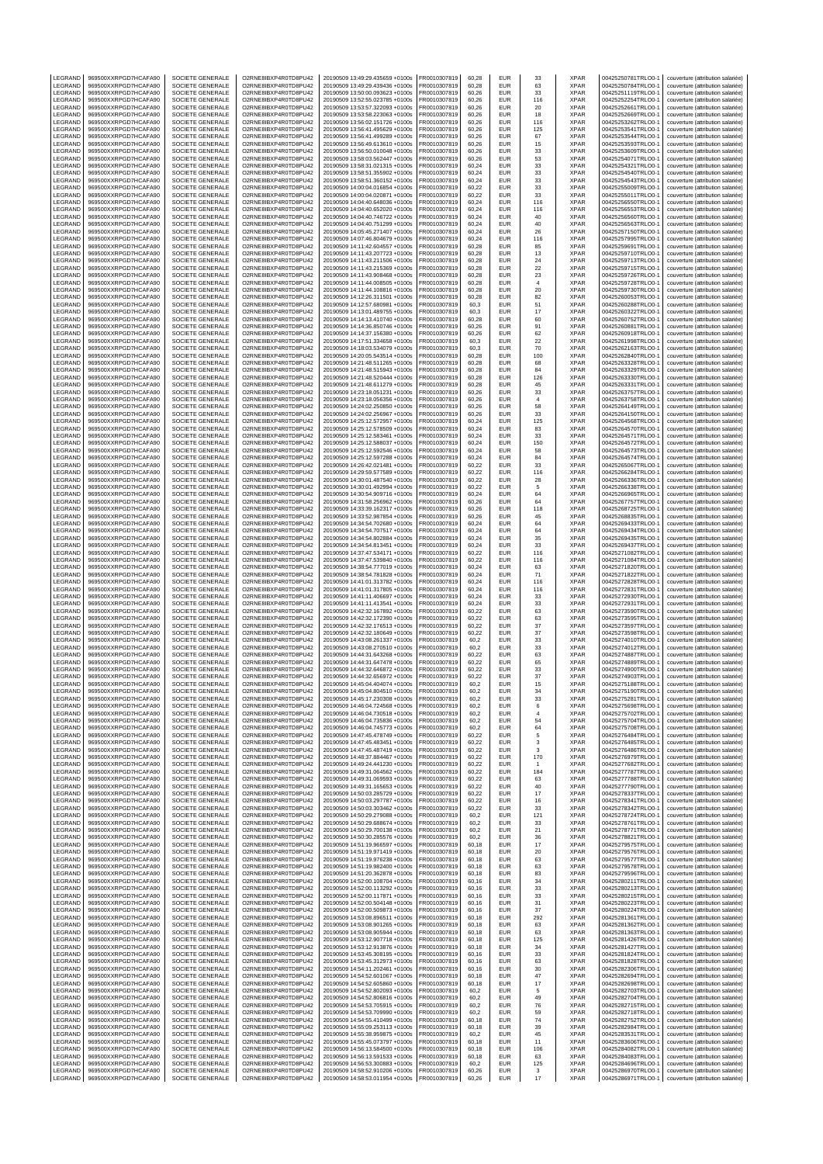| LEGRAND                   | 969500XXRPGD7HCAFA90                         | SOCIETE GENERALE                            | O2RNE8IBXP4R0TD8PU42                         | 20190509 13:49:29.435659 +0100s                                    | FR0010307819                 | 60,28          | EUR                      | 33                       | <b>XPAR</b>                | 00425250781TRLO0-1                       | couverture (attribution salariée)                                      |
|---------------------------|----------------------------------------------|---------------------------------------------|----------------------------------------------|--------------------------------------------------------------------|------------------------------|----------------|--------------------------|--------------------------|----------------------------|------------------------------------------|------------------------------------------------------------------------|
| LEGRAND<br>LEGRAND        | 969500XXRPGD7HCAFA90<br>969500XXRPGD7HCAFA90 | <b>SOCIETE GENERALE</b><br>SOCIETE GENERALE | O2RNE8IBXP4R0TD8PU42<br>O2RNE8IBXP4R0TD8PU42 | 20190509 13:49:29.439436 +0100s<br>20190509 13:50:00.093623 +0100s | FR0010307819<br>FR0010307819 | 60.28<br>60,26 | <b>EUR</b><br>EUR        | 63<br>33                 | <b>XPAR</b><br><b>XPAR</b> | 00425250784TRLO0-1<br>00425251119TRLO0-1 | couverture (attribution salariée)<br>couverture (attribution salariée) |
| LEGRAND                   | 969500XXRPGD7HCAFA90                         | SOCIETE GENERALE                            | O2RNE8IBXP4R0TD8PU42                         | 20190509 13:52:55.023785 +0100s                                    | FR0010307819                 | 60.26          | EUR                      | 116                      | <b>XPAR</b>                | 00425252254TRLO0-1                       | couverture (attribution salariée)                                      |
| LEGRAND                   | 969500XXRPGD7HCAFA90                         | SOCIETE GENERALE                            | O2RNE8IBXP4R0TD8PU42                         | 20190509 13:53:57.322093 +0100s                                    | FR0010307819                 | 60.26          | EUR                      | 20                       | <b>XPAR</b>                | 00425252661TRLO0-1                       | couverture (attribution salariée)                                      |
| LEGRAND<br>LEGRAND        | 969500XXRPGD7HCAFA90<br>969500XXRPGD7HCAFA90 | SOCIETE GENERALE<br>SOCIETE GENERALE        | O2RNE8IBXP4R0TD8PU42<br>O2RNE8IBXP4R0TD8PU42 | 20190509 13:53:58.223063 +0100s<br>20190509 13:56:02.151726 +0100s | FR0010307819<br>FR0010307819 | 60,26<br>60,26 | <b>EUR</b><br>EUR        | 18<br>116                | <b>XPAR</b><br>XPAR        | 00425252669TRLO0-1<br>00425253262TRLO0-1 | couverture (attribution salariée)<br>couverture (attribution salariée) |
| LEGRAND                   | 969500XXRPGD7HCAFA90                         | SOCIETE GENERALE                            | O2RNE8IBXP4R0TD8PU42                         | 20190509 13:56:41.495629 +0100s                                    | FR0010307819                 | 60,26          | <b>EUR</b>               | 125                      | <b>XPAR</b>                | 00425253541TRLO0-1                       | couverture (attribution salariée)                                      |
| LEGRAND                   | 969500XXRPGD7HCAFA90<br>969500XXRPGD7HCAFA90 | SOCIETE GENERALE                            | O2RNE8IBXP4R0TD8PU42                         | 20190509 13:56:41.499289 +0100s                                    | FR0010307819                 | 60,26          | <b>EUR</b><br><b>EUR</b> | 67                       | <b>XPAR</b><br><b>XPAR</b> | 00425253544TRLO0-1                       | couverture (attribution salariée)<br>couverture (attribution salariée) |
| LEGRAND<br>LEGRAND        | 969500XXRPGD7HCAFA90                         | SOCIETE GENERALE<br>SOCIETE GENERALE        | O2RNE8IBXP4R0TD8PU42<br>O2RNE8IBXP4R0TD8PU42 | 20190509 13:56:49.613610 +0100s<br>20190509 13:56:50.010048 +0100s | FR0010307819<br>FR0010307819 | 60,26<br>60,26 | EUR                      | 15<br>33                 | XPAR                       | 00425253593TRLO0-1<br>00425253609TRLO0-1 | couverture (attribution salariée)                                      |
| LEGRAND                   | 969500XXRPGD7HCAFA90                         | SOCIETE GENERALE                            | O2RNE8IBXP4R0TD8PU42                         | 20190509 13:58:03.562447 +0100s                                    | FR0010307819                 | 60,26          | <b>EUR</b>               | 53                       | <b>XPAR</b>                | 00425254071TRLO0-1                       | couverture (attribution salariée)                                      |
| LEGRAND<br>LEGRAND        | 969500XXRPGD7HCAFA90                         | SOCIETE GENERALE                            | O2RNE8IBXP4R0TD8PU42<br>O2RNE8IBXP4R0TD8PU42 | 20190509 13:58:31.021315 +0100s                                    | FR0010307819                 | 60.24          | EUR<br>EUR               | 33                       | <b>XPAR</b><br><b>XPAR</b> | 00425254321TRLO0-1                       | couverture (attribution salariée)                                      |
| LEGRAND                   | 969500XXRPGD7HCAFA90<br>969500XXRPGD7HCAFA90 | SOCIETE GENERALE<br>SOCIETE GENERALE        | O2RNE8IBXP4R0TD8PU42                         | 20190509 13:58:51.355902 +0100s<br>20190509 13:58:51.360152 +0100s | FR0010307819<br>FR0010307819 | 60,24<br>60,24 | EUR                      | 33<br>33                 | XPAR                       | 00425254540TRLO0-1<br>00425254543TRLO0-1 | couverture (attribution salariée)<br>couverture (attribution salariée) |
| LEGRAND                   | 969500XXRPGD7HCAFA90                         | SOCIETE GENERALE                            | O2RNE8IBXP4R0TD8PU42                         | 20190509 14:00:04.016854 +0100s                                    | FR0010307819                 | 60,22          | EUR                      | 33                       | <b>XPAR</b>                | 00425255009TRLO0-1                       | couverture (attribution salariée)                                      |
| LEGRAND                   | 969500XXRPGD7HCAFA90                         | <b>SOCIETE GENERALE</b>                     | O2RNE8IBXP4R0TD8PU42                         | 20190509 14:00:04.020871 +0100s                                    | FR0010307819                 | 60.22          | EUR                      | 33                       | <b>XPAR</b>                | 00425255011TRLO0-1                       | couverture (attribution salariée)                                      |
| LEGRAND<br>LEGRAND        | 969500XXRPGD7HCAFA90<br>969500XXRPGD7HCAFA90 | SOCIETE GENERALE<br><b>SOCIETE GENERALE</b> | O2RNE8IBXP4R0TD8PU42<br>O2RNE8IBXP4R0TD8PU42 | 20190509 14:04:40.648036 +0100s<br>20190509 14:04:40.652020 +0100s | FR0010307819<br>FR0010307819 | 60,24<br>60.24 | EUR<br>EUR               | 116<br>116               | XPAR<br><b>XPAR</b>        | 00425256550TRLO0-1<br>00425256553TRLO0-1 | couverture (attribution salariée)<br>couverture (attribution salariée) |
| LEGRAND                   | 969500XXRPGD7HCAFA90                         | SOCIETE GENERALE                            | O2RNE8IBXP4R0TD8PU42                         | 20190509 14:04:40.746722 +0100s                                    | FR0010307819                 | 60,24          | EUR                      | 40                       | <b>XPAR</b>                | 00425256560TRLO0-1                       | couverture (attribution salariée)                                      |
| LEGRAND<br>LEGRAND        | 969500XXRPGD7HCAFA90<br>969500XXRPGD7HCAFA90 | <b>SOCIETE GENERALE</b><br>SOCIETE GENERALE | O2RNE8IBXP4R0TD8PU42<br>O2RNE8IBXP4R0TD8PU42 | 20190509 14:04:40.751299 +0100s<br>20190509 14:05:45.271407 +0100s | FR0010307819<br>FR0010307819 | 60.24<br>60,24 | EUR<br>EUR               | 40<br>26                 | <b>XPAR</b><br>XPAR        | 00425256563TRLO0-1<br>00425257150TRLO0-1 | couverture (attribution salariée)<br>couverture (attribution salariée) |
| LEGRAND                   | 969500XXRPGD7HCAFA90                         | <b>SOCIETE GENERALE</b>                     | O2RNE8IBXP4R0TD8PU42                         | 20190509 14:07:46.804679 +0100s                                    | FR0010307819                 | 60.24          | EUR                      | 116                      | <b>XPAR</b>                | 00425257995TRLO0-1                       | couverture (attribution salariée)                                      |
| LEGRAND                   | 969500XXRPGD7HCAFA90                         | SOCIETE GENERALE                            | O2RNE8IBXP4R0TD8PU42                         | 20190509 14:11:42.604557 +0100s                                    | FR0010307819                 | 60,28          | EUR                      | 85                       | <b>XPAR</b>                | 00425259691TRLO0-1                       | couverture (attribution salariée)                                      |
| LEGRAND<br>LEGRAND        | 969500XXRPGD7HCAFA90<br>969500XXRPGD7HCAFA90 | <b>SOCIETE GENERALE</b><br>SOCIETE GENERALE | O2RNE8IBXP4R0TD8PU42<br>O2RNE8IBXP4R0TD8PU42 | 20190509 14:11:43.207723 +0100s<br>20190509 14:11:43.211506 +0100s | FR0010307819<br>FR0010307819 | 60.28<br>60,28 | EUR<br>EUR               | 13<br>24                 | <b>XPAR</b><br><b>XPAR</b> | 00425259710TRLO0-1<br>00425259713TRLO0-1 | couverture (attribution salariée)<br>couverture (attribution salariée) |
| LEGRAND                   | 969500XXRPGD7HCAFA90                         | SOCIETE GENERALE                            | O2RNE8IBXP4R0TD8PU42                         | 20190509 14:11:43.215369 +0100s                                    | FR0010307819                 | 60.28          | <b>EUR</b>               | $22\,$                   | <b>XPAR</b>                | 00425259715TRLO0-1                       | couverture (attribution salariée)                                      |
| LEGRAND                   | 969500XXRPGD7HCAFA90                         | SOCIETE GENERALE                            | O2RNE8IBXP4R0TD8PU42                         | 20190509 14:11:43.908468 +0100s                                    | FR0010307819                 | 60,28          | EUR                      | 23                       | <b>XPAR</b>                | 00425259726TRLO0-1                       | couverture (attribution salariée)                                      |
| LEGRAND<br>LEGRAND        | 969500XXRPGD7HCAFA90<br>969500XXRPGD7HCAFA90 | SOCIETE GENERALE<br>SOCIETE GENERALE        | O2RNE8IBXP4R0TD8PU42<br>O2RNE8IBXP4R0TD8PU42 | 20190509 14:11:44.008505 +0100s<br>20190509 14:11:44.108816 +0100s | FR0010307819<br>FR0010307819 | 60,28<br>60.28 | EUR<br>EUR               | $\overline{4}$<br>$20\,$ | <b>XPAR</b><br><b>XPAR</b> | 00425259728TRLO0-1<br>00425259730TRLO0-1 | couverture (attribution salariée)<br>couverture (attribution salariée) |
| LEGRAND                   | 969500XXRPGD7HCAFA90                         | SOCIETE GENERALE                            | O2RNE8IBXP4R0TD8PU42                         | 20190509 14:12:26.311501 +0100s                                    | FR0010307819                 | 60,28          | EUR                      | 82                       | <b>XPAR</b>                | 00425260053TRLO0-1                       | couverture (attribution salariée)                                      |
| LEGRAND<br>LEGRAND        | 969500XXRPGD7HCAFA90<br>969500XXRPGD7HCAFA90 | SOCIETE GENERALE<br>SOCIETE GENERALE        | O2RNE8IBXP4R0TD8PU42<br>O2RNE8IBXP4R0TD8PU42 | 20190509 14:12:57.680981 +0100s<br>20190509 14:13:01.489755 +0100s | FR0010307819<br>FR0010307819 | 60,3<br>60,3   | EUR<br><b>EUR</b>        | 51<br>17                 | XPAR<br><b>XPAR</b>        | 00425260288TRLO0-1<br>00425260322TRLO0-1 | couverture (attribution salariée)<br>couverture (attribution salariée) |
| LEGRAND                   | 969500XXRPGD7HCAFA90                         | SOCIETE GENERALE                            | O2RNE8IBXP4R0TD8PU42                         | 20190509 14:14:13.410740 +0100s                                    | FR0010307819                 | 60,28          | <b>EUR</b>               | 60                       | <b>XPAR</b>                | 00425260752TRLO0-1                       | couverture (attribution salariée)                                      |
| LEGRAND                   | 969500XXRPGD7HCAFA90                         | SOCIETE GENERALE                            | O2RNE8IBXP4R0TD8PU42                         | 20190509 14:14:36.850746 +0100s                                    | FR0010307819                 | 60,26          | <b>EUR</b>               | 91                       | <b>XPAR</b>                | 00425260881TRLO0-1                       | couverture (attribution salariée)                                      |
| LEGRAND<br>LEGRAND        | 969500XXRPGD7HCAFA90<br>969500XXRPGD7HCAFA90 | SOCIETE GENERALE<br>SOCIETE GENERALE        | O2RNE8IBXP4R0TD8PU42<br>O2RNE8IBXP4R0TD8PU42 | 20190509 14:14:37.156380 +0100s<br>20190509 14:17:51.334658 +0100s | FR0010307819<br>FR0010307819 | 60,26<br>60,3  | EUR<br><b>EUR</b>        | 62<br>22                 | XPAR<br><b>XPAR</b>        | 00425260918TRLO0-1<br>00425261998TRLO0-1 | couverture (attribution salariée)<br>couverture (attribution salariée) |
| <b>FGRAND</b>             | 969500XXRPGD7HCAFA90                         | SOCIETE GENERALE                            | O2RNE8IBXP4R0TD8PU42                         | 20190509 14:18:03.534079 +0100s                                    | FR0010307819                 | 60,3           | EUR                      | 70                       | <b>XPAR</b>                | 00425262163TRLO0-1                       | couverture (attribution salariée)                                      |
| LEGRAND                   | 969500XXRPGD7HCAFA90                         | <b>SOCIETE GENERALE</b>                     | O2RNE8IBXP4R0TD8PU42                         | 20190509 14:20:05.543514 +0100s                                    | FR0010307819                 | 60,28          | EUR                      | 100                      | <b>XPAR</b>                | 00425262840TRLO0-1                       | couverture (attribution salariée)                                      |
| LEGRAND<br>LEGRAND        | 969500XXRPGD7HCAFA90<br>969500XXRPGD7HCAFA90 | SOCIETE GENERALE<br>SOCIETE GENERALE        | O2RNE8IBXP4R0TD8PU42<br>O2RNE8IBXP4R0TD8PU42 | 20190509 14:21:48.511265 +0100s<br>20190509 14:21:48.515943 +0100s | FR0010307819<br>FR0010307819 | 60.28<br>60,28 | EUR<br>EUR               | 68<br>84                 | <b>XPAR</b><br><b>XPAR</b> | 00425263328TRLO0-1<br>00425263329TRLO0-1 | couverture (attribution salariée)<br>couverture (attribution salariée) |
| LEGRAND                   | 969500XXRPGD7HCAFA90                         | <b>SOCIETE GENERALE</b>                     | O2RNE8IBXP4R0TD8PU42                         | 20190509 14:21:48.520444 +0100s                                    | FR0010307819                 | 60.28          | EUR                      | 126                      | <b>XPAR</b>                | 00425263330TRLO0-1                       | couverture (attribution salariée)                                      |
| LEGRAND<br>LEGRAND        | 969500XXRPGD7HCAFA90<br>969500XXRPGD7HCAFA90 | SOCIETE GENERALE<br>SOCIETE GENERALE        | O2RNE8IBXP4R0TD8PU42<br>O2RNE8IBXP4R0TD8PU42 | 20190509 14:21:48.611279 +0100s                                    | FR0010307819<br>FR0010307819 | 60,28<br>60.26 | EUR<br><b>EUR</b>        | 45                       | <b>XPAR</b><br><b>XPAR</b> | 00425263331TRLO0-1<br>00425263757TRLO0-1 | couverture (attribution salariée)                                      |
| LEGRAND                   | 969500XXRPGD7HCAFA90                         | SOCIETE GENERALE                            | O2RNE8IBXP4R0TD8PU42                         | 20190509 14:23:18.051231 +0100s<br>20190509 14:23:18.056356 +0100s | FR0010307819                 | 60,26          | EUR                      | 33<br>$\overline{4}$     | <b>XPAR</b>                | 00425263758TRLO0-1                       | couverture (attribution salariée)<br>couverture (attribution salariée) |
| LEGRAND                   | 969500XXRPGD7HCAFA90                         | <b>SOCIETE GENERALE</b>                     | O2RNE8IBXP4R0TD8PU42                         | 20190509 14:24:02.250850 +0100s                                    | FR0010307819                 | 60.26          | EUR                      | 58                       | <b>XPAR</b>                | 00425264149TRLO0-1                       | couverture (attribution salariée)                                      |
| LEGRAND<br>LEGRAND        | 969500XXRPGD7HCAFA90<br>969500XXRPGD7HCAFA90 | SOCIETE GENERALE<br><b>SOCIETE GENERALE</b> | O2RNE8IBXP4R0TD8PU42<br>O2RNE8IBXP4R0TD8PU42 | 20190509 14:24:02.256967 +0100s<br>20190509 14:25:12.572957 +0100s | FR0010307819<br>FR0010307819 | 60,26<br>60.24 | EUR<br>EUR               | 33<br>125                | XPAR<br><b>XPAR</b>        | 00425264150TRLO0-1<br>00425264568TRLO0-1 | couverture (attribution salariée)<br>couverture (attribution salariée) |
| LEGRAND                   | 969500XXRPGD7HCAFA90                         | SOCIETE GENERALE                            | O2RNE8IBXP4R0TD8PU42                         | 20190509 14:25:12.578509 +0100s                                    | FR0010307819                 | 60,24          | EUR                      | 83                       | <b>XPAR</b>                | 00425264570TRLO0-1                       | couverture (attribution salariée)                                      |
| LEGRAND                   | 969500XXRPGD7HCAFA90                         | <b>SOCIETE GENERALE</b>                     | O2RNE8IBXP4R0TD8PU42                         | 20190509 14:25:12.583461 +0100s                                    | FR0010307819                 | 60.24          | EUR                      | 33                       | <b>XPAR</b>                | 00425264571TRLO0-1                       | couverture (attribution salariée)                                      |
| LEGRAND<br>LEGRAND        | 969500XXRPGD7HCAFA90<br>969500XXRPGD7HCAFA90 | SOCIETE GENERALE<br>SOCIETE GENERALE        | O2RNE8IBXP4R0TD8PU42<br>O2RNE8IBXP4R0TD8PU42 | 20190509 14:25:12.588037 +0100s<br>20190509 14:25:12.592546 +0100s | FR0010307819<br>FR0010307819 | 60,24<br>60.24 | EUR<br><b>EUR</b>        | 150<br>58                | XPAR<br><b>XPAR</b>        | 00425264572TRLO0-1<br>00425264573TRLO0-1 | couverture (attribution salariée)<br>couverture (attribution salariée) |
| LEGRAND                   | 969500XXRPGD7HCAFA90                         | SOCIETE GENERALE                            | O2RNE8IBXP4R0TD8PU42                         | 20190509 14:25:12.597288 +0100s                                    | FR0010307819                 | 60,24          | EUR                      | 84                       | XPAR                       | 00425264574TRLO0-1                       | couverture (attribution salariée)                                      |
| LEGRAND                   | 969500XXRPGD7HCAFA90                         | SOCIETE GENERALE                            | O2RNE8IBXP4R0TD8PU42                         | 20190509 14:26:42.021481 +0100s                                    | FR0010307819                 | 60,22          | <b>EUR</b>               | 33                       | <b>XPAR</b>                | 00425265067TRLO0-1                       | couverture (attribution salariée)                                      |
| <b>FGRAND</b><br>LEGRAND  | 969500XXRPGD7HCAFA90<br>969500XXRPGD7HCAFA90 | SOCIETE GENERALE<br>SOCIETE GENERALE        | O2RNE8IBXP4R0TD8PU42<br>O2RNE8IBXP4R0TD8PU42 | 20190509 14:29:59.577589 +0100s<br>20190509 14:30:01.487540 +0100s | FR0010307819<br>FR0010307819 | 60.22<br>60,22 | <b>EUR</b><br><b>EUR</b> | 116<br>28                | <b>XPAR</b><br><b>XPAR</b> | 00425266284TRLO0-1<br>00425266336TRLO0-1 | couverture (attribution salariée)<br>couverture (attribution salariée) |
| LEGRAND                   | 969500XXRPGD7HCAFA90                         | SOCIETE GENERALE                            | O2RNE8IBXP4R0TD8PU42                         | 20190509 14:30:01.492994 +0100s                                    | FR0010307819                 | 60,22          | EUR                      | 5                        | XPAR                       | 00425266338TRLO0-1                       | couverture (attribution salariée)                                      |
| LEGRAND                   | 969500XXRPGD7HCAFA90                         | SOCIETE GENERALE                            | O2RNE8IBXP4R0TD8PU42                         | 20190509 14:30:54.909716 +0100s                                    | FR0010307819                 | 60,24          | EUR                      | 64                       | <b>XPAR</b>                | 00425266965TRLO0-1                       | couverture (attribution salariée)                                      |
| LEGRAND<br>LEGRAND        | 969500XXRPGD7HCAFA90<br>969500XXRPGD7HCAFA90 | SOCIETE GENERALE<br>SOCIETE GENERALE        | O2RNE8IBXP4R0TD8PU42<br>O2RNE8IBXP4R0TD8PU42 | 20190509 14:31:58.256962 +0100s<br>20190509 14:33:39.162317 +0100s | FR0010307819<br>FR0010307819 | 60,26<br>60,26 | EUR<br><b>EUR</b>        | 64<br>118                | <b>XPAR</b><br><b>XPAR</b> | 00425267757TRLO0-1<br>00425268725TRLO0-1 | couverture (attribution salariée)<br>couverture (attribution salariée) |
| LEGRAND                   | 969500XXRPGD7HCAFA90                         | SOCIETE GENERALE                            | O2RNE8IBXP4R0TD8PU42                         | 20190509 14:33:52.987854 +0100s                                    | FR0010307819                 | 60,26          | EUR                      | 45                       | XPAR                       | 00425268835TRLO0-1                       | couverture (attribution salariée)                                      |
| LEGRAND                   | 969500XXRPGD7HCAFA90                         | SOCIETE GENERALE                            | O2RNE8IBXP4R0TD8PU42                         | 20190509 14:34:54.702680 +0100s                                    | FR0010307819                 | 60,24          | EUR<br>EUR               | 64                       | <b>XPAR</b><br><b>XPAR</b> | 00425269433TRLO0-1                       | couverture (attribution salariée)                                      |
| LEGRAND<br>LEGRAND        | 969500XXRPGD7HCAFA90<br>969500XXRPGD7HCAFA90 | SOCIETE GENERALE<br>SOCIETE GENERALE        | O2RNE8IBXP4R0TD8PU42<br>O2RNE8IBXP4R0TD8PU42 | 20190509 14:34:54.707517 +0100s<br>20190509 14:34:54.802884 +0100s | FR0010307819<br>FR0010307819 | 60,24<br>60,24 | EUR                      | 64<br>35                 | <b>XPAR</b>                | 00425269434TRLO0-1<br>00425269435TRLO0-1 | couverture (attribution salariée)<br>couverture (attribution salariée) |
| LEGRAND                   | 969500XXRPGD7HCAFA90                         | <b>SOCIETE GENERALE</b>                     | O2RNE8IBXP4R0TD8PU42                         | 20190509 14:34:54.813451 +0100s                                    | FR0010307819                 | 60.24          | EUR                      | 33                       | <b>XPAR</b>                | 00425269437TRLO0-1                       | couverture (attribution salariée)                                      |
| LEGRAND<br>LEGRAND        | 969500XXRPGD7HCAFA90<br>969500XXRPGD7HCAFA90 | SOCIETE GENERALE<br><b>SOCIETE GENERALE</b> | O2RNE8IBXP4R0TD8PU42<br>O2RNE8IBXP4R0TD8PU42 | 20190509 14:37:47.534171 +0100s<br>20190509 14:37:47.539840 +0100s | FR0010307819<br>FR0010307819 | 60,22<br>60.22 | EUR<br>EUR               | 116<br>116               | <b>XPAR</b><br><b>XPAR</b> | 00425271082TRLO0-1<br>00425271084TRLO0-1 | couverture (attribution salariée)<br>couverture (attribution salariée) |
| LEGRAND                   | 969500XXRPGD7HCAFA90                         | SOCIETE GENERALE                            | O2RNE8IBXP4R0TD8PU42                         | 20190509 14:38:54.777019 +0100s                                    | FR0010307819                 | 60,24          | EUR                      | 63                       | XPAR                       | 00425271820TRLO0-1                       | couverture (attribution salariée)                                      |
| LEGRAND                   | 969500XXRPGD7HCAFA90                         | <b>SOCIETE GENERALE</b>                     | O2RNE8IBXP4R0TD8PU42                         | 20190509 14:38:54.781828 +0100s                                    | FR0010307819                 | 60.24          | EUR                      | 71                       | <b>XPAR</b>                | 00425271822TRLO0-1                       | couverture (attribution salariée)                                      |
| LEGRAND<br>LEGRAND        | 969500XXRPGD7HCAFA90<br>969500XXRPGD7HCAFA90 | SOCIETE GENERALE<br><b>SOCIETE GENERALE</b> | O2RNE8IBXP4R0TD8PU42<br>O2RNE8IBXP4R0TD8PU42 | 20190509 14:41:01.313782 +0100s<br>20190509 14:41:01.317805 +0100s | FR0010307819<br>FR0010307819 | 60,24<br>60.24 | EUR<br>EUR               | 116<br>116               | <b>XPAR</b><br><b>XPAR</b> | 00425272828TRLO0-1<br>00425272831TRLO0-1 | couverture (attribution salariée)<br>couverture (attribution salariée) |
| LEGRAND                   | 969500XXRPGD7HCAFA90                         | SOCIETE GENERALE                            | O2RNE8IBXP4R0TD8PU42                         | 20190509 14:41:11.406697 +0100s                                    | FR0010307819                 | 60,24          | EUR                      | 33                       | <b>XPAR</b>                | 00425272930TRLO0-1                       | couverture (attribution salariée)                                      |
| LEGRAND                   | 969500XXRPGD7HCAFA90                         | <b>SOCIETE GENERALE</b>                     | O2RNE8IBXP4R0TD8PU42                         | 20190509 14:41:11.413541 +0100s<br>20190509 14:42:32.167892 +0100s | FR0010307819<br>FR0010307819 | 60.24          | EUR                      | 33                       | <b>XPAR</b>                | 00425272931TRLO0-1                       | couverture (attribution salariée)                                      |
| LEGRAND<br>LEGRAND        | 969500XXRPGD7HCAFA90<br>969500XXRPGD7HCAFA90 | SOCIETE GENERALE<br>SOCIETE GENERALE        | O2RNE8IBXP4R0TD8PU42<br>O2RNE8IBXP4R0TD8PU42 | 20190509 14:42:32.172390 +0100s                                    | FR0010307819                 | 60,22<br>60.22 | EUR<br><b>EUR</b>        | 63<br>63                 | <b>XPAR</b><br><b>XPAR</b> | 00425273590TRLO0-1<br>00425273595TRLO0-1 | couverture (attribution salariée)<br>couverture (attribution salariée) |
| LEGRAND                   | 969500XXRPGD7HCAFA90                         | SOCIETE GENERALE                            | O2RNE8IBXP4R0TD8PU42                         | 20190509 14:42:32.176513 +0100s                                    | FR0010307819                 | 60,22          | <b>EUR</b>               | 37                       | <b>XPAR</b>                | 00425273597TRLO0-1                       | couverture (attribution salariée)                                      |
| LEGRAND<br>LEGRAND        | 969500XXRPGD7HCAFA90<br>969500XXRPGD7HCAFA90 | SOCIETE GENERALE<br>SOCIETE GENERALE        | O2RNE8IBXP4R0TD8PU42<br>O2RNE8IBXP4R0TD8PU42 | 20190509 14:42:32.180649 +0100s<br>20190509 14:43:08.261337 +0100s | FR0010307819<br>FR0010307819 | 60,22<br>60,2  | <b>EUR</b><br>EUR        | 37<br>33                 | <b>XPAR</b><br>XPAR        | 00425273598TRLO0-1<br>00425274010TRLO0-1 | couverture (attribution salariée)<br>couverture (attribution salariée) |
| LEGRAND                   | 969500XXRPGD7HCAFA90                         | SOCIETE GENERALE                            | O2RNE8IBXP4R0TD8PU42                         | 20190509 14:43:08.270510 +0100s                                    | FR0010307819                 | 60,2           | <b>EUR</b>               | 33                       | <b>XPAR</b>                | 00425274012TRLO0-1                       | couverture (attribution salariée)                                      |
| LEGRAND                   | 969500XXRPGD7HCAFA90                         | SOCIETE GENERALE                            | O2RNE8IBXP4R0TD8PU42                         | 20190509 14:44:31.643268 +0100s                                    | FR0010307819                 | 60,22          | <b>EUR</b>               | 63                       | <b>XPAR</b>                | 00425274887TRLO0-1                       | couverture (attribution salariée)                                      |
| LEGRAND<br>LEGRAND        | 969500XXRPGD7HCAFA90<br>969500XXRPGD7HCAFA90 | SOCIETE GENERALE<br>SOCIETE GENERALE        | O2RNE8IBXP4R0TD8PU42<br>O2RNE8IBXP4R0TD8PU42 | 20190509 14:44:31.647478 +0100s<br>20190509 14:44:32.646872 +0100s | FR0010307819<br>FR0010307819 | 60.22<br>60,22 | <b>EUR</b><br>EUR        | 65<br>33                 | <b>XPAR</b><br><b>XPAR</b> | 00425274889TRLO0-1<br>00425274900TRLO0-1 | couverture (attribution salariée)<br>couverture (attribution salariée) |
| LEGRAND                   | 969500XXRPGD7HCAFA90                         | SOCIETE GENERALE                            | O2RNE8IBXP4R0TD8PU42                         | 20190509 14:44:32.656972 +0100s                                    | FR0010307819                 | 60.22          | <b>EUR</b>               | 37                       | <b>XPAR</b>                | 00425274903TRLO0-1                       | couverture (attribution salariée)                                      |
| LEGRAND                   | 969500XXRPGD7HCAFA90                         | SOCIETE GENERALE                            | O2RNE8IBXP4R0TD8PU42                         | 20190509 14:45:04.404074 +0100s                                    | FR0010307819                 | 60,2           | <b>EUR</b>               | 15                       | <b>XPAR</b>                | 00425275188TRLO0-1                       | couverture (attribution salariée)                                      |
| LEGRAND<br><b>IFGRAND</b> | 969500XXRPGD7HCAFA90<br>969500XXRPGD7HCAFA90 | SOCIETE GENERALE<br>SOCIETE GENERALE        | O2RNE8IBXP4R0TD8PU42<br>O2RNE8IBXP4R0TD8PU42 | 20190509 14:45:04.804510 +0100s<br>20190509 14:45:17.230308 +0100s | FR0010307819<br>FR0010307819 | 60,2<br>60.2   | EUR<br>EUR               | 34<br>33                 | <b>XPAR</b><br><b>XPAR</b> | 00425275190TRLO0-1<br>00425275281TRLO0-1 | couverture (attribution salariée)<br>couverture (attribution salariée) |
| LEGRAND                   | 969500XXRPGD7HCAFA90                         | SOCIETE GENERALE                            | O2RNE8IBXP4R0TD8PU42                         | 20190509 14:46:04.724568 +0100s                                    | FR0010307819                 | 60,2           | EUR                      | 6                        | <b>XPAR</b>                | 00425275698TRLO0-1                       | couverture (attribution salariée)                                      |
| LEGRAND                   | 969500XXRPGD7HCAFA90                         | SOCIETE GENERALE                            | O2RNE8IBXP4R0TD8PU42                         | 20190509 14:46:04.730518 +0100s                                    | FR0010307819                 | 60,2           | EUR                      | $\overline{4}$           | <b>XPAR</b>                | 00425275702TRLO0-1                       | couverture (attribution salariée)                                      |
| LEGRAND<br>LEGRAND        | 969500XXRPGD7HCAFA90<br>969500XXRPGD7HCAFA90 | SOCIETE GENERALE<br>SOCIETE GENERALE        | O2RNE8IBXP4R0TD8PU42<br>O2RNE8IBXP4R0TD8PU42 | 20190509 14:46:04.735836 +0100s<br>20190509 14:46:04.745773 +0100s | FR0010307819<br>FR0010307819 | 60,2<br>60.2   | EUR<br><b>EUR</b>        | 54<br>64                 | XPAR<br><b>XPAR</b>        | 00425275704TRLO0-1<br>00425275708TRLO0-1 | couverture (attribution salariée)<br>couverture (attribution salariée) |
| LEGRAND                   | 969500XXRPGD7HCAFA90                         | SOCIETE GENERALE                            | O2RNE8IBXP4R0TD8PU42                         | 20190509 14:47:45.478749 +0100s                                    | FR0010307819                 | 60,22          | EUR                      | 5                        | XPAR                       | 00425276484TRLO0-1                       | couverture (attribution salariée)                                      |
| LEGRAND<br>LEGRAND        | 969500XXRPGD7HCAFA90<br>969500XXRPGD7HCAFA90 | SOCIETE GENERALE<br>SOCIETE GENERALE        | O2RNE8IBXP4R0TD8PU42<br>O2RNE8IBXP4R0TD8PU42 | 20190509 14:47:45.483451 +0100s<br>20190509 14:47:45.487419 +0100s | FR0010307819<br>FR0010307819 | 60,22<br>60,22 | EUR<br>EUR               | 3<br>3                   | <b>XPAR</b><br>XPAR        | 00425276485TRLO0-1<br>00425276486TRLO0-1 | couverture (attribution salariée)<br>couverture (attribution salariée) |
| LEGRAND                   | 969500XXRPGD7HCAFA90                         | SOCIETE GENERALE                            | O2RNE8IBXP4R0TD8PU42                         | 20190509 14:48:37.884467 +0100s                                    | FR0010307819                 | 60.22          | <b>EUR</b>               | 170                      | <b>XPAR</b>                | 00425276979TRLO0-1                       | couverture (attribution salariée)                                      |
| LEGRAND                   | 969500XXRPGD7HCAFA90                         | SOCIETE GENERALE                            | O2RNE8IBXP4R0TD8PU42                         | 20190509 14:49:24.441230 +0100s                                    | FR0010307819                 | 60,22          | EUR                      |                          | XPAR                       | 00425277682TRLO0-1                       | couverture (attribution salariée)                                      |
| LEGRAND<br>LEGRAND        | 969500XXRPGD7HCAFA90<br>969500XXRPGD7HCAFA90 | SOCIETE GENERALE<br>SOCIETE GENERALE        | O2RNE8IBXP4R0TD8PU42<br>O2RNE8IBXP4R0TD8PU42 | 20190509 14:49:31.064562 +0100s<br>20190509 14:49:31.069593 +0100s | FR0010307819<br>FR0010307819 | 60.22<br>60,22 | EUR<br>EUR               | 184<br>63                | <b>XPAR</b><br>XPAR        | 00425277787TRLO0-1<br>00425277788TRLO0-1 | couverture (attribution salariée)<br>couverture (attribution salariée) |
| LEGRAND                   | 969500XXRPGD7HCAFA90                         | SOCIETE GENERALE                            | O2RNE8IBXP4R0TD8PU42                         | 20190509 14:49:31.165653 +0100s                                    | FR0010307819                 | 60.22          | <b>EUR</b>               | 40                       | <b>XPAR</b>                | 00425277790TRLO0-1                       | couverture (attribution salariée)                                      |
| LEGRAND<br>LEGRAND        | 969500XXRPGD7HCAFA90<br>969500XXRPGD7HCAFA90 | SOCIETE GENERALE                            | O2RNE8IBXP4R0TD8PU42<br>O2RNE8IBXP4R0TD8PU42 | 20190509 14:50:03.285729 +0100s                                    | FR0010307819<br>FR0010307819 | 60,22<br>60.22 | EUR<br>EUR               | 17                       | XPAR<br><b>XPAR</b>        | 00425278337TRLO0-1<br>00425278341TRLO0-1 | couverture (attribution salariée)                                      |
| LEGRAND                   | 969500XXRPGD7HCAFA90                         | SOCIETE GENERALE<br>SOCIETE GENERALE        | O2RNE8IBXP4R0TD8PU42                         | 20190509 14:50:03.297787 +0100s<br>20190509 14:50:03.303462 +0100s | FR0010307819                 | 60.22          | <b>EUR</b>               | 16<br>33                 | <b>XPAR</b>                | 00425278342TRLO0-1                       | couverture (attribution salariée)<br>couverture (attribution salariée) |
| LEGRAND                   | 969500XXRPGD7HCAFA90                         | SOCIETE GENERALE                            | O2RNE8IBXP4R0TD8PU42                         | 20190509 14:50:29.279088 +0100s                                    | FR0010307819                 | 60,2           | <b>EUR</b>               | 121                      | <b>XPAR</b>                | 00425278724TRLO0-1                       | couverture (attribution salariée)                                      |
| LEGRAND<br>LEGRAND        | 969500XXRPGD7HCAFA90<br>969500XXRPGD7HCAFA90 | SOCIETE GENERALE<br>SOCIETE GENERALE        | O2RNE8IBXP4R0TD8PU42<br>O2RNE8IBXP4R0TD8PU42 | 20190509 14:50:29.688674 +0100s<br>20190509 14:50:29.700138 +0100s | FR0010307819<br>FR0010307819 | 60,2<br>60,2   | <b>EUR</b><br><b>EUR</b> | 33<br>21                 | <b>XPAR</b><br><b>XPAR</b> | 00425278761TRLO0-1<br>00425278771TRLO0-1 | couverture (attribution salariée)<br>couverture (attribution salariée) |
| LEGRAND                   | 969500XXRPGD7HCAFA90                         | SOCIETE GENERALE                            | O2RNE8IBXP4R0TD8PU42                         | 20190509 14:50:30.285576 +0100s                                    | FR0010307819                 | 60,2           | <b>EUR</b>               | 36                       | <b>XPAR</b>                | 00425278821TRLO0-1                       | couverture (attribution salariée)                                      |
| LEGRAND<br>LEGRAND        | 969500XXRPGD7HCAFA90                         | SOCIETE GENERALE                            | O2RNE8IBXP4R0TD8PU42<br>O2RNE8IBXP4R0TD8PU42 | 20190509 14:51:19.966597 +0100s                                    | FR0010307819                 | 60,18<br>60.18 | EUR<br><b>EUR</b>        | 17                       | <b>XPAR</b><br><b>XPAR</b> | 00425279575TRLO0-1                       | couverture (attribution salariée)                                      |
| <b>IFGRAND</b>            | 969500XXRPGD7HCAFA90<br>969500XXRPGD7HCAFA90 | SOCIETE GENERALE<br>SOCIETE GENERALE        | O2RNE8IBXP4R0TD8PU42                         | 20190509 14:51:19.971419 +0100s<br>20190509 14:51:19.976238 +0100s | FR0010307819<br>FR0010307819 | 60.18          | EUR                      | 20<br>63                 | <b>XPAR</b>                | 00425279576TRLO0-1<br>00425279577TRLO0-1 | couverture (attribution salariée)<br>couverture (attribution salariée) |
| LEGRAND                   | 969500XXRPGD7HCAFA90                         | SOCIETE GENERALE                            | O2RNE8IBXP4R0TD8PU42                         | 20190509 14:51:19.982400 +0100s                                    | FR0010307819                 | 60,18          | <b>EUR</b>               | 63                       | <b>XPAR</b>                | 00425279578TRLO0-1                       | couverture (attribution salariée)                                      |
| LEGRAND<br>LEGRAND        | 969500XXRPGD7HCAFA90<br>969500XXRPGD7HCAFA90 | SOCIETE GENERALE<br>SOCIETE GENERALE        | O2RNE8IBXP4R0TD8PU42<br>O2RNE8IBXP4R0TD8PU42 | 20190509 14:51:20.362878 +0100s<br>20190509 14:52:00.108704 +0100s | FR0010307819<br>FR0010307819 | 60,18<br>60.16 | EUR<br>EUR               | 83<br>34                 | <b>XPAR</b><br><b>XPAR</b> | 00425279596TRLO0-1<br>00425280211TRLO0-1 | couverture (attribution salariée)<br>couverture (attribution salariée) |
| LEGRAND                   | 969500XXRPGD7HCAFA90                         | SOCIETE GENERALE                            | O2RNE8IBXP4R0TD8PU42                         | 20190509 14:52:00.113292 +0100s                                    | FR0010307819                 | 60,16          | EUR                      | 33                       | XPAR                       | 00425280213TRLO0-1                       | couverture (attribution salariée)                                      |
| LEGRAND                   | 969500XXRPGD7HCAFA90                         | SOCIETE GENERALE                            | O2RNE8IBXP4R0TD8PU42                         | 20190509 14:52:00.117871 +0100s                                    | FR0010307819                 | 60.16          | EUR                      | 33                       | <b>XPAR</b>                | 00425280215TRLO0-1                       | couverture (attribution salariée)                                      |
| LEGRAND<br>LEGRAND        | 969500XXRPGD7HCAFA90<br>969500XXRPGD7HCAFA90 | SOCIETE GENERALE<br>SOCIETE GENERALE        | O2RNE8IBXP4R0TD8PU42<br>O2RNE8IBXP4R0TD8PU42 | 20190509 14:52:00.504148 +0100s<br>20190509 14:52:00.509873 +0100s | FR0010307819<br>FR0010307819 | 60,16<br>60.16 | EUR<br><b>EUR</b>        | 31<br>37                 | XPAR<br><b>XPAR</b>        | 00425280223TRLO0-1<br>00425280224TRLO0-1 | couverture (attribution salariée)<br>couverture (attribution salariée) |
| LEGRAND                   | 969500XXRPGD7HCAFA90                         | SOCIETE GENERALE                            | O2RNE8IBXP4R0TD8PU42                         | 20190509 14:53:08.896511 +0100s                                    | FR0010307819                 | 60,18          | EUR                      | 292                      | XPAR                       | 00425281361TRLO0-1                       | couverture (attribution salariée)                                      |
| LEGRAND<br>LEGRAND        | 969500XXRPGD7HCAFA90<br>969500XXRPGD7HCAFA90 | SOCIETE GENERALE<br>SOCIETE GENERALE        | O2RNE8IBXP4R0TD8PU42<br>O2RNE8IBXP4R0TD8PU42 | 20190509 14:53:08.901265 +0100s<br>20190509 14:53:08.905944 +0100s | FR0010307819<br>FR0010307819 | 60.18<br>60,18 | EUR<br>EUR               | 63<br>63                 | <b>XPAR</b><br>XPAR        | 00425281362TRLO0-1<br>00425281363TRLO0-1 | couverture (attribution salariée)<br>couverture (attribution salariée) |
| LEGRAND                   | 969500XXRPGD7HCAFA90                         | SOCIETE GENERALE                            | O2RNE8IBXP4R0TD8PU42                         | 20190509 14:53:12.907718 +0100s                                    | FR0010307819                 | 60.18          | <b>EUR</b>               | 125                      | <b>XPAR</b>                | 00425281426TRLO0-1                       | couverture (attribution salariée)                                      |
| LEGRAND                   | 969500XXRPGD7HCAFA90                         | SOCIETE GENERALE                            | O2RNE8IBXP4R0TD8PU42                         | 20190509 14:53:12.913876 +0100s                                    | FR0010307819                 | 60,18          | EUR                      | 34                       | XPAR                       | 00425281427TRLO0-1                       | couverture (attribution salariée)                                      |
| LEGRAND<br>LEGRAND        | 969500XXRPGD7HCAFA90<br>969500XXRPGD7HCAFA90 | SOCIETE GENERALE<br>SOCIETE GENERALE        | O2RNE8IBXP4R0TD8PU42<br>O2RNE8IBXP4R0TD8PU42 | 20190509 14:53:45.308195 +0100s<br>20190509 14:53:45.312973 +0100s | FR0010307819<br>FR0010307819 | 60.16<br>60,16 | EUR<br>EUR               | 33<br>63                 | <b>XPAR</b><br>XPAR        | 00425281824TRLO0-1<br>00425281828TRLO0-1 | couverture (attribution salariée)<br>couverture (attribution salariée) |
| LEGRAND                   | 969500XXRPGD7HCAFA90                         | SOCIETE GENERALE                            | O2RNE8IBXP4R0TD8PU42                         | 20190509 14:54:11.202461 +0100s                                    | FR0010307819                 | 60,16          | <b>EUR</b>               | 30                       | <b>XPAR</b>                | 00425282306TRLO0-1                       | couverture (attribution salariée)                                      |
| LEGRAND                   | 969500XXRPGD7HCAFA90                         | SOCIETE GENERALE                            | O2RNE8IBXP4R0TD8PU42                         | 20190509 14:54:52.601067 +0100s                                    | FR0010307819                 | 60.18          | <b>EUR</b>               | 47                       | <b>XPAR</b>                | 00425282694TRLO0-1                       | couverture (attribution salariée)                                      |
| LEGRAND<br>LEGRAND        | 969500XXRPGD7HCAFA90<br>969500XXRPGD7HCAFA90 | SOCIETE GENERALE<br>SOCIETE GENERALE        | O2RNE8IBXP4R0TD8PU42<br>O2RNE8IBXP4R0TD8PU42 | 20190509 14:54:52.605860 +0100s<br>20190509 14:54:52.802093 +0100s | FR0010307819<br>FR0010307819 | 60.18<br>60,2  | <b>EUR</b><br><b>EUR</b> | 17<br>5                  | <b>XPAR</b><br><b>XPAR</b> | 00425282698TRLO0-1<br>00425282703TRLO0-1 | couverture (attribution salariée)<br>couverture (attribution salariée) |
| LEGRAND                   | 969500XXRPGD7HCAFA90                         | SOCIETE GENERALE                            | O2RNE8IBXP4R0TD8PU42                         | 20190509 14:54:52.806816 +0100s                                    | FR0010307819                 | 60,2           | EUR                      | 49                       | <b>XPAR</b>                | 00425282704TRLO0-1                       | couverture (attribution salariée)                                      |
| LEGRAND                   |                                              | SOCIETE GENERALE                            | O2RNE8IBXP4R0TD8PU42                         | 20190509 14:54:53.705915 +0100s                                    | FR0010307819<br>FR0010307819 | 60,2<br>60.2   | <b>EUR</b><br><b>EUR</b> | 76<br>59                 | <b>XPAR</b><br><b>XPAR</b> | 00425282715TRLO0-1<br>00425282718TRLO0-1 | couverture (attribution salariée)<br>couverture (attribution salariée) |
|                           | 969500XXRPGD7HCAFA90                         |                                             |                                              |                                                                    |                              |                |                          |                          |                            |                                          |                                                                        |
| LEGRAND<br>LEGRAND        | 969500XXRPGD7HCAFA90<br>969500XXRPGD7HCAFA90 | SOCIETE GENERALE<br>SOCIETE GENERALE        | O2RNE8IBXP4R0TD8PU42<br>O2RNE8IBXP4R0TD8PU42 | 20190509 14:54:53.709990 +0100s<br>20190509 14:54:55.410499 +0100s | FR0010307819                 | 60.18          | <b>EUR</b>               | 74                       | <b>XPAR</b>                | 00425282752TRLO0-1                       | couverture (attribution salariée)                                      |
| LEGRAND                   | 969500XXRPGD7HCAFA90                         | SOCIETE GENERALE                            | O2RNE8IBXP4R0TD8PU42                         | 20190509 14:55:09.253113 +0100s                                    | FR0010307819                 | 60,18          | EUR                      | 39                       | <b>XPAR</b>                | 00425282984TRLO0-1                       | couverture (attribution salariée)                                      |
| LEGRAND                   | 969500XXRPGD7HCAFA90                         | SOCIETE GENERALE                            | O2RNE8IBXP4R0TD8PU42                         | 20190509 14:55:38.959875 +0100s                                    | FR0010307819                 | 60,2           | <b>EUR</b>               | 45                       | <b>XPAR</b>                | 00425283531TRLO0-1                       | couverture (attribution salariée)                                      |
| LEGRAND<br>LEGRAND        | 969500XXRPGD7HCAFA90<br>969500XXRPGD7HCAFA90 | SOCIETE GENERALE<br>SOCIETE GENERALE        | O2RNE8IBXP4R0TD8PU42<br>O2RNE8IBXP4R0TD8PU42 | 20190509 14:55:45.073797 +0100s<br>20190509 14:56:13.584500 +0100s | FR0010307819<br>FR0010307819 | 60.18<br>60.18 | <b>EUR</b><br><b>EUR</b> | 11<br>106                | <b>XPAR</b><br><b>XPAR</b> | 00425283606TRLO0-1<br>00425284082TRLO0-1 | couverture (attribution salariée)<br>couverture (attribution salariée) |
| LEGRAND                   | 969500XXRPGD7HCAFA90                         | SOCIETE GENERALE                            | O2RNE8IBXP4R0TD8PU42                         | 20190509 14:56:13.591533 +0100s                                    | FR0010307819                 | 60,18          | EUR                      | 63                       | XPAR                       | 00425284083TRLO0-1                       | couverture (attribution salariée)                                      |
| LEGRAND<br>LEGRAND        | 969500XXRPGD7HCAFA90<br>969500XXRPGD7HCAFA90 | SOCIETE GENERALE<br>SOCIETE GENERALE        | O2RNE8IBXP4R0TD8PU42<br>O2RNE8IBXP4R0TD8PU42 | 20190509 14:56:53.300883 +0100s<br>20190509 14:58:52.910206 +0100s | FR0010307819<br>FR0010307819 | 60.2<br>60,26  | <b>EUR</b><br>EUR        | 125<br>3                 | <b>XPAR</b><br>XPAR        | 00425284696TRLO0-1<br>00425286970TRLO0-1 | couverture (attribution salariée)<br>couverture (attribution salariée) |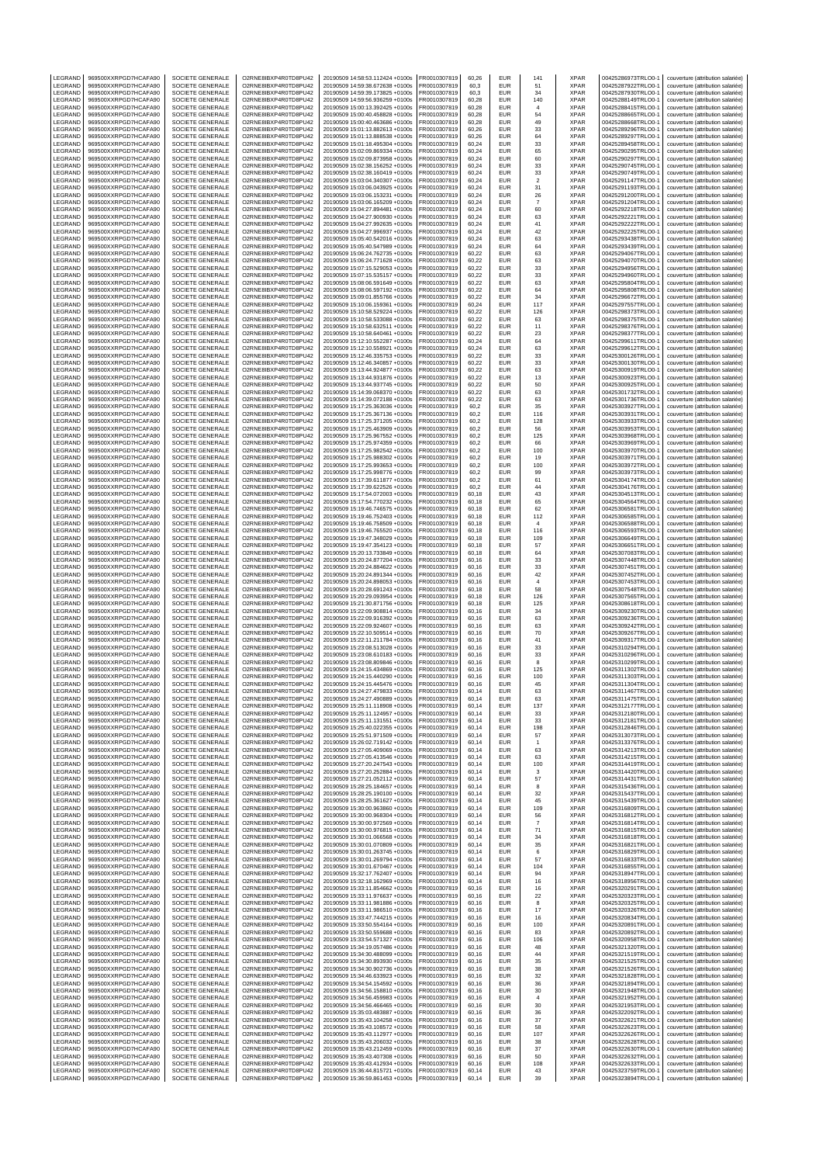| LEGRAND                       | 969500XXRPGD7HCAFA90                                                 | SOCIETE GENERALE                                         | O2RNE8IBXP4R0TD8PU42                                                 | 20190509 14:58:53.112424 +0100s                                                                       | FR0010307819                                 | 60,26                   | EUR                      | 141                     | <b>XPAR</b>                        | 00425286973TRLO0-1                                             | couverture (attribution salariée)                                                                           |
|-------------------------------|----------------------------------------------------------------------|----------------------------------------------------------|----------------------------------------------------------------------|-------------------------------------------------------------------------------------------------------|----------------------------------------------|-------------------------|--------------------------|-------------------------|------------------------------------|----------------------------------------------------------------|-------------------------------------------------------------------------------------------------------------|
| LEGRAND<br>LEGRAND            | 969500XXRPGD7HCAFA90<br>969500XXRPGD7HCAFA90                         | <b>SOCIETE GENERALE</b><br>SOCIETE GENERALE              | O2RNE8IBXP4R0TD8PU42<br>O2RNE8IBXP4R0TD8PU42                         | 20190509 14:59:38.672638 +0100s<br>20190509 14:59:39.173825 +0100s                                    | FR0010307819<br>FR0010307819                 | 60.3<br>60,3            | <b>EUR</b><br>EUR        | 51<br>34                | <b>XPAR</b><br><b>XPAR</b>         | 00425287922TRLO0-1<br>00425287930TRLO0-1                       | couverture (attribution salariée)<br>couverture (attribution salariée)                                      |
| LEGRAND                       | 969500XXRPGD7HCAFA90                                                 | SOCIETE GENERALE                                         | O2RNE8IBXP4R0TD8PU42                                                 | 20190509 14:59:56.936259 +0100s                                                                       | FR0010307819                                 | 60.28                   | <b>EUR</b>               | 140                     | <b>XPAR</b>                        | 00425288149TRLO0-1                                             | couverture (attribution salariée)                                                                           |
| LEGRAND                       | 969500XXRPGD7HCAFA90                                                 | SOCIETE GENERALE                                         | O2RNE8IBXP4R0TD8PU42                                                 | 20190509 15:00:13.392425 +0100s                                                                       | FR0010307819                                 | 60.28                   | EUR                      | $\overline{4}$          | <b>XPAR</b>                        | 00425288415TRLO0-1                                             | couverture (attribution salariée)                                                                           |
| LEGRAND<br>LEGRAND            | 969500XXRPGD7HCAFA90<br>969500XXRPGD7HCAFA90                         | SOCIETE GENERALE<br>SOCIETE GENERALE                     | O2RNE8IBXP4R0TD8PU42<br>O2RNE8IBXP4R0TD8PU42                         | 20190509 15:00:40.458828 +0100s<br>20190509 15:00:40.463686 +0100s                                    | FR0010307819<br>FR0010307819                 | 60,28<br>60,28          | <b>EUR</b><br>EUR        | 54<br>49                | <b>XPAR</b><br>XPAR                | 00425288665TRLO0-1<br>00425288668TRLO0-1                       | couverture (attribution salariée)<br>couverture (attribution salariée)                                      |
| LEGRAND                       | 969500XXRPGD7HCAFA90                                                 | SOCIETE GENERALE                                         | O2RNE8IBXP4R0TD8PU42                                                 | 20190509 15:01:13.882613 +0100s                                                                       | FR0010307819                                 | 60,26                   | EUR                      | 33                      | <b>XPAR</b>                        | 00425289296TRLO0-1                                             | couverture (attribution salariée)                                                                           |
| LEGRAND<br>LEGRAND            | 969500XXRPGD7HCAFA90<br>969500XXRPGD7HCAFA90                         | SOCIETE GENERALE<br>SOCIETE GENERALE                     | O2RNE8IBXP4R0TD8PU42<br>O2RNE8IBXP4R0TD8PU42                         | 20190509 15:01:13.888538 +0100s<br>20190509 15:01:18.495304 +0100s                                    | FR0010307819<br>FR0010307819                 | 60,26<br>60,24          | <b>EUR</b><br>EUR        | 64<br>33                | <b>XPAR</b><br><b>XPAR</b>         | 00425289297TRLO0-1<br>00425289458TRLO0-1                       | couverture (attribution salariée)<br>couverture (attribution salariée)                                      |
| LEGRAND                       | 969500XXRPGD7HCAFA90                                                 | SOCIETE GENERALE                                         | O2RNE8IBXP4R0TD8PU42                                                 | 20190509 15:02:09.869334 +0100s                                                                       | FR0010307819                                 | 60,24                   | EUR                      | 65                      | XPAR                               | 00425290295TRLO0-1                                             | couverture (attribution salariée)                                                                           |
| LEGRAND                       | 969500XXRPGD7HCAFA90                                                 | SOCIETE GENERALE                                         | O2RNE8IBXP4R0TD8PU42                                                 | 20190509 15:02:09.873958 +0100s                                                                       | FR0010307819                                 | 60,24                   | EUR                      | 60                      | <b>XPAR</b>                        | 00425290297TRLO0-1<br>00425290745TRLO0-1                       | couverture (attribution salariée)                                                                           |
| LEGRAND<br>LEGRAND            | 969500XXRPGD7HCAFA90<br>969500XXRPGD7HCAFA90                         | SOCIETE GENERALE<br>SOCIETE GENERALE                     | O2RNE8IBXP4R0TD8PU42<br>O2RNE8IBXP4R0TD8PU42                         | 20190509 15:02:38.156252 +0100s<br>20190509 15:02:38.160419 +0100s                                    | FR0010307819<br>FR0010307819                 | 60,24<br>60,24          | EUR<br>EUR               | 33<br>33                | <b>XPAR</b><br><b>XPAR</b>         | 00425290749TRLO0-1                                             | couverture (attribution salariée)<br>couverture (attribution salariée)                                      |
| LEGRAND                       | 969500XXRPGD7HCAFA90                                                 | SOCIETE GENERALE                                         | O2RNE8IBXP4R0TD8PU42                                                 | 20190509 15:03:04.340307 +0100s                                                                       | FR0010307819                                 | 60,24                   | EUR                      | $\overline{\mathbf{c}}$ | XPAR                               | 00425291147TRLO0-1                                             | couverture (attribution salariée)                                                                           |
| LEGRAND<br>LEGRAND            | 969500XXRPGD7HCAFA90<br>969500XXRPGD7HCAFA90                         | SOCIETE GENERALE<br><b>SOCIETE GENERALE</b>              | O2RNE8IBXP4R0TD8PU42<br>O2RNE8IBXP4R0TD8PU42                         | 20190509 15:03:06.043925 +0100s<br>20190509 15:03:06.153231 +0100s                                    | FR0010307819<br>FR0010307819                 | 60,24<br>60.24          | EUR<br>EUR               | 31                      | <b>XPAR</b><br><b>XPAR</b>         | 00425291193TRLO0-1<br>00425291200TRLO0-1                       | couverture (attribution salariée)<br>couverture (attribution salariée)                                      |
| LEGRAND                       | 969500XXRPGD7HCAFA90                                                 | SOCIETE GENERALE                                         | O2RNE8IBXP4R0TD8PU42                                                 | 20190509 15:03:06.165209 +0100s                                                                       | FR0010307819                                 | 60,24                   | EUR                      | 26<br>$\scriptstyle{7}$ | XPAR                               | 00425291204TRLO0-1                                             | couverture (attribution salariée)                                                                           |
| LEGRAND                       | 969500XXRPGD7HCAFA90                                                 | SOCIETE GENERALE                                         | O2RNE8IBXP4R0TD8PU42                                                 | 20190509 15:04:27.894481 +0100s                                                                       | FR0010307819                                 | 60.24                   | EUR                      | 60                      | <b>XPAR</b>                        | 00425292218TRLO0-1                                             | couverture (attribution salariée)                                                                           |
| LEGRAND<br>LEGRAND            | 969500XXRPGD7HCAFA90<br>969500XXRPGD7HCAFA90                         | SOCIETE GENERALE<br><b>SOCIETE GENERALE</b>              | O2RNE8IBXP4R0TD8PU42<br>O2RNE8IBXP4R0TD8PU42                         | 20190509 15:04:27.900930 +0100s<br>20190509 15:04:27.992635 +0100s                                    | FR0010307819<br>FR0010307819                 | 60,24<br>60.24          | EUR<br>EUR               | 63<br>41                | <b>XPAR</b><br><b>XPAR</b>         | 00425292221TRLO0-1<br>00425292222TRLO0-1                       | couverture (attribution salariée)<br>couverture (attribution salariée)                                      |
| LEGRAND                       | 969500XXRPGD7HCAFA90                                                 | SOCIETE GENERALE                                         | O2RNE8IBXP4R0TD8PU42                                                 | 20190509 15:04:27.996937 +0100s                                                                       | FR0010307819                                 | 60,24                   | EUR                      | 42                      | XPAR                               | 00425292225TRLO0-1                                             | couverture (attribution salariée)                                                                           |
| LEGRAND                       | 969500XXRPGD7HCAFA90                                                 | SOCIETE GENERALE                                         | O2RNE8IBXP4R0TD8PU42                                                 | 20190509 15:05:40.542016 +0100s                                                                       | FR0010307819                                 | 60.24                   | EUR                      | 63                      | <b>XPAR</b>                        | 00425293438TRLO0-1                                             | couverture (attribution salariée)                                                                           |
| LEGRAND<br>LEGRAND            | 969500XXRPGD7HCAFA90<br>969500XXRPGD7HCAFA90                         | SOCIETE GENERALE<br><b>SOCIETE GENERALE</b>              | O2RNE8IBXP4R0TD8PU42<br>O2RNE8IBXP4R0TD8PU42                         | 20190509 15:05:40.547989 +0100s<br>20190509 15:06:24.762735 +0100s                                    | FR0010307819<br>FR0010307819                 | 60,24<br>60.22          | EUR<br>EUR               | 64<br>63                | <b>XPAR</b><br><b>XPAR</b>         | 00425293439TRLO0-1<br>00425294067TRLO0-1                       | couverture (attribution salariée)<br>couverture (attribution salariée)                                      |
| LEGRAND                       | 969500XXRPGD7HCAFA90                                                 | SOCIETE GENERALE                                         | O2RNE8IBXP4R0TD8PU42                                                 | 20190509 15:06:24.771628 +0100s                                                                       | FR0010307819                                 | 60,22                   | EUR                      | 63                      | <b>XPAR</b>                        | 00425294070TRLO0-1                                             | couverture (attribution salariée)                                                                           |
| LEGRAND<br>LEGRAND            | 969500XXRPGD7HCAFA90<br>969500XXRPGD7HCAFA90                         | SOCIETE GENERALE<br>SOCIETE GENERALE                     | O2RNE8IBXP4R0TD8PU42<br>O2RNE8IBXP4R0TD8PU42                         | 20190509 15:07:15.529053 +0100s<br>20190509 15:07:15.535157 +0100s                                    | FR0010307819<br>FR0010307819                 | 60,22<br>60,22          | EUR<br>EUR               | 33<br>33                | XPAR<br>XPAR                       | 00425294956TRLO0-1<br>00425294960TRLO0-1                       | couverture (attribution salariée)<br>couverture (attribution salariée)                                      |
| LEGRAND                       | 969500XXRPGD7HCAFA90                                                 | SOCIETE GENERALE                                         | O2RNE8IBXP4R0TD8PU42                                                 | 20190509 15:08:06.591649 +0100s                                                                       | FR0010307819                                 | 60,22                   | EUR                      | 63                      | <b>XPAR</b>                        | 00425295804TRLO0-1                                             | couverture (attribution salariée)                                                                           |
| LEGRAND                       | 969500XXRPGD7HCAFA90                                                 | SOCIETE GENERALE                                         | O2RNE8IBXP4R0TD8PU42                                                 | 20190509 15:08:06.597192 +0100s                                                                       | FR0010307819                                 | 60,22                   | EUR                      | 64                      | <b>XPAR</b>                        | 00425295808TRLO0-1                                             | couverture (attribution salariée)                                                                           |
| LEGRAND<br>LEGRAND            | 969500XXRPGD7HCAFA90<br>969500XXRPGD7HCAFA90                         | SOCIETE GENERALE<br>SOCIETE GENERALE                     | O2RNE8IBXP4R0TD8PU42<br>O2RNE8IBXP4R0TD8PU42                         | 20190509 15:09:01.855766 +0100s<br>20190509 15:10:06.159361 +0100s                                    | FR0010307819<br>FR0010307819                 | 60,22<br>60,24          | EUR<br>EUR               | 34<br>117               | <b>XPAR</b><br>XPAR                | 00425296672TRLO0-1<br>00425297557TRLO0-1                       | couverture (attribution salariée)<br>couverture (attribution salariée)                                      |
| LEGRAND                       | 969500XXRPGD7HCAFA90                                                 | SOCIETE GENERALE                                         | O2RNE8IBXP4R0TD8PU42                                                 | 20190509 15:10:58.529224 +0100s                                                                       | FR0010307819                                 | 60.22                   | <b>EUR</b>               | 126                     | <b>XPAR</b>                        | 00425298373TRLO0-1                                             | couverture (attribution salariée)                                                                           |
| LEGRAND<br>LEGRAND            | 969500XXRPGD7HCAFA90<br>969500XXRPGD7HCAFA90                         | SOCIETE GENERALE<br>SOCIETE GENERALE                     | O2RNE8IBXP4R0TD8PU42<br>O2RNE8IBXP4R0TD8PU42                         | 20190509 15:10:58.533088 +0100s<br>20190509 15:10:58.632511 +0100s                                    | FR0010307819<br>FR0010307819                 | 60,22<br>60,22          | <b>EUR</b><br><b>EUR</b> | 63<br>11                | <b>XPAR</b><br><b>XPAR</b>         | 00425298375TRLO0-1<br>00425298376TRLO0-1                       | couverture (attribution salariée)<br>couverture (attribution salariée)                                      |
| LEGRAND                       | 969500XXRPGD7HCAFA90                                                 | SOCIETE GENERALE                                         | O2RNE8IBXP4R0TD8PU42                                                 | 20190509 15:10:58.640461 +0100s                                                                       | FR0010307819                                 | 60,22                   | EUR                      | 23                      | XPAR                               | 00425298377TRLO0-1                                             | couverture (attribution salariée)                                                                           |
| LEGRAND                       | 969500XXRPGD7HCAFA90                                                 | SOCIETE GENERALE                                         | O2RNE8IBXP4R0TD8PU42<br>O2RNE8IBXP4R0TD8PU42                         | 20190509 15:12:10.552287 +0100s                                                                       | FR0010307819                                 | 60,24<br>60.24          | <b>EUR</b><br>EUR        | 64                      | <b>XPAR</b><br><b>XPAR</b>         | 00425299611TRLO0-1<br>00425299612TRLO0-1                       | couverture (attribution salariée)                                                                           |
| LEGRAND<br>LEGRAND            | 969500XXRPGD7HCAFA90<br>969500XXRPGD7HCAFA90                         | SOCIETE GENERALE<br><b>SOCIETE GENERALE</b>              | O2RNE8IBXP4R0TD8PU42                                                 | 20190509 15:12:10.558921 +0100s<br>20190509 15:12:46.335753 +0100s                                    | FR0010307819<br>FR0010307819                 | 60,22                   | EUR                      | 63<br>33                | <b>XPAR</b>                        | 00425300126TRLO0-1                                             | couverture (attribution salariée)<br>couverture (attribution salariée)                                      |
| LEGRAND                       | 969500XXRPGD7HCAFA90                                                 | SOCIETE GENERALE                                         | O2RNE8IBXP4R0TD8PU42                                                 | 20190509 15:12:46.340857 +0100s                                                                       | FR0010307819                                 | 60.22                   | EUR                      | 33                      | <b>XPAR</b>                        | 00425300130TRLO0-1                                             | couverture (attribution salariée)                                                                           |
| LEGRAND<br>LEGRAND            | 969500XXRPGD7HCAFA90<br>969500XXRPGD7HCAFA90                         | SOCIETE GENERALE<br><b>SOCIETE GENERALE</b>              | O2RNE8IBXP4R0TD8PU42<br>O2RNE8IBXP4R0TD8PU42                         | 20190509 15:13:44.924877 +0100s<br>20190509 15:13:44.931876 +0100s                                    | FR0010307819<br>FR0010307819                 | 60,22<br>60.22          | EUR<br>EUR               | 63<br>13                | <b>XPAR</b><br><b>XPAR</b>         | 00425300919TRLO0-1<br>00425300923TRLO0-1                       | couverture (attribution salariée)<br>couverture (attribution salariée)                                      |
| LEGRAND                       | 969500XXRPGD7HCAFA90                                                 | SOCIETE GENERALE                                         | O2RNE8IBXP4R0TD8PU42                                                 | 20190509 15:13:44.937745 +0100s                                                                       | FR0010307819                                 | 60,22                   | EUR                      | 50                      | <b>XPAR</b>                        | 00425300925TRLO0-1                                             | couverture (attribution salariée)                                                                           |
| LEGRAND                       | 969500XXRPGD7HCAFA90                                                 | SOCIETE GENERALE                                         | O2RNE8IBXP4R0TD8PU42                                                 | 20190509 15:14:39.068370 +0100s                                                                       | FR0010307819                                 | 60.22                   | <b>EUR</b>               | 63                      | <b>XPAR</b>                        | 00425301732TRLO0-1                                             | couverture (attribution salariée)                                                                           |
| LEGRAND<br>LEGRAND            | 969500XXRPGD7HCAFA90<br>969500XXRPGD7HCAFA90                         | SOCIETE GENERALE<br><b>SOCIETE GENERALE</b>              | O2RNE8IBXP4R0TD8PU42<br>O2RNE8IBXP4R0TD8PU42                         | 20190509 15:14:39.072188 +0100s<br>20190509 15:17:25.363036 +0100s                                    | FR0010307819<br>FR0010307819                 | 60,22<br>60.2           | EUR<br>EUR               | 63<br>35                | <b>XPAR</b><br><b>XPAR</b>         | 00425301736TRLO0-1<br>00425303927TRLO0-1                       | couverture (attribution salariée)<br>couverture (attribution salariée)                                      |
| LEGRAND                       | 969500XXRPGD7HCAFA90                                                 | SOCIETE GENERALE                                         | O2RNE8IBXP4R0TD8PU42                                                 | 20190509 15:17:25.367136 +0100s                                                                       | FR0010307819                                 | 60,2                    | EUR                      | 116                     | XPAR                               | 00425303931TRLO0-1                                             | couverture (attribution salariée)                                                                           |
| LEGRAND<br>LEGRAND            | 969500XXRPGD7HCAFA90<br>969500XXRPGD7HCAFA90                         | <b>SOCIETE GENERALE</b><br>SOCIETE GENERALE              | O2RNE8IBXP4R0TD8PU42<br>O2RNE8IBXP4R0TD8PU42                         | 20190509 15:17:25.371205 +0100s<br>20190509 15:17:25.463909 +0100s                                    | FR0010307819<br>FR0010307819                 | 60.2<br>60,2            | EUR<br>EUR               | 128<br>56               | <b>XPAR</b><br><b>XPAR</b>         | 00425303933TRLO0-1<br>00425303953TRLO0-1                       | couverture (attribution salariée)<br>couverture (attribution salariée)                                      |
| LEGRAND                       | 969500XXRPGD7HCAFA90                                                 | <b>SOCIETE GENERALE</b>                                  | O2RNE8IBXP4R0TD8PU42                                                 | 20190509 15:17:25.967552 +0100s                                                                       | FR0010307819                                 | 60.2                    | EUR                      | 125                     | <b>XPAR</b>                        | 00425303968TRLO0-1                                             | couverture (attribution salariée)                                                                           |
| LEGRAND                       | 969500XXRPGD7HCAFA90                                                 | SOCIETE GENERALE                                         | O2RNE8IBXP4R0TD8PU42                                                 | 20190509 15:17:25.974359 +0100s                                                                       | FR0010307819                                 | 60,2                    | EUR                      | 66                      | XPAR                               | 00425303969TRLO0-                                              | couverture (attribution salariée)                                                                           |
| LEGRAND<br>LEGRAND            | 969500XXRPGD7HCAFA90<br>969500XXRPGD7HCAFA90                         | SOCIETE GENERALE<br>SOCIETE GENERALE                     | O2RNE8IBXP4R0TD8PU42<br>O2RNE8IBXP4R0TD8PU42                         | 20190509 15:17:25.982542 +0100s<br>20190509 15:17:25.988302 +0100s                                    | FR0010307819<br>FR0010307819                 | 60,2<br>60,2            | <b>EUR</b><br>EUR        | 100<br>19               | <b>XPAR</b><br>XPAR                | 00425303970TRLO0-1<br>00425303971TRLO0-1                       | couverture (attribution salariée)<br>couverture (attribution salariée)                                      |
| LEGRAND                       | 969500XXRPGD7HCAFA90                                                 | SOCIETE GENERALE                                         | O2RNE8IBXP4R0TD8PU42                                                 | 20190509 15:17:25.993653 +0100s                                                                       | FR0010307819                                 | 60,2                    | EUR                      | 100                     | <b>XPAR</b>                        | 00425303972TRLO0-1                                             | couverture (attribution salariée)                                                                           |
| LEGRAND                       | 969500XXRPGD7HCAFA90                                                 | SOCIETE GENERALE                                         | O2RNE8IBXP4R0TD8PU42                                                 | 20190509 15:17:25.998776 +0100s                                                                       | FR0010307819                                 | 60,2                    | EUR                      | 99                      | <b>XPAR</b>                        | 00425303973TRLO0-1                                             | couverture (attribution salariée)                                                                           |
| LEGRAND<br>LEGRAND            | 969500XXRPGD7HCAFA90<br>969500XXRPGD7HCAFA90                         | SOCIETE GENERALE<br>SOCIETE GENERALE                     | O2RNE8IBXP4R0TD8PU42<br>O2RNE8IBXP4R0TD8PU42                         | 20190509 15:17:39.611877 +0100s<br>20190509 15:17:39.622526 +0100s                                    | FR0010307819<br>FR0010307819                 | 60,2<br>60,2            | EUR<br>EUR               | 61<br>44                | <b>XPAR</b><br>XPAR                | 00425304174TRLO0-1<br>00425304176TRLO0-1                       | couverture (attribution salariée)<br>couverture (attribution salariée)                                      |
| LEGRAND                       | 969500XXRPGD7HCAFA90                                                 | SOCIETE GENERALE                                         | O2RNE8IBXP4R0TD8PU42                                                 | 20190509 15:17:54.072003 +0100s                                                                       | FR0010307819                                 | 60,18                   | EUR                      | 43                      | <b>XPAR</b>                        | 00425304513TRLO0-1                                             | couverture (attribution salariée)                                                                           |
| LEGRAND<br>LEGRAND            | 969500XXRPGD7HCAFA90<br>969500XXRPGD7HCAFA90                         | SOCIETE GENERALE<br>SOCIETE GENERALE                     | O2RNE8IBXP4R0TD8PU42<br>O2RNE8IBXP4R0TD8PU42                         | 20190509 15:17:54.770232 +0100s<br>20190509 15:19:46.746575 +0100s                                    | FR0010307819<br>FR0010307819                 | 60,18<br>60,18          | EUR<br><b>EUR</b>        | 65<br>62                | <b>XPAR</b><br><b>XPAR</b>         | 00425304564TRLO0-1<br>00425306581TRLO0-1                       | couverture (attribution salariée)<br>couverture (attribution salariée)                                      |
| LEGRAND                       | 969500XXRPGD7HCAFA90                                                 | SOCIETE GENERALE                                         | O2RNE8IBXP4R0TD8PU42                                                 | 20190509 15:19:46.752403 +0100s                                                                       | FR0010307819                                 | 60,18                   | EUR                      | 112                     | XPAR                               | 00425306585TRLO0-1                                             | couverture (attribution salariée)                                                                           |
| LEGRAND                       | 969500XXRPGD7HCAFA90                                                 | SOCIETE GENERALE                                         | O2RNE8IBXP4R0TD8PU42                                                 | 20190509 15:19:46.758509 +0100s                                                                       | FR0010307819                                 | 60,18                   | EUR                      | $\overline{4}$          | <b>XPAR</b>                        | 00425306588TRLO0-1                                             | couverture (attribution salariée)                                                                           |
| LEGRAND<br>LEGRAND            | 969500XXRPGD7HCAFA90<br>969500XXRPGD7HCAFA90                         | SOCIETE GENERALE<br>SOCIETE GENERALE                     | O2RNE8IBXP4R0TD8PU42<br>O2RNE8IBXP4R0TD8PU42                         | 20190509 15:19:46.765520 +0100s<br>20190509 15:19:47.348029 +0100s                                    | FR0010307819<br>FR0010307819                 | 60,18<br>60,18          | EUR<br>EUR               | 116<br>109              | <b>XPAR</b><br><b>XPAR</b>         | 00425306593TRLO0-1<br>00425306649TRLO0-1                       | couverture (attribution salariée)<br>couverture (attribution salariée)                                      |
| LEGRAND                       | 969500XXRPGD7HCAFA90                                                 | <b>SOCIETE GENERALE</b>                                  | O2RNE8IBXP4R0TD8PU42                                                 | 20190509 15:19:47.354123 +0100s                                                                       | FR0010307819                                 | 60.18                   | EUR                      | 57                      | <b>XPAR</b>                        | 00425306651TRLO0-1                                             | couverture (attribution salariée)                                                                           |
| LEGRAND<br>LEGRAND            | 969500XXRPGD7HCAFA90<br>969500XXRPGD7HCAFA90                         | SOCIETE GENERALE<br><b>SOCIETE GENERALE</b>              | O2RNE8IBXP4R0TD8PU42<br>O2RNE8IBXP4R0TD8PU42                         | 20190509 15:20:13.733849 +0100s<br>20190509 15:20:24.877204 +0100s                                    | FR0010307819<br>FR0010307819                 | 60,18<br>60.16          | EUR<br>EUR               | 64<br>33                | <b>XPAR</b><br><b>XPAR</b>         | 00425307083TRLO0-1<br>00425307448TRLO0-1                       | couverture (attribution salariée)<br>couverture (attribution salariée)                                      |
| LEGRAND                       | 969500XXRPGD7HCAFA90                                                 | SOCIETE GENERALE                                         | O2RNE8IBXP4R0TD8PU42                                                 | 20190509 15:20:24.884622 +0100s                                                                       | FR0010307819                                 | 60,16                   | EUR                      | 33                      | XPAR                               | 00425307451TRLO0-1                                             | couverture (attribution salariée)                                                                           |
| LEGRAND                       | 969500XXRPGD7HCAFA90                                                 | <b>SOCIETE GENERALE</b>                                  | O2RNE8IBXP4R0TD8PU42                                                 | 20190509 15:20:24.891344 +0100s                                                                       | FR0010307819                                 | 60.16                   | EUR                      | 42                      | <b>XPAR</b>                        | 00425307452TRLO0-1                                             | couverture (attribution salariée)                                                                           |
| LEGRAND<br>LEGRAND            | 969500XXRPGD7HCAFA90<br>969500XXRPGD7HCAFA90                         | SOCIETE GENERALE<br><b>SOCIETE GENERALE</b>              | O2RNE8IBXP4R0TD8PU42<br>O2RNE8IBXP4R0TD8PU42                         | 20190509 15:20:24.898053 +0100s<br>20190509 15:20:28.691243 +0100s                                    | FR0010307819<br>FR0010307819                 | 60,16<br>60.18          | EUR<br>EUR               | $\overline{4}$<br>58    | <b>XPAR</b><br><b>XPAR</b>         | 00425307453TRLO0-1<br>00425307548TRLO0-1                       | couverture (attribution salariée)<br>couverture (attribution salariée)                                      |
| LEGRAND                       | 969500XXRPGD7HCAFA90                                                 | SOCIETE GENERALE                                         | O2RNE8IBXP4R0TD8PU42                                                 | 20190509 15:20:29.093954 +0100s                                                                       | FR0010307819                                 | 60,18                   | EUR                      | 126                     | <b>XPAR</b>                        | 00425307565TRLO0-1                                             | couverture (attribution salariée)                                                                           |
| LEGRAND<br>LEGRAND            | 969500XXRPGD7HCAFA90<br>969500XXRPGD7HCAFA90                         | <b>SOCIETE GENERALE</b><br>SOCIETE GENERALE              | O2RNE8IBXP4R0TD8PU42<br>O2RNE8IBXP4R0TD8PU42                         | 20190509 15:21:30.871756 +0100s<br>20190509 15:22:09.908814 +0100s                                    | FR0010307819<br>FR0010307819                 | 60.18<br>60,16          | EUR<br>EUR               | 125<br>34               | <b>XPAR</b><br><b>XPAR</b>         | 00425308618TRLO0-1<br>00425309230TRLO0-1                       | couverture (attribution salariée)<br>couverture (attribution salariée)                                      |
| LEGRAND                       | 969500XXRPGD7HCAFA90                                                 | SOCIETE GENERALE                                         | O2RNE8IBXP4R0TD8PU42                                                 | 20190509 15:22:09.916392 +0100s                                                                       | FR0010307819                                 | 60.16                   | <b>EUR</b>               | 63                      | <b>XPAR</b>                        | 00425309236TRLO0-1                                             | couverture (attribution salariée)                                                                           |
| LEGRAND                       | 969500XXRPGD7HCAFA90                                                 | SOCIETE GENERALE                                         | O2RNE8IBXP4R0TD8PU42                                                 | 20190509 15:22:09.924607 +0100s                                                                       | FR0010307819                                 | 60,16                   | <b>EUR</b>               | 63                      | <b>XPAR</b>                        | 00425309242TRLO0-1                                             | couverture (attribution salariée)                                                                           |
| LEGRAND<br>LEGRAND            | 969500XXRPGD7HCAFA90<br>969500XXRPGD7HCAFA90                         | SOCIETE GENERALE<br>SOCIETE GENERALE                     | O2RNE8IBXP4R0TD8PU42<br>O2RNE8IBXP4R0TD8PU42                         | 20190509 15:22:10.509514 +0100s<br>20190509 15:22:11.211784 +0100s                                    | FR0010307819<br>FR0010307819                 | 60,16<br>60,16          | <b>EUR</b><br>EUR        | 70<br>41                | <b>XPAR</b><br>XPAR                | 00425309267TRLO0-1<br>00425309317TRLO0-1                       | couverture (attribution salariée)<br>couverture (attribution salariée)                                      |
| LEGRAND                       | 969500XXRPGD7HCAFA90                                                 | SOCIETE GENERALE                                         | O2RNE8IBXP4R0TD8PU42                                                 | 20190509 15:23:08.513028 +0100s                                                                       | FR0010307819                                 | 60,16                   | <b>EUR</b>               | 33                      | <b>XPAR</b>                        | 00425310294TRLO0-1                                             | couverture (attribution salariée)                                                                           |
| LEGRAND<br>LEGRAND            | 969500XXRPGD7HCAFA90<br>969500XXRPGD7HCAFA90                         | SOCIETE GENERALE                                         | O2RNE8IBXP4R0TD8PU42<br>O2RNE8IBXP4R0TD8PU42                         | 20190509 15:23:08.610183 +0100s<br>20190509 15:23:08.809846 +0100s                                    | FR0010307819                                 | 60,16<br>60.16          | EUR<br><b>EUR</b>        | 33                      | <b>XPAR</b><br><b>XPAR</b>         | 00425310296TRLO0-1                                             | couverture (attribution salariée)<br>couverture (attribution salariée)                                      |
| LEGRAND                       | 969500XXRPGD7HCAFA90                                                 | SOCIETE GENERALE<br>SOCIETE GENERALE                     | O2RNE8IBXP4R0TD8PU42                                                 | 20190509 15:24:15.434869 +0100s                                                                       | FR0010307819<br>FR0010307819                 | 60,16                   | EUR                      | 8<br>125                | <b>XPAR</b>                        | 00425310299TRLO0-1<br>00425311302TRLO0-1                       | couverture (attribution salariée)                                                                           |
| LEGRAND                       | 969500XXRPGD7HCAFA90                                                 | SOCIETE GENERALE                                         | O2RNE8IBXP4R0TD8PU42                                                 | 20190509 15:24:15.440290 +0100s                                                                       | FR0010307819                                 | 60.16                   | <b>EUR</b>               | 100                     | <b>XPAR</b>                        | 00425311303TRLO0-1                                             | couverture (attribution salariée)                                                                           |
| LEGRAND<br>LEGRAND            | 969500XXRPGD7HCAFA90<br>969500XXRPGD7HCAFA90                         | SOCIETE GENERALE<br>SOCIETE GENERALE                     | O2RNE8IBXP4R0TD8PU42<br>O2RNE8IBXP4R0TD8PU42                         | 20190509 15:24:15.445476 +0100s<br>20190509 15:24:27.479833 +0100s                                    | FR0010307819<br>FR0010307819                 | 60.16<br>60,14          | <b>EUR</b><br>EUR        | 45<br>63                | <b>XPAR</b><br><b>XPAR</b>         | 00425311304TRLO0-1<br>00425311467TRLO0-1                       | couverture (attribution salariée)<br>couverture (attribution salariée)                                      |
| <b>IFGRAND</b>                | 969500XXRPGD7HCAFA90                                                 | SOCIETE GENERALE                                         | O2RNE8IBXP4R0TD8PU42                                                 | 20190509 15:24:27.490889 +0100s                                                                       | FR0010307819                                 | 60.14                   | EUR                      | 63                      | <b>XPAR</b>                        | 00425311475TRLO0-1                                             | couverture (attribution salariée)                                                                           |
| LEGRAND<br>LEGRAND            | 969500XXRPGD7HCAFA90<br>969500XXRPGD7HCAFA90                         | SOCIETE GENERALE<br>SOCIETE GENERALE                     | O2RNE8IBXP4R0TD8PU42<br>O2RNE8IBXP4R0TD8PU42                         | 20190509 15:25:11.118908 +0100s<br>20190509 15:25:11.124957 +0100s                                    | FR0010307819<br>FR0010307819                 | 60,14<br>60.14          | EUR<br>EUR               | 137<br>33               | <b>XPAR</b><br><b>XPAR</b>         | 00425312177TRLO0-1<br>00425312180TRLO0-1                       | couverture (attribution salariée)<br>couverture (attribution salariée)                                      |
| LEGRAND                       | 969500XXRPGD7HCAFA90                                                 | SOCIETE GENERALE                                         | O2RNE8IBXP4R0TD8PU42                                                 | 20190509 15:25:11.131551 +0100s                                                                       | FR0010307819                                 | 60,14                   | EUR                      | 33                      | <b>XPAR</b>                        | 00425312181TRLO0-1                                             | couverture (attribution salariée)                                                                           |
| LEGRAND                       | 969500XXRPGD7HCAFA90                                                 | SOCIETE GENERALE                                         | O2RNE8IBXP4R0TD8PU42                                                 | 20190509 15:25:40.022355 +0100s                                                                       | FR0010307819                                 | 60.14                   | <b>EUR</b>               | 198                     | <b>XPAR</b>                        | 00425312846TRLO0-1                                             | couverture (attribution salariée)                                                                           |
| LEGRAND<br>LEGRAND            | 969500XXRPGD7HCAFA90<br>969500XXRPGD7HCAFA90                         | SOCIETE GENERALE<br>SOCIETE GENERALE                     | O2RNE8IBXP4R0TD8PU42<br>O2RNE8IBXP4R0TD8PU42                         | 20190509 15:25:51.971509 +0100s<br>20190509 15:26:02.719142 +0100s                                    | FR0010307819<br>FR0010307819                 | 60,14<br>60.14          | EUR<br>EUR               | 57<br>$\overline{1}$    | XPAR<br><b>XPAR</b>                | 00425313073TRLO0-1<br>00425313376TRLO0-1                       | couverture (attribution salariée)<br>couverture (attribution salariée)                                      |
| LEGRAND                       | 969500XXRPGD7HCAFA90                                                 | SOCIETE GENERALE                                         | O2RNE8IBXP4R0TD8PU42                                                 | 20190509 15:27:05.409069 +0100s                                                                       | FR0010307819                                 | 60,14                   | EUR                      | 63                      | XPAR                               | 00425314213TRLO0-1                                             | couverture (attribution salariée)                                                                           |
| LEGRAND<br>LEGRAND            | 969500XXRPGD7HCAFA90<br>969500XXRPGD7HCAFA90                         | SOCIETE GENERALE<br>SOCIETE GENERALE                     | O2RNE8IBXP4R0TD8PU42<br>O2RNE8IBXP4R0TD8PU42                         | 20190509 15:27:05.413546 +0100s<br>20190509 15:27:20.247543 +0100s                                    | FR0010307819<br>FR0010307819                 | 60.14<br>60,14          | <b>EUR</b><br>EUR        | 63<br>100               | <b>XPAR</b><br>XPAR                | 00425314215TRLO0-1<br>00425314419TRLO0-1                       | couverture (attribution salariée)<br>couverture (attribution salariée)                                      |
| LEGRAND                       | 969500XXRPGD7HCAFA90                                                 | SOCIETE GENERALE                                         | O2RNE8IBXP4R0TD8PU42                                                 | 20190509 15:27:20.252884 +0100s                                                                       | FR0010307819                                 | 60.14                   | EUR                      | 3                       | <b>XPAR</b>                        | 00425314420TRLO0-1                                             | couverture (attribution salariée)                                                                           |
| LEGRAND<br>LEGRAND            | 969500XXRPGD7HCAFA90<br>969500XXRPGD7HCAFA90                         | SOCIETE GENERALE<br>SOCIETE GENERALE                     | O2RNE8IBXP4R0TD8PU42<br>O2RNE8IBXP4R0TD8PU42                         | 20190509 15:27:21.052112 +0100s<br>20190509 15:28:25.184657 +0100s                                    | FR0010307819<br>FR0010307819                 | 60,14<br>60.14          | EUR<br><b>EUR</b>        | 57<br>8                 | XPAR<br><b>XPAR</b>                | 00425314431TRLO0-1<br>00425315436TRLO0-1                       | couverture (attribution salariée)<br>couverture (attribution salariée)                                      |
| LEGRAND                       | 969500XXRPGD7HCAFA90                                                 | SOCIETE GENERALE                                         | O2RNE8IBXP4R0TD8PU42                                                 | 20190509 15:28:25.190100 +0100s                                                                       | FR0010307819                                 | 60,14                   | EUR                      | 32                      | XPAR                               | 00425315437TRLO0-1                                             | couverture (attribution salariée)                                                                           |
| LEGRAND                       | 969500XXRPGD7HCAFA90                                                 | SOCIETE GENERALE                                         | O2RNE8IBXP4R0TD8PU42                                                 | 20190509 15:28:25.361627 +0100s                                                                       | FR0010307819                                 | 60.14                   | EUR                      | 45                      | <b>XPAR</b>                        | 00425315439TRLO0-1                                             | couverture (attribution salariée)                                                                           |
| LEGRAND<br>LEGRAND            | 969500XXRPGD7HCAFA90<br>969500XXRPGD7HCAFA90                         | SOCIETE GENERALE<br>SOCIETE GENERALE                     | O2RNE8IBXP4R0TD8PU42<br>O2RNE8IBXP4R0TD8PU42                         | 20190509 15:30:00.963860 +0100s<br>20190509 15:30:00.968304 +0100s                                    | FR0010307819<br>FR0010307819                 | 60.14<br>60,14          | <b>EUR</b><br><b>EUR</b> | 109<br>56               | <b>XPAR</b><br><b>XPAR</b>         | 00425316809TRLO0-1<br>00425316812TRLO0-1                       | couverture (attribution salariée)<br>couverture (attribution salariée)                                      |
| LEGRAND                       | 969500XXRPGD7HCAFA90                                                 | SOCIETE GENERALE                                         | O2RNE8IBXP4R0TD8PU42                                                 | 20190509 15:30:00.972569 +0100s                                                                       | FR0010307819                                 | 60,14                   | <b>EUR</b>               | $\overline{7}$          | <b>XPAR</b>                        | 00425316814TRLO0-1                                             | couverture (attribution salariée)                                                                           |
| LEGRAND<br>LEGRAND            | 969500XXRPGD7HCAFA90<br>969500XXRPGD7HCAFA90                         | SOCIETE GENERALE<br>SOCIETE GENERALE                     | O2RNE8IBXP4R0TD8PU42<br>O2RNE8IBXP4R0TD8PU42                         | 20190509 15:30:00.976815 +0100s<br>20190509 15:30:01.066568 +0100s                                    | FR0010307819<br>FR0010307819                 | 60.14<br>60.14          | <b>EUR</b><br><b>EUR</b> | 71<br>34                | <b>XPAR</b><br><b>XPAR</b>         | 00425316815TRLO0-1<br>00425316818TRLO0-1                       | couverture (attribution salariée)<br>couverture (attribution salariée)                                      |
| LEGRAND                       | 969500XXRPGD7HCAFA90                                                 | SOCIETE GENERALE                                         | O2RNE8IBXP4R0TD8PU42                                                 | 20190509 15:30:01.070809 +0100s                                                                       | FR0010307819                                 | 60.14                   | EUR                      | 35                      | <b>XPAR</b>                        | 00425316821TRLO0-1                                             | couverture (attribution salariée)                                                                           |
| LEGRAND<br><b>IFGRAND</b>     | 969500XXRPGD7HCAFA90                                                 | SOCIETE GENERALE                                         | O2RNE8IBXP4R0TD8PU42                                                 | 20190509 15:30:01.263745 +0100s                                                                       | FR0010307819                                 | 60,14                   | <b>EUR</b>               | 6                       | <b>XPAR</b><br><b>XPAR</b>         | 00425316829TRLO0-1                                             | couverture (attribution salariée)                                                                           |
| LEGRAND                       | 969500XXRPGD7HCAFA90<br>969500XXRPGD7HCAFA90                         | SOCIETE GENERALE<br>SOCIETE GENERALE                     | O2RNE8IBXP4R0TD8PU42<br>O2RNE8IBXP4R0TD8PU42                         | 20190509 15:30:01.269794 +0100s<br>20190509 15:30:01.670467 +0100s                                    | FR0010307819<br>FR0010307819                 | 60.14<br>60,14          | EUR<br><b>EUR</b>        | 57<br>104               | <b>XPAR</b>                        | 00425316833TRLO0-1<br>00425316855TRLO0-1                       | couverture (attribution salariée)<br>couverture (attribution salariée)                                      |
| LEGRAND                       | 969500XXRPGD7HCAFA90                                                 | SOCIETE GENERALE                                         | O2RNE8IBXP4R0TD8PU42                                                 | 20190509 15:32:17.762407 +0100s                                                                       | FR0010307819                                 | 60,14                   | EUR                      | 94                      | <b>XPAR</b>                        | 00425318947TRLO0-1                                             | couverture (attribution salariée)                                                                           |
| LEGRAND<br>LEGRAND            | 969500XXRPGD7HCAFA90<br>969500XXRPGD7HCAFA90                         | SOCIETE GENERALE<br>SOCIETE GENERALE                     | O2RNE8IBXP4R0TD8PU42<br>O2RNE8IBXP4R0TD8PU42                         | 20190509 15:32:18.162969 +0100s<br>20190509 15:33:11.854662 +0100s                                    | FR0010307819<br>FR0010307819                 | 60.14<br>60,16          | EUR<br>EUR               | 16<br>16                | <b>XPAR</b><br>XPAR                | 00425318956TRLO0-1<br>00425320291TRLO0-1                       | couverture (attribution salariée)<br>couverture (attribution salariée)                                      |
| LEGRAND                       | 969500XXRPGD7HCAFA90                                                 | SOCIETE GENERALE                                         | O2RNE8IBXP4R0TD8PU42                                                 | 20190509 15:33:11.976637 +0100s                                                                       | FR0010307819                                 | 60.16                   | EUR                      | 22                      | <b>XPAR</b>                        | 00425320323TRLO0-1                                             | couverture (attribution salariée)                                                                           |
| LEGRAND<br>LEGRAND            | 969500XXRPGD7HCAFA90<br>969500XXRPGD7HCAFA90                         | SOCIETE GENERALE<br>SOCIETE GENERALE                     | O2RNE8IBXP4R0TD8PU42<br>O2RNE8IBXP4R0TD8PU42                         | 20190509 15:33:11.981886 +0100s<br>20190509 15:33:11.986510 +0100s                                    | FR0010307819<br>FR0010307819                 | 60,16<br>60.16          | EUR<br><b>EUR</b>        | 8<br>17                 | XPAR<br><b>XPAR</b>                | 00425320325TRLO0-1<br>00425320326TRLO0-1                       | couverture (attribution salariée)                                                                           |
| LEGRAND                       | 969500XXRPGD7HCAFA90                                                 | SOCIETE GENERALE                                         | O2RNE8IBXP4R0TD8PU42                                                 | 20190509 15:33:47.744215 +0100s                                                                       | FR0010307819                                 | 60,16                   | EUR                      | 16                      | XPAR                               | 00425320834TRLO0-1                                             | couverture (attribution salariée)<br>couverture (attribution salariée)                                      |
| LEGRAND                       | 969500XXRPGD7HCAFA90                                                 | SOCIETE GENERALE                                         | O2RNE8IBXP4R0TD8PU42                                                 | 20190509 15:33:50.554164 +0100s                                                                       | FR0010307819                                 | 60.16                   | EUR                      | 100                     | <b>XPAR</b>                        | 00425320891TRLO0-1                                             | couverture (attribution salariée)                                                                           |
| LEGRAND<br>LEGRAND            | 969500XXRPGD7HCAFA90<br>969500XXRPGD7HCAFA90                         | SOCIETE GENERALE<br>SOCIETE GENERALE                     | O2RNE8IBXP4R0TD8PU42<br>O2RNE8IBXP4R0TD8PU42                         | 20190509 15:33:50.559688 +0100s<br>20190509 15:33:54.571327 +0100s                                    | FR0010307819<br>FR0010307819                 | 60,16<br>60.16          | EUR<br><b>EUR</b>        | 83<br>106               | XPAR<br><b>XPAR</b>                | 00425320892TRLO0-1<br>00425320958TRLO0-1                       | couverture (attribution salariée)<br>couverture (attribution salariée)                                      |
| LEGRAND                       | 969500XXRPGD7HCAFA90                                                 | SOCIETE GENERALE                                         | O2RNE8IBXP4R0TD8PU42                                                 | 20190509 15:34:19.057486 +0100s                                                                       | FR0010307819                                 | 60,16                   | EUR                      | 48                      | XPAR                               | 00425321320TRLO0-1                                             | couverture (attribution salariée)                                                                           |
| LEGRAND<br>LEGRAND            | 969500XXRPGD7HCAFA90<br>969500XXRPGD7HCAFA90                         | SOCIETE GENERALE<br>SOCIETE GENERALE                     | O2RNE8IBXP4R0TD8PU42<br>O2RNE8IBXP4R0TD8PU42                         | 20190509 15:34:30.488099 +0100s<br>20190509 15:34:30.893930 +0100s                                    | FR0010307819<br>FR0010307819                 | 60.16<br>60,16          | EUR<br>EUR               | 44<br>35                | <b>XPAR</b><br>XPAR                | 00425321519TRLO0-1<br>00425321525TRLO0-1                       | couverture (attribution salariée)<br>couverture (attribution salariée)                                      |
| LEGRAND                       | 969500XXRPGD7HCAFA90                                                 | SOCIETE GENERALE                                         | O2RNE8IBXP4R0TD8PU42                                                 | 20190509 15:34:30.902736 +0100s                                                                       | FR0010307819                                 | 60,16                   | <b>EUR</b>               | 38                      | <b>XPAR</b>                        | 00425321526TRLO0-1                                             | couverture (attribution salariée)                                                                           |
| LEGRAND                       | 969500XXRPGD7HCAFA90                                                 | SOCIETE GENERALE                                         | O2RNE8IBXP4R0TD8PU42                                                 | 20190509 15:34:46.633923 +0100s                                                                       | FR0010307819                                 | 60,16                   | <b>EUR</b>               | 32                      | <b>XPAR</b>                        | 00425321828TRLO0-1                                             | couverture (attribution salariée)                                                                           |
| LEGRAND<br>LEGRAND            | 969500XXRPGD7HCAFA90<br>969500XXRPGD7HCAFA90                         | SOCIETE GENERALE<br>SOCIETE GENERALE                     | O2RNE8IBXP4R0TD8PU42<br>O2RNE8IBXP4R0TD8PU42                         | 20190509 15:34:54.154592 +0100s<br>20190509 15:34:56.158810 +0100s                                    | FR0010307819<br>FR0010307819                 | 60.16<br>60,16          | <b>EUR</b><br><b>EUR</b> | 36<br>$30\,$            | <b>XPAR</b><br><b>XPAR</b>         | 00425321894TRLO0-1<br>00425321948TRLO0-1                       | couverture (attribution salariée)<br>couverture (attribution salariée)                                      |
| LEGRAND                       | 969500XXRPGD7HCAFA90                                                 | SOCIETE GENERALE                                         | O2RNE8IBXP4R0TD8PU42                                                 | 20190509 15:34:56.459983 +0100s                                                                       | FR0010307819                                 | 60,16                   | EUR                      | $\overline{4}$          | <b>XPAR</b>                        | 00425321952TRLO0-1                                             | couverture (attribution salariée)                                                                           |
| LEGRAND<br>LEGRAND            | 969500XXRPGD7HCAFA90<br>969500XXRPGD7HCAFA90                         | SOCIETE GENERALE<br>SOCIETE GENERALE                     | O2RNE8IBXP4R0TD8PU42<br>O2RNE8IBXP4R0TD8PU42                         | 20190509 15:34:56.466465 +0100s<br>20190509 15:35:03.483887 +0100s                                    | FR0010307819<br>FR0010307819                 | 60,16<br>60.16          | <b>EUR</b><br><b>EUR</b> | $30\,$<br>36            | <b>XPAR</b><br><b>XPAR</b>         | 00425321953TRLO0-1<br>00425322092TRLO0-1                       | couverture (attribution salariée)<br>couverture (attribution salariée)                                      |
| LEGRAND                       |                                                                      |                                                          | O2RNE8IBXP4R0TD8PU42                                                 | 20190509 15:35:43.104258 +0100s                                                                       | FR0010307819                                 | 60.16                   | <b>EUR</b>               | 37                      | <b>XPAR</b>                        | 00425322621TRLO0-1                                             | couverture (attribution salariée)                                                                           |
| LEGRAND                       | 969500XXRPGD7HCAFA90                                                 | SOCIETE GENERALE                                         |                                                                      |                                                                                                       |                                              |                         |                          |                         |                                    |                                                                |                                                                                                             |
|                               | 969500XXRPGD7HCAFA90                                                 | SOCIETE GENERALE                                         | O2RNE8IBXP4R0TD8PU42                                                 | 20190509 15:35:43.108572 +0100s                                                                       | FR0010307819                                 | 60,16                   | EUR                      | 58                      | <b>XPAR</b>                        | 00425322623TRLO0-1                                             | couverture (attribution salariée)                                                                           |
| LEGRAND<br>LEGRAND            | 969500XXRPGD7HCAFA90<br>969500XXRPGD7HCAFA90                         | SOCIETE GENERALE<br>SOCIETE GENERALE                     | O2RNE8IBXP4R0TD8PU42<br>O2RNE8IBXP4R0TD8PU42                         | 20190509 15:35:43.112977 +0100s<br>20190509 15:35:43.206032 +0100s                                    | FR0010307819<br>FR0010307819                 | 60.16<br>60.16          | <b>EUR</b><br>EUR        | 107<br>38               | <b>XPAR</b><br><b>XPAR</b>         | 00425322626TRLO0-1<br>00425322628TRLO0-1                       | couverture (attribution salariée)<br>couverture (attribution salariée)                                      |
| LEGRAND                       | 969500XXRPGD7HCAFA90                                                 | SOCIETE GENERALE                                         | O2RNE8IBXP4R0TD8PU42                                                 | 20190509 15:35:43.212459 +0100s                                                                       | FR0010307819                                 | 60.16                   | <b>EUR</b>               | 37                      | <b>XPAR</b>                        | 00425322630TRLO0-1                                             | couverture (attribution salariée)                                                                           |
| LEGRAND                       | 969500XXRPGD7HCAFA90                                                 | SOCIETE GENERALE                                         | O2RNE8IBXP4R0TD8PU42                                                 | 20190509 15:35:43.407308 +0100s                                                                       | FR0010307819                                 | 60,16                   | EUR                      | 50                      | XPAR                               | 00425322632TRLO0-1                                             | couverture (attribution salariée)                                                                           |
| LEGRAND<br>LEGRAND<br>LEGRAND | 969500XXRPGD7HCAFA90<br>969500XXRPGD7HCAFA90<br>969500XXRPGD7HCAFA90 | SOCIETE GENERALE<br>SOCIETE GENERALE<br>SOCIETE GENERALE | O2RNE8IBXP4R0TD8PU42<br>O2RNE8IBXP4R0TD8PU42<br>O2RNE8IBXP4R0TD8PU42 | 20190509 15:35:43.412934 +0100s<br>20190509 15:36:44.815721 +0100s<br>20190509 15:36:59.861453 +0100s | FR0010307819<br>FR0010307819<br>FR0010307819 | 60.16<br>60,14<br>60,14 | <b>EUR</b><br>EUR<br>EUR | 108<br>43<br>39         | <b>XPAR</b><br>XPAR<br><b>XPAR</b> | 00425322633TRLO0-1<br>00425323759TRLO0-1<br>00425323894TRLO0-1 | couverture (attribution salariée)<br>couverture (attribution salariée)<br>couverture (attribution salariée) |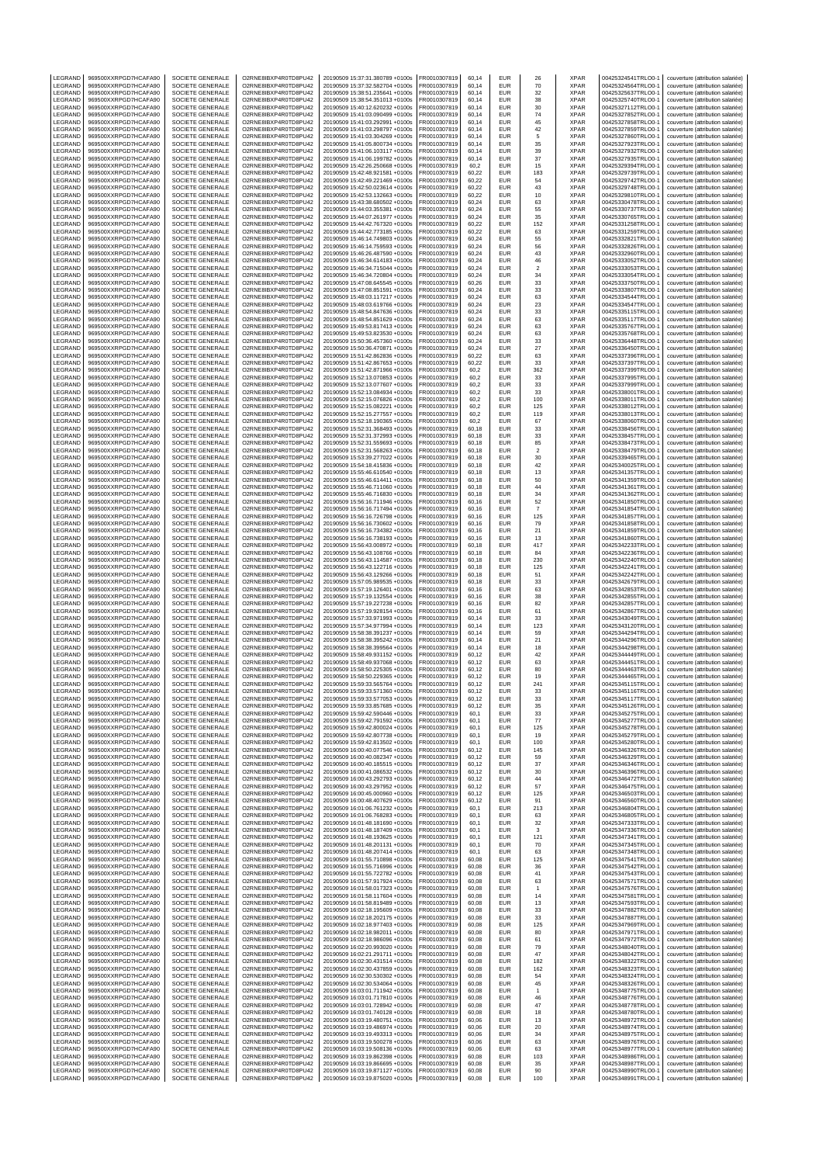| LEGRAND            | 969500XXRPGD7HCAFA90                         | SOCIETE GENERALE                            | O2RNE8IBXP4R0TD8PU42                         | 20190509 15:37:31.380789 +0100s                                    | FR0010307819                 | 60.14          | EUR                      | 26                            | <b>XPAR</b>                | 00425324541TRLO0-1                       | couverture (attribution salariée)                                      |
|--------------------|----------------------------------------------|---------------------------------------------|----------------------------------------------|--------------------------------------------------------------------|------------------------------|----------------|--------------------------|-------------------------------|----------------------------|------------------------------------------|------------------------------------------------------------------------|
| LEGRAND<br>LEGRAND | 969500XXRPGD7HCAFA90<br>969500XXRPGD7HCAFA90 | SOCIETE GENERALE<br>SOCIETE GENERALE        | O2RNE8IBXP4R0TD8PU42<br>O2RNE8IBXP4R0TD8PU42 | 20190509 15:37:32.582704 +0100s<br>20190509 15:38:51.235641 +0100s | FR0010307819<br>FR0010307819 | 60.14<br>60,14 | <b>EUR</b><br><b>EUR</b> | 70<br>32                      | <b>XPAR</b><br><b>XPAR</b> | 00425324564TRLO0-<br>00425325637TRLO0-1  | couverture (attribution salariée)<br>couverture (attribution salariée) |
| LEGRAND            | 969500XXRPGD7HCAFA90                         | SOCIETE GENERALE                            | O2RNE8IBXP4R0TD8PU42                         | 20190509 15:38:54.351013 +0100s                                    | FR0010307819                 | 60,14          | <b>EUR</b>               | 38                            | <b>XPAR</b>                | 00425325740TRLO0-                        | couverture (attribution salariée)                                      |
| LEGRAND            | 969500XXRPGD7HCAFA90                         | SOCIETE GENERALE                            | O2RNE8IBXP4R0TD8PU42                         | 20190509 15:40:12.620232 +0100s                                    | FR0010307819                 | 60.14          | <b>EUR</b>               | 30                            | <b>XPAR</b>                | 00425327112TRLO0-1                       | couverture (attribution salariée)                                      |
| LEGRAND<br>LEGRAND | 969500XXRPGD7HCAFA90<br>969500XXRPGD7HCAFA90 | SOCIETE GENERALE<br>SOCIETE GENERALE        | O2RNE8IBXP4R0TD8PU42<br>O2RNE8IBXP4R0TD8PU42 | 20190509 15:41:03.090499 +0100s<br>20190509 15:41:03.292991 +0100s | FR0010307819<br>FR0010307819 | 60,14<br>60.14 | EUR<br><b>EUR</b>        | 74<br>45                      | <b>XPAR</b><br><b>XPAR</b> | 00425327852TRLO0-<br>00425327858TRLO0-   | couverture (attribution salariée)<br>couverture (attribution salariée) |
| LEGRAND            | 969500XXRPGD7HCAFA90                         | SOCIETE GENERALE                            | O2RNE8IBXP4R0TD8PU42                         | 20190509 15:41:03.298797 +0100s                                    | FR0010307819                 | 60,14          | EUR                      | 42                            | <b>XPAR</b>                | 00425327859TRLO0-                        | couverture (attribution salariée)                                      |
| LEGRAND            | 969500XXRPGD7HCAFA90                         | <b>SOCIETE GENERALE</b>                     | O2RNE8IBXP4R0TD8PU42                         | 20190509 15:41:03.304269 +0100s                                    | FR0010307819                 | 60.14          | <b>EUR</b>               | 5                             | <b>XPAR</b>                | 00425327860TRLO0-                        | couverture (attribution salariée)                                      |
| LEGRAND<br>LEGRAND | 969500XXRPGD7HCAFA90<br>969500XXRPGD7HCAFA90 | SOCIETE GENERALE<br>SOCIETE GENERALE        | O2RNE8IBXP4R0TD8PU42<br>O2RNE8IBXP4R0TD8PU42 | 20190509 15:41:05.800734 +0100s<br>20190509 15:41:06.103117 +0100s | FR0010307819<br>FR0010307819 | 60,14<br>60.14 | <b>EUR</b><br><b>EUR</b> | 35<br>39                      | <b>XPAR</b><br><b>XPAR</b> | 00425327923TRLO0-<br>00425327932TRLO0-1  | couverture (attribution salariée)<br>couverture (attribution salariée) |
| LEGRAND            | 969500XXRPGD7HCAFA90                         | SOCIETE GENERALE                            | O2RNE8IBXP4R0TD8PU42                         | 20190509 15:41:06.199782 +0100s                                    | FR0010307819                 | 60,14          | EUR                      | 37                            | <b>XPAR</b>                | 00425327935TRLO0-                        | couverture (attribution salariée)                                      |
| LEGRAND            | 969500XXRPGD7HCAFA90                         | SOCIETE GENERALE                            | O2RNE8IBXP4R0TD8PU42                         | 20190509 15:42:26.250668 +0100s                                    | FR0010307819                 | 60.2           | <b>EUR</b>               | 15                            | <b>XPAR</b>                | 00425329394TRLO0-1                       | couverture (attribution salariée)                                      |
| LEGRAND<br>LEGRAND | 969500XXRPGD7HCAFA90<br>969500XXRPGD7HCAFA90 | SOCIETE GENERALE<br>SOCIETE GENERALE        | O2RNE8IBXP4R0TD8PU42<br>O2RNE8IBXP4R0TD8PU42 | 20190509 15:42:48.921581 +0100s<br>20190509 15:42:49.221469 +0100s | FR0010307819<br>FR0010307819 | 60,22<br>60,22 | <b>EUR</b><br><b>EUR</b> | 183<br>54                     | <b>XPAR</b><br><b>XPAR</b> | 00425329739TRLO0-<br>00425329742TRLO0-   | couverture (attribution salariée)<br>couverture (attribution salariée) |
| LEGRAND            | 969500XXRPGD7HCAFA90                         | SOCIETE GENERALE                            | O2RNE8IBXP4R0TD8PU42                         | 20190509 15:42:50.023614 +0100s                                    | FR0010307819                 | 60,22          | EUR                      | 43                            | <b>XPAR</b>                | 00425329748TRLO0-1                       | couverture (attribution salariée)                                      |
| LEGRAND            | 969500XXRPGD7HCAFA90                         | SOCIETE GENERALE                            | O2RNE8IBXP4R0TD8PU42                         | 20190509 15:42:53.132663 +0100s                                    | FR0010307819                 | 60,22          | <b>EUR</b>               | 10                            | <b>XPAR</b>                | 00425329810TRLO0-                        | couverture (attribution salariée)                                      |
| LEGRAND<br>LEGRAND | 969500XXRPGD7HCAFA90<br>969500XXRPGD7HCAFA90 | SOCIETE GENERALE<br>SOCIETE GENERALE        | O2RNE8IBXP4R0TD8PU42<br>O2RNE8IBXP4R0TD8PU42 | 20190509 15:43:38.680502 +0100s<br>20190509 15:44:03.355381 +0100s | FR0010307819<br>FR0010307819 | 60,24<br>60,24 | EUR<br><b>EUR</b>        | 63<br>55                      | <b>XPAR</b><br><b>XPAR</b> | 00425330478TRLO0-<br>00425330737TRLO0-   | couverture (attribution salariée)<br>couverture (attribution salariée) |
| LEGRAND            | 969500XXRPGD7HCAFA90                         | SOCIETE GENERALE                            | O2RNE8IBXP4R0TD8PU42                         | 20190509 15:44:07.261977 +0100s                                    | FR0010307819                 | 60,24          | <b>EUR</b>               | 35                            | <b>XPAR</b>                | 00425330765TRLO0-                        | couverture (attribution salariée)                                      |
| LEGRAND            | 969500XXRPGD7HCAFA90                         | SOCIETE GENERALE                            | O2RNE8IBXP4R0TD8PU42                         | 20190509 15:44:42.767320 +0100s                                    | FR0010307819                 | 60,22          | <b>EUR</b>               | 152                           | <b>XPAR</b>                | 00425331258TRLO0-                        | couverture (attribution salariée)                                      |
| LEGRAND<br>LEGRAND | 969500XXRPGD7HCAFA90<br>969500XXRPGD7HCAFA90 | SOCIETE GENERALE<br>SOCIETE GENERALE        | O2RNE8IBXP4R0TD8PU42<br>O2RNE8IBXP4R0TD8PU42 | 20190509 15:44:42.773185 +0100s<br>20190509 15:46:14.749803 +0100s | FR0010307819<br>FR0010307819 | 60,22<br>60,24 | EUR<br><b>EUR</b>        | 63<br>55                      | <b>XPAR</b><br><b>XPAR</b> | 00425331259TRLO0-<br>00425332821TRLO0-   | couverture (attribution salariée)<br>couverture (attribution salariée) |
| LEGRAND            | 969500XXRPGD7HCAFA90                         | SOCIETE GENERALE                            | O2RNE8IBXP4R0TD8PU42                         | 20190509 15:46:14.759593 +0100s                                    | FR0010307819                 | 60,24          | EUR                      | 56                            | <b>XPAR</b>                | 00425332826TRLO0-1                       | couverture (attribution salariée)                                      |
| LEGRAND            | 969500XXRPGD7HCAFA90                         | SOCIETE GENERALE                            | O2RNE8IBXP4R0TD8PU42                         | 20190509 15:46:26.487590 +0100s                                    | FR0010307819                 | 60,24          | <b>EUR</b>               | 43                            | <b>XPAR</b>                | 00425332960TRLO0-                        | couverture (attribution salariée)                                      |
| LEGRAND<br>LEGRAND | 969500XXRPGD7HCAFA90<br>969500XXRPGD7HCAFA90 | SOCIETE GENERALE<br>SOCIETE GENERALE        | O2RNE8IBXP4R0TD8PU42<br>O2RNE8IBXP4R0TD8PU42 | 20190509 15:46:34.614183 +0100s<br>20190509 15:46:34.715044 +0100s | FR0010307819<br>FR0010307819 | 60,24<br>60,24 | EUR<br><b>EUR</b>        | 46<br>$\overline{\mathbf{c}}$ | <b>XPAR</b><br>XPAR        | 00425333052TRLO0-<br>00425333053TRLO0-   | couverture (attribution salariée)<br>couverture (attribution salariée) |
| LEGRAND            | 969500XXRPGD7HCAFA90                         | SOCIETE GENERALE                            | O2RNE8IBXP4R0TD8PU42                         | 20190509 15:46:34.720804 +0100s                                    | FR0010307819                 | 60.24          | <b>EUR</b>               | 34                            | <b>XPAR</b>                | 00425333054TRLO0-                        | couverture (attribution salariée)                                      |
| LEGRAND            | 969500XXRPGD7HCAFA90                         | SOCIETE GENERALE                            | O2RNE8IBXP4R0TD8PU42                         | 20190509 15:47:08.645545 +0100s                                    | FR0010307819                 | 60,26          | EUR                      | 33                            | <b>XPAR</b>                | 00425333750TRLO0-                        | couverture (attribution salariée)                                      |
| LEGRAND<br>LEGRAND | 969500XXRPGD7HCAFA90<br>969500XXRPGD7HCAFA90 | SOCIETE GENERALE<br>SOCIETE GENERALE        | O2RNE8IBXP4R0TD8PU42<br>O2RNE8IBXP4R0TD8PU42 | 20190509 15:47:08.851591 +0100s<br>20190509 15:48:03.117217 +0100s | FR0010307819<br>FR0010307819 | 60.24<br>60,24 | <b>EUR</b><br>EUR        | 33<br>63                      | <b>XPAR</b><br><b>XPAR</b> | 00425333807TRLO0-<br>00425334544TRLO0-   | couverture (attribution salariée)<br>couverture (attribution salariée) |
| LEGRAND            | 969500XXRPGD7HCAFA90                         | SOCIETE GENERALE                            | O2RNE8IBXP4R0TD8PU42                         | 20190509 15:48:03.619766 +0100s                                    | FR0010307819                 | 60.24          | <b>EUR</b>               | 23                            | <b>XPAR</b>                | 00425334547TRLO0-                        | couverture (attribution salariée)                                      |
| LEGRAND            | 969500XXRPGD7HCAFA90                         | SOCIETE GENERALE                            | O2RNE8IBXP4R0TD8PU42                         | 20190509 15:48:54.847636 +0100s                                    | FR0010307819                 | 60,24          | EUR                      | 33                            | <b>XPAR</b>                | 00425335115TRLO0-                        | couverture (attribution salariée)                                      |
| LEGRAND<br>LEGRAND | 969500XXRPGD7HCAFA90<br>969500XXRPGD7HCAFA90 | <b>SOCIETE GENERALE</b><br>SOCIETE GENERALE | O2RNE8IBXP4R0TD8PU42<br>O2RNE8IBXP4R0TD8PU42 | 20190509 15:48:54.851629 +0100s<br>20190509 15:49:53.817413 +0100s | FR0010307819<br>FR0010307819 | 60.24<br>60,24 | <b>EUR</b><br><b>EUR</b> | 63<br>63                      | <b>XPAR</b><br><b>XPAR</b> | 00425335117TRLO0-<br>00425335767TRLO0-   | couverture (attribution salariée)<br>couverture (attribution salariée) |
| LEGRAND            | 969500XXRPGD7HCAFA90                         | SOCIETE GENERALE                            | O2RNE8IBXP4R0TD8PU42                         | 20190509 15:49:53.823530 +0100s                                    | FR0010307819                 | 60,24          | <b>EUR</b>               | 63                            | <b>XPAR</b>                | 00425335768TRLO0-                        | couverture (attribution salariée)                                      |
| LEGRAND<br>LEGRAND | 969500XXRPGD7HCAFA90                         | SOCIETE GENERALE                            | O2RNE8IBXP4R0TD8PU42<br>O2RNE8IBXP4R0TD8PU42 | 20190509 15:50:36.457360 +0100s                                    | FR0010307819                 | 60,24<br>60.24 | EUR<br><b>EUR</b>        | 33<br>27                      | <b>XPAR</b><br><b>XPAR</b> | 00425336448TRLO0-<br>00425336450TRLO0-   | couverture (attribution salariée)                                      |
| LEGRAND            | 969500XXRPGD7HCAFA90<br>969500XXRPGD7HCAFA90 | SOCIETE GENERALE<br>SOCIETE GENERALE        | O2RNE8IBXP4R0TD8PU42                         | 20190509 15:50:36.470871 +0100s<br>20190509 15:51:42.862836 +0100s | FR0010307819<br>FR0010307819 | 60,22          | <b>EUR</b>               | 63                            | <b>XPAR</b>                | 00425337396TRLO0-                        | couverture (attribution salariée)<br>couverture (attribution salariée) |
| LEGRAND            | 969500XXRPGD7HCAFA90                         | SOCIETE GENERALE                            | O2RNE8IBXP4R0TD8PU42                         | 20190509 15:51:42.867653 +0100s                                    | FR0010307819                 | 60,22          | <b>EUR</b>               | 33                            | <b>XPAR</b>                | 00425337397TRLO0-                        | couverture (attribution salariée)                                      |
| LEGRAND            | 969500XXRPGD7HCAFA90                         | SOCIETE GENERALE                            | O2RNE8IBXP4R0TD8PU42                         | 20190509 15:51:42.871966 +0100s                                    | FR0010307819                 | 60,2           | EUR                      | 362                           | <b>XPAR</b>                | 00425337399TRLO0-1                       | couverture (attribution salariée)                                      |
| LEGRAND<br>LEGRAND | 969500XXRPGD7HCAFA90<br>969500XXRPGD7HCAFA90 | SOCIETE GENERALE<br>SOCIETE GENERALE        | O2RNE8IBXP4R0TD8PU42<br>O2RNE8IBXP4R0TD8PU42 | 20190509 15:52:13.070853 +0100s<br>20190509 15:52:13.077607 +0100s | FR0010307819<br>FR0010307819 | 60,2<br>60,2   | <b>EUR</b><br><b>EUR</b> | 33<br>33                      | <b>XPAR</b><br><b>XPAR</b> | 00425337995TRLO0-<br>00425337999TRLO0-   | couverture (attribution salariée)<br>couverture (attribution salariée) |
| LEGRAND            | 969500XXRPGD7HCAFA90                         | SOCIETE GENERALE                            | O2RNE8IBXP4R0TD8PU42                         | 20190509 15:52:13.084934 +0100s                                    | FR0010307819                 | 60,2           | <b>EUR</b>               | 33                            | <b>XPAR</b>                | 00425338001TRLO0-                        | couverture (attribution salariée)                                      |
| LEGRAND<br>LEGRAND | 969500XXRPGD7HCAFA90<br>969500XXRPGD7HCAFA90 | SOCIETE GENERALE<br>SOCIETE GENERALE        | O2RNE8IBXP4R0TD8PU42<br>O2RNE8IBXP4R0TD8PU42 | 20190509 15:52:15.076826 +0100s<br>20190509 15:52:15.082221 +0100s | FR0010307819<br>FR0010307819 | 60,2<br>60,2   | <b>EUR</b><br><b>EUR</b> | 100<br>125                    | <b>XPAR</b><br><b>XPAR</b> | 00425338011TRLO0-<br>00425338012TRLO0-   | couverture (attribution salariée)<br>couverture (attribution salariée) |
| <b>FGRAND</b>      | 969500XXRPGD7HCAFA90                         | SOCIETE GENERALE                            | O2RNE8IBXP4R0TD8PU42                         | 20190509 15:52:15.277557 +0100s                                    | FR0010307819                 | 60,2           | EUR                      | 119                           | <b>XPAR</b>                | 00425338013TRLO0-                        | couverture (attribution salariée)                                      |
| LEGRAND            | 969500XXRPGD7HCAFA90                         | SOCIETE GENERALE                            | O2RNE8IBXP4R0TD8PU42                         | 20190509 15:52:18.190365 +0100s                                    | FR0010307819                 | 60,2           | <b>EUR</b>               | 67                            | <b>XPAR</b>                | 00425338060TRLO0-                        | couverture (attribution salariée)                                      |
| LEGRAND<br>LEGRAND | 969500XXRPGD7HCAFA90<br>969500XXRPGD7HCAFA90 | SOCIETE GENERALE<br>SOCIETE GENERALE        | O2RNE8IBXP4R0TD8PU42<br>O2RNE8IBXP4R0TD8PU42 | 20190509 15:52:31.368493 +0100s<br>20190509 15:52:31.372993 +0100s | FR0010307819<br>FR0010307819 | 60,18<br>60,18 | EUR<br><b>EUR</b>        | 33<br>33                      | <b>XPAR</b><br><b>XPAR</b> | 00425338456TRLO0-1<br>00425338457TRLO0-  | couverture (attribution salariée)<br>couverture (attribution salariée) |
| LEGRAND            | 969500XXRPGD7HCAFA90                         | SOCIETE GENERALE                            | O2RNE8IBXP4R0TD8PU42                         | 20190509 15:52:31.559693 +0100s                                    | FR0010307819                 | 60,18          | EUR                      | 85                            | <b>XPAR</b>                | 00425338473TRLO0-                        | couverture (attribution salariée)                                      |
| LEGRAND            | 969500XXRPGD7HCAFA90                         | SOCIETE GENERALE                            | O2RNE8IBXP4R0TD8PU42                         | 20190509 15:52:31.568263 +0100s                                    | FR0010307819                 | 60,18          | <b>EUR</b>               | $\overline{\mathbf{c}}$       | <b>XPAR</b>                | 00425338479TRLO0-                        | couverture (attribution salariée)                                      |
| LEGRAND<br>LEGRAND | 969500XXRPGD7HCAFA90<br>969500XXRPGD7HCAFA90 | SOCIETE GENERALE<br>SOCIETE GENERALE        | O2RNE8IBXP4R0TD8PU42<br>O2RNE8IBXP4R0TD8PU42 | 20190509 15:53:39.277022 +0100s<br>20190509 15:54:18.415836 +0100s | FR0010307819<br>FR0010307819 | 60.18<br>60,18 | <b>EUR</b><br>EUR        | 30<br>42                      | <b>XPAR</b><br><b>XPAR</b> | 00425339465TRLO0-<br>00425340025TRLO0-   | couverture (attribution salariée)<br>couverture (attribution salariée) |
| LEGRAND            | 969500XXRPGD7HCAFA90                         | SOCIETE GENERALE                            | O2RNE8IBXP4R0TD8PU42                         | 20190509 15:55:46.610540 +0100s                                    | FR0010307819                 | 60.18          | <b>EUR</b>               | 13                            | <b>XPAR</b>                | 00425341357TRLO0-                        | couverture (attribution salariée)                                      |
| LEGRAND            | 969500XXRPGD7HCAFA90                         | SOCIETE GENERALE                            | O2RNE8IBXP4R0TD8PU42                         | 20190509 15:55:46.614411 +0100s                                    | FR0010307819                 | 60,18          | <b>EUR</b>               | 50                            | <b>XPAR</b>                | 00425341359TRLO0-                        | couverture (attribution salariée)                                      |
| LEGRAND<br>LEGRAND | 969500XXRPGD7HCAFA90<br>969500XXRPGD7HCAFA90 | SOCIETE GENERALE<br>SOCIETE GENERALE        | O2RNE8IBXP4R0TD8PU42<br>O2RNE8IBXP4R0TD8PU42 | 20190509 15:55:46.711060 +0100s<br>20190509 15:55:46.716830 +0100s | FR0010307819<br>FR0010307819 | 60.18<br>60,18 | <b>EUR</b><br><b>EUR</b> | 44<br>34                      | <b>XPAR</b><br><b>XPAR</b> | 00425341361TRLO0-1<br>00425341362TRLO0-  | couverture (attribution salariée)<br>couverture (attribution salariée) |
| LEGRAND            | 969500XXRPGD7HCAFA90                         | SOCIETE GENERALE                            | O2RNE8IBXP4R0TD8PU42                         | 20190509 15:56:16.711946 +0100s                                    | FR0010307819                 | 60.16          | <b>EUR</b>               | 52                            | <b>XPAR</b>                | 00425341850TRLO0-                        | couverture (attribution salariée)                                      |
| LEGRAND            | 969500XXRPGD7HCAFA90                         | SOCIETE GENERALE                            | O2RNE8IBXP4R0TD8PU42                         | 20190509 15:56:16.717494 +0100s                                    | FR0010307819                 | 60,16          | <b>EUR</b>               | $\scriptstyle{7}$             | <b>XPAR</b>                | 00425341854TRLO0-                        | couverture (attribution salariée)                                      |
| LEGRAND<br>LEGRAND | 969500XXRPGD7HCAFA90<br>969500XXRPGD7HCAFA90 | SOCIETE GENERALE<br>SOCIETE GENERALE        | O2RNE8IBXP4R0TD8PU42<br>O2RNE8IBXP4R0TD8PU42 | 20190509 15:56:16.726798 +0100s<br>20190509 15:56:16.730602 +0100s | FR0010307819<br>FR0010307819 | 60.16<br>60,16 | <b>EUR</b><br>EUR        | 125<br>79                     | <b>XPAR</b><br><b>XPAR</b> | 00425341857TRLO0-<br>00425341858TRLO0-   | couverture (attribution salariée)<br>couverture (attribution salariée) |
| LEGRAND            | 969500XXRPGD7HCAFA90                         | SOCIETE GENERALE                            | O2RNE8IBXP4R0TD8PU42                         | 20190509 15:56:16.734382 +0100s                                    | FR0010307819                 | 60.16          | <b>EUR</b>               | 21                            | <b>XPAR</b>                | 00425341859TRLO0-                        | couverture (attribution salariée)                                      |
| LEGRAND            | 969500XXRPGD7HCAFA90                         | SOCIETE GENERALE                            | O2RNE8IBXP4R0TD8PU42                         | 20190509 15:56:16.738193 +0100s                                    | FR0010307819                 | 60,16          | EUR                      | 13                            | <b>XPAR</b>                | 00425341860TRLO0-                        | couverture (attribution salariée)                                      |
| LEGRAND<br>LEGRAND | 969500XXRPGD7HCAFA90<br>969500XXRPGD7HCAFA90 | SOCIETE GENERALE<br>SOCIETE GENERALE        | O2RNE8IBXP4R0TD8PU42<br>O2RNE8IBXP4R0TD8PU42 | 20190509 15:56:43.008972 +0100s<br>20190509 15:56:43.108766 +0100s | FR0010307819<br>FR0010307819 | 60,18<br>60,18 | <b>EUR</b><br>EUR        | 417<br>84                     | <b>XPAR</b><br><b>XPAR</b> | 00425342233TRLO0-<br>00425342236TRLO0-1  | couverture (attribution salariée)<br>couverture (attribution salariée) |
| LEGRAND            | 969500XXRPGD7HCAFA90                         | SOCIETE GENERALE                            | O2RNE8IBXP4R0TD8PU42                         | 20190509 15:56:43.114587 +0100s                                    | FR0010307819                 | 60,18          | <b>EUR</b>               | 230                           | <b>XPAR</b>                | 00425342240TRLO0-                        | couverture (attribution salariée)                                      |
| LEGRAND<br>LEGRAND | 969500XXRPGD7HCAFA90<br>969500XXRPGD7HCAFA90 | SOCIETE GENERALE<br>SOCIETE GENERALE        | O2RNE8IBXP4R0TD8PU42<br>O2RNE8IBXP4R0TD8PU42 | 20190509 15:56:43.122716 +0100s<br>20190509 15:56:43.129266 +0100s | FR0010307819<br>FR0010307819 | 60,18          | EUR<br><b>EUR</b>        | 125                           | <b>XPAR</b><br><b>XPAR</b> | 00425342241TRLO0-<br>00425342242TRLO0-   | couverture (attribution salariée)                                      |
| LEGRAND            | 969500XXRPGD7HCAFA90                         | SOCIETE GENERALE                            | O2RNE8IBXP4R0TD8PU42                         | 20190509 15:57:05.989535 +0100s                                    | FR0010307819                 | 60,18<br>60,18 | <b>EUR</b>               | 51<br>33                      | <b>XPAR</b>                | 00425342679TRLO0-                        | couverture (attribution salariée)<br>couverture (attribution salariée) |
| LEGRAND            | 969500XXRPGD7HCAFA90                         | SOCIETE GENERALE                            | O2RNE8IBXP4R0TD8PU42                         | 20190509 15:57:19.126401 +0100s                                    | FR0010307819                 | 60,16          | EUR                      | 63                            | <b>XPAR</b>                | 00425342853TRLO0-                        | couverture (attribution salariée)                                      |
| LEGRAND<br>LEGRAND | 969500XXRPGD7HCAFA90<br>969500XXRPGD7HCAFA90 | SOCIETE GENERALE<br>SOCIETE GENERALE        | O2RNE8IBXP4R0TD8PU42<br>O2RNE8IBXP4R0TD8PU42 | 20190509 15:57:19.132554 +0100s<br>20190509 15:57:19.227238 +0100s | FR0010307819<br>FR0010307819 | 60,16<br>60,16 | <b>EUR</b><br><b>EUR</b> | 38<br>82                      | <b>XPAR</b><br><b>XPAR</b> | 00425342855TRLO0-<br>00425342857TRLO0-   | couverture (attribution salariée)<br>couverture (attribution salariée) |
| LEGRAND            | 969500XXRPGD7HCAFA90                         | SOCIETE GENERALE                            | O2RNE8IBXP4R0TD8PU42                         | 20190509 15:57:19.928154 +0100s                                    | FR0010307819                 | 60,16          | EUR                      | 61                            | <b>XPAR</b>                | 00425342867TRLO0-1                       | couverture (attribution salariée)                                      |
| LEGRAND            | 969500XXRPGD7HCAFA90                         | SOCIETE GENERALE                            | O2RNE8IBXP4R0TD8PU42                         | 20190509 15:57:33.971993 +0100s                                    | FR0010307819                 | 60,14          | <b>EUR</b>               | 33                            | <b>XPAR</b>                | 00425343049TRLO0-1                       | couverture (attribution salariée)                                      |
| LEGRAND<br>LEGRAND | 969500XXRPGD7HCAFA90<br>969500XXRPGD7HCAFA90 | <b>SOCIETE GENERALE</b><br>SOCIETE GENERALE | O2RNE8IBXP4R0TD8PU42<br>O2RNE8IBXP4R0TD8PU42 | 20190509 15:57:34.977994 +0100s<br>20190509 15:58:38.391237 +0100s | FR0010307819<br>FR0010307819 | 60.14<br>60,14 | <b>EUR</b><br><b>EUR</b> | 123<br>59                     | <b>XPAR</b><br><b>XPAR</b> | 00425343120TRLO0-<br>00425344294TRLO0-   | couverture (attribution salariée)<br>couverture (attribution salariée) |
| LEGRAND            | 969500XXRPGD7HCAFA90                         | <b>SOCIETE GENERALE</b>                     | O2RNE8IBXP4R0TD8PU42                         | 20190509 15:58:38.395242 +0100s                                    | FR0010307819                 | 60.14          | <b>EUR</b>               | 21                            | <b>XPAR</b>                | 00425344296TRLO0-                        | couverture (attribution salariée)                                      |
| LEGRAND            | 969500XXRPGD7HCAFA90<br>969500XXRPGD7HCAFA90 | SOCIETE GENERALE                            | O2RNE8IBXP4R0TD8PU42<br>O2RNE8IBXP4R0TD8PU42 | 20190509 15:58:38.399564 +0100s                                    | FR0010307819<br>FR0010307819 | 60,14          | EUR                      | 18                            | <b>XPAR</b>                | 00425344298TRLO0-                        | couverture (attribution salariée)                                      |
| LEGRAND<br>LEGRAND | 969500XXRPGD7HCAFA90                         | <b>SOCIETE GENERALE</b><br>SOCIETE GENERALE | O2RNE8IBXP4R0TD8PU42                         | 20190509 15:58:49.931152 +0100s<br>20190509 15:58:49.937068 +0100s | FR0010307819                 | 60.12<br>60,12 | <b>EUR</b><br><b>EUR</b> | 42<br>63                      | <b>XPAR</b><br><b>XPAR</b> | 00425344449TRLO0-<br>00425344451TRLO0-   | couverture (attribution salariée)<br>couverture (attribution salariée) |
| LEGRAND            | 969500XXRPGD7HCAFA90                         | <b>SOCIETE GENERALE</b>                     | O2RNE8IBXP4R0TD8PU42                         | 20190509 15:58:50.225305 +0100s                                    | FR0010307819                 | 60.12          | <b>EUR</b>               | 80                            | <b>XPAR</b>                | 00425344463TRLO0-1                       | couverture (attribution salariée)                                      |
| LEGRAND<br>LEGRAND | 969500XXRPGD7HCAFA90<br>969500XXRPGD7HCAFA90 | SOCIETE GENERALE<br>SOCIETE GENERALE        | O2RNE8IBXP4R0TD8PU42<br>O2RNE8IBXP4R0TD8PU42 | 20190509 15:58:50.229365 +0100s<br>20190509 15:59:33.565764 +0100s | FR0010307819<br>FR0010307819 | 60,12<br>60.12 | EUR<br><b>EUR</b>        | 19<br>241                     | <b>XPAR</b><br><b>XPAR</b> | 00425344465TRLO0-1<br>00425345115TRLO0-1 | couverture (attribution salariée)<br>couverture (attribution salariée) |
| LEGRAND            | 969500XXRPGD7HCAFA90                         | SOCIETE GENERALE                            | O2RNE8IBXP4R0TD8PU42                         | 20190509 15:59:33.571360 +0100s                                    | FR0010307819                 | 60,12          | <b>EUR</b>               | 33                            | <b>XPAR</b>                | 00425345116TRLO0-1                       | couverture (attribution salariée)                                      |
| LEGRAND            | 969500XXRPGD7HCAFA90                         | SOCIETE GENERALE                            | O2RNE8IBXP4R0TD8PU42                         | 20190509 15:59:33.577053 +0100s                                    | FR0010307819                 | 60.12          | EUR                      | 33                            | <b>XPAR</b>                | 00425345117TRLO0-1                       | couverture (attribution salariée)                                      |
| LEGRAND<br>LEGRAND | 969500XXRPGD7HCAFA90<br>969500XXRPGD7HCAFA90 | SOCIETE GENERALE<br>SOCIETE GENERALE        | O2RNE8IBXP4R0TD8PU42<br>O2RNE8IBXP4R0TD8PU42 | 20190509 15:59:33.857685 +0100s<br>20190509 15:59:42.590446 +0100s | FR0010307819<br>FR0010307819 | 60,12<br>60,1  | EUR<br><b>EUR</b>        | 35<br>33                      | <b>XPAR</b><br><b>XPAR</b> | 00425345126TRLO0-1<br>00425345275TRLO0-1 | couverture (attribution salariée)<br>couverture (attribution salariée) |
| LEGRAND            | 969500XXRPGD7HCAFA90                         | SOCIETE GENERALE                            | O2RNE8IBXP4R0TD8PU42                         | 20190509 15:59:42.791592 +0100s                                    | FR0010307819                 | 60,1           | <b>EUR</b>               | 77                            | <b>XPAR</b>                | 00425345277TRLO0-1                       | couverture (attribution salariée)                                      |
| LEGRAND            | 969500XXRPGD7HCAFA90                         | SOCIETE GENERALE                            | O2RNE8IBXP4R0TD8PU42                         | 20190509 15:59:42.800024 +0100s                                    | FR0010307819                 | 60,1           | <b>EUR</b>               | 125                           | <b>XPAR</b>                | 00425345278TRLO0-1                       | couverture (attribution salariée)                                      |
| LEGRAND<br>LEGRAND | 969500XXRPGD7HCAFA90<br>969500XXRPGD7HCAFA90 | SOCIETE GENERALE<br>SOCIETE GENERALE        | O2RNE8IBXP4R0TD8PU42<br>O2RNE8IBXP4R0TD8PU42 | 20190509 15:59:42.807738 +0100s<br>20190509 15:59:42.813502 +0100s | FR0010307819<br>FR0010307819 | 60,1<br>60,1   | <b>EUR</b><br><b>EUR</b> | 19<br>100                     | <b>XPAR</b><br><b>XPAR</b> | 00425345279TRLO0-1<br>00425345280TRLO0-1 | couverture (attribution salariée)<br>couverture (attribution salariée) |
| LEGRAND            | 969500XXRPGD7HCAFA90                         | SOCIETE GENERALE                            | O2RNE8IBXP4R0TD8PU42                         | 20190509 16:00:40.077546 +0100s                                    | FR0010307819                 | 60,12          | <b>EUR</b>               | 145                           | <b>XPAR</b>                | 00425346326TRLO0-1                       | couverture (attribution salariée)                                      |
| LEGRAND            | 969500XXRPGD7HCAFA90                         | SOCIETE GENERALE<br>SOCIETE GENERALE        | O2RNE8IBXP4R0TD8PU42<br>O2RNE8IBXP4R0TD8PU42 | 20190509 16:00:40.082347 +0100s                                    | FR0010307819<br>FR0010307819 | 60,12          | <b>EUR</b><br><b>EUR</b> | 59                            | <b>XPAR</b><br><b>XPAR</b> | 00425346329TRLO0-                        | couverture (attribution salariée)<br>couverture (attribution salariée) |
| LEGRAND<br>LEGRAND | 969500XXRPGD7HCAFA90<br>969500XXRPGD7HCAFA90 | SOCIETE GENERALE                            | O2RNE8IBXP4R0TD8PU42                         | 20190509 16:00:40.185515 +0100s<br>20190509 16:00:41.086532 +0100s | FR0010307819                 | 60,12<br>60,12 | <b>EUR</b>               | 37<br>30                      | <b>XPAR</b>                | 00425346346TRLO0-1<br>00425346396TRLO0-1 | couverture (attribution salariée)                                      |
| LEGRAND            | 969500XXRPGD7HCAFA90                         | SOCIETE GENERALE                            | O2RNE8IBXP4R0TD8PU42                         | 20190509 16:00:43.292793 +0100s                                    | FR0010307819                 | 60,12          | <b>EUR</b>               | 44                            | <b>XPAR</b>                | 00425346472TRLO0-1                       | couverture (attribution salariée)                                      |
| LEGRAND<br>LEGRAND | 969500XXRPGD7HCAFA90<br>969500XXRPGD7HCAFA90 | SOCIETE GENERALE<br>SOCIETE GENERALE        | O2RNE8IBXP4R0TD8PU42<br>O2RNE8IBXP4R0TD8PU42 | 20190509 16:00:43.297952 +0100s<br>20190509 16:00:45.000960 +0100s | FR0010307819<br>FR0010307819 | 60,12<br>60,12 | <b>EUR</b><br><b>EUR</b> | 57<br>125                     | <b>XPAR</b><br><b>XPAR</b> | 00425346475TRLO0-1<br>00425346503TRLO0-1 | couverture (attribution salariée)<br>couverture (attribution salariée) |
| LEGRAND            | 969500XXRPGD7HCAFA90                         | SOCIETE GENERALE                            | O2RNE8IBXP4R0TD8PU42                         | 20190509 16:00:48.407629 +0100s                                    | FR0010307819                 | 60,12          | EUR                      | 91                            | <b>XPAR</b>                | 00425346560TRLO0-1                       | couverture (attribution salariée)                                      |
| LEGRAND            | 969500XXRPGD7HCAFA90                         | SOCIETE GENERALE                            | O2RNE8IBXP4R0TD8PU42                         | 20190509 16:01:06.761232 +0100s                                    | FR0010307819                 | 60.1           | EUR                      | 213                           | <b>XPAR</b>                | 00425346804TRLO0-1                       | couverture (attribution salariée)                                      |
| LEGRAND<br>LEGRAND | 969500XXRPGD7HCAFA90<br>969500XXRPGD7HCAFA90 | SOCIETE GENERALE<br>SOCIETE GENERALE        | O2RNE8IBXP4R0TD8PU42<br>O2RNE8IBXP4R0TD8PU42 | 20190509 16:01:06.768283 +0100s<br>20190509 16:01:48.181690 +0100s | FR0010307819<br>FR0010307819 | 60,1<br>60.1   | EUR<br><b>EUR</b>        | 63<br>32                      | <b>XPAR</b><br><b>XPAR</b> | 00425346805TRLO0-1<br>00425347333TRLO0-1 | couverture (attribution salariée)<br>couverture (attribution salariée) |
| LEGRAND            | 969500XXRPGD7HCAFA90                         | SOCIETE GENERALE                            | O2RNE8IBXP4R0TD8PU42                         | 20190509 16:01:48.187409 +0100s                                    | FR0010307819                 | 60,1           | <b>EUR</b>               | 3                             | <b>XPAR</b>                | 00425347336TRLO0-1                       | couverture (attribution salariée)                                      |
| LEGRAND<br>LEGRAND | 969500XXRPGD7HCAFA90<br>969500XXRPGD7HCAFA90 | SOCIETE GENERALE<br>SOCIETE GENERALE        | O2RNE8IBXP4R0TD8PU42<br>O2RNE8IBXP4R0TD8PU42 | 20190509 16:01:48.193625 +0100s<br>20190509 16:01:48.201131 +0100s | FR0010307819<br>FR0010307819 | 60.1<br>60,1   | EUR<br>EUR               | 121<br>70                     | <b>XPAR</b><br><b>XPAR</b> | 00425347341TRLO0-1<br>00425347345TRLO0-1 | couverture (attribution salariée)<br>couverture (attribution salariée) |
| LEGRAND            | 969500XXRPGD7HCAFA90                         | SOCIETE GENERALE                            | O2RNE8IBXP4R0TD8PU42                         | 20190509 16:01:48.207414 +0100s                                    | FR0010307819                 | 60.1           | <b>EUR</b>               | 63                            | <b>XPAR</b>                | 00425347348TRLO0-1                       | couverture (attribution salariée)                                      |
| LEGRAND            | 969500XXRPGD7HCAFA90                         | SOCIETE GENERALE                            | O2RNE8IBXP4R0TD8PU42                         | 20190509 16:01:55.710898 +0100s                                    | FR0010307819                 | 60,08          | EUR                      | 125                           | <b>XPAR</b>                | 00425347541TRLO0-1                       | couverture (attribution salariée)                                      |
| LEGRAND<br>LEGRAND | 969500XXRPGD7HCAFA90<br>969500XXRPGD7HCAFA90 | SOCIETE GENERALE<br>SOCIETE GENERALE        | O2RNE8IBXP4R0TD8PU42<br>O2RNE8IBXP4R0TD8PU42 | 20190509 16:01:55.716996 +0100s<br>20190509 16:01:55.722782 +0100s | FR0010307819<br>FR0010307819 | 60.08<br>60,08 | EUR<br>EUR               | 36<br>41                      | <b>XPAR</b><br><b>XPAR</b> | 00425347542TRLO0-1<br>00425347543TRLO0-1 | couverture (attribution salariée)<br>couverture (attribution salariée) |
| LEGRAND            | 969500XXRPGD7HCAFA90                         | SOCIETE GENERALE                            | O2RNE8IBXP4R0TD8PU42                         | 20190509 16:01:57.917924 +0100s                                    | FR0010307819                 | 60,08          | <b>EUR</b>               | 63                            | <b>XPAR</b>                | 00425347571TRLO0-1                       | couverture (attribution salariée)                                      |
| LEGRAND<br>LEGRAND | 969500XXRPGD7HCAFA90                         | SOCIETE GENERALE                            | O2RNE8IBXP4R0TD8PU42                         | 20190509 16:01:58.017323 +0100s                                    | FR0010307819                 | 60,08          | <b>EUR</b>               | $\overline{1}$                | <b>XPAR</b><br><b>XPAR</b> | 00425347576TRLO0-1                       | couverture (attribution salariée)                                      |
| LEGRAND            | 969500XXRPGD7HCAFA90<br>969500XXRPGD7HCAFA90 | SOCIETE GENERALE<br>SOCIETE GENERALE        | O2RNE8IBXP4R0TD8PU42<br>O2RNE8IBXP4R0TD8PU42 | 20190509 16:01:58.117604 +0100s<br>20190509 16:01:58.819489 +0100s | FR0010307819<br>FR0010307819 | 60,08<br>60.08 | <b>EUR</b><br><b>EUR</b> | 14<br>13                      | <b>XPAR</b>                | 00425347581TRLO0-1<br>00425347593TRLO0-  | couverture (attribution salariée)<br>couverture (attribution salariée) |
| LEGRAND            | 969500XXRPGD7HCAFA90                         | SOCIETE GENERALE                            | O2RNE8IBXP4R0TD8PU42                         | 20190509 16:02:18.195609 +0100s                                    | FR0010307819                 | 60,08          | <b>EUR</b>               | 33                            | <b>XPAR</b>                | 00425347882TRLO0-                        | couverture (attribution salariée)                                      |
| LEGRAND<br>LEGRAND | 969500XXRPGD7HCAFA90<br>969500XXRPGD7HCAFA90 | SOCIETE GENERALE<br>SOCIETE GENERALE        | O2RNE8IBXP4R0TD8PU42<br>O2RNE8IBXP4R0TD8PU42 | 20190509 16:02:18.202175 +0100s<br>20190509 16:02:18.977403 +0100s | FR0010307819<br>FR0010307819 | 60,08<br>60,08 | <b>EUR</b><br><b>FUR</b> | 33<br>125                     | <b>XPAR</b><br><b>XPAR</b> | 00425347887TRLO0-1<br>00425347969TRLO0-1 | couverture (attribution salariée)<br>couverture (attribution salariée) |
| LEGRAND            | 969500XXRPGD7HCAFA90                         | SOCIETE GENERALE                            | O2RNE8IBXP4R0TD8PU42                         | 20190509 16:02:18.982011 +0100s                                    | FR0010307819                 | 60,08          | <b>EUR</b>               | 80                            | <b>XPAR</b>                | 00425347971TRLO0-1                       | couverture (attribution salariée)                                      |
| LEGRAND            | 969500XXRPGD7HCAFA90                         | SOCIETE GENERALE                            | O2RNE8IBXP4R0TD8PU42<br>O2RNE8IBXP4R0TD8PU42 | 20190509 16:02:18.986096 +0100s                                    | FR0010307819<br>FR0010307819 | 60,08          | EUR<br><b>EUR</b>        | 61                            | <b>XPAR</b><br><b>XPAR</b> | 00425347972TRLO0-                        | couverture (attribution salariée)                                      |
| LEGRAND<br>LEGRAND | 969500XXRPGD7HCAFA90<br>969500XXRPGD7HCAFA90 | SOCIETE GENERALE<br>SOCIETE GENERALE        | O2RNE8IBXP4R0TD8PU42                         | 20190509 16:02:20.993020 +0100s<br>20190509 16:02:21.291711 +0100s | FR0010307819                 | 60,08<br>60.08 | <b>EUR</b>               | 79<br>47                      | <b>XPAR</b>                | 00425348040TRLO0-1<br>00425348042TRLO0-1 | couverture (attribution salariée)<br>couverture (attribution salariée) |
| LEGRAND            | 969500XXRPGD7HCAFA90                         | SOCIETE GENERALE                            | O2RNE8IBXP4R0TD8PU42                         | 20190509 16:02:30.431514 +0100s                                    | FR0010307819                 | 60,08          | <b>EUR</b>               | 182                           | <b>XPAR</b>                | 00425348322TRLO0-1                       | couverture (attribution salariée)                                      |
| LEGRAND<br>LEGRAND | 969500XXRPGD7HCAFA90<br>969500XXRPGD7HCAFA90 | SOCIETE GENERALE<br>SOCIETE GENERALE        | O2RNE8IBXP4R0TD8PU42<br>O2RNE8IBXP4R0TD8PU42 | 20190509 16:02:30.437859 +0100s<br>20190509 16:02:30.530302 +0100s | FR0010307819<br>FR0010307819 | 60,08<br>60.08 | EUR<br><b>EUR</b>        | 162<br>54                     | <b>XPAR</b><br><b>XPAR</b> | 00425348323TRLO0-1<br>00425348324TRLO0-1 | couverture (attribution salariée)<br>couverture (attribution salariée) |
| LEGRAND            | 969500XXRPGD7HCAFA90                         | SOCIETE GENERALE                            | O2RNE8IBXP4R0TD8PU42                         | 20190509 16:02:30.534064 +0100s                                    | FR0010307819                 | 60,08          | EUR                      | 45                            | <b>XPAR</b>                | 00425348326TRLO0-1                       | couverture (attribution salariée)                                      |
| LEGRAND            | 969500XXRPGD7HCAFA90                         | SOCIETE GENERALE                            | O2RNE8IBXP4R0TD8PU42                         | 20190509 16:03:01.711942 +0100s                                    | FR0010307819                 | 60.08          | <b>EUR</b>               | $\overline{1}$                | <b>XPAR</b>                | 00425348775TRLO0-1                       | couverture (attribution salariée)                                      |
| LEGRAND<br>LEGRAND | 969500XXRPGD7HCAFA90<br>969500XXRPGD7HCAFA90 | SOCIETE GENERALE<br>SOCIETE GENERALE        | O2RNE8IBXP4R0TD8PU42<br>O2RNE8IBXP4R0TD8PU42 | 20190509 16:03:01.717810 +0100s<br>20190509 16:03:01.728942 +0100s | FR0010307819<br>FR0010307819 | 60,08<br>60.08 | EUR<br><b>EUR</b>        | 46<br>47                      | <b>XPAR</b><br><b>XPAR</b> | 00425348776TRLO0-1<br>00425348778TRLO0-1 | couverture (attribution salariée)<br>couverture (attribution salariée) |
| LEGRAND            | 969500XXRPGD7HCAFA90                         | SOCIETE GENERALE                            | O2RNE8IBXP4R0TD8PU42                         | 20190509 16:03:01.740128 +0100s                                    | FR0010307819                 | 60,08          | EUR                      | 18                            | <b>XPAR</b>                | 00425348780TRLO0-1                       | couverture (attribution salariée)                                      |
| LEGRAND<br>LEGRAND | 969500XXRPGD7HCAFA90<br>969500XXRPGD7HCAFA90 | SOCIETE GENERALE<br>SOCIETE GENERALE        | O2RNE8IBXP4R0TD8PU42<br>O2RNE8IBXP4R0TD8PU42 | 20190509 16:03:19.480751 +0100s<br>20190509 16:03:19.486974 +0100s | FR0010307819<br>FR0010307819 | 60.06<br>60,06 | <b>EUR</b><br>EUR        | 13<br>20                      | <b>XPAR</b><br><b>XPAR</b> | 00425348972TRLO0-1<br>00425348974TRLO0-1 | couverture (attribution salariée)<br>couverture (attribution salariée) |
| LEGRAND            | 969500XXRPGD7HCAFA90                         | SOCIETE GENERALE                            | O2RNE8IBXP4R0TD8PU42                         | 20190509 16:03:19.493313 +0100s                                    | FR0010307819                 | 60.06          | <b>EUR</b>               | 34                            | <b>XPAR</b>                | 00425348975TRLO0-1                       | couverture (attribution salariée)                                      |
| LEGRAND            | 969500XXRPGD7HCAFA90                         | SOCIETE GENERALE                            | O2RNE8IBXP4R0TD8PU42                         | 20190509 16:03:19.500278 +0100s                                    | FR0010307819                 | 60,06          | EUR                      | 63                            | <b>XPAR</b>                | 00425348976TRLO0-1                       | couverture (attribution salariée)                                      |
| LEGRAND<br>LEGRAND | 969500XXRPGD7HCAFA90<br>969500XXRPGD7HCAFA90 | SOCIETE GENERALE<br>SOCIETE GENERALE        | O2RNE8IBXP4R0TD8PU42<br>O2RNE8IBXP4R0TD8PU42 | 20190509 16:03:19.508136 +0100s<br>20190509 16:03:19.862398 +0100s | FR0010307819<br>FR0010307819 | 60.06<br>60,08 | <b>EUR</b><br><b>EUR</b> | 63<br>103                     | <b>XPAR</b><br><b>XPAR</b> | 00425348977TRLO0-<br>00425348986TRLO0-   | couverture (attribution salariée)<br>couverture (attribution salariée) |
| LEGRAND            | 969500XXRPGD7HCAFA90                         | SOCIETE GENERALE                            | O2RNE8IBXP4R0TD8PU42                         | 20190509 16:03:19.866695 +0100s                                    | FR0010307819                 | 60,08          | EUR                      | 35                            | <b>XPAR</b>                | 00425348987TRLO0-1                       | couverture (attribution salariée)                                      |
| LEGRAND<br>LEGRAND | 969500XXRPGD7HCAFA90<br>969500XXRPGD7HCAFA90 | SOCIETE GENERALE<br>SOCIETE GENERALE        | O2RNE8IBXP4R0TD8PU42<br>O2RNE8IBXP4R0TD8PU42 | 20190509 16:03:19.871127 +0100s                                    | FR0010307819<br>FR0010307819 | 60.08<br>60,08 | <b>EUR</b><br>EUR        | 90<br>100                     | <b>XPAR</b><br><b>XPAR</b> | 00425348990TRLO0-1<br>00425348991TRLO0-1 | couverture (attribution salariée)                                      |
|                    |                                              |                                             |                                              | 20190509 16:03:19.875020 +0100s                                    |                              |                |                          |                               |                            |                                          | couverture (attribution salariée)                                      |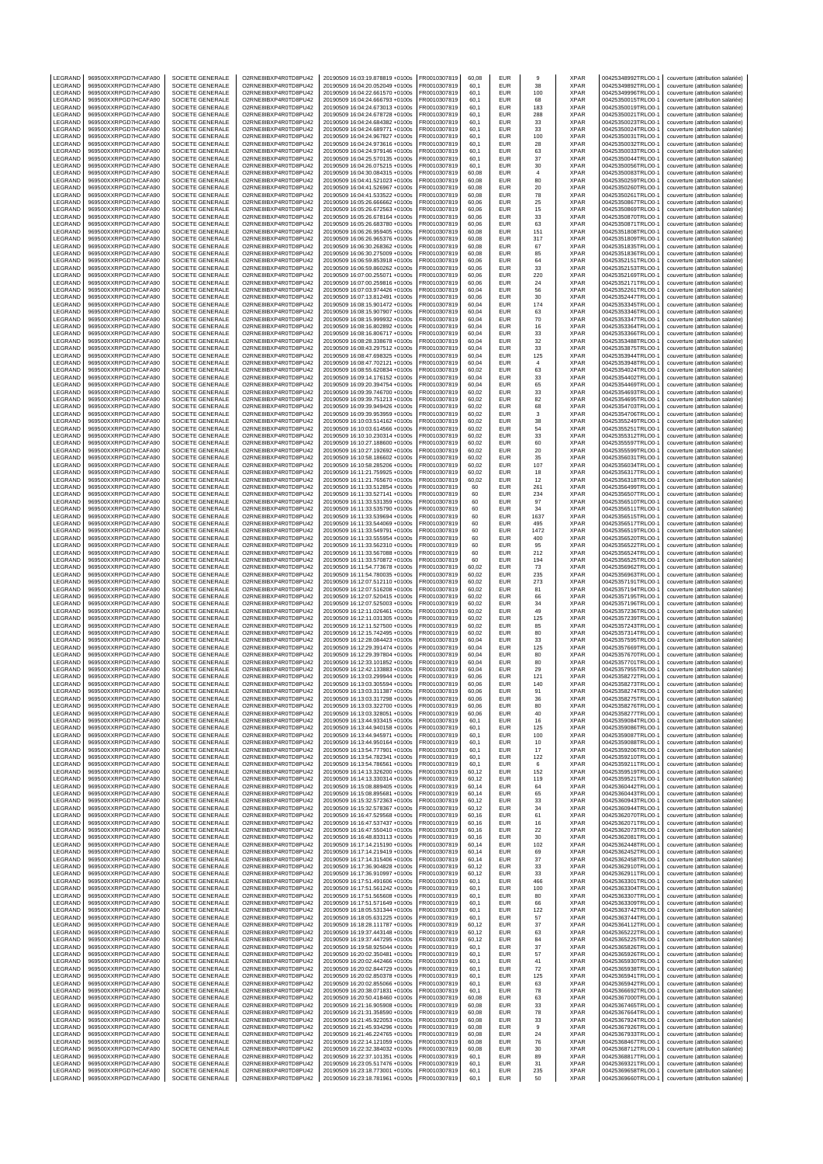| LEGRAND                   | 969500XXRPGD7HCAFA90                         | SOCIETE GENERALE                            | O2RNE8IBXP4R0TD8PU42                         | 20190509 16:03:19.878819 +0100s                                    | FR0010307819                 | 60,08          | EUR                      | 9                    | <b>XPAR</b>                | 00425348992TRLO0-                        | couverture (attribution salariée)                                      |
|---------------------------|----------------------------------------------|---------------------------------------------|----------------------------------------------|--------------------------------------------------------------------|------------------------------|----------------|--------------------------|----------------------|----------------------------|------------------------------------------|------------------------------------------------------------------------|
| LEGRAND                   | 969500XXRPGD7HCAFA90                         | <b>SOCIETE GENERALE</b>                     | O2RNE8IBXP4R0TD8PU42                         | 20190509 16:04:20.052049 +0100s                                    | FR0010307819                 | 60.1           | <b>EUR</b>               | 38                   | <b>XPAR</b>                | 00425349892TRLO0-1                       | couverture (attribution salariée)                                      |
| LEGRAND<br>LEGRAND        | 969500XXRPGD7HCAFA90<br>969500XXRPGD7HCAFA90 | SOCIETE GENERALE<br>SOCIETE GENERALE        | O2RNE8IBXP4R0TD8PU42<br>O2RNE8IBXP4R0TD8PU42 | 20190509 16:04:22.661570 +0100s<br>20190509 16:04:24.666793 +0100s | FR0010307819<br>FR0010307819 | 60,1<br>60.1   | EUR<br><b>EUR</b>        | 100<br>68            | <b>XPAR</b><br><b>XPAR</b> | 00425349996TRLO0-1<br>00425350015TRLO0-1 | couverture (attribution salariée)<br>couverture (attribution salariée) |
| LEGRAND                   | 969500XXRPGD7HCAFA90                         | SOCIETE GENERALE                            | O2RNE8IBXP4R0TD8PU42                         | 20190509 16:04:24.673013 +0100s                                    | FR0010307819                 | 60,1           | EUR                      | 183                  | <b>XPAR</b>                | 00425350019TRLO0-                        | couverture (attribution salariée)                                      |
| LEGRAND                   | 969500XXRPGD7HCAFA90                         | SOCIETE GENERALE                            | O2RNE8IBXP4R0TD8PU42                         | 20190509 16:04:24.678728 +0100s                                    | FR0010307819                 | 60,1           | <b>EUR</b>               | 288                  | <b>XPAR</b>                | 00425350021TRLO0-                        | couverture (attribution salariée)                                      |
| LEGRAND<br>LEGRAND        | 969500XXRPGD7HCAFA90<br>969500XXRPGD7HCAFA90 | SOCIETE GENERALE<br>SOCIETE GENERALE        | O2RNE8IBXP4R0TD8PU42<br>O2RNE8IBXP4R0TD8PU42 | 20190509 16:04:24.684382 +0100s<br>20190509 16:04:24.689771 +0100s | FR0010307819<br>FR0010307819 | 60,1<br>60,1   | EUR<br><b>EUR</b>        | 33<br>33             | <b>XPAR</b><br><b>XPAR</b> | 00425350023TRLO0-1<br>00425350024TRLO0-  | couverture (attribution salariée)                                      |
| LEGRAND                   | 969500XXRPGD7HCAFA90                         | SOCIETE GENERALE                            | O2RNE8IBXP4R0TD8PU42                         | 20190509 16:04:24.967827 +0100s                                    | FR0010307819                 | 60,1           | EUR                      | 100                  | <b>XPAR</b>                | 00425350031TRLO0-                        | couverture (attribution salariée)<br>couverture (attribution salariée) |
| LEGRAND                   | 969500XXRPGD7HCAFA90                         | SOCIETE GENERALE                            | O2RNE8IBXP4R0TD8PU42                         | 20190509 16:04:24.973616 +0100s                                    | FR0010307819                 | 60,1           | <b>EUR</b>               | 28                   | XPAR                       | 00425350032TRLO0-                        | couverture (attribution salariée)                                      |
| LEGRAND                   | 969500XXRPGD7HCAFA90                         | SOCIETE GENERALE                            | O2RNE8IBXP4R0TD8PU42                         | 20190509 16:04:24.979146 +0100s                                    | FR0010307819                 | 60,1           | <b>EUR</b><br><b>EUR</b> | 63                   | <b>XPAR</b><br><b>XPAR</b> | 00425350033TRLO0-1                       | couverture (attribution salariée)                                      |
| LEGRAND<br>LEGRAND        | 969500XXRPGD7HCAFA90<br>969500XXRPGD7HCAFA90 | SOCIETE GENERALE<br>SOCIETE GENERALE        | O2RNE8IBXP4R0TD8PU42<br>O2RNE8IBXP4R0TD8PU42 | 20190509 16:04:25.570135 +0100s<br>20190509 16:04:26.075215 +0100s | FR0010307819<br>FR0010307819 | 60,1<br>60.1   | EUR                      | 37<br>30             | <b>XPAR</b>                | 00425350044TRLO0-<br>00425350056TRLO0-   | couverture (attribution salariée)<br>couverture (attribution salariée) |
| LEGRAND                   | 969500XXRPGD7HCAFA90                         | SOCIETE GENERALE                            | O2RNE8IBXP4R0TD8PU42                         | 20190509 16:04:30.084315 +0100s                                    | FR0010307819                 | 60,08          | <b>EUR</b>               | 4                    | <b>XPAR</b>                | 00425350083TRLO0-                        | couverture (attribution salariée)                                      |
| LEGRAND                   | 969500XXRPGD7HCAFA90                         | SOCIETE GENERALE                            | O2RNE8IBXP4R0TD8PU42                         | 20190509 16:04:41.521023 +0100s                                    | FR0010307819                 | 60,08          | EUR                      | 80                   | <b>XPAR</b>                | 00425350259TRLO0-1                       | couverture (attribution salariée)                                      |
| LEGRAND                   | 969500XXRPGD7HCAFA90                         | SOCIETE GENERALE                            | O2RNE8IBXP4R0TD8PU42                         | 20190509 16:04:41.526967 +0100s                                    | FR0010307819                 | 60,08          | <b>EUR</b>               | 20                   | <b>XPAR</b>                | 00425350260TRLO0-                        | couverture (attribution salariée)                                      |
| LEGRAND<br>LEGRAND        | 969500XXRPGD7HCAFA90<br>969500XXRPGD7HCAFA90 | <b>SOCIETE GENERALE</b><br>SOCIETE GENERALE | O2RNE8IBXP4R0TD8PU42<br>O2RNE8IBXP4R0TD8PU42 | 20190509 16:04:41.533522 +0100s<br>20190509 16:05:26.666662 +0100s | FR0010307819<br>FR0010307819 | 60.08<br>60,06 | <b>EUR</b><br><b>EUR</b> | 78<br>25             | <b>XPAR</b><br><b>XPAR</b> | 00425350261TRLO0-<br>00425350867TRLO0-   | couverture (attribution salariée)<br>couverture (attribution salariée) |
| LEGRAND                   | 969500XXRPGD7HCAFA90                         | <b>SOCIETE GENERALE</b>                     | O2RNE8IBXP4R0TD8PU42                         | 20190509 16:05:26.672563 +0100s                                    | FR0010307819                 | 60.06          | <b>EUR</b>               | 15                   | <b>XPAR</b>                | 00425350869TRLO0-                        | couverture (attribution salariée)                                      |
| LEGRAND                   | 969500XXRPGD7HCAFA90                         | SOCIETE GENERALE                            | O2RNE8IBXP4R0TD8PU42                         | 20190509 16:05:26.678164 +0100s                                    | FR0010307819                 | 60,06          | EUR                      | 33                   | <b>XPAR</b>                | 00425350870TRLO0-                        | couverture (attribution salariée)                                      |
| LEGRAND                   | 969500XXRPGD7HCAFA90                         | <b>SOCIETE GENERALE</b>                     | O2RNE8IBXP4R0TD8PU42                         | 20190509 16:05:26.683780 +0100s                                    | FR0010307819                 | 60.06          | <b>EUR</b>               | 63                   | <b>XPAR</b>                | 00425350871TRLO0-                        | couverture (attribution salariée)                                      |
| LEGRAND<br>LEGRAND        | 969500XXRPGD7HCAFA90<br>969500XXRPGD7HCAFA90 | SOCIETE GENERALE<br><b>SOCIETE GENERALE</b> | O2RNE8IBXP4R0TD8PU42<br>O2RNE8IBXP4R0TD8PU42 | 20190509 16:06:26.959405 +0100s<br>20190509 16:06:26.965376 +0100s | FR0010307819<br>FR0010307819 | 60,08<br>60.08 | <b>EUR</b><br><b>EUR</b> | 151<br>317           | <b>XPAR</b><br><b>XPAR</b> | 00425351808TRLO0-<br>00425351809TRLO0-   | couverture (attribution salariée)<br>couverture (attribution salariée) |
| LEGRAND                   | 969500XXRPGD7HCAFA90                         | SOCIETE GENERALE                            | O2RNE8IBXP4R0TD8PU42                         | 20190509 16:06:30.268362 +0100s                                    | FR0010307819                 | 60,08          | EUR                      | 67                   | <b>XPAR</b>                | 00425351835TRLO0-                        | couverture (attribution salariée)                                      |
| LEGRAND                   | 969500XXRPGD7HCAFA90                         | <b>SOCIETE GENERALE</b>                     | O2RNE8IBXP4R0TD8PU42                         | 20190509 16:06:30.275009 +0100s                                    | FR0010307819                 | 60.08          | <b>EUR</b>               | 85                   | <b>XPAR</b>                | 00425351836TRLO0-                        | couverture (attribution salariée)                                      |
| LEGRAND<br>LEGRAND        | 969500XXRPGD7HCAFA90<br>969500XXRPGD7HCAFA90 | SOCIETE GENERALE<br>SOCIETE GENERALE        | O2RNE8IBXP4R0TD8PU42<br>O2RNE8IBXP4R0TD8PU42 | 20190509 16:06:59.853918 +0100s<br>20190509 16:06:59.860262 +0100s | FR0010307819<br>FR0010307819 | 60,06<br>60,06 | <b>EUR</b><br><b>EUR</b> | 64<br>33             | <b>XPAR</b><br><b>XPAR</b> | 00425352151TRLO0-<br>00425352153TRLO0-   | couverture (attribution salariée)<br>couverture (attribution salariée) |
| LEGRAND                   | 969500XXRPGD7HCAFA90                         | SOCIETE GENERALE                            | O2RNE8IBXP4R0TD8PU42                         | 20190509 16:07:00.255071 +0100s                                    | FR0010307819                 | 60,06          | <b>EUR</b>               | 220                  | <b>XPAR</b>                | 00425352169TRLO0-1                       | couverture (attribution salariée)                                      |
| LEGRAND                   | 969500XXRPGD7HCAFA90                         | SOCIETE GENERALE                            | O2RNE8IBXP4R0TD8PU42                         | 20190509 16:07:00.259816 +0100s                                    | FR0010307819                 | 60,06          | <b>EUR</b>               | 24                   | <b>XPAR</b>                | 00425352171TRLO0-                        | couverture (attribution salariée)                                      |
| LEGRAND                   | 969500XXRPGD7HCAFA90                         | SOCIETE GENERALE                            | O2RNE8IBXP4R0TD8PU42                         | 20190509 16:07:03.974426 +0100s                                    | FR0010307819                 | 60,04          | EUR                      | 56                   | <b>XPAR</b><br><b>XPAR</b> | 00425352261TRLO0-                        | couverture (attribution salariée)                                      |
| LEGRAND<br>LEGRAND        | 969500XXRPGD7HCAFA90<br>969500XXRPGD7HCAFA90 | SOCIETE GENERALE<br>SOCIETE GENERALE        | O2RNE8IBXP4R0TD8PU42<br>O2RNE8IBXP4R0TD8PU42 | 20190509 16:07:13.812491 +0100s<br>20190509 16:08:15.901472 +0100s | FR0010307819<br>FR0010307819 | 60,06<br>60,04 | <b>EUR</b><br>EUR        | 30<br>174            | <b>XPAR</b>                | 00425352447TRLO0-<br>00425353345TRLO0-1  | couverture (attribution salariée)<br>couverture (attribution salariée) |
| LEGRAND                   | 969500XXRPGD7HCAFA90                         | SOCIETE GENERALE                            | O2RNE8IBXP4R0TD8PU42                         | 20190509 16:08:15.907907 +0100s                                    | FR0010307819                 | 60,04          | <b>EUR</b>               | 63                   | <b>XPAR</b>                | 00425353346TRLO0-                        | couverture (attribution salariée)                                      |
| LEGRAND                   | 969500XXRPGD7HCAFA90                         | SOCIETE GENERALE                            | O2RNE8IBXP4R0TD8PU42                         | 20190509 16:08:15.999932 +0100s                                    | FR0010307819                 | 60,04          | EUR                      | 70                   | <b>XPAR</b>                | 00425353347TRLO0-                        | couverture (attribution salariée)                                      |
| LEGRAND<br>LEGRAND        | 969500XXRPGD7HCAFA90<br>969500XXRPGD7HCAFA90 | SOCIETE GENERALE<br>SOCIETE GENERALE        | O2RNE8IBXP4R0TD8PU42<br>O2RNE8IBXP4R0TD8PU42 | 20190509 16:08:16.802892 +0100s<br>20190509 16:08:16.806717 +0100s | FR0010307819<br>FR0010307819 | 60,04<br>60,04 | <b>EUR</b><br><b>EUR</b> | 16<br>33             | <b>XPAR</b><br><b>XPAR</b> | 00425353364TRLO0-<br>00425353366TRLO0-   | couverture (attribution salariée)<br>couverture (attribution salariée) |
| LEGRAND                   | 969500XXRPGD7HCAFA90                         | SOCIETE GENERALE                            | O2RNE8IBXP4R0TD8PU42                         | 20190509 16:08:28.338678 +0100s                                    | FR0010307819                 | 60,04          | <b>EUR</b>               | 32                   | <b>XPAR</b>                | 00425353488TRLO0-                        | couverture (attribution salariée)                                      |
| LEGRAND                   | 969500XXRPGD7HCAFA90                         | SOCIETE GENERALE                            | O2RNE8IBXP4R0TD8PU42                         | 20190509 16:08:43.297512 +0100s                                    | FR0010307819                 | 60,04          | EUR                      | 33                   | <b>XPAR</b>                | 00425353875TRLO0-                        | couverture (attribution salariée)                                      |
| LEGRAND                   | 969500XXRPGD7HCAFA90                         | SOCIETE GENERALE                            | O2RNE8IBXP4R0TD8PU42                         | 20190509 16:08:47.698325 +0100s                                    | FR0010307819                 | 60,04          | <b>EUR</b>               | 125                  | <b>XPAR</b>                | 00425353944TRLO0-1<br>00425353948TRLO0-1 | couverture (attribution salariée)                                      |
| LEGRAND<br>LEGRAND        | 969500XXRPGD7HCAFA90<br>969500XXRPGD7HCAFA90 | SOCIETE GENERALE<br>SOCIETE GENERALE        | O2RNE8IBXP4R0TD8PU42<br>O2RNE8IBXP4R0TD8PU42 | 20190509 16:08:47.702121 +0100s<br>20190509 16:08:55.620834 +0100s | FR0010307819<br>FR0010307819 | 60.04<br>60,02 | <b>EUR</b><br>EUR        | $\overline{4}$<br>63 | <b>XPAR</b><br><b>XPAR</b> | 00425354024TRLO0-                        | couverture (attribution salariée)<br>couverture (attribution salariée) |
| LEGRAND                   | 969500XXRPGD7HCAFA90                         | <b>SOCIETE GENERALE</b>                     | O2RNE8IBXP4R0TD8PU42                         | 20190509 16:09:14.176152 +0100s                                    | FR0010307819                 | 60.04          | <b>EUR</b>               | 33                   | <b>XPAR</b>                | 00425354402TRLO0-                        | couverture (attribution salariée)                                      |
| LEGRAND                   | 969500XXRPGD7HCAFA90                         | SOCIETE GENERALE                            | O2RNE8IBXP4R0TD8PU42                         | 20190509 16:09:20.394754 +0100s                                    | FR0010307819                 | 60,04          | <b>EUR</b>               | 65                   | <b>XPAR</b>                | 00425354469TRLO0-                        | couverture (attribution salariée)                                      |
| LEGRAND<br>LEGRAND        | 969500XXRPGD7HCAFA90<br>969500XXRPGD7HCAFA90 | <b>SOCIETE GENERALE</b><br>SOCIETE GENERALE | O2RNE8IBXP4R0TD8PU42<br>O2RNE8IBXP4R0TD8PU42 | 20190509 16:09:39.746700 +0100s<br>20190509 16:09:39.751213 +0100s | FR0010307819<br>FR0010307819 | 60.02<br>60,02 | <b>EUR</b><br>EUR        | 33<br>82             | <b>XPAR</b><br><b>XPAR</b> | 00425354693TRLO0-1<br>00425354695TRLO0-  | couverture (attribution salariée)<br>couverture (attribution salariée) |
| LEGRAND                   | 969500XXRPGD7HCAFA90                         | SOCIETE GENERALE                            | O2RNE8IBXP4R0TD8PU42                         | 20190509 16:09:39.949426 +0100s                                    | FR0010307819                 | 60.02          | <b>EUR</b>               | 68                   | <b>XPAR</b>                | 00425354703TRLO0-                        | couverture (attribution salariée)                                      |
| LEGRAND                   | 969500XXRPGD7HCAFA90                         | SOCIETE GENERALE                            | O2RNE8IBXP4R0TD8PU42                         | 20190509 16:09:39.953959 +0100s                                    | FR0010307819                 | 60,02          | <b>EUR</b>               | 3                    | <b>XPAR</b>                | 00425354706TRLO0-                        | couverture (attribution salariée)                                      |
| LEGRAND                   | 969500XXRPGD7HCAFA90                         | <b>SOCIETE GENERALE</b>                     | O2RNE8IBXP4R0TD8PU42                         | 20190509 16:10:03.514162 +0100s                                    | FR0010307819                 | 60.02          | <b>EUR</b>               | 38                   | <b>XPAR</b>                | 00425355249TRLO0-                        | couverture (attribution salariée)                                      |
| LEGRAND<br>LEGRAND        | 969500XXRPGD7HCAFA90<br>969500XXRPGD7HCAFA90 | SOCIETE GENERALE<br>SOCIETE GENERALE        | O2RNE8IBXP4R0TD8PU42<br>O2RNE8IBXP4R0TD8PU42 | 20190509 16:10:03.614566 +0100s<br>20190509 16:10:10.230314 +0100s | FR0010307819<br>FR0010307819 | 60,02<br>60.02 | <b>EUR</b><br><b>EUR</b> | 54<br>33             | <b>XPAR</b><br><b>XPAR</b> | 00425355251TRLO0-<br>00425355312TRLO0-1  | couverture (attribution salariée)<br>couverture (attribution salariée) |
| LEGRAND                   | 969500XXRPGD7HCAFA90                         | SOCIETE GENERALE                            | O2RNE8IBXP4R0TD8PU42                         | 20190509 16:10:27.188600 +0100s                                    | FR0010307819                 | 60,02          | <b>EUR</b>               | 60                   | <b>XPAR</b>                | 00425355597TRLO0-                        | couverture (attribution salariée)                                      |
| LEGRAND                   | 969500XXRPGD7HCAFA90                         | SOCIETE GENERALE                            | O2RNE8IBXP4R0TD8PU42                         | 20190509 16:10:27.192692 +0100s                                    | FR0010307819                 | 60,02          | <b>EUR</b>               | 20                   | <b>XPAR</b>                | 00425355599TRLO0-                        | couverture (attribution salariée)                                      |
| LEGRAND                   | 969500XXRPGD7HCAFA90                         | SOCIETE GENERALE                            | O2RNE8IBXP4R0TD8PU42                         | 20190509 16:10:58.186602 +0100s                                    | FR0010307819                 | 60,02          | EUR                      | 35                   | <b>XPAR</b>                | 00425356031TRLO0-1                       | couverture (attribution salariée)                                      |
| LEGRAND<br>LEGRAND        | 969500XXRPGD7HCAFA90<br>969500XXRPGD7HCAFA90 | SOCIETE GENERALE<br>SOCIETE GENERALE        | O2RNE8IBXP4R0TD8PU42<br>O2RNE8IBXP4R0TD8PU42 | 20190509 16:10:58.285206 +0100s<br>20190509 16:11:21.759925 +0100s | FR0010307819<br>FR0010307819 | 60,02<br>60.02 | <b>EUR</b><br>EUR        | 107<br>18            | <b>XPAR</b><br><b>XPAR</b> | 00425356034TRLO0-<br>00425356317TRLO0-   | couverture (attribution salariée)<br>couverture (attribution salariée) |
| LEGRAND                   | 969500XXRPGD7HCAFA90                         | SOCIETE GENERALE                            | O2RNE8IBXP4R0TD8PU42                         | 20190509 16:11:21.765670 +0100s                                    | FR0010307819                 | 60,02          | <b>EUR</b>               | 12                   | <b>XPAR</b>                | 00425356318TRLO0-                        | couverture (attribution salariée)                                      |
| LEGRAND                   | 969500XXRPGD7HCAFA90                         | SOCIETE GENERALE                            | O2RNE8IBXP4R0TD8PU42                         | 20190509 16:11:33.512854 +0100s                                    | FR0010307819                 | 60             | EUR                      | 261                  | <b>XPAR</b>                | 00425356499TRLO0-1                       | couverture (attribution salariée)                                      |
| LEGRAND<br>LEGRAND        | 969500XXRPGD7HCAFA90<br>969500XXRPGD7HCAFA90 | SOCIETE GENERALE<br>SOCIETE GENERALE        | O2RNE8IBXP4R0TD8PU42<br>O2RNE8IBXP4R0TD8PU42 | 20190509 16:11:33.527141 +0100s<br>20190509 16:11:33.531359 +0100s | FR0010307819<br>FR0010307819 | 60<br>60       | <b>EUR</b><br>EUR        | 234<br>97            | <b>XPAR</b><br><b>XPAR</b> | 00425356507TRLO0-<br>00425356510TRLO0-   | couverture (attribution salariée)<br>couverture (attribution salariée) |
| LEGRAND                   | 969500XXRPGD7HCAFA90                         | SOCIETE GENERALE                            | O2RNE8IBXP4R0TD8PU42                         | 20190509 16:11:33.535790 +0100s                                    | FR0010307819                 | 60             | <b>EUR</b>               | 34                   | <b>XPAR</b>                | 00425356511TRLO0-                        | couverture (attribution salariée)                                      |
| LEGRAND                   | 969500XXRPGD7HCAFA90                         | SOCIETE GENERALE                            | O2RNE8IBXP4R0TD8PU42                         | 20190509 16:11:33.539694 +0100s                                    | FR0010307819                 | 60             | <b>EUR</b>               | 1637                 | <b>XPAR</b>                | 00425356515TRLO0-                        | couverture (attribution salariée)                                      |
| LEGRAND                   | 969500XXRPGD7HCAFA90                         | SOCIETE GENERALE                            | O2RNE8IBXP4R0TD8PU42                         | 20190509 16:11:33.544069 +0100s                                    | FR0010307819                 | 60             | <b>EUR</b><br>EUR        | 495                  | <b>XPAR</b><br><b>XPAR</b> | 00425356517TRLO0-                        | couverture (attribution salariée)                                      |
| LEGRAND<br>LEGRAND        | 969500XXRPGD7HCAFA90<br>969500XXRPGD7HCAFA90 | SOCIETE GENERALE<br>SOCIETE GENERALE        | O2RNE8IBXP4R0TD8PU42<br>O2RNE8IBXP4R0TD8PU42 | 20190509 16:11:33.549791 +0100s<br>20190509 16:11:33.555954 +0100s | FR0010307819<br>FR0010307819 | 60<br>60       | <b>EUR</b>               | 1472<br>400          | <b>XPAR</b>                | 00425356519TRLO0-<br>00425356520TRLO0-   | couverture (attribution salariée)<br>couverture (attribution salariée) |
| LEGRAND                   | 969500XXRPGD7HCAFA90                         | SOCIETE GENERALE                            | O2RNE8IBXP4R0TD8PU42                         | 20190509 16:11:33.562310 +0100s                                    | FR0010307819                 | 60             | <b>EUR</b>               | 95                   | <b>XPAR</b>                | 00425356522TRLO0-                        | couverture (attribution salariée)                                      |
| LEGRAND                   | 969500XXRPGD7HCAFA90                         | SOCIETE GENERALE                            | O2RNE8IBXP4R0TD8PU42                         | 20190509 16:11:33.567088 +0100s                                    | FR0010307819                 | 60             | EUR                      | 212                  | <b>XPAR</b>                | 00425356524TRLO0-                        | couverture (attribution salariée)                                      |
| LEGRAND<br>LEGRAND        | 969500XXRPGD7HCAFA90<br>969500XXRPGD7HCAFA90 | <b>SOCIETE GENERALE</b><br>SOCIETE GENERALE | O2RNE8IBXP4R0TD8PU42<br>O2RNE8IBXP4R0TD8PU42 | 20190509 16:11:33.570872 +0100s<br>20190509 16:11:54.773678 +0100s | FR0010307819<br>FR0010307819 | 60<br>60,02    | <b>EUR</b><br><b>EUR</b> | 194<br>73            | <b>XPAR</b><br><b>XPAR</b> | 00425356525TRLO0-<br>00425356962TRLO0-   | couverture (attribution salariée)<br>couverture (attribution salariée) |
| LEGRAND                   | 969500XXRPGD7HCAFA90                         | SOCIETE GENERALE                            | O2RNE8IBXP4R0TD8PU42                         | 20190509 16:11:54.780035 +0100s                                    | FR0010307819                 | 60.02          | <b>EUR</b>               | 235                  | <b>XPAR</b>                | 00425356963TRLO0-                        | couverture (attribution salariée)                                      |
| LEGRAND                   | 969500XXRPGD7HCAFA90                         | SOCIETE GENERALE                            | O2RNE8IBXP4R0TD8PU42                         | 20190509 16:12:07.512110 +0100s                                    | FR0010307819                 | 60,02          | EUR                      | 273                  | <b>XPAR</b>                | 00425357191TRLO0-                        | couverture (attribution salariée)                                      |
| LEGRAND<br>LEGRAND        | 969500XXRPGD7HCAFA90<br>969500XXRPGD7HCAFA90 | <b>SOCIETE GENERALE</b><br>SOCIETE GENERALE | O2RNE8IBXP4R0TD8PU42<br>O2RNE8IBXP4R0TD8PU42 | 20190509 16:12:07.516208 +0100s<br>20190509 16:12:07.520415 +0100s | FR0010307819<br>FR0010307819 | 60.02<br>60,02 | <b>EUR</b><br><b>EUR</b> | 81<br>66             | <b>XPAR</b><br><b>XPAR</b> | 00425357194TRLO0-<br>00425357195TRLO0-   | couverture (attribution salariée)<br>couverture (attribution salariée) |
| LEGRAND                   | 969500XXRPGD7HCAFA90                         | SOCIETE GENERALE                            | O2RNE8IBXP4R0TD8PU42                         | 20190509 16:12:07.525003 +0100s                                    | FR0010307819                 | 60.02          | <b>EUR</b>               | 34                   | <b>XPAR</b>                | 00425357196TRLO0-                        | couverture (attribution salariée)                                      |
| LEGRAND                   | 969500XXRPGD7HCAFA90                         | SOCIETE GENERALE                            | O2RNE8IBXP4R0TD8PU42                         | 20190509 16:12:11.026461 +0100s                                    | FR0010307819                 | 60,02          | EUR                      | 49                   | <b>XPAR</b>                | 00425357236TRLO0-1                       | couverture (attribution salariée)                                      |
| LEGRAND                   | 969500XXRPGD7HCAFA90                         | <b>SOCIETE GENERALE</b>                     | O2RNE8IBXP4R0TD8PU42                         | 20190509 16:12:11.031305 +0100s                                    | FR0010307819                 | 60,02          | <b>EUR</b>               | 125                  | <b>XPAR</b>                | 00425357239TRLO0-                        | couverture (attribution salariée)                                      |
| LEGRAND<br>LEGRAND        | 969500XXRPGD7HCAFA90<br>969500XXRPGD7HCAFA90 | SOCIETE GENERALE<br>SOCIETE GENERALE        | O2RNE8IBXP4R0TD8PU42<br>O2RNE8IBXP4R0TD8PU42 | 20190509 16:12:11.527500 +0100s<br>20190509 16:12:15.742495 +0100s | FR0010307819<br>FR0010307819 | 60,02<br>60,02 | EUR<br><b>EUR</b>        | 85<br>80             | <b>XPAR</b><br><b>XPAR</b> | 00425357243TRLO0-<br>00425357314TRLO0-   | couverture (attribution salariée)<br>couverture (attribution salariée) |
| LEGRAND                   | 969500XXRPGD7HCAFA90                         | SOCIETE GENERALE                            | O2RNE8IBXP4R0TD8PU42                         | 20190509 16:12:28.084423 +0100s                                    | FR0010307819                 | 60,04          | <b>EUR</b>               | 33                   | <b>XPAR</b>                | 00425357595TRLO0-                        | couverture (attribution salariée)                                      |
| LEGRAND                   | 969500XXRPGD7HCAFA90                         | SOCIETE GENERALE                            | O2RNE8IBXP4R0TD8PU42                         | 20190509 16:12:29.391474 +0100s                                    | FR0010307819                 | 60,04          | <b>EUR</b>               | 125                  | <b>XPAR</b>                | 00425357669TRLO0-                        | couverture (attribution salariée)                                      |
| LEGRAND<br>LEGRAND        | 969500XXRPGD7HCAFA90<br>969500XXRPGD7HCAFA90 | SOCIETE GENERALE<br>SOCIETE GENERALE        | O2RNE8IBXP4R0TD8PU42<br>O2RNE8IBXP4R0TD8PU42 | 20190509 16:12:29.397804 +0100s<br>20190509 16:12:33.101852 +0100s | FR0010307819<br>FR0010307819 | 60,04<br>60,04 | EUR<br><b>EUR</b>        | 80<br>80             | <b>XPAR</b><br><b>XPAR</b> | 00425357670TRLO0-<br>00425357701TRLO0-   | couverture (attribution salariée)<br>couverture (attribution salariée) |
| LEGRAND                   | 969500XXRPGD7HCAFA90                         | SOCIETE GENERALE                            | O2RNE8IBXP4R0TD8PU42                         | 20190509 16:12:42.133883 +0100s                                    | FR0010307819                 | 60,04          | EUR                      | 29                   | <b>XPAR</b>                | 00425357955TRLO0-1                       | couverture (attribution salariée)                                      |
| LEGRAND                   | 969500XXRPGD7HCAFA90                         | SOCIETE GENERALE                            | O2RNE8IBXP4R0TD8PU42                         | 20190509 16:13:03.299944 +0100s                                    | FR0010307819                 | 60,06          | <b>EUR</b>               | 121                  | <b>XPAR</b>                | 00425358272TRLO0-                        | couverture (attribution salariée)                                      |
| LEGRAND                   | 969500XXRPGD7HCAFA90                         | SOCIETE GENERALE                            | O2RNE8IBXP4R0TD8PU42                         | 20190509 16:13:03.305594 +0100s                                    | FR0010307819                 | 60.06          | <b>EUR</b>               | 140                  | <b>XPAR</b>                | 00425358273TRLO0-1                       | couverture (attribution salariée)                                      |
| LEGRAND<br><b>IFGRAND</b> | 969500XXRPGD7HCAFA90<br>969500XXRPGD7HCAFA90 | SOCIETE GENERALE<br>SOCIETE GENERALE        | O2RNE8IBXP4R0TD8PU42<br>O2RNE8IBXP4R0TD8PU42 | 20190509 16:13:03.311387 +0100s<br>20190509 16:13:03.317298 +0100s | FR0010307819<br>FR0010307819 | 60,06<br>60.06 | EUR<br>EUR               | 91<br>36             | XPAR<br><b>XPAR</b>        | 00425358274TRLO0-1<br>00425358275TRLO0-1 | couverture (attribution salariée)                                      |
| LEGRAND                   | 969500XXRPGD7HCAFA90                         | SOCIETE GENERALE                            | O2RNE8IBXP4R0TD8PU42                         | 20190509 16:13:03.322700 +0100s                                    | FR0010307819                 | 60,06          | <b>EUR</b>               |                      | <b>XPAR</b>                |                                          |                                                                        |
| LEGRAND                   | 969500XXRPGD7HCAFA90                         | SOCIETE GENERALE                            | O2RNE8IBXP4R0TD8PU42                         |                                                                    |                              |                |                          | 80                   |                            | 00425358276TRLO0-1                       | couverture (attribution salariée)                                      |
| LEGRAND<br>LEGRAND        | 969500XXRPGD7HCAFA90<br>969500XXRPGD7HCAFA90 |                                             |                                              | 20190509 16:13:03.328051 +0100s                                    | FR0010307819                 | 60.06          | <b>EUR</b>               | 40                   | <b>XPAR</b>                | 00425358277TRLO0-1                       | couverture (attribution salariée)<br>couverture (attribution salariée) |
| LEGRAND                   |                                              | SOCIETE GENERALE                            | O2RNE8IBXP4R0TD8PU42                         | 20190509 16:13:44.933415 +0100s                                    | FR0010307819                 | 60,1           | EUR                      | 16                   | <b>XPAR</b>                | 00425359084TRLO0-1                       | couverture (attribution salariée)                                      |
| LEGRAND                   | 969500XXRPGD7HCAFA90                         | SOCIETE GENERALE<br>SOCIETE GENERALE        | O2RNE8IBXP4R0TD8PU42<br>O2RNE8IBXP4R0TD8PU42 | 20190509 16:13:44.940158 +0100s<br>20190509 16:13:44.945971 +0100s | FR0010307819<br>FR0010307819 | 60.1<br>60,1   | <b>EUR</b><br>EUR        | 125<br>100           | <b>XPAR</b><br><b>XPAR</b> | 00425359086TRLO0-1<br>00425359087TRLO0-1 | couverture (attribution salariée)<br>couverture (attribution salariée) |
| LEGRAND                   | 969500XXRPGD7HCAFA90                         | SOCIETE GENERALE                            | O2RNE8IBXP4R0TD8PU42                         | 20190509 16:13:44.950164 +0100s                                    | FR0010307819                 | 60.1           | <b>EUR</b>               | 10                   | <b>XPAR</b>                | 00425359088TRLO0-1                       | couverture (attribution salariée)                                      |
|                           | 969500XXRPGD7HCAFA90                         | SOCIETE GENERALE                            | O2RNE8IBXP4R0TD8PU42                         | 20190509 16:13:54.777901 +0100s                                    | FR0010307819                 | 60,1           | EUR                      | 17                   | <b>XPAR</b>                | 00425359206TRLO0-1                       | couverture (attribution salariée)                                      |
| LEGRAND<br>LEGRAND        | 969500XXRPGD7HCAFA90<br>969500XXRPGD7HCAFA90 | SOCIETE GENERALE<br>SOCIETE GENERALE        | O2RNE8IBXP4R0TD8PU42<br>O2RNE8IBXP4R0TD8PU42 | 20190509 16:13:54.782341 +0100s<br>20190509 16:13:54.786561 +0100s | FR0010307819<br>FR0010307819 | 60.1<br>60,1   | <b>EUR</b><br>EUR        | 122<br>6             | <b>XPAR</b><br><b>XPAR</b> | 00425359210TRLO0-<br>00425359211TRLO0-1  | couverture (attribution salariée)<br>couverture (attribution salariée) |
| LEGRAND                   | 969500XXRPGD7HCAFA90                         | SOCIETE GENERALE                            | O2RNE8IBXP4R0TD8PU42                         | 20190509 16:14:13.326200 +0100s                                    | FR0010307819                 | 60.12          | EUR                      | 152                  | <b>XPAR</b>                | 00425359519TRLO0-1                       | couverture (attribution salariée)                                      |
| LEGRAND                   | 969500XXRPGD7HCAFA90                         | SOCIETE GENERALE                            | O2RNE8IBXP4R0TD8PU42                         | 20190509 16:14:13.330314 +0100s                                    | FR0010307819                 | 60,12          | EUR                      | 119                  | <b>XPAR</b>                | 00425359521TRLO0-1                       | couverture (attribution salariée)                                      |
| LEGRAND<br>LEGRAND        | 969500XXRPGD7HCAFA90<br>969500XXRPGD7HCAFA90 | SOCIETE GENERALE<br>SOCIETE GENERALE        | O2RNE8IBXP4R0TD8PU42<br>O2RNE8IBXP4R0TD8PU42 | 20190509 16:15:08.889405 +0100s<br>20190509 16:15:08.895681 +0100s | FR0010307819<br>FR0010307819 | 60.14<br>60,14 | <b>EUR</b><br>EUR        | 64<br>65             | <b>XPAR</b><br><b>XPAR</b> | 00425360442TRLO0-1<br>00425360443TRLO0-1 | couverture (attribution salariée)<br>couverture (attribution salariée) |
| LEGRAND                   | 969500XXRPGD7HCAFA90                         | SOCIETE GENERALE                            | O2RNE8IBXP4R0TD8PU42                         | 20190509 16:15:32.572363 +0100s                                    | FR0010307819                 | 60.12          | <b>FUR</b>               | 33                   | <b>XPAR</b>                | 00425360943TRLO0-                        | couverture (attribution salariée)                                      |
| LEGRAND                   | 969500XXRPGD7HCAFA90                         | SOCIETE GENERALE                            | O2RNE8IBXP4R0TD8PU42                         | 20190509 16:15:32.578367 +0100s                                    | FR0010307819                 | 60,12          | <b>EUR</b>               | 34                   | <b>XPAR</b>                | 00425360944TRLO0-                        | couverture (attribution salariée)                                      |
| LEGRAND<br>LEGRAND        | 969500XXRPGD7HCAFA90<br>969500XXRPGD7HCAFA90 | SOCIETE GENERALE<br>SOCIETE GENERALE        | O2RNE8IBXP4R0TD8PU42<br>O2RNE8IBXP4R0TD8PU42 | 20190509 16:16:47.529568 +0100s<br>20190509 16:16:47.537437 +0100s | FR0010307819<br>FR0010307819 | 60,16<br>60,16 | <b>EUR</b><br><b>EUR</b> | 61<br>16             | <b>XPAR</b><br><b>XPAR</b> | 00425362070TRLO0-<br>00425362071TRLO0-1  | couverture (attribution salariée)<br>couverture (attribution salariée) |
| LEGRAND                   | 969500XXRPGD7HCAFA90                         | SOCIETE GENERALE                            | O2RNE8IBXP4R0TD8PU42                         | 20190509 16:16:47.550410 +0100s                                    | FR0010307819                 | 60,16          | <b>EUR</b>               | 22                   | <b>XPAR</b>                | 00425362073TRLO0-                        | couverture (attribution salariée)                                      |
| LEGRAND                   | 969500XXRPGD7HCAFA90                         | SOCIETE GENERALE                            | O2RNE8IBXP4R0TD8PU42                         | 20190509 16:16:48.833113 +0100s                                    | FR0010307819                 | 60,16          | <b>EUR</b>               | 30                   | <b>XPAR</b>                | 00425362081TRLO0-1                       | couverture (attribution salariée)                                      |
| LEGRAND<br>LEGRAND        | 969500XXRPGD7HCAFA90<br>969500XXRPGD7HCAFA90 | SOCIETE GENERALE<br>SOCIETE GENERALE        | O2RNE8IBXP4R0TD8PU42<br>O2RNE8IBXP4R0TD8PU42 | 20190509 16:17:14.215190 +0100s<br>20190509 16:17:14.219419 +0100s | FR0010307819<br>FR0010307819 | 60,14<br>60,14 | <b>EUR</b><br><b>EUR</b> | 102<br>69            | <b>XPAR</b><br><b>XPAR</b> | 00425362448TRLO0-<br>00425362452TRLO0-1  | couverture (attribution salariée)<br>couverture (attribution salariée) |
| LEGRAND                   | 969500XXRPGD7HCAFA90                         | SOCIETE GENERALE                            | O2RNE8IBXP4R0TD8PU42                         | 20190509 16:17:14.315406 +0100s                                    | FR0010307819                 | 60,14          | <b>EUR</b>               | 37                   | <b>XPAR</b>                | 00425362458TRLO0-1                       | couverture (attribution salariée)                                      |
| LEGRAND                   | 969500XXRPGD7HCAFA90                         | SOCIETE GENERALE                            | O2RNE8IBXP4R0TD8PU42                         | 20190509 16:17:36.904828 +0100s                                    | FR0010307819                 | 60,12          | <b>EUR</b>               | 33                   | <b>XPAR</b>                | 00425362910TRLO0-1                       | couverture (attribution salariée)                                      |
| LEGRAND<br>LEGRAND        | 969500XXRPGD7HCAFA90<br>969500XXRPGD7HCAFA90 | SOCIETE GENERALE<br>SOCIETE GENERALE        | O2RNE8IBXP4R0TD8PU42<br>O2RNE8IBXP4R0TD8PU42 | 20190509 16:17:36.910997 +0100s<br>20190509 16:17:51.491606 +0100s | FR0010307819<br>FR0010307819 | 60,12<br>60.1  | <b>EUR</b><br>EUR        | 33<br>466            | <b>XPAR</b><br><b>XPAR</b> | 00425362911TRLO0-1<br>00425363301TRLO0-1 | couverture (attribution salariée)<br>couverture (attribution salariée) |
| LEGRAND                   | 969500XXRPGD7HCAFA90                         | SOCIETE GENERALE                            | O2RNE8IBXP4R0TD8PU42                         | 20190509 16:17:51.561242 +0100s                                    | FR0010307819                 | 60,1           | <b>EUR</b>               | 100                  | <b>XPAR</b>                | 00425363304TRLO0-1                       | couverture (attribution salariée)                                      |
| LEGRAND                   | 969500XXRPGD7HCAFA90                         | SOCIETE GENERALE                            | O2RNE8IBXP4R0TD8PU42                         | 20190509 16:17:51.565608 +0100s                                    | FR0010307819                 | 60.1           | EUR                      | 80                   | <b>XPAR</b>                | 00425363307TRLO0-1                       | couverture (attribution salariée)                                      |
| LEGRAND<br>LEGRAND        | 969500XXRPGD7HCAFA90<br>969500XXRPGD7HCAFA90 | SOCIETE GENERALE<br>SOCIETE GENERALE        | O2RNE8IBXP4R0TD8PU42<br>O2RNE8IBXP4R0TD8PU42 | 20190509 16:17:51.571649 +0100s<br>20190509 16:18:05.531344 +0100s | FR0010307819<br>FR0010307819 | 60,1<br>60.1   | EUR<br><b>EUR</b>        | 66<br>122            | <b>XPAR</b><br><b>XPAR</b> | 00425363309TRLO0-1<br>00425363742TRLO0-1 | couverture (attribution salariée)<br>couverture (attribution salariée) |
| LEGRAND                   | 969500XXRPGD7HCAFA90                         | SOCIETE GENERALE                            | O2RNE8IBXP4R0TD8PU42                         | 20190509 16:18:05.631225 +0100s                                    | FR0010307819                 | 60,1           | EUR                      | 57                   | <b>XPAR</b>                | 00425363744TRLO0-1                       | couverture (attribution salariée)                                      |
| LEGRAND                   | 969500XXRPGD7HCAFA90                         | SOCIETE GENERALE                            | O2RNE8IBXP4R0TD8PU42                         | 20190509 16:18:28.111787 +0100s                                    | FR0010307819                 | 60.12          | EUR                      | 37                   | <b>XPAR</b>                | 00425364112TRLO0-1                       | couverture (attribution salariée)                                      |
| LEGRAND                   | 969500XXRPGD7HCAFA90                         | SOCIETE GENERALE                            | O2RNE8IBXP4R0TD8PU42                         | 20190509 16:19:37.443148 +0100s                                    | FR0010307819                 | 60,12          | EUR                      | 63                   | <b>XPAR</b>                | 00425365222TRLO0-1                       | couverture (attribution salariée)                                      |
| LEGRAND<br>LEGRAND        | 969500XXRPGD7HCAFA90<br>969500XXRPGD7HCAFA90 | SOCIETE GENERALE<br>SOCIETE GENERALE        | O2RNE8IBXP4R0TD8PU42<br>O2RNE8IBXP4R0TD8PU42 | 20190509 16:19:37.447295 +0100s<br>20190509 16:19:58.925044 +0100s | FR0010307819<br>FR0010307819 | 60.12<br>60,1  | <b>EUR</b><br><b>EUR</b> | 84<br>37             | <b>XPAR</b><br><b>XPAR</b> | 00425365225TRLO0-<br>00425365826TRLO0-1  | couverture (attribution salariée)<br>couverture (attribution salariée) |
| LEGRAND                   | 969500XXRPGD7HCAFA90                         | SOCIETE GENERALE                            | O2RNE8IBXP4R0TD8PU42                         | 20190509 16:20:02.350481 +0100s                                    | FR0010307819                 | 60.1           | EUR                      | 57                   | <b>XPAR</b>                | 00425365926TRLO0-                        | couverture (attribution salariée)                                      |
| LEGRAND                   | 969500XXRPGD7HCAFA90                         | SOCIETE GENERALE                            | O2RNE8IBXP4R0TD8PU42                         | 20190509 16:20:02.442466 +0100s                                    | FR0010307819                 | 60,1           | EUR                      | 41                   | <b>XPAR</b>                | 00425365930TRLO0-1                       | couverture (attribution salariée)                                      |
| LEGRAND<br>LEGRAND        | 969500XXRPGD7HCAFA90<br>969500XXRPGD7HCAFA90 | SOCIETE GENERALE<br>SOCIETE GENERALE        | O2RNE8IBXP4R0TD8PU42<br>O2RNE8IBXP4R0TD8PU42 | 20190509 16:20:02.844729 +0100s<br>20190509 16:20:02.850378 +0100s | FR0010307819<br>FR0010307819 | 60,1<br>60,1   | <b>EUR</b><br><b>EUR</b> | 72<br>125            | <b>XPAR</b><br><b>XPAR</b> | 00425365938TRLO0-1<br>00425365941TRLO0-1 | couverture (attribution salariée)<br>couverture (attribution salariée) |
| LEGRAND                   | 969500XXRPGD7HCAFA90                         | SOCIETE GENERALE                            | O2RNE8IBXP4R0TD8PU42                         | 20190509 16:20:02.855066 +0100s                                    | FR0010307819                 | 60,1           | <b>EUR</b>               | 63                   | <b>XPAR</b>                | 00425365942TRLO0-1                       | couverture (attribution salariée)                                      |
| LEGRAND                   | 969500XXRPGD7HCAFA90                         | SOCIETE GENERALE                            | O2RNE8IBXP4R0TD8PU42                         | 20190509 16:20:38.071831 +0100s                                    | FR0010307819                 | 60,1           | <b>EUR</b>               | 78                   | <b>XPAR</b>                | 00425366692TRLO0-1                       | couverture (attribution salariée)                                      |
| LEGRAND<br>LEGRAND        | 969500XXRPGD7HCAFA90<br>969500XXRPGD7HCAFA90 | SOCIETE GENERALE<br>SOCIETE GENERALE        | O2RNE8IBXP4R0TD8PU42<br>O2RNE8IBXP4R0TD8PU42 | 20190509 16:20:50.418460 +0100s<br>20190509 16:21:16.905908 +0100s | FR0010307819<br>FR0010307819 | 60,08<br>60,08 | <b>EUR</b><br><b>EUR</b> | 63<br>33             | <b>XPAR</b><br><b>XPAR</b> | 00425367000TRLO0-<br>00425367465TRLO0-1  | couverture (attribution salariée)<br>couverture (attribution salariée) |
| LEGRAND                   | 969500XXRPGD7HCAFA90                         | SOCIETE GENERALE                            | O2RNE8IBXP4R0TD8PU42                         | 20190509 16:21:31.358590 +0100s                                    | FR0010307819                 | 60,08          | <b>EUR</b>               | 78                   | <b>XPAR</b>                | 00425367664TRLO0-                        | couverture (attribution salariée)                                      |
| LEGRAND                   | 969500XXRPGD7HCAFA90                         | SOCIETE GENERALE                            | O2RNE8IBXP4R0TD8PU42                         | 20190509 16:21:45.922053 +0100s                                    | FR0010307819                 | 60.08          | <b>EUR</b>               | 33                   | <b>XPAR</b>                | 00425367924TRLO0-1                       | couverture (attribution salariée)                                      |
| LEGRAND                   | 969500XXRPGD7HCAFA90                         | SOCIETE GENERALE                            | O2RNE8IBXP4R0TD8PU42<br>O2RNE8IBXP4R0TD8PU42 | 20190509 16:21:45.934296 +0100s                                    | FR0010307819<br>FR0010307819 | 60,08          | <b>EUR</b><br><b>EUR</b> | 9                    | <b>XPAR</b><br><b>XPAR</b> | 00425367926TRLO0-                        | couverture (attribution salariée)                                      |
| LEGRAND<br>LEGRAND        | 969500XXRPGD7HCAFA90<br>969500XXRPGD7HCAFA90 | SOCIETE GENERALE<br>SOCIETE GENERALE        | O2RNE8IBXP4R0TD8PU42                         | 20190509 16:21:46.224765 +0100s<br>20190509 16:22:14.121059 +0100s | FR0010307819                 | 60,08<br>60.08 | <b>FUR</b>               | 24<br>76             | <b>XPAR</b>                | 00425367933TRLO0-1<br>00425368467TRLO0-  | couverture (attribution salariée)<br>couverture (attribution salariée) |
| LEGRAND                   | 969500XXRPGD7HCAFA90                         | SOCIETE GENERALE                            | O2RNE8IBXP4R0TD8PU42                         | 20190509 16:22:32.384032 +0100s                                    | FR0010307819                 | 60,08          | <b>EUR</b>               | 30                   | <b>XPAR</b>                | 00425368712TRLO0-1                       | couverture (attribution salariée)                                      |
| LEGRAND<br>LEGRAND        | 969500XXRPGD7HCAFA90<br>969500XXRPGD7HCAFA90 | SOCIETE GENERALE<br>SOCIETE GENERALE        | O2RNE8IBXP4R0TD8PU42<br>O2RNE8IBXP4R0TD8PU42 | 20190509 16:22:37.101351 +0100s<br>20190509 16:23:05.517476 +0100s | FR0010307819<br>FR0010307819 | 60,1<br>60.1   | EUR<br><b>EUR</b>        | 89<br>31             | <b>XPAR</b><br><b>XPAR</b> | 00425368817TRLO0-1<br>00425369321TRLO0-  | couverture (attribution salariée)<br>couverture (attribution salariée) |
| LEGRAND<br>LEGRAND        | 969500XXRPGD7HCAFA90<br>969500XXRPGD7HCAFA90 | SOCIETE GENERALE<br>SOCIETE GENERALE        | O2RNE8IBXP4R0TD8PU42<br>O2RNE8IBXP4R0TD8PU42 | 20190509 16:23:18.773001 +0100s<br>20190509 16:23:18.781961 +0100s | FR0010307819<br>FR0010307819 | 60,1<br>60,1   | <b>EUR</b><br>EUR        | 235<br>50            | <b>XPAR</b><br><b>XPAR</b> | 00425369658TRLO0-1<br>00425369660TRLO0-1 | couverture (attribution salariée)<br>couverture (attribution salariée) |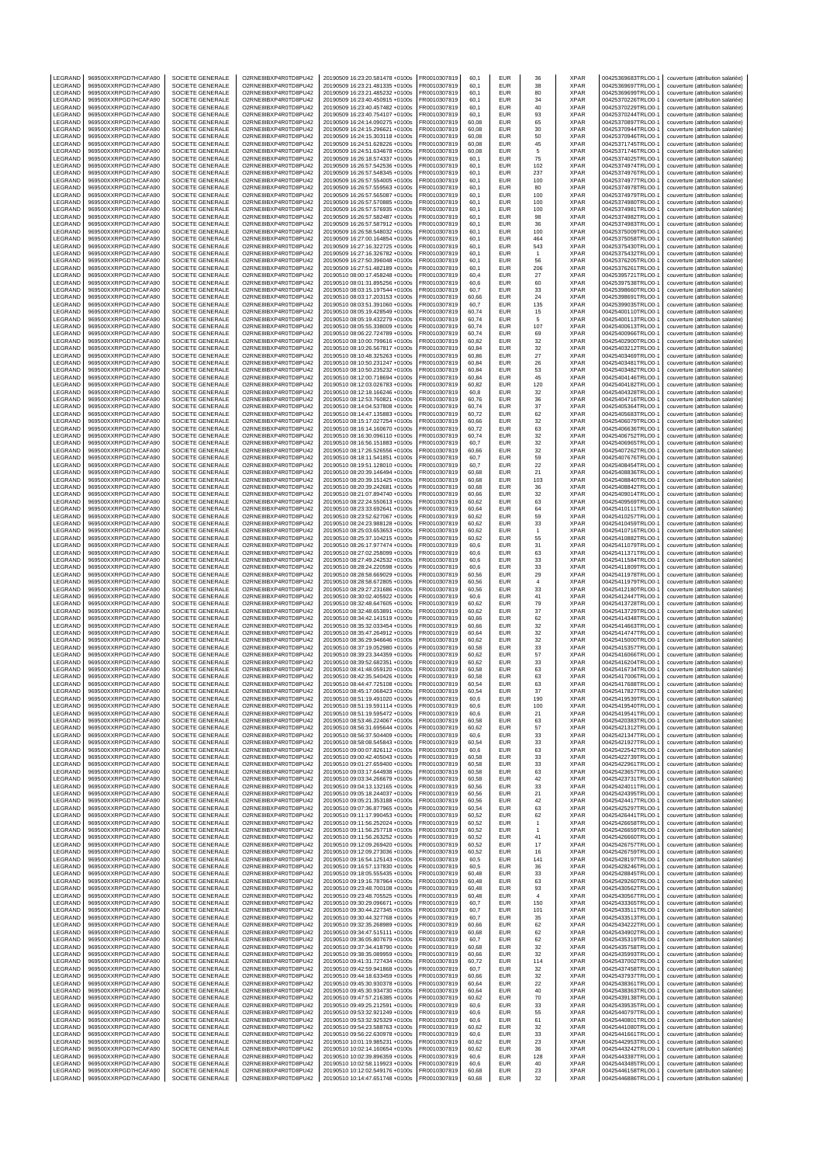| LEGRAND            | 969500XXRPGD7HCAFA90                         | SOCIETE GENERALE                            | O2RNE8IBXP4R0TD8PU42                         | 20190509 16:23:20.581478 +0100s                                    | FR0010307819                 | 60.1           | EUR                      | 36                   | <b>XPAR</b>                | 00425369683TRLO0-1                       | couverture (attribution salariée)                                      |
|--------------------|----------------------------------------------|---------------------------------------------|----------------------------------------------|--------------------------------------------------------------------|------------------------------|----------------|--------------------------|----------------------|----------------------------|------------------------------------------|------------------------------------------------------------------------|
| LEGRAND<br>LEGRAND | 969500XXRPGD7HCAFA90<br>969500XXRPGD7HCAFA90 | SOCIETE GENERALE<br>SOCIETE GENERALE        | O2RNE8IBXP4R0TD8PU42<br>O2RNE8IBXP4R0TD8PU42 | 20190509 16:23:21.481335 +0100s<br>20190509 16:23:21.485232 +0100s | FR0010307819<br>R0010307819  | 60,1<br>60,1   | <b>FUR</b><br>EUR        | 38<br>80             | <b>XPAR</b><br>XPAR        | 00425369697TRLO0-1<br>00425369699TRLO0-1 | couverture (attribution salariée)<br>couverture (attribution salariée) |
| LEGRAND            | 969500XXRPGD7HCAFA90                         | SOCIETE GENERALE                            | O2RNE8IBXP4R0TD8PU42                         | 20190509 16:23:40.450915 +0100s                                    | FR0010307819                 | 60,1           | <b>EUR</b>               | 34                   | <b>XPAR</b>                | 00425370226TRLO0-1                       | couverture (attribution salariée)                                      |
| LEGRAND            | 969500XXRPGD7HCAFA90                         | SOCIETE GENERALE                            | O2RNE8IBXP4R0TD8PU42                         | 20190509 16:23:40.457482 +0100s                                    | FR0010307819                 | 60.1           | <b>EUR</b>               | 40                   | <b>XPAR</b>                | 00425370229TRLO0-1                       | couverture (attribution salariée)                                      |
| LEGRAND            | 969500XXRPGD7HCAFA90                         | SOCIETE GENERALE                            | O2RNE8IBXP4R0TD8PU42                         | 20190509 16:23:40.754107 +0100s                                    | FR0010307819                 | 60,1           | EUR                      | 93                   | XPAR                       | 00425370244TRLO0-1                       | couverture (attribution salariée)                                      |
| LEGRAND<br>LEGRAND | 969500XXRPGD7HCAFA90<br>969500XXRPGD7HCAFA90 | SOCIETE GENERALE<br>SOCIETE GENERALE        | O2RNE8IBXP4R0TD8PU42<br>O2RNE8IBXP4R0TD8PU42 | 20190509 16:24:14.090275 +0100s<br>20190509 16:24:15.296621 +0100s | FR0010307819<br>FR0010307819 | 60.08<br>60,08 | EUR<br>EUR               | 65<br>30             | <b>XPAR</b><br>XPAR        | 00425370897TRLO0-1<br>00425370944TRLO0-1 | couverture (attribution salariée)<br>couverture (attribution salariée) |
| LEGRAND            | 969500XXRPGD7HCAFA90                         | SOCIETE GENERALE                            | O2RNE8IBXP4R0TD8PU42                         | 20190509 16:24:15.303118 +0100s                                    | FR0010307819                 | 60.08          | EUR                      | 50                   | <b>XPAR</b>                | 00425370946TRLO0-                        | couverture (attribution salariée)                                      |
| LEGRAND            | 969500XXRPGD7HCAFA90                         | SOCIETE GENERALE                            | O2RNE8IBXP4R0TD8PU42                         | 20190509 16:24:51.628226 +0100s                                    | FR0010307819                 | 60,08          | EUR                      | 45                   | XPAR                       | 00425371745TRLO0-                        | couverture (attribution salariée)                                      |
| LEGRAND            | 969500XXRPGD7HCAFA90                         | SOCIETE GENERALE                            | O2RNE8IBXP4R0TD8PU42                         | 20190509 16:24:51.634678 +0100s                                    | FR0010307819                 | 60.08          | EUR                      | 5                    | <b>XPAR</b>                | 00425371746TRLO0-1                       | couverture (attribution salariée)                                      |
| LEGRAND<br>LEGRAND | 969500XXRPGD7HCAFA90<br>969500XXRPGD7HCAFA90 | SOCIETE GENERALE<br>SOCIETE GENERALE        | O2RNE8IBXP4R0TD8PU42<br>O2RNE8IBXP4R0TD8PU42 | 20190509 16:26:18.574337 +0100s<br>20190509 16:26:57.542536 +0100s | R0010307819<br>FR0010307819  | 60,1<br>60.1   | EUR<br>EUR               | 75<br>102            | XPAR<br><b>XPAR</b>        | 00425374025TRLO0-1<br>00425374974TRLO0-  | couverture (attribution salariée)<br>couverture (attribution salariée) |
| LEGRAND            | 969500XXRPGD7HCAFA90                         | SOCIETE GENERALE                            | O2RNE8IBXP4R0TD8PU42                         | 20190509 16:26:57.548345 +0100s                                    | FR0010307819                 | 60,1           | EUR                      | 237                  | XPAR                       | 00425374976TRLO0-1                       | couverture (attribution salariée)                                      |
| LEGRAND            | 969500XXRPGD7HCAFA90                         | SOCIETE GENERALE                            | O2RNE8IBXP4R0TD8PU42                         | 20190509 16:26:57.554005 +0100s                                    | FR0010307819                 | 60,1           | EUR                      | 100                  | <b>XPAR</b>                | 00425374977TRLO0-1                       | couverture (attribution salariée)                                      |
| LEGRAND<br>LEGRAND | 969500XXRPGD7HCAFA90<br>969500XXRPGD7HCAFA90 | SOCIETE GENERALE<br>SOCIETE GENERALE        | O2RNE8IBXP4R0TD8PU42<br>O2RNE8IBXP4R0TD8PU42 | 20190509 16:26:57.559563 +0100s<br>20190509 16:26:57.565087 +0100s | FR0010307819<br>FR0010307819 | 60,1<br>60,1   | EUR<br>EUR               | 80<br>100            | XPAR<br><b>XPAR</b>        | 00425374978TRLO0-1<br>00425374979TRLO0-1 | couverture (attribution salariée)                                      |
| LEGRAND            | 969500XXRPGD7HCAFA90                         | SOCIETE GENERALE                            | O2RNE8IBXP4R0TD8PU42                         | 20190509 16:26:57.570885 +0100s                                    | R0010307819                  | 60,1           | EUR                      | 100                  | XPAR                       | 00425374980TRLO0-1                       | couverture (attribution salariée)<br>couverture (attribution salariée) |
| LEGRAND            | 969500XXRPGD7HCAFA90                         | <b>SOCIETE GENERALE</b>                     | O2RNE8IBXP4R0TD8PU42                         | 20190509 16:26:57.576935 +0100s                                    | FR0010307819                 | 60,1           | EUR                      | 100                  | <b>XPAR</b>                | 00425374981TRLO0-                        | couverture (attribution salariée)                                      |
| LEGRAND            | 969500XXRPGD7HCAFA90                         | SOCIETE GENERALE                            | O2RNE8IBXP4R0TD8PU42                         | 20190509 16:26:57.582487 +0100s                                    | FR0010307819                 | 60,1           | EUR                      | 98                   | XPAR                       | 00425374982TRLO0-1                       | couverture (attribution salariée)                                      |
| LEGRAND<br>LEGRAND | 969500XXRPGD7HCAFA90<br>969500XXRPGD7HCAFA90 | SOCIETE GENERALE<br>SOCIETE GENERALE        | O2RNE8IBXP4R0TD8PU42<br>O2RNE8IBXP4R0TD8PU42 | 20190509 16:26:57.587912 +0100s<br>20190509 16:26:58.548032 +0100s | FR0010307819<br>R0010307819  | 60,1<br>60,1   | <b>EUR</b><br>EUR        | 36<br>100            | <b>XPAR</b><br><b>XPAR</b> | 00425374983TRLO0-1<br>00425375009TRLO0-1 | couverture (attribution salariée)<br>couverture (attribution salariée) |
| LEGRAND            | 969500XXRPGD7HCAFA90                         | SOCIETE GENERALE                            | O2RNE8IBXP4R0TD8PU42                         | 20190509 16:27:00.164854 +0100s                                    | FR0010307819                 | 60,1           | <b>EUR</b>               | 464                  | <b>XPAR</b>                | 00425375058TRLO0-1                       | couverture (attribution salariée)                                      |
| LEGRAND            | 969500XXRPGD7HCAFA90                         | SOCIETE GENERALE                            | O2RNE8IBXP4R0TD8PU42                         | 20190509 16:27:16.322725 +0100s                                    | FR0010307819                 | 60,1           | EUR                      | 543                  | XPAR                       | 00425375430TRLO0-1                       | couverture (attribution salariée)                                      |
| LEGRAND<br>LEGRAND | 969500XXRPGD7HCAFA90<br>969500XXRPGD7HCAFA90 | <b>SOCIETE GENERALE</b><br>SOCIETE GENERALE | O2RNE8IBXP4R0TD8PU42<br>O2RNE8IBXP4R0TD8PU42 | 20190509 16:27:16.326782 +0100s<br>20190509 16:27:50.396048 +0100s | FR0010307819<br>R0010307819  | 60,1<br>60,1   | EUR<br>EUR               | $\overline{1}$<br>56 | <b>XPAR</b><br>XPAR        | 00425375432TRLO0-1<br>00425376205TRLO0-  | couverture (attribution salariée)<br>couverture (attribution salariée) |
| LEGRAND            | 969500XXRPGD7HCAFA90                         | SOCIETE GENERALE                            | O2RNE8IBXP4R0TD8PU42                         | 20190509 16:27:51.482189 +0100s                                    | FR0010307819                 | 60,1           | EUR                      | 206                  | XPAR                       | 00425376261TRLO0-1                       | couverture (attribution salariée)                                      |
| LEGRAND            | 969500XXRPGD7HCAFA90                         | SOCIETE GENERALE                            | O2RNE8IBXP4R0TD8PU42                         | 20190510 08:00:17.458248 +0100s                                    | FR0010307819                 | 60.4           | <b>EUR</b>               | 27                   | <b>XPAR</b>                | 00425395721TRLO0-                        | couverture (attribution salariée)                                      |
| LEGRAND<br>LEGRAND | 969500XXRPGD7HCAFA90                         | SOCIETE GENERALE<br>SOCIETE GENERALE        | O2RNE8IBXP4R0TD8PU42                         | 20190510 08:01:31.895256 +0100s                                    | R0010307819                  | 60,6<br>60.7   | EUR<br>EUR               | 60<br>33             | XPAR<br><b>XPAR</b>        | 00425397538TRLO0-1                       | couverture (attribution salariée)                                      |
| LEGRAND            | 969500XXRPGD7HCAFA90<br>969500XXRPGD7HCAFA90 | SOCIETE GENERALE                            | O2RNE8IBXP4R0TD8PU42<br>O2RNE8IBXP4R0TD8PU42 | 20190510 08:03:15.197544 +0100s<br>20190510 08:03:17.203153 +0100s | FR0010307819<br>FR0010307819 | 60,66          | EUR                      | 24                   | XPAR                       | 00425398660TRLO0-<br>00425398691TRLO0-   | couverture (attribution salariée)<br>couverture (attribution salariée) |
| LEGRAND            | 969500XXRPGD7HCAFA90                         | <b>SOCIETE GENERALE</b>                     | O2RNE8IBXP4R0TD8PU42                         | 20190510 08:03:51.391060 +0100s                                    | FR0010307819                 | 60.7           | EUR                      | 135                  | <b>XPAR</b>                | 00425399035TRLO0-1                       | couverture (attribution salariée)                                      |
| LEGRAND            | 969500XXRPGD7HCAFA90                         | SOCIETE GENERALE                            | O2RNE8IBXP4R0TD8PU42                         | 20190510 08:05:19.428549 +0100s                                    | R0010307819                  | 60,74          | EUR                      | 15                   | XPAR                       | 00425400110TRLO0-1                       | couverture (attribution salariée)                                      |
| LEGRAND<br>LEGRAND | 969500XXRPGD7HCAFA90<br>969500XXRPGD7HCAFA90 | SOCIETE GENERALE<br>SOCIETE GENERALE        | O2RNE8IBXP4R0TD8PU42<br>O2RNE8IBXP4R0TD8PU42 | 20190510 08:05:19.432279 +0100s<br>20190510 08:05:55.338009 +0100s | FR0010307819<br>FR0010307819 | 60.74<br>60,74 | <b>EUR</b><br>EUR        | 5<br>107             | <b>XPAR</b><br>XPAR        | 00425400113TRLO0-<br>00425400613TRLO0-   | couverture (attribution salariée)<br>couverture (attribution salariée) |
| LEGRAND            | 969500XXRPGD7HCAFA90                         | <b>SOCIETE GENERALE</b>                     | O2RNE8IBXP4R0TD8PU42                         | 20190510 08:06:22.724789 +0100s                                    | FR0010307819                 | 60.74          | <b>EUR</b>               | 69                   | <b>XPAR</b>                | 00425400966TRLO0-1                       | couverture (attribution salariée)                                      |
| LEGRAND            | 969500XXRPGD7HCAFA90                         | SOCIETE GENERALE                            | O2RNE8IBXP4R0TD8PU42                         | 20190510 08:10:00.799616 +0100s                                    | R0010307819                  | 60,82          | EUR                      | 32                   | XPAR                       | 00425402900TRLO0-1                       | couverture (attribution salariée)                                      |
| LEGRAND<br>LEGRAND | 969500XXRPGD7HCAFA90<br>969500XXRPGD7HCAFA90 | SOCIETE GENERALE<br>SOCIETE GENERALE        | O2RNE8IBXP4R0TD8PU42<br>O2RNE8IBXP4R0TD8PU42 | 20190510 08:10:26.567817 +0100s<br>20190510 08:10:48.325263 +0100s | FR0010307819<br>FR0010307819 | 60.84<br>60,86 | <b>EUR</b><br>EUR        | 32<br>27             | <b>XPAR</b><br>XPAR        | 00425403212TRLO0-1<br>00425403469TRLO0-1 | couverture (attribution salariée)<br>couverture (attribution salariée) |
| LEGRAND            | 969500XXRPGD7HCAFA90                         | SOCIETE GENERALE                            | O2RNE8IBXP4R0TD8PU42                         | 20190510 08:10:50.231247 +0100s                                    | FR0010307819                 | 60,84          | EUR                      | 26                   | <b>XPAR</b>                | 00425403481TRLO0-1                       | couverture (attribution salariée)                                      |
| LEGRAND            | 969500XXRPGD7HCAFA90                         | SOCIETE GENERALE                            | O2RNE8IBXP4R0TD8PU42                         | 20190510 08:10:50.235232 +0100s                                    | FR0010307819                 | 60,84          | EUR                      | 53                   | XPAR                       | 00425403482TRLO0-1                       | couverture (attribution salariée)                                      |
| LEGRAND<br>LEGRAND | 969500XXRPGD7HCAFA90                         | SOCIETE GENERALE<br>SOCIETE GENERALE        | O2RNE8IBXP4R0TD8PU42                         | 20190510 08:12:00.718694 +0100s                                    | FR0010307819                 | 60,84          | EUR<br>EUR               | 45                   | <b>XPAR</b>                | 00425404146TRLO0-1                       | couverture (attribution salariée)                                      |
| LEGRAND            | 969500XXRPGD7HCAFA90<br>969500XXRPGD7HCAFA90 | <b>SOCIETE GENERALE</b>                     | O2RNE8IBXP4R0TD8PU42<br>O2RNE8IBXP4R0TD8PU42 | 20190510 08:12:03.026783 +0100s<br>20190510 08:12:18.166246 +0100s | R0010307819<br>FR0010307819  | 60,82<br>60,8  | EUR                      | 120<br>32            | XPAR<br><b>XPAR</b>        | 00425404182TRLO0-1<br>00425404328TRLO0-  | couverture (attribution salariée)<br>couverture (attribution salariée) |
| LEGRAND            | 969500XXRPGD7HCAFA90                         | SOCIETE GENERALE                            | O2RNE8IBXP4R0TD8PU42                         | 20190510 08:12:53.760821 +0100s                                    | R0010307819                  | 60,76          | EUR                      | 36                   | XPAR                       | 00425404716TRLO0-1                       | couverture (attribution salariée)                                      |
| LEGRAND            | 969500XXRPGD7HCAFA90                         | SOCIETE GENERALE                            | O2RNE8IBXP4R0TD8PU42<br>O2RNE8IBXP4R0TD8PU42 | 20190510 08:14:04.537808 +0100s                                    | FR0010307819                 | 60,74          | <b>EUR</b>               | 37                   | <b>XPAR</b>                | 00425405364TRLO0-1                       | couverture (attribution salariée)                                      |
| LEGRAND<br>LEGRAND | 969500XXRPGD7HCAFA90<br>969500XXRPGD7HCAFA90 | SOCIETE GENERALE<br><b>SOCIETE GENERALE</b> | O2RNE8IBXP4R0TD8PU42                         | 20190510 08:14:47.135883 +0100s<br>20190510 08:15:17.027254 +0100s | R0010307819<br>FR0010307819  | 60,72<br>60,66 | EUR<br><b>EUR</b>        | 62<br>32             | <b>XPAR</b><br><b>XPAR</b> | 00425405683TRLO0-<br>00425406079TRLO0-   | couverture (attribution salariée)<br>couverture (attribution salariée) |
| LEGRAND            | 969500XXRPGD7HCAFA90                         | SOCIETE GENERALE                            | O2RNE8IBXP4R0TD8PU42                         | 20190510 08:16:14.160670 +0100s                                    | FR0010307819                 | 60,72          | EUR                      | 63                   | XPAR                       | 00425406636TRLO0-1                       | couverture (attribution salariée)                                      |
| LEGRAND            | 969500XXRPGD7HCAFA90                         | SOCIETE GENERALE                            | O2RNE8IBXP4R0TD8PU42                         | 20190510 08:16:30.096110 +0100s                                    | FR0010307819                 | 60,74          | EUR                      | 32                   | <b>XPAR</b>                | 00425406752TRLO0-1                       | couverture (attribution salariée)                                      |
| LEGRAND            | 969500XXRPGD7HCAFA90                         | SOCIETE GENERALE<br>SOCIETE GENERALE        | O2RNE8IBXP4R0TD8PU42                         | 20190510 08:16:56.151883 +0100s                                    | FR0010307819                 | 60,7           | EUR                      | 32                   | XPAR                       | 00425406965TRLO0-1                       | couverture (attribution salariée)                                      |
| LEGRAND<br>LEGRAND | 969500XXRPGD7HCAFA90<br>969500XXRPGD7HCAFA90 | <b>SOCIETE GENERALE</b>                     | O2RNE8IBXP4R0TD8PU42<br>O2RNE8IBXP4R0TD8PU42 | 20190510 08:17:26.526556 +0100s<br>20190510 08:18:11.541851 +0100s | R0010307819<br>FR0010307819  | 60,66<br>60,7  | EUR<br><b>EUR</b>        | 32<br>59             | XPAR<br><b>XPAR</b>        | 00425407262TRLO0-<br>00425407676TRLO0-1  | couverture (attribution salariée)<br>couverture (attribution salariée) |
| LEGRAND            | 969500XXRPGD7HCAFA90                         | SOCIETE GENERALE                            | O2RNE8IBXP4R0TD8PU42                         | 20190510 08:19:51.128010 +0100s                                    | R0010307819                  | 60,7           | EUR                      | 22                   | XPAR                       | 00425408454TRLO0-1                       | couverture (attribution salariée)                                      |
| LEGRAND            | 969500XXRPGD7HCAFA90                         | SOCIETE GENERALE                            | O2RNE8IBXP4R0TD8PU42                         | 20190510 08:20:39.146494 +0100s                                    | FR0010307819                 | 60.68          | EUR                      | 21                   | <b>XPAR</b>                | 00425408836TRLO0-1                       | couverture (attribution salariée)                                      |
| LEGRAND<br>LEGRAND | 969500XXRPGD7HCAFA90<br>969500XXRPGD7HCAFA90 | SOCIETE GENERALE<br><b>SOCIETE GENERALE</b> | O2RNE8IBXP4R0TD8PU42<br>O2RNE8IBXP4R0TD8PU42 | 20190510 08:20:39.151425 +0100s<br>20190510 08:20:39.242681 +0100s | FR0010307819<br>FR0010307819 | 60,68<br>60.68 | EUR<br>EUR               | 103<br>36            | XPAR<br><b>XPAR</b>        | 00425408840TRLO0-1<br>00425408842TRLO0-1 | couverture (attribution salariée)<br>couverture (attribution salariée) |
| LEGRAND            | 969500XXRPGD7HCAFA90                         | SOCIETE GENERALE                            | O2RNE8IBXP4R0TD8PU42                         | 20190510 08:21:07.894740 +0100s                                    | R0010307819                  | 60,66          | EUR                      | 32                   | XPAR                       | 00425409014TRLO0-1                       | couverture (attribution salariée)                                      |
| LEGRAND            | 969500XXRPGD7HCAFA90                         | SOCIETE GENERALE                            | O2RNE8IBXP4R0TD8PU42                         | 20190510 08:22:24.550613 +0100s                                    | FR0010307819                 | 60.62          | EUR                      | 63                   | <b>XPAR</b>                | 00425409569TRLO0-1                       | couverture (attribution salariée)                                      |
| LEGRAND<br>LEGRAND | 969500XXRPGD7HCAFA90<br>969500XXRPGD7HCAFA90 | SOCIETE GENERALE<br><b>SOCIETE GENERALE</b> | O2RNE8IBXP4R0TD8PU42<br>O2RNE8IBXP4R0TD8PU42 | 20190510 08:23:33.692641 +0100s<br>20190510 08:23:52.627067 +0100s | FR0010307819<br>FR0010307819 | 60,64<br>60.62 | EUR<br><b>EUR</b>        | 64<br>59             | XPAR<br><b>XPAR</b>        | 00425410111TRLO0-1<br>00425410257TRLO0-1 | couverture (attribution salariée)<br>couverture (attribution salariée) |
| LEGRAND            | 969500XXRPGD7HCAFA90                         | SOCIETE GENERALE                            | O2RNE8IBXP4R0TD8PU42                         | 20190510 08:24:23.988128 +0100s                                    | R0010307819                  | 60,62          | EUR                      | 33                   | XPAR                       | 00425410459TRLO0-1                       | couverture (attribution salariée)                                      |
| LEGRAND            | 969500XXRPGD7HCAFA90                         | SOCIETE GENERALE                            | O2RNE8IBXP4R0TD8PU42                         | 20190510 08:25:03.653653 +0100s                                    | FR0010307819                 | 60.62          | EUR                      | $\overline{1}$       | <b>XPAR</b>                | 00425410716TRLO0-1                       | couverture (attribution salariée)                                      |
| LEGRAND            | 969500XXRPGD7HCAFA90                         | SOCIETE GENERALE                            | O2RNE8IBXP4R0TD8PU42                         | 20190510 08:25:37.104215 +0100s                                    | R0010307819                  | 60,62          | EUR                      | 55                   | <b>XPAR</b>                | 00425410882TRLO0-                        | couverture (attribution salariée)                                      |
| LEGRAND<br>LEGRAND | 969500XXRPGD7HCAFA90<br>969500XXRPGD7HCAFA90 | SOCIETE GENERALE<br>SOCIETE GENERALE        | O2RNE8IBXP4R0TD8PU42<br>O2RNE8IBXP4R0TD8PU42 | 20190510 08:26:17.977474 +0100s<br>20190510 08:27:02.258099 +0100s | FR0010307819<br>FR0010307819 | 60,6<br>60,6   | EUR<br>EUR               | 31<br>63             | <b>XPAR</b><br>XPAR        | 00425411079TRLO0-1<br>00425411371TRLO0-1 | couverture (attribution salariée)<br>couverture (attribution salariée) |
| LEGRAND            | 969500XXRPGD7HCAFA90                         | SOCIETE GENERALE                            | O2RNE8IBXP4R0TD8PU42                         | 20190510 08:27:49.242532 +0100s                                    | FR0010307819                 | 60,6           | EUR                      | 33                   | <b>XPAR</b>                | 00425411584TRLO0-1                       | couverture (attribution salariée)                                      |
| LEGRAND            | 969500XXRPGD7HCAFA90                         | SOCIETE GENERALE                            | O2RNE8IBXP4R0TD8PU42                         | 20190510 08:28:24.220598 +0100s                                    | R0010307819                  | 60,6           | EUR                      | 33                   | XPAR                       | 00425411809TRLO0-1                       | couverture (attribution salariée)                                      |
| LEGRAND<br>LEGRAND | 969500XXRPGD7HCAFA90<br>969500XXRPGD7HCAFA90 | SOCIETE GENERALE<br>SOCIETE GENERALE        | O2RNE8IBXP4R0TD8PU42<br>O2RNE8IBXP4R0TD8PU42 | 20190510 08:28:58.669029 +0100s<br>20190510 08:28:58.672805 +0100s | FR0010307819<br>R0010307819  | 60,56<br>60,56 | <b>EUR</b><br>EUR        | 29<br>$\sqrt{4}$     | <b>XPAR</b><br>XPAR        | 00425411978TRLO0-<br>00425411979TRLO0-1  | couverture (attribution salariée)<br>couverture (attribution salariée) |
| LEGRAND            | 969500XXRPGD7HCAFA90                         | SOCIETE GENERALE                            | O2RNE8IBXP4R0TD8PU42                         | 20190510 08:29:27.231686 +0100s                                    | FR0010307819                 | 60,56          | EUR                      | 33                   | <b>XPAR</b>                | 00425412180TRLO0-1                       | couverture (attribution salariée)                                      |
| LEGRAND            | 969500XXRPGD7HCAFA90                         | SOCIETE GENERALE                            | O2RNE8IBXP4R0TD8PU42                         | 20190510 08:30:02.405922 +0100s                                    | R0010307819                  | 60,6           | EUR                      | 41                   | <b>XPAR</b>                | 00425412447TRLO0-1                       | couverture (attribution salariée)                                      |
| LEGRAND            | 969500XXRPGD7HCAFA90<br>969500XXRPGD7HCAFA90 | SOCIETE GENERALE<br>SOCIETE GENERALE        | O2RNE8IBXP4R0TD8PU42<br>O2RNE8IBXP4R0TD8PU42 | 20190510 08:32:48.647605 +0100s                                    | FR0010307819                 | 60,62          | EUR<br>EUR               | 79                   | <b>XPAR</b>                | 00425413728TRLO0-<br>00425413729TRLO0-1  | couverture (attribution salariée)<br>couverture (attribution salariée) |
| LEGRAND<br>LEGRAND | 969500XXRPGD7HCAFA90                         | SOCIETE GENERALE                            | O2RNE8IBXP4R0TD8PU42                         | 20190510 08:32:48.653891 +0100s<br>20190510 08:34:42.141519 +0100s | FR0010307819<br>FR0010307819 | 60,62<br>60,66 | EUR                      | 37<br>62             | XPAR<br><b>XPAR</b>        | 00425414348TRLO0-1                       | couverture (attribution salariée)                                      |
| LEGRAND            | 969500XXRPGD7HCAFA90                         | SOCIETE GENERALE                            | O2RNE8IBXP4R0TD8PU42                         | 20190510 08:35:32.033454 +0100s                                    | FR0010307819                 | 60.66          | <b>EUR</b>               | 32                   | <b>XPAR</b>                | 00425414663TRLO0-                        | couverture (attribution salariée)                                      |
| LEGRAND            | 969500XXRPGD7HCAFA90                         | SOCIETE GENERALE                            | O2RNE8IBXP4R0TD8PU42                         | 20190510 08:35:47.264912 +0100s                                    | FR0010307819                 | 60,64          | EUR                      | 32                   | XPAR                       | 00425414747TRLO0-                        | couverture (attribution salariée)                                      |
| LEGRAND<br>LEGRAND | 969500XXRPGD7HCAFA90<br>969500XXRPGD7HCAFA90 | <b>SOCIETE GENERALE</b><br>SOCIETE GENERALE | O2RNE8IBXP4R0TD8PU42<br>O2RNE8IBXP4R0TD8PU42 | 20190510 08:36:29.946646 +0100s<br>20190510 08:37:19.052980 +0100s | FR0010307819<br>R0010307819  | 60.62<br>60,58 | <b>EUR</b><br>EUR        | 32<br>33             | <b>XPAR</b><br>XPAR        | 00425415000TRLO0-1<br>00425415357TRLO0-1 | couverture (attribution salariée)<br>couverture (attribution salariée) |
| LEGRAND            | 969500XXRPGD7HCAFA90                         | SOCIETE GENERALE                            | O2RNE8IBXP4R0TD8PU42                         | 20190510 08:39:23.344359 +0100s                                    | FR0010307819                 | 60.62          | <b>EUR</b>               | 57                   | <b>XPAR</b>                | 00425416066TRLO0-1                       | couverture (attribution salariée)                                      |
| LEGRAND            | 969500XXRPGD7HCAFA90                         | SOCIETE GENERALE                            | O2RNE8IBXP4R0TD8PU42                         | 20190510 08:39:52.682351 +0100s                                    | FR0010307819                 | 60,62          | EUR                      | 33                   | XPAR                       | 00425416204TRLO0-1<br>00425416734TRLO0-1 | couverture (attribution salariée)                                      |
| LEGRAND<br>LEGRAND | 969500XXRPGD7HCAFA90<br>969500XXRPGD7HCAFA90 | SOCIETE GENERALE<br>SOCIETE GENERALE        | O2RNE8IBXP4R0TD8PU42<br>O2RNE8IBXP4R0TD8PU42 | 20190510 08:41:48.059120 +0100s<br>20190510 08:42:35.540426 +0100s | FR0010307819<br>R0010307819  | 60.58<br>60,58 | EUR<br>EUR               | 63<br>63             | <b>XPAR</b><br>XPAR        | 00425417006TRLO0-1                       | couverture (attribution salariée)<br>couverture (attribution salariée) |
| LEGRAND            | 969500XXRPGD7HCAFA90                         | SOCIETE GENERALE                            | O2RNE8IBXP4R0TD8PU42                         | 20190510 08:44:47.725108 +0100s                                    | FR0010307819                 | 60.54          | <b>EUR</b>               | 63                   | <b>XPAR</b>                | 00425417688TRLO0-1                       | couverture (attribution salariée)                                      |
| LEGRAND            | 969500XXRPGD7HCAFA90                         | SOCIETE GENERALE                            | O2RNE8IBXP4R0TD8PU42                         | 20190510 08:45:17.068423 +0100s                                    | FR0010307819                 | 60,54          | EUR                      | 37                   | <b>XPAR</b>                | 00425417827TRLO0-1                       | couverture (attribution salariée)                                      |
| LEGRAND<br>LEGRAND | 969500XXRPGD7HCAFA90<br>969500XXRPGD7HCAFA90 | SOCIETE GENERALE<br>SOCIETE GENERALE        | O2RNE8IBXP4R0TD8PU42<br>O2RNE8IBXP4R0TD8PU42 | 20190510 08:51:19.491020 +0100s<br>20190510 08:51:19.591114 +0100s | FR0010307819<br>FR0010307819 | 60.6<br>60,6   | EUR<br>EUR               | 190<br>100           | <b>XPAR</b><br>XPAR        | 00425419539TRLO0-1<br>00425419540TRLO0-1 | couverture (attribution salariée)<br>couverture (attribution salariée) |
| LEGRAND            | 969500XXRPGD7HCAFA90                         | SOCIETE GENERALE                            | O2RNE8IBXP4R0TD8PU42                         | 20190510 08:51:19.595472 +0100s                                    | FR0010307819                 | 60,6           | <b>FUR</b>               | 21                   | <b>XPAR</b>                | 00425419541TRLO0-1                       | couverture (attribution salariée)                                      |
| LEGRAND            | 969500XXRPGD7HCAFA90                         | SOCIETE GENERALE                            | O2RNE8IBXP4R0TD8PU42                         | 20190510 08:53:46.224067 +0100s                                    | FR0010307819                 | 60.58          | <b>EUR</b>               | 63                   | <b>XPAR</b>                | 00425420383TRLO0-1                       | couverture (attribution salariée)                                      |
| LEGRAND<br>LEGRAND | 969500XXRPGD7HCAFA90<br>969500XXRPGD7HCAFA90 | <b>SOCIETE GENERALE</b><br>SOCIETE GENERALE | O2RNE8IBXP4R0TD8PU42<br>O2RNE8IBXP4R0TD8PU42 | 20190510 08:56:31.695644 +0100s<br>20190510 08:56:37.504409 +0100s | FR0010307819<br>FR0010307819 | 60,62<br>60,6  | <b>EUR</b><br><b>EUR</b> | 57<br>33             | <b>XPAR</b><br><b>XPAR</b> | 00425421312TRLO0-1<br>00425421347TRLO0-1 | couverture (attribution salariée)<br>couverture (attribution salariée) |
| LEGRAND            | 969500XXRPGD7HCAFA90                         | SOCIETE GENERALE                            | O2RNE8IBXP4R0TD8PU42                         | 20190510 08:58:08.545843 +0100s                                    | FR0010307819                 | 60,54          | <b>EUR</b>               | 33                   | <b>XPAR</b>                | 00425421927TRLO0-1                       | couverture (attribution salariée)                                      |
| LEGRAND            | 969500XXRPGD7HCAFA90                         | SOCIETE GENERALE                            | O2RNE8IBXP4R0TD8PU42                         | 20190510 09:00:07.826112 +0100s                                    | FR0010307819                 | 60,6           | <b>EUR</b>               | 63                   | <b>XPAR</b>                | 00425422542TRLO0-1                       | couverture (attribution salariée)                                      |
| LEGRAND<br>LEGRAND | 969500XXRPGD7HCAFA90<br>969500XXRPGD7HCAFA90 | <b>SOCIETE GENERALE</b><br>SOCIETE GENERALE | O2RNE8IBXP4R0TD8PU42<br>O2RNE8IBXP4R0TD8PU42 | 20190510 09:00:42.405043 +0100s<br>20190510 09:01:27.659400 +0100s | FR0010307819<br>FR0010307819 | 60,58<br>60,58 | <b>EUR</b><br><b>EUR</b> | 33<br>33             | <b>XPAR</b><br>XPAR        | 00425422739TRLO0-1<br>00425422961TRLO0-1 | couverture (attribution salariée)<br>couverture (attribution salariée) |
| LEGRAND            | 969500XXRPGD7HCAFA90                         | SOCIETE GENERALE                            | O2RNE8IBXP4R0TD8PU42                         | 20190510 09:03:17.644938 +0100s                                    | FR0010307819                 | 60.58          | <b>FUR</b>               | 63                   | <b>XPAR</b>                | 00425423657TRLO0-1                       | couverture (attribution salariée)                                      |
| LEGRAND            | 969500XXRPGD7HCAFA90                         | SOCIETE GENERALE                            | O2RNE8IBXP4R0TD8PU42                         | 20190510 09:03:34.266679 +0100s                                    | FR0010307819                 | 60,58          | <b>EUR</b>               | 42                   | <b>XPAR</b>                | 00425423731TRLO0-1                       | couverture (attribution salariée)                                      |
| LEGRAND<br>LEGRAND | 969500XXRPGD7HCAFA90<br>969500XXRPGD7HCAFA90 | SOCIETE GENERALE<br>SOCIETE GENERALE        | O2RNE8IBXP4R0TD8PU42<br>O2RNE8IBXP4R0TD8PU42 | 20190510 09:04:13.132165 +0100s<br>20190510 09:05:18.244037 +0100s | FR0010307819<br>FR0010307819 | 60,56<br>60,56 | <b>EUR</b><br><b>EUR</b> | 33<br>21             | <b>XPAR</b><br><b>XPAR</b> | 00425424011TRLO0-1<br>00425424395TRLO0-1 | couverture (attribution salariée)<br>couverture (attribution salariée) |
| LEGRAND            | 969500XXRPGD7HCAFA90                         | SOCIETE GENERALE                            | O2RNE8IBXP4R0TD8PU42                         | 20190510 09:05:21.353188 +0100s                                    | FR0010307819                 | 60,56          | EUR                      | 42                   | <b>XPAR</b>                | 00425424417TRLO0-1                       | couverture (attribution salariée)                                      |
| LEGRAND            | 969500XXRPGD7HCAFA90                         | SOCIETE GENERALE                            | O2RNE8IBXP4R0TD8PU42                         | 20190510 09:07:36 877965 +0100s                                    | FR0010307819                 | 60.54          | <b>EUR</b>               | 63                   | <b>XPAR</b>                | 00425425297TRLO0-1                       | couverture (attribution salariée)                                      |
| LEGRAND<br>LEGRAND | 969500XXRPGD7HCAFA90<br>969500XXRPGD7HCAFA90 | SOCIETE GENERALE<br>SOCIETE GENERALE        | O2RNE8IBXP4R0TD8PU42<br>O2RNE8IBXP4R0TD8PU42 | 20190510 09:11:17.990453 +0100s<br>20190510 09:11:56.252024 +0100s | FR0010307819<br>FR0010307819 | 60,52<br>60.52 | EUR<br><b>EUR</b>        | 62<br>$\overline{1}$ | <b>XPAR</b><br><b>XPAR</b> | 00425426441TRLO0-1<br>00425426658TRLO0-1 | couverture (attribution salariée)<br>couverture (attribution salariée) |
| LEGRAND            | 969500XXRPGD7HCAFA90                         | SOCIETE GENERALE                            | O2RNE8IBXP4R0TD8PU42                         | 20190510 09:11:56.257718 +0100s                                    | FR0010307819                 | 60,52          | EUR                      | $\overline{1}$       | XPAR                       | 00425426659TRLO0-1                       | couverture (attribution salariée)                                      |
| LEGRAND            | 969500XXRPGD7HCAFA90<br>969500XXRPGD7HCAFA90 | SOCIETE GENERALE<br>SOCIETE GENERALE        | O2RNE8IBXP4R0TD8PU42                         | 20190510 09:11:56.263252 +0100s                                    | FR0010307819                 | 60.52          | EUR                      | 41                   | <b>XPAR</b>                | 00425426660TRLO0-1                       | couverture (attribution salariée)                                      |
| LEGRAND<br>LEGRAND | 969500XXRPGD7HCAFA90                         | SOCIETE GENERALE                            | O2RNE8IBXP4R0TD8PU42<br>O2RNE8IBXP4R0TD8PU42 | 20190510 09:12:09.269420 +0100s<br>20190510 09:12:09.273036 +0100s | FR0010307819<br>FR0010307819 | 60,52<br>60.52 | EUR<br><b>EUR</b>        | 17<br>16             | <b>XPAR</b><br><b>XPAR</b> | 00425426757TRLO0-1<br>00425426759TRLO0-1 | couverture (attribution salariée)<br>couverture (attribution salariée) |
| LEGRAND            | 969500XXRPGD7HCAFA90                         | SOCIETE GENERALE                            | O2RNE8IBXP4R0TD8PU42                         | 20190510 09:16:54.125143 +0100s                                    | FR0010307819                 | 60,5           | EUR                      | 141                  | <b>XPAR</b>                | 00425428197TRLO0-1                       | couverture (attribution salariée)                                      |
| LEGRAND            | 969500XXRPGD7HCAFA90                         | SOCIETE GENERALE                            | O2RNE8IBXP4R0TD8PU42                         | 20190510 09:16:57.137830 +0100s                                    | FR0010307819                 | 60.5           | <b>EUR</b>               | 36                   | <b>XPAR</b>                | 00425428246TRLO0-1                       | couverture (attribution salariée)                                      |
| LEGRAND<br>LEGRAND | 969500XXRPGD7HCAFA90<br>969500XXRPGD7HCAFA90 | SOCIETE GENERALE<br>SOCIETE GENERALE        | O2RNE8IBXP4R0TD8PU42<br>O2RNE8IBXP4R0TD8PU42 | 20190510 09:18:05.555435 +0100s<br>20190510 09:19:16.787964 +0100s | FR0010307819<br>FR0010307819 | 60,48<br>60.48 | EUR<br><b>EUR</b>        | 33<br>63             | <b>XPAR</b><br><b>XPAR</b> | 00425428845TRLO0-1<br>00425429260TRLO0-1 | couverture (attribution salariée)<br>couverture (attribution salariée) |
| LEGRAND            | 969500XXRPGD7HCAFA90                         | SOCIETE GENERALE                            | O2RNE8IBXP4R0TD8PU42                         | 20190510 09:23:48.700108 +0100s                                    | FR0010307819                 | 60,48          | <b>EUR</b>               | 93                   | <b>XPAR</b>                | 00425430562TRLO0-1                       | couverture (attribution salariée)                                      |
| LEGRAND<br>LEGRAND | 969500XXRPGD7HCAFA90<br>969500XXRPGD7HCAFA90 | SOCIETE GENERALE                            | O2RNE8IBXP4R0TD8PU42                         | 20190510 09:23:48.705525 +0100s                                    | FR0010307819                 | 60.48          | <b>EUR</b><br><b>EUR</b> | $\overline{4}$       | <b>XPAR</b><br><b>XPAR</b> | 00425430567TRLO0-1                       | couverture (attribution salariée)                                      |
| LEGRAND            | 969500XXRPGD7HCAFA90                         | SOCIETE GENERALE<br>SOCIETE GENERALE        | O2RNE8IBXP4R0TD8PU42<br>O2RNE8IBXP4R0TD8PU42 | 20190510 09:30:29.096671 +0100s<br>20190510 09:30:44.227345 +0100s | FR0010307819<br>FR0010307819 | 60,7<br>60,7   | <b>EUR</b>               | 150<br>101           | <b>XPAR</b>                | 00425433365TRLO0-1<br>00425433511TRLO0-1 | couverture (attribution salariée)<br>couverture (attribution salariée) |
| LEGRAND            | 969500XXRPGD7HCAFA90                         | SOCIETE GENERALE                            | O2RNE8IBXP4R0TD8PU42                         | 20190510 09:30:44.327768 +0100s                                    | FR0010307819                 | 60,7           | <b>EUR</b>               | 35                   | <b>XPAR</b>                | 00425433513TRLO0-1                       | couverture (attribution salariée)                                      |
| LEGRAND            | 969500XXRPGD7HCAFA90                         | SOCIETE GENERALE                            | O2RNE8IBXP4R0TD8PU42                         | 20190510 09:32:35.268989 +0100s                                    | FR0010307819                 | 60,66          | <b>EUR</b><br><b>EUR</b> | 62                   | <b>XPAR</b><br><b>XPAR</b> | 00425434222TRLO0-1                       | couverture (attribution salariée)                                      |
| LEGRAND<br>LEGRAND | 969500XXRPGD7HCAFA90<br>969500XXRPGD7HCAFA90 | SOCIETE GENERALE<br>SOCIETE GENERALE        | O2RNE8IBXP4R0TD8PU42<br>O2RNE8IBXP4R0TD8PU42 | 20190510 09:34:47.515111 +0100s<br>20190510 09:36:05.807679 +0100s | FR0010307819<br>FR0010307819 | 60,68<br>60,7  | <b>EUR</b>               | 62<br>62             | <b>XPAR</b>                | 00425434902TRLO0-1<br>00425435319TRLO0-1 | couverture (attribution salariée)<br>couverture (attribution salariée) |
| LEGRAND            | 969500XXRPGD7HCAFA90                         | SOCIETE GENERALE                            | O2RNE8IBXP4R0TD8PU42                         | 20190510 09:37:34.418790 +0100s                                    | FR0010307819                 | 60,68          | <b>EUR</b>               | 32                   | XPAR                       | 00425435758TRLO0-1                       | couverture (attribution salariée)                                      |
| LEGRAND            | 969500XXRPGD7HCAFA90                         | SOCIETE GENERALE                            | O2RNE8IBXP4R0TD8PU42                         | 20190510 09:38:35.089959 +0100s                                    | FR0010307819                 | 60.66          | <b>FUR</b><br><b>EUR</b> | 32                   | <b>XPAR</b><br><b>XPAR</b> | 00425435993TRLO0-1                       | couverture (attribution salariée)                                      |
| LEGRAND<br>LEGRAND | 969500XXRPGD7HCAFA90<br>969500XXRPGD7HCAFA90 | SOCIETE GENERALE<br>SOCIETE GENERALE        | O2RNE8IBXP4R0TD8PU42<br>O2RNE8IBXP4R0TD8PU42 | 20190510 09:41:31.727434 +0100s<br>20190510 09:42:59.941868 +0100s | FR0010307819<br>FR0010307819 | 60,72<br>60,7  | EUR                      | 114<br>32            | <b>XPAR</b>                | 00425437002TRLO0-1<br>00425437458TRLO0-1 | couverture (attribution salariée)<br>couverture (attribution salariée) |
| LEGRAND            | 969500XXRPGD7HCAFA90                         | SOCIETE GENERALE                            | O2RNE8IBXP4R0TD8PU42                         | 20190510 09:44:18.633459 +0100s                                    | FR0010307819                 | 60.66          | <b>EUR</b>               | 32                   | <b>XPAR</b>                | 00425437937TRLO0-1                       | couverture (attribution salariée)                                      |
| LEGRAND            | 969500XXRPGD7HCAFA90                         | SOCIETE GENERALE                            | O2RNE8IBXP4R0TD8PU42                         | 20190510 09:45:30.930378 +0100s                                    | FR0010307819                 | 60,64          | EUR                      | 22                   | <b>XPAR</b>                | 00425438361TRLO0-1                       | couverture (attribution salariée)                                      |
| LEGRAND<br>LEGRAND | 969500XXRPGD7HCAFA90<br>969500XXRPGD7HCAFA90 | SOCIETE GENERALE<br>SOCIETE GENERALE        | O2RNE8IBXP4R0TD8PU42<br>O2RNE8IBXP4R0TD8PU42 | 20190510 09:45:30.934730 +0100s<br>20190510 09:47:57.216385 +0100s | FR0010307819<br>FR0010307819 | 60.64<br>60,62 | <b>EUR</b><br>EUR        | 40<br>70             | <b>XPAR</b><br><b>XPAR</b> | 00425438363TRLO0-1<br>00425439138TRLO0-1 | couverture (attribution salariée)<br>couverture (attribution salariée) |
| LEGRAND            | 969500XXRPGD7HCAFA90                         | SOCIETE GENERALE                            | O2RNE8IBXP4R0TD8PU42                         | 20190510 09:49:25.212591 +0100s                                    | FR0010307819                 | 60.6           | <b>EUR</b>               | 33                   | <b>XPAR</b>                | 00425439535TRLO0-1                       | couverture (attribution salariée)                                      |
| LEGRAND            | 969500XXRPGD7HCAFA90                         | SOCIETE GENERALE                            | O2RNE8IBXP4R0TD8PU42                         | 20190510 09:53:32.921249 +0100s                                    | FR0010307819                 | 60,6           | EUR                      | 55                   | XPAR                       | 00425440797TRLO0-1                       | couverture (attribution salariée)                                      |
| LEGRAND<br>LEGRAND | 969500XXRPGD7HCAFA90<br>969500XXRPGD7HCAFA90 | SOCIETE GENERALE<br>SOCIETE GENERALE        | O2RNE8IBXP4R0TD8PU42<br>O2RNE8IBXP4R0TD8PU42 | 20190510 09:53:32.925329 +0100s<br>20190510 09:54:23.588763 +0100s | FR0010307819<br>FR0010307819 | 60.6<br>60,62  | EUR<br>EUR               | 61<br>32             | <b>XPAR</b><br><b>XPAR</b> | 00425440801TRLO0-1<br>00425441080TRLO0-1 | couverture (attribution salariée)<br>couverture (attribution salariée) |
| LEGRAND            | 969500XXRPGD7HCAFA90                         | SOCIETE GENERALE                            | O2RNE8IBXP4R0TD8PU42                         | 20190510 09:56:22.630978 +0100s                                    | FR0010307819                 | 60.6           | <b>EUR</b>               | 33                   | <b>XPAR</b>                | 00425441661TRLO0-1                       | couverture (attribution salariée)                                      |
| LEGRAND            | 969500XXRPGD7HCAFA90                         | SOCIETE GENERALE                            | O2RNE8IBXP4R0TD8PU42                         | 20190510 10:01:19.985231 +0100s                                    | FR0010307819                 | 60,62          | EUR                      | 23                   | <b>XPAR</b>                | 00425442953TRLO0-1                       | couverture (attribution salariée)                                      |
| LEGRAND<br>LEGRAND | 969500XXRPGD7HCAFA90<br>969500XXRPGD7HCAFA90 | SOCIETE GENERALE<br>SOCIETE GENERALE        | O2RNE8IBXP4R0TD8PU42<br>O2RNE8IBXP4R0TD8PU42 | 20190510 10:02:14.160654 +0100s<br>20190510 10:02:39.896359 +0100s | FR0010307819<br>R0010307819  | 60.62<br>60,6  | <b>EUR</b><br><b>EUR</b> | 36<br>128            | <b>XPAR</b><br><b>XPAR</b> | 00425443242TRLO0-1<br>00425443387TRLO0-1 | couverture (attribution salariée)<br>couverture (attribution salariée) |
|                    |                                              |                                             |                                              |                                                                    |                              |                |                          |                      |                            |                                          |                                                                        |
| LEGRAND            | 969500XXRPGD7HCAFA90                         | SOCIETE GENERALE                            | O2RNE8IBXP4R0TD8PU42                         | 20190510 10:02:58.119923 +0100s                                    | FR0010307819                 | 60,6           | <b>EUR</b>               | 40                   | <b>XPAR</b>                | 00425443485TRLO0-1                       | couverture (attribution salariée)                                      |
| LEGRAND<br>LEGRAND | 969500XXRPGD7HCAFA90<br>969500XXRPGD7HCAFA90 | SOCIETE GENERALE<br>SOCIETE GENERALE        | O2RNE8IBXP4R0TD8PU42<br>O2RNE8IBXP4R0TD8PU42 | 20190510 10:12:02.549176 +0100s<br>20190510 10:14:47.651748 +0100s | FR0010307819<br>FR0010307819 | 60,68<br>60,68 | <b>EUR</b><br>EUR        | 23<br>32             | XPAR<br><b>XPAR</b>        | 00425446158TRLO0-1<br>00425446886TRLO0-1 | couverture (attribution salariée)<br>couverture (attribution salariée) |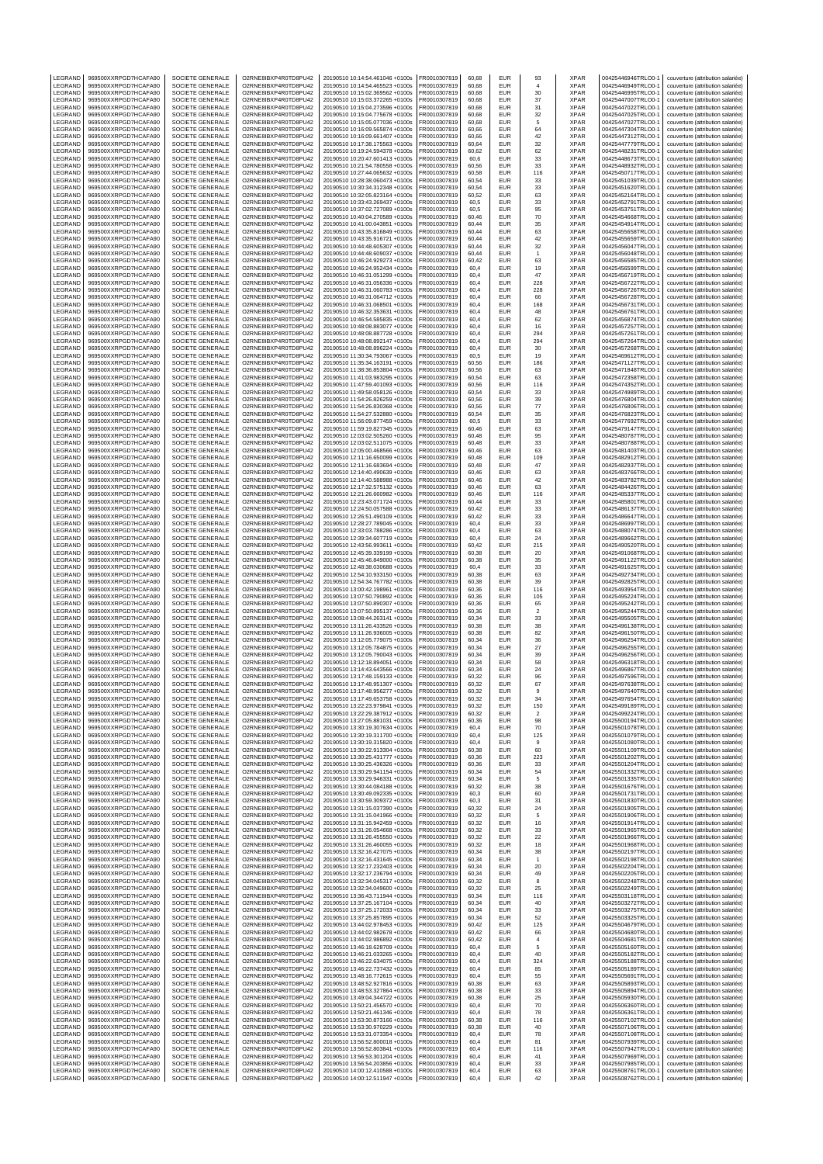| LEGRAND                  | 969500XXRPGD7HCAFA90                         | SOCIETE GENERALE                            | O2RNE8IBXP4R0TD8PU42                         | 20190510 10:14:54.461046 +0100s                                    | FR0010307819                 | 60,68          | EUR                      | 93                    | <b>XPAR</b>                | 00425446946TRLO0-                        | couverture (attribution salariée)                                      |
|--------------------------|----------------------------------------------|---------------------------------------------|----------------------------------------------|--------------------------------------------------------------------|------------------------------|----------------|--------------------------|-----------------------|----------------------------|------------------------------------------|------------------------------------------------------------------------|
| LEGRAND                  | 969500XXRPGD7HCAFA90                         | <b>SOCIETE GENERALE</b>                     | O2RNE8IBXP4R0TD8PU42                         | 20190510 10:14:54.465523 +0100s                                    | FR0010307819                 | 60.68          | <b>EUR</b>               | 4                     | <b>XPAR</b>                | 00425446949TRLO0-1                       | couverture (attribution salariée)                                      |
| LEGRAND<br>LEGRAND       | 969500XXRPGD7HCAFA90<br>969500XXRPGD7HCAFA90 | SOCIETE GENERALE<br>SOCIETE GENERALE        | O2RNE8IBXP4R0TD8PU42<br>O2RNE8IBXP4R0TD8PU42 | 20190510 10:15:02.369562 +0100s<br>20190510 10:15:03.372265 +0100s | FR0010307819<br>FR0010307819 | 60,68<br>60.68 | EUR<br><b>EUR</b>        | 30<br>37              | <b>XPAR</b><br><b>XPAR</b> | 00425446995TRLO0-1<br>00425447007TRLO0-  | couverture (attribution salariée)<br>couverture (attribution salariée) |
| LEGRAND                  | 969500XXRPGD7HCAFA90                         | SOCIETE GENERALE                            | O2RNE8IBXP4R0TD8PU42                         | 20190510 10:15:04.273596 +0100s                                    | FR0010307819                 | 60,68          | EUR                      | 31                    | <b>XPAR</b>                | 00425447022TRLO0-                        | couverture (attribution salariée)                                      |
| LEGRAND                  | 969500XXRPGD7HCAFA90                         | SOCIETE GENERALE                            | O2RNE8IBXP4R0TD8PU42                         | 20190510 10:15:04.775678 +0100s                                    | FR0010307819                 | 60,68          | <b>EUR</b>               | 32                    | <b>XPAR</b>                | 00425447025TRLO0-                        | couverture (attribution salariée)                                      |
| LEGRAND                  | 969500XXRPGD7HCAFA90                         | SOCIETE GENERALE                            | O2RNE8IBXP4R0TD8PU42                         | 20190510 10:15:05.077036 +0100s                                    | FR0010307819                 | 60,68          | EUR<br><b>EUR</b>        | 5                     | <b>XPAR</b><br><b>XPAR</b> | 00425447027TRLO0-1                       | couverture (attribution salariée)                                      |
| LEGRAND<br>LEGRAND       | 969500XXRPGD7HCAFA90<br>969500XXRPGD7HCAFA90 | SOCIETE GENERALE<br>SOCIETE GENERALE        | O2RNE8IBXP4R0TD8PU42<br>O2RNE8IBXP4R0TD8PU42 | 20190510 10:16:09.565874 +0100s<br>20190510 10:16:09.661407 +0100s | FR0010307819<br>FR0010307819 | 60,66<br>60,66 | EUR                      | 64<br>42              | <b>XPAR</b>                | 00425447304TRLO0-<br>00425447312TRLO0-   | couverture (attribution salariée)<br>couverture (attribution salariée) |
| LEGRAND                  | 969500XXRPGD7HCAFA90                         | SOCIETE GENERALE                            | O2RNE8IBXP4R0TD8PU42                         | 20190510 10:17:38.175563 +0100s                                    | FR0010307819                 | 60,64          | <b>EUR</b>               | 32                    | <b>XPAR</b>                | 00425447779TRLO0-                        | couverture (attribution salariée)                                      |
| LEGRAND                  | 969500XXRPGD7HCAFA90                         | SOCIETE GENERALE                            | O2RNE8IBXP4R0TD8PU42                         | 20190510 10:19:24.594378 +0100s                                    | FR0010307819                 | 60,62          | <b>EUR</b>               | 62                    | <b>XPAR</b>                | 00425448231TRLO0-1                       | couverture (attribution salariée)                                      |
| LEGRAND<br><b>FGRAND</b> | 969500XXRPGD7HCAFA90                         | SOCIETE GENERALE                            | O2RNE8IBXP4R0TD8PU42                         | 20190510 10:20:47.601413 +0100s                                    | FR0010307819<br>FR0010307819 | 60,6           | <b>EUR</b>               | 33                    | <b>XPAR</b>                | 00425448673TRLO0-                        | couverture (attribution salariée)                                      |
| LEGRAND                  | 969500XXRPGD7HCAFA90<br>969500XXRPGD7HCAFA90 | SOCIETE GENERALE<br>SOCIETE GENERALE        | O2RNE8IBXP4R0TD8PU42<br>O2RNE8IBXP4R0TD8PU42 | 20190510 10:21:54.780558 +0100s<br>20190510 10:27:44.065632 +0100s | FR0010307819                 | 60,56<br>60,58 | EUR<br><b>EUR</b>        | 33<br>116             | <b>XPAR</b><br><b>XPAR</b> | 00425448932TRLO0-<br>00425450717TRLO0-   | couverture (attribution salariée)<br>couverture (attribution salariée) |
| LEGRAND                  | 969500XXRPGD7HCAFA90                         | SOCIETE GENERALE                            | O2RNE8IBXP4R0TD8PU42                         | 20190510 10:28:38.060473 +0100s                                    | FR0010307819                 | 60,54          | EUR                      | 33                    | <b>XPAR</b>                | 00425451039TRLO0-1                       | couverture (attribution salariée)                                      |
| LEGRAND                  | 969500XXRPGD7HCAFA90                         | SOCIETE GENERALE                            | O2RNE8IBXP4R0TD8PU42                         | 20190510 10:30:34.312348 +0100s                                    | FR0010307819                 | 60,54          | EUR                      | 33                    | <b>XPAR</b>                | 00425451620TRLO0-                        | couverture (attribution salariée)                                      |
| LEGRAND                  | 969500XXRPGD7HCAFA90                         | <b>SOCIETE GENERALE</b>                     | O2RNE8IBXP4R0TD8PU42                         | 20190510 10:32:05.823164 +0100s                                    | FR0010307819                 | 60.52          | <b>EUR</b>               | 63                    | <b>XPAR</b>                | 00425452164TRLO0-                        | couverture (attribution salariée)                                      |
| LEGRAND<br>LEGRAND       | 969500XXRPGD7HCAFA90<br>969500XXRPGD7HCAFA90 | SOCIETE GENERALE<br><b>SOCIETE GENERALE</b> | O2RNE8IBXP4R0TD8PU42<br>O2RNE8IBXP4R0TD8PU42 | 20190510 10:33:43.269437 +0100s<br>20190510 10:37:02.727089 +0100s | FR0010307819<br>FR0010307819 | 60,5<br>60.5   | <b>EUR</b><br><b>EUR</b> | 33<br>95              | <b>XPAR</b><br><b>XPAR</b> | 00425452791TRLO0-<br>00425453751TRLO0-1  | couverture (attribution salariée)<br>couverture (attribution salariée) |
| LEGRAND                  | 969500XXRPGD7HCAFA90                         | SOCIETE GENERALE                            | O2RNE8IBXP4R0TD8PU42                         | 20190510 10:40:04.270589 +0100s                                    | FR0010307819                 | 60,46          | EUR                      | 70                    | <b>XPAR</b>                | 00425454668TRLO0-                        | couverture (attribution salariée)                                      |
| LEGRAND                  | 969500XXRPGD7HCAFA90                         | <b>SOCIETE GENERALE</b>                     | O2RNE8IBXP4R0TD8PU42                         | 20190510 10:41:00.043851 +0100s                                    | FR0010307819                 | 60.44          | <b>EUR</b>               | 35                    | <b>XPAR</b>                | 00425454914TRLO0-1                       | couverture (attribution salariée)                                      |
| LEGRAND                  | 969500XXRPGD7HCAFA90                         | SOCIETE GENERALE                            | O2RNE8IBXP4R0TD8PU42                         | 20190510 10:43:35.816849 +0100s                                    | FR0010307819                 | 60,44          | <b>EUR</b>               | 63                    | <b>XPAR</b>                | 00425455658TRLO0-                        | couverture (attribution salariée)                                      |
| LEGRAND                  | 969500XXRPGD7HCAFA90                         | <b>SOCIETE GENERALE</b>                     | O2RNE8IBXP4R0TD8PU42                         | 20190510 10:43:35.916721 +0100s                                    | FR0010307819                 | 60.44          | <b>EUR</b>               | 42                    | <b>XPAR</b>                | 00425455659TRLO0-<br>00425456047TRLO0-   | couverture (attribution salariée)                                      |
| LEGRAND<br>LEGRAND       | 969500XXRPGD7HCAFA90<br>969500XXRPGD7HCAFA90 | SOCIETE GENERALE<br><b>SOCIETE GENERALE</b> | O2RNE8IBXP4R0TD8PU42<br>O2RNE8IBXP4R0TD8PU42 | 20190510 10:44:48.605307 +0100s<br>20190510 10:44:48.609037 +0100s | FR0010307819<br>FR0010307819 | 60,44<br>60.44 | EUR<br><b>EUR</b>        | 32<br>$\overline{1}$  | <b>XPAR</b><br><b>XPAR</b> | 00425456048TRLO0-                        | couverture (attribution salariée)<br>couverture (attribution salariée) |
| LEGRAND                  | 969500XXRPGD7HCAFA90                         | SOCIETE GENERALE                            | O2RNE8IBXP4R0TD8PU42                         | 20190510 10:46:24.929273 +0100s                                    | FR0010307819                 | 60,42          | <b>EUR</b>               | 63                    | <b>XPAR</b>                | 00425456585TRLO0-                        | couverture (attribution salariée)                                      |
| LEGRAND                  | 969500XXRPGD7HCAFA90                         | SOCIETE GENERALE                            | O2RNE8IBXP4R0TD8PU42                         | 20190510 10:46:24.952434 +0100s                                    | FR0010307819                 | 60,4           | <b>EUR</b>               | 19                    | <b>XPAR</b>                | 00425456599TRLO0-                        | couverture (attribution salariée)                                      |
| LEGRAND                  | 969500XXRPGD7HCAFA90                         | SOCIETE GENERALE                            | O2RNE8IBXP4R0TD8PU42                         | 20190510 10:46:31.051299 +0100s                                    | FR0010307819                 | 60,4           | <b>EUR</b>               | 47                    | <b>XPAR</b>                | 00425456719TRLO0-1                       | couverture (attribution salariée)                                      |
| LEGRAND<br>LEGRAND       | 969500XXRPGD7HCAFA90<br>969500XXRPGD7HCAFA90 | SOCIETE GENERALE<br>SOCIETE GENERALE        | O2RNE8IBXP4R0TD8PU42<br>O2RNE8IBXP4R0TD8PU42 | 20190510 10:46:31.056336 +0100s<br>20190510 10:46:31.060783 +0100s | FR0010307819<br>FR0010307819 | 60,4<br>60,4   | <b>EUR</b><br>EUR        | 228<br>228            | <b>XPAR</b><br><b>XPAR</b> | 00425456722TRLO0-<br>00425456726TRLO0-   | couverture (attribution salariée)<br>couverture (attribution salariée) |
| LEGRAND                  | 969500XXRPGD7HCAFA90                         | SOCIETE GENERALE                            | O2RNE8IBXP4R0TD8PU42                         | 20190510 10:46:31.064712 +0100s                                    | FR0010307819                 | 60,4           | <b>EUR</b>               | 66                    | <b>XPAR</b>                | 00425456728TRLO0-                        | couverture (attribution salariée)                                      |
| LEGRAND                  | 969500XXRPGD7HCAFA90                         | SOCIETE GENERALE                            | O2RNE8IBXP4R0TD8PU42                         | 20190510 10:46:31.068501 +0100s                                    | FR0010307819                 | 60,4           | EUR                      | 168                   | <b>XPAR</b>                | 00425456731TRLO0-1                       | couverture (attribution salariée)                                      |
| LEGRAND                  | 969500XXRPGD7HCAFA90                         | SOCIETE GENERALE                            | O2RNE8IBXP4R0TD8PU42                         | 20190510 10:46:32.353631 +0100s                                    | FR0010307819                 | 60,4           | <b>EUR</b>               | 48                    | <b>XPAR</b>                | 00425456761TRLO0-                        | couverture (attribution salariée)                                      |
| LEGRAND<br>LEGRAND       | 969500XXRPGD7HCAFA90<br>969500XXRPGD7HCAFA90 | SOCIETE GENERALE<br>SOCIETE GENERALE        | O2RNE8IBXP4R0TD8PU42<br>O2RNE8IBXP4R0TD8PU42 | 20190510 10:46:54.585835 +0100s<br>20190510 10:48:08.883077 +0100s | FR0010307819<br>FR0010307819 | 60,4<br>60,4   | EUR<br><b>EUR</b>        | 62<br>16              | <b>XPAR</b><br><b>XPAR</b> | 00425456874TRLO0-<br>00425457257TRLO0-   | couverture (attribution salariée)<br>couverture (attribution salariée) |
| LEGRAND                  | 969500XXRPGD7HCAFA90                         | SOCIETE GENERALE                            | O2RNE8IBXP4R0TD8PU42                         | 20190510 10:48:08.887728 +0100s                                    | FR0010307819                 | 60,4           | <b>EUR</b>               | 294                   | <b>XPAR</b>                | 00425457261TRLO0-                        | couverture (attribution salariée)                                      |
| LEGRAND                  | 969500XXRPGD7HCAFA90                         | SOCIETE GENERALE                            | O2RNE8IBXP4R0TD8PU42                         | 20190510 10:48:08.892147 +0100s                                    | FR0010307819                 | 60,4           | <b>EUR</b>               | 294                   | <b>XPAR</b>                | 00425457264TRLO0-                        | couverture (attribution salariée)                                      |
| LEGRAND                  | 969500XXRPGD7HCAFA90                         | SOCIETE GENERALE                            | O2RNE8IBXP4R0TD8PU42                         | 20190510 10:48:08.896224 +0100s                                    | FR0010307819                 | 60,4           | EUR                      | 30                    | <b>XPAR</b>                | 00425457268TRLO0-                        | couverture (attribution salariée)                                      |
| LEGRAND<br>LEGRAND       | 969500XXRPGD7HCAFA90<br>969500XXRPGD7HCAFA90 | SOCIETE GENERALE<br><b>SOCIETE GENERALE</b> | O2RNE8IBXP4R0TD8PU42<br>O2RNE8IBXP4R0TD8PU42 | 20190510 11:30:34.793067 +0100s<br>20190510 11:35:34.163191 +0100s | FR0010307819<br>FR0010307819 | 60,5<br>60.56  | <b>EUR</b><br><b>EUR</b> | 19<br>186             | <b>XPAR</b><br><b>XPAR</b> | 00425469612TRLO0-<br>00425471127TRLO0-   | couverture (attribution salariée)<br>couverture (attribution salariée) |
| LEGRAND                  | 969500XXRPGD7HCAFA90                         | SOCIETE GENERALE                            | O2RNE8IBXP4R0TD8PU42                         | 20190510 11:38:36.853804 +0100s                                    | FR0010307819                 | 60,56          | EUR                      | 63                    | <b>XPAR</b>                | 00425471848TRLO0-                        | couverture (attribution salariée)                                      |
| LEGRAND                  | 969500XXRPGD7HCAFA90                         | <b>SOCIETE GENERALE</b>                     | O2RNE8IBXP4R0TD8PU42                         | 20190510 11:41:03.983295 +0100s                                    | FR0010307819                 | 60.54          | <b>EUR</b>               | 63                    | <b>XPAR</b>                | 00425472358TRLO0-                        | couverture (attribution salariée)                                      |
| LEGRAND                  | 969500XXRPGD7HCAFA90                         | SOCIETE GENERALE                            | O2RNE8IBXP4R0TD8PU42                         | 20190510 11:47:59.401093 +0100s                                    | FR0010307819                 | 60,56          | <b>EUR</b>               | 116                   | <b>XPAR</b>                | 00425474352TRLO0-                        | couverture (attribution salariée)                                      |
| LEGRAND                  | 969500XXRPGD7HCAFA90                         | <b>SOCIETE GENERALE</b><br>SOCIETE GENERALE | O2RNE8IBXP4R0TD8PU42                         | 20190510 11:49:58.058126 +0100s                                    | FR0010307819                 | 60.54          | <b>EUR</b>               | 33                    | <b>XPAR</b>                | 00425474989TRLO0-                        | couverture (attribution salariée)                                      |
| LEGRAND<br>LEGRAND       | 969500XXRPGD7HCAFA90<br>969500XXRPGD7HCAFA90 | SOCIETE GENERALE                            | O2RNE8IBXP4R0TD8PU42<br>O2RNE8IBXP4R0TD8PU42 | 20190510 11:54:26.826259 +0100s<br>20190510 11:54:26.830368 +0100s | FR0010307819<br>FR0010307819 | 60,56<br>60.56 | EUR<br><b>EUR</b>        | 39<br>77              | <b>XPAR</b><br><b>XPAR</b> | 00425476804TRLO0-<br>00425476806TRLO0-   | couverture (attribution salariée)<br>couverture (attribution salariée) |
| LEGRAND                  | 969500XXRPGD7HCAFA90                         | SOCIETE GENERALE                            | O2RNE8IBXP4R0TD8PU42                         | 20190510 11:54:27.532880 +0100s                                    | FR0010307819                 | 60,54          | <b>EUR</b>               | 35                    | <b>XPAR</b>                | 00425476823TRLO0-                        | couverture (attribution salariée)                                      |
| LEGRAND                  | 969500XXRPGD7HCAFA90                         | <b>SOCIETE GENERALE</b>                     | O2RNE8IBXP4R0TD8PU42                         | 20190510 11:56:09.877459 +0100s                                    | FR0010307819                 | 60.5           | <b>EUR</b>               | 33                    | <b>XPAR</b>                | 00425477692TRLO0-                        | couverture (attribution salariée)                                      |
| LEGRAND                  | 969500XXRPGD7HCAFA90                         | SOCIETE GENERALE                            | O2RNE8IBXP4R0TD8PU42                         | 20190510 11:59:19.827345 +0100s                                    | FR0010307819                 | 60,46          | EUR                      | 63                    | <b>XPAR</b>                | 00425479147TRLO0-                        | couverture (attribution salariée)                                      |
| LEGRAND<br>LEGRAND       | 969500XXRPGD7HCAFA90<br>969500XXRPGD7HCAFA90 | SOCIETE GENERALE<br><b>SOCIETE GENERALE</b> | O2RNE8IBXP4R0TD8PU42<br>O2RNE8IBXP4R0TD8PU42 | 20190510 12:03:02.505260 +0100s<br>20190510 12:03:02.511075 +0100s | FR0010307819<br>FR0010307819 | 60.48<br>60,48 | <b>EUR</b><br><b>EUR</b> | 95<br>33              | <b>XPAR</b><br><b>XPAR</b> | 00425480787TRLO0-<br>00425480788TRLO0-   | couverture (attribution salariée)<br>couverture (attribution salariée) |
| LEGRAND                  | 969500XXRPGD7HCAFA90                         | SOCIETE GENERALE                            | O2RNE8IBXP4R0TD8PU42                         | 20190510 12:05:00.468566 +0100s                                    | FR0010307819                 | 60,46          | <b>EUR</b>               | 63                    | <b>XPAR</b>                | 00425481403TRLO0-                        | couverture (attribution salariée)                                      |
| LEGRAND                  | 969500XXRPGD7HCAFA90                         | SOCIETE GENERALE                            | O2RNE8IBXP4R0TD8PU42                         | 20190510 12:11:16.650099 +0100s                                    | FR0010307819                 | 60,48          | <b>EUR</b>               | 109                   | <b>XPAR</b>                | 00425482912TRLO0-1                       | couverture (attribution salariée)                                      |
| LEGRAND                  | 969500XXRPGD7HCAFA90                         | SOCIETE GENERALE                            | O2RNE8IBXP4R0TD8PU42                         | 20190510 12:11:16.683694 +0100s                                    | FR0010307819                 | 60,48          | <b>EUR</b>               | 47                    | <b>XPAR</b>                | 00425482937TRLO0-                        | couverture (attribution salariée)                                      |
| LEGRAND                  | 969500XXRPGD7HCAFA90                         | SOCIETE GENERALE                            | O2RNE8IBXP4R0TD8PU42                         | 20190510 12:14:40.490639 +0100s                                    | FR0010307819                 | 60,46          | EUR                      | 63                    | <b>XPAR</b><br><b>XPAR</b> | 00425483766TRLO0-                        | couverture (attribution salariée)                                      |
| LEGRAND<br>LEGRAND       | 969500XXRPGD7HCAFA90<br>969500XXRPGD7HCAFA90 | SOCIETE GENERALE<br>SOCIETE GENERALE        | O2RNE8IBXP4R0TD8PU42<br>O2RNE8IBXP4R0TD8PU42 | 20190510 12:14:40.588988 +0100s<br>20190510 12:17:32.575132 +0100s | FR0010307819<br>FR0010307819 | 60,46<br>60,46 | <b>EUR</b><br>EUR        | 42<br>63              | <b>XPAR</b>                | 00425483782TRLO0-<br>00425484426TRLO0-1  | couverture (attribution salariée)<br>couverture (attribution salariée) |
| LEGRAND                  | 969500XXRPGD7HCAFA90                         | SOCIETE GENERALE                            | O2RNE8IBXP4R0TD8PU42                         | 20190510 12:21:26.660982 +0100s                                    | FR0010307819                 | 60,46          | <b>EUR</b>               | 116                   | <b>XPAR</b>                | 00425485337TRLO0-                        | couverture (attribution salariée)                                      |
| LEGRAND                  | 969500XXRPGD7HCAFA90                         | SOCIETE GENERALE                            | O2RNE8IBXP4R0TD8PU42                         | 20190510 12:23:43.071724 +0100s                                    | FR0010307819                 | 60,44          | EUR                      | 33                    | <b>XPAR</b>                | 00425485801TRLO0-                        | couverture (attribution salariée)                                      |
| LEGRAND                  | 969500XXRPGD7HCAFA90                         | SOCIETE GENERALE                            | O2RNE8IBXP4R0TD8PU42                         | 20190510 12:24:50.057588 +0100s                                    | FR0010307819                 | 60,42          | <b>EUR</b>               | 33                    | <b>XPAR</b>                | 00425486137TRLO0-                        | couverture (attribution salariée)                                      |
| LEGRAND<br>LEGRAND       | 969500XXRPGD7HCAFA90<br>969500XXRPGD7HCAFA90 | SOCIETE GENERALE<br>SOCIETE GENERALE        | O2RNE8IBXP4R0TD8PU42<br>O2RNE8IBXP4R0TD8PU42 | 20190510 12:26:51.490109 +0100s<br>20190510 12:28:27.789045 +0100s | FR0010307819<br>FR0010307819 | 60,42<br>60,4  | <b>EUR</b><br><b>EUR</b> | 33<br>33              | <b>XPAR</b><br><b>XPAR</b> | 00425486647TRLO0-<br>00425486997TRLO0-   | couverture (attribution salariée)<br>couverture (attribution salariée) |
| LEGRAND                  | 969500XXRPGD7HCAFA90                         | SOCIETE GENERALE                            | O2RNE8IBXP4R0TD8PU42                         | 20190510 12:33:03.788286 +0100s                                    | FR0010307819                 | 60,4           | EUR                      | 63                    | <b>XPAR</b>                | 00425488074TRLO0-                        | couverture (attribution salariée)                                      |
| LEGRAND                  | 969500XXRPGD7HCAFA90                         | SOCIETE GENERALE                            | O2RNE8IBXP4R0TD8PU42                         | 20190510 12:39:34.607719 +0100s                                    | FR0010307819                 | 60,4           | <b>EUR</b>               | 24                    | <b>XPAR</b>                | 00425489662TRLO0-                        | couverture (attribution salariée)                                      |
| LEGRAND                  | 969500XXRPGD7HCAFA90                         | <b>SOCIETE GENERALE</b>                     | O2RNE8IBXP4R0TD8PU42                         | 20190510 12:43:56.993611 +0100s                                    | FR0010307819                 | 60.42          | <b>EUR</b>               | 215                   | <b>XPAR</b>                | 00425490520TRLO0-                        | couverture (attribution salariée)                                      |
| LEGRAND<br>LEGRAND       | 969500XXRPGD7HCAFA90<br>969500XXRPGD7HCAFA90 | SOCIETE GENERALE<br><b>SOCIETE GENERALE</b> | O2RNE8IBXP4R0TD8PU42<br>O2RNE8IBXP4R0TD8PU42 | 20190510 12:45:39.339199 +0100s<br>20190510 12:45:46.849000 +0100s | FR0010307819<br>FR0010307819 | 60,38<br>60.38 | EUR<br><b>EUR</b>        | 20<br>35              | <b>XPAR</b><br><b>XPAR</b> | 00425491068TRLO0-<br>00425491122TRLO0-   | couverture (attribution salariée)<br>couverture (attribution salariée) |
| LEGRAND                  | 969500XXRPGD7HCAFA90                         | SOCIETE GENERALE                            | O2RNE8IBXP4R0TD8PU42                         | 20190510 12:48:38.030688 +0100s                                    | FR0010307819                 | 60,4           | <b>EUR</b>               | 33                    | <b>XPAR</b>                | 00425491625TRLO0-                        | couverture (attribution salariée)                                      |
| LEGRAND                  | 969500XXRPGD7HCAFA90                         | <b>SOCIETE GENERALE</b>                     | O2RNE8IBXP4R0TD8PU42                         | 20190510 12:54:10.933150 +0100s                                    | FR0010307819                 | 60.38          | <b>EUR</b>               | 63                    | <b>XPAR</b>                | 00425492734TRLO0-                        | couverture (attribution salariée)                                      |
| LEGRAND                  | 969500XXRPGD7HCAFA90                         | SOCIETE GENERALE                            | O2RNE8IBXP4R0TD8PU42                         | 20190510 12:54:34.767782 +0100s                                    | FR0010307819                 | 60,38          | EUR                      | 39                    | <b>XPAR</b>                | 00425492825TRLO0-                        | couverture (attribution salariée)                                      |
| LEGRAND<br>LEGRAND       | 969500XXRPGD7HCAFA90<br>969500XXRPGD7HCAFA90 | <b>SOCIETE GENERALE</b><br>SOCIETE GENERALE | O2RNE8IBXP4R0TD8PU42<br>O2RNE8IBXP4R0TD8PU42 | 20190510 13:00:42.198961 +0100s<br>20190510 13:07:50.790892 +0100s | FR0010307819<br>FR0010307819 | 60.36<br>60,36 | <b>EUR</b><br><b>EUR</b> | 116<br>105            | <b>XPAR</b><br><b>XPAR</b> | 00425493954TRLO0-<br>00425495224TRLO0-   | couverture (attribution salariée)<br>couverture (attribution salariée) |
| LEGRAND                  | 969500XXRPGD7HCAFA90                         | <b>SOCIETE GENERALE</b>                     | O2RNE8IBXP4R0TD8PU42                         | 20190510 13:07:50.890307 +0100s                                    | FR0010307819                 | 60.36          | <b>EUR</b>               | 65                    | <b>XPAR</b>                | 00425495242TRLO0-                        | couverture (attribution salariée)                                      |
| LEGRAND                  | 969500XXRPGD7HCAFA90                         | SOCIETE GENERALE                            | O2RNE8IBXP4R0TD8PU42                         | 20190510 13:07:50.895137 +0100s                                    | FR0010307819                 | 60,36          | <b>EUR</b>               | $\sqrt{2}$            | <b>XPAR</b>                | 00425495244TRLO0-1                       | couverture (attribution salariée)                                      |
| LEGRAND                  | 969500XXRPGD7HCAFA90                         | SOCIETE GENERALE                            | O2RNE8IBXP4R0TD8PU42                         | 20190510 13:08:44.263141 +0100s                                    | FR0010307819                 | 60.34          | <b>EUR</b>               | 33                    | <b>XPAR</b>                | 00425495505TRLO0-                        | couverture (attribution salariée)                                      |
| LEGRAND                  | 969500XXRPGD7HCAFA90<br>969500XXRPGD7HCAFA90 | SOCIETE GENERALE<br><b>SOCIETE GENERALE</b> | O2RNE8IBXP4R0TD8PU42                         | 20190510 13:11:26.433526 +0100s                                    | FR0010307819                 | 60,38          | EUR<br><b>EUR</b>        | 38                    | <b>XPAR</b><br><b>XPAR</b> | 00425496138TRLO0-                        | couverture (attribution salariée)                                      |
| LEGRAND<br>LEGRAND       | 969500XXRPGD7HCAFA90                         | SOCIETE GENERALE                            | O2RNE8IBXP4R0TD8PU42<br>O2RNE8IBXP4R0TD8PU42 | 20190510 13:11:26.936005 +0100s<br>20190510 13:12:05.779075 +0100s | FR0010307819<br>FR0010307819 | 60,38<br>60,34 | <b>EUR</b>               | 82<br>36              | <b>XPAR</b>                | 00425496150TRLO0-<br>00425496254TRLO0-1  | couverture (attribution salariée)<br>couverture (attribution salariée) |
| LEGRAND                  | 969500XXRPGD7HCAFA90                         | SOCIETE GENERALE                            | O2RNE8IBXP4R0TD8PU42                         | 20190510 13:12:05.784875 +0100s                                    | FR0010307819                 | 60,34          | <b>EUR</b>               | 27                    | <b>XPAR</b>                | 00425496255TRLO0-                        | couverture (attribution salariée)                                      |
| LEGRAND                  | 969500XXRPGD7HCAFA90                         | SOCIETE GENERALE                            | O2RNE8IBXP4R0TD8PU42                         | 20190510 13:12:05.790043 +0100s                                    | FR0010307819                 | 60,34          | <b>EUR</b>               | 39                    | <b>XPAR</b>                | 00425496256TRLO0-                        | couverture (attribution salariée)                                      |
| LEGRAND                  | 969500XXRPGD7HCAFA90                         | SOCIETE GENERALE                            | O2RNE8IBXP4R0TD8PU42                         | 20190510 13:12:18.894051 +0100s                                    | FR0010307819                 | 60.34          | <b>EUR</b>               | 58                    | <b>XPAR</b>                | 00425496318TRLO0-                        | couverture (attribution salariée)                                      |
| LEGRAND<br>LEGRAND       | 969500XXRPGD7HCAFA90<br>969500XXRPGD7HCAFA90 | SOCIETE GENERALE<br>SOCIETE GENERALE        | O2RNE8IBXP4R0TD8PU42<br>O2RNE8IBXP4R0TD8PU42 | 20190510 13:14:43.643566 +0100s<br>20190510 13:17:48.159133 +0100s | FR0010307819<br>FR0010307819 | 60,34<br>60.32 | EUR<br><b>EUR</b>        | 24<br>96              | <b>XPAR</b><br><b>XPAR</b> | 00425496867TRLO0-1<br>00425497596TRLO0-  | couverture (attribution salariée)<br>couverture (attribution salariée) |
| <b>IFGRAND</b>           | 969500XXRPGD7HCAFA90                         | SOCIETE GENERALE                            | O2RNE8IBXP4R0TD8PU42                         | 20190510 13:17:48.951307 +0100s                                    | FR0010307819                 | 60,32          | <b>EUR</b>               | 67                    | <b>XPAR</b>                | 00425497638TRLO0-1                       | couverture (attribution salariée)                                      |
| LEGRAND                  | 969500XXRPGD7HCAFA90                         | SOCIETE GENERALE                            | O2RNE8IBXP4R0TD8PU42                         | 20190510 13:17:48.956277 +0100s                                    | FR0010307819                 | 60,32          | EUR                      | $\mathbf{Q}$          | XPAR                       | 00425497640TRLO0-1                       | couverture (attribution salariée)                                      |
| LEGRAND                  | 969500XXRPGD7HCAFA90                         | SOCIETE GENERALE                            | O2RNE8IBXP4R0TD8PU42                         | 20190510 13:17:49.653758 +0100s                                    | FR0010307819                 | 60.32          | EUR                      | 34                    | <b>XPAR</b>                | 00425497654TRLO0-1                       | couverture (attribution salariée)                                      |
| LEGRAND<br>LEGRAND       | 969500XXRPGD7HCAFA90<br>969500XXRPGD7HCAFA90 | SOCIETE GENERALE<br>SOCIETE GENERALE        | O2RNE8IBXP4R0TD8PU42<br>O2RNE8IBXP4R0TD8PU42 | 20190510 13:22:23.979841 +0100s<br>20190510 13:22:29.387912 +0100s | FR0010307819<br>FR0010307819 | 60,32<br>60.32 | <b>EUR</b><br><b>EUR</b> | 150<br>$\overline{2}$ | <b>XPAR</b><br><b>XPAR</b> | 00425499189TRLO0-1<br>00425499224TRLO0-1 | couverture (attribution salariée)<br>couverture (attribution salariée) |
| LEGRAND                  | 969500XXRPGD7HCAFA90                         | SOCIETE GENERALE                            | O2RNE8IBXP4R0TD8PU42                         | 20190510 13:27:05.881031 +0100s                                    | FR0010307819                 | 60,36          | EUR                      | 98                    | <b>XPAR</b>                | 00425500194TRLO0-1                       | couverture (attribution salariée)                                      |
| LEGRAND                  | 969500XXRPGD7HCAFA90                         | SOCIETE GENERALE                            | O2RNE8IBXP4R0TD8PU42                         | 20190510 13:30:19.307634 +0100s                                    | FR0010307819                 | 60.4           | <b>EUR</b>               | 70                    | <b>XPAR</b>                | 00425501078TRLO0-1                       | couverture (attribution salariée)                                      |
| LEGRAND                  | 969500XXRPGD7HCAFA90                         | SOCIETE GENERALE                            | O2RNE8IBXP4R0TD8PU42                         | 20190510 13:30:19.311700 +0100s                                    | FR0010307819                 | 60,4           | EUR                      | 125                   | <b>XPAR</b>                | 00425501079TRLO0-1                       | couverture (attribution salariée)                                      |
| LEGRAND                  | 969500XXRPGD7HCAFA90                         | SOCIETE GENERALE                            | O2RNE8IBXP4R0TD8PU42                         | 20190510 13:30:19.315820 +0100s                                    | FR0010307819                 | 60.4           | <b>EUR</b>               | 9                     | <b>XPAR</b>                | 00425501080TRLO0-                        | couverture (attribution salariée)                                      |
| LEGRAND<br>LEGRAND       | 969500XXRPGD7HCAFA90<br>969500XXRPGD7HCAFA90 | SOCIETE GENERALE<br>SOCIETE GENERALE        | O2RNE8IBXP4R0TD8PU42<br>O2RNE8IBXP4R0TD8PU42 | 20190510 13:30:22.913304 +0100s<br>20190510 13:30:25.431777 +0100s | FR0010307819<br>FR0010307819 | 60,38<br>60.36 | EUR<br><b>EUR</b>        | 60<br>223             | <b>XPAR</b><br><b>XPAR</b> | 00425501109TRLO0-1<br>00425501202TRLO0-1 | couverture (attribution salariée)<br>couverture (attribution salariée) |
| LEGRAND                  | 969500XXRPGD7HCAFA90                         | SOCIETE GENERALE                            | O2RNE8IBXP4R0TD8PU42                         | 20190510 13:30:25.436326 +0100s                                    | FR0010307819                 | 60,36          | EUR                      | 33                    | <b>XPAR</b>                | 00425501204TRLO0-1                       | couverture (attribution salariée)                                      |
| LEGRAND                  | 969500XXRPGD7HCAFA90                         | SOCIETE GENERALE                            | O2RNE8IBXP4R0TD8PU42                         | 20190510 13:30:29.941154 +0100s                                    | FR0010307819                 | 60.34          | EUR                      | 54                    | <b>XPAR</b>                | 00425501332TRLO0-                        | couverture (attribution salariée)                                      |
| LEGRAND<br>LEGRAND       | 969500XXRPGD7HCAFA90<br>969500XXRPGD7HCAFA90 | SOCIETE GENERALE<br>SOCIETE GENERALE        | O2RNE8IBXP4R0TD8PU42<br>O2RNE8IBXP4R0TD8PU42 | 20190510 13:30:29.946331 +0100s<br>20190510 13:30:44.084188 +0100s | FR0010307819<br>FR0010307819 | 60,34<br>60.32 | EUR<br><b>EUR</b>        | 5<br>38               | <b>XPAR</b><br><b>XPAR</b> | 00425501335TRLO0-1<br>00425501676TRLO0-  | couverture (attribution salariée)<br>couverture (attribution salariée) |
| LEGRAND                  | 969500XXRPGD7HCAFA90                         | SOCIETE GENERALE                            | O2RNE8IBXP4R0TD8PU42                         | 20190510 13:30:49.092335 +0100s                                    | FR0010307819                 | 60,3           | EUR                      | 60                    | <b>XPAR</b>                | 00425501731TRLO0-1                       | couverture (attribution salariée)                                      |
| LEGRAND                  | 969500XXRPGD7HCAFA90                         | SOCIETE GENERALE                            | O2RNE8IBXP4R0TD8PU42                         | 20190510 13:30:59.309372 +0100s                                    | FR0010307819                 | 60,3           | <b>FUR</b>               | 31                    | <b>XPAR</b>                | 00425501830TRLO0-1                       | couverture (attribution salariée)                                      |
| LEGRAND                  | 969500XXRPGD7HCAFA90                         | SOCIETE GENERALE                            | O2RNE8IBXP4R0TD8PU42<br>O2RNE8IBXP4R0TD8PU42 | 20190510 13:31:15.037390 +0100s                                    | FR0010307819<br>FR0010307819 | 60,32          | <b>EUR</b><br><b>EUR</b> | 24                    | <b>XPAR</b><br><b>XPAR</b> | 00425501905TRLO0-1<br>00425501906TRLO0-  | couverture (attribution salariée)                                      |
| LEGRAND<br>LEGRAND       | 969500XXRPGD7HCAFA90<br>969500XXRPGD7HCAFA90 | SOCIETE GENERALE<br>SOCIETE GENERALE        | O2RNE8IBXP4R0TD8PU42                         | 20190510 13:31:15.041966 +0100s<br>20190510 13:31:15.942459 +0100s | FR0010307819                 | 60,32<br>60,32 | <b>EUR</b>               | 5<br>16               | <b>XPAR</b>                | 00425501914TRLO0-1                       | couverture (attribution salariée)<br>couverture (attribution salariée) |
| LEGRAND                  | 969500XXRPGD7HCAFA90                         | SOCIETE GENERALE                            | O2RNE8IBXP4R0TD8PU42                         | 20190510 13:31:26.054668 +0100s                                    | FR0010307819                 | 60,32          | <b>EUR</b>               | 33                    | <b>XPAR</b>                | 00425501965TRLO0-1                       | couverture (attribution salariée)                                      |
| LEGRAND                  | 969500XXRPGD7HCAFA90                         | SOCIETE GENERALE                            | O2RNE8IBXP4R0TD8PU42                         | 20190510 13:31:26.455550 +0100s                                    | FR0010307819                 | 60,32          | <b>EUR</b>               | 22                    | <b>XPAR</b>                | 00425501966TRLO0-1                       | couverture (attribution salariée)                                      |
| LEGRAND<br>LEGRAND       | 969500XXRPGD7HCAFA90<br>969500XXRPGD7HCAFA90 | SOCIETE GENERALE<br>SOCIETE GENERALE        | O2RNE8IBXP4R0TD8PU42<br>O2RNE8IBXP4R0TD8PU42 | 20190510 13:31:26.460055 +0100s<br>20190510 13:32:16.427075 +0100s | FR0010307819<br>FR0010307819 | 60,32<br>60,34 | <b>EUR</b><br><b>EUR</b> | 18<br>38              | <b>XPAR</b><br><b>XPAR</b> | 00425501968TRLO0-<br>00425502197TRLO0-1  | couverture (attribution salariée)<br>couverture (attribution salariée) |
| LEGRAND                  | 969500XXRPGD7HCAFA90                         | SOCIETE GENERALE                            | O2RNE8IBXP4R0TD8PU42                         | 20190510 13:32:16.431645 +0100s                                    | FR0010307819                 | 60.34          | <b>EUR</b>               | $\overline{1}$        | <b>XPAR</b>                | 00425502198TRLO0-                        | couverture (attribution salariée)                                      |
| LEGRAND                  | 969500XXRPGD7HCAFA90                         | SOCIETE GENERALE                            | O2RNE8IBXP4R0TD8PU42                         | 20190510 13:32:17.232403 +0100s                                    | FR0010307819                 | 60,34          | <b>EUR</b>               | 20                    | <b>XPAR</b>                | 00425502204TRLO0-1                       | couverture (attribution salariée)                                      |
| LEGRAND                  | 969500XXRPGD7HCAFA90                         | SOCIETE GENERALE                            | O2RNE8IBXP4R0TD8PU42                         | 20190510 13:32:17.236794 +0100s                                    | FR0010307819                 | 60,34          | <b>EUR</b>               | 49                    | <b>XPAR</b>                | 00425502205TRLO0-1                       | couverture (attribution salariée)                                      |
| LEGRAND<br>LEGRAND       | 969500XXRPGD7HCAFA90<br>969500XXRPGD7HCAFA90 | SOCIETE GENERALE<br>SOCIETE GENERALE        | O2RNE8IBXP4R0TD8PU42<br>O2RNE8IBXP4R0TD8PU42 | 20190510 13:32:34.045317 +0100s<br>20190510 13:32:34.049600 +0100s | FR0010307819<br>FR0010307819 | 60.32<br>60,32 | EUR<br><b>EUR</b>        | 8<br>25               | <b>XPAR</b><br><b>XPAR</b> | 00425502248TRLO0-1<br>00425502249TRLO0-1 | couverture (attribution salariée)<br>couverture (attribution salariée) |
| LEGRAND                  | 969500XXRPGD7HCAFA90                         | SOCIETE GENERALE                            | O2RNE8IBXP4R0TD8PU42                         | 20190510 13:36:43.711944 +0100s                                    | FR0010307819                 | 60.34          | <b>EUR</b>               | 116                   | <b>XPAR</b>                | 00425503118TRLO0-                        | couverture (attribution salariée)                                      |
| LEGRAND                  | 969500XXRPGD7HCAFA90                         | SOCIETE GENERALE                            | O2RNE8IBXP4R0TD8PU42                         | 20190510 13:37:25.167104 +0100s                                    | FR0010307819                 | 60,34          | EUR                      | 40                    | <b>XPAR</b>                | 00425503272TRLO0-1                       | couverture (attribution salariée)                                      |
| LEGRAND                  | 969500XXRPGD7HCAFA90                         | SOCIETE GENERALE                            | O2RNE8IBXP4R0TD8PU42                         | 20190510 13:37:25.172033 +0100s                                    | FR0010307819                 | 60.34          | <b>EUR</b>               | 33                    | <b>XPAR</b>                | 00425503275TRLO0-1                       | couverture (attribution salariée)                                      |
| LEGRAND<br>LEGRAND       | 969500XXRPGD7HCAFA90<br>969500XXRPGD7HCAFA90 | SOCIETE GENERALE<br>SOCIETE GENERALE        | O2RNE8IBXP4R0TD8PU42<br>O2RNE8IBXP4R0TD8PU42 | 20190510 13:37:25.857895 +0100s<br>20190510 13:44:02.978453 +0100s | FR0010307819<br>FR0010307819 | 60,34<br>60,42 | EUR<br>EUR               | 52<br>125             | <b>XPAR</b><br><b>XPAR</b> | 00425503325TRLO0-1<br>00425504679TRLO0-  | couverture (attribution salariée)<br>couverture (attribution salariée) |
| LEGRAND                  | 969500XXRPGD7HCAFA90                         | SOCIETE GENERALE                            | O2RNE8IBXP4R0TD8PU42                         | 20190510 13:44:02.982678 +0100s                                    | FR0010307819                 | 60,42          | EUR                      | 66                    | <b>XPAR</b>                | 00425504680TRLO0-1                       | couverture (attribution salariée)                                      |
| LEGRAND                  | 969500XXRPGD7HCAFA90                         | SOCIETE GENERALE                            | O2RNE8IBXP4R0TD8PU42                         | 20190510 13:44:02.986892 +0100s                                    | FR0010307819                 | 60.42          | <b>EUR</b>               | $\overline{4}$        | <b>XPAR</b>                | 00425504681TRLO0-                        | couverture (attribution salariée)                                      |
| LEGRAND                  | 969500XXRPGD7HCAFA90                         | SOCIETE GENERALE                            | O2RNE8IBXP4R0TD8PU42                         | 20190510 13:46:18.628709 +0100s                                    | FR0010307819                 | 60,4           | <b>EUR</b>               | 5                     | <b>XPAR</b>                | 00425505160TRLO0-1                       | couverture (attribution salariée)                                      |
| LEGRAND<br>LEGRAND       | 969500XXRPGD7HCAFA90<br>969500XXRPGD7HCAFA90 | SOCIETE GENERALE<br>SOCIETE GENERALE        | O2RNE8IBXP4R0TD8PU42<br>O2RNE8IBXP4R0TD8PU42 | 20190510 13:46:21.033265 +0100s<br>20190510 13:46:22.634075 +0100s | FR0010307819<br>FR0010307819 | 60.4<br>60,4   | <b>EUR</b><br>EUR        | 40<br>324             | <b>XPAR</b><br><b>XPAR</b> | 00425505182TRLO0-<br>00425505188TRLO0-1  | couverture (attribution salariée)<br>couverture (attribution salariée) |
| LEGRAND                  | 969500XXRPGD7HCAFA90                         | SOCIETE GENERALE                            | O2RNE8IBXP4R0TD8PU42                         | 20190510 13:46:22.737432 +0100s                                    | FR0010307819                 | 60,4           | <b>EUR</b>               | 85                    | <b>XPAR</b>                | 00425505189TRLO0-                        | couverture (attribution salariée)                                      |
| LEGRAND                  |                                              | SOCIETE GENERALE                            | O2RNE8IBXP4R0TD8PU42                         | 20190510 13:48:16.772615 +0100s                                    | FR0010307819                 | 60,4           | <b>EUR</b>               | 55                    | <b>XPAR</b>                | 00425505691TRLO0-1                       | couverture (attribution salariée)                                      |
| LEGRAND                  | 969500XXRPGD7HCAFA90                         |                                             |                                              | 20190510 13:48:52.927816 +0100s                                    | FR0010307819                 | 60,38          | <b>EUR</b>               | 63                    | <b>XPAR</b>                | 00425505893TRLO0-1                       | couverture (attribution salariée)                                      |
|                          | 969500XXRPGD7HCAFA90                         | SOCIETE GENERALE                            | O2RNE8IBXP4R0TD8PU42                         |                                                                    | FR0010307819                 | 60,38          | <b>EUR</b>               | 33                    | <b>XPAR</b>                | 00425505894TRLO0-1                       | couverture (attribution salariée)                                      |
| LEGRAND                  | 969500XXRPGD7HCAFA90                         | SOCIETE GENERALE                            | O2RNE8IBXP4R0TD8PU42                         | 20190510 13:48:53.327864 +0100s                                    |                              |                |                          |                       |                            |                                          |                                                                        |
| LEGRAND<br>LEGRAND       | 969500XXRPGD7HCAFA90<br>969500XXRPGD7HCAFA90 | SOCIETE GENERALE<br>SOCIETE GENERALE        | O2RNE8IBXP4R0TD8PU42<br>O2RNE8IBXP4R0TD8PU42 | 20190510 13:49:04.344722 +0100s<br>20190510 13:50:21.456570 +0100s | FR0010307819<br>FR0010307819 | 60,38<br>60,4  | <b>EUR</b><br><b>EUR</b> | 25<br>70              | <b>XPAR</b><br><b>XPAR</b> | 00425505930TRLO0-<br>00425506360TRLO0-1  | couverture (attribution salariée)<br>couverture (attribution salariée) |
| LEGRAND                  | 969500XXRPGD7HCAFA90                         | SOCIETE GENERALE                            | O2RNE8IBXP4R0TD8PU42                         | 20190510 13:50:21.461346 +0100s                                    | FR0010307819                 | 60,4           | <b>EUR</b>               | 78                    | <b>XPAR</b>                | 00425506361TRLO0-                        | couverture (attribution salariée)                                      |
| LEGRAND                  | 969500XXRPGD7HCAFA90                         | SOCIETE GENERALE                            | O2RNE8IBXP4R0TD8PU42                         | 20190510 13:53:30.873166 +0100s                                    | FR0010307819                 | 60.38          | <b>EUR</b>               | 116                   | <b>XPAR</b>                | 00425507102TRLO0-1                       | couverture (attribution salariée)                                      |
| LEGRAND                  | 969500XXRPGD7HCAFA90                         | SOCIETE GENERALE                            | O2RNE8IBXP4R0TD8PU42                         | 20190510 13:53:30.970229 +0100s                                    | FR0010307819<br>FR0010307819 | 60,38          | <b>EUR</b><br><b>EUR</b> | 40                    | <b>XPAR</b><br><b>XPAR</b> | 00425507106TRLO0-                        | couverture (attribution salariée)                                      |
| LEGRAND<br>LEGRAND       | 969500XXRPGD7HCAFA90<br>969500XXRPGD7HCAFA90 | SOCIETE GENERALE<br>SOCIETE GENERALE        | O2RNE8IBXP4R0TD8PU42<br>O2RNE8IBXP4R0TD8PU42 | 20190510 13:53:31.073354 +0100s<br>20190510 13:56:52.800018 +0100s | FR0010307819                 | 60,4<br>60,4   | <b>FUR</b>               | 78<br>81              | <b>XPAR</b>                | 00425507108TRLO0-1<br>00425507939TRLO0-  | couverture (attribution salariée)<br>couverture (attribution salariée) |
| LEGRAND                  | 969500XXRPGD7HCAFA90                         | SOCIETE GENERALE                            | O2RNE8IBXP4R0TD8PU42                         | 20190510 13:56:52.803841 +0100s                                    | FR0010307819                 | 60,4           | <b>EUR</b>               | 116                   | <b>XPAR</b>                | 00425507942TRLO0-1                       | couverture (attribution salariée)                                      |
| LEGRAND                  | 969500XXRPGD7HCAFA90                         | SOCIETE GENERALE                            | O2RNE8IBXP4R0TD8PU42                         | 20190510 13:56:53.301204 +0100s                                    | FR0010307819                 | 60,4           | EUR                      | 41                    | <b>XPAR</b>                | 00425507969TRLO0-1                       | couverture (attribution salariée)                                      |
| LEGRAND<br>LEGRAND       | 969500XXRPGD7HCAFA90<br>969500XXRPGD7HCAFA90 | SOCIETE GENERALE<br>SOCIETE GENERALE        | O2RNE8IBXP4R0TD8PU42<br>O2RNE8IBXP4R0TD8PU42 | 20190510 13:56:54.203856 +0100s<br>20190510 14:00:12.410588 +0100s | FR0010307819<br>FR0010307819 | 60.4<br>60,4   | <b>EUR</b><br><b>EUR</b> | 33<br>63              | <b>XPAR</b><br><b>XPAR</b> | 00425507985TRLO0-<br>00425508761TRLO0-1  | couverture (attribution salariée)<br>couverture (attribution salariée) |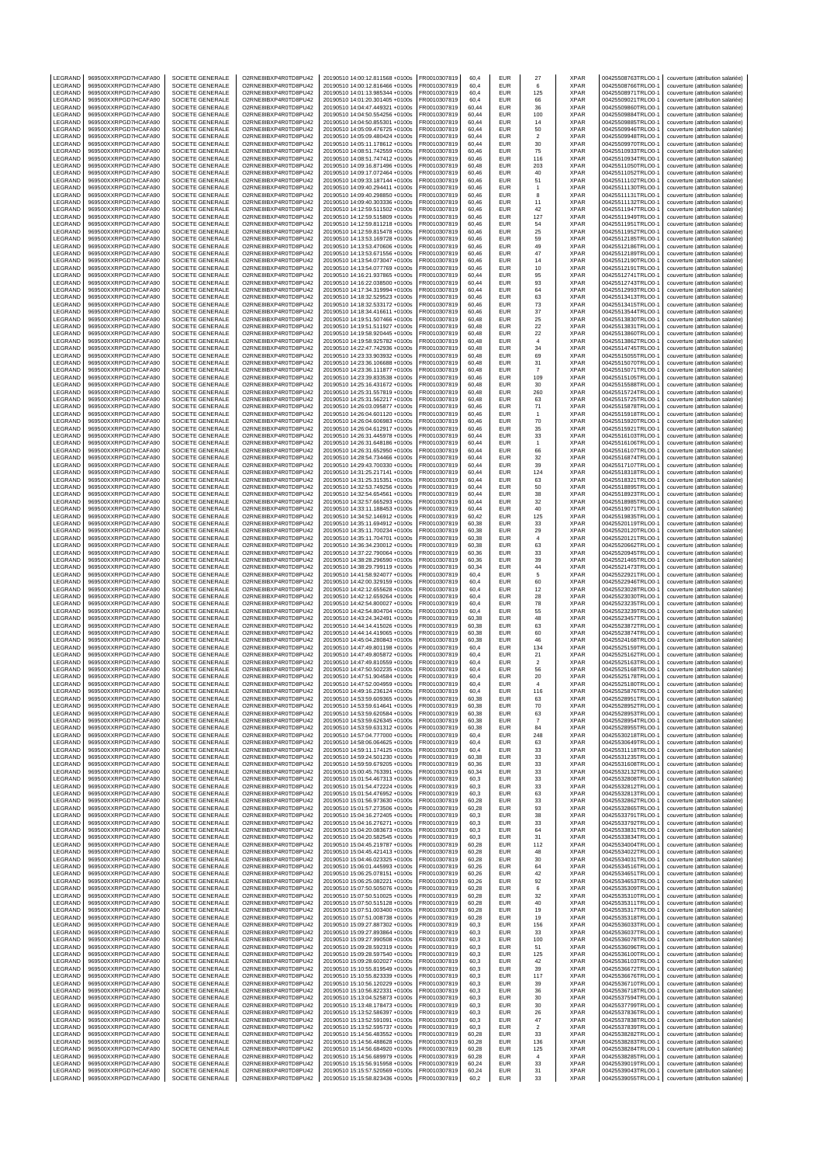| LEGRAND            | 969500XXRPGD7HCAFA90                         | SOCIETE GENERALE                            | O2RNE8IBXP4R0TD8PU42                         | 20190510 14:00:12.811568 +0100s                                    | FR0010307819                 | 60,4           | EUR                      | 27                            | XPAR                       | 00425508763TRLO0-1                       | couverture (attribution salariée)                                      |
|--------------------|----------------------------------------------|---------------------------------------------|----------------------------------------------|--------------------------------------------------------------------|------------------------------|----------------|--------------------------|-------------------------------|----------------------------|------------------------------------------|------------------------------------------------------------------------|
| LEGRAND<br>LEGRAND | 969500XXRPGD7HCAFA90<br>969500XXRPGD7HCAFA90 | SOCIETE GENERALE<br>SOCIETE GENERALE        | O2RNE8IBXP4R0TD8PU42<br>O2RNE8IBXP4R0TD8PU42 | 20190510 14:00:12.816466 +0100s<br>20190510 14:01:13.985344 +0100s | FR0010307819<br>R0010307819  | 60.4<br>60,4   | <b>EUR</b><br>EUR        | 6<br>125                      | <b>XPAR</b><br>XPAR        | 00425508766TRLO0-1<br>00425508971TRLO0-1 | couverture (attribution salariée)<br>couverture (attribution salariée) |
| LEGRAND            | 969500XXRPGD7HCAFA90                         | SOCIETE GENERALE                            | O2RNE8IBXP4R0TD8PU42                         | 20190510 14:01:20.301405 +0100s                                    | FR0010307819                 | 60.4           | <b>EUR</b>               | 66                            | <b>XPAR</b>                | 00425509021TRLO0-1                       | couverture (attribution salariée)                                      |
| LEGRAND            | 969500XXRPGD7HCAFA90                         | SOCIETE GENERALE                            | O2RNE8IBXP4R0TD8PU42                         | 20190510 14:04:47.449321 +0100s                                    | FR0010307819                 | 60,44          | EUR                      | 36                            | <b>XPAR</b>                | 00425509860TRLO0-1                       | couverture (attribution salariée)                                      |
| LEGRAND<br>LEGRAND | 969500XXRPGD7HCAFA90<br>969500XXRPGD7HCAFA90 | SOCIETE GENERALE<br>SOCIETE GENERALE        | O2RNE8IBXP4R0TD8PU42<br>O2RNE8IBXP4R0TD8PU42 | 20190510 14:04:50.554256 +0100s<br>20190510 14:04:50.855301 +0100s | FR0010307819<br>FR0010307819 | 60,44<br>60,44 | EUR<br>EUR               | 100<br>14                     | <b>XPAR</b><br><b>XPAR</b> | 00425509884TRLO0-1<br>00425509885TRLO0-1 | couverture (attribution salariée)<br>couverture (attribution salariée) |
| LEGRAND            | 969500XXRPGD7HCAFA90                         | SOCIETE GENERALE                            | O2RNE8IBXP4R0TD8PU42                         | 20190510 14:05:09.476725 +0100s                                    | FR0010307819                 | 60,44          | EUR                      | 50                            | <b>XPAR</b>                | 00425509946TRLO0-1                       | couverture (attribution salariée)                                      |
| LEGRAND<br>LEGRAND | 969500XXRPGD7HCAFA90<br>969500XXRPGD7HCAFA90 | SOCIETE GENERALE<br>SOCIETE GENERALE        | O2RNE8IBXP4R0TD8PU42<br>O2RNE8IBXP4R0TD8PU42 | 20190510 14:05:09.480424 +0100s<br>20190510 14:05:11.178612 +0100s | R0010307819<br>FR0010307819  | 60,44<br>60,44 | EUR<br>EUR               | $\sqrt{2}$                    | <b>XPAR</b><br>XPAR        | 00425509948TRLO0-1<br>00425509970TRLO0-1 | couverture (attribution salariée)<br>couverture (attribution salariée) |
| LEGRAND            | 969500XXRPGD7HCAFA90                         | SOCIETE GENERALE                            | O2RNE8IBXP4R0TD8PU42                         | 20190510 14:08:51.742559 +0100s                                    | R0010307819                  | 60,46          | EUR                      | 30<br>75                      | XPAR                       | 00425510933TRLO0-1                       | couverture (attribution salariée)                                      |
| LEGRAND            | 969500XXRPGD7HCAFA90                         | SOCIETE GENERALE                            | O2RNE8IBXP4R0TD8PU42                         | 20190510 14:08:51.747412 +0100s                                    | FR0010307819                 | 60,46          | <b>EUR</b>               | 116                           | <b>XPAR</b>                | 00425510934TRLO0-1                       | couverture (attribution salariée)                                      |
| LEGRAND<br>LEGRAND | 969500XXRPGD7HCAFA90<br>969500XXRPGD7HCAFA90 | SOCIETE GENERALE<br>SOCIETE GENERALE        | O2RNE8IBXP4R0TD8PU42<br>O2RNE8IBXP4R0TD8PU42 | 20190510 14:09:16.871496 +0100s<br>20190510 14:09:17.072464 +0100s | R0010307819<br>FR0010307819  | 60,48<br>60,46 | EUR<br>EUR               | 203<br>40                     | XPAR<br><b>XPAR</b>        | 00425511050TRLO0-1<br>00425511052TRLO0-  | couverture (attribution salariée)<br>couverture (attribution salariée) |
| LEGRAND            | 969500XXRPGD7HCAFA90                         | SOCIETE GENERALE                            | O2RNE8IBXP4R0TD8PU42                         | 20190510 14:09:33.187144 +0100s                                    | FR0010307819                 | 60,46          | EUR                      | 51                            | <b>XPAR</b>                | 00425511102TRLO0-1                       | couverture (attribution salariée)                                      |
| LEGRAND            | 969500XXRPGD7HCAFA90                         | SOCIETE GENERALE                            | O2RNE8IBXP4R0TD8PU42                         | 20190510 14:09:40.294411 +0100s                                    | R0010307819                  | 60,46          | EUR                      | $\mathbf{1}$                  | XPAR                       | 00425511130TRLO0-1                       | couverture (attribution salariée)                                      |
| LEGRAND<br>LEGRAND | 969500XXRPGD7HCAFA90<br>969500XXRPGD7HCAFA90 | <b>SOCIETE GENERALE</b><br>SOCIETE GENERALE | O2RNE8IBXP4R0TD8PU42<br>O2RNE8IBXP4R0TD8PU42 | 20190510 14:09:40.298850 +0100s<br>20190510 14:09:40.303336 +0100s | FR0010307819<br>FR0010307819 | 60.46<br>60,46 | EUR<br>EUR               | 8<br>11                       | <b>XPAR</b><br>XPAR        | 00425511131TRLO0-<br>00425511132TRLO0-   | couverture (attribution salariée)<br>couverture (attribution salariée) |
| LEGRAND            | 969500XXRPGD7HCAFA90                         | <b>SOCIETE GENERALE</b>                     | O2RNE8IBXP4R0TD8PU42                         | 20190510 14:12:59.511502 +0100s                                    | FR0010307819                 | 60.46          | <b>EUR</b>               | 42                            | <b>XPAR</b>                | 00425511947TRLO0-1                       | couverture (attribution salariée)                                      |
| LEGRAND            | 969500XXRPGD7HCAFA90                         | SOCIETE GENERALE                            | O2RNE8IBXP4R0TD8PU42                         | 20190510 14:12:59.515809 +0100s                                    | R0010307819                  | 60,46          | EUR                      | 127                           | XPAR                       | 00425511949TRLO0-1                       | couverture (attribution salariée)                                      |
| LEGRAND<br>LEGRAND | 969500XXRPGD7HCAFA90<br>969500XXRPGD7HCAFA90 | <b>SOCIETE GENERALE</b><br>SOCIETE GENERALE | O2RNE8IBXP4R0TD8PU42<br>O2RNE8IBXP4R0TD8PU42 | 20190510 14:12:59.811218 +0100s<br>20190510 14:12:59.815478 +0100s | FR0010307819<br>FR0010307819 | 60.46<br>60,46 | <b>EUR</b><br>EUR        | 54<br>25                      | <b>XPAR</b><br>XPAR        | 00425511951TRLO0-1<br>00425511952TRLO0-1 | couverture (attribution salariée)<br>couverture (attribution salariée) |
| LEGRAND            | 969500XXRPGD7HCAFA90                         | <b>SOCIETE GENERALE</b>                     | O2RNE8IBXP4R0TD8PU42                         | 20190510 14:13:53.169728 +0100s                                    | FR0010307819                 | 60.46          | EUR                      | 59                            | <b>XPAR</b>                | 00425512185TRLO0-1                       | couverture (attribution salariée)                                      |
| LEGRAND<br>LEGRAND | 969500XXRPGD7HCAFA90<br>969500XXRPGD7HCAFA90 | SOCIETE GENERALE<br>SOCIETE GENERALE        | O2RNE8IBXP4R0TD8PU42<br>O2RNE8IBXP4R0TD8PU42 | 20190510 14:13:53.470606 +0100s<br>20190510 14:13:53.671556 +0100s | R0010307819<br>FR0010307819  | 60,46<br>60.46 | EUR<br>EUR               | 49<br>47                      | XPAR<br><b>XPAR</b>        | 00425512186TRLO0-1<br>00425512189TRLO0-1 | couverture (attribution salariée)                                      |
| LEGRAND            | 969500XXRPGD7HCAFA90                         | SOCIETE GENERALE                            | O2RNE8IBXP4R0TD8PU42                         | 20190510 14:13:54.073047 +0100s                                    | FR0010307819                 | 60,46          | EUR                      | 14                            | XPAR                       | 00425512190TRLO0-1                       | couverture (attribution salariée)<br>couverture (attribution salariée) |
| LEGRAND            | 969500XXRPGD7HCAFA90                         | SOCIETE GENERALE                            | O2RNE8IBXP4R0TD8PU42                         | 20190510 14:13:54.077769 +0100s                                    | FR0010307819                 | 60,46          | <b>EUR</b>               | 10                            | <b>XPAR</b>                | 00425512191TRLO0-1                       | couverture (attribution salariée)                                      |
| LEGRAND<br>LEGRAND | 969500XXRPGD7HCAFA90                         | SOCIETE GENERALE                            | O2RNE8IBXP4R0TD8PU42                         | 20190510 14:16:21.937865 +0100s                                    | FR0010307819                 | 60,44          | EUR<br>EUR               | 95                            | XPAR<br><b>XPAR</b>        | 00425512741TRLO0-1                       | couverture (attribution salariée)                                      |
| LEGRAND            | 969500XXRPGD7HCAFA90<br>969500XXRPGD7HCAFA90 | SOCIETE GENERALE<br>SOCIETE GENERALE        | O2RNE8IBXP4R0TD8PU42<br>O2RNE8IBXP4R0TD8PU42 | 20190510 14:16:22.038500 +0100s<br>20190510 14:17:34.319994 +0100s | FR0010307819<br>R0010307819  | 60,44<br>60,44 | EUR                      | 93<br>64                      | <b>XPAR</b>                | 00425512743TRLO0-1<br>00425512993TRLO0-1 | couverture (attribution salariée)<br>couverture (attribution salariée) |
| LEGRAND            | 969500XXRPGD7HCAFA90                         | SOCIETE GENERALE                            | O2RNE8IBXP4R0TD8PU42                         | 20190510 14:18:32.529523 +0100s                                    | FR0010307819                 | 60,46          | EUR                      | 63                            | <b>XPAR</b>                | 00425513413TRLO0-                        | couverture (attribution salariée)                                      |
| LEGRAND<br>LEGRAND | 969500XXRPGD7HCAFA90<br>969500XXRPGD7HCAFA90 | SOCIETE GENERALE<br>SOCIETE GENERALE        | O2RNE8IBXP4R0TD8PU42<br>O2RNE8IBXP4R0TD8PU42 | 20190510 14:18:32.533172 +0100s<br>20190510 14:18:34.416611 +0100s | FR0010307819<br>FR0010307819 | 60,46<br>60,46 | EUR<br>EUR               | 73<br>37                      | XPAR<br><b>XPAR</b>        | 00425513415TRLO0-1<br>00425513544TRLO0-1 | couverture (attribution salariée)<br>couverture (attribution salariée) |
| LEGRAND            | 969500XXRPGD7HCAFA90                         | SOCIETE GENERALE                            | O2RNE8IBXP4R0TD8PU42                         | 20190510 14:19:51.507466 +0100s                                    | R0010307819                  | 60,48          | <b>EUR</b>               | 25                            | <b>XPAR</b>                | 00425513830TRLO0-1                       | couverture (attribution salariée)                                      |
| LEGRAND            | 969500XXRPGD7HCAFA90                         | SOCIETE GENERALE                            | O2RNE8IBXP4R0TD8PU42                         | 20190510 14:19:51.511927 +0100s                                    | FR0010307819                 | 60,48          | <b>EUR</b>               | 22                            | <b>XPAR</b>                | 00425513831TRLO0-                        | couverture (attribution salariée)                                      |
| LEGRAND<br>LEGRAND | 969500XXRPGD7HCAFA90<br>969500XXRPGD7HCAFA90 | SOCIETE GENERALE<br>SOCIETE GENERALE        | O2RNE8IBXP4R0TD8PU42<br>O2RNE8IBXP4R0TD8PU42 | 20190510 14:19:58.920445 +0100s<br>20190510 14:19:58.925782 +0100s | R0010307819<br>FR0010307819  | 60,48<br>60,48 | EUR<br><b>EUR</b>        | 22<br>$\overline{4}$          | XPAR<br><b>XPAR</b>        | 00425513860TRLO0-1<br>00425513862TRLO0-  | couverture (attribution salariée)<br>couverture (attribution salariée) |
| LEGRAND            | 969500XXRPGD7HCAFA90                         | SOCIETE GENERALE                            | O2RNE8IBXP4R0TD8PU42                         | 20190510 14:22:47.742936 +0100s                                    | R0010307819                  | 60,48          | EUR                      | 34                            | XPAR                       | 00425514745TRLO0-1                       | couverture (attribution salariée)                                      |
| LEGRAND<br>LEGRAND | 969500XXRPGD7HCAFA90<br>969500XXRPGD7HCAFA90 | SOCIETE GENERALE<br>SOCIETE GENERALE        | O2RNE8IBXP4R0TD8PU42<br>O2RNE8IBXP4R0TD8PU42 | 20190510 14:23:33.903932 +0100s<br>20190510 14:23:36.106688 +0100s | FR0010307819<br>FR0010307819 | 60,48<br>60.48 | EUR<br>EUR               | 69                            | <b>XPAR</b><br><b>XPAR</b> | 00425515055TRLO0-<br>00425515070TRLO0-1  | couverture (attribution salariée)                                      |
| LEGRAND            | 969500XXRPGD7HCAFA90                         | SOCIETE GENERALE                            | O2RNE8IBXP4R0TD8PU42                         | 20190510 14:23:36.111877 +0100s                                    | R0010307819                  | 60,48          | EUR                      | 31<br>$\overline{7}$          | XPAR                       | 00425515071TRLO0-1                       | couverture (attribution salariée)<br>couverture (attribution salariée) |
| LEGRAND            | 969500XXRPGD7HCAFA90                         | SOCIETE GENERALE                            | O2RNE8IBXP4R0TD8PU42                         | 20190510 14:23:39.833538 +0100s                                    | FR0010307819                 | 60.46          | <b>EUR</b>               | 109                           | <b>XPAR</b>                | 00425515105TRLO0-1                       | couverture (attribution salariée)                                      |
| LEGRAND<br>LEGRAND | 969500XXRPGD7HCAFA90<br>969500XXRPGD7HCAFA90 | SOCIETE GENERALE<br><b>SOCIETE GENERALE</b> | O2RNE8IBXP4R0TD8PU42<br>O2RNE8IBXP4R0TD8PU42 | 20190510 14:25:16.431672 +0100s<br>20190510 14:25:31.557819 +0100s | FR0010307819<br>FR0010307819 | 60,48<br>60.48 | EUR<br><b>EUR</b>        | 30<br>260                     | XPAR<br><b>XPAR</b>        | 00425515588TRLO0-<br>00425515724TRLO0-1  | couverture (attribution salariée)<br>couverture (attribution salariée) |
| LEGRAND            | 969500XXRPGD7HCAFA90                         | SOCIETE GENERALE                            | O2RNE8IBXP4R0TD8PU42                         | 20190510 14:25:31.562217 +0100s                                    | R0010307819                  | 60,48          | <b>EUR</b>               | 63                            | XPAR                       | 00425515725TRLO0-1                       | couverture (attribution salariée)                                      |
| LEGRAND            | 969500XXRPGD7HCAFA90                         | <b>SOCIETE GENERALE</b>                     | O2RNE8IBXP4R0TD8PU42                         | 20190510 14:26:03.095877 +0100s                                    | FR0010307819                 | 60.46          | <b>EUR</b>               | 71                            | <b>XPAR</b>                | 00425515878TRLO0-1                       | couverture (attribution salariée)                                      |
| LEGRAND<br>LEGRAND | 969500XXRPGD7HCAFA90<br>969500XXRPGD7HCAFA90 | SOCIETE GENERALE<br><b>SOCIETE GENERALE</b> | O2RNE8IBXP4R0TD8PU42<br>O2RNE8IBXP4R0TD8PU42 | 20190510 14:26:04.601120 +0100s<br>20190510 14:26:04.606983 +0100s | FR0010307819<br>FR0010307819 | 60,46<br>60.46 | EUR<br>EUR               | 1<br>70                       | XPAR<br><b>XPAR</b>        | 00425515918TRLO0-<br>00425515920TRLO0-1  | couverture (attribution salariée)<br>couverture (attribution salariée) |
| LEGRAND            | 969500XXRPGD7HCAFA90                         | SOCIETE GENERALE                            | O2RNE8IBXP4R0TD8PU42                         | 20190510 14:26:04.612917 +0100s                                    | R0010307819                  | 60,46          | EUR                      | 35                            | XPAR                       | 00425515921TRLO0-1                       | couverture (attribution salariée)                                      |
| LEGRAND            | 969500XXRPGD7HCAFA90                         | SOCIETE GENERALE                            | O2RNE8IBXP4R0TD8PU42                         | 20190510 14:26:31.445978 +0100s                                    | FR0010307819                 | 60.44          | EUR                      | 33                            | <b>XPAR</b>                | 00425516103TRLO0-1                       | couverture (attribution salariée)                                      |
| LEGRAND<br>LEGRAND | 969500XXRPGD7HCAFA90<br>969500XXRPGD7HCAFA90 | SOCIETE GENERALE<br>SOCIETE GENERALE        | O2RNE8IBXP4R0TD8PU42<br>O2RNE8IBXP4R0TD8PU42 | 20190510 14:26:31.648186 +0100s<br>20190510 14:26:31.652950 +0100s | FR0010307819<br>FR0010307819 | 60,44<br>60,44 | EUR<br><b>EUR</b>        | $\mathbf{1}$<br>66            | XPAR<br>XPAR               | 00425516106TRLO0-1<br>00425516107TRLO0-  | couverture (attribution salariée)<br>couverture (attribution salariée) |
| LEGRAND            | 969500XXRPGD7HCAFA90                         | SOCIETE GENERALE                            | O2RNE8IBXP4R0TD8PU42                         | 20190510 14:28:54.734466 +0100s                                    | FR0010307819                 | 60,44          | EUR                      | 32                            | XPAR                       | 00425516874TRLO0-1                       | couverture (attribution salariée)                                      |
| LEGRAND            | 969500XXRPGD7HCAFA90                         | SOCIETE GENERALE                            | O2RNE8IBXP4R0TD8PU42                         | 20190510 14:29:43.700330 +0100s                                    | FR0010307819                 | 60.44          | EUR                      | 39                            | <b>XPAR</b>                | 00425517107TRLO0-1                       | couverture (attribution salariée)                                      |
| LEGRAND<br>LEGRAND | 969500XXRPGD7HCAFA90<br>969500XXRPGD7HCAFA90 | SOCIETE GENERALE<br>SOCIETE GENERALE        | O2RNE8IBXP4R0TD8PU42<br>O2RNE8IBXP4R0TD8PU42 | 20190510 14:31:25.217141 +0100s<br>20190510 14:31:25.315351 +0100s | R0010307819<br>FR0010307819  | 60,44<br>60,44 | EUR<br>EUR               | 124<br>63                     | XPAR<br><b>XPAR</b>        | 00425518318TRLO0-1<br>00425518321TRLO0-1 | couverture (attribution salariée)<br>couverture (attribution salariée) |
| LEGRAND            | 969500XXRPGD7HCAFA90                         | SOCIETE GENERALE                            | O2RNE8IBXP4R0TD8PU42                         | 20190510 14:32:53.749256 +0100s                                    | FR0010307819                 | 60,44          | EUR                      | 50                            | XPAR                       | 00425518895TRLO0-1                       | couverture (attribution salariée)                                      |
| LEGRAND<br>LEGRAND | 969500XXRPGD7HCAFA90<br>969500XXRPGD7HCAFA90 | SOCIETE GENERALE<br>SOCIETE GENERALE        | O2RNE8IBXP4R0TD8PU42<br>O2RNE8IBXP4R0TD8PU42 | 20190510 14:32:54.654561 +0100s<br>20190510 14:32:57.665293 +0100s | FR0010307819<br>R0010307819  | 60,44<br>60,44 | EUR<br>EUR               | 38<br>32                      | <b>XPAR</b><br><b>XPAR</b> | 00425518923TRLO0-1<br>00425518985TRLO0-1 | couverture (attribution salariée)<br>couverture (attribution salariée) |
| LEGRAND            | 969500XXRPGD7HCAFA90                         | SOCIETE GENERALE                            | O2RNE8IBXP4R0TD8PU42                         | 20190510 14:33:11.188453 +0100s                                    | FR0010307819                 | 60,44          | EUR                      | 40                            | <b>XPAR</b>                | 00425519071TRLO0-                        | couverture (attribution salariée)                                      |
| LEGRAND            | 969500XXRPGD7HCAFA90                         | SOCIETE GENERALE                            | O2RNE8IBXP4R0TD8PU42                         | 20190510 14:34:52.146912 +0100s                                    | R0010307819                  | 60,42          | EUR                      | 125                           | XPAR                       | 00425519835TRLO0-1                       | couverture (attribution salariée)                                      |
| LEGRAND<br>LEGRAND | 969500XXRPGD7HCAFA90<br>969500XXRPGD7HCAFA90 | SOCIETE GENERALE<br>SOCIETE GENERALE        | O2RNE8IBXP4R0TD8PU42<br>O2RNE8IBXP4R0TD8PU42 | 20190510 14:35:11.694912 +0100s<br>20190510 14:35:11.700234 +0100s | FR0010307819<br>FR0010307819 | 60,38<br>60,38 | <b>EUR</b><br>EUR        | 33<br>29                      | XPAR<br>XPAR               | 00425520119TRLO0-1<br>00425520120TRLO0-1 | couverture (attribution salariée)<br>couverture (attribution salariée) |
| LEGRAND            | 969500XXRPGD7HCAFA90                         | SOCIETE GENERALE                            | O2RNE8IBXP4R0TD8PU42                         | 20190510 14:35:11.704701 +0100s                                    | R0010307819                  | 60,38          | EUR                      | $\sqrt{4}$                    | XPAR                       | 00425520121TRLO0-1                       | couverture (attribution salariée)                                      |
| LEGRAND            | 969500XXRPGD7HCAFA90                         | <b>SOCIETE GENERALE</b>                     | O2RNE8IBXP4R0TD8PU42                         | 20190510 14:36:34.230012 +0100s                                    | FR0010307819                 | 60.38          | EUR                      | 63                            | <b>XPAR</b>                | 00425520662TRLO0-1                       | couverture (attribution salariée)                                      |
| LEGRAND<br>LEGRAND | 969500XXRPGD7HCAFA90<br>969500XXRPGD7HCAFA90 | SOCIETE GENERALE<br>SOCIETE GENERALE        | O2RNE8IBXP4R0TD8PU42<br>O2RNE8IBXP4R0TD8PU42 | 20190510 14:37:22.790064 +0100s<br>20190510 14:38:28.296590 +0100s | FR0010307819<br>FR0010307819 | 60,36<br>60.36 | EUR<br>EUR               | 33<br>39                      | XPAR<br><b>XPAR</b>        | 00425520945TRLO0-1<br>00425521465TRLO0-1 | couverture (attribution salariée)<br>couverture (attribution salariée) |
| LEGRAND            | 969500XXRPGD7HCAFA90                         | SOCIETE GENERALE                            | O2RNE8IBXP4R0TD8PU42                         | 20190510 14:38:29.799119 +0100s                                    | FR0010307819                 | 60,34          | EUR                      | 44                            | XPAR                       | 00425521473TRLO0-                        | couverture (attribution salariée)                                      |
| LEGRAND<br>LEGRAND | 969500XXRPGD7HCAFA90<br>969500XXRPGD7HCAFA90 | <b>SOCIETE GENERALE</b><br>SOCIETE GENERALE | O2RNE8IBXP4R0TD8PU42<br>O2RNE8IBXP4R0TD8PU42 | 20190510 14:41:58.924077 +0100s<br>20190510 14:42:00.329159 +0100s | FR0010307819<br>R0010307819  | 60.4<br>60,4   | <b>EUR</b><br><b>EUR</b> | 5<br>60                       | <b>XPAR</b><br>XPAR        | 00425522921TRLO0-1<br>00425522946TRLO0-1 | couverture (attribution salariée)<br>couverture (attribution salariée) |
| LEGRAND            | 969500XXRPGD7HCAFA90                         | SOCIETE GENERALE                            | O2RNE8IBXP4R0TD8PU42                         | 20190510 14:42:12.655628 +0100s                                    | FR0010307819                 | 60.4           | EUR                      | 12                            | <b>XPAR</b>                | 00425523028TRLO0-1                       | couverture (attribution salariée)                                      |
| LEGRAND            | 969500XXRPGD7HCAFA90                         | SOCIETE GENERALE                            | O2RNE8IBXP4R0TD8PU42                         | 20190510 14:42:12.659264 +0100s                                    | FR0010307819                 | 60,4           | EUR                      | 28                            | XPAR                       | 00425523030TRLO0-                        | couverture (attribution salariée)                                      |
| LEGRAND<br>LEGRAND | 969500XXRPGD7HCAFA90<br>969500XXRPGD7HCAFA90 | <b>SOCIETE GENERALE</b><br>SOCIETE GENERALE | O2RNE8IBXP4R0TD8PU42<br>O2RNE8IBXP4R0TD8PU42 | 20190510 14:42:54.800027 +0100s<br>20190510 14:42:54.804704 +0100s | FR0010307819<br>R0010307819  | 60.4<br>60,4   | EUR<br>EUR               | 78<br>55                      | <b>XPAR</b><br>XPAR        | 00425523235TRLO0-1<br>00425523239TRLO0-1 | couverture (attribution salariée)<br>couverture (attribution salariée) |
| LEGRAND            | 969500XXRPGD7HCAFA90                         | SOCIETE GENERALE                            | O2RNE8IBXP4R0TD8PU42                         | 20190510 14:43:24.342491 +0100s                                    | FR0010307819                 | 60.38          | <b>EUR</b>               | 48                            | <b>XPAR</b>                | 00425523457TRLO0-1                       | couverture (attribution salariée)                                      |
| LEGRAND            | 969500XXRPGD7HCAFA90                         | SOCIETE GENERALE                            | O2RNE8IBXP4R0TD8PU42                         | 20190510 14:44:14.415026 +0100s                                    | FR0010307819                 | 60,38          | <b>EUR</b>               | 63                            | <b>XPAR</b>                | 00425523872TRLO0-1                       | couverture (attribution salariée)                                      |
| LEGRAND<br>LEGRAND | 969500XXRPGD7HCAFA90<br>969500XXRPGD7HCAFA90 | SOCIETE GENERALE<br>SOCIETE GENERALE        | O2RNE8IBXP4R0TD8PU42<br>O2RNE8IBXP4R0TD8PU42 | 20190510 14:44:14.419065 +0100s<br>20190510 14:45:04.280843 +0100s | FR0010307819<br>R0010307819  | 60,38<br>60,38 | <b>EUR</b><br>EUR        | 60<br>46                      | XPAR<br>XPAR               | 00425523874TRLO0-<br>00425524168TRLO0-1  | couverture (attribution salariée)<br>couverture (attribution salariée) |
| LEGRAND            | 969500XXRPGD7HCAFA90                         | SOCIETE GENERALE                            | O2RNE8IBXP4R0TD8PU42                         | 20190510 14:47:49.801198 +0100s                                    | FR0010307819                 | 60,4           | EUR                      | 134                           | <b>XPAR</b>                | 00425525159TRLO0-1                       | couverture (attribution salariée)                                      |
| LEGRAND<br>LEGRAND | 969500XXRPGD7HCAFA90<br>969500XXRPGD7HCAFA90 | SOCIETE GENERALE<br>SOCIETE GENERALE        | O2RNE8IBXP4R0TD8PU42<br>O2RNE8IBXP4R0TD8PU42 | 20190510 14:47:49.805872 +0100s<br>20190510 14:47:49.810559 +0100s | R0010307819<br>FR0010307819  | 60,4<br>60,4   | EUR<br><b>EUR</b>        | 21<br>$\overline{\mathbf{2}}$ | XPAR<br><b>XPAR</b>        | 00425525162TRLO0-1<br>00425525163TRLO0-1 | couverture (attribution salariée)<br>couverture (attribution salariée) |
| LEGRAND            | 969500XXRPGD7HCAFA90                         | SOCIETE GENERALE                            | O2RNE8IBXP4R0TD8PU42                         | 20190510 14:47:50.502235 +0100s                                    | FR0010307819                 | 60,4           | EUR                      | 56                            | <b>XPAR</b>                | 00425525168TRLO0-1                       | couverture (attribution salariée)                                      |
| LEGRAND            | 969500XXRPGD7HCAFA90                         | SOCIETE GENERALE                            | O2RNE8IBXP4R0TD8PU42                         | 20190510 14:47:51.904584 +0100s                                    | FR0010307819                 | 60,4           | EUR                      | 20                            | <b>XPAR</b>                | 00425525178TRLO0-1                       | couverture (attribution salariée)                                      |
| LEGRAND<br>LEGRAND | 969500XXRPGD7HCAFA90<br>969500XXRPGD7HCAFA90 | SOCIETE GENERALE<br>SOCIETE GENERALE        | O2RNE8IBXP4R0TD8PU42<br>O2RNE8IBXP4R0TD8PU42 | 20190510 14:47:52.004959 +0100s<br>20190510 14:49:16.236124 +0100s | FR0010307819<br>FR0010307819 | 60,4<br>60,4   | <b>EUR</b><br>EUR        | $\overline{4}$<br>116         | <b>XPAR</b><br><b>XPAR</b> | 00425525180TRLO0-1<br>00425525876TRLO0-1 | couverture (attribution salariée)<br>couverture (attribution salariée) |
| <b>IFGRAND</b>     | 969500XXRPGD7HCAFA90                         | SOCIETE GENERALE                            | O2RNE8IBXP4R0TD8PU42                         | 20190510 14:53:59.609365 +0100s                                    | FR0010307819                 | 60.38          | EUR                      | 63                            | <b>XPAR</b>                | 00425528951TRLO0-1                       | couverture (attribution salariée)                                      |
| LEGRAND<br>LEGRAND | 969500XXRPGD7HCAFA90<br>969500XXRPGD7HCAFA90 | SOCIETE GENERALE<br>SOCIETE GENERALE        | O2RNE8IBXP4R0TD8PU42<br>O2RNE8IBXP4R0TD8PU42 | 20190510 14:53:59.614641 +0100s<br>20190510 14:53:59.620584 +0100s | FR0010307819<br>FR0010307819 | 60,38<br>60.38 | <b>EUR</b><br><b>EUR</b> | 70<br>63                      | <b>XPAR</b><br><b>XPAR</b> | 00425528952TRLO0-1<br>00425528953TRLO0-1 | couverture (attribution salariée)<br>couverture (attribution salariée) |
| LEGRAND            | 969500XXRPGD7HCAFA90                         | SOCIETE GENERALE                            | O2RNE8IBXP4R0TD8PU42                         | 20190510 14:53:59.626345 +0100s                                    | FR0010307819                 | 60,38          | EUR                      | $\overline{7}$                | <b>XPAR</b>                | 00425528954TRLO0-1                       | couverture (attribution salariée)                                      |
| LEGRAND            | 969500XXRPGD7HCAFA90                         | SOCIETE GENERALE                            | O2RNE8IBXP4R0TD8PU42                         | 20190510 14:53:59.631312 +0100s                                    | FR0010307819                 | 60.38          | <b>EUR</b>               | 84                            | <b>XPAR</b>                | 00425528955TRLO0-1                       | couverture (attribution salariée)                                      |
| LEGRAND<br>LEGRAND | 969500XXRPGD7HCAFA90<br>969500XXRPGD7HCAFA90 | SOCIETE GENERALE<br>SOCIETE GENERALE        | O2RNE8IBXP4R0TD8PU42<br>O2RNE8IBXP4R0TD8PU42 | 20190510 14:57:04.777000 +0100s<br>20190510 14:58:06.064625 +0100s | FR0010307819<br>FR0010307819 | 60,4<br>60.4   | EUR<br><b>EUR</b>        | 248<br>63                     | <b>XPAR</b><br><b>XPAR</b> | 00425530218TRLO0-1<br>00425530649TRLO0-1 | couverture (attribution salariée)<br>couverture (attribution salariée) |
| LEGRAND            | 969500XXRPGD7HCAFA90                         | SOCIETE GENERALE                            | O2RNE8IBXP4R0TD8PU42                         | 20190510 14:59:11.174125 +0100s                                    | FR0010307819                 | 60,4           | EUR                      | 33                            | <b>XPAR</b>                | 00425531118TRLO0-1                       | couverture (attribution salariée)                                      |
| LEGRAND<br>LEGRAND | 969500XXRPGD7HCAFA90<br>969500XXRPGD7HCAFA90 | SOCIETE GENERALE<br>SOCIETE GENERALE        | O2RNE8IBXP4R0TD8PU42<br>O2RNE8IBXP4R0TD8PU42 | 20190510 14:59:24.501230 +0100s<br>20190510 14:59:59.679205 +0100s | FR0010307819<br>FR0010307819 | 60.38<br>60,36 | <b>EUR</b><br>EUR        | 33<br>33                      | <b>XPAR</b><br>XPAR        | 00425531235TRLO0-1<br>00425531608TRLO0-1 | couverture (attribution salariée)                                      |
| LEGRAND            | 969500XXRPGD7HCAFA90                         | SOCIETE GENERALE                            | O2RNE8IBXP4R0TD8PU42                         | 20190510 15:00:45.763391 +0100s                                    | FR0010307819                 | 60.34          | EUR                      | 33                            | <b>XPAR</b>                | 00425532132TRLO0-1                       | couverture (attribution salariée)<br>couverture (attribution salariée) |
| LEGRAND            | 969500XXRPGD7HCAFA90<br>969500XXRPGD7HCAFA90 | SOCIETE GENERALE                            | O2RNE8IBXP4R0TD8PU42                         | 20190510 15:01:54.467313 +0100s                                    | FR0010307819                 | 60,3           | EUR                      | 33                            | <b>XPAR</b>                | 00425532808TRLO0-1<br>00425532812TRLO0-1 | couverture (attribution salariée)                                      |
| LEGRAND<br>LEGRAND | 969500XXRPGD7HCAFA90                         | SOCIETE GENERALE<br>SOCIETE GENERALE        | O2RNE8IBXP4R0TD8PU42<br>O2RNE8IBXP4R0TD8PU42 | 20190510 15:01:54.472224 +0100s<br>20190510 15:01:54.476952 +0100s | FR0010307819<br>FR0010307819 | 60.3<br>60,3   | <b>EUR</b><br>EUR        | 33<br>63                      | <b>XPAR</b><br><b>XPAR</b> | 00425532813TRLO0-1                       | couverture (attribution salariée)<br>couverture (attribution salariée) |
| LEGRAND            | 969500XXRPGD7HCAFA90                         | SOCIETE GENERALE                            | O2RNE8IBXP4R0TD8PU42                         | 20190510 15:01:56.973630 +0100s                                    | FR0010307819                 | 60,28          | <b>EUR</b>               | 33                            | <b>XPAR</b>                | 00425532862TRLO0-1                       | couverture (attribution salariée)                                      |
| LEGRAND<br>LEGRAND | 969500XXRPGD7HCAFA90<br>969500XXRPGD7HCAFA90 | SOCIETE GENERALE<br><b>SOCIETE GENERALE</b> | O2RNE8IBXP4R0TD8PU42<br>O2RNE8IBXP4R0TD8PU42 | 20190510 15:01:57.273506 +0100s                                    | FR0010307819<br>FR0010307819 | 60.28<br>60,3  | <b>EUR</b><br><b>EUR</b> | 93<br>38                      | <b>XPAR</b><br><b>XPAR</b> | 00425532865TRLO0-1                       | couverture (attribution salariée)                                      |
| LEGRAND            | 969500XXRPGD7HCAFA90                         | SOCIETE GENERALE                            | O2RNE8IBXP4R0TD8PU42                         | 20190510 15:04:16.272405 +0100s<br>20190510 15:04:16.276271 +0100s | FR0010307819                 | 60,3           | <b>EUR</b>               | 33                            | <b>XPAR</b>                | 00425533791TRLO0-1<br>00425533792TRLO0-1 | couverture (attribution salariée)<br>couverture (attribution salariée) |
| LEGRAND            | 969500XXRPGD7HCAFA90                         | SOCIETE GENERALE                            | O2RNE8IBXP4R0TD8PU42                         | 20190510 15:04:20.083673 +0100s                                    | FR0010307819                 | 60,3           | <b>FUR</b>               | 64                            | <b>XPAR</b>                | 00425533831TRLO0-1                       | couverture (attribution salariée)                                      |
| LEGRAND<br>LEGRAND | 969500XXRPGD7HCAFA90<br>969500XXRPGD7HCAFA90 | SOCIETE GENERALE<br>SOCIETE GENERALE        | O2RNE8IBXP4R0TD8PU42<br>O2RNE8IBXP4R0TD8PU42 | 20190510 15:04:20.582545 +0100s<br>20190510 15:04:45.219787 +0100s | FR0010307819<br>FR0010307819 | 60,3<br>60,28  | <b>EUR</b><br><b>EUR</b> | 31<br>112                     | <b>XPAR</b><br><b>XPAR</b> | 00425533834TRLO0-1<br>00425534004TRLO0-1 | couverture (attribution salariée)<br>couverture (attribution salariée) |
| LEGRAND            | 969500XXRPGD7HCAFA90                         | SOCIETE GENERALE                            | O2RNE8IBXP4R0TD8PU42                         | 20190510 15:04:45.421413 +0100s                                    | FR0010307819                 | 60,28          | <b>EUR</b>               | 48                            | <b>XPAR</b>                | 00425534022TRLO0-1                       | couverture (attribution salariée)                                      |
| LEGRAND<br>LEGRAND | 969500XXRPGD7HCAFA90<br>969500XXRPGD7HCAFA90 | SOCIETE GENERALE<br>SOCIETE GENERALE        | O2RNE8IBXP4R0TD8PU42<br>O2RNE8IBXP4R0TD8PU42 | 20190510 15:04:46.023325 +0100s<br>20190510 15:06:01.445993 +0100s | FR0010307819<br>FR0010307819 | 60.28<br>60,26 | <b>FUR</b><br><b>EUR</b> | 30<br>64                      | <b>XPAR</b><br><b>XPAR</b> | 00425534031TRLO0-1<br>00425534516TRLO0-1 | couverture (attribution salariée)<br>couverture (attribution salariée) |
| LEGRAND            | 969500XXRPGD7HCAFA90                         | SOCIETE GENERALE                            | O2RNE8IBXP4R0TD8PU42                         | 20190510 15:06:25.078151 +0100s                                    | FR0010307819                 | 60,26          | <b>EUR</b>               | 42                            | <b>XPAR</b>                | 00425534651TRLO0-1                       | couverture (attribution salariée)                                      |
| LEGRAND            | 969500XXRPGD7HCAFA90                         | SOCIETE GENERALE                            | O2RNE8IBXP4R0TD8PU42                         | 20190510 15:06:25.082221 +0100s                                    | FR0010307819                 | 60.26          | <b>EUR</b>               | 92                            | <b>XPAR</b>                | 00425534653TRLO0-1                       | couverture (attribution salariée)                                      |
| LEGRAND<br>LEGRAND | 969500XXRPGD7HCAFA90<br>969500XXRPGD7HCAFA90 | SOCIETE GENERALE<br>SOCIETE GENERALE        | O2RNE8IBXP4R0TD8PU42<br>O2RNE8IBXP4R0TD8PU42 | 20190510 15:07:50.505076 +0100s<br>20190510 15:07:50.510025 +0100s | FR0010307819<br>FR0010307819 | 60,28<br>60.28 | EUR<br>EUR               | 6<br>32                       | XPAR<br><b>XPAR</b>        | 00425535309TRLO0-1<br>00425535310TRLO0-1 | couverture (attribution salariée)<br>couverture (attribution salariée) |
| LEGRAND            | 969500XXRPGD7HCAFA90                         | SOCIETE GENERALE                            | O2RNE8IBXP4R0TD8PU42                         | 20190510 15:07:50.515128 +0100s                                    | FR0010307819                 | 60,28          | EUR                      | 40                            | <b>XPAR</b>                | 00425535311TRLO0-1                       | couverture (attribution salariée)                                      |
| LEGRAND            | 969500XXRPGD7HCAFA90                         | SOCIETE GENERALE                            | O2RNE8IBXP4R0TD8PU42                         | 20190510 15:07:51.003400 +0100s                                    | FR0010307819                 | 60.28          | <b>EUR</b>               | 19                            | <b>XPAR</b>                | 00425535317TRLO0-1                       | couverture (attribution salariée)                                      |
| LEGRAND<br>LEGRAND | 969500XXRPGD7HCAFA90<br>969500XXRPGD7HCAFA90 | SOCIETE GENERALE<br>SOCIETE GENERALE        | O2RNE8IBXP4R0TD8PU42<br>O2RNE8IBXP4R0TD8PU42 | 20190510 15:07:51.008738 +0100s<br>20190510 15:09:27.887302 +0100s | FR0010307819<br>FR0010307819 | 60,28<br>60.3  | EUR<br><b>EUR</b>        | 19<br>156                     | <b>XPAR</b><br><b>XPAR</b> | 00425535318TRLO0-1<br>00425536033TRLO0-1 | couverture (attribution salariée)<br>couverture (attribution salariée) |
| LEGRAND            | 969500XXRPGD7HCAFA90                         | SOCIETE GENERALE                            | O2RNE8IBXP4R0TD8PU42                         | 20190510 15:09:27.893864 +0100s                                    | FR0010307819                 | 60,3           | EUR                      | 33                            | <b>XPAR</b>                | 00425536037TRLO0-1                       | couverture (attribution salariée)                                      |
| LEGRAND<br>LEGRAND | 969500XXRPGD7HCAFA90<br>969500XXRPGD7HCAFA90 | SOCIETE GENERALE<br>SOCIETE GENERALE        | O2RNE8IBXP4R0TD8PU42<br>O2RNE8IBXP4R0TD8PU42 | 20190510 15:09:27.990508 +0100s<br>20190510 15:09:28.592319 +0100s | FR0010307819<br>FR0010307819 | 60.3<br>60,3   | <b>EUR</b><br>EUR        | 100<br>51                     | <b>XPAR</b><br>XPAR        | 00425536078TRLO0-1<br>00425536096TRLO0-1 | couverture (attribution salariée)<br>couverture (attribution salariée) |
| LEGRAND            | 969500XXRPGD7HCAFA90                         | SOCIETE GENERALE                            | O2RNE8IBXP4R0TD8PU42                         | 20190510 15:09:28.597540 +0100s                                    | FR0010307819                 | 60.3           | <b>EUR</b>               | 125                           | <b>XPAR</b>                | 00425536100TRLO0-1                       | couverture (attribution salariée)                                      |
| LEGRAND            | 969500XXRPGD7HCAFA90                         | SOCIETE GENERALE                            | O2RNE8IBXP4R0TD8PU42                         | 20190510 15:09:28.602027 +0100s                                    | FR0010307819                 | 60,3           | EUR                      | 42                            | <b>XPAR</b>                | 00425536103TRLO0-1                       | couverture (attribution salariée)                                      |
| LEGRAND<br>LEGRAND | 969500XXRPGD7HCAFA90<br>969500XXRPGD7HCAFA90 | SOCIETE GENERALE<br>SOCIETE GENERALE        | O2RNE8IBXP4R0TD8PU42<br>O2RNE8IBXP4R0TD8PU42 | 20190510 15:10:55.819549 +0100s<br>20190510 15:10:55.823339 +0100s | FR0010307819<br>FR0010307819 | 60,3<br>60,3   | <b>EUR</b><br><b>EUR</b> | 39<br>117                     | <b>XPAR</b><br><b>XPAR</b> | 00425536672TRLO0-1<br>00425536676TRLO0-1 | couverture (attribution salariée)<br>couverture (attribution salariée) |
| LEGRAND            | 969500XXRPGD7HCAFA90                         | SOCIETE GENERALE                            | O2RNE8IBXP4R0TD8PU42                         | 20190510 15:10:56.120229 +0100s                                    | FR0010307819                 | 60,3           | <b>EUR</b>               | 39                            | <b>XPAR</b>                | 00425536710TRLO0-1                       | couverture (attribution salariée)                                      |
| LEGRAND            | 969500XXRPGD7HCAFA90                         | SOCIETE GENERALE                            | O2RNE8IBXP4R0TD8PU42                         | 20190510 15:10:56.822331 +0100s                                    | FR0010307819                 | 60,3           | <b>EUR</b><br><b>EUR</b> | 36                            | <b>XPAR</b><br><b>XPAR</b> | 00425536718TRLO0-1                       | couverture (attribution salariée)                                      |
| LEGRAND<br>LEGRAND | 969500XXRPGD7HCAFA90<br>969500XXRPGD7HCAFA90 | SOCIETE GENERALE<br>SOCIETE GENERALE        | O2RNE8IBXP4R0TD8PU42<br>O2RNE8IBXP4R0TD8PU42 | 20190510 15:13:04.525873 +0100s<br>20190510 15:13:48.178473 +0100s | FR0010307819<br>FR0010307819 | 60,3<br>60,3   | <b>EUR</b>               | 30<br>30                      | <b>XPAR</b>                | 00425537594TRLO0-1<br>00425537799TRLO0-1 | couverture (attribution salariée)<br>couverture (attribution salariée) |
| LEGRAND            | 969500XXRPGD7HCAFA90                         | SOCIETE GENERALE                            | O2RNE8IBXP4R0TD8PU42                         | 20190510 15:13:52.586397 +0100s                                    | FR0010307819                 | 60,3           | <b>EUR</b>               | 26                            | <b>XPAR</b>                | 00425537836TRLO0-1                       | couverture (attribution salariée)                                      |
| LEGRAND<br>LEGRAND | 969500XXRPGD7HCAFA90<br>969500XXRPGD7HCAFA90 | SOCIETE GENERALE<br>SOCIETE GENERALE        | O2RNE8IBXP4R0TD8PU42<br>O2RNE8IBXP4R0TD8PU42 | 20190510 15:13:52.591091 +0100s<br>20190510 15:13:52.595737 +0100s | FR0010307819<br>FR0010307819 | 60,3<br>60,3   | <b>EUR</b><br><b>EUR</b> | 47<br>$\overline{2}$          | <b>XPAR</b><br><b>XPAR</b> | 00425537838TRLO0-1<br>00425537839TRLO0-1 | couverture (attribution salariée)<br>couverture (attribution salariée) |
| LEGRAND            | 969500XXRPGD7HCAFA90                         | SOCIETE GENERALE                            | O2RNE8IBXP4R0TD8PU42                         | 20190510 15:14:56.483552 +0100s                                    | FR0010307819                 | 60,28          | <b>EUR</b>               | 33                            | <b>XPAR</b>                | 00425538282TRLO0-1                       | couverture (attribution salariée)                                      |
| LEGRAND            | 969500XXRPGD7HCAFA90                         | SOCIETE GENERALE                            | O2RNE8IBXP4R0TD8PU42                         | 20190510 15:14:56.488628 +0100s                                    | FR0010307819                 | 60.28          | <b>FUR</b>               | 136                           | <b>XPAR</b>                | 00425538283TRLO0-1                       | couverture (attribution salariée)                                      |
| LEGRAND<br>LEGRAND | 969500XXRPGD7HCAFA90<br>969500XXRPGD7HCAFA90 | SOCIETE GENERALE<br>SOCIETE GENERALE        | O2RNE8IBXP4R0TD8PU42<br>O2RNE8IBXP4R0TD8PU42 | 20190510 15:14:56.684920 +0100s<br>20190510 15:14:56.689979 +0100s | FR0010307819<br>FR0010307819 | 60,28<br>60,28 | <b>EUR</b><br>EUR        | 125<br>$\overline{4}$         | <b>XPAR</b><br><b>XPAR</b> | 00425538284TRLO0-1<br>00425538285TRLO0-1 | couverture (attribution salariée)<br>couverture (attribution salariée) |
| LEGRAND            | 969500XXRPGD7HCAFA90                         | SOCIETE GENERALE                            | O2RNE8IBXP4R0TD8PU42                         | 20190510 15:15:56.915958 +0100s                                    | FR0010307819                 | 60.24          | <b>EUR</b>               | 33                            | <b>XPAR</b>                | 00425539019TRLO0-1                       | couverture (attribution salariée)                                      |
|                    |                                              |                                             |                                              | 20190510 15:15:57.520569 +0100s                                    | FR0010307819                 | 60,24          | EUR                      | 31                            | XPAR                       | 00425539043TRLO0-1                       | couverture (attribution salariée)                                      |
| LEGRAND<br>LEGRAND | 969500XXRPGD7HCAFA90<br>969500XXRPGD7HCAFA90 | SOCIETE GENERALE<br>SOCIETE GENERALE        | O2RNE8IBXP4R0TD8PU42<br>O2RNE8IBXP4R0TD8PU42 | 20190510 15:15:58.823436 +0100s                                    | FR0010307819                 | 60,2           | EUR                      | 33                            | <b>XPAR</b>                | 00425539055TRLO0-1                       | couverture (attribution salariée)                                      |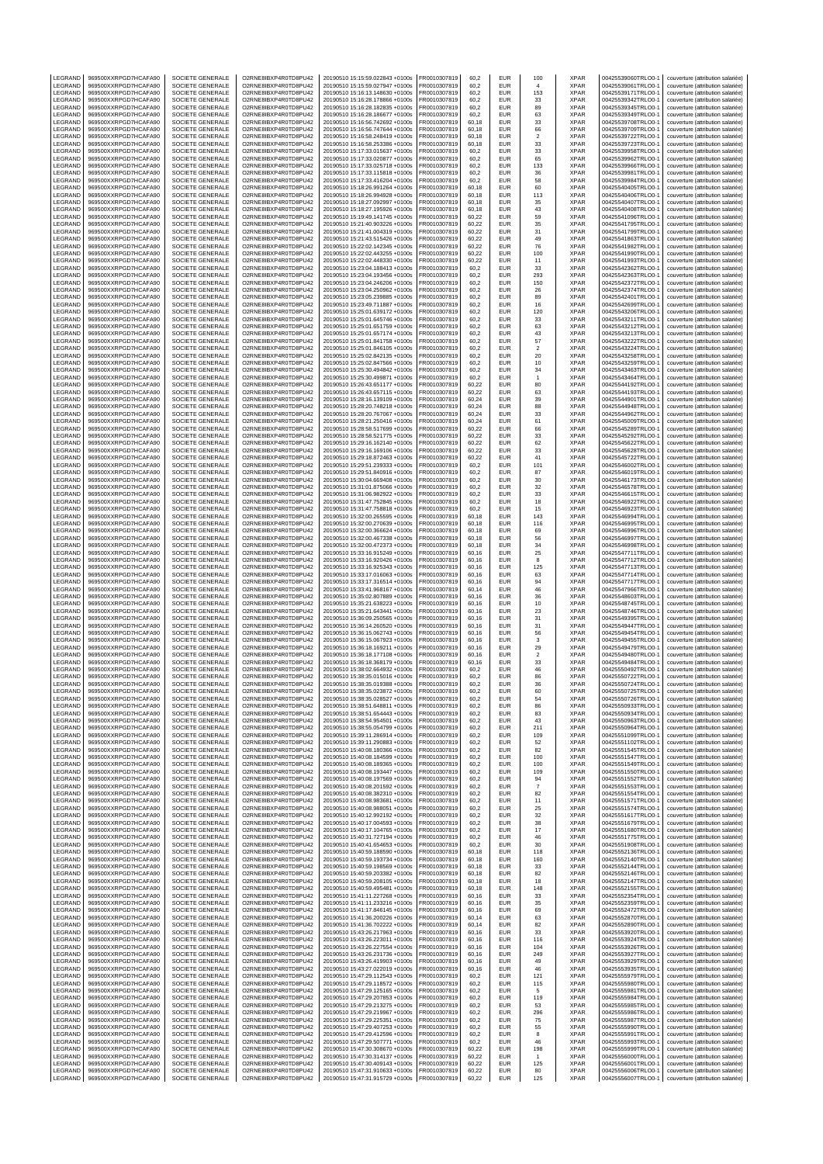| LEGRAND                       | 969500XXRPGD7HCAFA90                         | SOCIETE GENERALE                                         | O2RNE8IBXP4R0TD8PU42                         | 20190510 15:15:59.022843 +0100s                                    | FR0010307819                 | 60,2           | EUR                      | 100               | <b>XPAR</b>                        | 00425539060TRLO0-1                       | couverture (attribution salariée)                                      |
|-------------------------------|----------------------------------------------|----------------------------------------------------------|----------------------------------------------|--------------------------------------------------------------------|------------------------------|----------------|--------------------------|-------------------|------------------------------------|------------------------------------------|------------------------------------------------------------------------|
| LEGRAND                       | 969500XXRPGD7HCAFA90                         | <b>SOCIETE GENERALE</b>                                  | O2RNE8IBXP4R0TD8PU42                         | 20190510 15:15:59.027947 +0100s                                    | FR0010307819                 | 60.2           | <b>EUR</b>               | $\overline{4}$    | <b>XPAR</b>                        | 00425539061TRLO0-1                       | couverture (attribution salariée)                                      |
| LEGRAND<br>LEGRAND            | 969500XXRPGD7HCAFA90<br>969500XXRPGD7HCAFA90 | SOCIETE GENERALE<br>SOCIETE GENERALE                     | O2RNE8IBXP4R0TD8PU42<br>O2RNE8IBXP4R0TD8PU42 | 20190510 15:16:13.148630 +0100s<br>20190510 15:16:28.178866 +0100s | FR0010307819<br>FR0010307819 | 60,2<br>60.2   | EUR<br><b>EUR</b>        | 153<br>33         | <b>XPAR</b><br><b>XPAR</b>         | 00425539171TRLO0-1<br>00425539342TRLO0-1 | couverture (attribution salariée)<br>couverture (attribution salariée) |
| LEGRAND                       | 969500XXRPGD7HCAFA90                         | SOCIETE GENERALE                                         | O2RNE8IBXP4R0TD8PU42                         | 20190510 15:16:28.182835 +0100s                                    | FR0010307819                 | 60,2           | EUR                      | 89                | <b>XPAR</b>                        | 00425539345TRLO0-1                       | couverture (attribution salariée)                                      |
| LEGRAND                       | 969500XXRPGD7HCAFA90                         | SOCIETE GENERALE                                         | O2RNE8IBXP4R0TD8PU42                         | 20190510 15:16:28.186677 +0100s                                    | FR0010307819                 | 60,2           | <b>EUR</b>               | 63                | <b>XPAR</b>                        | 00425539349TRLO0-1                       | couverture (attribution salariée)                                      |
| LEGRAND                       | 969500XXRPGD7HCAFA90                         | SOCIETE GENERALE                                         | O2RNE8IBXP4R0TD8PU42                         | 20190510 15:16:56.742692 +0100s                                    | FR0010307819                 | 60,18          | EUR                      | 33                | XPAR<br><b>XPAR</b>                | 00425539708TRLO0-1                       | couverture (attribution salariée)                                      |
| LEGRAND<br>LEGRAND            | 969500XXRPGD7HCAFA90<br>969500XXRPGD7HCAFA90 | SOCIETE GENERALE<br>SOCIETE GENERALE                     | O2RNE8IBXP4R0TD8PU42<br>O2RNE8IBXP4R0TD8PU42 | 20190510 15:16:56.747644 +0100s<br>20190510 15:16:58.248419 +0100s | FR0010307819<br>FR0010307819 | 60,18<br>60,18 | EUR<br>EUR               | 66<br>$\sqrt{2}$  | <b>XPAR</b>                        | 00425539709TRLO0-1<br>00425539722TRLO0-1 | couverture (attribution salariée)<br>couverture (attribution salariée) |
| LEGRAND                       | 969500XXRPGD7HCAFA90                         | SOCIETE GENERALE                                         | O2RNE8IBXP4R0TD8PU42                         | 20190510 15:16:58.253386 +0100s                                    | FR0010307819                 | 60,18          | EUR                      | 33                | <b>XPAR</b>                        | 00425539723TRLO0-1                       | couverture (attribution salariée)                                      |
| LEGRAND                       | 969500XXRPGD7HCAFA90                         | SOCIETE GENERALE                                         | O2RNE8IBXP4R0TD8PU42                         | 20190510 15:17:33.015637 +0100s                                    | FR0010307819                 | 60,2           | EUR                      | 33                | XPAR                               | 00425539958TRLO0-1                       | couverture (attribution salariée)                                      |
| LEGRAND<br>LEGRAND            | 969500XXRPGD7HCAFA90                         | SOCIETE GENERALE                                         | O2RNE8IBXP4R0TD8PU42<br>O2RNE8IBXP4R0TD8PU42 | 20190510 15:17:33.020877 +0100s                                    | FR0010307819                 | 60,2           | EUR<br>EUR               | 65                | <b>XPAR</b><br><b>XPAR</b>         | 00425539962TRLO0-1<br>00425539966TRLO0-1 | couverture (attribution salariée)                                      |
| LEGRAND                       | 969500XXRPGD7HCAFA90<br>969500XXRPGD7HCAFA90 | SOCIETE GENERALE<br>SOCIETE GENERALE                     | O2RNE8IBXP4R0TD8PU42                         | 20190510 15:17:33.025718 +0100s<br>20190510 15:17:33.115818 +0100s | FR0010307819<br>FR0010307819 | 60,2<br>60,2   | EUR                      | 133<br>36         | <b>XPAR</b>                        | 00425539981TRLO0-1                       | couverture (attribution salariée)<br>couverture (attribution salariée) |
| LEGRAND                       | 969500XXRPGD7HCAFA90                         | SOCIETE GENERALE                                         | O2RNE8IBXP4R0TD8PU42                         | 20190510 15:17:33.416204 +0100s                                    | FR0010307819                 | 60,2           | EUR                      | 58                | XPAR                               | 00425539984TRLO0-1                       | couverture (attribution salariée)                                      |
| LEGRAND                       | 969500XXRPGD7HCAFA90                         | SOCIETE GENERALE                                         | O2RNE8IBXP4R0TD8PU42                         | 20190510 15:18:26.991264 +0100s                                    | FR0010307819                 | 60,18          | EUR                      | 60                | <b>XPAR</b>                        | 00425540405TRLO0-1                       | couverture (attribution salariée)                                      |
| LEGRAND                       | 969500XXRPGD7HCAFA90                         | <b>SOCIETE GENERALE</b>                                  | O2RNE8IBXP4R0TD8PU42                         | 20190510 15:18:26.994928 +0100s                                    | FR0010307819                 | 60.18          | EUR                      | 113               | <b>XPAR</b>                        | 00425540406TRLO0-1                       | couverture (attribution salariée)                                      |
| LEGRAND<br>LEGRAND            | 969500XXRPGD7HCAFA90<br>969500XXRPGD7HCAFA90 | SOCIETE GENERALE<br><b>SOCIETE GENERALE</b>              | O2RNE8IBXP4R0TD8PU42<br>O2RNE8IBXP4R0TD8PU42 | 20190510 15:18:27.092997 +0100s<br>20190510 15:18:27.195926 +0100s | FR0010307819<br>FR0010307819 | 60,18<br>60.18 | EUR<br>EUR               | 35<br>43          | XPAR<br><b>XPAR</b>                | 00425540407TRLO0-1<br>00425540408TRLO0-1 | couverture (attribution salariée)<br>couverture (attribution salariée) |
| LEGRAND                       | 969500XXRPGD7HCAFA90                         | SOCIETE GENERALE                                         | O2RNE8IBXP4R0TD8PU42                         | 20190510 15:19:49.141745 +0100s                                    | FR0010307819                 | 60,22          | EUR                      | 59                | <b>XPAR</b>                        | 00425541096TRLO0-1                       | couverture (attribution salariée)                                      |
| LEGRAND                       | 969500XXRPGD7HCAFA90                         | <b>SOCIETE GENERALE</b>                                  | O2RNE8IBXP4R0TD8PU42                         | 20190510 15:21:40.903226 +0100s                                    | FR0010307819                 | 60.22          | EUR                      | 35                | <b>XPAR</b>                        | 00425541795TRLO0-1                       | couverture (attribution salariée)                                      |
| LEGRAND                       | 969500XXRPGD7HCAFA90                         | SOCIETE GENERALE                                         | O2RNE8IBXP4R0TD8PU42                         | 20190510 15:21:41.004319 +0100s                                    | FR0010307819                 | 60,22          | EUR                      | 31                | XPAR                               | 00425541799TRLO0-1                       | couverture (attribution salariée)                                      |
| LEGRAND<br>LEGRAND            | 969500XXRPGD7HCAFA90<br>969500XXRPGD7HCAFA90 | <b>SOCIETE GENERALE</b><br>SOCIETE GENERALE              | O2RNE8IBXP4R0TD8PU42<br>O2RNE8IBXP4R0TD8PU42 | 20190510 15:21:43.515426 +0100s<br>20190510 15:22:02.142345 +0100s | FR0010307819<br>FR0010307819 | 60.22<br>60,22 | EUR<br>EUR               | 49<br>76          | <b>XPAR</b><br><b>XPAR</b>         | 00425541863TRLO0-1<br>00425541982TRLO0-1 | couverture (attribution salariée)<br>couverture (attribution salariée) |
| LEGRAND                       | 969500XXRPGD7HCAFA90                         | <b>SOCIETE GENERALE</b>                                  | O2RNE8IBXP4R0TD8PU42                         | 20190510 15:22:02.443255 +0100s                                    | FR0010307819                 | 60.22          | EUR                      | 100               | <b>XPAR</b>                        | 00425541990TRLO0-1                       | couverture (attribution salariée)                                      |
| LEGRAND                       | 969500XXRPGD7HCAFA90                         | SOCIETE GENERALE                                         | O2RNE8IBXP4R0TD8PU42                         | 20190510 15:22:02.448330 +0100s                                    | FR0010307819                 | 60,22          | EUR                      | 11                | <b>XPAR</b>                        | 00425541993TRLO0-1                       | couverture (attribution salariée)                                      |
| LEGRAND                       | 969500XXRPGD7HCAFA90                         | SOCIETE GENERALE                                         | O2RNE8IBXP4R0TD8PU42                         | 20190510 15:23:04.188413 +0100s                                    | FR0010307819                 | 60,2           | EUR                      | 33                | XPAR                               | 00425542362TRLO0-1                       | couverture (attribution salariée)                                      |
| LEGRAND                       | 969500XXRPGD7HCAFA90                         | SOCIETE GENERALE                                         | O2RNE8IBXP4R0TD8PU42                         | 20190510 15:23:04.193456 +0100s                                    | FR0010307819                 | 60,2           | EUR                      | 293               | XPAR                               | 00425542363TRLO0-1                       | couverture (attribution salariée)                                      |
| LEGRAND<br>LEGRAND            | 969500XXRPGD7HCAFA90<br>969500XXRPGD7HCAFA90 | SOCIETE GENERALE<br>SOCIETE GENERALE                     | O2RNE8IBXP4R0TD8PU42<br>O2RNE8IBXP4R0TD8PU42 | 20190510 15:23:04.246206 +0100s<br>20190510 15:23:04.250962 +0100s | FR0010307819<br>FR0010307819 | 60,2<br>60,2   | EUR<br>EUR               | 150<br>${\bf 26}$ | <b>XPAR</b><br><b>XPAR</b>         | 00425542372TRLO0-1<br>00425542374TRLO0-1 | couverture (attribution salariée)<br>couverture (attribution salariée) |
| LEGRAND                       | 969500XXRPGD7HCAFA90                         | SOCIETE GENERALE                                         | O2RNE8IBXP4R0TD8PU42                         | 20190510 15:23:05.239885 +0100s                                    | FR0010307819                 | 60,2           | EUR                      | 89                | <b>XPAR</b>                        | 00425542401TRLO0-1                       | couverture (attribution salariée)                                      |
| LEGRAND                       | 969500XXRPGD7HCAFA90                         | SOCIETE GENERALE                                         | O2RNE8IBXP4R0TD8PU42                         | 20190510 15:23:49.711887 +0100s                                    | FR0010307819                 | 60,2           | EUR                      | 16                | XPAR                               | 00425542699TRLO0-1                       | couverture (attribution salariée)                                      |
| LEGRAND                       | 969500XXRPGD7HCAFA90                         | SOCIETE GENERALE                                         | O2RNE8IBXP4R0TD8PU42<br>O2RNE8IBXP4R0TD8PU42 | 20190510 15:25:01.639172 +0100s                                    | FR0010307819                 | 60,2           | <b>EUR</b>               | 120               | <b>XPAR</b><br><b>XPAR</b>         | 00425543206TRLO0-1                       | couverture (attribution salariée)                                      |
| LEGRAND<br>LEGRAND            | 969500XXRPGD7HCAFA90<br>969500XXRPGD7HCAFA90 | SOCIETE GENERALE<br>SOCIETE GENERALE                     | O2RNE8IBXP4R0TD8PU42                         | 20190510 15:25:01.645746 +0100s<br>20190510 15:25:01.651759 +0100s | FR0010307819<br>FR0010307819 | 60,2<br>60,2   | EUR<br><b>EUR</b>        | 33<br>63          | <b>XPAR</b>                        | 00425543211TRLO0-1<br>00425543212TRLO0-1 | couverture (attribution salariée)<br>couverture (attribution salariée) |
| LEGRAND                       | 969500XXRPGD7HCAFA90                         | SOCIETE GENERALE                                         | O2RNE8IBXP4R0TD8PU42                         | 20190510 15:25:01.657174 +0100s                                    | FR0010307819                 | 60,2           | EUR                      | 43                | XPAR                               | 00425543213TRLO0-1                       | couverture (attribution salariée)                                      |
| LEGRAND                       | 969500XXRPGD7HCAFA90                         | SOCIETE GENERALE                                         | O2RNE8IBXP4R0TD8PU42                         | 20190510 15:25:01.841758 +0100s                                    | FR0010307819                 | 60,2           | <b>EUR</b>               | 57                | <b>XPAR</b>                        | 00425543222TRLO0-1                       | couverture (attribution salariée)                                      |
| LEGRAND<br>LEGRAND            | 969500XXRPGD7HCAFA90<br>969500XXRPGD7HCAFA90 | SOCIETE GENERALE<br>SOCIETE GENERALE                     | O2RNE8IBXP4R0TD8PU42<br>O2RNE8IBXP4R0TD8PU42 | 20190510 15:25:01.846105 +0100s<br>20190510 15:25:02.842135 +0100s | FR0010307819<br>FR0010307819 | 60,2<br>60,2   | <b>EUR</b><br>EUR        | $\sqrt{2}$        | <b>XPAR</b><br><b>XPAR</b>         | 00425543224TRLO0-1<br>00425543258TRLO0-1 | couverture (attribution salariée)<br>couverture (attribution salariée) |
| LEGRAND                       | 969500XXRPGD7HCAFA90                         | SOCIETE GENERALE                                         | O2RNE8IBXP4R0TD8PU42                         | 20190510 15:25:02.847566 +0100s                                    | FR0010307819                 | 60.2           | EUR                      | 20<br>10          | <b>XPAR</b>                        | 00425543259TRLO0-1                       | couverture (attribution salariée)                                      |
| LEGRAND                       | 969500XXRPGD7HCAFA90                         | SOCIETE GENERALE                                         | O2RNE8IBXP4R0TD8PU42                         | 20190510 15:25:30.494842 +0100s                                    | FR0010307819                 | 60,2           | EUR                      | 34                | <b>XPAR</b>                        | 00425543463TRLO0-1                       | couverture (attribution salariée)                                      |
| LEGRAND                       | 969500XXRPGD7HCAFA90                         | SOCIETE GENERALE                                         | O2RNE8IBXP4R0TD8PU42                         | 20190510 15:25:30.499871 +0100s                                    | FR0010307819                 | 60,2           | <b>EUR</b>               | $\overline{1}$    | <b>XPAR</b>                        | 00425543464TRLO0-1                       | couverture (attribution salariée)                                      |
| LEGRAND<br>LEGRAND            | 969500XXRPGD7HCAFA90<br>969500XXRPGD7HCAFA90 | SOCIETE GENERALE<br><b>SOCIETE GENERALE</b>              | O2RNE8IBXP4R0TD8PU42<br>O2RNE8IBXP4R0TD8PU42 | 20190510 15:26:43.651177 +0100s<br>20190510 15:26:43.657115 +0100s | FR0010307819<br>FR0010307819 | 60,22<br>60.22 | EUR<br><b>EUR</b>        | 80                | <b>XPAR</b><br><b>XPAR</b>         | 00425544192TRLO0-1<br>00425544193TRLO0-1 | couverture (attribution salariée)<br>couverture (attribution salariée) |
| LEGRAND                       | 969500XXRPGD7HCAFA90                         | SOCIETE GENERALE                                         | O2RNE8IBXP4R0TD8PU42                         | 20190510 15:28:16.139109 +0100s                                    | FR0010307819                 | 60,24          | EUR                      | 63<br>39          | <b>XPAR</b>                        | 00425544901TRLO0-1                       | couverture (attribution salariée)                                      |
| LEGRAND                       | 969500XXRPGD7HCAFA90                         | <b>SOCIETE GENERALE</b>                                  | O2RNE8IBXP4R0TD8PU42                         | 20190510 15:28:20.748218 +0100s                                    | FR0010307819                 | 60.24          | EUR                      | 88                | <b>XPAR</b>                        | 00425544948TRLO0-1                       | couverture (attribution salariée)                                      |
| LEGRAND                       | 969500XXRPGD7HCAFA90                         | SOCIETE GENERALE                                         | O2RNE8IBXP4R0TD8PU42                         | 20190510 15:28:20.767067 +0100s                                    | FR0010307819                 | 60,24          | EUR                      | 33                | XPAR                               | 00425544962TRLO0-1                       | couverture (attribution salariée)                                      |
| LEGRAND                       | 969500XXRPGD7HCAFA90                         | <b>SOCIETE GENERALE</b>                                  | O2RNE8IBXP4R0TD8PU42                         | 20190510 15:28:21.250416 +0100s                                    | FR0010307819                 | 60.24          | EUR                      | 61                | <b>XPAR</b>                        | 00425545009TRLO0-1                       | couverture (attribution salariée)                                      |
| LEGRAND<br>LEGRAND            | 969500XXRPGD7HCAFA90<br>969500XXRPGD7HCAFA90 | SOCIETE GENERALE<br><b>SOCIETE GENERALE</b>              | O2RNE8IBXP4R0TD8PU42<br>O2RNE8IBXP4R0TD8PU42 | 20190510 15:28:58.517699 +0100s<br>20190510 15:28:58.521775 +0100s | FR0010307819<br>FR0010307819 | 60,22<br>60.22 | EUR<br><b>EUR</b>        | 66<br>33          | <b>XPAR</b><br><b>XPAR</b>         | 00425545289TRLO0-1<br>00425545292TRLO0-1 | couverture (attribution salariée)<br>couverture (attribution salariée) |
| LEGRAND                       | 969500XXRPGD7HCAFA90                         | SOCIETE GENERALE                                         | O2RNE8IBXP4R0TD8PU42                         | 20190510 15:29:16.162140 +0100s                                    | FR0010307819                 | 60,22          | EUR                      | 62                | XPAR                               | 00425545622TRLO0-1                       | couverture (attribution salariée)                                      |
| LEGRAND                       | 969500XXRPGD7HCAFA90                         | SOCIETE GENERALE                                         | O2RNE8IBXP4R0TD8PU42                         | 20190510 15:29:16.169106 +0100s                                    | FR0010307819                 | 60,22          | <b>EUR</b>               | 33                | <b>XPAR</b>                        | 00425545628TRLO0-1                       | couverture (attribution salariée)                                      |
| LEGRAND                       | 969500XXRPGD7HCAFA90                         | SOCIETE GENERALE                                         | O2RNE8IBXP4R0TD8PU42                         | 20190510 15:29:18.872463 +0100s                                    | FR0010307819                 | 60,22          | EUR                      | 41                | XPAR                               | 00425545722TRLO0-1                       | couverture (attribution salariée)                                      |
| LEGRAND<br>LEGRAND            | 969500XXRPGD7HCAFA90<br>969500XXRPGD7HCAFA90 | SOCIETE GENERALE<br>SOCIETE GENERALE                     | O2RNE8IBXP4R0TD8PU42<br>O2RNE8IBXP4R0TD8PU42 | 20190510 15:29:51.239333 +0100s                                    | FR0010307819                 | 60,2           | EUR<br>EUR               | 101               | <b>XPAR</b><br><b>XPAR</b>         | 00425546002TRLO0-1                       | couverture (attribution salariée)                                      |
| LEGRAND                       | 969500XXRPGD7HCAFA90                         | SOCIETE GENERALE                                         | O2RNE8IBXP4R0TD8PU42                         | 20190510 15:29:51.840916 +0100s<br>20190510 15:30:04.669408 +0100s | FR0010307819<br>FR0010307819 | 60,2<br>60,2   | EUR                      | 87<br>30          | <b>XPAR</b>                        | 00425546019TRLO0-1<br>00425546173TRLO0-1 | couverture (attribution salariée)<br>couverture (attribution salariée) |
| LEGRAND                       | 969500XXRPGD7HCAFA90                         | SOCIETE GENERALE                                         | O2RNE8IBXP4R0TD8PU42                         | 20190510 15:31:01.875066 +0100s                                    | FR0010307819                 | 60,2           | EUR                      | 32                | XPAR                               | 00425546578TRLO0-1                       | couverture (attribution salariée)                                      |
| LEGRAND                       | 969500XXRPGD7HCAFA90                         | SOCIETE GENERALE                                         | O2RNE8IBXP4R0TD8PU42                         | 20190510 15:31:06.982922 +0100s                                    | FR0010307819                 | 60,2           | EUR                      | 33                | <b>XPAR</b>                        | 00425546615TRLO0-1                       | couverture (attribution salariée)                                      |
| LEGRAND                       | 969500XXRPGD7HCAFA90                         | SOCIETE GENERALE                                         | O2RNE8IBXP4R0TD8PU42                         | 20190510 15:31:47.752845 +0100s                                    | FR0010307819                 | 60,2           | EUR<br><b>EUR</b>        | 18                | <b>XPAR</b><br><b>XPAR</b>         | 00425546922TRLO0-1                       | couverture (attribution salariée)                                      |
| LEGRAND<br>LEGRAND            | 969500XXRPGD7HCAFA90<br>969500XXRPGD7HCAFA90 | SOCIETE GENERALE<br>SOCIETE GENERALE                     | O2RNE8IBXP4R0TD8PU42<br>O2RNE8IBXP4R0TD8PU42 | 20190510 15:31:47.758818 +0100s<br>20190510 15:32:00.265595 +0100s | FR0010307819<br>FR0010307819 | 60,2<br>60,18  | EUR                      | 15<br>143         | XPAR                               | 00425546923TRLO0-1<br>00425546994TRLO0-1 | couverture (attribution salariée)<br>couverture (attribution salariée) |
| LEGRAND                       | 969500XXRPGD7HCAFA90                         | SOCIETE GENERALE                                         | O2RNE8IBXP4R0TD8PU42                         | 20190510 15:32:00.270639 +0100s                                    | FR0010307819                 | 60,18          | EUR                      | 116               | <b>XPAR</b>                        | 00425546995TRLO0-1                       | couverture (attribution salariée)                                      |
| LEGRAND                       | 969500XXRPGD7HCAFA90                         | SOCIETE GENERALE                                         | O2RNE8IBXP4R0TD8PU42                         | 20190510 15:32:00.366624 +0100s                                    | FR0010307819                 | 60,18          | EUR                      | 69                | <b>XPAR</b>                        | 00425546996TRLO0-1                       | couverture (attribution salariée)                                      |
| LEGRAND                       | 969500XXRPGD7HCAFA90                         | SOCIETE GENERALE                                         | O2RNE8IBXP4R0TD8PU42                         | 20190510 15:32:00.467338 +0100s                                    | FR0010307819                 | 60,18          | EUR                      | 56                | <b>XPAR</b>                        | 00425546997TRLO0-1                       | couverture (attribution salariée)                                      |
| LEGRAND<br>LEGRAND            | 969500XXRPGD7HCAFA90<br>969500XXRPGD7HCAFA90 | <b>SOCIETE GENERALE</b><br>SOCIETE GENERALE              | O2RNE8IBXP4R0TD8PU42<br>O2RNE8IBXP4R0TD8PU42 | 20190510 15:32:00.472373 +0100s<br>20190510 15:33:16.915249 +0100s | FR0010307819<br>FR0010307819 | 60.18<br>60,16 | EUR<br>EUR               | 34<br>25          | <b>XPAR</b><br><b>XPAR</b>         | 00425546998TRLO0-1<br>00425547711TRLO0-1 | couverture (attribution salariée)<br>couverture (attribution salariée) |
| LEGRAND                       | 969500XXRPGD7HCAFA90                         | <b>SOCIETE GENERALE</b>                                  | O2RNE8IBXP4R0TD8PU42                         | 20190510 15:33:16.920426 +0100s                                    | FR0010307819                 | 60.16          | EUR                      | 8                 | <b>XPAR</b>                        | 00425547712TRLO0-1                       | couverture (attribution salariée)                                      |
| LEGRAND                       | 969500XXRPGD7HCAFA90                         | SOCIETE GENERALE                                         | O2RNE8IBXP4R0TD8PU42                         | 20190510 15:33:16.925343 +0100s                                    | FR0010307819                 | 60,16          | EUR                      | 125               | XPAR                               | 00425547713TRLO0-1                       | couverture (attribution salariée)                                      |
| LEGRAND                       | 969500XXRPGD7HCAFA90                         | SOCIETE GENERALE                                         | O2RNE8IBXP4R0TD8PU42                         | 20190510 15:33:17.016063 +0100s                                    | FR0010307819                 | 60.16          | EUR                      | 63                | <b>XPAR</b>                        | 00425547714TRLO0-1                       | couverture (attribution salariée)                                      |
| LEGRAND<br>LEGRAND            | 969500XXRPGD7HCAFA90<br>969500XXRPGD7HCAFA90 | SOCIETE GENERALE<br><b>SOCIETE GENERALE</b>              | O2RNE8IBXP4R0TD8PU42<br>O2RNE8IBXP4R0TD8PU42 | 20190510 15:33:17.316514 +0100s<br>20190510 15:33:41.968167 +0100s | FR0010307819<br>FR0010307819 | 60,16<br>60.14 | EUR<br>EUR               | 94<br>46          | <b>XPAR</b><br><b>XPAR</b>         | 00425547717TRLO0-1<br>00425547966TRLO0-1 | couverture (attribution salariée)<br>couverture (attribution salariée) |
| LEGRAND                       | 969500XXRPGD7HCAFA90                         | SOCIETE GENERALE                                         | O2RNE8IBXP4R0TD8PU42                         | 20190510 15:35:02.807889 +0100s                                    | FR0010307819                 | 60,16          | EUR                      | 36                | <b>XPAR</b>                        | 00425548603TRLO0-1                       | couverture (attribution salariée)                                      |
| LEGRAND                       | 969500XXRPGD7HCAFA90                         | SOCIETE GENERALE                                         | O2RNE8IBXP4R0TD8PU42                         | 20190510 15:35:21.638223 +0100s                                    | FR0010307819                 | 60.16          | EUR                      | 10                | <b>XPAR</b>                        | 00425548745TRLO0-1                       | couverture (attribution salariée)                                      |
| LEGRAND                       | 969500XXRPGD7HCAFA90                         | SOCIETE GENERALE                                         | O2RNE8IBXP4R0TD8PU42                         | 20190510 15:35:21.643441 +0100s                                    | FR0010307819                 | 60,16          | EUR                      | 23                | <b>XPAR</b>                        | 00425548746TRLO0-1                       | couverture (attribution salariée)                                      |
| LEGRAND                       | 969500XXRPGD7HCAFA90                         | SOCIETE GENERALE                                         | O2RNE8IBXP4R0TD8PU42                         | 20190510 15:36:09.250565 +0100s                                    | FR0010307819                 | 60.16          | <b>EUR</b>               | 31                | <b>XPAR</b>                        | 00425549395TRLO0-1                       | couverture (attribution salariée)                                      |
| LEGRAND<br>LEGRAND            | 969500XXRPGD7HCAFA90<br>969500XXRPGD7HCAFA90 | SOCIETE GENERALE<br>SOCIETE GENERALE                     | O2RNE8IBXP4R0TD8PU42<br>O2RNE8IBXP4R0TD8PU42 | 20190510 15:36:14.260520 +0100s<br>20190510 15:36:15.062743 +0100s | FR0010307819<br>FR0010307819 | 60,16<br>60,16 | <b>EUR</b><br><b>EUR</b> | 31<br>56          | <b>XPAR</b><br><b>XPAR</b>         | 00425549447TRLO0-1<br>00425549454TRLO0-1 | couverture (attribution salariée)<br>couverture (attribution salariée) |
| LEGRAND                       | 969500XXRPGD7HCAFA90                         | SOCIETE GENERALE                                         | O2RNE8IBXP4R0TD8PU42                         | 20190510 15:36:15.067923 +0100s                                    | FR0010307819                 | 60,16          | EUR                      | $\mathsf 3$       | XPAR                               | 00425549455TRLO0-1                       | couverture (attribution salariée)                                      |
| LEGRAND                       | 969500XXRPGD7HCAFA90                         | SOCIETE GENERALE                                         | O2RNE8IBXP4R0TD8PU42                         | 20190510 15:36:18.169211 +0100s                                    | FR0010307819                 | 60,16          | <b>EUR</b>               | 29                | <b>XPAR</b>                        | 00425549479TRLO0-1                       | couverture (attribution salariée)                                      |
| LEGRAND                       | 969500XXRPGD7HCAFA90                         | SOCIETE GENERALE                                         | O2RNE8IBXP4R0TD8PU42                         | 20190510 15:36:18.177108 +0100s                                    | FR0010307819                 | 60,16          | EUR                      | $\sqrt{2}$        | <b>XPAR</b>                        | 00425549480TRLO0-1                       | couverture (attribution salariée)                                      |
| LEGRAND<br>LEGRAND            | 969500XXRPGD7HCAFA90<br>969500XXRPGD7HCAFA90 | SOCIETE GENERALE<br>SOCIETE GENERALE                     | O2RNE8IBXP4R0TD8PU42<br>O2RNE8IBXP4R0TD8PU42 | 20190510 15:36:18.368179 +0100s<br>20190510 15:38:02.664932 +0100s | FR0010307819<br>FR0010307819 | 60,16<br>60,2  | <b>EUR</b><br>EUR        | 33<br>46          | <b>XPAR</b><br><b>XPAR</b>         | 00425549484TRLO0-1<br>00425550492TRLO0-1 | couverture (attribution salariée)<br>couverture (attribution salariée) |
| LEGRAND                       | 969500XXRPGD7HCAFA90                         | SOCIETE GENERALE                                         | O2RNE8IBXP4R0TD8PU42                         | 20190510 15:38:35.015016 +0100s                                    | FR0010307819                 | 60,2           | <b>EUR</b>               | 86                | <b>XPAR</b>                        | 00425550722TRLO0-1                       | couverture (attribution salariée)                                      |
| LEGRAND                       | 969500XXRPGD7HCAFA90                         | SOCIETE GENERALE                                         | O2RNE8IBXP4R0TD8PU42                         | 20190510 15:38:35.019388 +0100s                                    | FR0010307819                 | 60,2           | <b>EUR</b>               | 36                | <b>XPAR</b>                        | 00425550724TRLO0-1                       | couverture (attribution salariée)                                      |
| LEGRAND                       | 969500XXRPGD7HCAFA90                         | SOCIETE GENERALE                                         | O2RNE8IBXP4R0TD8PU42                         | 20190510 15:38:35.023872 +0100s                                    | FR0010307819                 | 60,2           | EUR                      | 60                | <b>XPAR</b>                        | 00425550725TRLO0-1                       | couverture (attribution salariée)                                      |
| <b>IFGRAND</b><br>LEGRAND     | 969500XXRPGD7HCAFA90<br>969500XXRPGD7HCAFA90 | <b>SOCIETE GENERALE</b><br>SOCIETE GENERALE              | O2RNE8IBXP4R0TD8PU42<br>O2RNE8IBXP4R0TD8PU42 | 20190510 15:38:35.028527 +0100s<br>20190510 15:38:51.648811 +0100s | FR0010307819<br>FR0010307819 | 60.2<br>60,2   | EUR<br><b>EUR</b>        | 54<br>86          | <b>XPAR</b><br><b>XPAR</b>         | 00425550726TRLO0-1<br>00425550933TRLO0-1 | couverture (attribution salariée)<br>couverture (attribution salariée) |
| LEGRAND                       | 969500XXRPGD7HCAFA90                         | SOCIETE GENERALE                                         | O2RNE8IBXP4R0TD8PU42                         | 20190510 15:38:51.654443 +0100s                                    | FR0010307819                 | 60,2           | EUR                      | 83                | <b>XPAR</b>                        | 00425550934TRLO0-1                       | couverture (attribution salariée)                                      |
| LEGRAND                       | 969500XXRPGD7HCAFA90                         | SOCIETE GENERALE                                         | O2RNE8IBXP4R0TD8PU42                         | 20190510 15:38:54.954501 +0100s                                    | FR0010307819                 | 60,2           | EUR                      | 43                | XPAR                               | 00425550963TRLO0-1                       | couverture (attribution salariée)                                      |
| LEGRAND                       | 969500XXRPGD7HCAFA90                         | SOCIETE GENERALE                                         | O2RNE8IBXP4R0TD8PU42                         | 20190510 15:38:55.054799 +0100s                                    | FR0010307819                 | 60.2           | <b>EUR</b>               | 211               | <b>XPAR</b>                        | 00425550964TRLO0-1                       | couverture (attribution salariée)                                      |
| LEGRAND<br>LEGRAND            | 969500XXRPGD7HCAFA90<br>969500XXRPGD7HCAFA90 | SOCIETE GENERALE<br>SOCIETE GENERALE                     | O2RNE8IBXP4R0TD8PU42<br>O2RNE8IBXP4R0TD8PU42 | 20190510 15:39:11.286914 +0100s<br>20190510 15:39:11.290883 +0100s | FR0010307819<br>FR0010307819 | 60,2<br>60,2   | EUR<br>EUR               | 109<br>52         | XPAR<br><b>XPAR</b>                | 00425551099TRLO0-1<br>00425551102TRLO0-1 | couverture (attribution salariée)<br>couverture (attribution salariée) |
| LEGRAND                       | 969500XXRPGD7HCAFA90                         | SOCIETE GENERALE                                         | O2RNE8IBXP4R0TD8PU42                         | 20190510 15:40:08.180366 +0100s                                    | FR0010307819                 | 60,2           | EUR                      | 82                | XPAR                               | 00425551545TRLO0-1                       | couverture (attribution salariée)                                      |
| LEGRAND                       | 969500XXRPGD7HCAFA90                         | SOCIETE GENERALE                                         | O2RNE8IBXP4R0TD8PU42                         | 20190510 15:40:08.184599 +0100s                                    | FR0010307819                 | 60.2           | <b>EUR</b>               | 100               | <b>XPAR</b>                        | 00425551547TRLO0-1                       | couverture (attribution salariée)                                      |
| LEGRAND                       | 969500XXRPGD7HCAFA90                         | SOCIETE GENERALE                                         | O2RNE8IBXP4R0TD8PU42                         | 20190510 15:40:08.189365 +0100s                                    | FR0010307819                 | 60,2           | EUR                      | 100               | XPAR                               | 00425551549TRLO0-1                       | couverture (attribution salariée)                                      |
| LEGRAND<br>LEGRAND            | 969500XXRPGD7HCAFA90<br>969500XXRPGD7HCAFA90 | SOCIETE GENERALE<br>SOCIETE GENERALE                     | O2RNE8IBXP4R0TD8PU42<br>O2RNE8IBXP4R0TD8PU42 | 20190510 15:40:08.193447 +0100s<br>20190510 15:40:08.197569 +0100s | FR0010307819<br>FR0010307819 | 60,2<br>60,2   | EUR<br>EUR               | 109<br>94         | <b>XPAR</b><br>XPAR                | 00425551550TRLO0-1<br>00425551552TRLO0-1 | couverture (attribution salariée)<br>couverture (attribution salariée) |
| LEGRAND                       | 969500XXRPGD7HCAFA90                         | SOCIETE GENERALE                                         | O2RNE8IBXP4R0TD8PU42                         | 20190510 15:40:08.201592 +0100s                                    | FR0010307819                 | 60.2           | <b>EUR</b>               | $\overline{7}$    | <b>XPAR</b>                        | 00425551553TRLO0-1                       | couverture (attribution salariée)                                      |
| LEGRAND                       | 969500XXRPGD7HCAFA90                         | SOCIETE GENERALE                                         | O2RNE8IBXP4R0TD8PU42                         | 20190510 15:40:08.382310 +0100s                                    | FR0010307819                 | 60,2           | EUR                      | 82                | XPAR                               | 00425551554TRLO0-1                       | couverture (attribution salariée)                                      |
| LEGRAND                       | 969500XXRPGD7HCAFA90<br>969500XXRPGD7HCAFA90 | SOCIETE GENERALE                                         | O2RNE8IBXP4R0TD8PU42<br>O2RNE8IBXP4R0TD8PU42 | 20190510 15:40:08 983681 +0100s                                    | FR0010307819<br>FR0010307819 | 60.2           | EUR<br><b>EUR</b>        | 11                | <b>XPAR</b><br><b>XPAR</b>         | 00425551571TRLO0-1                       | couverture (attribution salariée)                                      |
| LEGRAND<br>LEGRAND            | 969500XXRPGD7HCAFA90                         | SOCIETE GENERALE<br>SOCIETE GENERALE                     | O2RNE8IBXP4R0TD8PU42                         | 20190510 15:40:08.988051 +0100s<br>20190510 15:40:12.992192 +0100s | FR0010307819                 | 60,2<br>60,2   | <b>EUR</b>               | 25<br>32          | <b>XPAR</b>                        | 00425551574TRLO0-1<br>00425551617TRLO0-1 | couverture (attribution salariée)<br>couverture (attribution salariée) |
| LEGRAND                       | 969500XXRPGD7HCAFA90                         | SOCIETE GENERALE                                         | O2RNE8IBXP4R0TD8PU42                         | 20190510 15:40:17.004593 +0100s                                    | FR0010307819                 | 60,2           | <b>EUR</b>               | 38                | <b>XPAR</b>                        | 00425551679TRLO0-1                       | couverture (attribution salariée)                                      |
| LEGRAND                       | 969500XXRPGD7HCAFA90                         | SOCIETE GENERALE                                         | O2RNE8IBXP4R0TD8PU42                         | 20190510 15:40:17.104765 +0100s                                    | FR0010307819                 | 60,2           | <b>EUR</b>               | 17                | <b>XPAR</b>                        | 00425551680TRLO0-1                       | couverture (attribution salariée)                                      |
| LEGRAND<br>LEGRAND            | 969500XXRPGD7HCAFA90<br>969500XXRPGD7HCAFA90 | SOCIETE GENERALE<br>SOCIETE GENERALE                     | O2RNE8IBXP4R0TD8PU42<br>O2RNE8IBXP4R0TD8PU42 | 20190510 15:40:31.727194 +0100s<br>20190510 15:40:41.654653 +0100s | FR0010307819<br>FR0010307819 | 60,2<br>60,2   | <b>EUR</b><br>EUR        | 46<br>30          | <b>XPAR</b><br><b>XPAR</b>         | 00425551775TRLO0-1<br>00425551908TRLO0-1 | couverture (attribution salariée)<br>couverture (attribution salariée) |
| LEGRAND                       | 969500XXRPGD7HCAFA90                         | SOCIETE GENERALE                                         | O2RNE8IBXP4R0TD8PU42                         | 20190510 15:40:59.188590 +0100s                                    | FR0010307819                 | 60.18          | <b>EUR</b>               | 118               | <b>XPAR</b>                        | 00425552136TRLO0-1                       | couverture (attribution salariée)                                      |
| <b>IFGRAND</b>                | 969500XXRPGD7HCAFA90                         | SOCIETE GENERALE                                         | O2RNE8IBXP4R0TD8PU42                         | 20190510 15:40:59.193734 +0100s                                    | FR0010307819                 | 60.18          | <b>EUR</b>               | 160               | <b>XPAR</b>                        | 00425552140TRLO0-1                       | couverture (attribution salariée)                                      |
| LEGRAND                       | 969500XXRPGD7HCAFA90                         | SOCIETE GENERALE                                         | O2RNE8IBXP4R0TD8PU42                         | 20190510 15:40:59.198569 +0100s                                    | FR0010307819                 | 60.18          | <b>EUR</b>               | 33                | <b>XPAR</b>                        | 00425552144TRLO0-1                       | couverture (attribution salariée)                                      |
| LEGRAND<br>LEGRAND            | 969500XXRPGD7HCAFA90<br>969500XXRPGD7HCAFA90 | SOCIETE GENERALE<br>SOCIETE GENERALE                     | O2RNE8IBXP4R0TD8PU42<br>O2RNE8IBXP4R0TD8PU42 | 20190510 15:40:59.203382 +0100s<br>20190510 15:40:59.208105 +0100s | FR0010307819<br>FR0010307819 | 60,18<br>60.18 | EUR<br>EUR               | 82<br>18          | <b>XPAR</b><br><b>XPAR</b>         | 00425552146TRLO0-1<br>00425552147TRLO0-1 | couverture (attribution salariée)<br>couverture (attribution salariée) |
| LEGRAND                       | 969500XXRPGD7HCAFA90                         | SOCIETE GENERALE                                         | O2RNE8IBXP4R0TD8PU42                         | 20190510 15:40:59.495481 +0100s                                    | FR0010307819                 | 60,18          | EUR                      | 148               | XPAR                               | 00425552155TRLO0-1                       | couverture (attribution salariée)                                      |
| LEGRAND                       | 969500XXRPGD7HCAFA90                         | SOCIETE GENERALE                                         | O2RNE8IBXP4R0TD8PU42                         | 20190510 15:41:11.227268 +0100s                                    | FR0010307819                 | 60.16          | EUR                      | 33                | <b>XPAR</b>                        | 00425552354TRLO0-1                       | couverture (attribution salariée)                                      |
| LEGRAND                       | 969500XXRPGD7HCAFA90                         | SOCIETE GENERALE                                         | O2RNE8IBXP4R0TD8PU42                         | 20190510 15:41:11.233216 +0100s                                    | FR0010307819                 | 60,16          | EUR                      | 35                | XPAR                               | 00425552359TRLO0-1                       | couverture (attribution salariée)                                      |
| LEGRAND<br>LEGRAND            | 969500XXRPGD7HCAFA90<br>969500XXRPGD7HCAFA90 | SOCIETE GENERALE<br>SOCIETE GENERALE                     | O2RNE8IBXP4R0TD8PU42<br>O2RNE8IBXP4R0TD8PU42 | 20190510 15:41:17.846145 +0100s<br>20190510 15:41:36.200226 +0100s | FR0010307819<br>FR0010307819 | 60.16<br>60,14 | <b>EUR</b><br>EUR        | 69<br>63          | <b>XPAR</b><br>XPAR                | 00425552472TRLO0-1<br>00425552870TRLO0-1 | couverture (attribution salariée)<br>couverture (attribution salariée) |
| LEGRAND                       | 969500XXRPGD7HCAFA90                         | SOCIETE GENERALE                                         | O2RNE8IBXP4R0TD8PU42                         | 20190510 15:41:36.702222 +0100s                                    | FR0010307819                 | 60.14          | EUR                      | 82                | <b>XPAR</b>                        | 00425552890TRLO0-1                       | couverture (attribution salariée)                                      |
| LEGRAND                       | 969500XXRPGD7HCAFA90                         | SOCIETE GENERALE                                         | O2RNE8IBXP4R0TD8PU42                         | 20190510 15:43:26.217963 +0100s                                    | FR0010307819                 | 60,16          | EUR                      | 33                | XPAR                               | 00425553920TRLO0-1                       | couverture (attribution salariée)                                      |
| LEGRAND                       | 969500XXRPGD7HCAFA90                         | SOCIETE GENERALE                                         | O2RNE8IBXP4R0TD8PU42                         | 20190510 15:43:26.223011 +0100s                                    | FR0010307819                 | 60.16          | EUR                      | 116               | <b>XPAR</b>                        | 00425553924TRLO0-1                       | couverture (attribution salariée)                                      |
| LEGRAND<br>LEGRAND            | 969500XXRPGD7HCAFA90<br>969500XXRPGD7HCAFA90 | SOCIETE GENERALE<br>SOCIETE GENERALE                     | O2RNE8IBXP4R0TD8PU42<br>O2RNE8IBXP4R0TD8PU42 | 20190510 15:43:26.227554 +0100s<br>20190510 15:43:26.231736 +0100s | FR0010307819<br>FR0010307819 | 60,16<br>60.16 | EUR<br>EUR               | 104<br>249        | XPAR<br><b>XPAR</b>                | 00425553926TRLO0-1<br>00425553927TRLO0-1 | couverture (attribution salariée)<br>couverture (attribution salariée) |
| LEGRAND                       | 969500XXRPGD7HCAFA90                         | SOCIETE GENERALE                                         | O2RNE8IBXP4R0TD8PU42                         | 20190510 15:43:26.419903 +0100s                                    | FR0010307819                 | 60,16          | EUR                      | 49                | XPAR                               | 00425553929TRLO0-1                       | couverture (attribution salariée)                                      |
| LEGRAND                       | 969500XXRPGD7HCAFA90                         | SOCIETE GENERALE                                         | O2RNE8IBXP4R0TD8PU42                         | 20190510 15:43:27.022019 +0100s                                    | FR0010307819                 | 60,16          | <b>EUR</b>               | 46                | <b>XPAR</b>                        | 00425553935TRLO0-1                       | couverture (attribution salariée)                                      |
| LEGRAND                       | 969500XXRPGD7HCAFA90                         | SOCIETE GENERALE                                         | O2RNE8IBXP4R0TD8PU42                         | 20190510 15:47:29.112543 +0100s                                    | FR0010307819                 | 60,2           | <b>EUR</b>               | 121               | <b>XPAR</b>                        | 00425555979TRLO0-1                       | couverture (attribution salariée)                                      |
| LEGRAND<br>LEGRAND            | 969500XXRPGD7HCAFA90<br>969500XXRPGD7HCAFA90 | SOCIETE GENERALE<br>SOCIETE GENERALE                     | O2RNE8IBXP4R0TD8PU42<br>O2RNE8IBXP4R0TD8PU42 | 20190510 15:47:29.118572 +0100s<br>20190510 15:47:29.125165 +0100s | FR0010307819<br>FR0010307819 | 60.2<br>60,2   | <b>EUR</b><br><b>EUR</b> | 115<br>5          | <b>XPAR</b><br><b>XPAR</b>         | 00425555980TRLO0-1<br>00425555981TRLO0-1 | couverture (attribution salariée)<br>couverture (attribution salariée) |
| LEGRAND                       | 969500XXRPGD7HCAFA90                         | SOCIETE GENERALE                                         | O2RNE8IBXP4R0TD8PU42                         | 20190510 15:47:29.207853 +0100s                                    | FR0010307819                 | 60,2           | EUR                      | 119               | <b>XPAR</b>                        | 00425555984TRLO0-1                       | couverture (attribution salariée)                                      |
| LEGRAND                       | 969500XXRPGD7HCAFA90                         | SOCIETE GENERALE                                         | O2RNE8IBXP4R0TD8PU42                         | 20190510 15:47:29.213275 +0100s                                    | FR0010307819                 | 60,2           | <b>EUR</b>               | 53                | <b>XPAR</b>                        | 00425555985TRLO0-1                       | couverture (attribution salariée)                                      |
| LEGRAND                       | 969500XXRPGD7HCAFA90                         | SOCIETE GENERALE                                         | O2RNE8IBXP4R0TD8PU42                         | 20190510 15:47:29.219967 +0100s                                    | FR0010307819                 | 60,2           | <b>EUR</b>               | 296               | <b>XPAR</b>                        | 00425555986TRLO0-1                       | couverture (attribution salariée)                                      |
| LEGRAND<br>LEGRAND            |                                              | SOCIETE GENERALE                                         | O2RNE8IBXP4R0TD8PU42                         | 20190510 15:47:29.225351 +0100s                                    | FR0010307819                 | 60,2<br>60,2   | <b>EUR</b><br><b>EUR</b> | 75<br>55          | <b>XPAR</b><br><b>XPAR</b>         | 00425555987TRLO0-1                       | couverture (attribution salariée)                                      |
|                               | 969500XXRPGD7HCAFA90<br>969500XXRPGD7HCAFA90 |                                                          | O2RNE8IBXP4R0TD8PU42                         |                                                                    |                              |                |                          |                   |                                    |                                          |                                                                        |
| LEGRAND                       | 969500XXRPGD7HCAFA90                         | SOCIETE GENERALE<br>SOCIETE GENERALE                     | O2RNE8IBXP4R0TD8PU42                         | 20190510 15:47:29.407253 +0100s<br>20190510 15:47:29.412596 +0100s | FR0010307819<br>FR0010307819 | 60.2           | <b>EUR</b>               | 8                 | <b>XPAR</b>                        | 00425555990TRLO0-1<br>00425555991TRLO0-1 | couverture (attribution salariée)<br>couverture (attribution salariée) |
| LEGRAND                       | 969500XXRPGD7HCAFA90                         | SOCIETE GENERALE                                         | O2RNE8IBXP4R0TD8PU42                         | 20190510 15:47:29.507771 +0100s                                    | FR0010307819                 | 60,2           | <b>EUR</b>               | 46                | <b>XPAR</b>                        | 00425555993TRLO0-1                       | couverture (attribution salariée)                                      |
| LEGRAND                       | 969500XXRPGD7HCAFA90                         | SOCIETE GENERALE                                         | O2RNE8IBXP4R0TD8PU42                         | 20190510 15:47:30.308670 +0100s                                    | FR0010307819                 | 60.22          | <b>EUR</b>               | 198               | <b>XPAR</b>                        | 00425555999TRLO0-1                       | couverture (attribution salariée)                                      |
| LEGRAND                       | 969500XXRPGD7HCAFA90                         | SOCIETE GENERALE                                         | O2RNE8IBXP4R0TD8PU42                         | 20190510 15:47:30.314137 +0100s                                    | FR0010307819                 | 60,22          | EUR                      | $\mathbf{1}$      | XPAR                               | 00425556000TRLO0-1                       | couverture (attribution salariée)                                      |
| LEGRAND<br>LEGRAND<br>LEGRAND | 969500XXRPGD7HCAFA90<br>969500XXRPGD7HCAFA90 | SOCIETE GENERALE<br>SOCIETE GENERALE<br>SOCIETE GENERALE | O2RNE8IBXP4R0TD8PU42<br>O2RNE8IBXP4R0TD8PU42 | 20190510 15:47:30.409143 +0100s<br>20190510 15:47:31.910633 +0100s | FR0010307819<br>FR0010307819 | 60.22<br>60,22 | <b>EUR</b><br>EUR<br>EUR | 125<br>80<br>125  | <b>XPAR</b><br>XPAR<br><b>XPAR</b> | 00425556001TRLO0-1<br>00425556006TRLO0-1 | couverture (attribution salariée)<br>couverture (attribution salariée) |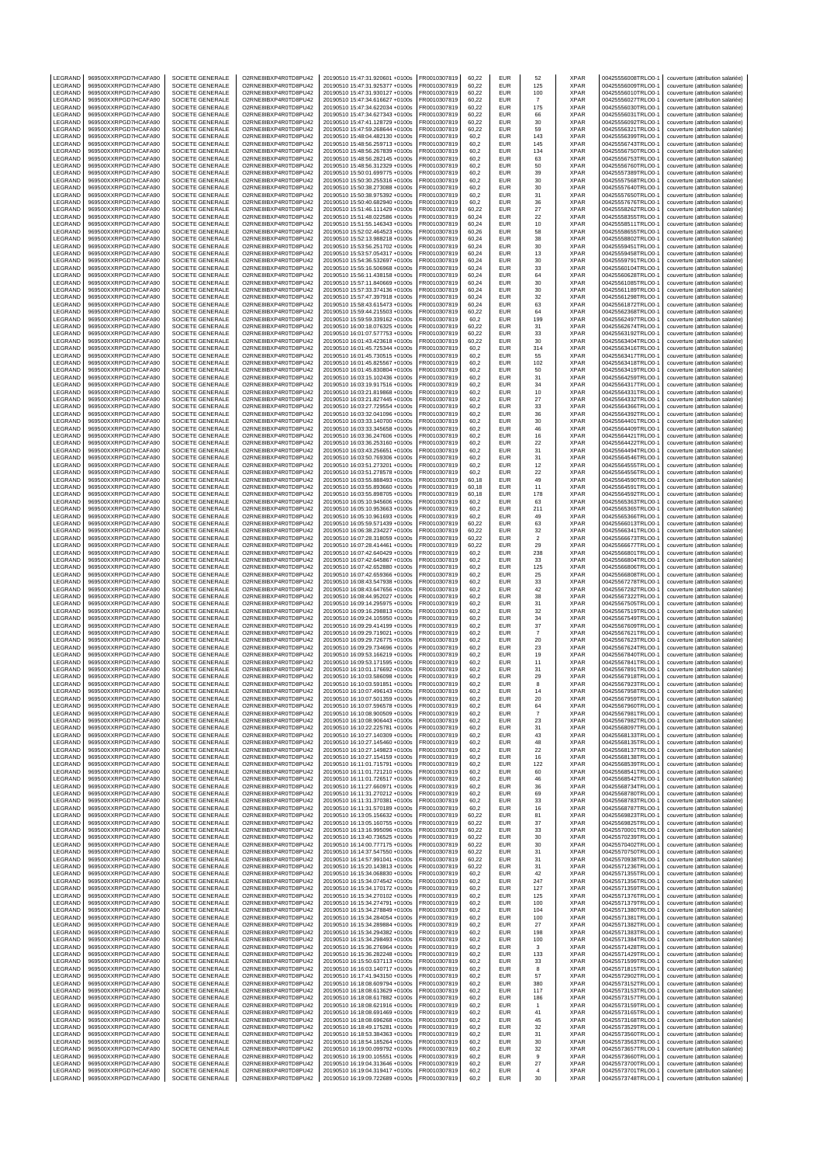| LEGRAND                   | 969500XXRPGD7HCAFA90                         | SOCIETE GENERALE                            | O2RNE8IBXP4R0TD8PU42                         | 20190510 15:47:31.920601 +0100s                                    | FR0010307819                 | 60,22          | EUR                      | 52                       | XPAR                       | 00425556008TRLO0-1                       | couverture (attribution salariée)                                      |
|---------------------------|----------------------------------------------|---------------------------------------------|----------------------------------------------|--------------------------------------------------------------------|------------------------------|----------------|--------------------------|--------------------------|----------------------------|------------------------------------------|------------------------------------------------------------------------|
| LEGRAND<br>LEGRAND        | 969500XXRPGD7HCAFA90<br>969500XXRPGD7HCAFA90 | SOCIETE GENERALE<br>SOCIETE GENERALE        | O2RNE8IBXP4R0TD8PU42<br>O2RNE8IBXP4R0TD8PU42 | 20190510 15:47:31.925377 +0100s<br>20190510 15:47:31.930127 +0100s | FR0010307819<br>R0010307819  | 60.22<br>60,22 | <b>EUR</b><br>EUR        | 125<br>100               | <b>XPAR</b><br>XPAR        | 00425556009TRLO0-1<br>00425556010TRLO0-1 | couverture (attribution salariée)<br>couverture (attribution salariée) |
| LEGRAND                   | 969500XXRPGD7HCAFA90                         | SOCIETE GENERALE                            | O2RNE8IBXP4R0TD8PU42                         | 20190510 15:47:34.616627 +0100s                                    | FR0010307819                 | 60.22          | <b>EUR</b>               | -7                       | <b>XPAR</b>                | 00425556027TRLO0-1                       | couverture (attribution salariée)                                      |
| LEGRAND                   | 969500XXRPGD7HCAFA90                         | SOCIETE GENERALE                            | O2RNE8IBXP4R0TD8PU42                         | 20190510 15:47:34.622034 +0100s                                    | FR0010307819                 | 60,22          | EUR                      | 175                      | <b>XPAR</b>                | 00425556030TRLO0-1                       | couverture (attribution salariée)                                      |
| LEGRAND<br>LEGRAND        | 969500XXRPGD7HCAFA90<br>969500XXRPGD7HCAFA90 | SOCIETE GENERALE<br>SOCIETE GENERALE        | O2RNE8IBXP4R0TD8PU42<br>O2RNE8IBXP4R0TD8PU42 | 20190510 15:47:34.627343 +0100s<br>20190510 15:47:41.128729 +0100s | FR0010307819<br>FR0010307819 | 60,22<br>60,22 | EUR<br>EUR               | 66<br>30                 | <b>XPAR</b><br>XPAR        | 00425556031TRLO0-1<br>00425556092TRLO0-1 | couverture (attribution salariée)<br>couverture (attribution salariée) |
| LEGRAND                   | 969500XXRPGD7HCAFA90                         | SOCIETE GENERALE                            | O2RNE8IBXP4R0TD8PU42                         | 20190510 15:47:59.268644 +0100s                                    | FR0010307819                 | 60,22          | EUR                      | 59                       | <b>XPAR</b>                | 00425556321TRLO0-1                       | couverture (attribution salariée)                                      |
| LEGRAND                   | 969500XXRPGD7HCAFA90                         | SOCIETE GENERALE                            | O2RNE8IBXP4R0TD8PU42<br>O2RNE8IBXP4R0TD8PU42 | 20190510 15:48:04.482130 +0100s                                    | R0010307819                  | 60,2           | EUR                      | 143                      | <b>XPAR</b>                | 00425556399TRLO0-1                       | couverture (attribution salariée)                                      |
| LEGRAND<br>LEGRAND        | 969500XXRPGD7HCAFA90<br>969500XXRPGD7HCAFA90 | SOCIETE GENERALE<br>SOCIETE GENERALE        | O2RNE8IBXP4R0TD8PU42                         | 20190510 15:48:56.259713 +0100s<br>20190510 15:48:56.267839 +0100s | FR0010307819<br>R0010307819  | 60,2<br>60,2   | EUR<br>EUR               | 145<br>134               | XPAR<br>XPAR               | 00425556743TRLO0-1<br>00425556750TRLO0-1 | couverture (attribution salariée)<br>couverture (attribution salariée) |
| LEGRAND                   | 969500XXRPGD7HCAFA90                         | SOCIETE GENERALE                            | O2RNE8IBXP4R0TD8PU42                         | 20190510 15:48:56.282145 +0100s                                    | FR0010307819                 | 60,2           | <b>EUR</b>               | 63                       | <b>XPAR</b>                | 00425556753TRLO0-1                       | couverture (attribution salariée)                                      |
| LEGRAND<br>LEGRAND        | 969500XXRPGD7HCAFA90<br>969500XXRPGD7HCAFA90 | SOCIETE GENERALE<br>SOCIETE GENERALE        | O2RNE8IBXP4R0TD8PU42<br>O2RNE8IBXP4R0TD8PU42 | 20190510 15:48:56.312329 +0100s<br>20190510 15:50:01.699775 +0100s | R0010307819<br>FR0010307819  | 60,2<br>60,2   | EUR<br>EUR               | 50<br>39                 | XPAR<br><b>XPAR</b>        | 00425556760TRLO0-1<br>00425557389TRLO0-  | couverture (attribution salariée)<br>couverture (attribution salariée) |
| LEGRAND                   | 969500XXRPGD7HCAFA90                         | SOCIETE GENERALE                            | O2RNE8IBXP4R0TD8PU42                         | 20190510 15:50:30.255316 +0100s                                    | FR0010307819                 | 60,2           | EUR                      | 30                       | XPAR                       | 00425557568TRLO0-1                       | couverture (attribution salariée)                                      |
| LEGRAND                   | 969500XXRPGD7HCAFA90                         | SOCIETE GENERALE                            | O2RNE8IBXP4R0TD8PU42                         | 20190510 15:50:38.273088 +0100s                                    | R0010307819                  | 60,2           | EUR                      | 30                       | XPAR                       | 00425557640TRLO0-1                       | couverture (attribution salariée)                                      |
| LEGRAND<br>LEGRAND        | 969500XXRPGD7HCAFA90<br>969500XXRPGD7HCAFA90 | SOCIETE GENERALE<br>SOCIETE GENERALE        | O2RNE8IBXP4R0TD8PU42<br>O2RNE8IBXP4R0TD8PU42 | 20190510 15:50:38.975392 +0100s<br>20190510 15:50:40.682940 +0100s | FR0010307819<br>FR0010307819 | 60.2<br>60,2   | EUR<br>EUR               | 31<br>36                 | <b>XPAR</b><br>XPAR        | 00425557650TRLO0-<br>00425557676TRLO0-   | couverture (attribution salariée)<br>couverture (attribution salariée) |
| LEGRAND                   | 969500XXRPGD7HCAFA90                         | SOCIETE GENERALE                            | O2RNE8IBXP4R0TD8PU42                         | 20190510 15:51:46.111429 +0100s                                    | FR0010307819                 | 60.22          | <b>EUR</b>               | 27                       | <b>XPAR</b>                | 00425558262TRLO0-1                       | couverture (attribution salariée)                                      |
| LEGRAND                   | 969500XXRPGD7HCAFA90                         | SOCIETE GENERALE                            | O2RNE8IBXP4R0TD8PU42                         | 20190510 15:51:48.022586 +0100s                                    | R0010307819                  | 60,24          | EUR                      | 22                       | XPAR                       | 00425558355TRLO0-1                       | couverture (attribution salariée)                                      |
| LEGRAND<br>LEGRAND        | 969500XXRPGD7HCAFA90<br>969500XXRPGD7HCAFA90 | SOCIETE GENERALE<br>SOCIETE GENERALE        | O2RNE8IBXP4R0TD8PU42<br>O2RNE8IBXP4R0TD8PU42 | 20190510 15:51:55.146343 +0100s<br>20190510 15:52:02.464523 +0100s | FR0010307819<br>FR0010307819 | 60.24<br>60,26 | EUR<br>EUR               | 10<br>58                 | <b>XPAR</b><br>XPAR        | 00425558511TRLO0-1<br>00425558655TRLO0-1 | couverture (attribution salariée)<br>couverture (attribution salariée) |
| LEGRAND                   | 969500XXRPGD7HCAFA90                         | SOCIETE GENERALE                            | O2RNE8IBXP4R0TD8PU42                         | 20190510 15:52:13.988218 +0100s                                    | FR0010307819                 | 60.24          | EUR                      | 38                       | <b>XPAR</b>                | 00425558802TRLO0-1                       | couverture (attribution salariée)                                      |
| LEGRAND<br>LEGRAND        | 969500XXRPGD7HCAFA90<br>969500XXRPGD7HCAFA90 | SOCIETE GENERALE<br>SOCIETE GENERALE        | O2RNE8IBXP4R0TD8PU42<br>O2RNE8IBXP4R0TD8PU42 | 20190510 15:53:56.251702 +0100s                                    | R0010307819                  | 60,24<br>60.24 | EUR<br>EUR               | 30<br>13                 | XPAR<br><b>XPAR</b>        | 00425559451TRLO0-1<br>00425559458TRLO0-  | couverture (attribution salariée)                                      |
| LEGRAND                   | 969500XXRPGD7HCAFA90                         | SOCIETE GENERALE                            | O2RNE8IBXP4R0TD8PU42                         | 20190510 15:53:57.054317 +0100s<br>20190510 15:54:36.532697 +0100s | FR0010307819<br>FR0010307819 | 60,24          | EUR                      | 30                       | XPAR                       | 00425559791TRLO0-1                       | couverture (attribution salariée)<br>couverture (attribution salariée) |
| LEGRAND                   | 969500XXRPGD7HCAFA90                         | SOCIETE GENERALE                            | O2RNE8IBXP4R0TD8PU42                         | 20190510 15:55:16.506968 +0100s                                    | FR0010307819                 | 60.24          | <b>EUR</b>               | 33                       | <b>XPAR</b>                | 00425560104TRLO0-1                       | couverture (attribution salariée)                                      |
| LEGRAND<br>LEGRAND        | 969500XXRPGD7HCAFA90                         | SOCIETE GENERALE                            | O2RNE8IBXP4R0TD8PU42                         | 20190510 15:56:11.438158 +0100s                                    | FR0010307819                 | 60,24          | EUR<br>EUR               | 64                       | XPAR<br><b>XPAR</b>        | 00425560628TRLO0-1                       | couverture (attribution salariée)                                      |
| LEGRAND                   | 969500XXRPGD7HCAFA90<br>969500XXRPGD7HCAFA90 | SOCIETE GENERALE<br>SOCIETE GENERALE        | O2RNE8IBXP4R0TD8PU42<br>O2RNE8IBXP4R0TD8PU42 | 20190510 15:57:11.840669 +0100s<br>20190510 15:57:33.374136 +0100s | FR0010307819<br>R0010307819  | 60,24<br>60,24 | EUR                      | 30<br>30                 | <b>XPAR</b>                | 00425561085TRLO0-1<br>00425561189TRLO0-1 | couverture (attribution salariée)<br>couverture (attribution salariée) |
| LEGRAND                   | 969500XXRPGD7HCAFA90                         | SOCIETE GENERALE                            | O2RNE8IBXP4R0TD8PU42                         | 20190510 15:57:47.397918 +0100s                                    | FR0010307819                 | 60,24          | EUR                      | 32                       | <b>XPAR</b>                | 00425561298TRLO0-1                       | couverture (attribution salariée)                                      |
| LEGRAND<br>LEGRAND        | 969500XXRPGD7HCAFA90<br>969500XXRPGD7HCAFA90 | SOCIETE GENERALE<br>SOCIETE GENERALE        | O2RNE8IBXP4R0TD8PU42<br>O2RNE8IBXP4R0TD8PU42 | 20190510 15:58:43.615473 +0100s<br>20190510 15:59:44.215503 +0100s | FR0010307819<br>FR0010307819 | 60,24<br>60,22 | EUR<br>EUR               | 63<br>64                 | XPAR<br><b>XPAR</b>        | 00425561872TRLO0-1<br>00425562368TRLO0-1 | couverture (attribution salariée)<br>couverture (attribution salariée) |
| LEGRAND                   | 969500XXRPGD7HCAFA90                         | SOCIETE GENERALE                            | O2RNE8IBXP4R0TD8PU42                         | 20190510 15:59:59.339162 +0100s                                    | R0010307819                  | 60,2           | EUR                      | 199                      | <b>XPAR</b>                | 00425562497TRLO0-1                       | couverture (attribution salariée)                                      |
| LEGRAND                   | 969500XXRPGD7HCAFA90                         | SOCIETE GENERALE                            | O2RNE8IBXP4R0TD8PU42                         | 20190510 16:00:18.076325 +0100s                                    | FR0010307819                 | 60,22          | EUR                      | 31                       | XPAR                       | 00425562674TRLO0-1                       | couverture (attribution salariée)                                      |
| LEGRAND<br>LEGRAND        | 969500XXRPGD7HCAFA90<br>969500XXRPGD7HCAFA90 | SOCIETE GENERALE<br>SOCIETE GENERALE        | O2RNE8IBXP4R0TD8PU42<br>O2RNE8IBXP4R0TD8PU42 | 20190510 16:01:07.577753 +0100s<br>20190510 16:01:43.423618 +0100s | R0010307819<br>FR0010307819  | 60,22<br>60,22 | EUR<br><b>EUR</b>        | 33<br>30                 | XPAR<br><b>XPAR</b>        | 00425563192TRLO0-1<br>00425563404TRLO0-  | couverture (attribution salariée)<br>couverture (attribution salariée) |
| LEGRAND                   | 969500XXRPGD7HCAFA90                         | SOCIETE GENERALE                            | O2RNE8IBXP4R0TD8PU42                         | 20190510 16:01:45.725344 +0100s                                    | R0010307819                  | 60,2           | EUR                      | 314                      | XPAR                       | 00425563416TRLO0-1                       | couverture (attribution salariée)                                      |
| LEGRAND<br>LEGRAND        | 969500XXRPGD7HCAFA90<br>969500XXRPGD7HCAFA90 | <b>SOCIETE GENERALE</b><br>SOCIETE GENERALE | O2RNE8IBXP4R0TD8PU42<br>O2RNE8IBXP4R0TD8PU42 | 20190510 16:01:45.730515 +0100s                                    | FR0010307819<br>FR0010307819 | 60,2<br>60.2   | EUR<br>EUR               | 55                       | <b>XPAR</b><br><b>XPAR</b> | 00425563417TRLO0-<br>00425563418TRLO0-1  | couverture (attribution salariée)                                      |
| LEGRAND                   | 969500XXRPGD7HCAFA90                         | SOCIETE GENERALE                            | O2RNE8IBXP4R0TD8PU42                         | 20190510 16:01:45.825567 +0100s<br>20190510 16:01:45.830804 +0100s | R0010307819                  | 60,2           | EUR                      | 102<br>50                | XPAR                       | 00425563419TRLO0-1                       | couverture (attribution salariée)<br>couverture (attribution salariée) |
| LEGRAND                   | 969500XXRPGD7HCAFA90                         | SOCIETE GENERALE                            | O2RNE8IBXP4R0TD8PU42                         | 20190510 16:03:15.102436 +0100s                                    | FR0010307819                 | 60.2           | EUR                      | 31                       | <b>XPAR</b>                | 00425564259TRLO0-                        | couverture (attribution salariée)                                      |
| LEGRAND<br>LEGRAND        | 969500XXRPGD7HCAFA90<br>969500XXRPGD7HCAFA90 | SOCIETE GENERALE<br><b>SOCIETE GENERALE</b> | O2RNE8IBXP4R0TD8PU42<br>O2RNE8IBXP4R0TD8PU42 | 20190510 16:03:19.917516 +0100s<br>20190510 16:03:21.819868 +0100s | FR0010307819<br>FR0010307819 | 60,2<br>60.2   | EUR<br><b>EUR</b>        | 34<br>10                 | XPAR<br><b>XPAR</b>        | 00425564317TRLO0-<br>00425564331TRLO0-1  | couverture (attribution salariée)<br>couverture (attribution salariée) |
| LEGRAND                   | 969500XXRPGD7HCAFA90                         | SOCIETE GENERALE                            | O2RNE8IBXP4R0TD8PU42                         | 20190510 16:03:21.827445 +0100s                                    | R0010307819                  | 60,2           | EUR                      | 27                       | XPAR                       | 00425564332TRLO0-1                       | couverture (attribution salariée)                                      |
| LEGRAND                   | 969500XXRPGD7HCAFA90                         | SOCIETE GENERALE                            | O2RNE8IBXP4R0TD8PU42                         | 20190510 16:03:27.729554 +0100s                                    | FR0010307819                 | 60.2           | EUR                      | 33                       | <b>XPAR</b>                | 00425564366TRLO0-1                       | couverture (attribution salariée)                                      |
| LEGRAND<br>LEGRAND        | 969500XXRPGD7HCAFA90<br>969500XXRPGD7HCAFA90 | SOCIETE GENERALE<br><b>SOCIETE GENERALE</b> | O2RNE8IBXP4R0TD8PU42<br>O2RNE8IBXP4R0TD8PU42 | 20190510 16:03:32.041096 +0100s<br>20190510 16:03:33 140700 +0100s | FR0010307819<br>FR0010307819 | 60,2<br>60.2   | EUR<br>EUR               | 36<br>30                 | XPAR<br><b>XPAR</b>        | 00425564392TRLO0-<br>00425564401TRLO0-1  | couverture (attribution salariée)<br>couverture (attribution salariée) |
| LEGRAND                   | 969500XXRPGD7HCAFA90                         | SOCIETE GENERALE                            | O2RNE8IBXP4R0TD8PU42                         | 20190510 16:03:33.345658 +0100s                                    | R0010307819                  | 60,2           | EUR                      | 46                       | XPAR                       | 00425564409TRLO0-1                       | couverture (attribution salariée)                                      |
| LEGRAND                   | 969500XXRPGD7HCAFA90                         | SOCIETE GENERALE                            | O2RNE8IBXP4R0TD8PU42                         | 20190510 16:03:36.247606 +0100s                                    | FR0010307819                 | 60.2           | EUR                      | 16                       | <b>XPAR</b>                | 00425564421TRLO0-1                       | couverture (attribution salariée)                                      |
| LEGRAND<br>LEGRAND        | 969500XXRPGD7HCAFA90<br>969500XXRPGD7HCAFA90 | SOCIETE GENERALE<br><b>SOCIETE GENERALE</b> | O2RNE8IBXP4R0TD8PU42<br>O2RNE8IBXP4R0TD8PU42 | 20190510 16:03:36.253160 +0100s<br>20190510 16:03:43.256651 +0100s | FR0010307819<br>FR0010307819 | 60,2<br>60,2   | EUR<br><b>EUR</b>        | 22<br>31                 | XPAR<br><b>XPAR</b>        | 00425564422TRLO0-<br>00425564494TRLO0-   | couverture (attribution salariée)<br>couverture (attribution salariée) |
| LEGRAND                   | 969500XXRPGD7HCAFA90                         | SOCIETE GENERALE                            | O2RNE8IBXP4R0TD8PU42                         | 20190510 16:03:50.769306 +0100s                                    | FR0010307819                 | 60,2           | EUR                      | 31                       | XPAR                       | 00425564546TRLO0-1                       | couverture (attribution salariée)                                      |
| LEGRAND                   | 969500XXRPGD7HCAFA90                         | SOCIETE GENERALE                            | O2RNE8IBXP4R0TD8PU42                         | 20190510 16:03:51.273201 +0100s                                    | FR0010307819                 | 60,2           | EUR                      | 12                       | <b>XPAR</b>                | 00425564555TRLO0-1                       | couverture (attribution salariée)                                      |
| LEGRAND<br>LEGRAND        | 969500XXRPGD7HCAFA90<br>969500XXRPGD7HCAFA90 | SOCIETE GENERALE<br>SOCIETE GENERALE        | O2RNE8IBXP4R0TD8PU42<br>O2RNE8IBXP4R0TD8PU42 | 20190510 16:03:51.278578 +0100s<br>20190510 16:03:55.888493 +0100s | R0010307819<br>FR0010307819  | 60,2<br>60,18  | EUR<br>EUR               | 22<br>49                 | <b>XPAR</b><br><b>XPAR</b> | 00425564556TRLO0-1<br>00425564590TRLO0-1 | couverture (attribution salariée)<br>couverture (attribution salariée) |
| LEGRAND                   | 969500XXRPGD7HCAFA90                         | SOCIETE GENERALE                            | O2RNE8IBXP4R0TD8PU42                         | 20190510 16:03:55.893660 +0100s                                    | FR0010307819                 | 60,18          | EUR                      | 11                       | XPAR                       | 00425564591TRLO0-1                       | couverture (attribution salariée)                                      |
| LEGRAND<br>LEGRAND        | 969500XXRPGD7HCAFA90<br>969500XXRPGD7HCAFA90 | SOCIETE GENERALE<br>SOCIETE GENERALE        | O2RNE8IBXP4R0TD8PU42<br>O2RNE8IBXP4R0TD8PU42 | 20190510 16:03:55.898705 +0100s<br>20190510 16:05:10.945606 +0100s | FR0010307819<br>R0010307819  | 60,18<br>60,2  | EUR<br>EUR               | 178<br>63                | <b>XPAR</b><br><b>XPAR</b> | 00425564592TRLO0-1<br>00425565363TRLO0-1 | couverture (attribution salariée)<br>couverture (attribution salariée) |
| LEGRAND                   | 969500XXRPGD7HCAFA90                         | SOCIETE GENERALE                            | O2RNE8IBXP4R0TD8PU42                         | 20190510 16:05:10.953663 +0100s                                    | FR0010307819                 | 60,2           | EUR                      | 211                      | XPAR                       | 00425565365TRLO0-                        | couverture (attribution salariée)                                      |
| LEGRAND                   | 969500XXRPGD7HCAFA90                         | SOCIETE GENERALE                            | O2RNE8IBXP4R0TD8PU42                         | 20190510 16:05:10.961693 +0100s                                    | R0010307819                  | 60,2           | EUR                      | 49                       | XPAR                       | 00425565366TRLO0-1                       | couverture (attribution salariée)                                      |
| LEGRAND<br>LEGRAND        | 969500XXRPGD7HCAFA90<br>969500XXRPGD7HCAFA90 | SOCIETE GENERALE<br>SOCIETE GENERALE        | O2RNE8IBXP4R0TD8PU42<br>O2RNE8IBXP4R0TD8PU42 | 20190510 16:05:59.571439 +0100s<br>20190510 16:06:38.234227 +0100s | FR0010307819<br>FR0010307819 | 60,22<br>60,22 | <b>EUR</b><br>EUR        | 63<br>32                 | XPAR<br>XPAR               | 00425566013TRLO0-1<br>00425566341TRLO0-1 | couverture (attribution salariée)<br>couverture (attribution salariée) |
| LEGRAND                   | 969500XXRPGD7HCAFA90                         | SOCIETE GENERALE                            | O2RNE8IBXP4R0TD8PU42                         | 20190510 16:07:28.318059 +0100s                                    | R0010307819                  | 60,22          | EUR                      | $\sqrt{2}$               | XPAR                       | 00425566673TRLO0-1                       | couverture (attribution salariée)                                      |
| LEGRAND                   | 969500XXRPGD7HCAFA90                         | <b>SOCIETE GENERALE</b>                     | O2RNE8IBXP4R0TD8PU42                         | 20190510 16:07:28.414461 +0100s                                    | FR0010307819                 | 60.22          | EUR                      | 29                       | <b>XPAR</b>                | 00425566677TRLO0-1                       | couverture (attribution salariée)                                      |
| LEGRAND<br>LEGRAND        | 969500XXRPGD7HCAFA90<br>969500XXRPGD7HCAFA90 | SOCIETE GENERALE<br>SOCIETE GENERALE        | O2RNE8IBXP4R0TD8PU42<br>O2RNE8IBXP4R0TD8PU42 | 20190510 16:07:42.640429 +0100s<br>20190510 16:07:42.645867 +0100s | FR0010307819<br>FR0010307819 | 60,2<br>60.2   | EUR<br>EUR               | 238<br>33                | XPAR<br><b>XPAR</b>        | 00425566801TRLO0-1<br>00425566804TRLO0-  | couverture (attribution salariée)<br>couverture (attribution salariée) |
| LEGRAND                   | 969500XXRPGD7HCAFA90                         | SOCIETE GENERALE                            | O2RNE8IBXP4R0TD8PU42                         | 20190510 16:07:42.652880 +0100s                                    | FR0010307819                 | 60,2           | EUR                      | 125                      | XPAR                       | 00425566806TRLO0-                        | couverture (attribution salariée)                                      |
| LEGRAND                   | 969500XXRPGD7HCAFA90                         | <b>SOCIETE GENERALE</b>                     | O2RNE8IBXP4R0TD8PU42                         | 20190510 16:07:42.659366 +0100s                                    | FR0010307819                 | 60.2           | <b>EUR</b>               | 25                       | <b>XPAR</b>                | 00425566808TRLO0-1                       | couverture (attribution salariée)                                      |
| LEGRAND<br>LEGRAND        | 969500XXRPGD7HCAFA90<br>969500XXRPGD7HCAFA90 | SOCIETE GENERALE<br>SOCIETE GENERALE        | O2RNE8IBXP4R0TD8PU42<br>O2RNE8IBXP4R0TD8PU42 | 20190510 16:08:43.547938 +0100s<br>20190510 16:08:43.647656 +0100s | R0010307819<br>FR0010307819  | 60,2<br>60.2   | <b>EUR</b><br>EUR        | 33<br>42                 | XPAR<br><b>XPAR</b>        | 00425567278TRLO0-1<br>00425567282TRLO0-1 | couverture (attribution salariée)<br>couverture (attribution salariée) |
| LEGRAND                   | 969500XXRPGD7HCAFA90                         | SOCIETE GENERALE                            | O2RNE8IBXP4R0TD8PU42                         | 20190510 16:08:44.952027 +0100s                                    | FR0010307819                 | 60,2           | EUR                      | 38                       | XPAR                       | 00425567322TRLO0-                        | couverture (attribution salariée)                                      |
| LEGRAND                   | 969500XXRPGD7HCAFA90<br>969500XXRPGD7HCAFA90 | <b>SOCIETE GENERALE</b>                     | O2RNE8IBXP4R0TD8PU42                         | 20190510 16:09:14.295975 +0100s                                    | FR0010307819                 | 60.2           | <b>EUR</b>               | 31                       | <b>XPAR</b>                | 00425567505TRLO0-1                       | couverture (attribution salariée)<br>couverture (attribution salariée) |
| LEGRAND<br>LEGRAND        | 969500XXRPGD7HCAFA90                         | SOCIETE GENERALE<br>SOCIETE GENERALE        | O2RNE8IBXP4R0TD8PU42<br>O2RNE8IBXP4R0TD8PU42 | 20190510 16:09:16.298813 +0100s<br>20190510 16:09:24.105950 +0100s | R0010307819<br>FR0010307819  | 60,2<br>60,2   | EUR<br><b>EUR</b>        | 32<br>34                 | XPAR<br><b>XPAR</b>        | 00425567519TRLO0-1<br>00425567549TRLO0-1 | couverture (attribution salariée)                                      |
| LEGRAND                   | 969500XXRPGD7HCAFA90                         | SOCIETE GENERALE                            | O2RNE8IBXP4R0TD8PU42                         | 20190510 16:09:29.414199 +0100s                                    | FR0010307819                 | 60,2           | EUR                      | 37                       | <b>XPAR</b>                | 00425567609TRLO0-1                       | couverture (attribution salariée)                                      |
| LEGRAND                   | 969500XXRPGD7HCAFA90<br>969500XXRPGD7HCAFA90 | SOCIETE GENERALE                            | O2RNE8IBXP4R0TD8PU42<br>O2RNE8IBXP4R0TD8PU42 | 20190510 16:09:29.719021 +0100s                                    | FR0010307819                 | 60,2           | <b>EUR</b><br>EUR        | $\overline{7}$           | <b>XPAR</b>                | 00425567621TRLO0-                        | couverture (attribution salariée)                                      |
| LEGRAND<br>LEGRAND        | 969500XXRPGD7HCAFA90                         | SOCIETE GENERALE<br>SOCIETE GENERALE        | O2RNE8IBXP4R0TD8PU42                         | 20190510 16:09:29.726775 +0100s<br>20190510 16:09:29.734696 +0100s | R0010307819<br>FR0010307819  | 60,2<br>60,2   | <b>EUR</b>               | 20<br>23                 | XPAR<br><b>XPAR</b>        | 00425567623TRLO0-1<br>00425567624TRLO0-1 | couverture (attribution salariée)<br>couverture (attribution salariée) |
| LEGRAND                   | 969500XXRPGD7HCAFA90                         | SOCIETE GENERALE                            | O2RNE8IBXP4R0TD8PU42                         | 20190510 16:09:53.166219 +0100s                                    | R0010307819                  | 60,2           | EUR                      | 19                       | <b>XPAR</b>                | 00425567840TRLO0-1                       | couverture (attribution salariée)                                      |
| LEGRAND<br>LEGRAND        | 969500XXRPGD7HCAFA90<br>969500XXRPGD7HCAFA90 | SOCIETE GENERALE<br>SOCIETE GENERALE        | O2RNE8IBXP4R0TD8PU42<br>O2RNE8IBXP4R0TD8PU42 | 20190510 16:09:53.171595 +0100s<br>20190510 16:10:01.176692 +0100s | FR0010307819<br>R0010307819  | 60,2<br>60.2   | EUR<br>EUR               | 11<br>31                 | <b>XPAR</b><br><b>XPAR</b> | 00425567841TRLO0-1<br>00425567891TRLO0-1 | couverture (attribution salariée)<br>couverture (attribution salariée) |
| LEGRAND                   | 969500XXRPGD7HCAFA90                         | SOCIETE GENERALE                            | O2RNE8IBXP4R0TD8PU42                         | 20190510 16:10:03.586098 +0100s                                    | FR0010307819                 | 60.2           | <b>EUR</b>               | 29                       | <b>XPAR</b>                | 00425567918TRLO0-1                       | couverture (attribution salariée)                                      |
| LEGRAND                   | 969500XXRPGD7HCAFA90                         | SOCIETE GENERALE                            | O2RNE8IBXP4R0TD8PU42                         | 20190510 16:10:03.591851 +0100s                                    | FR0010307819                 | 60,2           | <b>EUR</b>               | 8                        | <b>XPAR</b>                | 00425567923TRLO0-1                       | couverture (attribution salariée)                                      |
| LEGRAND<br><b>IFGRAND</b> | 969500XXRPGD7HCAFA90<br>969500XXRPGD7HCAFA90 | SOCIETE GENERALE<br>SOCIETE GENERALE        | O2RNE8IBXP4R0TD8PU42<br>O2RNE8IBXP4R0TD8PU42 | 20190510 16:10:07.496143 +0100s<br>20190510 16:10:07.501359 +0100s | FR0010307819<br>FR0010307819 | 60,2<br>60.2   | EUR<br><b>EUR</b>        | 14<br>20                 | <b>XPAR</b><br><b>XPAR</b> | 00425567958TRLO0-1<br>00425567959TRLO0-1 | couverture (attribution salariée)<br>couverture (attribution salariée) |
| LEGRAND                   | 969500XXRPGD7HCAFA90                         | SOCIETE GENERALE                            | O2RNE8IBXP4R0TD8PU42                         | 20190510 16:10:07.596578 +0100s                                    | FR0010307819                 | 60,2           | <b>EUR</b>               | 64                       | <b>XPAR</b>                | 00425567960TRLO0-1                       | couverture (attribution salariée)                                      |
| LEGRAND                   | 969500XXRPGD7HCAFA90                         | SOCIETE GENERALE                            | O2RNE8IBXP4R0TD8PU42                         | 20190510 16:10:08.900509 +0100s                                    | FR0010307819                 | 60.2           | <b>EUR</b>               | $\overline{7}$           | <b>XPAR</b>                | 00425567981TRLO0-1                       | couverture (attribution salariée)                                      |
| LEGRAND<br>LEGRAND        | 969500XXRPGD7HCAFA90<br>969500XXRPGD7HCAFA90 | SOCIETE GENERALE<br>SOCIETE GENERALE        | O2RNE8IBXP4R0TD8PU42<br>O2RNE8IBXP4R0TD8PU42 | 20190510 16:10:08.906443 +0100s<br>20190510 16:10:22.225781 +0100s | FR0010307819<br>FR0010307819 | 60,2<br>60.2   | EUR<br><b>EUR</b>        | 23<br>31                 | <b>XPAR</b><br><b>XPAR</b> | 00425567982TRLO0-1<br>00425568097TRLO0-1 | couverture (attribution salariée)<br>couverture (attribution salariée) |
| LEGRAND                   | 969500XXRPGD7HCAFA90                         | SOCIETE GENERALE                            | O2RNE8IBXP4R0TD8PU42                         | 20190510 16:10:27.140309 +0100s                                    | FR0010307819                 | 60,2           | EUR                      | 43                       | <b>XPAR</b>                | 00425568133TRLO0-1                       | couverture (attribution salariée)                                      |
| LEGRAND                   | 969500XXRPGD7HCAFA90                         | SOCIETE GENERALE<br>SOCIETE GENERALE        | O2RNE8IBXP4R0TD8PU42<br>O2RNE8IBXP4R0TD8PU42 | 20190510 16:10:27.145460 +0100s<br>20190510 16:10:27.149823 +0100s | FR0010307819                 | 60.2           | <b>EUR</b>               | 48                       | <b>XPAR</b>                | 00425568135TRLO0-1                       | couverture (attribution salariée)                                      |
| LEGRAND<br>LEGRAND        | 969500XXRPGD7HCAFA90<br>969500XXRPGD7HCAFA90 | SOCIETE GENERALE                            | O2RNE8IBXP4R0TD8PU42                         | 20190510 16:10:27.154159 +0100s                                    | FR0010307819<br>FR0010307819 | 60,2<br>60.2   | EUR<br><b>EUR</b>        | 22<br>16                 | <b>XPAR</b><br><b>XPAR</b> | 00425568137TRLO0-1<br>00425568138TRLO0-1 | couverture (attribution salariée)<br>couverture (attribution salariée) |
| LEGRAND                   | 969500XXRPGD7HCAFA90                         | SOCIETE GENERALE                            | O2RNE8IBXP4R0TD8PU42                         | 20190510 16:11:01.715791 +0100s                                    | FR0010307819                 | 60,2           | EUR                      | 122                      | XPAR                       | 00425568539TRLO0-1                       | couverture (attribution salariée)                                      |
| LEGRAND<br>LEGRAND        | 969500XXRPGD7HCAFA90<br>969500XXRPGD7HCAFA90 | SOCIETE GENERALE<br>SOCIETE GENERALE        | O2RNE8IBXP4R0TD8PU42<br>O2RNE8IBXP4R0TD8PU42 | 20190510 16:11:01.721210 +0100s<br>20190510 16:11:01.726517 +0100s | FR0010307819<br>FR0010307819 | 60.2<br>60,2   | EUR<br>EUR               | 60<br>46                 | <b>XPAR</b><br><b>XPAR</b> | 00425568541TRLO0-1<br>00425568542TRLO0-1 | couverture (attribution salariée)<br>couverture (attribution salariée) |
| LEGRAND                   | 969500XXRPGD7HCAFA90                         | SOCIETE GENERALE                            | O2RNE8IBXP4R0TD8PU42                         | 20190510 16:11:27.660971 +0100s                                    | FR0010307819                 | 60.2           | <b>EUR</b>               | 36                       | <b>XPAR</b>                | 00425568734TRLO0-1                       | couverture (attribution salariée)                                      |
| LEGRAND<br>LEGRAND        | 969500XXRPGD7HCAFA90<br>969500XXRPGD7HCAFA90 | SOCIETE GENERALE                            | O2RNE8IBXP4R0TD8PU42<br>O2RNE8IBXP4R0TD8PU42 | 20190510 16:11:31.270212 +0100s                                    | FR0010307819                 | 60,2           | EUR<br><b>EUR</b>        | 69                       | <b>XPAR</b><br><b>XPAR</b> | 00425568780TRLO0-1                       | couverture (attribution salariée)                                      |
| LEGRAND                   | 969500XXRPGD7HCAFA90                         | SOCIETE GENERALE<br>SOCIETE GENERALE        | O2RNE8IBXP4R0TD8PU42                         | 20190510 16:11:31.370381 +0100s<br>20190510 16:11:31.570189 +0100s | FR0010307819<br>FR0010307819 | 60,2<br>60,2   | <b>EUR</b>               | 33<br>16                 | <b>XPAR</b>                | 00425568783TRLO0-1<br>00425568787TRLO0-1 | couverture (attribution salariée)<br>couverture (attribution salariée) |
| LEGRAND                   | 969500XXRPGD7HCAFA90                         | <b>SOCIETE GENERALE</b>                     | O2RNE8IBXP4R0TD8PU42                         | 20190510 16:13:05.156632 +0100s                                    | FR0010307819                 | 60,22          | <b>EUR</b>               | 81                       | <b>XPAR</b>                | 00425569823TRLO0-1                       | couverture (attribution salariée)                                      |
| LEGRAND<br>LEGRAND        | 969500XXRPGD7HCAFA90<br>969500XXRPGD7HCAFA90 | SOCIETE GENERALE<br>SOCIETE GENERALE        | O2RNE8IBXP4R0TD8PU42<br>O2RNE8IBXP4R0TD8PU42 | 20190510 16:13:05.160755 +0100s<br>20190510 16:13:16.995096 +0100s | FR0010307819<br>FR0010307819 | 60,22<br>60.22 | <b>EUR</b><br><b>EUR</b> | 37<br>33                 | <b>XPAR</b><br><b>XPAR</b> | 00425569825TRLO0-1<br>00425570001TRLO0-1 | couverture (attribution salariée)<br>couverture (attribution salariée) |
| LEGRAND                   | 969500XXRPGD7HCAFA90                         | SOCIETE GENERALE                            | O2RNE8IBXP4R0TD8PU42                         | 20190510 16:13:40.736525 +0100s                                    | FR0010307819                 | 60,22          | <b>EUR</b>               | 30                       | <b>XPAR</b>                | 00425570239TRLO0-1                       | couverture (attribution salariée)                                      |
| LEGRAND                   | 969500XXRPGD7HCAFA90<br>969500XXRPGD7HCAFA90 | SOCIETE GENERALE                            | O2RNE8IBXP4R0TD8PU42                         | 20190510 16:14:00.777175 +0100s                                    | FR0010307819                 | 60.22          | <b>EUR</b><br><b>EUR</b> | 30                       | <b>XPAR</b>                | 00425570402TRLO0-1                       | couverture (attribution salariée)                                      |
| LEGRAND<br>LEGRAND        | 969500XXRPGD7HCAFA90                         | SOCIETE GENERALE<br>SOCIETE GENERALE        | O2RNE8IBXP4R0TD8PU42<br>O2RNE8IBXP4R0TD8PU42 | 20190510 16:14:37.547550 +0100s<br>20190510 16:14:57.991041 +0100s | FR0010307819<br>FR0010307819 | 60,22<br>60.22 | <b>FUR</b>               | 31<br>31                 | <b>XPAR</b><br><b>XPAR</b> | 00425570750TRLO0-1<br>00425570938TRLO0-1 | couverture (attribution salariée)<br>couverture (attribution salariée) |
| LEGRAND                   | 969500XXRPGD7HCAFA90                         | SOCIETE GENERALE                            | O2RNE8IBXP4R0TD8PU42                         | 20190510 16:15:20.143813 +0100s                                    | FR0010307819                 | 60,22          | <b>EUR</b>               | 31                       | <b>XPAR</b>                | 00425571236TRLO0-1                       | couverture (attribution salariée)                                      |
| LEGRAND<br>LEGRAND        | 969500XXRPGD7HCAFA90<br>969500XXRPGD7HCAFA90 | SOCIETE GENERALE<br>SOCIETE GENERALE        | O2RNE8IBXP4R0TD8PU42<br>O2RNE8IBXP4R0TD8PU42 | 20190510 16:15:34.068830 +0100s<br>20190510 16:15:34.074542 +0100s | FR0010307819<br>FR0010307819 | 60,2<br>60.2   | <b>EUR</b><br><b>EUR</b> | 42<br>247                | <b>XPAR</b><br><b>XPAR</b> | 00425571355TRLO0-1<br>00425571356TRLO0-1 | couverture (attribution salariée)<br>couverture (attribution salariée) |
| LEGRAND                   | 969500XXRPGD7HCAFA90                         | SOCIETE GENERALE                            | O2RNE8IBXP4R0TD8PU42                         | 20190510 16:15:34.170172 +0100s                                    | FR0010307819                 | 60,2           | EUR                      | 127                      | XPAR                       | 00425571359TRLO0-1                       | couverture (attribution salariée)                                      |
| LEGRAND                   | 969500XXRPGD7HCAFA90                         | SOCIETE GENERALE                            | O2RNE8IBXP4R0TD8PU42                         | 20190510 16:15:34.270102 +0100s                                    | FR0010307819                 | 60.2           | EUR                      | 125                      | <b>XPAR</b>                | 00425571376TRLO0-1                       | couverture (attribution salariée)                                      |
| LEGRAND<br>LEGRAND        | 969500XXRPGD7HCAFA90<br>969500XXRPGD7HCAFA90 | SOCIETE GENERALE<br>SOCIETE GENERALE        | O2RNE8IBXP4R0TD8PU42<br>O2RNE8IBXP4R0TD8PU42 | 20190510 16:15:34.274791 +0100s<br>20190510 16:15:34.278849 +0100s | FR0010307819<br>FR0010307819 | 60,2<br>60.2   | EUR<br><b>EUR</b>        | 100<br>104               | <b>XPAR</b><br><b>XPAR</b> | 00425571379TRLO0-1<br>00425571380TRLO0-1 | couverture (attribution salariée)<br>couverture (attribution salariée) |
| LEGRAND                   | 969500XXRPGD7HCAFA90                         | SOCIETE GENERALE                            | O2RNE8IBXP4R0TD8PU42                         | 20190510 16:15:34.284054 +0100s                                    | FR0010307819                 | 60,2           | EUR                      | 100                      | <b>XPAR</b>                | 00425571381TRLO0-1                       | couverture (attribution salariée)                                      |
| LEGRAND                   | 969500XXRPGD7HCAFA90                         | SOCIETE GENERALE                            | O2RNE8IBXP4R0TD8PU42                         | 20190510 16:15:34.289884 +0100s                                    | FR0010307819                 | 60.2           | <b>EUR</b>               | 27                       | <b>XPAR</b>                | 00425571382TRLO0-1                       | couverture (attribution salariée)                                      |
| LEGRAND<br>LEGRAND        | 969500XXRPGD7HCAFA90<br>969500XXRPGD7HCAFA90 | SOCIETE GENERALE<br>SOCIETE GENERALE        | O2RNE8IBXP4R0TD8PU42<br>O2RNE8IBXP4R0TD8PU42 | 20190510 16:15:34.294382 +0100s<br>20190510 16:15:34.298493 +0100s | FR0010307819<br>FR0010307819 | 60,2<br>60.2   | EUR<br><b>EUR</b>        | 198<br>100               | <b>XPAR</b><br><b>XPAR</b> | 00425571383TRLO0-1<br>00425571384TRLO0-1 | couverture (attribution salariée)<br>couverture (attribution salariée) |
| LEGRAND                   | 969500XXRPGD7HCAFA90                         | SOCIETE GENERALE                            | O2RNE8IBXP4R0TD8PU42                         | 20190510 16:15:36.276964 +0100s                                    | FR0010307819                 | 60,2           | EUR                      | 3                        | XPAR                       | 00425571428TRLO0-1                       | couverture (attribution salariée)                                      |
| LEGRAND<br>LEGRAND        | 969500XXRPGD7HCAFA90<br>969500XXRPGD7HCAFA90 | SOCIETE GENERALE<br>SOCIETE GENERALE        | O2RNE8IBXP4R0TD8PU42<br>O2RNE8IBXP4R0TD8PU42 | 20190510 16:15:36.282248 +0100s<br>20190510 16:15:50.637113 +0100s | FR0010307819<br>FR0010307819 | 60.2<br>60,2   | <b>EUR</b><br>EUR        | 133<br>33                | <b>XPAR</b><br><b>XPAR</b> | 00425571429TRLO0-1<br>00425571599TRLO0-1 | couverture (attribution salariée)<br>couverture (attribution salariée) |
| LEGRAND                   | 969500XXRPGD7HCAFA90                         | SOCIETE GENERALE                            | O2RNE8IBXP4R0TD8PU42                         | 20190510 16:16:03.140717 +0100s                                    | FR0010307819                 | 60,2           | <b>EUR</b>               | 8                        | <b>XPAR</b>                | 00425571815TRLO0-1                       | couverture (attribution salariée)                                      |
| LEGRAND                   | 969500XXRPGD7HCAFA90                         | SOCIETE GENERALE                            | O2RNE8IBXP4R0TD8PU42                         | 20190510 16:17:41.943150 +0100s                                    | FR0010307819                 | 60,2           | <b>EUR</b>               | 57                       | <b>XPAR</b>                | 00425572902TRLO0-1                       | couverture (attribution salariée)                                      |
| LEGRAND<br>LEGRAND        | 969500XXRPGD7HCAFA90<br>969500XXRPGD7HCAFA90 | SOCIETE GENERALE<br>SOCIETE GENERALE        | O2RNE8IBXP4R0TD8PU42<br>O2RNE8IBXP4R0TD8PU42 | 20190510 16:18:08.609794 +0100s<br>20190510 16:18:08.613629 +0100s | FR0010307819<br>FR0010307819 | 60,2<br>60,2   | <b>EUR</b><br><b>EUR</b> | 380<br>117               | <b>XPAR</b><br><b>XPAR</b> | 00425573152TRLO0-1<br>00425573153TRLO0-1 | couverture (attribution salariée)<br>couverture (attribution salariée) |
| LEGRAND                   | 969500XXRPGD7HCAFA90                         | SOCIETE GENERALE                            | O2RNE8IBXP4R0TD8PU42                         | 20190510 16:18:08.617882 +0100s                                    | FR0010307819                 | 60,2           | <b>EUR</b>               | 186                      | <b>XPAR</b>                | 00425573157TRLO0-1                       | couverture (attribution salariée)                                      |
| LEGRAND<br>LEGRAND        | 969500XXRPGD7HCAFA90<br>969500XXRPGD7HCAFA90 | SOCIETE GENERALE<br>SOCIETE GENERALE        | O2RNE8IBXP4R0TD8PU42<br>O2RNE8IBXP4R0TD8PU42 | 20190510 16:18:08.621916 +0100s                                    | FR0010307819<br>FR0010307819 | 60,2<br>60,2   | <b>EUR</b><br><b>EUR</b> | $\overline{1}$<br>41     | <b>XPAR</b><br><b>XPAR</b> | 00425573159TRLO0-1                       | couverture (attribution salariée)                                      |
| LEGRAND                   | 969500XXRPGD7HCAFA90                         | SOCIETE GENERALE                            | O2RNE8IBXP4R0TD8PU42                         | 20190510 16:18:08.691469 +0100s<br>20190510 16:18:08.696268 +0100s | FR0010307819                 | 60,2           | <b>EUR</b>               | 45                       | <b>XPAR</b>                | 00425573165TRLO0-1<br>00425573168TRLO0-1 | couverture (attribution salariée)<br>couverture (attribution salariée) |
| LEGRAND                   | 969500XXRPGD7HCAFA90                         | SOCIETE GENERALE                            | O2RNE8IBXP4R0TD8PU42                         | 20190510 16:18:49.175281 +0100s                                    | FR0010307819                 | 60,2           | <b>EUR</b>               | 32                       | <b>XPAR</b>                | 00425573529TRLO0-1                       | couverture (attribution salariée)                                      |
| LEGRAND                   |                                              | SOCIETE GENERALE                            | O2RNE8IBXP4R0TD8PU42                         | 20190510 16:18:53.384363 +0100s                                    | FR0010307819                 | 60,2           | <b>EUR</b>               | 31                       | <b>XPAR</b>                | 00425573560TRLO0-1                       | couverture (attribution salariée)                                      |
|                           | 969500XXRPGD7HCAFA90                         |                                             |                                              |                                                                    |                              |                | <b>FUR</b>               |                          |                            |                                          |                                                                        |
| LEGRAND<br>LEGRAND        | 969500XXRPGD7HCAFA90<br>969500XXRPGD7HCAFA90 | SOCIETE GENERALE<br>SOCIETE GENERALE        | O2RNE8IBXP4R0TD8PU42<br>O2RNE8IBXP4R0TD8PU42 | 20190510 16:18:54.185264 +0100s<br>20190510 16:19:00.099792 +0100s | FR0010307819<br>FR0010307819 | 60.2<br>60,2   | <b>EUR</b>               | 30<br>32                 | <b>XPAR</b><br><b>XPAR</b> | 00425573563TRLO0-1<br>00425573657TRLO0-1 | couverture (attribution salariée)<br>couverture (attribution salariée) |
| LEGRAND                   | 969500XXRPGD7HCAFA90                         | SOCIETE GENERALE                            | O2RNE8IBXP4R0TD8PU42                         | 20190510 16:19:00.105551 +0100s                                    | FR0010307819                 | 60,2           | EUR                      | 9                        | <b>XPAR</b>                | 00425573660TRLO0-1                       | couverture (attribution salariée)                                      |
| LEGRAND<br>LEGRAND        | 969500XXRPGD7HCAFA90<br>969500XXRPGD7HCAFA90 | SOCIETE GENERALE<br>SOCIETE GENERALE        | O2RNE8IBXP4R0TD8PU42<br>O2RNE8IBXP4R0TD8PU42 | 20190510 16:19:04.313646 +0100s<br>20190510 16:19:04.319417 +0100s | FR0010307819<br>FR0010307819 | 60.2<br>60,2   | <b>EUR</b><br>EUR        | $27\,$<br>$\overline{4}$ | <b>XPAR</b><br>XPAR        | 00425573700TRLO0-1<br>00425573701TRLO0-1 | couverture (attribution salariée)<br>couverture (attribution salariée) |